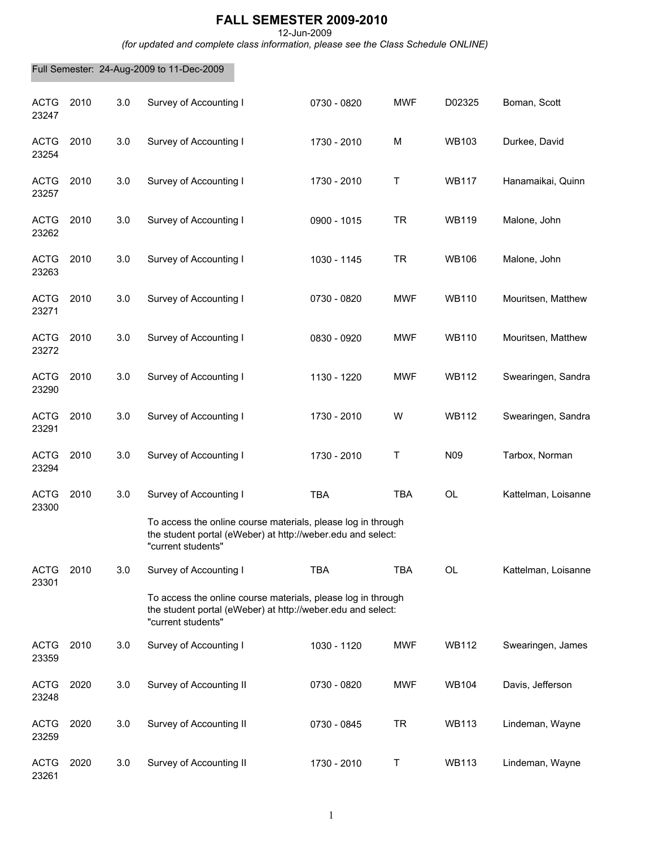## **FALL SEMESTER 2009-2010**

12-Jun-2009

*(for updated and complete class information, please see the Class Schedule ONLINE)*

Full Semester: 24-Aug-2009 to 11-Dec-2009

| <b>ACTG</b><br>23247 | 2010 | 3.0 | Survey of Accounting I                                                                                                                                | 0730 - 0820 | <b>MWF</b> | D02325          | Boman, Scott        |
|----------------------|------|-----|-------------------------------------------------------------------------------------------------------------------------------------------------------|-------------|------------|-----------------|---------------------|
| <b>ACTG</b><br>23254 | 2010 | 3.0 | Survey of Accounting I                                                                                                                                | 1730 - 2010 | M          | <b>WB103</b>    | Durkee, David       |
| <b>ACTG</b><br>23257 | 2010 | 3.0 | Survey of Accounting I                                                                                                                                | 1730 - 2010 | T          | <b>WB117</b>    | Hanamaikai, Quinn   |
| <b>ACTG</b><br>23262 | 2010 | 3.0 | Survey of Accounting I                                                                                                                                | 0900 - 1015 | <b>TR</b>  | <b>WB119</b>    | Malone, John        |
| <b>ACTG</b><br>23263 | 2010 | 3.0 | Survey of Accounting I                                                                                                                                | 1030 - 1145 | <b>TR</b>  | <b>WB106</b>    | Malone, John        |
| <b>ACTG</b><br>23271 | 2010 | 3.0 | Survey of Accounting I                                                                                                                                | 0730 - 0820 | <b>MWF</b> | <b>WB110</b>    | Mouritsen, Matthew  |
| <b>ACTG</b><br>23272 | 2010 | 3.0 | Survey of Accounting I                                                                                                                                | 0830 - 0920 | <b>MWF</b> | <b>WB110</b>    | Mouritsen, Matthew  |
| <b>ACTG</b><br>23290 | 2010 | 3.0 | Survey of Accounting I                                                                                                                                | 1130 - 1220 | <b>MWF</b> | <b>WB112</b>    | Swearingen, Sandra  |
| <b>ACTG</b><br>23291 | 2010 | 3.0 | Survey of Accounting I                                                                                                                                | 1730 - 2010 | W          | <b>WB112</b>    | Swearingen, Sandra  |
| <b>ACTG</b><br>23294 | 2010 | 3.0 | Survey of Accounting I                                                                                                                                | 1730 - 2010 | Т          | N <sub>09</sub> | Tarbox, Norman      |
| <b>ACTG</b><br>23300 | 2010 | 3.0 | Survey of Accounting I<br>To access the online course materials, please log in through<br>the student portal (eWeber) at http://weber.edu and select: | <b>TBA</b>  | <b>TBA</b> | <b>OL</b>       | Kattelman, Loisanne |
|                      |      |     | "current students"                                                                                                                                    |             |            |                 |                     |
| <b>ACTG</b><br>23301 | 2010 | 3.0 | Survey of Accounting I                                                                                                                                | TBA         | TBA        | OL              | Kattelman, Loisanne |
|                      |      |     | To access the online course materials, please log in through<br>the student portal (eWeber) at http://weber.edu and select:<br>"current students"     |             |            |                 |                     |
| <b>ACTG</b><br>23359 | 2010 | 3.0 | Survey of Accounting I                                                                                                                                | 1030 - 1120 | <b>MWF</b> | <b>WB112</b>    | Swearingen, James   |
| <b>ACTG</b><br>23248 | 2020 | 3.0 | Survey of Accounting II                                                                                                                               | 0730 - 0820 | <b>MWF</b> | <b>WB104</b>    | Davis, Jefferson    |
| <b>ACTG</b><br>23259 | 2020 | 3.0 | Survey of Accounting II                                                                                                                               | 0730 - 0845 | <b>TR</b>  | <b>WB113</b>    | Lindeman, Wayne     |
| <b>ACTG</b><br>23261 | 2020 | 3.0 | Survey of Accounting II                                                                                                                               | 1730 - 2010 | Т          | <b>WB113</b>    | Lindeman, Wayne     |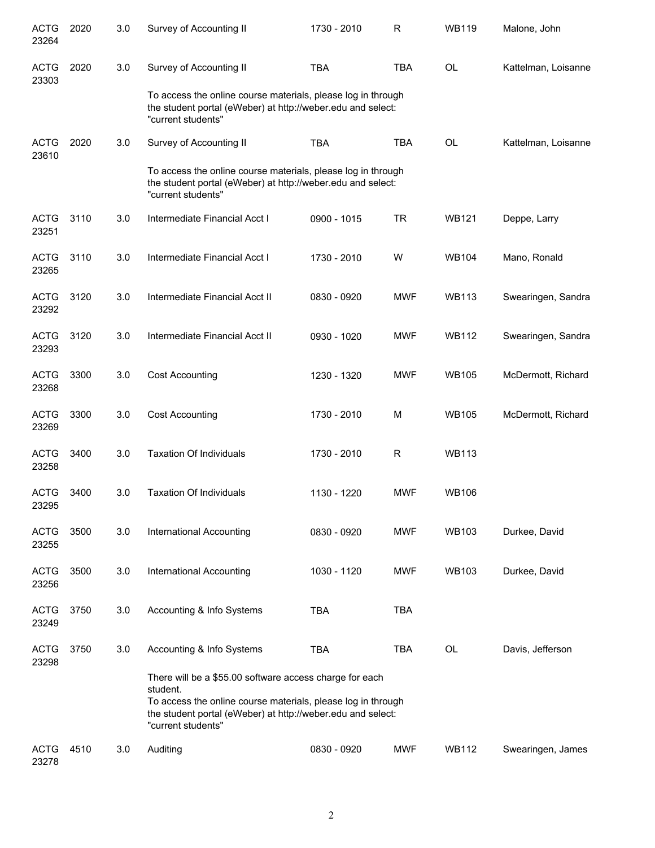| <b>ACTG</b><br>23264 | 2020 | 3.0 | Survey of Accounting II                                                                                                                           | 1730 - 2010 | R          | <b>WB119</b> | Malone, John        |  |  |
|----------------------|------|-----|---------------------------------------------------------------------------------------------------------------------------------------------------|-------------|------------|--------------|---------------------|--|--|
| <b>ACTG</b><br>23303 | 2020 | 3.0 | Survey of Accounting II                                                                                                                           | <b>TBA</b>  | <b>TBA</b> | <b>OL</b>    | Kattelman, Loisanne |  |  |
|                      |      |     | To access the online course materials, please log in through<br>the student portal (eWeber) at http://weber.edu and select:<br>"current students" |             |            |              |                     |  |  |
| <b>ACTG</b><br>23610 | 2020 | 3.0 | Survey of Accounting II                                                                                                                           | <b>TBA</b>  | <b>TBA</b> | <b>OL</b>    | Kattelman, Loisanne |  |  |
|                      |      |     | To access the online course materials, please log in through<br>the student portal (eWeber) at http://weber.edu and select:<br>"current students" |             |            |              |                     |  |  |
| <b>ACTG</b><br>23251 | 3110 | 3.0 | Intermediate Financial Acct I                                                                                                                     | 0900 - 1015 | <b>TR</b>  | <b>WB121</b> | Deppe, Larry        |  |  |
| <b>ACTG</b><br>23265 | 3110 | 3.0 | Intermediate Financial Acct I                                                                                                                     | 1730 - 2010 | W          | <b>WB104</b> | Mano, Ronald        |  |  |
| <b>ACTG</b><br>23292 | 3120 | 3.0 | Intermediate Financial Acct II                                                                                                                    | 0830 - 0920 | <b>MWF</b> | <b>WB113</b> | Swearingen, Sandra  |  |  |
| <b>ACTG</b><br>23293 | 3120 | 3.0 | Intermediate Financial Acct II                                                                                                                    | 0930 - 1020 | <b>MWF</b> | <b>WB112</b> | Swearingen, Sandra  |  |  |
| <b>ACTG</b><br>23268 | 3300 | 3.0 | <b>Cost Accounting</b>                                                                                                                            | 1230 - 1320 | <b>MWF</b> | <b>WB105</b> | McDermott, Richard  |  |  |
| <b>ACTG</b><br>23269 | 3300 | 3.0 | <b>Cost Accounting</b>                                                                                                                            | 1730 - 2010 | M          | <b>WB105</b> | McDermott, Richard  |  |  |
| <b>ACTG</b><br>23258 | 3400 | 3.0 | <b>Taxation Of Individuals</b>                                                                                                                    | 1730 - 2010 | R          | <b>WB113</b> |                     |  |  |
| <b>ACTG</b><br>23295 | 3400 | 3.0 | <b>Taxation Of Individuals</b>                                                                                                                    | 1130 - 1220 | <b>MWF</b> | <b>WB106</b> |                     |  |  |
| <b>ACTG</b><br>23255 | 3500 | 3.0 | <b>International Accounting</b>                                                                                                                   | 0830 - 0920 | <b>MWF</b> | <b>WB103</b> | Durkee, David       |  |  |
| <b>ACTG</b><br>23256 | 3500 | 3.0 | <b>International Accounting</b>                                                                                                                   | 1030 - 1120 | <b>MWF</b> | <b>WB103</b> | Durkee, David       |  |  |
| <b>ACTG</b><br>23249 | 3750 | 3.0 | Accounting & Info Systems                                                                                                                         | <b>TBA</b>  | <b>TBA</b> |              |                     |  |  |
| <b>ACTG</b><br>23298 | 3750 | 3.0 | Accounting & Info Systems                                                                                                                         | <b>TBA</b>  | <b>TBA</b> | OL           | Davis, Jefferson    |  |  |
|                      |      |     | There will be a \$55.00 software access charge for each<br>student.                                                                               |             |            |              |                     |  |  |
|                      |      |     | To access the online course materials, please log in through<br>the student portal (eWeber) at http://weber.edu and select:<br>"current students" |             |            |              |                     |  |  |
| <b>ACTG</b><br>23278 | 4510 | 3.0 | Auditing                                                                                                                                          | 0830 - 0920 | MWF        | <b>WB112</b> | Swearingen, James   |  |  |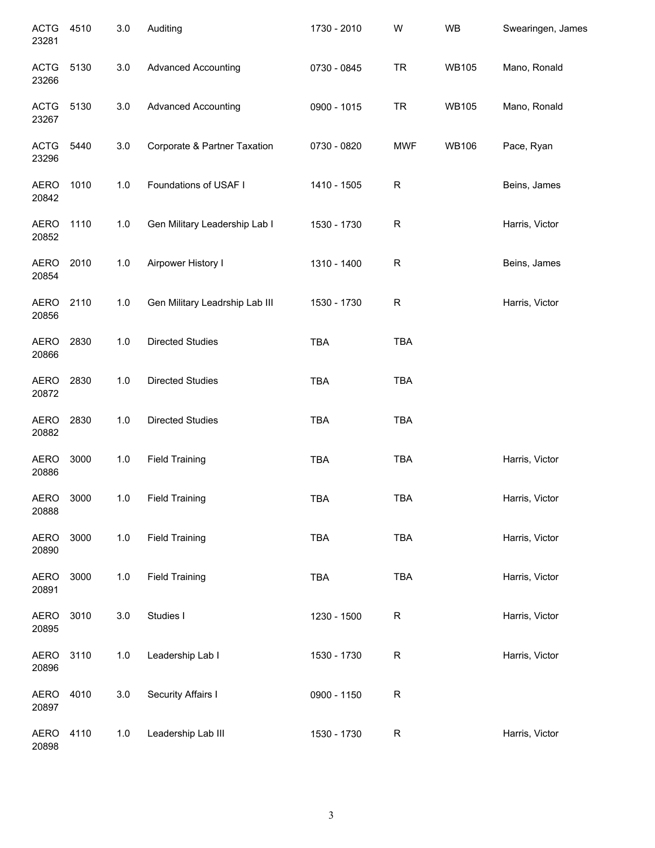| <b>ACTG</b><br>23281 | 4510 | 3.0   | Auditing                       | 1730 - 2010 | W          | <b>WB</b>    | Swearingen, James |
|----------------------|------|-------|--------------------------------|-------------|------------|--------------|-------------------|
| <b>ACTG</b><br>23266 | 5130 | 3.0   | <b>Advanced Accounting</b>     | 0730 - 0845 | <b>TR</b>  | <b>WB105</b> | Mano, Ronald      |
| <b>ACTG</b><br>23267 | 5130 | 3.0   | <b>Advanced Accounting</b>     | 0900 - 1015 | <b>TR</b>  | <b>WB105</b> | Mano, Ronald      |
| <b>ACTG</b><br>23296 | 5440 | 3.0   | Corporate & Partner Taxation   | 0730 - 0820 | <b>MWF</b> | <b>WB106</b> | Pace, Ryan        |
| <b>AERO</b><br>20842 | 1010 | 1.0   | Foundations of USAF I          | 1410 - 1505 | R          |              | Beins, James      |
| <b>AERO</b><br>20852 | 1110 | 1.0   | Gen Military Leadership Lab I  | 1530 - 1730 | R          |              | Harris, Victor    |
| <b>AERO</b><br>20854 | 2010 | $1.0$ | Airpower History I             | 1310 - 1400 | R          |              | Beins, James      |
| <b>AERO</b><br>20856 | 2110 | 1.0   | Gen Military Leadrship Lab III | 1530 - 1730 | R          |              | Harris, Victor    |
| <b>AERO</b><br>20866 | 2830 | 1.0   | <b>Directed Studies</b>        | <b>TBA</b>  | <b>TBA</b> |              |                   |
| <b>AERO</b><br>20872 | 2830 | $1.0$ | <b>Directed Studies</b>        | <b>TBA</b>  | <b>TBA</b> |              |                   |
| <b>AERO</b><br>20882 | 2830 | 1.0   | <b>Directed Studies</b>        | <b>TBA</b>  | <b>TBA</b> |              |                   |
| <b>AERO</b><br>20886 | 3000 | $1.0$ | <b>Field Training</b>          | <b>TBA</b>  | <b>TBA</b> |              | Harris, Victor    |
| AERO<br>20888        | 3000 | 1.0   | <b>Field Training</b>          | <b>TBA</b>  | <b>TBA</b> |              | Harris, Victor    |
| <b>AERO</b><br>20890 | 3000 | 1.0   | <b>Field Training</b>          | TBA         | TBA        |              | Harris, Victor    |
| <b>AERO</b><br>20891 | 3000 | 1.0   | <b>Field Training</b>          | TBA         | <b>TBA</b> |              | Harris, Victor    |
| <b>AERO</b><br>20895 | 3010 | 3.0   | Studies I                      | 1230 - 1500 | R          |              | Harris, Victor    |
| <b>AERO</b><br>20896 | 3110 | $1.0$ | Leadership Lab I               | 1530 - 1730 | R          |              | Harris, Victor    |
| <b>AERO</b><br>20897 | 4010 | 3.0   | Security Affairs I             | 0900 - 1150 | R          |              |                   |
| <b>AERO</b><br>20898 | 4110 | $1.0$ | Leadership Lab III             | 1530 - 1730 | R          |              | Harris, Victor    |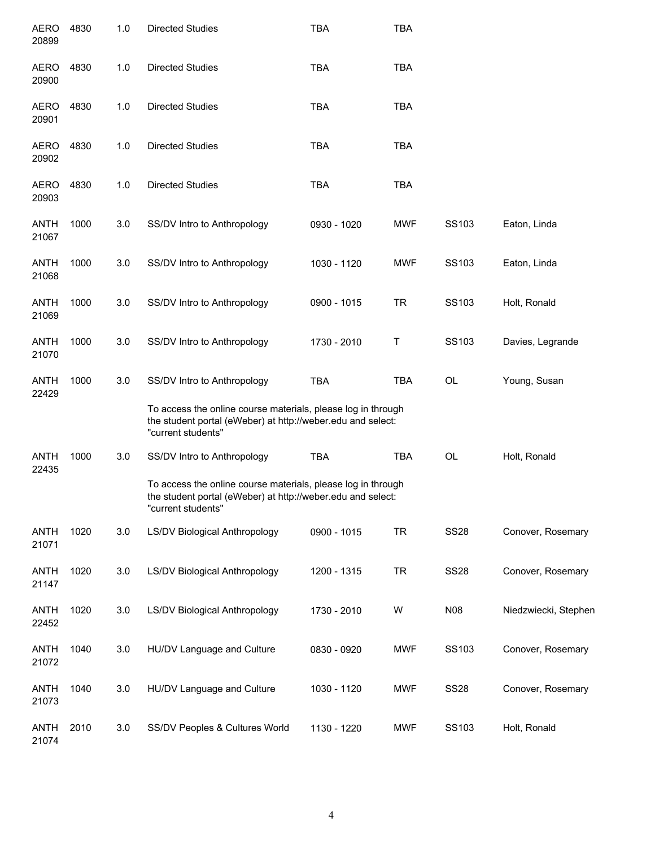| <b>AERO</b><br>20899 | 4830 | 1.0 | <b>Directed Studies</b>                                                                                                                           | <b>TBA</b>  | <b>TBA</b> |             |                      |
|----------------------|------|-----|---------------------------------------------------------------------------------------------------------------------------------------------------|-------------|------------|-------------|----------------------|
| <b>AERO</b><br>20900 | 4830 | 1.0 | <b>Directed Studies</b>                                                                                                                           | <b>TBA</b>  | <b>TBA</b> |             |                      |
| <b>AERO</b><br>20901 | 4830 | 1.0 | <b>Directed Studies</b>                                                                                                                           | <b>TBA</b>  | <b>TBA</b> |             |                      |
| <b>AERO</b><br>20902 | 4830 | 1.0 | <b>Directed Studies</b>                                                                                                                           | <b>TBA</b>  | <b>TBA</b> |             |                      |
| <b>AERO</b><br>20903 | 4830 | 1.0 | <b>Directed Studies</b>                                                                                                                           | <b>TBA</b>  | <b>TBA</b> |             |                      |
| <b>ANTH</b><br>21067 | 1000 | 3.0 | SS/DV Intro to Anthropology                                                                                                                       | 0930 - 1020 | <b>MWF</b> | SS103       | Eaton, Linda         |
| <b>ANTH</b><br>21068 | 1000 | 3.0 | SS/DV Intro to Anthropology                                                                                                                       | 1030 - 1120 | <b>MWF</b> | SS103       | Eaton, Linda         |
| <b>ANTH</b><br>21069 | 1000 | 3.0 | SS/DV Intro to Anthropology                                                                                                                       | 0900 - 1015 | <b>TR</b>  | SS103       | Holt, Ronald         |
| <b>ANTH</b><br>21070 | 1000 | 3.0 | SS/DV Intro to Anthropology                                                                                                                       | 1730 - 2010 | Τ          | SS103       | Davies, Legrande     |
| <b>ANTH</b><br>22429 | 1000 | 3.0 | SS/DV Intro to Anthropology                                                                                                                       | <b>TBA</b>  | <b>TBA</b> | OL          | Young, Susan         |
|                      |      |     | To access the online course materials, please log in through<br>the student portal (eWeber) at http://weber.edu and select:<br>"current students" |             |            |             |                      |
| <b>ANTH</b><br>22435 | 1000 | 3.0 | SS/DV Intro to Anthropology                                                                                                                       | <b>TBA</b>  | <b>TBA</b> | OL          | Holt, Ronald         |
|                      |      |     | To access the online course materials, please log in through<br>the student portal (eWeber) at http://weber.edu and select:<br>"current students" |             |            |             |                      |
| <b>ANTH</b><br>21071 | 1020 | 3.0 | <b>LS/DV Biological Anthropology</b>                                                                                                              | 0900 - 1015 | <b>TR</b>  | <b>SS28</b> | Conover, Rosemary    |
| <b>ANTH</b><br>21147 | 1020 | 3.0 | <b>LS/DV Biological Anthropology</b>                                                                                                              | 1200 - 1315 | <b>TR</b>  | <b>SS28</b> | Conover, Rosemary    |
| <b>ANTH</b><br>22452 | 1020 | 3.0 | LS/DV Biological Anthropology                                                                                                                     | 1730 - 2010 | W          | N08         | Niedzwiecki, Stephen |
| <b>ANTH</b><br>21072 | 1040 | 3.0 | HU/DV Language and Culture                                                                                                                        | 0830 - 0920 | <b>MWF</b> | SS103       | Conover, Rosemary    |
| <b>ANTH</b><br>21073 | 1040 | 3.0 | HU/DV Language and Culture                                                                                                                        | 1030 - 1120 | <b>MWF</b> | <b>SS28</b> | Conover, Rosemary    |
| <b>ANTH</b><br>21074 | 2010 | 3.0 | SS/DV Peoples & Cultures World                                                                                                                    | 1130 - 1220 | <b>MWF</b> | SS103       | Holt, Ronald         |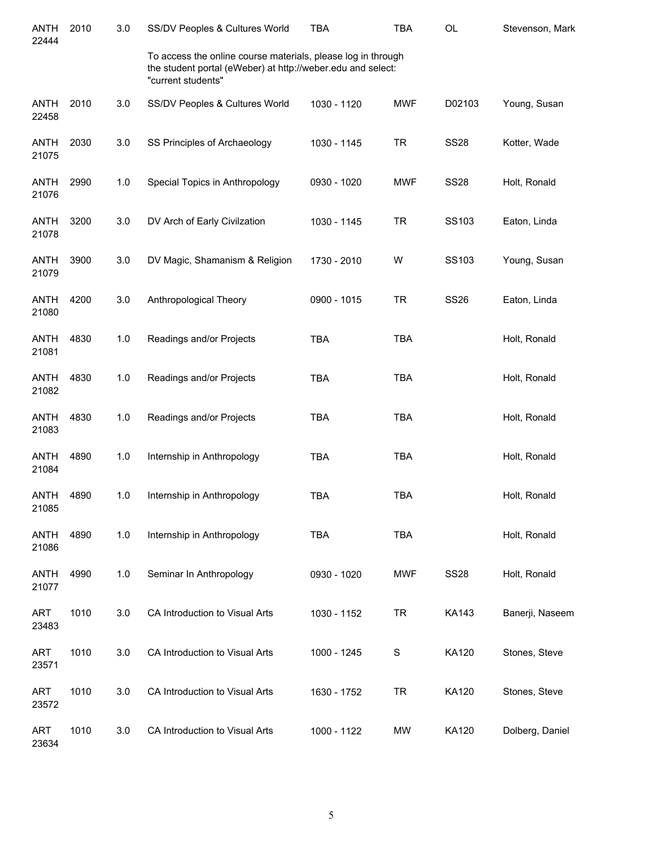| <b>ANTH</b><br>22444 | 2010 | 3.0 | SS/DV Peoples & Cultures World                                                                                                                    | <b>TBA</b>  | <b>TBA</b> | <b>OL</b>    | Stevenson, Mark |
|----------------------|------|-----|---------------------------------------------------------------------------------------------------------------------------------------------------|-------------|------------|--------------|-----------------|
|                      |      |     | To access the online course materials, please log in through<br>the student portal (eWeber) at http://weber.edu and select:<br>"current students" |             |            |              |                 |
| <b>ANTH</b><br>22458 | 2010 | 3.0 | SS/DV Peoples & Cultures World                                                                                                                    | 1030 - 1120 | <b>MWF</b> | D02103       | Young, Susan    |
| <b>ANTH</b><br>21075 | 2030 | 3.0 | SS Principles of Archaeology                                                                                                                      | 1030 - 1145 | <b>TR</b>  | <b>SS28</b>  | Kotter, Wade    |
| ANTH<br>21076        | 2990 | 1.0 | Special Topics in Anthropology                                                                                                                    | 0930 - 1020 | <b>MWF</b> | <b>SS28</b>  | Holt, Ronald    |
| <b>ANTH</b><br>21078 | 3200 | 3.0 | DV Arch of Early Civilzation                                                                                                                      | 1030 - 1145 | <b>TR</b>  | SS103        | Eaton, Linda    |
| <b>ANTH</b><br>21079 | 3900 | 3.0 | DV Magic, Shamanism & Religion                                                                                                                    | 1730 - 2010 | W          | <b>SS103</b> | Young, Susan    |
| ANTH<br>21080        | 4200 | 3.0 | Anthropological Theory                                                                                                                            | 0900 - 1015 | <b>TR</b>  | <b>SS26</b>  | Eaton, Linda    |
| ANTH<br>21081        | 4830 | 1.0 | Readings and/or Projects                                                                                                                          | <b>TBA</b>  | <b>TBA</b> |              | Holt, Ronald    |
| ANTH<br>21082        | 4830 | 1.0 | Readings and/or Projects                                                                                                                          | <b>TBA</b>  | <b>TBA</b> |              | Holt, Ronald    |
| <b>ANTH</b><br>21083 | 4830 | 1.0 | Readings and/or Projects                                                                                                                          | <b>TBA</b>  | <b>TBA</b> |              | Holt, Ronald    |
| <b>ANTH</b><br>21084 | 4890 | 1.0 | Internship in Anthropology                                                                                                                        | <b>TBA</b>  | <b>TBA</b> |              | Holt, Ronald    |
| <b>ANTH</b><br>21085 | 4890 | 1.0 | Internship in Anthropology                                                                                                                        | <b>TBA</b>  | <b>TBA</b> |              | Holt, Ronald    |
| <b>ANTH</b><br>21086 | 4890 | 1.0 | Internship in Anthropology                                                                                                                        | <b>TBA</b>  | <b>TBA</b> |              | Holt, Ronald    |
| <b>ANTH</b><br>21077 | 4990 | 1.0 | Seminar In Anthropology                                                                                                                           | 0930 - 1020 | <b>MWF</b> | <b>SS28</b>  | Holt, Ronald    |
| <b>ART</b><br>23483  | 1010 | 3.0 | CA Introduction to Visual Arts                                                                                                                    | 1030 - 1152 | <b>TR</b>  | <b>KA143</b> | Banerji, Naseem |
| <b>ART</b><br>23571  | 1010 | 3.0 | CA Introduction to Visual Arts                                                                                                                    | 1000 - 1245 | S          | KA120        | Stones, Steve   |
| <b>ART</b><br>23572  | 1010 | 3.0 | CA Introduction to Visual Arts                                                                                                                    | 1630 - 1752 | <b>TR</b>  | <b>KA120</b> | Stones, Steve   |
| <b>ART</b><br>23634  | 1010 | 3.0 | CA Introduction to Visual Arts                                                                                                                    | 1000 - 1122 | <b>MW</b>  | KA120        | Dolberg, Daniel |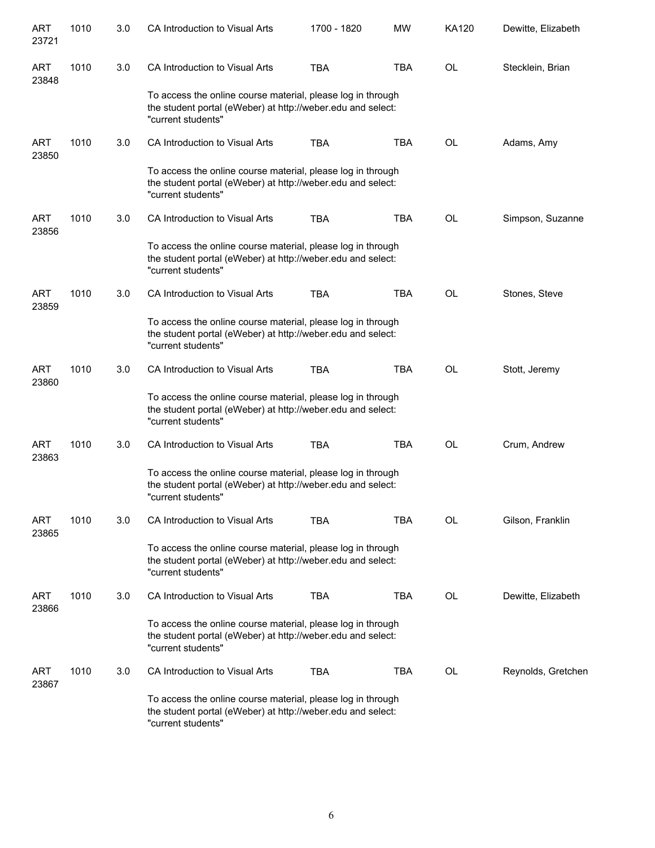| ART<br>23721        | 1010 | 3.0 | CA Introduction to Visual Arts                                                                                                                   | 1700 - 1820 | <b>MW</b>  | KA120     | Dewitte, Elizabeth |
|---------------------|------|-----|--------------------------------------------------------------------------------------------------------------------------------------------------|-------------|------------|-----------|--------------------|
| ART<br>23848        | 1010 | 3.0 | CA Introduction to Visual Arts                                                                                                                   | <b>TBA</b>  | <b>TBA</b> | <b>OL</b> | Stecklein, Brian   |
|                     |      |     | To access the online course material, please log in through<br>the student portal (eWeber) at http://weber.edu and select:<br>"current students" |             |            |           |                    |
| <b>ART</b><br>23850 | 1010 | 3.0 | CA Introduction to Visual Arts                                                                                                                   | <b>TBA</b>  | <b>TBA</b> | <b>OL</b> | Adams, Amy         |
|                     |      |     | To access the online course material, please log in through<br>the student portal (eWeber) at http://weber.edu and select:<br>"current students" |             |            |           |                    |
| ART<br>23856        | 1010 | 3.0 | CA Introduction to Visual Arts                                                                                                                   | <b>TBA</b>  | <b>TBA</b> | <b>OL</b> | Simpson, Suzanne   |
|                     |      |     | To access the online course material, please log in through<br>the student portal (eWeber) at http://weber.edu and select:<br>"current students" |             |            |           |                    |
| ART<br>23859        | 1010 | 3.0 | CA Introduction to Visual Arts                                                                                                                   | <b>TBA</b>  | <b>TBA</b> | <b>OL</b> | Stones, Steve      |
|                     |      |     | To access the online course material, please log in through<br>the student portal (eWeber) at http://weber.edu and select:<br>"current students" |             |            |           |                    |
| ART<br>23860        | 1010 | 3.0 | CA Introduction to Visual Arts                                                                                                                   | <b>TBA</b>  | <b>TBA</b> | OL        | Stott, Jeremy      |
|                     |      |     | To access the online course material, please log in through<br>the student portal (eWeber) at http://weber.edu and select:<br>"current students" |             |            |           |                    |
| ART<br>23863        | 1010 | 3.0 | CA Introduction to Visual Arts                                                                                                                   | <b>TBA</b>  | <b>TBA</b> | <b>OL</b> | Crum, Andrew       |
|                     |      |     | To access the online course material, please log in through<br>the student portal (eWeber) at http://weber.edu and select:<br>"current students" |             |            |           |                    |
| ART<br>23865        | 1010 | 3.0 | CA Introduction to Visual Arts                                                                                                                   | <b>TBA</b>  | <b>TBA</b> | OL        | Gilson, Franklin   |
|                     |      |     | To access the online course material, please log in through<br>the student portal (eWeber) at http://weber.edu and select:<br>"current students" |             |            |           |                    |
| ART<br>23866        | 1010 | 3.0 | CA Introduction to Visual Arts                                                                                                                   | <b>TBA</b>  | <b>TBA</b> | OL        | Dewitte, Elizabeth |
|                     |      |     | To access the online course material, please log in through<br>the student portal (eWeber) at http://weber.edu and select:<br>"current students" |             |            |           |                    |
| ART<br>23867        | 1010 | 3.0 | CA Introduction to Visual Arts                                                                                                                   | <b>TBA</b>  | <b>TBA</b> | OL        | Reynolds, Gretchen |
|                     |      |     | To access the online course material, please log in through<br>the student portal (eWeber) at http://weber.edu and select:<br>"current students" |             |            |           |                    |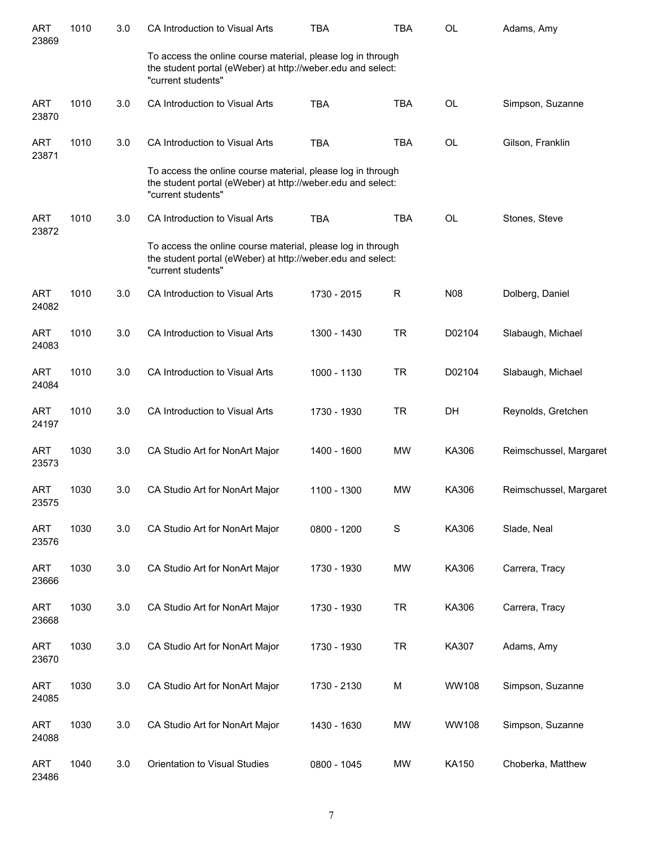| ART<br>23869        | 1010 | 3.0 | CA Introduction to Visual Arts                                                                                                                   | <b>TBA</b>  | <b>TBA</b>   | <b>OL</b>    | Adams, Amy             |
|---------------------|------|-----|--------------------------------------------------------------------------------------------------------------------------------------------------|-------------|--------------|--------------|------------------------|
|                     |      |     | To access the online course material, please log in through<br>the student portal (eWeber) at http://weber.edu and select:<br>"current students" |             |              |              |                        |
| ART<br>23870        | 1010 | 3.0 | CA Introduction to Visual Arts                                                                                                                   | <b>TBA</b>  | <b>TBA</b>   | <b>OL</b>    | Simpson, Suzanne       |
| ART<br>23871        | 1010 | 3.0 | CA Introduction to Visual Arts                                                                                                                   | <b>TBA</b>  | <b>TBA</b>   | <b>OL</b>    | Gilson, Franklin       |
|                     |      |     | To access the online course material, please log in through<br>the student portal (eWeber) at http://weber.edu and select:<br>"current students" |             |              |              |                        |
| <b>ART</b><br>23872 | 1010 | 3.0 | CA Introduction to Visual Arts                                                                                                                   | <b>TBA</b>  | <b>TBA</b>   | <b>OL</b>    | Stones, Steve          |
|                     |      |     | To access the online course material, please log in through<br>the student portal (eWeber) at http://weber.edu and select:<br>"current students" |             |              |              |                        |
| <b>ART</b><br>24082 | 1010 | 3.0 | CA Introduction to Visual Arts                                                                                                                   | 1730 - 2015 | $\mathsf{R}$ | <b>N08</b>   | Dolberg, Daniel        |
| <b>ART</b><br>24083 | 1010 | 3.0 | CA Introduction to Visual Arts                                                                                                                   | 1300 - 1430 | <b>TR</b>    | D02104       | Slabaugh, Michael      |
| ART<br>24084        | 1010 | 3.0 | CA Introduction to Visual Arts                                                                                                                   | 1000 - 1130 | <b>TR</b>    | D02104       | Slabaugh, Michael      |
| <b>ART</b><br>24197 | 1010 | 3.0 | CA Introduction to Visual Arts                                                                                                                   | 1730 - 1930 | <b>TR</b>    | DH           | Reynolds, Gretchen     |
| <b>ART</b><br>23573 | 1030 | 3.0 | CA Studio Art for NonArt Major                                                                                                                   | 1400 - 1600 | MW           | KA306        | Reimschussel, Margaret |
| ART<br>23575        | 1030 | 3.0 | CA Studio Art for NonArt Major                                                                                                                   | 1100 - 1300 | MW           | KA306        | Reimschussel, Margaret |
| <b>ART</b><br>23576 | 1030 | 3.0 | CA Studio Art for NonArt Major                                                                                                                   | 0800 - 1200 | $\mathbf S$  | KA306        | Slade, Neal            |
| <b>ART</b><br>23666 | 1030 | 3.0 | CA Studio Art for NonArt Major                                                                                                                   | 1730 - 1930 | <b>MW</b>    | KA306        | Carrera, Tracy         |
| <b>ART</b><br>23668 | 1030 | 3.0 | CA Studio Art for NonArt Major                                                                                                                   | 1730 - 1930 | <b>TR</b>    | KA306        | Carrera, Tracy         |
| <b>ART</b><br>23670 | 1030 | 3.0 | CA Studio Art for NonArt Major                                                                                                                   | 1730 - 1930 | <b>TR</b>    | KA307        | Adams, Amy             |
| <b>ART</b><br>24085 | 1030 | 3.0 | CA Studio Art for NonArt Major                                                                                                                   | 1730 - 2130 | M            | <b>WW108</b> | Simpson, Suzanne       |
| <b>ART</b><br>24088 | 1030 | 3.0 | CA Studio Art for NonArt Major                                                                                                                   | 1430 - 1630 | <b>MW</b>    | <b>WW108</b> | Simpson, Suzanne       |
| <b>ART</b><br>23486 | 1040 | 3.0 | Orientation to Visual Studies                                                                                                                    | 0800 - 1045 | <b>MW</b>    | KA150        | Choberka, Matthew      |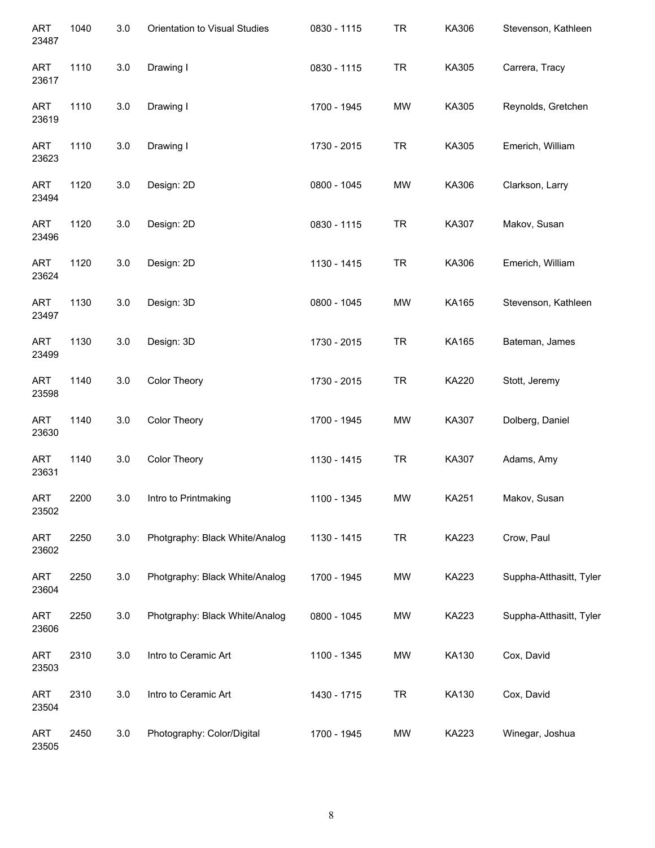| <b>ART</b><br>23487 | 1040 | 3.0     | Orientation to Visual Studies  | 0830 - 1115 | <b>TR</b> | KA306 | Stevenson, Kathleen     |
|---------------------|------|---------|--------------------------------|-------------|-----------|-------|-------------------------|
| <b>ART</b><br>23617 | 1110 | 3.0     | Drawing I                      | 0830 - 1115 | <b>TR</b> | KA305 | Carrera, Tracy          |
| <b>ART</b><br>23619 | 1110 | 3.0     | Drawing I                      | 1700 - 1945 | <b>MW</b> | KA305 | Reynolds, Gretchen      |
| <b>ART</b><br>23623 | 1110 | 3.0     | Drawing I                      | 1730 - 2015 | <b>TR</b> | KA305 | Emerich, William        |
| <b>ART</b><br>23494 | 1120 | 3.0     | Design: 2D                     | 0800 - 1045 | <b>MW</b> | KA306 | Clarkson, Larry         |
| <b>ART</b><br>23496 | 1120 | 3.0     | Design: 2D                     | 0830 - 1115 | <b>TR</b> | KA307 | Makov, Susan            |
| <b>ART</b><br>23624 | 1120 | 3.0     | Design: 2D                     | 1130 - 1415 | <b>TR</b> | KA306 | Emerich, William        |
| <b>ART</b><br>23497 | 1130 | 3.0     | Design: 3D                     | 0800 - 1045 | <b>MW</b> | KA165 | Stevenson, Kathleen     |
| <b>ART</b><br>23499 | 1130 | 3.0     | Design: 3D                     | 1730 - 2015 | <b>TR</b> | KA165 | Bateman, James          |
| <b>ART</b><br>23598 | 1140 | 3.0     | Color Theory                   | 1730 - 2015 | <b>TR</b> | KA220 | Stott, Jeremy           |
| <b>ART</b><br>23630 | 1140 | 3.0     | Color Theory                   | 1700 - 1945 | MW        | KA307 | Dolberg, Daniel         |
| <b>ART</b><br>23631 | 1140 | 3.0     | Color Theory                   | 1130 - 1415 | <b>TR</b> | KA307 | Adams, Amy              |
| ART<br>23502        | 2200 | 3.0     | Intro to Printmaking           | 1100 - 1345 | MW        | KA251 | Makov, Susan            |
| <b>ART</b><br>23602 | 2250 | $3.0\,$ | Photgraphy: Black White/Analog | 1130 - 1415 | <b>TR</b> | KA223 | Crow, Paul              |
| <b>ART</b><br>23604 | 2250 | 3.0     | Photgraphy: Black White/Analog | 1700 - 1945 | <b>MW</b> | KA223 | Suppha-Atthasitt, Tyler |
| <b>ART</b><br>23606 | 2250 | 3.0     | Photgraphy: Black White/Analog | 0800 - 1045 | <b>MW</b> | KA223 | Suppha-Atthasitt, Tyler |
| ART<br>23503        | 2310 | 3.0     | Intro to Ceramic Art           | 1100 - 1345 | <b>MW</b> | KA130 | Cox, David              |
| ART<br>23504        | 2310 | 3.0     | Intro to Ceramic Art           | 1430 - 1715 | <b>TR</b> | KA130 | Cox, David              |
| ART<br>23505        | 2450 | 3.0     | Photography: Color/Digital     | 1700 - 1945 | <b>MW</b> | KA223 | Winegar, Joshua         |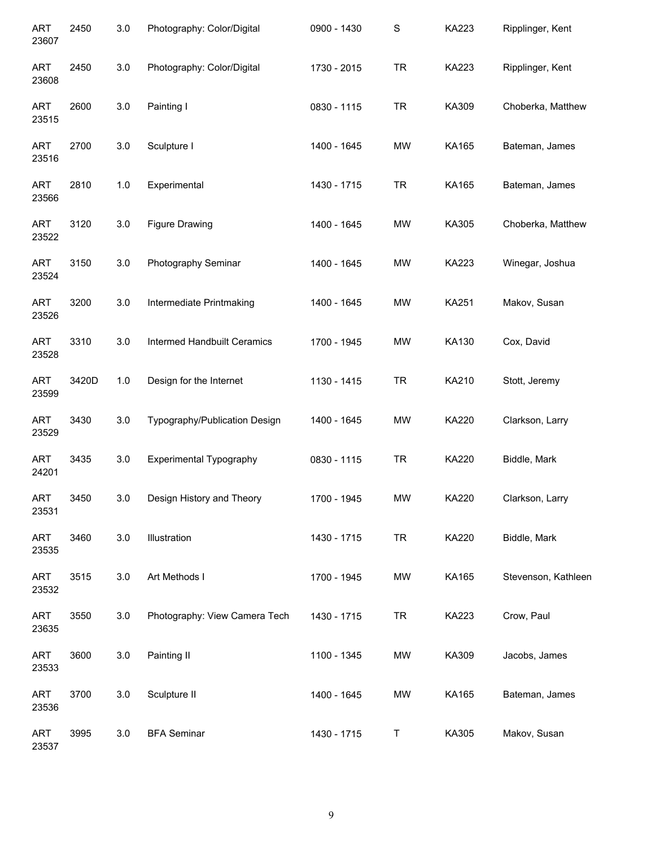| <b>ART</b><br>23607 | 2450  | 3.0 | Photography: Color/Digital     | 0900 - 1430 | $\mathbf S$ | <b>KA223</b> | Ripplinger, Kent    |
|---------------------|-------|-----|--------------------------------|-------------|-------------|--------------|---------------------|
| <b>ART</b><br>23608 | 2450  | 3.0 | Photography: Color/Digital     | 1730 - 2015 | <b>TR</b>   | KA223        | Ripplinger, Kent    |
| <b>ART</b><br>23515 | 2600  | 3.0 | Painting I                     | 0830 - 1115 | <b>TR</b>   | KA309        | Choberka, Matthew   |
| <b>ART</b><br>23516 | 2700  | 3.0 | Sculpture I                    | 1400 - 1645 | <b>MW</b>   | KA165        | Bateman, James      |
| <b>ART</b><br>23566 | 2810  | 1.0 | Experimental                   | 1430 - 1715 | <b>TR</b>   | KA165        | Bateman, James      |
| <b>ART</b><br>23522 | 3120  | 3.0 | <b>Figure Drawing</b>          | 1400 - 1645 | <b>MW</b>   | KA305        | Choberka, Matthew   |
| <b>ART</b><br>23524 | 3150  | 3.0 | Photography Seminar            | 1400 - 1645 | <b>MW</b>   | <b>KA223</b> | Winegar, Joshua     |
| <b>ART</b><br>23526 | 3200  | 3.0 | Intermediate Printmaking       | 1400 - 1645 | <b>MW</b>   | <b>KA251</b> | Makov, Susan        |
| <b>ART</b><br>23528 | 3310  | 3.0 | Intermed Handbuilt Ceramics    | 1700 - 1945 | <b>MW</b>   | KA130        | Cox, David          |
| <b>ART</b><br>23599 | 3420D | 1.0 | Design for the Internet        | 1130 - 1415 | <b>TR</b>   | KA210        | Stott, Jeremy       |
| <b>ART</b><br>23529 | 3430  | 3.0 | Typography/Publication Design  | 1400 - 1645 | <b>MW</b>   | KA220        | Clarkson, Larry     |
| <b>ART</b><br>24201 | 3435  | 3.0 | <b>Experimental Typography</b> | 0830 - 1115 | <b>TR</b>   | KA220        | Biddle, Mark        |
| ART<br>23531        | 3450  | 3.0 | Design History and Theory      | 1700 - 1945 | <b>MW</b>   | KA220        | Clarkson, Larry     |
| <b>ART</b><br>23535 | 3460  | 3.0 | Illustration                   | 1430 - 1715 | <b>TR</b>   | <b>KA220</b> | Biddle, Mark        |
| <b>ART</b><br>23532 | 3515  | 3.0 | Art Methods I                  | 1700 - 1945 | <b>MW</b>   | KA165        | Stevenson, Kathleen |
| <b>ART</b><br>23635 | 3550  | 3.0 | Photography: View Camera Tech  | 1430 - 1715 | <b>TR</b>   | KA223        | Crow, Paul          |
| ART<br>23533        | 3600  | 3.0 | Painting II                    | 1100 - 1345 | <b>MW</b>   | KA309        | Jacobs, James       |
| <b>ART</b><br>23536 | 3700  | 3.0 | Sculpture II                   | 1400 - 1645 | MW          | KA165        | Bateman, James      |
| ART<br>23537        | 3995  | 3.0 | <b>BFA Seminar</b>             | 1430 - 1715 | Τ           | KA305        | Makov, Susan        |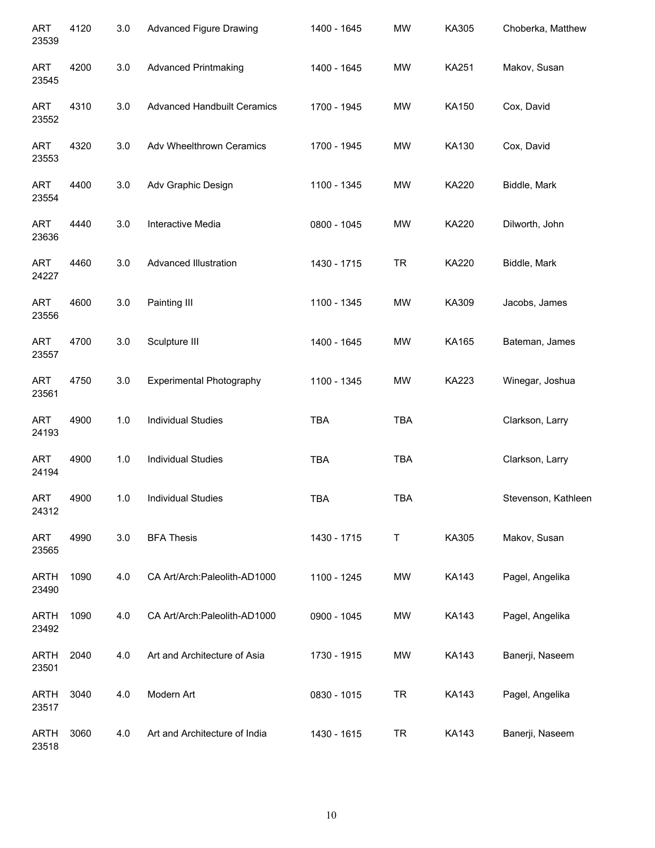| <b>ART</b><br>23539  | 4120 | 3.0     | <b>Advanced Figure Drawing</b>     | 1400 - 1645 | <b>MW</b>  | KA305        | Choberka, Matthew   |
|----------------------|------|---------|------------------------------------|-------------|------------|--------------|---------------------|
| <b>ART</b><br>23545  | 4200 | 3.0     | <b>Advanced Printmaking</b>        | 1400 - 1645 | <b>MW</b>  | <b>KA251</b> | Makov, Susan        |
| <b>ART</b><br>23552  | 4310 | 3.0     | <b>Advanced Handbuilt Ceramics</b> | 1700 - 1945 | <b>MW</b>  | KA150        | Cox, David          |
| <b>ART</b><br>23553  | 4320 | $3.0\,$ | Adv Wheelthrown Ceramics           | 1700 - 1945 | <b>MW</b>  | KA130        | Cox, David          |
| <b>ART</b><br>23554  | 4400 | 3.0     | Adv Graphic Design                 | 1100 - 1345 | <b>MW</b>  | KA220        | Biddle, Mark        |
| <b>ART</b><br>23636  | 4440 | 3.0     | Interactive Media                  | 0800 - 1045 | <b>MW</b>  | KA220        | Dilworth, John      |
| <b>ART</b><br>24227  | 4460 | 3.0     | Advanced Illustration              | 1430 - 1715 | <b>TR</b>  | KA220        | Biddle, Mark        |
| <b>ART</b><br>23556  | 4600 | 3.0     | Painting III                       | 1100 - 1345 | <b>MW</b>  | KA309        | Jacobs, James       |
| <b>ART</b><br>23557  | 4700 | 3.0     | Sculpture III                      | 1400 - 1645 | <b>MW</b>  | KA165        | Bateman, James      |
| <b>ART</b><br>23561  | 4750 | 3.0     | <b>Experimental Photography</b>    | 1100 - 1345 | <b>MW</b>  | KA223        | Winegar, Joshua     |
| <b>ART</b><br>24193  | 4900 | 1.0     | <b>Individual Studies</b>          | <b>TBA</b>  | <b>TBA</b> |              | Clarkson, Larry     |
| <b>ART</b><br>24194  | 4900 | 1.0     | <b>Individual Studies</b>          | <b>TBA</b>  | <b>TBA</b> |              | Clarkson, Larry     |
| ART<br>24312         | 4900 | 1.0     | <b>Individual Studies</b>          | <b>TBA</b>  | <b>TBA</b> |              | Stevenson, Kathleen |
| <b>ART</b><br>23565  | 4990 | 3.0     | <b>BFA Thesis</b>                  | 1430 - 1715 | Т          | KA305        | Makov, Susan        |
| ARTH<br>23490        | 1090 | 4.0     | CA Art/Arch: Paleolith-AD1000      | 1100 - 1245 | <b>MW</b>  | <b>KA143</b> | Pagel, Angelika     |
| <b>ARTH</b><br>23492 | 1090 | 4.0     | CA Art/Arch: Paleolith-AD1000      | 0900 - 1045 | <b>MW</b>  | KA143        | Pagel, Angelika     |
| <b>ARTH</b><br>23501 | 2040 | 4.0     | Art and Architecture of Asia       | 1730 - 1915 | <b>MW</b>  | <b>KA143</b> | Banerji, Naseem     |
| <b>ARTH</b><br>23517 | 3040 | 4.0     | Modern Art                         | 0830 - 1015 | <b>TR</b>  | <b>KA143</b> | Pagel, Angelika     |
| <b>ARTH</b><br>23518 | 3060 | 4.0     | Art and Architecture of India      | 1430 - 1615 | <b>TR</b>  | <b>KA143</b> | Banerji, Naseem     |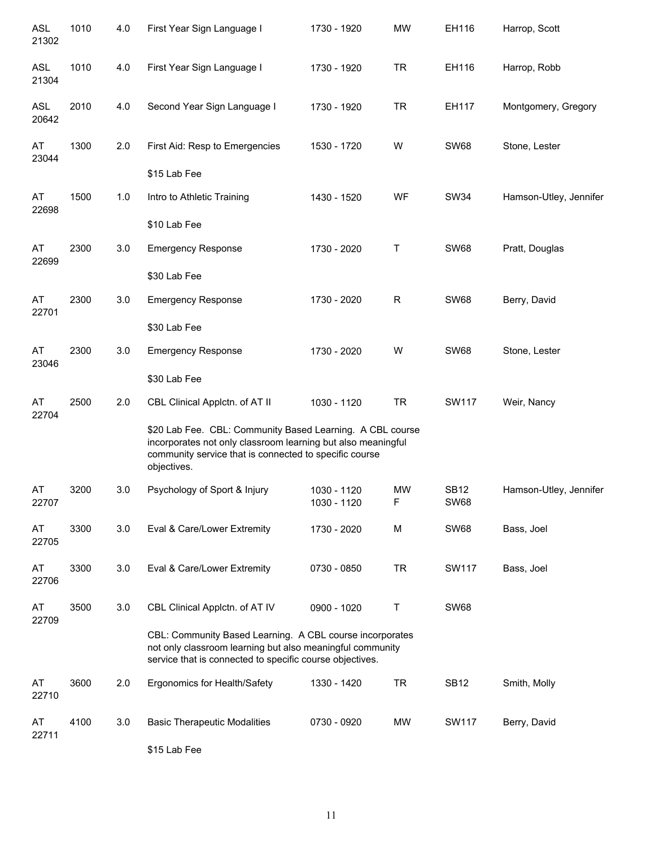| <b>ASL</b><br>21302 | 1010 | 4.0 | First Year Sign Language I                                                                                                                                                                         | 1730 - 1920                | <b>MW</b>      | EH116                      | Harrop, Scott          |
|---------------------|------|-----|----------------------------------------------------------------------------------------------------------------------------------------------------------------------------------------------------|----------------------------|----------------|----------------------------|------------------------|
| <b>ASL</b><br>21304 | 1010 | 4.0 | First Year Sign Language I                                                                                                                                                                         | 1730 - 1920                | <b>TR</b>      | EH116                      | Harrop, Robb           |
| <b>ASL</b><br>20642 | 2010 | 4.0 | Second Year Sign Language I                                                                                                                                                                        | 1730 - 1920                | <b>TR</b>      | EH117                      | Montgomery, Gregory    |
| AT<br>23044         | 1300 | 2.0 | First Aid: Resp to Emergencies                                                                                                                                                                     | 1530 - 1720                | W              | <b>SW68</b>                | Stone, Lester          |
|                     |      |     | \$15 Lab Fee                                                                                                                                                                                       |                            |                |                            |                        |
| AT<br>22698         | 1500 | 1.0 | Intro to Athletic Training                                                                                                                                                                         | 1430 - 1520                | WF             | <b>SW34</b>                | Hamson-Utley, Jennifer |
|                     |      |     | \$10 Lab Fee                                                                                                                                                                                       |                            |                |                            |                        |
| AT<br>22699         | 2300 | 3.0 | <b>Emergency Response</b>                                                                                                                                                                          | 1730 - 2020                | Τ              | <b>SW68</b>                | Pratt, Douglas         |
|                     |      |     | \$30 Lab Fee                                                                                                                                                                                       |                            |                |                            |                        |
| AT<br>22701         | 2300 | 3.0 | <b>Emergency Response</b>                                                                                                                                                                          | 1730 - 2020                | $\mathsf R$    | <b>SW68</b>                | Berry, David           |
|                     |      |     | \$30 Lab Fee                                                                                                                                                                                       |                            |                |                            |                        |
| AT<br>23046         | 2300 | 3.0 | <b>Emergency Response</b>                                                                                                                                                                          | 1730 - 2020                | W              | <b>SW68</b>                | Stone, Lester          |
|                     |      |     | \$30 Lab Fee                                                                                                                                                                                       |                            |                |                            |                        |
| AT<br>22704         | 2500 | 2.0 | CBL Clinical Applctn. of AT II                                                                                                                                                                     | 1030 - 1120                | <b>TR</b>      | SW117                      | Weir, Nancy            |
|                     |      |     | \$20 Lab Fee. CBL: Community Based Learning. A CBL course<br>incorporates not only classroom learning but also meaningful<br>community service that is connected to specific course<br>objectives. |                            |                |                            |                        |
| AT<br>22707         | 3200 | 3.0 | Psychology of Sport & Injury                                                                                                                                                                       | 1030 - 1120<br>1030 - 1120 | <b>MW</b><br>F | <b>SB12</b><br><b>SW68</b> | Hamson-Utley, Jennifer |
| AT<br>22705         | 3300 | 3.0 | Eval & Care/Lower Extremity                                                                                                                                                                        | 1730 - 2020                | M              | <b>SW68</b>                | Bass, Joel             |
| AT<br>22706         | 3300 | 3.0 | Eval & Care/Lower Extremity                                                                                                                                                                        | 0730 - 0850                | <b>TR</b>      | SW117                      | Bass, Joel             |
| AT<br>22709         | 3500 | 3.0 | CBL Clinical Applctn. of AT IV                                                                                                                                                                     | 0900 - 1020                | Τ              | <b>SW68</b>                |                        |
|                     |      |     | CBL: Community Based Learning. A CBL course incorporates<br>not only classroom learning but also meaningful community<br>service that is connected to specific course objectives.                  |                            |                |                            |                        |
| AT<br>22710         | 3600 | 2.0 | Ergonomics for Health/Safety                                                                                                                                                                       | 1330 - 1420                | <b>TR</b>      | <b>SB12</b>                | Smith, Molly           |
| AT<br>22711         | 4100 | 3.0 | <b>Basic Therapeutic Modalities</b>                                                                                                                                                                | 0730 - 0920                | <b>MW</b>      | SW117                      | Berry, David           |
|                     |      |     |                                                                                                                                                                                                    |                            |                |                            |                        |

\$15 Lab Fee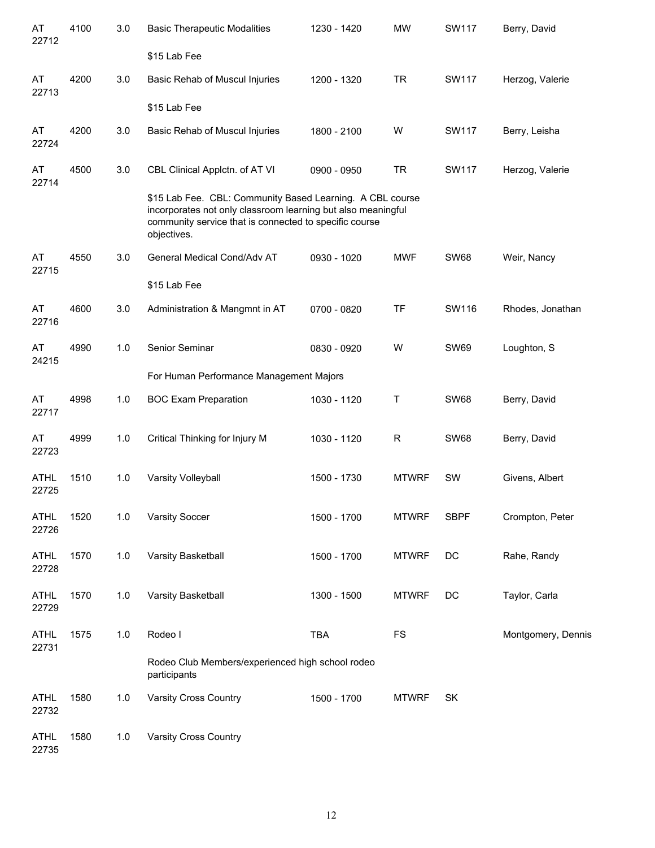| AT<br>22712          | 4100 | 3.0   | <b>Basic Therapeutic Modalities</b>                                                                                                                                                                | 1230 - 1420 | <b>MW</b>    | SW117        | Berry, David       |
|----------------------|------|-------|----------------------------------------------------------------------------------------------------------------------------------------------------------------------------------------------------|-------------|--------------|--------------|--------------------|
|                      |      |       | \$15 Lab Fee                                                                                                                                                                                       |             |              |              |                    |
| AT<br>22713          | 4200 | 3.0   | Basic Rehab of Muscul Injuries                                                                                                                                                                     | 1200 - 1320 | <b>TR</b>    | SW117        | Herzog, Valerie    |
|                      |      |       | \$15 Lab Fee                                                                                                                                                                                       |             |              |              |                    |
| AT<br>22724          | 4200 | 3.0   | Basic Rehab of Muscul Injuries                                                                                                                                                                     | 1800 - 2100 | W            | SW117        | Berry, Leisha      |
| AT<br>22714          | 4500 | 3.0   | CBL Clinical Applctn. of AT VI                                                                                                                                                                     | 0900 - 0950 | <b>TR</b>    | <b>SW117</b> | Herzog, Valerie    |
|                      |      |       | \$15 Lab Fee. CBL: Community Based Learning. A CBL course<br>incorporates not only classroom learning but also meaningful<br>community service that is connected to specific course<br>objectives. |             |              |              |                    |
| AT<br>22715          | 4550 | 3.0   | General Medical Cond/Adv AT                                                                                                                                                                        | 0930 - 1020 | <b>MWF</b>   | <b>SW68</b>  | Weir, Nancy        |
|                      |      |       | \$15 Lab Fee                                                                                                                                                                                       |             |              |              |                    |
| AT<br>22716          | 4600 | 3.0   | Administration & Mangmnt in AT                                                                                                                                                                     | 0700 - 0820 | TF           | SW116        | Rhodes, Jonathan   |
| AT<br>24215          | 4990 | 1.0   | Senior Seminar                                                                                                                                                                                     | 0830 - 0920 | W            | <b>SW69</b>  | Loughton, S        |
|                      |      |       | For Human Performance Management Majors                                                                                                                                                            |             |              |              |                    |
| AT<br>22717          | 4998 | 1.0   | <b>BOC Exam Preparation</b>                                                                                                                                                                        | 1030 - 1120 | Т            | <b>SW68</b>  | Berry, David       |
| AT<br>22723          | 4999 | 1.0   | Critical Thinking for Injury M                                                                                                                                                                     | 1030 - 1120 | R            | <b>SW68</b>  | Berry, David       |
| <b>ATHL</b><br>22725 | 1510 | 1.0   | Varsity Volleyball                                                                                                                                                                                 | 1500 - 1730 | <b>MTWRF</b> | SW           | Givens, Albert     |
| <b>ATHL</b><br>22726 | 1520 | 1.0   | <b>Varsity Soccer</b>                                                                                                                                                                              | 1500 - 1700 | <b>MTWRF</b> | <b>SBPF</b>  | Crompton, Peter    |
| <b>ATHL</b><br>22728 | 1570 | 1.0   | Varsity Basketball                                                                                                                                                                                 | 1500 - 1700 | <b>MTWRF</b> | DC           | Rahe, Randy        |
| <b>ATHL</b><br>22729 | 1570 | 1.0   | Varsity Basketball                                                                                                                                                                                 | 1300 - 1500 | <b>MTWRF</b> | DC           | Taylor, Carla      |
| <b>ATHL</b><br>22731 | 1575 | 1.0   | Rodeo I                                                                                                                                                                                            | <b>TBA</b>  | <b>FS</b>    |              | Montgomery, Dennis |
|                      |      |       | Rodeo Club Members/experienced high school rodeo<br>participants                                                                                                                                   |             |              |              |                    |
| <b>ATHL</b><br>22732 | 1580 | 1.0   | <b>Varsity Cross Country</b>                                                                                                                                                                       | 1500 - 1700 | <b>MTWRF</b> | <b>SK</b>    |                    |
| <b>ATHL</b>          | 1580 | $1.0$ | Varsity Cross Country                                                                                                                                                                              |             |              |              |                    |

22735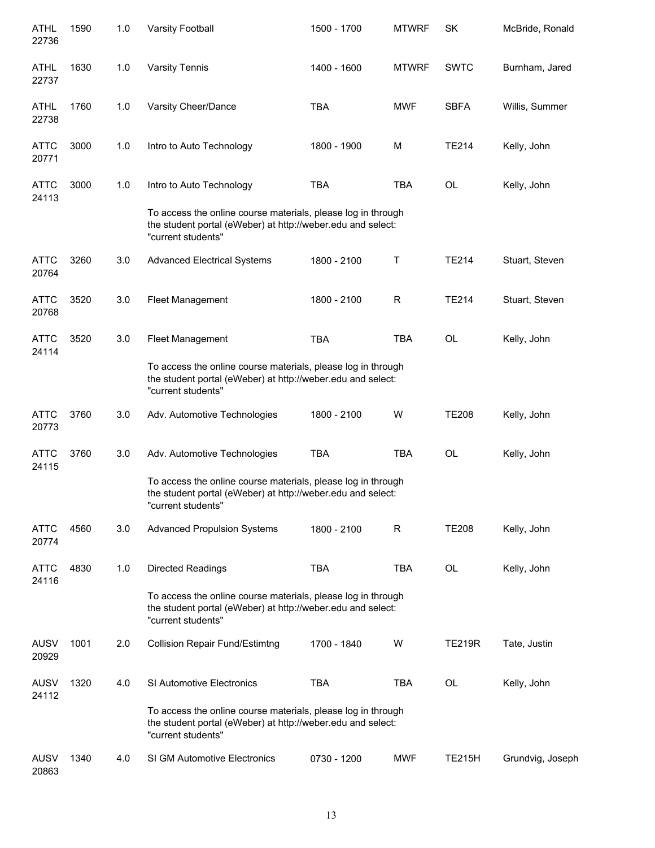| <b>ATHL</b><br>22736 | 1590 | 1.0 | <b>Varsity Football</b>                                                                                                                           | 1500 - 1700 | <b>MTWRF</b> | SK            | McBride, Ronald  |
|----------------------|------|-----|---------------------------------------------------------------------------------------------------------------------------------------------------|-------------|--------------|---------------|------------------|
| <b>ATHL</b><br>22737 | 1630 | 1.0 | <b>Varsity Tennis</b>                                                                                                                             | 1400 - 1600 | <b>MTWRF</b> | <b>SWTC</b>   | Burnham, Jared   |
| ATHL<br>22738        | 1760 | 1.0 | Varsity Cheer/Dance                                                                                                                               | <b>TBA</b>  | <b>MWF</b>   | <b>SBFA</b>   | Willis, Summer   |
| <b>ATTC</b><br>20771 | 3000 | 1.0 | Intro to Auto Technology                                                                                                                          | 1800 - 1900 | M            | <b>TE214</b>  | Kelly, John      |
| <b>ATTC</b><br>24113 | 3000 | 1.0 | Intro to Auto Technology                                                                                                                          | <b>TBA</b>  | TBA          | OL            | Kelly, John      |
|                      |      |     | To access the online course materials, please log in through<br>the student portal (eWeber) at http://weber.edu and select:<br>"current students" |             |              |               |                  |
| <b>ATTC</b><br>20764 | 3260 | 3.0 | <b>Advanced Electrical Systems</b>                                                                                                                | 1800 - 2100 | Τ            | <b>TE214</b>  | Stuart, Steven   |
| <b>ATTC</b><br>20768 | 3520 | 3.0 | Fleet Management                                                                                                                                  | 1800 - 2100 | $\mathsf R$  | <b>TE214</b>  | Stuart, Steven   |
| <b>ATTC</b><br>24114 | 3520 | 3.0 | Fleet Management                                                                                                                                  | <b>TBA</b>  | <b>TBA</b>   | OL            | Kelly, John      |
|                      |      |     | To access the online course materials, please log in through<br>the student portal (eWeber) at http://weber.edu and select:<br>"current students" |             |              |               |                  |
| <b>ATTC</b><br>20773 | 3760 | 3.0 | Adv. Automotive Technologies                                                                                                                      | 1800 - 2100 | W            | <b>TE208</b>  | Kelly, John      |
| <b>ATTC</b><br>24115 | 3760 | 3.0 | Adv. Automotive Technologies                                                                                                                      | <b>TBA</b>  | <b>TBA</b>   | <b>OL</b>     | Kelly, John      |
|                      |      |     | To access the online course materials, please log in through<br>the student portal (eWeber) at http://weber.edu and select:<br>"current students" |             |              |               |                  |
| <b>ATTC</b><br>20774 | 4560 | 3.0 | <b>Advanced Propulsion Systems</b>                                                                                                                | 1800 - 2100 | R            | <b>TE208</b>  | Kelly, John      |
| <b>ATTC</b><br>24116 | 4830 | 1.0 | Directed Readings                                                                                                                                 | <b>TBA</b>  | TBA          | <b>OL</b>     | Kelly, John      |
|                      |      |     | To access the online course materials, please log in through<br>the student portal (eWeber) at http://weber.edu and select:<br>"current students" |             |              |               |                  |
| <b>AUSV</b><br>20929 | 1001 | 2.0 | <b>Collision Repair Fund/Estimtng</b>                                                                                                             | 1700 - 1840 | W            | <b>TE219R</b> | Tate, Justin     |
| <b>AUSV</b><br>24112 | 1320 | 4.0 | <b>SI Automotive Electronics</b>                                                                                                                  | <b>TBA</b>  | TBA          | OL            | Kelly, John      |
|                      |      |     | To access the online course materials, please log in through<br>the student portal (eWeber) at http://weber.edu and select:<br>"current students" |             |              |               |                  |
| <b>AUSV</b><br>20863 | 1340 | 4.0 | <b>SI GM Automotive Electronics</b>                                                                                                               | 0730 - 1200 | <b>MWF</b>   | <b>TE215H</b> | Grundvig, Joseph |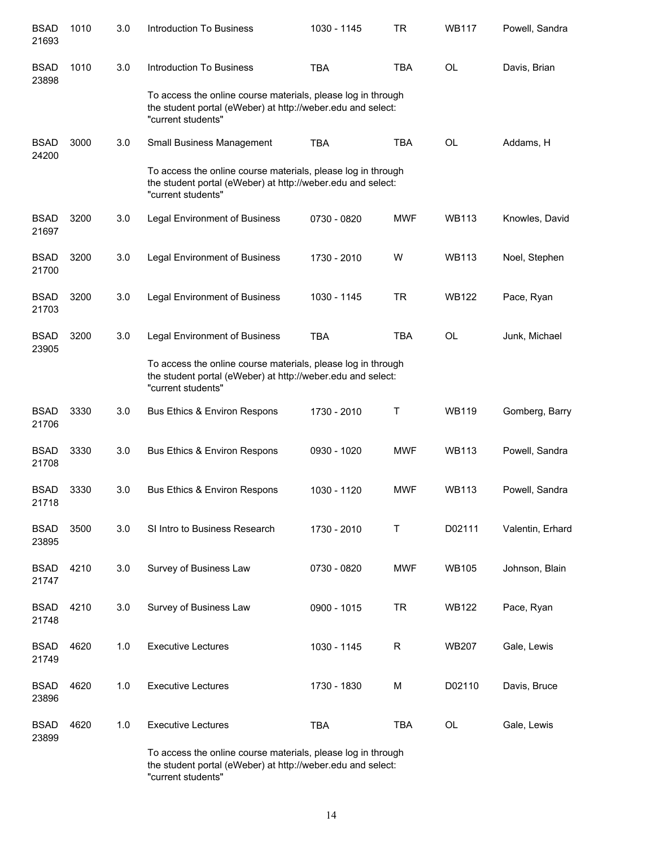| <b>BSAD</b><br>21693 | 1010 | 3.0 | <b>Introduction To Business</b>                                                                                                                   | 1030 - 1145 | <b>TR</b>  | <b>WB117</b> | Powell, Sandra   |
|----------------------|------|-----|---------------------------------------------------------------------------------------------------------------------------------------------------|-------------|------------|--------------|------------------|
| <b>BSAD</b><br>23898 | 1010 | 3.0 | <b>Introduction To Business</b>                                                                                                                   | <b>TBA</b>  | <b>TBA</b> | OL           | Davis, Brian     |
|                      |      |     | To access the online course materials, please log in through<br>the student portal (eWeber) at http://weber.edu and select:<br>"current students" |             |            |              |                  |
| <b>BSAD</b><br>24200 | 3000 | 3.0 | Small Business Management                                                                                                                         | <b>TBA</b>  | <b>TBA</b> | OL           | Addams, H        |
|                      |      |     | To access the online course materials, please log in through<br>the student portal (eWeber) at http://weber.edu and select:<br>"current students" |             |            |              |                  |
| <b>BSAD</b><br>21697 | 3200 | 3.0 | <b>Legal Environment of Business</b>                                                                                                              | 0730 - 0820 | <b>MWF</b> | <b>WB113</b> | Knowles, David   |
| <b>BSAD</b><br>21700 | 3200 | 3.0 | <b>Legal Environment of Business</b>                                                                                                              | 1730 - 2010 | W          | <b>WB113</b> | Noel, Stephen    |
| <b>BSAD</b><br>21703 | 3200 | 3.0 | <b>Legal Environment of Business</b>                                                                                                              | 1030 - 1145 | <b>TR</b>  | <b>WB122</b> | Pace, Ryan       |
| <b>BSAD</b><br>23905 | 3200 | 3.0 | <b>Legal Environment of Business</b>                                                                                                              | <b>TBA</b>  | <b>TBA</b> | OL           | Junk, Michael    |
|                      |      |     | To access the online course materials, please log in through<br>the student portal (eWeber) at http://weber.edu and select:<br>"current students" |             |            |              |                  |
| <b>BSAD</b><br>21706 | 3330 | 3.0 | Bus Ethics & Environ Respons                                                                                                                      | 1730 - 2010 | Τ          | <b>WB119</b> | Gomberg, Barry   |
| <b>BSAD</b><br>21708 | 3330 | 3.0 | Bus Ethics & Environ Respons                                                                                                                      | 0930 - 1020 | <b>MWF</b> | <b>WB113</b> | Powell, Sandra   |
| <b>BSAD</b><br>21718 | 3330 | 3.0 | <b>Bus Ethics &amp; Environ Respons</b>                                                                                                           | 1030 - 1120 | <b>MWF</b> | <b>WB113</b> | Powell, Sandra   |
| <b>BSAD</b><br>23895 | 3500 | 3.0 | SI Intro to Business Research                                                                                                                     | 1730 - 2010 | T          | D02111       | Valentin, Erhard |
| <b>BSAD</b><br>21747 | 4210 | 3.0 | Survey of Business Law                                                                                                                            | 0730 - 0820 | <b>MWF</b> | <b>WB105</b> | Johnson, Blain   |
| <b>BSAD</b><br>21748 | 4210 | 3.0 | Survey of Business Law                                                                                                                            | 0900 - 1015 | <b>TR</b>  | <b>WB122</b> | Pace, Ryan       |
| <b>BSAD</b><br>21749 | 4620 | 1.0 | <b>Executive Lectures</b>                                                                                                                         | 1030 - 1145 | R          | WB207        | Gale, Lewis      |
| <b>BSAD</b><br>23896 | 4620 | 1.0 | <b>Executive Lectures</b>                                                                                                                         | 1730 - 1830 | M          | D02110       | Davis, Bruce     |
| <b>BSAD</b><br>23899 | 4620 | 1.0 | <b>Executive Lectures</b>                                                                                                                         | <b>TBA</b>  | <b>TBA</b> | OL           | Gale, Lewis      |
|                      |      |     | To access the online course materials, please log in through                                                                                      |             |            |              |                  |

To access the online course materials, please log in through the student portal (eWeber) at http://weber.edu and select: "current students"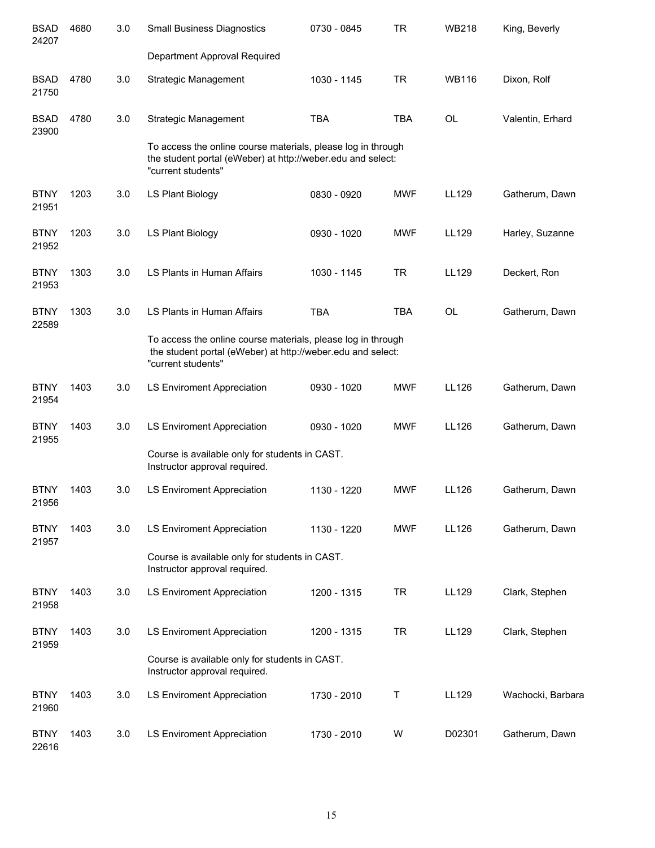| <b>BSAD</b><br>24207 | 4680 | 3.0 | <b>Small Business Diagnostics</b>                                                                                                                 | 0730 - 0845 | <b>TR</b>  | <b>WB218</b> | King, Beverly     |
|----------------------|------|-----|---------------------------------------------------------------------------------------------------------------------------------------------------|-------------|------------|--------------|-------------------|
|                      |      |     | Department Approval Required                                                                                                                      |             |            |              |                   |
| <b>BSAD</b><br>21750 | 4780 | 3.0 | <b>Strategic Management</b>                                                                                                                       | 1030 - 1145 | <b>TR</b>  | <b>WB116</b> | Dixon, Rolf       |
| <b>BSAD</b><br>23900 | 4780 | 3.0 | <b>Strategic Management</b>                                                                                                                       | <b>TBA</b>  | <b>TBA</b> | <b>OL</b>    | Valentin, Erhard  |
|                      |      |     | To access the online course materials, please log in through<br>the student portal (eWeber) at http://weber.edu and select:<br>"current students" |             |            |              |                   |
| <b>BTNY</b><br>21951 | 1203 | 3.0 | LS Plant Biology                                                                                                                                  | 0830 - 0920 | <b>MWF</b> | LL129        | Gatherum, Dawn    |
| <b>BTNY</b><br>21952 | 1203 | 3.0 | LS Plant Biology                                                                                                                                  | 0930 - 1020 | <b>MWF</b> | LL129        | Harley, Suzanne   |
| <b>BTNY</b><br>21953 | 1303 | 3.0 | LS Plants in Human Affairs                                                                                                                        | 1030 - 1145 | <b>TR</b>  | LL129        | Deckert, Ron      |
| <b>BTNY</b><br>22589 | 1303 | 3.0 | LS Plants in Human Affairs                                                                                                                        | <b>TBA</b>  | <b>TBA</b> | <b>OL</b>    | Gatherum, Dawn    |
|                      |      |     | To access the online course materials, please log in through<br>the student portal (eWeber) at http://weber.edu and select:<br>"current students" |             |            |              |                   |
| <b>BTNY</b><br>21954 | 1403 | 3.0 | LS Enviroment Appreciation                                                                                                                        | 0930 - 1020 | <b>MWF</b> | LL126        | Gatherum, Dawn    |
| <b>BTNY</b><br>21955 | 1403 | 3.0 | <b>LS Enviroment Appreciation</b>                                                                                                                 | 0930 - 1020 | <b>MWF</b> | LL126        | Gatherum, Dawn    |
|                      |      |     | Course is available only for students in CAST.<br>Instructor approval required.                                                                   |             |            |              |                   |
| <b>BTNY</b><br>21956 | 1403 | 3.0 | <b>LS Enviroment Appreciation</b>                                                                                                                 | 1130 - 1220 | <b>MWF</b> | LL126        | Gatherum, Dawn    |
| <b>BTNY</b><br>21957 | 1403 | 3.0 | <b>LS Enviroment Appreciation</b>                                                                                                                 | 1130 - 1220 | <b>MWF</b> | LL126        | Gatherum, Dawn    |
|                      |      |     | Course is available only for students in CAST.<br>Instructor approval required.                                                                   |             |            |              |                   |
| <b>BTNY</b><br>21958 | 1403 | 3.0 | <b>LS Enviroment Appreciation</b>                                                                                                                 | 1200 - 1315 | <b>TR</b>  | LL129        | Clark, Stephen    |
| <b>BTNY</b><br>21959 | 1403 | 3.0 | <b>LS Enviroment Appreciation</b>                                                                                                                 | 1200 - 1315 | <b>TR</b>  | LL129        | Clark, Stephen    |
|                      |      |     | Course is available only for students in CAST.<br>Instructor approval required.                                                                   |             |            |              |                   |
| <b>BTNY</b><br>21960 | 1403 | 3.0 | <b>LS Enviroment Appreciation</b>                                                                                                                 | 1730 - 2010 | Τ          | LL129        | Wachocki, Barbara |
| <b>BTNY</b><br>22616 | 1403 | 3.0 | <b>LS Enviroment Appreciation</b>                                                                                                                 | 1730 - 2010 | W          | D02301       | Gatherum, Dawn    |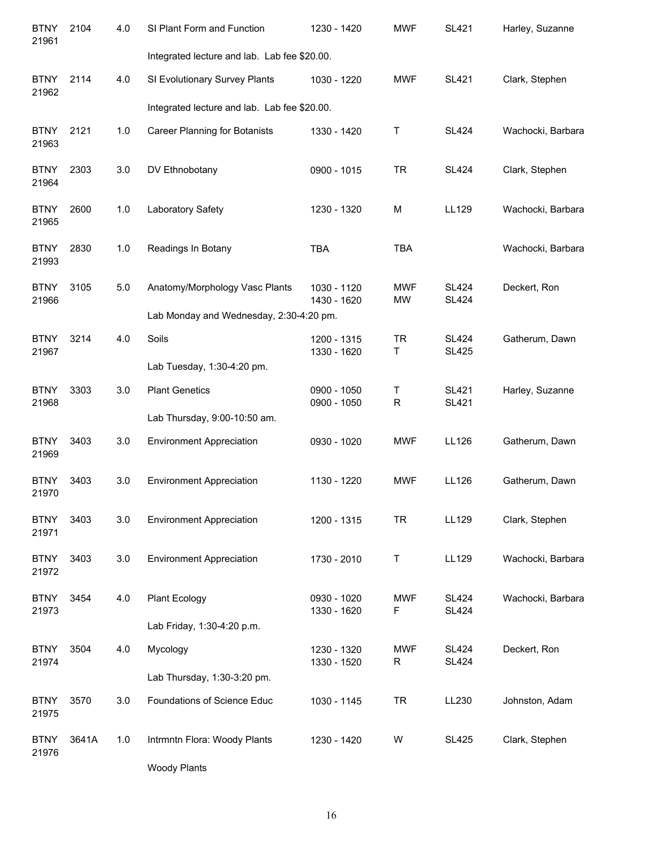| <b>BTNY</b><br>21961 | 2104  | 4.0 | SI Plant Form and Function                   | 1230 - 1420                | <b>MWF</b>              | <b>SL421</b>                 | Harley, Suzanne   |
|----------------------|-------|-----|----------------------------------------------|----------------------------|-------------------------|------------------------------|-------------------|
|                      |       |     | Integrated lecture and lab. Lab fee \$20.00. |                            |                         |                              |                   |
| <b>BTNY</b><br>21962 | 2114  | 4.0 | SI Evolutionary Survey Plants                | 1030 - 1220                | <b>MWF</b>              | <b>SL421</b>                 | Clark, Stephen    |
|                      |       |     | Integrated lecture and lab. Lab fee \$20.00. |                            |                         |                              |                   |
| <b>BTNY</b><br>21963 | 2121  | 1.0 | <b>Career Planning for Botanists</b>         | 1330 - 1420                | Τ                       | <b>SL424</b>                 | Wachocki, Barbara |
| <b>BTNY</b><br>21964 | 2303  | 3.0 | DV Ethnobotany                               | 0900 - 1015                | <b>TR</b>               | <b>SL424</b>                 | Clark, Stephen    |
| <b>BTNY</b><br>21965 | 2600  | 1.0 | Laboratory Safety                            | 1230 - 1320                | M                       | LL129                        | Wachocki, Barbara |
| <b>BTNY</b><br>21993 | 2830  | 1.0 | Readings In Botany                           | <b>TBA</b>                 | <b>TBA</b>              |                              | Wachocki, Barbara |
| <b>BTNY</b><br>21966 | 3105  | 5.0 | Anatomy/Morphology Vasc Plants               | 1030 - 1120<br>1430 - 1620 | <b>MWF</b><br><b>MW</b> | <b>SL424</b><br><b>SL424</b> | Deckert, Ron      |
|                      |       |     | Lab Monday and Wednesday, 2:30-4:20 pm.      |                            |                         |                              |                   |
| <b>BTNY</b><br>21967 | 3214  | 4.0 | Soils                                        | 1200 - 1315<br>1330 - 1620 | <b>TR</b><br>T.         | <b>SL424</b><br><b>SL425</b> | Gatherum, Dawn    |
|                      |       |     | Lab Tuesday, 1:30-4:20 pm.                   |                            |                         |                              |                   |
| <b>BTNY</b><br>21968 | 3303  | 3.0 | <b>Plant Genetics</b>                        | 0900 - 1050<br>0900 - 1050 | Τ<br>$\mathsf R$        | <b>SL421</b><br><b>SL421</b> | Harley, Suzanne   |
|                      |       |     | Lab Thursday, 9:00-10:50 am.                 |                            |                         |                              |                   |
| <b>BTNY</b><br>21969 | 3403  | 3.0 | <b>Environment Appreciation</b>              | 0930 - 1020                | <b>MWF</b>              | LL126                        | Gatherum, Dawn    |
| <b>BTNY</b><br>21970 | 3403  | 3.0 | <b>Environment Appreciation</b>              | 1130 - 1220                | <b>MWF</b>              | <b>LL126</b>                 | Gatherum, Dawn    |
| <b>BTNY</b><br>21971 | 3403  | 3.0 | <b>Environment Appreciation</b>              | 1200 - 1315                | <b>TR</b>               | <b>LL129</b>                 | Clark, Stephen    |
| <b>BTNY</b><br>21972 | 3403  | 3.0 | <b>Environment Appreciation</b>              | 1730 - 2010                | $\sf T$                 | <b>LL129</b>                 | Wachocki, Barbara |
| <b>BTNY</b><br>21973 | 3454  | 4.0 | Plant Ecology                                | 0930 - 1020<br>1330 - 1620 | <b>MWF</b><br>F         | <b>SL424</b><br><b>SL424</b> | Wachocki, Barbara |
|                      |       |     | Lab Friday, 1:30-4:20 p.m.                   |                            |                         |                              |                   |
| <b>BTNY</b><br>21974 | 3504  | 4.0 | Mycology                                     | 1230 - 1320<br>1330 - 1520 | <b>MWF</b><br>R         | <b>SL424</b><br><b>SL424</b> | Deckert, Ron      |
|                      |       |     | Lab Thursday, 1:30-3:20 pm.                  |                            |                         |                              |                   |
| <b>BTNY</b><br>21975 | 3570  | 3.0 | Foundations of Science Educ                  | 1030 - 1145                | <b>TR</b>               | LL230                        | Johnston, Adam    |
| <b>BTNY</b><br>21976 | 3641A | 1.0 | Intrmntn Flora: Woody Plants                 | 1230 - 1420                | W                       | <b>SL425</b>                 | Clark, Stephen    |
|                      |       |     | <b>Woody Plants</b>                          |                            |                         |                              |                   |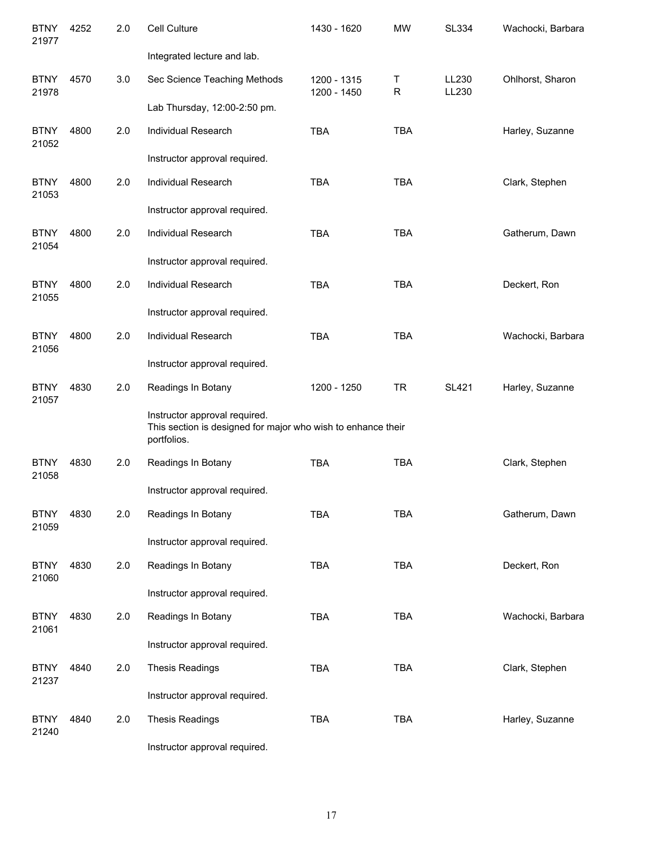| <b>BTNY</b><br>21977 | 4252 | 2.0 | Cell Culture                                                                                                 | 1430 - 1620                | <b>MW</b>  | <b>SL334</b>   | Wachocki, Barbara |
|----------------------|------|-----|--------------------------------------------------------------------------------------------------------------|----------------------------|------------|----------------|-------------------|
|                      |      |     | Integrated lecture and lab.                                                                                  |                            |            |                |                   |
| <b>BTNY</b><br>21978 | 4570 | 3.0 | Sec Science Teaching Methods                                                                                 | 1200 - 1315<br>1200 - 1450 | T<br>R     | LL230<br>LL230 | Ohlhorst, Sharon  |
|                      |      |     | Lab Thursday, 12:00-2:50 pm.                                                                                 |                            |            |                |                   |
| <b>BTNY</b><br>21052 | 4800 | 2.0 | <b>Individual Research</b>                                                                                   | <b>TBA</b>                 | <b>TBA</b> |                | Harley, Suzanne   |
|                      |      |     | Instructor approval required.                                                                                |                            |            |                |                   |
| <b>BTNY</b><br>21053 | 4800 | 2.0 | Individual Research                                                                                          | <b>TBA</b>                 | <b>TBA</b> |                | Clark, Stephen    |
|                      |      |     | Instructor approval required.                                                                                |                            |            |                |                   |
| <b>BTNY</b><br>21054 | 4800 | 2.0 | Individual Research                                                                                          | <b>TBA</b>                 | <b>TBA</b> |                | Gatherum, Dawn    |
|                      |      |     | Instructor approval required.                                                                                |                            |            |                |                   |
| <b>BTNY</b><br>21055 | 4800 | 2.0 | Individual Research                                                                                          | <b>TBA</b>                 | <b>TBA</b> |                | Deckert, Ron      |
|                      |      |     | Instructor approval required.                                                                                |                            |            |                |                   |
| <b>BTNY</b><br>21056 | 4800 | 2.0 | Individual Research                                                                                          | <b>TBA</b>                 | <b>TBA</b> |                | Wachocki, Barbara |
|                      |      |     | Instructor approval required.                                                                                |                            |            |                |                   |
| <b>BTNY</b><br>21057 | 4830 | 2.0 | Readings In Botany                                                                                           | 1200 - 1250                | <b>TR</b>  | <b>SL421</b>   | Harley, Suzanne   |
|                      |      |     | Instructor approval required.<br>This section is designed for major who wish to enhance their<br>portfolios. |                            |            |                |                   |
| <b>BTNY</b><br>21058 | 4830 | 2.0 | Readings In Botany                                                                                           | <b>TBA</b>                 | <b>TBA</b> |                | Clark, Stephen    |
|                      |      |     | Instructor approval required.                                                                                |                            |            |                |                   |
| <b>BTNY</b><br>21059 | 4830 | 2.0 | Readings In Botany                                                                                           | <b>TBA</b>                 | <b>TBA</b> |                | Gatherum, Dawn    |
|                      |      |     | Instructor approval required.                                                                                |                            |            |                |                   |
| <b>BTNY</b><br>21060 | 4830 | 2.0 | Readings In Botany                                                                                           | <b>TBA</b>                 | TBA        |                | Deckert, Ron      |
|                      |      |     | Instructor approval required.                                                                                |                            |            |                |                   |
| <b>BTNY</b><br>21061 | 4830 | 2.0 | Readings In Botany                                                                                           | <b>TBA</b>                 | <b>TBA</b> |                | Wachocki, Barbara |
|                      |      |     | Instructor approval required.                                                                                |                            |            |                |                   |
| <b>BTNY</b><br>21237 | 4840 | 2.0 | <b>Thesis Readings</b>                                                                                       | <b>TBA</b>                 | <b>TBA</b> |                | Clark, Stephen    |
|                      |      |     | Instructor approval required.                                                                                |                            |            |                |                   |
| <b>BTNY</b><br>21240 | 4840 | 2.0 | <b>Thesis Readings</b>                                                                                       | <b>TBA</b>                 | <b>TBA</b> |                | Harley, Suzanne   |
|                      |      |     |                                                                                                              |                            |            |                |                   |

Instructor approval required.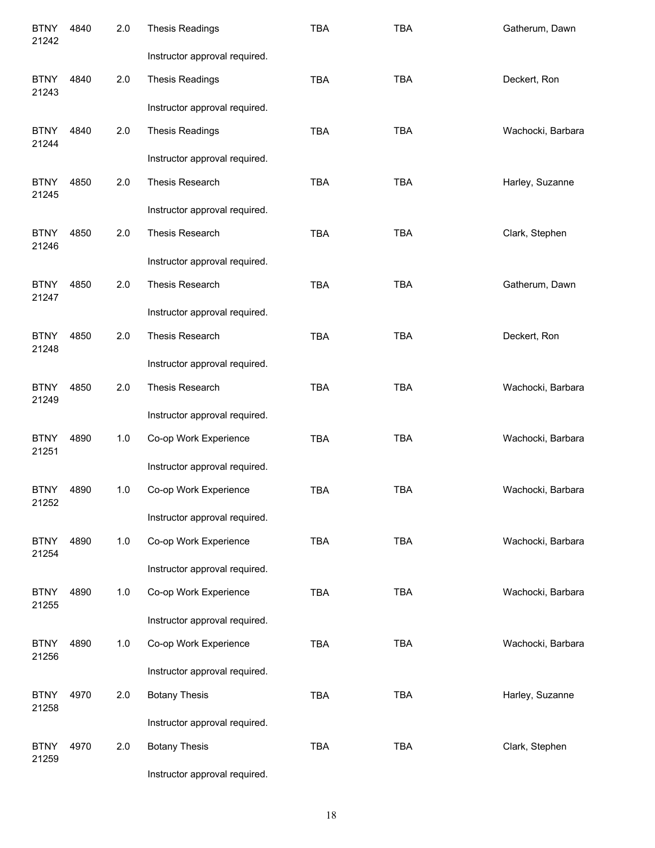| <b>BTNY</b><br>21242 | 4840 | 2.0 | <b>Thesis Readings</b>        | <b>TBA</b> | <b>TBA</b> | Gatherum, Dawn    |
|----------------------|------|-----|-------------------------------|------------|------------|-------------------|
|                      |      |     | Instructor approval required. |            |            |                   |
| <b>BTNY</b><br>21243 | 4840 | 2.0 | <b>Thesis Readings</b>        | <b>TBA</b> | <b>TBA</b> | Deckert, Ron      |
|                      |      |     | Instructor approval required. |            |            |                   |
| <b>BTNY</b><br>21244 | 4840 | 2.0 | <b>Thesis Readings</b>        | <b>TBA</b> | <b>TBA</b> | Wachocki, Barbara |
|                      |      |     | Instructor approval required. |            |            |                   |
| <b>BTNY</b><br>21245 | 4850 | 2.0 | Thesis Research               | <b>TBA</b> | <b>TBA</b> | Harley, Suzanne   |
|                      |      |     | Instructor approval required. |            |            |                   |
| <b>BTNY</b><br>21246 | 4850 | 2.0 | Thesis Research               | <b>TBA</b> | <b>TBA</b> | Clark, Stephen    |
|                      |      |     | Instructor approval required. |            |            |                   |
| <b>BTNY</b><br>21247 | 4850 | 2.0 | Thesis Research               | <b>TBA</b> | <b>TBA</b> | Gatherum, Dawn    |
|                      |      |     | Instructor approval required. |            |            |                   |
| <b>BTNY</b><br>21248 | 4850 | 2.0 | Thesis Research               | <b>TBA</b> | <b>TBA</b> | Deckert, Ron      |
|                      |      |     | Instructor approval required. |            |            |                   |
| <b>BTNY</b><br>21249 | 4850 | 2.0 | Thesis Research               | <b>TBA</b> | <b>TBA</b> | Wachocki, Barbara |
|                      |      |     | Instructor approval required. |            |            |                   |
| <b>BTNY</b><br>21251 | 4890 | 1.0 | Co-op Work Experience         | <b>TBA</b> | <b>TBA</b> | Wachocki, Barbara |
|                      |      |     | Instructor approval required. |            |            |                   |
| <b>BTNY</b><br>21252 | 4890 | 1.0 | Co-op Work Experience         | <b>TBA</b> | <b>TBA</b> | Wachocki, Barbara |
|                      |      |     | Instructor approval required. |            |            |                   |
| <b>BTNY</b><br>21254 | 4890 | 1.0 | Co-op Work Experience         | TBA        | TBA        | Wachocki, Barbara |
|                      |      |     | Instructor approval required. |            |            |                   |
| <b>BTNY</b><br>21255 | 4890 | 1.0 | Co-op Work Experience         | <b>TBA</b> | <b>TBA</b> | Wachocki, Barbara |
|                      |      |     | Instructor approval required. |            |            |                   |
| <b>BTNY</b><br>21256 | 4890 | 1.0 | Co-op Work Experience         | <b>TBA</b> | <b>TBA</b> | Wachocki, Barbara |
|                      |      |     | Instructor approval required. |            |            |                   |
| <b>BTNY</b><br>21258 | 4970 | 2.0 | <b>Botany Thesis</b>          | <b>TBA</b> | TBA        | Harley, Suzanne   |
|                      |      |     | Instructor approval required. |            |            |                   |
| <b>BTNY</b><br>21259 | 4970 | 2.0 | <b>Botany Thesis</b>          | TBA        | TBA        | Clark, Stephen    |
|                      |      |     | Instructor approval required. |            |            |                   |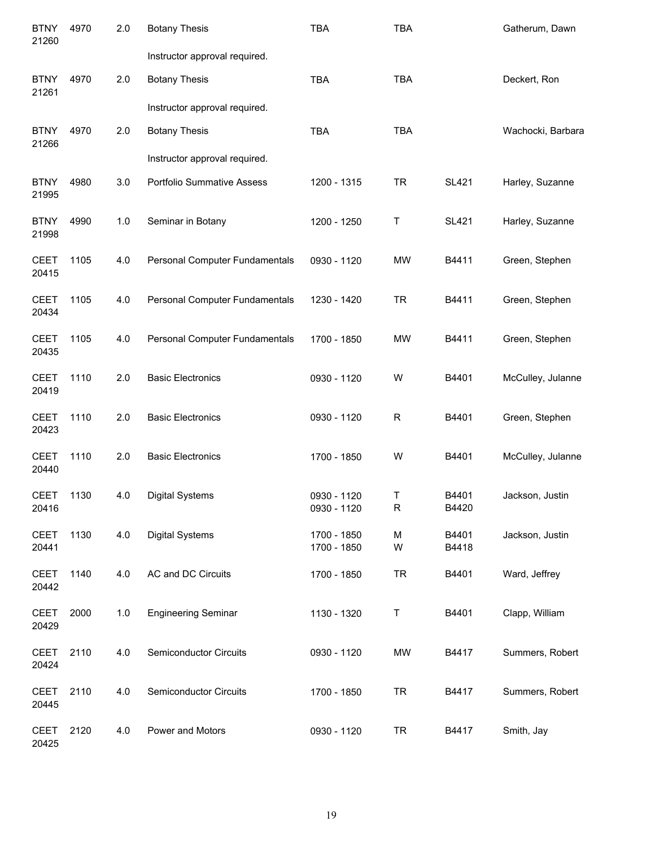| <b>BTNY</b><br>21260 | 4970 | 2.0   | <b>Botany Thesis</b>              | <b>TBA</b>                 | <b>TBA</b>       |                | Gatherum, Dawn    |
|----------------------|------|-------|-----------------------------------|----------------------------|------------------|----------------|-------------------|
|                      |      |       | Instructor approval required.     |                            |                  |                |                   |
| <b>BTNY</b><br>21261 | 4970 | 2.0   | <b>Botany Thesis</b>              | <b>TBA</b>                 | <b>TBA</b>       |                | Deckert, Ron      |
|                      |      |       | Instructor approval required.     |                            |                  |                |                   |
| <b>BTNY</b><br>21266 | 4970 | 2.0   | <b>Botany Thesis</b>              | <b>TBA</b>                 | <b>TBA</b>       |                | Wachocki, Barbara |
|                      |      |       | Instructor approval required.     |                            |                  |                |                   |
| <b>BTNY</b><br>21995 | 4980 | 3.0   | <b>Portfolio Summative Assess</b> | 1200 - 1315                | <b>TR</b>        | <b>SL421</b>   | Harley, Suzanne   |
| <b>BTNY</b><br>21998 | 4990 | 1.0   | Seminar in Botany                 | 1200 - 1250                | Τ                | <b>SL421</b>   | Harley, Suzanne   |
| <b>CEET</b><br>20415 | 1105 | 4.0   | Personal Computer Fundamentals    | 0930 - 1120                | <b>MW</b>        | B4411          | Green, Stephen    |
| <b>CEET</b><br>20434 | 1105 | 4.0   | Personal Computer Fundamentals    | 1230 - 1420                | <b>TR</b>        | B4411          | Green, Stephen    |
| <b>CEET</b><br>20435 | 1105 | 4.0   | Personal Computer Fundamentals    | 1700 - 1850                | <b>MW</b>        | B4411          | Green, Stephen    |
| <b>CEET</b><br>20419 | 1110 | 2.0   | <b>Basic Electronics</b>          | 0930 - 1120                | W                | B4401          | McCulley, Julanne |
| <b>CEET</b><br>20423 | 1110 | 2.0   | <b>Basic Electronics</b>          | 0930 - 1120                | $\mathsf R$      | B4401          | Green, Stephen    |
| <b>CEET</b><br>20440 | 1110 | 2.0   | <b>Basic Electronics</b>          | 1700 - 1850                | W                | B4401          | McCulley, Julanne |
| <b>CEET</b><br>20416 | 1130 | 4.0   | <b>Digital Systems</b>            | 0930 - 1120<br>0930 - 1120 | Τ<br>$\mathsf R$ | B4401<br>B4420 | Jackson, Justin   |
| <b>CEET</b><br>20441 | 1130 | 4.0   | <b>Digital Systems</b>            | 1700 - 1850<br>1700 - 1850 | M<br>W           | B4401<br>B4418 | Jackson, Justin   |
| <b>CEET</b><br>20442 | 1140 | 4.0   | AC and DC Circuits                | 1700 - 1850                | <b>TR</b>        | B4401          | Ward, Jeffrey     |
| <b>CEET</b><br>20429 | 2000 | $1.0$ | <b>Engineering Seminar</b>        | 1130 - 1320                | Τ                | B4401          | Clapp, William    |
| <b>CEET</b><br>20424 | 2110 | 4.0   | Semiconductor Circuits            | 0930 - 1120                | <b>MW</b>        | B4417          | Summers, Robert   |
| <b>CEET</b><br>20445 | 2110 | 4.0   | Semiconductor Circuits            | 1700 - 1850                | <b>TR</b>        | B4417          | Summers, Robert   |
| <b>CEET</b><br>20425 | 2120 | 4.0   | Power and Motors                  | 0930 - 1120                | <b>TR</b>        | B4417          | Smith, Jay        |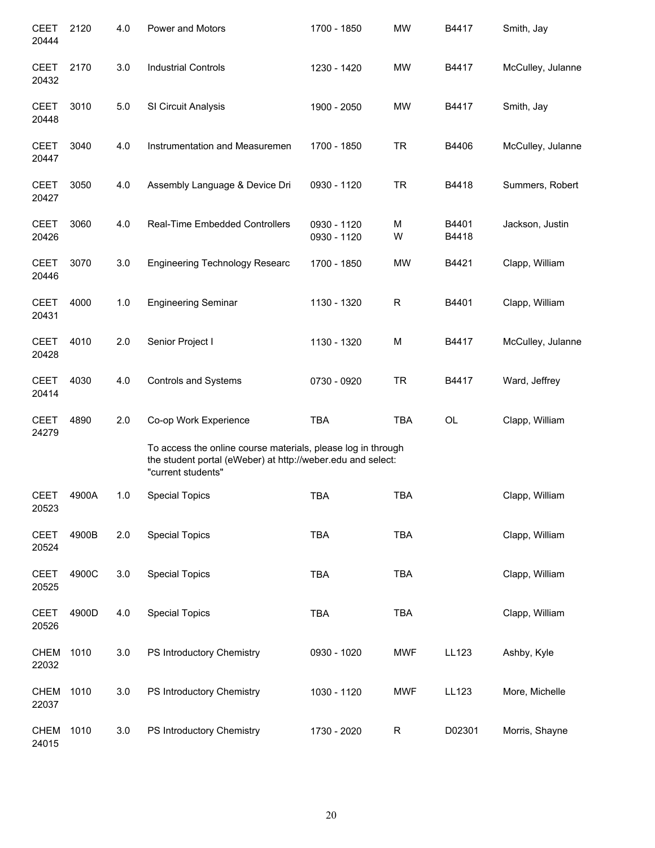| <b>CEET</b><br>20444 | 2120  | 4.0 | Power and Motors                                                                                                                                  | 1700 - 1850                | <b>MW</b>   | B4417          | Smith, Jay        |
|----------------------|-------|-----|---------------------------------------------------------------------------------------------------------------------------------------------------|----------------------------|-------------|----------------|-------------------|
| <b>CEET</b><br>20432 | 2170  | 3.0 | <b>Industrial Controls</b>                                                                                                                        | 1230 - 1420                | <b>MW</b>   | B4417          | McCulley, Julanne |
| <b>CEET</b><br>20448 | 3010  | 5.0 | SI Circuit Analysis                                                                                                                               | 1900 - 2050                | <b>MW</b>   | B4417          | Smith, Jay        |
| <b>CEET</b><br>20447 | 3040  | 4.0 | Instrumentation and Measuremen                                                                                                                    | 1700 - 1850                | <b>TR</b>   | B4406          | McCulley, Julanne |
| <b>CEET</b><br>20427 | 3050  | 4.0 | Assembly Language & Device Dri                                                                                                                    | 0930 - 1120                | <b>TR</b>   | B4418          | Summers, Robert   |
| <b>CEET</b><br>20426 | 3060  | 4.0 | Real-Time Embedded Controllers                                                                                                                    | 0930 - 1120<br>0930 - 1120 | М<br>W      | B4401<br>B4418 | Jackson, Justin   |
| <b>CEET</b><br>20446 | 3070  | 3.0 | <b>Engineering Technology Researc</b>                                                                                                             | 1700 - 1850                | <b>MW</b>   | B4421          | Clapp, William    |
| <b>CEET</b><br>20431 | 4000  | 1.0 | <b>Engineering Seminar</b>                                                                                                                        | 1130 - 1320                | R           | B4401          | Clapp, William    |
| <b>CEET</b><br>20428 | 4010  | 2.0 | Senior Project I                                                                                                                                  | 1130 - 1320                | M           | B4417          | McCulley, Julanne |
| <b>CEET</b><br>20414 | 4030  | 4.0 | <b>Controls and Systems</b>                                                                                                                       | 0730 - 0920                | <b>TR</b>   | B4417          | Ward, Jeffrey     |
| <b>CEET</b><br>24279 | 4890  | 2.0 | Co-op Work Experience                                                                                                                             | <b>TBA</b>                 | <b>TBA</b>  | <b>OL</b>      | Clapp, William    |
|                      |       |     | To access the online course materials, please log in through<br>the student portal (eWeber) at http://weber.edu and select:<br>"current students" |                            |             |                |                   |
| <b>CEET</b><br>20523 | 4900A | 1.0 | <b>Special Topics</b>                                                                                                                             | <b>TBA</b>                 | <b>TBA</b>  |                | Clapp, William    |
| <b>CEET</b><br>20524 | 4900B | 2.0 | <b>Special Topics</b>                                                                                                                             | <b>TBA</b>                 | <b>TBA</b>  |                | Clapp, William    |
| <b>CEET</b><br>20525 | 4900C | 3.0 | <b>Special Topics</b>                                                                                                                             | <b>TBA</b>                 | <b>TBA</b>  |                | Clapp, William    |
| <b>CEET</b><br>20526 | 4900D | 4.0 | <b>Special Topics</b>                                                                                                                             | <b>TBA</b>                 | <b>TBA</b>  |                | Clapp, William    |
| <b>CHEM</b><br>22032 | 1010  | 3.0 | PS Introductory Chemistry                                                                                                                         | 0930 - 1020                | <b>MWF</b>  | LL123          | Ashby, Kyle       |
| <b>CHEM</b><br>22037 | 1010  | 3.0 | PS Introductory Chemistry                                                                                                                         | 1030 - 1120                | <b>MWF</b>  | LL123          | More, Michelle    |
| <b>CHEM</b><br>24015 | 1010  | 3.0 | PS Introductory Chemistry                                                                                                                         | 1730 - 2020                | $\mathsf R$ | D02301         | Morris, Shayne    |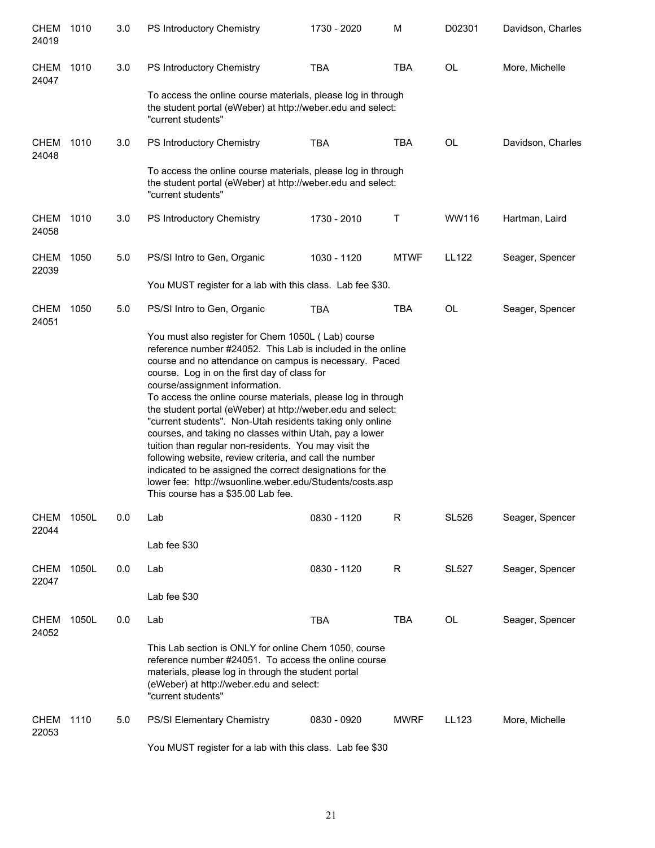| <b>CHEM</b><br>24019 | 1010  | 3.0 | PS Introductory Chemistry                                                                                                                                                                                                                                                                                                                                                                                                                                                                                                                                                                                                                                                                                                                                                                               | 1730 - 2020 | M           | D02301       | Davidson, Charles |
|----------------------|-------|-----|---------------------------------------------------------------------------------------------------------------------------------------------------------------------------------------------------------------------------------------------------------------------------------------------------------------------------------------------------------------------------------------------------------------------------------------------------------------------------------------------------------------------------------------------------------------------------------------------------------------------------------------------------------------------------------------------------------------------------------------------------------------------------------------------------------|-------------|-------------|--------------|-------------------|
| CHEM<br>24047        | 1010  | 3.0 | PS Introductory Chemistry                                                                                                                                                                                                                                                                                                                                                                                                                                                                                                                                                                                                                                                                                                                                                                               | <b>TBA</b>  | <b>TBA</b>  | <b>OL</b>    | More, Michelle    |
|                      |       |     | To access the online course materials, please log in through<br>the student portal (eWeber) at http://weber.edu and select:<br>"current students"                                                                                                                                                                                                                                                                                                                                                                                                                                                                                                                                                                                                                                                       |             |             |              |                   |
| <b>CHEM</b><br>24048 | 1010  | 3.0 | PS Introductory Chemistry                                                                                                                                                                                                                                                                                                                                                                                                                                                                                                                                                                                                                                                                                                                                                                               | <b>TBA</b>  | <b>TBA</b>  | <b>OL</b>    | Davidson, Charles |
|                      |       |     | To access the online course materials, please log in through<br>the student portal (eWeber) at http://weber.edu and select:<br>"current students"                                                                                                                                                                                                                                                                                                                                                                                                                                                                                                                                                                                                                                                       |             |             |              |                   |
| CHEM<br>24058        | 1010  | 3.0 | PS Introductory Chemistry                                                                                                                                                                                                                                                                                                                                                                                                                                                                                                                                                                                                                                                                                                                                                                               | 1730 - 2010 | Т           | WW116        | Hartman, Laird    |
| <b>CHEM</b><br>22039 | 1050  | 5.0 | PS/SI Intro to Gen, Organic                                                                                                                                                                                                                                                                                                                                                                                                                                                                                                                                                                                                                                                                                                                                                                             | 1030 - 1120 | <b>MTWF</b> | <b>LL122</b> | Seager, Spencer   |
|                      |       |     | You MUST register for a lab with this class. Lab fee \$30.                                                                                                                                                                                                                                                                                                                                                                                                                                                                                                                                                                                                                                                                                                                                              |             |             |              |                   |
| <b>CHEM</b><br>24051 | 1050  | 5.0 | PS/SI Intro to Gen, Organic                                                                                                                                                                                                                                                                                                                                                                                                                                                                                                                                                                                                                                                                                                                                                                             | <b>TBA</b>  | <b>TBA</b>  | <b>OL</b>    | Seager, Spencer   |
|                      |       |     | You must also register for Chem 1050L (Lab) course<br>reference number #24052. This Lab is included in the online<br>course and no attendance on campus is necessary. Paced<br>course. Log in on the first day of class for<br>course/assignment information.<br>To access the online course materials, please log in through<br>the student portal (eWeber) at http://weber.edu and select:<br>"current students". Non-Utah residents taking only online<br>courses, and taking no classes within Utah, pay a lower<br>tuition than regular non-residents. You may visit the<br>following website, review criteria, and call the number<br>indicated to be assigned the correct designations for the<br>lower fee: http://wsuonline.weber.edu/Students/costs.asp<br>This course has a \$35.00 Lab fee. |             |             |              |                   |
| <b>CHEM</b><br>22044 | 1050L | 0.0 | Lab                                                                                                                                                                                                                                                                                                                                                                                                                                                                                                                                                                                                                                                                                                                                                                                                     | 0830 - 1120 | R           | <b>SL526</b> | Seager, Spencer   |
|                      |       |     | Lab fee \$30                                                                                                                                                                                                                                                                                                                                                                                                                                                                                                                                                                                                                                                                                                                                                                                            |             |             |              |                   |
| <b>CHEM</b><br>22047 | 1050L | 0.0 | Lab                                                                                                                                                                                                                                                                                                                                                                                                                                                                                                                                                                                                                                                                                                                                                                                                     | 0830 - 1120 | R           | <b>SL527</b> | Seager, Spencer   |
|                      |       |     | Lab fee \$30                                                                                                                                                                                                                                                                                                                                                                                                                                                                                                                                                                                                                                                                                                                                                                                            |             |             |              |                   |
| <b>CHEM</b><br>24052 | 1050L | 0.0 | Lab                                                                                                                                                                                                                                                                                                                                                                                                                                                                                                                                                                                                                                                                                                                                                                                                     | <b>TBA</b>  | <b>TBA</b>  | OL           | Seager, Spencer   |
|                      |       |     | This Lab section is ONLY for online Chem 1050, course<br>reference number #24051. To access the online course<br>materials, please log in through the student portal<br>(eWeber) at http://weber.edu and select:<br>"current students"                                                                                                                                                                                                                                                                                                                                                                                                                                                                                                                                                                  |             |             |              |                   |
| <b>CHEM</b><br>22053 | 1110  | 5.0 | PS/SI Elementary Chemistry                                                                                                                                                                                                                                                                                                                                                                                                                                                                                                                                                                                                                                                                                                                                                                              | 0830 - 0920 | <b>MWRF</b> | LL123        | More, Michelle    |
|                      |       |     | You MUST register for a lab with this class. Lab fee \$30                                                                                                                                                                                                                                                                                                                                                                                                                                                                                                                                                                                                                                                                                                                                               |             |             |              |                   |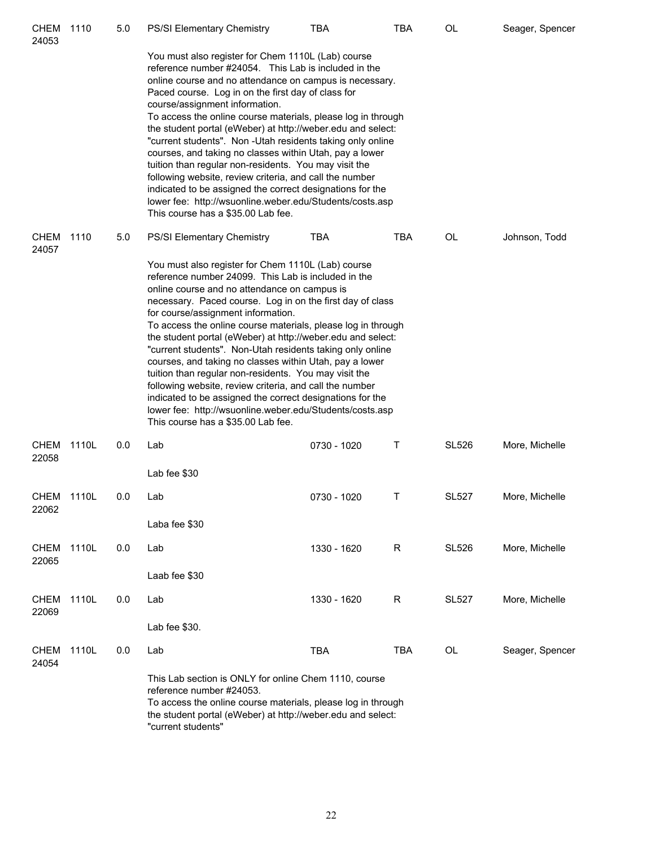| <b>CHEM</b><br>24053 | 1110  | 5.0 | <b>PS/SI Elementary Chemistry</b>                                                                                                                                                                                                                                                                                                                                                                                                                                                                                                                                                                                                                                                                                                                                                                        | TBA         | <b>TBA</b> | OL           | Seager, Spencer |
|----------------------|-------|-----|----------------------------------------------------------------------------------------------------------------------------------------------------------------------------------------------------------------------------------------------------------------------------------------------------------------------------------------------------------------------------------------------------------------------------------------------------------------------------------------------------------------------------------------------------------------------------------------------------------------------------------------------------------------------------------------------------------------------------------------------------------------------------------------------------------|-------------|------------|--------------|-----------------|
|                      |       |     | You must also register for Chem 1110L (Lab) course<br>reference number #24054. This Lab is included in the<br>online course and no attendance on campus is necessary.<br>Paced course. Log in on the first day of class for<br>course/assignment information.<br>To access the online course materials, please log in through<br>the student portal (eWeber) at http://weber.edu and select:<br>"current students". Non -Utah residents taking only online<br>courses, and taking no classes within Utah, pay a lower<br>tuition than regular non-residents. You may visit the<br>following website, review criteria, and call the number<br>indicated to be assigned the correct designations for the<br>lower fee: http://wsuonline.weber.edu/Students/costs.asp<br>This course has a \$35.00 Lab fee. |             |            |              |                 |
| <b>CHEM</b><br>24057 | 1110  | 5.0 | <b>PS/SI Elementary Chemistry</b>                                                                                                                                                                                                                                                                                                                                                                                                                                                                                                                                                                                                                                                                                                                                                                        | <b>TBA</b>  | <b>TBA</b> | OL           | Johnson, Todd   |
|                      |       |     | You must also register for Chem 1110L (Lab) course<br>reference number 24099. This Lab is included in the<br>online course and no attendance on campus is<br>necessary. Paced course. Log in on the first day of class<br>for course/assignment information.<br>To access the online course materials, please log in through<br>the student portal (eWeber) at http://weber.edu and select:<br>"current students". Non-Utah residents taking only online<br>courses, and taking no classes within Utah, pay a lower<br>tuition than regular non-residents. You may visit the<br>following website, review criteria, and call the number<br>indicated to be assigned the correct designations for the<br>lower fee: http://wsuonline.weber.edu/Students/costs.asp<br>This course has a \$35.00 Lab fee.   |             |            |              |                 |
| <b>CHEM</b><br>22058 | 1110L | 0.0 | Lab                                                                                                                                                                                                                                                                                                                                                                                                                                                                                                                                                                                                                                                                                                                                                                                                      | 0730 - 1020 | Τ          | <b>SL526</b> | More, Michelle  |
|                      |       |     | Lab fee \$30                                                                                                                                                                                                                                                                                                                                                                                                                                                                                                                                                                                                                                                                                                                                                                                             |             |            |              |                 |
| CHEM<br>22062        | 1110L | 0.0 | Lab                                                                                                                                                                                                                                                                                                                                                                                                                                                                                                                                                                                                                                                                                                                                                                                                      | 0730 - 1020 | Т          | <b>SL527</b> | More, Michelle  |
|                      |       |     | Laba fee \$30                                                                                                                                                                                                                                                                                                                                                                                                                                                                                                                                                                                                                                                                                                                                                                                            |             |            |              |                 |
| <b>CHEM</b><br>22065 | 1110L | 0.0 | Lab                                                                                                                                                                                                                                                                                                                                                                                                                                                                                                                                                                                                                                                                                                                                                                                                      | 1330 - 1620 | R          | <b>SL526</b> | More, Michelle  |
|                      |       |     | Laab fee \$30                                                                                                                                                                                                                                                                                                                                                                                                                                                                                                                                                                                                                                                                                                                                                                                            |             |            |              |                 |
| <b>CHEM</b><br>22069 | 1110L | 0.0 | Lab                                                                                                                                                                                                                                                                                                                                                                                                                                                                                                                                                                                                                                                                                                                                                                                                      | 1330 - 1620 | R          | <b>SL527</b> | More, Michelle  |
|                      |       |     | Lab fee \$30.                                                                                                                                                                                                                                                                                                                                                                                                                                                                                                                                                                                                                                                                                                                                                                                            |             |            |              |                 |
| <b>CHEM</b><br>24054 | 1110L | 0.0 | Lab                                                                                                                                                                                                                                                                                                                                                                                                                                                                                                                                                                                                                                                                                                                                                                                                      | <b>TBA</b>  | <b>TBA</b> | OL           | Seager, Spencer |
|                      |       |     | This Lab section is ONLY for online Chem 1110, course<br>reference number #24053.<br>To access the online course materials, please log in through<br>the student portal (eWeber) at http://weber.edu and select:<br>"current students"                                                                                                                                                                                                                                                                                                                                                                                                                                                                                                                                                                   |             |            |              |                 |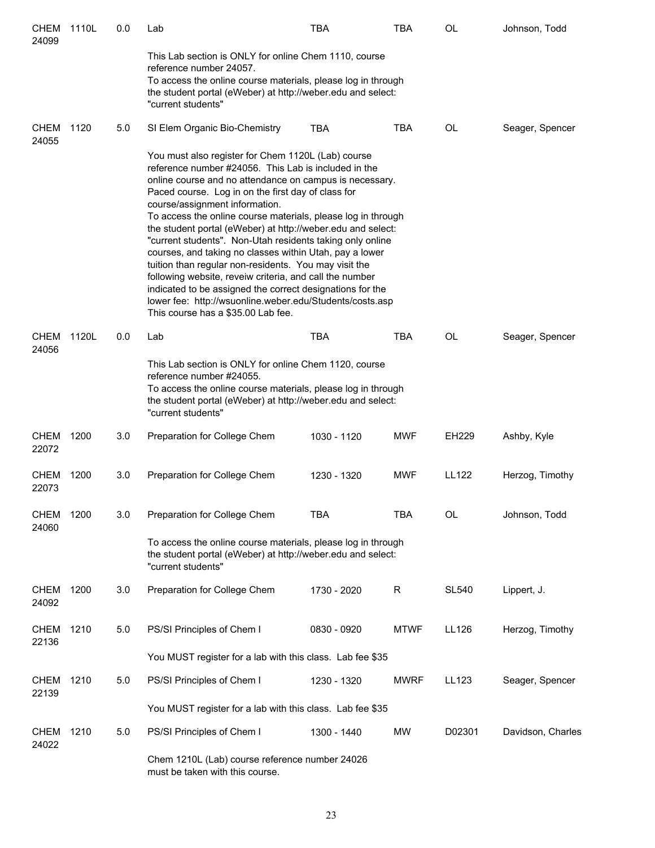| <b>CHEM</b><br>24099 | 1110L | 0.0 | Lab                                                                                                                                                                                                                                                                                                                                                                                                                                                                                                                                                                                                                                                                                                                                                                                                     | <b>TBA</b>  | <b>TBA</b>  | <b>OL</b>    | Johnson, Todd     |
|----------------------|-------|-----|---------------------------------------------------------------------------------------------------------------------------------------------------------------------------------------------------------------------------------------------------------------------------------------------------------------------------------------------------------------------------------------------------------------------------------------------------------------------------------------------------------------------------------------------------------------------------------------------------------------------------------------------------------------------------------------------------------------------------------------------------------------------------------------------------------|-------------|-------------|--------------|-------------------|
|                      |       |     | This Lab section is ONLY for online Chem 1110, course<br>reference number 24057.<br>To access the online course materials, please log in through<br>the student portal (eWeber) at http://weber.edu and select:<br>"current students"                                                                                                                                                                                                                                                                                                                                                                                                                                                                                                                                                                   |             |             |              |                   |
| <b>CHEM</b><br>24055 | 1120  | 5.0 | SI Elem Organic Bio-Chemistry                                                                                                                                                                                                                                                                                                                                                                                                                                                                                                                                                                                                                                                                                                                                                                           | <b>TBA</b>  | <b>TBA</b>  | OL           | Seager, Spencer   |
|                      |       |     | You must also register for Chem 1120L (Lab) course<br>reference number #24056. This Lab is included in the<br>online course and no attendance on campus is necessary.<br>Paced course. Log in on the first day of class for<br>course/assignment information.<br>To access the online course materials, please log in through<br>the student portal (eWeber) at http://weber.edu and select:<br>"current students". Non-Utah residents taking only online<br>courses, and taking no classes within Utah, pay a lower<br>tuition than regular non-residents. You may visit the<br>following website, reveiw criteria, and call the number<br>indicated to be assigned the correct designations for the<br>lower fee: http://wsuonline.weber.edu/Students/costs.asp<br>This course has a \$35.00 Lab fee. |             |             |              |                   |
| CHEM<br>24056        | 1120L | 0.0 | Lab                                                                                                                                                                                                                                                                                                                                                                                                                                                                                                                                                                                                                                                                                                                                                                                                     | <b>TBA</b>  | <b>TBA</b>  | <b>OL</b>    | Seager, Spencer   |
|                      |       |     | This Lab section is ONLY for online Chem 1120, course<br>reference number #24055.<br>To access the online course materials, please log in through<br>the student portal (eWeber) at http://weber.edu and select:<br>"current students"                                                                                                                                                                                                                                                                                                                                                                                                                                                                                                                                                                  |             |             |              |                   |
| <b>CHEM</b><br>22072 | 1200  | 3.0 | Preparation for College Chem                                                                                                                                                                                                                                                                                                                                                                                                                                                                                                                                                                                                                                                                                                                                                                            | 1030 - 1120 | <b>MWF</b>  | EH229        | Ashby, Kyle       |
| <b>CHEM</b><br>22073 | 1200  | 3.0 | Preparation for College Chem                                                                                                                                                                                                                                                                                                                                                                                                                                                                                                                                                                                                                                                                                                                                                                            | 1230 - 1320 | <b>MWF</b>  | <b>LL122</b> | Herzog, Timothy   |
| <b>CHEM</b><br>24060 | 1200  | 3.0 | Preparation for College Chem                                                                                                                                                                                                                                                                                                                                                                                                                                                                                                                                                                                                                                                                                                                                                                            | <b>TBA</b>  | <b>TBA</b>  | <b>OL</b>    | Johnson, Todd     |
|                      |       |     | To access the online course materials, please log in through<br>the student portal (eWeber) at http://weber.edu and select:<br>"current students"                                                                                                                                                                                                                                                                                                                                                                                                                                                                                                                                                                                                                                                       |             |             |              |                   |
| <b>CHEM</b><br>24092 | 1200  | 3.0 | Preparation for College Chem                                                                                                                                                                                                                                                                                                                                                                                                                                                                                                                                                                                                                                                                                                                                                                            | 1730 - 2020 | R           | <b>SL540</b> | Lippert, J.       |
| <b>CHEM</b><br>22136 | 1210  | 5.0 | PS/SI Principles of Chem I                                                                                                                                                                                                                                                                                                                                                                                                                                                                                                                                                                                                                                                                                                                                                                              | 0830 - 0920 | <b>MTWF</b> | LL126        | Herzog, Timothy   |
|                      |       |     | You MUST register for a lab with this class. Lab fee \$35                                                                                                                                                                                                                                                                                                                                                                                                                                                                                                                                                                                                                                                                                                                                               |             |             |              |                   |
| <b>CHEM</b><br>22139 | 1210  | 5.0 | PS/SI Principles of Chem I                                                                                                                                                                                                                                                                                                                                                                                                                                                                                                                                                                                                                                                                                                                                                                              | 1230 - 1320 | <b>MWRF</b> | <b>LL123</b> | Seager, Spencer   |
|                      |       |     | You MUST register for a lab with this class. Lab fee \$35                                                                                                                                                                                                                                                                                                                                                                                                                                                                                                                                                                                                                                                                                                                                               |             |             |              |                   |
| <b>CHEM</b><br>24022 | 1210  | 5.0 | PS/SI Principles of Chem I                                                                                                                                                                                                                                                                                                                                                                                                                                                                                                                                                                                                                                                                                                                                                                              | 1300 - 1440 | MW          | D02301       | Davidson, Charles |
|                      |       |     | Chem 1210L (Lab) course reference number 24026<br>must be taken with this course.                                                                                                                                                                                                                                                                                                                                                                                                                                                                                                                                                                                                                                                                                                                       |             |             |              |                   |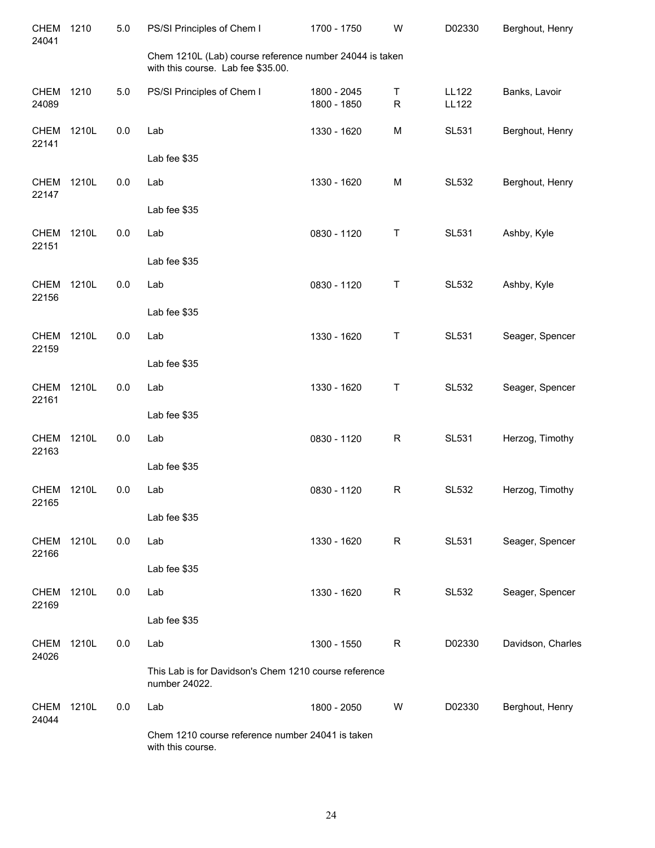| <b>CHEM</b><br>24041 | 1210  | 5.0 | PS/SI Principles of Chem I                                                                    | 1700 - 1750                | W              | D02330                       | Berghout, Henry   |
|----------------------|-------|-----|-----------------------------------------------------------------------------------------------|----------------------------|----------------|------------------------------|-------------------|
|                      |       |     | Chem 1210L (Lab) course reference number 24044 is taken<br>with this course. Lab fee \$35.00. |                            |                |                              |                   |
| <b>CHEM</b><br>24089 | 1210  | 5.0 | PS/SI Principles of Chem I                                                                    | 1800 - 2045<br>1800 - 1850 | Τ<br>${\sf R}$ | <b>LL122</b><br><b>LL122</b> | Banks, Lavoir     |
| <b>CHEM</b><br>22141 | 1210L | 0.0 | Lab                                                                                           | 1330 - 1620                | M              | <b>SL531</b>                 | Berghout, Henry   |
|                      |       |     | Lab fee \$35                                                                                  |                            |                |                              |                   |
| <b>CHEM</b><br>22147 | 1210L | 0.0 | Lab                                                                                           | 1330 - 1620                | M              | <b>SL532</b>                 | Berghout, Henry   |
|                      |       |     | Lab fee \$35                                                                                  |                            |                |                              |                   |
| <b>CHEM</b><br>22151 | 1210L | 0.0 | Lab                                                                                           | 0830 - 1120                | Т              | <b>SL531</b>                 | Ashby, Kyle       |
|                      |       |     | Lab fee \$35                                                                                  |                            |                |                              |                   |
| <b>CHEM</b><br>22156 | 1210L | 0.0 | Lab                                                                                           | 0830 - 1120                | Τ              | <b>SL532</b>                 | Ashby, Kyle       |
|                      |       |     | Lab fee \$35                                                                                  |                            |                |                              |                   |
| <b>CHEM</b><br>22159 | 1210L | 0.0 | Lab                                                                                           | 1330 - 1620                | Т              | <b>SL531</b>                 | Seager, Spencer   |
|                      |       |     | Lab fee \$35                                                                                  |                            |                |                              |                   |
| <b>CHEM</b><br>22161 | 1210L | 0.0 | Lab                                                                                           | 1330 - 1620                | Т              | <b>SL532</b>                 | Seager, Spencer   |
|                      |       |     | Lab fee \$35                                                                                  |                            |                |                              |                   |
| <b>CHEM</b><br>22163 | 1210L | 0.0 | Lab                                                                                           | 0830 - 1120                | R              | <b>SL531</b>                 | Herzog, Timothy   |
|                      |       |     | Lab fee \$35                                                                                  |                            |                |                              |                   |
| <b>CHEM</b><br>22165 | 1210L | 0.0 | Lab                                                                                           | 0830 - 1120                | $\mathsf R$    | <b>SL532</b>                 | Herzog, Timothy   |
|                      |       |     | Lab fee \$35                                                                                  |                            |                |                              |                   |
| CHEM<br>22166        | 1210L | 0.0 | Lab                                                                                           | 1330 - 1620                | R              | <b>SL531</b>                 | Seager, Spencer   |
|                      |       |     | Lab fee \$35                                                                                  |                            |                |                              |                   |
| <b>CHEM</b><br>22169 | 1210L | 0.0 | Lab                                                                                           | 1330 - 1620                | R              | <b>SL532</b>                 | Seager, Spencer   |
|                      |       |     | Lab fee \$35                                                                                  |                            |                |                              |                   |
| CHEM<br>24026        | 1210L | 0.0 | Lab                                                                                           | 1300 - 1550                | R              | D02330                       | Davidson, Charles |
|                      |       |     | This Lab is for Davidson's Chem 1210 course reference<br>number 24022.                        |                            |                |                              |                   |
| <b>CHEM</b><br>24044 | 1210L | 0.0 | Lab                                                                                           | 1800 - 2050                | W              | D02330                       | Berghout, Henry   |
|                      |       |     | Chem 1210 course reference number 24041 is taken<br>with this course.                         |                            |                |                              |                   |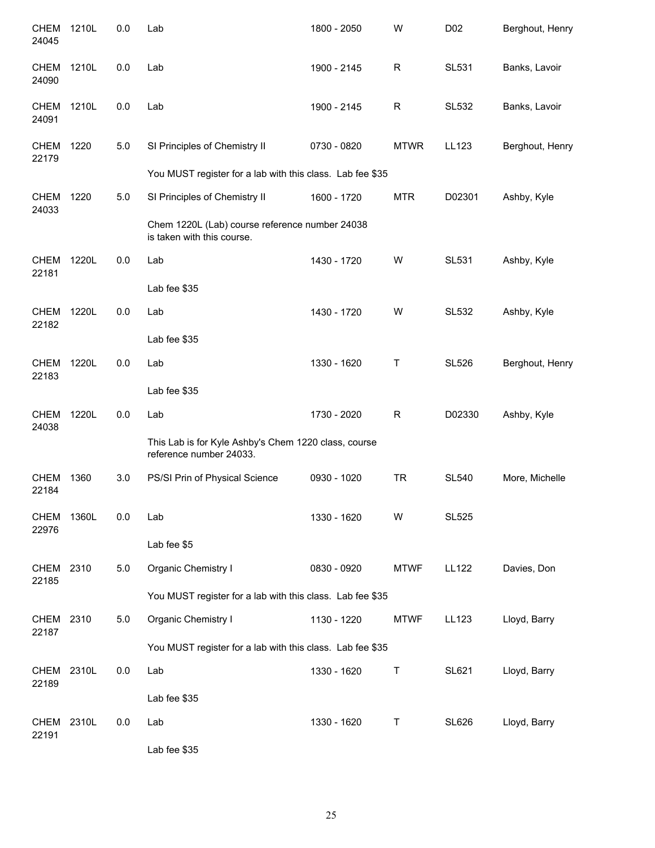| <b>CHEM</b><br>24045 | 1210L | 0.0 | Lab                                                                             | 1800 - 2050 | W            | D02          | Berghout, Henry |
|----------------------|-------|-----|---------------------------------------------------------------------------------|-------------|--------------|--------------|-----------------|
| <b>CHEM</b><br>24090 | 1210L | 0.0 | Lab                                                                             | 1900 - 2145 | $\mathsf{R}$ | <b>SL531</b> | Banks, Lavoir   |
| <b>CHEM</b><br>24091 | 1210L | 0.0 | Lab                                                                             | 1900 - 2145 | $\mathsf R$  | <b>SL532</b> | Banks, Lavoir   |
| <b>CHEM</b><br>22179 | 1220  | 5.0 | SI Principles of Chemistry II                                                   | 0730 - 0820 | <b>MTWR</b>  | LL123        | Berghout, Henry |
|                      |       |     | You MUST register for a lab with this class. Lab fee \$35                       |             |              |              |                 |
| CHEM<br>24033        | 1220  | 5.0 | SI Principles of Chemistry II                                                   | 1600 - 1720 | <b>MTR</b>   | D02301       | Ashby, Kyle     |
|                      |       |     | Chem 1220L (Lab) course reference number 24038<br>is taken with this course.    |             |              |              |                 |
| <b>CHEM</b><br>22181 | 1220L | 0.0 | Lab                                                                             | 1430 - 1720 | W            | <b>SL531</b> | Ashby, Kyle     |
|                      |       |     | Lab fee \$35                                                                    |             |              |              |                 |
| <b>CHEM</b><br>22182 | 1220L | 0.0 | Lab                                                                             | 1430 - 1720 | W            | <b>SL532</b> | Ashby, Kyle     |
|                      |       |     | Lab fee \$35                                                                    |             |              |              |                 |
| <b>CHEM</b><br>22183 | 1220L | 0.0 | Lab                                                                             | 1330 - 1620 | Τ            | <b>SL526</b> | Berghout, Henry |
|                      |       |     | Lab fee \$35                                                                    |             |              |              |                 |
| <b>CHEM</b><br>24038 | 1220L | 0.0 | Lab                                                                             | 1730 - 2020 | $\mathsf{R}$ | D02330       | Ashby, Kyle     |
|                      |       |     | This Lab is for Kyle Ashby's Chem 1220 class, course<br>reference number 24033. |             |              |              |                 |
| <b>CHEM</b><br>22184 | 1360  | 3.0 | PS/SI Prin of Physical Science                                                  | 0930 - 1020 | <b>TR</b>    | <b>SL540</b> | More, Michelle  |
| CHEM<br>22976        | 1360L | 0.0 | Lab                                                                             | 1330 - 1620 | W            | <b>SL525</b> |                 |
|                      |       |     | Lab fee \$5                                                                     |             |              |              |                 |
| CHEM<br>22185        | 2310  | 5.0 | Organic Chemistry I                                                             | 0830 - 0920 | <b>MTWF</b>  | <b>LL122</b> | Davies, Don     |
|                      |       |     | You MUST register for a lab with this class. Lab fee \$35                       |             |              |              |                 |
| <b>CHEM</b><br>22187 | 2310  | 5.0 | Organic Chemistry I                                                             | 1130 - 1220 | <b>MTWF</b>  | LL123        | Lloyd, Barry    |
|                      |       |     | You MUST register for a lab with this class. Lab fee \$35                       |             |              |              |                 |
| <b>CHEM</b><br>22189 | 2310L | 0.0 | Lab                                                                             | 1330 - 1620 | $\sf T$      | <b>SL621</b> | Lloyd, Barry    |
|                      |       |     | Lab fee \$35                                                                    |             |              |              |                 |
| <b>CHEM</b><br>22191 | 2310L | 0.0 | Lab                                                                             | 1330 - 1620 | Τ            | <b>SL626</b> | Lloyd, Barry    |
|                      |       |     | Lab fee \$35                                                                    |             |              |              |                 |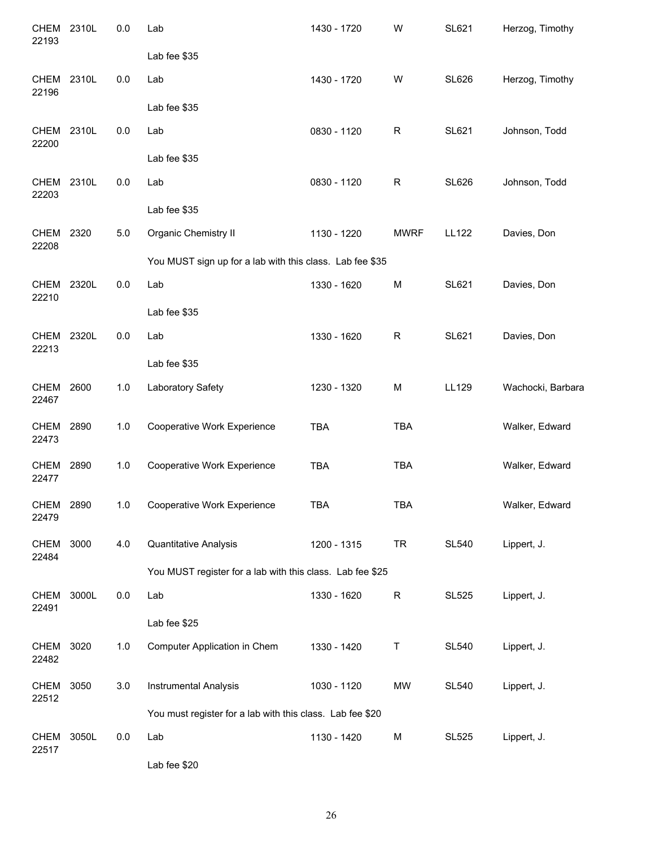| CHEM<br>22193        | 2310L | 0.0   | Lab                                                       | 1430 - 1720 | W           | <b>SL621</b> | Herzog, Timothy   |
|----------------------|-------|-------|-----------------------------------------------------------|-------------|-------------|--------------|-------------------|
|                      |       |       | Lab fee \$35                                              |             |             |              |                   |
| <b>CHEM</b><br>22196 | 2310L | 0.0   | Lab                                                       | 1430 - 1720 | W           | <b>SL626</b> | Herzog, Timothy   |
|                      |       |       | Lab fee \$35                                              |             |             |              |                   |
| <b>CHEM</b><br>22200 | 2310L | 0.0   | Lab                                                       | 0830 - 1120 | $\mathsf R$ | SL621        | Johnson, Todd     |
|                      |       |       | Lab fee \$35                                              |             |             |              |                   |
| <b>CHEM</b><br>22203 | 2310L | 0.0   | Lab                                                       | 0830 - 1120 | $\mathsf R$ | <b>SL626</b> | Johnson, Todd     |
|                      |       |       | Lab fee \$35                                              |             |             |              |                   |
| <b>CHEM</b><br>22208 | 2320  | $5.0$ | <b>Organic Chemistry II</b>                               | 1130 - 1220 | <b>MWRF</b> | <b>LL122</b> | Davies, Don       |
|                      |       |       | You MUST sign up for a lab with this class. Lab fee \$35  |             |             |              |                   |
| <b>CHEM</b><br>22210 | 2320L | 0.0   | Lab                                                       | 1330 - 1620 | M           | SL621        | Davies, Don       |
|                      |       |       | Lab fee \$35                                              |             |             |              |                   |
| <b>CHEM</b><br>22213 | 2320L | 0.0   | Lab                                                       | 1330 - 1620 | $\mathsf R$ | <b>SL621</b> | Davies, Don       |
|                      |       |       | Lab fee \$35                                              |             |             |              |                   |
| <b>CHEM</b><br>22467 | 2600  | 1.0   | Laboratory Safety                                         | 1230 - 1320 | M           | LL129        | Wachocki, Barbara |
| <b>CHEM</b><br>22473 | 2890  | 1.0   | Cooperative Work Experience                               | <b>TBA</b>  | <b>TBA</b>  |              | Walker, Edward    |
| CHEM<br>22477        | 2890  | 1.0   | Cooperative Work Experience                               | <b>TBA</b>  | <b>TBA</b>  |              | Walker, Edward    |
| <b>CHEM</b><br>22479 | 2890  | 1.0   | Cooperative Work Experience                               | <b>TBA</b>  | TBA         |              | Walker, Edward    |
| <b>CHEM</b><br>22484 | 3000  | 4.0   | Quantitative Analysis                                     | 1200 - 1315 | <b>TR</b>   | <b>SL540</b> | Lippert, J.       |
|                      |       |       | You MUST register for a lab with this class. Lab fee \$25 |             |             |              |                   |
| <b>CHEM</b><br>22491 | 3000L | 0.0   | Lab                                                       | 1330 - 1620 | $\mathsf R$ | <b>SL525</b> | Lippert, J.       |
|                      |       |       | Lab fee \$25                                              |             |             |              |                   |
| <b>CHEM</b><br>22482 | 3020  | $1.0$ | Computer Application in Chem                              | 1330 - 1420 | Τ           | <b>SL540</b> | Lippert, J.       |
| <b>CHEM</b><br>22512 | 3050  | 3.0   | <b>Instrumental Analysis</b>                              | 1030 - 1120 | <b>MW</b>   | <b>SL540</b> | Lippert, J.       |
|                      |       |       | You must register for a lab with this class. Lab fee \$20 |             |             |              |                   |
| <b>CHEM</b><br>22517 | 3050L | 0.0   | Lab                                                       | 1130 - 1420 | M           | <b>SL525</b> | Lippert, J.       |
|                      |       |       | Lab fee \$20                                              |             |             |              |                   |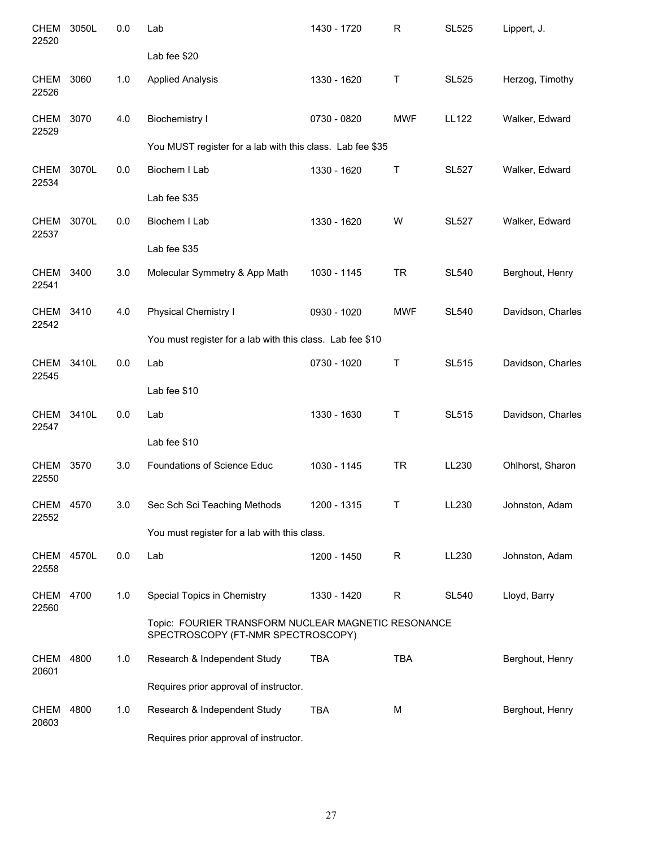| <b>CHEM</b><br>22520 | 3050L | 0.0 | Lab                                                                                       | 1430 - 1720 | R           | <b>SL525</b> | Lippert, J.       |
|----------------------|-------|-----|-------------------------------------------------------------------------------------------|-------------|-------------|--------------|-------------------|
|                      |       |     | Lab fee \$20                                                                              |             |             |              |                   |
| <b>CHEM</b><br>22526 | 3060  | 1.0 | <b>Applied Analysis</b>                                                                   | 1330 - 1620 | Τ           | <b>SL525</b> | Herzog, Timothy   |
| <b>CHEM</b><br>22529 | 3070  | 4.0 | <b>Biochemistry I</b>                                                                     | 0730 - 0820 | <b>MWF</b>  | <b>LL122</b> | Walker, Edward    |
|                      |       |     | You MUST register for a lab with this class. Lab fee \$35                                 |             |             |              |                   |
| <b>CHEM</b><br>22534 | 3070L | 0.0 | Biochem I Lab                                                                             | 1330 - 1620 | Т           | <b>SL527</b> | Walker, Edward    |
|                      |       |     | Lab fee \$35                                                                              |             |             |              |                   |
| <b>CHEM</b><br>22537 | 3070L | 0.0 | Biochem I Lab                                                                             | 1330 - 1620 | W           | <b>SL527</b> | Walker, Edward    |
|                      |       |     | Lab fee \$35                                                                              |             |             |              |                   |
| <b>CHEM</b><br>22541 | 3400  | 3.0 | Molecular Symmetry & App Math                                                             | 1030 - 1145 | <b>TR</b>   | <b>SL540</b> | Berghout, Henry   |
| CHEM<br>22542        | 3410  | 4.0 | Physical Chemistry I                                                                      | 0930 - 1020 | <b>MWF</b>  | <b>SL540</b> | Davidson, Charles |
|                      |       |     | You must register for a lab with this class. Lab fee \$10                                 |             |             |              |                   |
| <b>CHEM</b><br>22545 | 3410L | 0.0 | Lab                                                                                       | 0730 - 1020 | Τ           | <b>SL515</b> | Davidson, Charles |
|                      |       |     | Lab fee \$10                                                                              |             |             |              |                   |
| CHEM<br>22547        | 3410L | 0.0 | Lab                                                                                       | 1330 - 1630 | Τ           | <b>SL515</b> | Davidson, Charles |
|                      |       |     | Lab fee \$10                                                                              |             |             |              |                   |
| <b>CHEM</b><br>22550 | 3570  | 3.0 | Foundations of Science Educ                                                               | 1030 - 1145 | <b>TR</b>   | LL230        | Ohlhorst, Sharon  |
| CHEM 4570<br>22552   |       | 3.0 | Sec Sch Sci Teaching Methods                                                              | 1200 - 1315 |             | LL230        | Johnston, Adam    |
|                      |       |     | You must register for a lab with this class.                                              |             |             |              |                   |
| <b>CHEM</b><br>22558 | 4570L | 0.0 | Lab                                                                                       | 1200 - 1450 | $\mathsf R$ | LL230        | Johnston, Adam    |
| <b>CHEM</b><br>22560 | 4700  | 1.0 | Special Topics in Chemistry                                                               | 1330 - 1420 | R           | <b>SL540</b> | Lloyd, Barry      |
|                      |       |     | Topic: FOURIER TRANSFORM NUCLEAR MAGNETIC RESONANCE<br>SPECTROSCOPY (FT-NMR SPECTROSCOPY) |             |             |              |                   |
| CHEM<br>20601        | 4800  | 1.0 | Research & Independent Study                                                              | <b>TBA</b>  | <b>TBA</b>  |              | Berghout, Henry   |
|                      |       |     | Requires prior approval of instructor.                                                    |             |             |              |                   |
| CHEM<br>20603        | 4800  | 1.0 | Research & Independent Study                                                              | <b>TBA</b>  | M           |              | Berghout, Henry   |
|                      |       |     | Requires prior approval of instructor.                                                    |             |             |              |                   |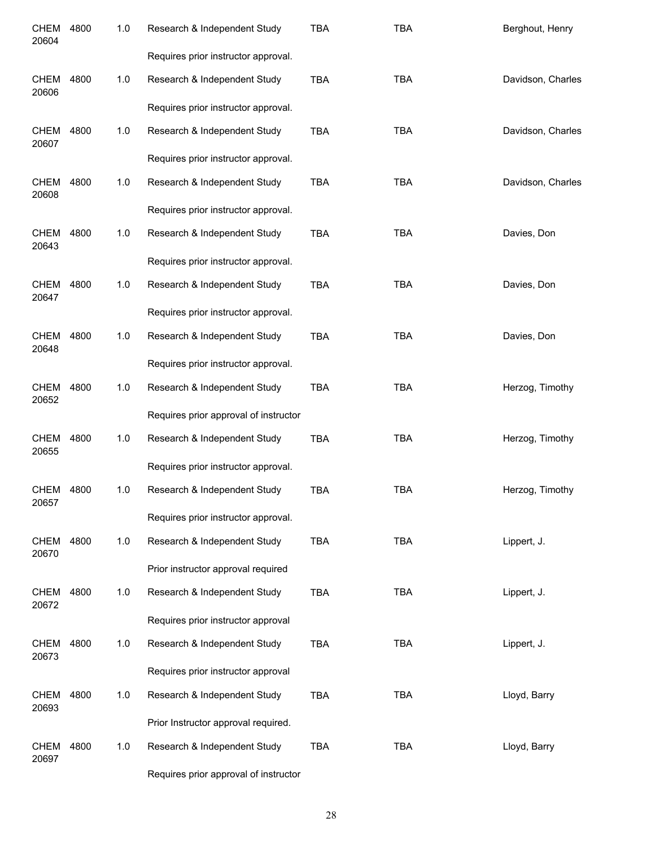| <b>CHEM</b><br>20604 | 4800 | 1.0   | Research & Independent Study          | <b>TBA</b> | <b>TBA</b> | Berghout, Henry   |
|----------------------|------|-------|---------------------------------------|------------|------------|-------------------|
|                      |      |       | Requires prior instructor approval.   |            |            |                   |
| <b>CHEM</b><br>20606 | 4800 | 1.0   | Research & Independent Study          | <b>TBA</b> | <b>TBA</b> | Davidson, Charles |
|                      |      |       | Requires prior instructor approval.   |            |            |                   |
| <b>CHEM</b><br>20607 | 4800 | $1.0$ | Research & Independent Study          | <b>TBA</b> | <b>TBA</b> | Davidson, Charles |
|                      |      |       | Requires prior instructor approval.   |            |            |                   |
| CHEM<br>20608        | 4800 | $1.0$ | Research & Independent Study          | <b>TBA</b> | <b>TBA</b> | Davidson, Charles |
|                      |      |       | Requires prior instructor approval.   |            |            |                   |
| CHEM<br>20643        | 4800 | $1.0$ | Research & Independent Study          | <b>TBA</b> | <b>TBA</b> | Davies, Don       |
|                      |      |       | Requires prior instructor approval.   |            |            |                   |
| CHEM<br>20647        | 4800 | $1.0$ | Research & Independent Study          | <b>TBA</b> | <b>TBA</b> | Davies, Don       |
|                      |      |       | Requires prior instructor approval.   |            |            |                   |
| CHEM<br>20648        | 4800 | 1.0   | Research & Independent Study          | <b>TBA</b> | <b>TBA</b> | Davies, Don       |
|                      |      |       | Requires prior instructor approval.   |            |            |                   |
| CHEM<br>20652        | 4800 | 1.0   | Research & Independent Study          | <b>TBA</b> | <b>TBA</b> | Herzog, Timothy   |
|                      |      |       | Requires prior approval of instructor |            |            |                   |
| CHEM<br>20655        | 4800 | 1.0   | Research & Independent Study          | <b>TBA</b> | <b>TBA</b> | Herzog, Timothy   |
|                      |      |       | Requires prior instructor approval.   |            |            |                   |
| CHEM<br>20657        | 4800 | 1.0   | Research & Independent Study          | <b>TBA</b> | <b>TBA</b> | Herzog, Timothy   |
|                      |      |       | Requires prior instructor approval.   |            |            |                   |
| <b>CHEM</b><br>20670 | 4800 | 1.0   | Research & Independent Study          | TBA        | <b>TBA</b> | Lippert, J.       |
|                      |      |       | Prior instructor approval required    |            |            |                   |
| <b>CHEM</b><br>20672 | 4800 | 1.0   | Research & Independent Study          | TBA        | <b>TBA</b> | Lippert, J.       |
|                      |      |       | Requires prior instructor approval    |            |            |                   |
| CHEM<br>20673        | 4800 | 1.0   | Research & Independent Study          | TBA        | <b>TBA</b> | Lippert, J.       |
|                      |      |       | Requires prior instructor approval    |            |            |                   |
| CHEM<br>20693        | 4800 | 1.0   | Research & Independent Study          | <b>TBA</b> | <b>TBA</b> | Lloyd, Barry      |
|                      |      |       | Prior Instructor approval required.   |            |            |                   |
| CHEM<br>20697        | 4800 | 1.0   | Research & Independent Study          | <b>TBA</b> | <b>TBA</b> | Lloyd, Barry      |
|                      |      |       | Requires prior approval of instructor |            |            |                   |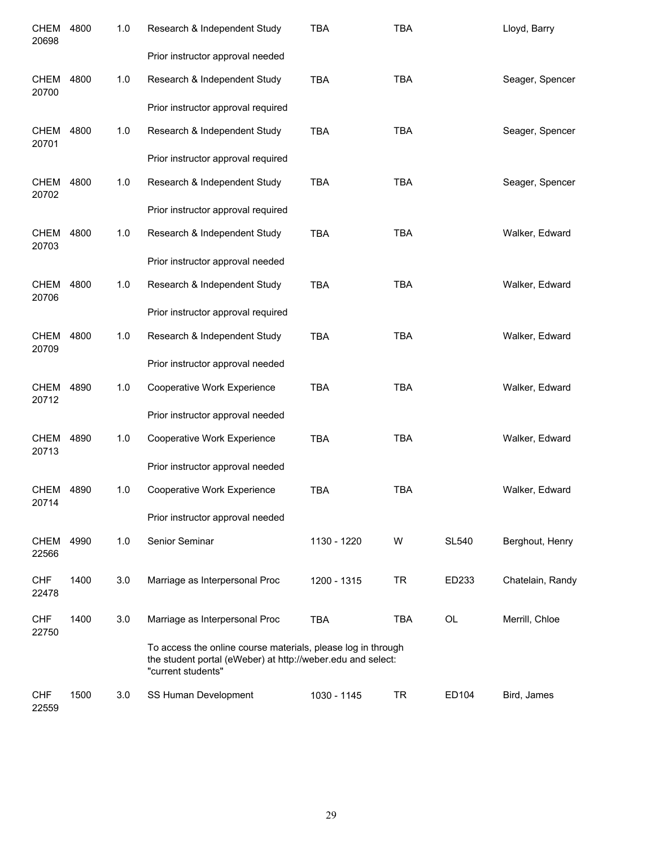| <b>CHEM</b><br>20698 | 4800 | 1.0 | Research & Independent Study                                                                                                                      | <b>TBA</b>  | <b>TBA</b> |              | Lloyd, Barry     |
|----------------------|------|-----|---------------------------------------------------------------------------------------------------------------------------------------------------|-------------|------------|--------------|------------------|
|                      |      |     | Prior instructor approval needed                                                                                                                  |             |            |              |                  |
| <b>CHEM</b><br>20700 | 4800 | 1.0 | Research & Independent Study                                                                                                                      | <b>TBA</b>  | <b>TBA</b> |              | Seager, Spencer  |
|                      |      |     | Prior instructor approval required                                                                                                                |             |            |              |                  |
| CHEM<br>20701        | 4800 | 1.0 | Research & Independent Study                                                                                                                      | <b>TBA</b>  | <b>TBA</b> |              | Seager, Spencer  |
|                      |      |     | Prior instructor approval required                                                                                                                |             |            |              |                  |
| CHEM<br>20702        | 4800 | 1.0 | Research & Independent Study                                                                                                                      | <b>TBA</b>  | <b>TBA</b> |              | Seager, Spencer  |
|                      |      |     | Prior instructor approval required                                                                                                                |             |            |              |                  |
| <b>CHEM</b><br>20703 | 4800 | 1.0 | Research & Independent Study                                                                                                                      | <b>TBA</b>  | <b>TBA</b> |              | Walker, Edward   |
|                      |      |     | Prior instructor approval needed                                                                                                                  |             |            |              |                  |
| <b>CHEM</b><br>20706 | 4800 | 1.0 | Research & Independent Study                                                                                                                      | <b>TBA</b>  | <b>TBA</b> |              | Walker, Edward   |
|                      |      |     | Prior instructor approval required                                                                                                                |             |            |              |                  |
| <b>CHEM</b><br>20709 | 4800 | 1.0 | Research & Independent Study                                                                                                                      | <b>TBA</b>  | <b>TBA</b> |              | Walker, Edward   |
|                      |      |     | Prior instructor approval needed                                                                                                                  |             |            |              |                  |
| CHEM<br>20712        | 4890 | 1.0 | Cooperative Work Experience                                                                                                                       | <b>TBA</b>  | <b>TBA</b> |              | Walker, Edward   |
|                      |      |     | Prior instructor approval needed                                                                                                                  |             |            |              |                  |
| CHEM<br>20713        | 4890 | 1.0 | Cooperative Work Experience                                                                                                                       | <b>TBA</b>  | <b>TBA</b> |              | Walker, Edward   |
|                      |      |     | Prior instructor approval needed                                                                                                                  |             |            |              |                  |
| CHEM<br>20714        | 4890 | 1.0 | Cooperative Work Experience                                                                                                                       | <b>TBA</b>  | <b>TBA</b> |              | Walker, Edward   |
|                      |      |     | Prior instructor approval needed                                                                                                                  |             |            |              |                  |
| <b>CHEM</b><br>22566 | 4990 | 1.0 | Senior Seminar                                                                                                                                    | 1130 - 1220 | W          | <b>SL540</b> | Berghout, Henry  |
| <b>CHF</b><br>22478  | 1400 | 3.0 | Marriage as Interpersonal Proc                                                                                                                    | 1200 - 1315 | <b>TR</b>  | ED233        | Chatelain, Randy |
| <b>CHF</b><br>22750  | 1400 | 3.0 | Marriage as Interpersonal Proc                                                                                                                    | <b>TBA</b>  | <b>TBA</b> | OL           | Merrill, Chloe   |
|                      |      |     | To access the online course materials, please log in through<br>the student portal (eWeber) at http://weber.edu and select:<br>"current students" |             |            |              |                  |
| <b>CHF</b><br>22559  | 1500 | 3.0 | SS Human Development                                                                                                                              | 1030 - 1145 | <b>TR</b>  | ED104        | Bird, James      |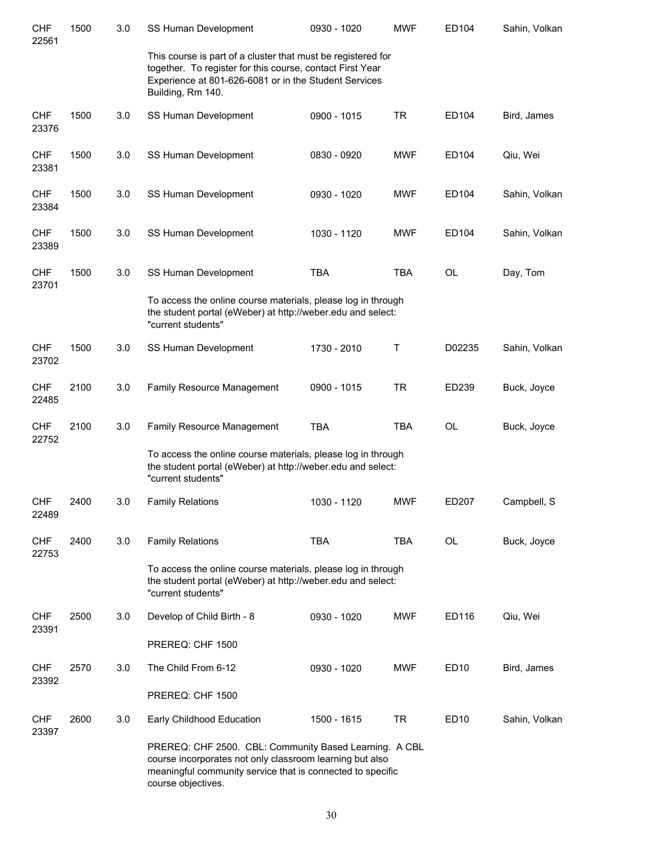| <b>CHF</b><br>22561 | 1500 | 3.0 | SS Human Development                                                                                                                                                                                    | 0930 - 1020 | <b>MWF</b> | ED104     | Sahin, Volkan |
|---------------------|------|-----|---------------------------------------------------------------------------------------------------------------------------------------------------------------------------------------------------------|-------------|------------|-----------|---------------|
|                     |      |     | This course is part of a cluster that must be registered for<br>together. To register for this course, contact First Year<br>Experience at 801-626-6081 or in the Student Services<br>Building, Rm 140. |             |            |           |               |
| <b>CHF</b><br>23376 | 1500 | 3.0 | SS Human Development                                                                                                                                                                                    | 0900 - 1015 | <b>TR</b>  | ED104     | Bird, James   |
| <b>CHF</b><br>23381 | 1500 | 3.0 | SS Human Development                                                                                                                                                                                    | 0830 - 0920 | <b>MWF</b> | ED104     | Qiu, Wei      |
| <b>CHF</b><br>23384 | 1500 | 3.0 | SS Human Development                                                                                                                                                                                    | 0930 - 1020 | <b>MWF</b> | ED104     | Sahin, Volkan |
| <b>CHF</b><br>23389 | 1500 | 3.0 | SS Human Development                                                                                                                                                                                    | 1030 - 1120 | <b>MWF</b> | ED104     | Sahin, Volkan |
| <b>CHF</b><br>23701 | 1500 | 3.0 | SS Human Development                                                                                                                                                                                    | <b>TBA</b>  | <b>TBA</b> | <b>OL</b> | Day, Tom      |
|                     |      |     | To access the online course materials, please log in through<br>the student portal (eWeber) at http://weber.edu and select:<br>"current students"                                                       |             |            |           |               |
| <b>CHF</b><br>23702 | 1500 | 3.0 | SS Human Development                                                                                                                                                                                    | 1730 - 2010 | Τ          | D02235    | Sahin, Volkan |
| <b>CHF</b><br>22485 | 2100 | 3.0 | Family Resource Management                                                                                                                                                                              | 0900 - 1015 | <b>TR</b>  | ED239     | Buck, Joyce   |
| <b>CHF</b><br>22752 | 2100 | 3.0 | Family Resource Management                                                                                                                                                                              | <b>TBA</b>  | <b>TBA</b> | OL        | Buck, Joyce   |
|                     |      |     | To access the online course materials, please log in through<br>the student portal (eWeber) at http://weber.edu and select:<br>"current students"                                                       |             |            |           |               |
| <b>CHF</b><br>22489 | 2400 | 3.0 | <b>Family Relations</b>                                                                                                                                                                                 | 1030 - 1120 | <b>MWF</b> | ED207     | Campbell, S   |
| <b>CHF</b><br>22753 | 2400 | 3.0 | <b>Family Relations</b>                                                                                                                                                                                 | <b>TBA</b>  | <b>TBA</b> | OL        | Buck, Joyce   |
|                     |      |     | To access the online course materials, please log in through<br>the student portal (eWeber) at http://weber.edu and select:<br>"current students"                                                       |             |            |           |               |
| <b>CHF</b><br>23391 | 2500 | 3.0 | Develop of Child Birth - 8                                                                                                                                                                              | 0930 - 1020 | MWF        | ED116     | Qiu, Wei      |
|                     |      |     | PREREQ: CHF 1500                                                                                                                                                                                        |             |            |           |               |
| <b>CHF</b><br>23392 | 2570 | 3.0 | The Child From 6-12                                                                                                                                                                                     | 0930 - 1020 | <b>MWF</b> | ED10      | Bird, James   |
|                     |      |     | PREREQ: CHF 1500                                                                                                                                                                                        |             |            |           |               |
| <b>CHF</b><br>23397 | 2600 | 3.0 | Early Childhood Education                                                                                                                                                                               | 1500 - 1615 | <b>TR</b>  | ED10      | Sahin, Volkan |
|                     |      |     | PREREQ: CHF 2500. CBL: Community Based Learning. A CBL<br>course incorporates not only classroom learning but also<br>meaningful community service that is connected to specific<br>course objectives.  |             |            |           |               |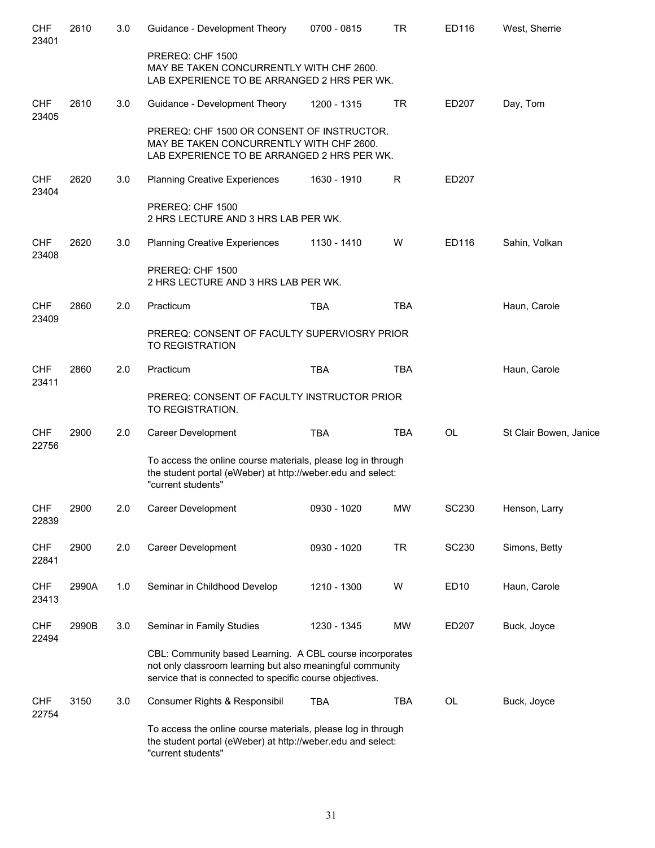| <b>CHF</b><br>23401 | 2610  | 3.0   | Guidance - Development Theory                                                                                                                                                     | 0700 - 0815 | <b>TR</b>  | ED116        | West, Sherrie          |
|---------------------|-------|-------|-----------------------------------------------------------------------------------------------------------------------------------------------------------------------------------|-------------|------------|--------------|------------------------|
|                     |       |       | PREREQ: CHF 1500<br>MAY BE TAKEN CONCURRENTLY WITH CHF 2600.<br>LAB EXPERIENCE TO BE ARRANGED 2 HRS PER WK.                                                                       |             |            |              |                        |
| <b>CHF</b><br>23405 | 2610  | 3.0   | Guidance - Development Theory                                                                                                                                                     | 1200 - 1315 | <b>TR</b>  | ED207        | Day, Tom               |
|                     |       |       | PREREQ: CHF 1500 OR CONSENT OF INSTRUCTOR.<br>MAY BE TAKEN CONCURRENTLY WITH CHF 2600.<br>LAB EXPERIENCE TO BE ARRANGED 2 HRS PER WK.                                             |             |            |              |                        |
| <b>CHF</b><br>23404 | 2620  | 3.0   | <b>Planning Creative Experiences</b>                                                                                                                                              | 1630 - 1910 | R          | ED207        |                        |
|                     |       |       | PREREQ: CHF 1500<br>2 HRS LECTURE AND 3 HRS LAB PER WK.                                                                                                                           |             |            |              |                        |
| <b>CHF</b><br>23408 | 2620  | 3.0   | <b>Planning Creative Experiences</b>                                                                                                                                              | 1130 - 1410 | W          | ED116        | Sahin, Volkan          |
|                     |       |       | PREREQ: CHF 1500<br>2 HRS LECTURE AND 3 HRS LAB PER WK.                                                                                                                           |             |            |              |                        |
| <b>CHF</b><br>23409 | 2860  | 2.0   | Practicum                                                                                                                                                                         | <b>TBA</b>  | <b>TBA</b> |              | Haun, Carole           |
|                     |       |       | PREREQ: CONSENT OF FACULTY SUPERVIOSRY PRIOR<br><b>TO REGISTRATION</b>                                                                                                            |             |            |              |                        |
| <b>CHF</b><br>23411 | 2860  | 2.0   | Practicum                                                                                                                                                                         | <b>TBA</b>  | <b>TBA</b> |              | Haun, Carole           |
|                     |       |       | PREREQ: CONSENT OF FACULTY INSTRUCTOR PRIOR<br>TO REGISTRATION.                                                                                                                   |             |            |              |                        |
| <b>CHF</b><br>22756 | 2900  | 2.0   | Career Development                                                                                                                                                                | <b>TBA</b>  | <b>TBA</b> | <b>OL</b>    | St Clair Bowen, Janice |
|                     |       |       | To access the online course materials, please log in through<br>the student portal (eWeber) at http://weber.edu and select:<br>"current students"                                 |             |            |              |                        |
| <b>CHF</b><br>22839 | 2900  | 2.0   | Career Development                                                                                                                                                                | 0930 - 1020 | <b>MW</b>  | <b>SC230</b> | Henson, Larry          |
| <b>CHF</b><br>22841 | 2900  | 2.0   | Career Development                                                                                                                                                                | 0930 - 1020 | <b>TR</b>  | <b>SC230</b> | Simons, Betty          |
| <b>CHF</b><br>23413 | 2990A | $1.0$ | Seminar in Childhood Develop                                                                                                                                                      | 1210 - 1300 | W          | ED10         | Haun, Carole           |
| <b>CHF</b><br>22494 | 2990B | 3.0   | Seminar in Family Studies                                                                                                                                                         | 1230 - 1345 | <b>MW</b>  | ED207        | Buck, Joyce            |
|                     |       |       | CBL: Community based Learning. A CBL course incorporates<br>not only classroom learning but also meaningful community<br>service that is connected to specific course objectives. |             |            |              |                        |
| <b>CHF</b><br>22754 | 3150  | 3.0   | Consumer Rights & Responsibil                                                                                                                                                     | <b>TBA</b>  | <b>TBA</b> | OL           | Buck, Joyce            |
|                     |       |       | To access the online course materials, please log in through<br>the student portal (eWeber) at http://weber.edu and select:<br>"current students"                                 |             |            |              |                        |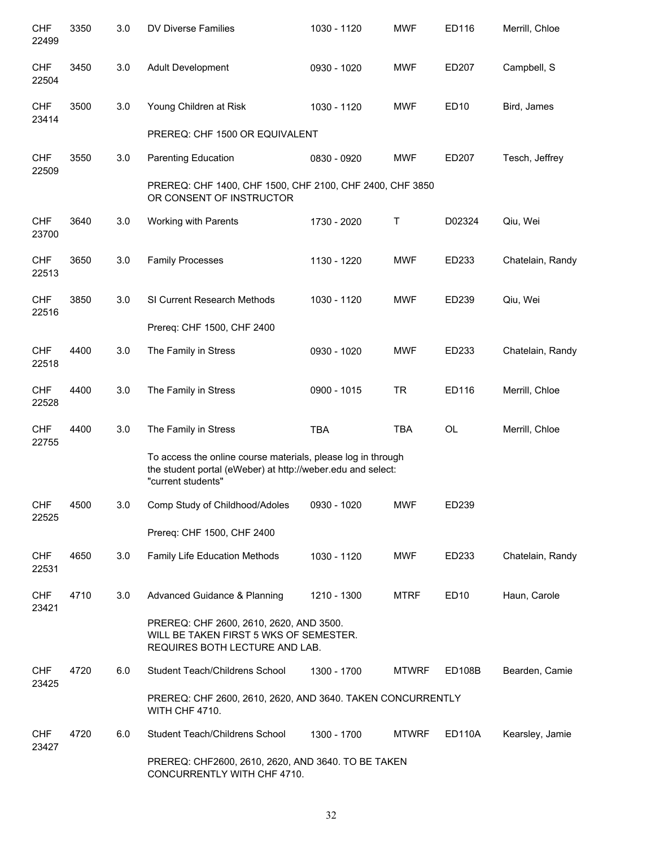| <b>CHF</b><br>22499 | 3350 | 3.0 | DV Diverse Families                                                                                                                               | 1030 - 1120 | <b>MWF</b>   | ED116            | Merrill, Chloe   |
|---------------------|------|-----|---------------------------------------------------------------------------------------------------------------------------------------------------|-------------|--------------|------------------|------------------|
| <b>CHF</b><br>22504 | 3450 | 3.0 | <b>Adult Development</b>                                                                                                                          | 0930 - 1020 | <b>MWF</b>   | ED207            | Campbell, S      |
| <b>CHF</b><br>23414 | 3500 | 3.0 | Young Children at Risk                                                                                                                            | 1030 - 1120 | <b>MWF</b>   | ED <sub>10</sub> | Bird, James      |
|                     |      |     | PREREQ: CHF 1500 OR EQUIVALENT                                                                                                                    |             |              |                  |                  |
| <b>CHF</b><br>22509 | 3550 | 3.0 | <b>Parenting Education</b>                                                                                                                        | 0830 - 0920 | <b>MWF</b>   | ED207            | Tesch, Jeffrey   |
|                     |      |     | PREREQ: CHF 1400, CHF 1500, CHF 2100, CHF 2400, CHF 3850<br>OR CONSENT OF INSTRUCTOR                                                              |             |              |                  |                  |
| <b>CHF</b><br>23700 | 3640 | 3.0 | Working with Parents                                                                                                                              | 1730 - 2020 | Τ            | D02324           | Qiu, Wei         |
| <b>CHF</b><br>22513 | 3650 | 3.0 | <b>Family Processes</b>                                                                                                                           | 1130 - 1220 | <b>MWF</b>   | ED233            | Chatelain, Randy |
| <b>CHF</b><br>22516 | 3850 | 3.0 | SI Current Research Methods                                                                                                                       | 1030 - 1120 | <b>MWF</b>   | ED239            | Qiu, Wei         |
|                     |      |     | Prereq: CHF 1500, CHF 2400                                                                                                                        |             |              |                  |                  |
| <b>CHF</b><br>22518 | 4400 | 3.0 | The Family in Stress                                                                                                                              | 0930 - 1020 | <b>MWF</b>   | ED233            | Chatelain, Randy |
| CHF<br>22528        | 4400 | 3.0 | The Family in Stress                                                                                                                              | 0900 - 1015 | <b>TR</b>    | ED116            | Merrill, Chloe   |
| <b>CHF</b><br>22755 | 4400 | 3.0 | The Family in Stress                                                                                                                              | <b>TBA</b>  | <b>TBA</b>   | <b>OL</b>        | Merrill, Chloe   |
|                     |      |     | To access the online course materials, please log in through<br>the student portal (eWeber) at http://weber.edu and select:<br>"current students" |             |              |                  |                  |
| <b>CHF</b><br>22525 | 4500 | 3.0 | Comp Study of Childhood/Adoles                                                                                                                    | 0930 - 1020 | <b>MWF</b>   | ED239            |                  |
|                     |      |     | Prereq: CHF 1500, CHF 2400                                                                                                                        |             |              |                  |                  |
| <b>CHF</b><br>22531 | 4650 | 3.0 | <b>Family Life Education Methods</b>                                                                                                              | 1030 - 1120 | <b>MWF</b>   | ED233            | Chatelain, Randy |
| <b>CHF</b><br>23421 | 4710 | 3.0 | Advanced Guidance & Planning                                                                                                                      | 1210 - 1300 | <b>MTRF</b>  | ED <sub>10</sub> | Haun, Carole     |
|                     |      |     | PREREQ: CHF 2600, 2610, 2620, AND 3500.<br>WILL BE TAKEN FIRST 5 WKS OF SEMESTER.<br>REQUIRES BOTH LECTURE AND LAB.                               |             |              |                  |                  |
| <b>CHF</b><br>23425 | 4720 | 6.0 | Student Teach/Childrens School                                                                                                                    | 1300 - 1700 | <b>MTWRF</b> | ED108B           | Bearden, Camie   |
|                     |      |     | PREREQ: CHF 2600, 2610, 2620, AND 3640. TAKEN CONCURRENTLY<br>WITH CHF 4710.                                                                      |             |              |                  |                  |
| <b>CHF</b><br>23427 | 4720 | 6.0 | Student Teach/Childrens School                                                                                                                    | 1300 - 1700 | <b>MTWRF</b> | ED110A           | Kearsley, Jamie  |
|                     |      |     | PREREQ: CHF2600, 2610, 2620, AND 3640. TO BE TAKEN<br>CONCURRENTLY WITH CHF 4710.                                                                 |             |              |                  |                  |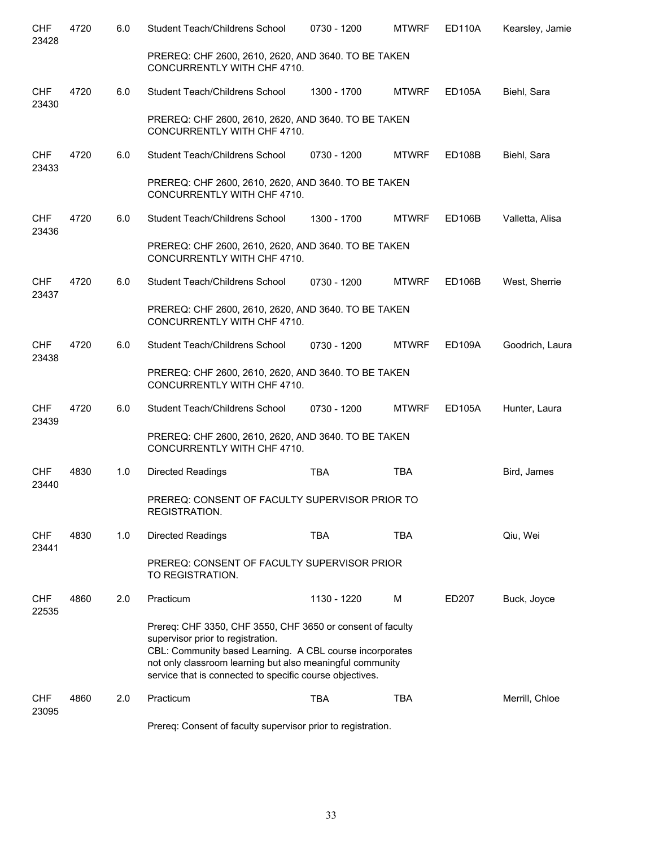| <b>CHF</b><br>23428 | 4720 | 6.0 | Student Teach/Childrens School                                                                                                                                                                                                                                                       | 0730 - 1200 | <b>MTWRF</b> | <b>ED110A</b> | Kearsley, Jamie |
|---------------------|------|-----|--------------------------------------------------------------------------------------------------------------------------------------------------------------------------------------------------------------------------------------------------------------------------------------|-------------|--------------|---------------|-----------------|
|                     |      |     | PREREQ: CHF 2600, 2610, 2620, AND 3640. TO BE TAKEN<br>CONCURRENTLY WITH CHF 4710.                                                                                                                                                                                                   |             |              |               |                 |
| <b>CHF</b><br>23430 | 4720 | 6.0 | Student Teach/Childrens School                                                                                                                                                                                                                                                       | 1300 - 1700 | <b>MTWRF</b> | ED105A        | Biehl, Sara     |
|                     |      |     | PREREQ: CHF 2600, 2610, 2620, AND 3640. TO BE TAKEN<br>CONCURRENTLY WITH CHF 4710.                                                                                                                                                                                                   |             |              |               |                 |
| <b>CHF</b><br>23433 | 4720 | 6.0 | Student Teach/Childrens School                                                                                                                                                                                                                                                       | 0730 - 1200 | <b>MTWRF</b> | ED108B        | Biehl, Sara     |
|                     |      |     | PREREQ: CHF 2600, 2610, 2620, AND 3640. TO BE TAKEN<br>CONCURRENTLY WITH CHF 4710.                                                                                                                                                                                                   |             |              |               |                 |
| <b>CHF</b><br>23436 | 4720 | 6.0 | Student Teach/Childrens School                                                                                                                                                                                                                                                       | 1300 - 1700 | <b>MTWRF</b> | <b>ED106B</b> | Valletta, Alisa |
|                     |      |     | PREREQ: CHF 2600, 2610, 2620, AND 3640. TO BE TAKEN<br>CONCURRENTLY WITH CHF 4710.                                                                                                                                                                                                   |             |              |               |                 |
| <b>CHF</b><br>23437 | 4720 | 6.0 | Student Teach/Childrens School                                                                                                                                                                                                                                                       | 0730 - 1200 | <b>MTWRF</b> | <b>ED106B</b> | West, Sherrie   |
|                     |      |     | PREREQ: CHF 2600, 2610, 2620, AND 3640. TO BE TAKEN<br>CONCURRENTLY WITH CHF 4710.                                                                                                                                                                                                   |             |              |               |                 |
| <b>CHF</b><br>23438 | 4720 | 6.0 | Student Teach/Childrens School                                                                                                                                                                                                                                                       | 0730 - 1200 | <b>MTWRF</b> | <b>ED109A</b> | Goodrich, Laura |
|                     |      |     | PREREQ: CHF 2600, 2610, 2620, AND 3640. TO BE TAKEN<br>CONCURRENTLY WITH CHF 4710.                                                                                                                                                                                                   |             |              |               |                 |
| <b>CHF</b><br>23439 | 4720 | 6.0 | Student Teach/Childrens School                                                                                                                                                                                                                                                       | 0730 - 1200 | <b>MTWRF</b> | <b>ED105A</b> | Hunter, Laura   |
|                     |      |     | PREREQ: CHF 2600, 2610, 2620, AND 3640. TO BE TAKEN<br>CONCURRENTLY WITH CHF 4710.                                                                                                                                                                                                   |             |              |               |                 |
| <b>CHF</b><br>23440 | 4830 | 1.0 | <b>Directed Readings</b>                                                                                                                                                                                                                                                             | <b>TBA</b>  | <b>TBA</b>   |               | Bird, James     |
|                     |      |     | PREREQ: CONSENT OF FACULTY SUPERVISOR PRIOR TO<br>REGISTRATION.                                                                                                                                                                                                                      |             |              |               |                 |
| <b>CHF</b><br>23441 | 4830 | 1.0 | <b>Directed Readings</b>                                                                                                                                                                                                                                                             | <b>TBA</b>  | <b>TBA</b>   |               | Qiu, Wei        |
|                     |      |     | PREREQ: CONSENT OF FACULTY SUPERVISOR PRIOR<br>TO REGISTRATION.                                                                                                                                                                                                                      |             |              |               |                 |
| <b>CHF</b><br>22535 | 4860 | 2.0 | Practicum                                                                                                                                                                                                                                                                            | 1130 - 1220 | M            | ED207         | Buck, Joyce     |
|                     |      |     | Prereq: CHF 3350, CHF 3550, CHF 3650 or consent of faculty<br>supervisor prior to registration.<br>CBL: Community based Learning. A CBL course incorporates<br>not only classroom learning but also meaningful community<br>service that is connected to specific course objectives. |             |              |               |                 |
| <b>CHF</b><br>23095 | 4860 | 2.0 | Practicum                                                                                                                                                                                                                                                                            | <b>TBA</b>  | <b>TBA</b>   |               | Merrill, Chloe  |

Prereq: Consent of faculty supervisor prior to registration.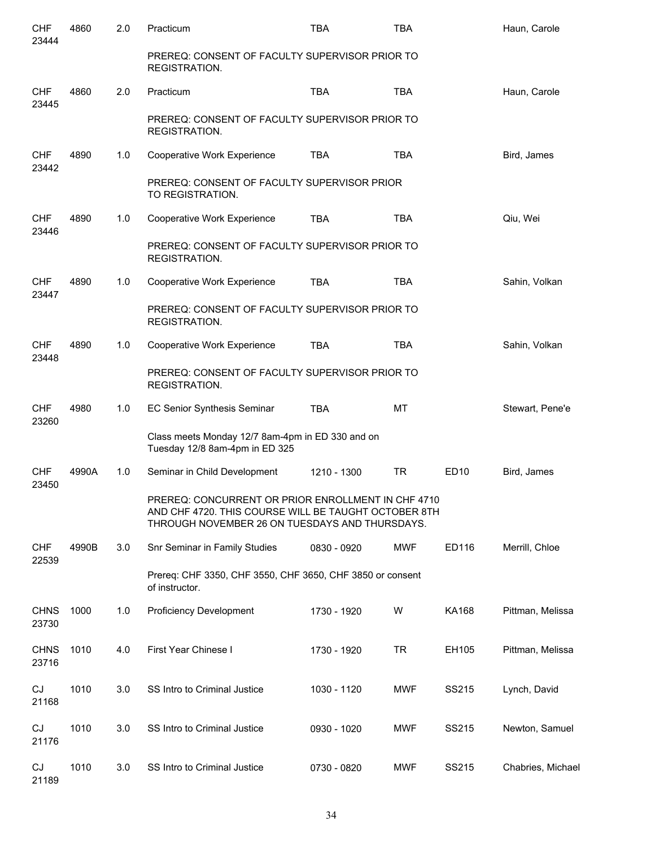| <b>CHF</b><br>23444  | 4860  | 2.0 | Practicum                                                                                                                                                     | <b>TBA</b>  | <b>TBA</b> |              | Haun, Carole      |
|----------------------|-------|-----|---------------------------------------------------------------------------------------------------------------------------------------------------------------|-------------|------------|--------------|-------------------|
|                      |       |     | PREREQ: CONSENT OF FACULTY SUPERVISOR PRIOR TO<br>REGISTRATION.                                                                                               |             |            |              |                   |
| <b>CHF</b><br>23445  | 4860  | 2.0 | Practicum                                                                                                                                                     | <b>TBA</b>  | <b>TBA</b> |              | Haun, Carole      |
|                      |       |     | PREREQ: CONSENT OF FACULTY SUPERVISOR PRIOR TO<br>REGISTRATION.                                                                                               |             |            |              |                   |
| <b>CHF</b><br>23442  | 4890  | 1.0 | Cooperative Work Experience                                                                                                                                   | <b>TBA</b>  | <b>TBA</b> |              | Bird, James       |
|                      |       |     | PREREQ: CONSENT OF FACULTY SUPERVISOR PRIOR<br>TO REGISTRATION.                                                                                               |             |            |              |                   |
| <b>CHF</b><br>23446  | 4890  | 1.0 | Cooperative Work Experience                                                                                                                                   | <b>TBA</b>  | <b>TBA</b> |              | Qiu, Wei          |
|                      |       |     | PREREQ: CONSENT OF FACULTY SUPERVISOR PRIOR TO<br>REGISTRATION.                                                                                               |             |            |              |                   |
| <b>CHF</b><br>23447  | 4890  | 1.0 | Cooperative Work Experience                                                                                                                                   | <b>TBA</b>  | <b>TBA</b> |              | Sahin, Volkan     |
|                      |       |     | PREREQ: CONSENT OF FACULTY SUPERVISOR PRIOR TO<br>REGISTRATION.                                                                                               |             |            |              |                   |
| <b>CHF</b><br>23448  | 4890  | 1.0 | Cooperative Work Experience                                                                                                                                   | <b>TBA</b>  | <b>TBA</b> |              | Sahin, Volkan     |
|                      |       |     | PREREQ: CONSENT OF FACULTY SUPERVISOR PRIOR TO<br>REGISTRATION.                                                                                               |             |            |              |                   |
| CHF<br>23260         | 4980  | 1.0 | EC Senior Synthesis Seminar                                                                                                                                   | <b>TBA</b>  | <b>MT</b>  |              | Stewart, Pene'e   |
|                      |       |     | Class meets Monday 12/7 8am-4pm in ED 330 and on<br>Tuesday 12/8 8am-4pm in ED 325                                                                            |             |            |              |                   |
| CHF<br>23450         | 4990A | 1.0 | Seminar in Child Development                                                                                                                                  | 1210 - 1300 | <b>TR</b>  | <b>ED10</b>  | Bird, James       |
|                      |       |     | PREREO: CONCURRENT OR PRIOR ENROLL MENT IN CHE 4710<br>AND CHF 4720. THIS COURSE WILL BE TAUGHT OCTOBER 8TH<br>THROUGH NOVEMBER 26 ON TUESDAYS AND THURSDAYS. |             |            |              |                   |
| <b>CHF</b><br>22539  | 4990B | 3.0 | Snr Seminar in Family Studies                                                                                                                                 | 0830 - 0920 | MWF        | ED116        | Merrill, Chloe    |
|                      |       |     | Prereq: CHF 3350, CHF 3550, CHF 3650, CHF 3850 or consent<br>of instructor.                                                                                   |             |            |              |                   |
| <b>CHNS</b><br>23730 | 1000  | 1.0 | <b>Proficiency Development</b>                                                                                                                                | 1730 - 1920 | W          | <b>KA168</b> | Pittman, Melissa  |
| <b>CHNS</b><br>23716 | 1010  | 4.0 | First Year Chinese I                                                                                                                                          | 1730 - 1920 | <b>TR</b>  | EH105        | Pittman, Melissa  |
| CJ<br>21168          | 1010  | 3.0 | SS Intro to Criminal Justice                                                                                                                                  | 1030 - 1120 | MWF        | SS215        | Lynch, David      |
| CJ<br>21176          | 1010  | 3.0 | SS Intro to Criminal Justice                                                                                                                                  | 0930 - 1020 | <b>MWF</b> | SS215        | Newton, Samuel    |
| CJ<br>21189          | 1010  | 3.0 | SS Intro to Criminal Justice                                                                                                                                  | 0730 - 0820 | <b>MWF</b> | SS215        | Chabries, Michael |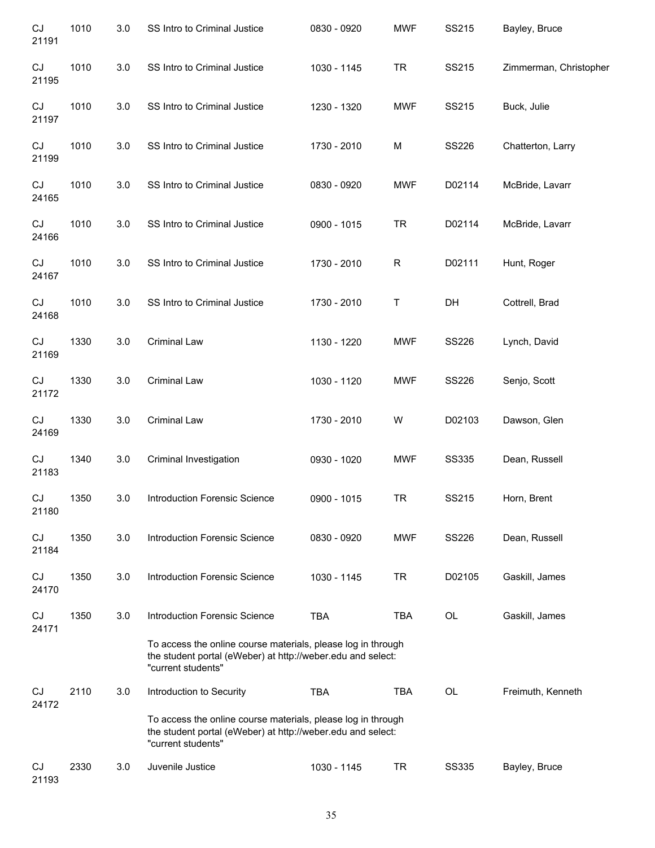| $\mathop{\rm CJ}$<br>21191 | 1010 | 3.0     | SS Intro to Criminal Justice                                                                                                                      | 0830 - 0920 | <b>MWF</b> | SS215        | Bayley, Bruce          |
|----------------------------|------|---------|---------------------------------------------------------------------------------------------------------------------------------------------------|-------------|------------|--------------|------------------------|
| CJ<br>21195                | 1010 | 3.0     | SS Intro to Criminal Justice                                                                                                                      | 1030 - 1145 | <b>TR</b>  | SS215        | Zimmerman, Christopher |
| CJ<br>21197                | 1010 | 3.0     | SS Intro to Criminal Justice                                                                                                                      | 1230 - 1320 | <b>MWF</b> | SS215        | Buck, Julie            |
| CJ<br>21199                | 1010 | 3.0     | SS Intro to Criminal Justice                                                                                                                      | 1730 - 2010 | M          | <b>SS226</b> | Chatterton, Larry      |
| CJ<br>24165                | 1010 | 3.0     | SS Intro to Criminal Justice                                                                                                                      | 0830 - 0920 | <b>MWF</b> | D02114       | McBride, Lavarr        |
| CJ<br>24166                | 1010 | 3.0     | SS Intro to Criminal Justice                                                                                                                      | 0900 - 1015 | <b>TR</b>  | D02114       | McBride, Lavarr        |
| CJ<br>24167                | 1010 | 3.0     | SS Intro to Criminal Justice                                                                                                                      | 1730 - 2010 | ${\sf R}$  | D02111       | Hunt, Roger            |
| CJ<br>24168                | 1010 | 3.0     | SS Intro to Criminal Justice                                                                                                                      | 1730 - 2010 | Τ          | DH           | Cottrell, Brad         |
| CJ<br>21169                | 1330 | 3.0     | <b>Criminal Law</b>                                                                                                                               | 1130 - 1220 | <b>MWF</b> | <b>SS226</b> | Lynch, David           |
| CJ<br>21172                | 1330 | 3.0     | <b>Criminal Law</b>                                                                                                                               | 1030 - 1120 | <b>MWF</b> | SS226        | Senjo, Scott           |
| CJ<br>24169                | 1330 | 3.0     | <b>Criminal Law</b>                                                                                                                               | 1730 - 2010 | W          | D02103       | Dawson, Glen           |
| CJ<br>21183                | 1340 | 3.0     | Criminal Investigation                                                                                                                            | 0930 - 1020 | <b>MWF</b> | <b>SS335</b> | Dean, Russell          |
| CJ<br>21180                | 1350 | $3.0\,$ | Introduction Forensic Science                                                                                                                     | 0900 - 1015 | <b>TR</b>  | SS215        | Horn, Brent            |
| CJ<br>21184                | 1350 | 3.0     | <b>Introduction Forensic Science</b>                                                                                                              | 0830 - 0920 | <b>MWF</b> | <b>SS226</b> | Dean, Russell          |
| CJ<br>24170                | 1350 | 3.0     | <b>Introduction Forensic Science</b>                                                                                                              | 1030 - 1145 | <b>TR</b>  | D02105       | Gaskill, James         |
| CJ<br>24171                | 1350 | 3.0     | <b>Introduction Forensic Science</b>                                                                                                              | <b>TBA</b>  | TBA        | OL           | Gaskill, James         |
|                            |      |         | To access the online course materials, please log in through<br>the student portal (eWeber) at http://weber.edu and select:<br>"current students" |             |            |              |                        |
| CJ<br>24172                | 2110 | 3.0     | Introduction to Security                                                                                                                          | <b>TBA</b>  | <b>TBA</b> | <b>OL</b>    | Freimuth, Kenneth      |
|                            |      |         | To access the online course materials, please log in through<br>the student portal (eWeber) at http://weber.edu and select:<br>"current students" |             |            |              |                        |
| CJ<br>21193                | 2330 | 3.0     | Juvenile Justice                                                                                                                                  | 1030 - 1145 | <b>TR</b>  | <b>SS335</b> | Bayley, Bruce          |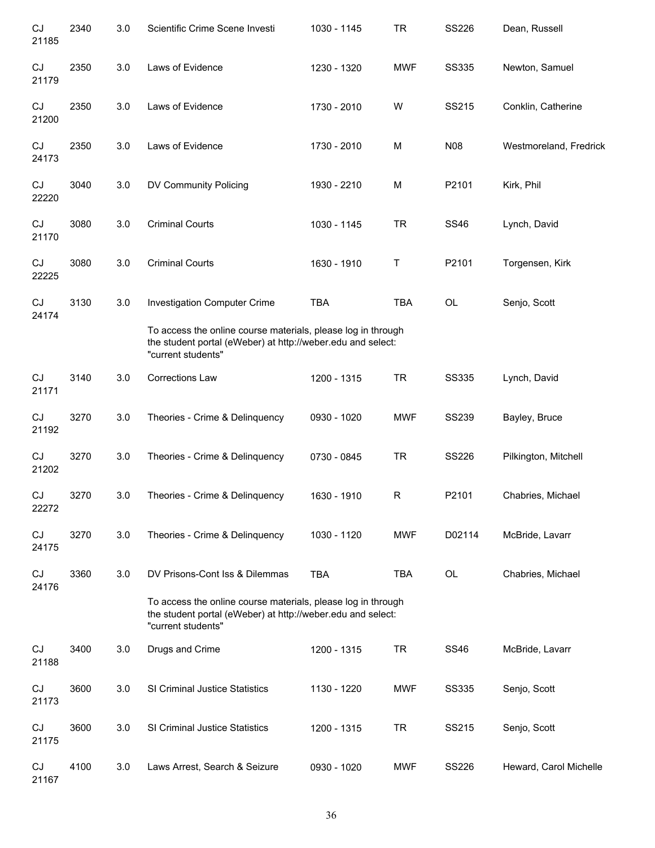| CJ<br>21185 | 2340 | 3.0 | Scientific Crime Scene Investi                                                                                                                    | 1030 - 1145 | <b>TR</b>   | SS226        | Dean, Russell          |
|-------------|------|-----|---------------------------------------------------------------------------------------------------------------------------------------------------|-------------|-------------|--------------|------------------------|
| CJ<br>21179 | 2350 | 3.0 | Laws of Evidence                                                                                                                                  | 1230 - 1320 | <b>MWF</b>  | <b>SS335</b> | Newton, Samuel         |
| CJ<br>21200 | 2350 | 3.0 | Laws of Evidence                                                                                                                                  | 1730 - 2010 | W           | SS215        | Conklin, Catherine     |
| CJ<br>24173 | 2350 | 3.0 | Laws of Evidence                                                                                                                                  | 1730 - 2010 | M           | <b>N08</b>   | Westmoreland, Fredrick |
| CJ<br>22220 | 3040 | 3.0 | DV Community Policing                                                                                                                             | 1930 - 2210 | M           | P2101        | Kirk, Phil             |
| CJ<br>21170 | 3080 | 3.0 | <b>Criminal Courts</b>                                                                                                                            | 1030 - 1145 | <b>TR</b>   | <b>SS46</b>  | Lynch, David           |
| CJ<br>22225 | 3080 | 3.0 | <b>Criminal Courts</b>                                                                                                                            | 1630 - 1910 | Τ           | P2101        | Torgensen, Kirk        |
| CJ<br>24174 | 3130 | 3.0 | <b>Investigation Computer Crime</b>                                                                                                               | <b>TBA</b>  | <b>TBA</b>  | OL           | Senjo, Scott           |
|             |      |     | To access the online course materials, please log in through<br>the student portal (eWeber) at http://weber.edu and select:<br>"current students" |             |             |              |                        |
| CJ<br>21171 | 3140 | 3.0 | <b>Corrections Law</b>                                                                                                                            | 1200 - 1315 | <b>TR</b>   | <b>SS335</b> | Lynch, David           |
| CJ<br>21192 | 3270 | 3.0 | Theories - Crime & Delinquency                                                                                                                    | 0930 - 1020 | <b>MWF</b>  | <b>SS239</b> | Bayley, Bruce          |
| CJ<br>21202 | 3270 | 3.0 | Theories - Crime & Delinquency                                                                                                                    | 0730 - 0845 | <b>TR</b>   | SS226        | Pilkington, Mitchell   |
| CJ<br>22272 | 3270 | 3.0 | Theories - Crime & Delinquency                                                                                                                    | 1630 - 1910 | $\mathsf R$ | P2101        | Chabries, Michael      |
| CJ<br>24175 | 3270 | 3.0 | Theories - Crime & Delinquency                                                                                                                    | 1030 - 1120 | <b>MWF</b>  | D02114       | McBride, Lavarr        |
| CJ<br>24176 | 3360 | 3.0 | DV Prisons-Cont Iss & Dilemmas                                                                                                                    | <b>TBA</b>  | <b>TBA</b>  | OL           | Chabries, Michael      |
|             |      |     | To access the online course materials, please log in through<br>the student portal (eWeber) at http://weber.edu and select:<br>"current students" |             |             |              |                        |
| CJ<br>21188 | 3400 | 3.0 | Drugs and Crime                                                                                                                                   | 1200 - 1315 | <b>TR</b>   | <b>SS46</b>  | McBride, Lavarr        |
| CJ<br>21173 | 3600 | 3.0 | SI Criminal Justice Statistics                                                                                                                    | 1130 - 1220 | <b>MWF</b>  | <b>SS335</b> | Senjo, Scott           |
| CJ<br>21175 | 3600 | 3.0 | SI Criminal Justice Statistics                                                                                                                    | 1200 - 1315 | <b>TR</b>   | SS215        | Senjo, Scott           |
| CJ<br>21167 | 4100 | 3.0 | Laws Arrest, Search & Seizure                                                                                                                     | 0930 - 1020 | <b>MWF</b>  | <b>SS226</b> | Heward, Carol Michelle |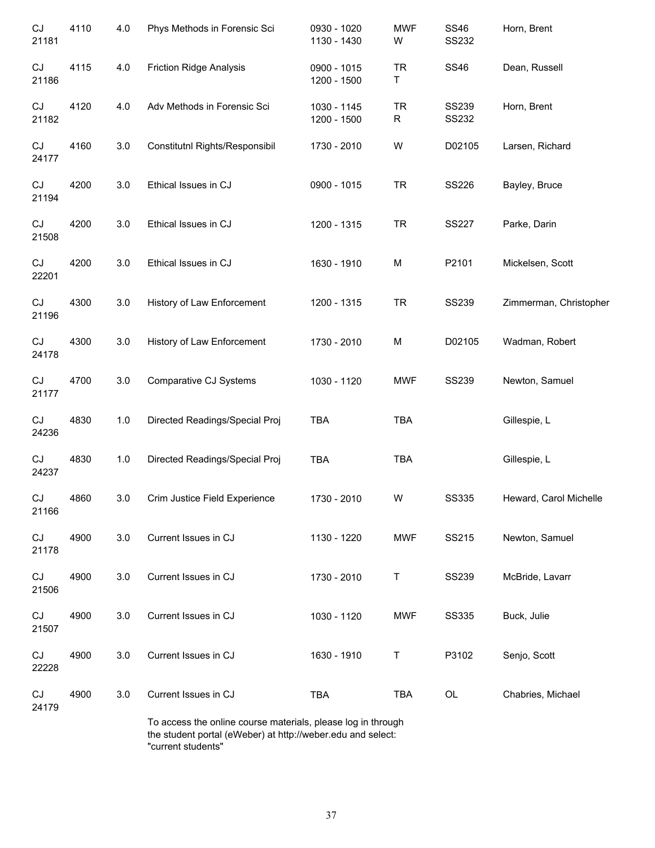| CJ<br>21181 | 4110 | 4.0 | Phys Methods in Forensic Sci                                                                                                | 0930 - 1020<br>1130 - 1430 | <b>MWF</b><br>W | <b>SS46</b><br>SS232         | Horn, Brent            |
|-------------|------|-----|-----------------------------------------------------------------------------------------------------------------------------|----------------------------|-----------------|------------------------------|------------------------|
| CJ<br>21186 | 4115 | 4.0 | <b>Friction Ridge Analysis</b>                                                                                              | 0900 - 1015<br>1200 - 1500 | <b>TR</b><br>Τ  | <b>SS46</b>                  | Dean, Russell          |
| CJ<br>21182 | 4120 | 4.0 | Adv Methods in Forensic Sci                                                                                                 | 1030 - 1145<br>1200 - 1500 | <b>TR</b><br>R  | <b>SS239</b><br><b>SS232</b> | Horn, Brent            |
| CJ<br>24177 | 4160 | 3.0 | Constitutnl Rights/Responsibil                                                                                              | 1730 - 2010                | W               | D02105                       | Larsen, Richard        |
| CJ<br>21194 | 4200 | 3.0 | Ethical Issues in CJ                                                                                                        | 0900 - 1015                | <b>TR</b>       | SS226                        | Bayley, Bruce          |
| CJ<br>21508 | 4200 | 3.0 | Ethical Issues in CJ                                                                                                        | 1200 - 1315                | <b>TR</b>       | <b>SS227</b>                 | Parke, Darin           |
| CJ<br>22201 | 4200 | 3.0 | Ethical Issues in CJ                                                                                                        | 1630 - 1910                | M               | P2101                        | Mickelsen, Scott       |
| CJ<br>21196 | 4300 | 3.0 | History of Law Enforcement                                                                                                  | 1200 - 1315                | <b>TR</b>       | <b>SS239</b>                 | Zimmerman, Christopher |
| CJ<br>24178 | 4300 | 3.0 | History of Law Enforcement                                                                                                  | 1730 - 2010                | M               | D02105                       | Wadman, Robert         |
| CJ<br>21177 | 4700 | 3.0 | Comparative CJ Systems                                                                                                      | 1030 - 1120                | <b>MWF</b>      | <b>SS239</b>                 | Newton, Samuel         |
| CJ<br>24236 | 4830 | 1.0 | Directed Readings/Special Proj                                                                                              | <b>TBA</b>                 | <b>TBA</b>      |                              | Gillespie, L           |
| CJ<br>24237 | 4830 | 1.0 | Directed Readings/Special Proj                                                                                              | TBA                        | <b>TBA</b>      |                              | Gillespie, L           |
| CJ<br>21166 | 4860 | 3.0 | Crim Justice Field Experience                                                                                               | 1730 - 2010                | W               | <b>SS335</b>                 | Heward, Carol Michelle |
| CJ<br>21178 | 4900 | 3.0 | Current Issues in CJ                                                                                                        | 1130 - 1220                | <b>MWF</b>      | SS215                        | Newton, Samuel         |
| CJ<br>21506 | 4900 | 3.0 | Current Issues in CJ                                                                                                        | 1730 - 2010                | Τ               | <b>SS239</b>                 | McBride, Lavarr        |
| CJ<br>21507 | 4900 | 3.0 | Current Issues in CJ                                                                                                        | 1030 - 1120                | <b>MWF</b>      | <b>SS335</b>                 | Buck, Julie            |
| CJ<br>22228 | 4900 | 3.0 | Current Issues in CJ                                                                                                        | 1630 - 1910                | Τ               | P3102                        | Senjo, Scott           |
| CJ<br>24179 | 4900 | 3.0 | Current Issues in CJ                                                                                                        | TBA                        | TBA             | OL                           | Chabries, Michael      |
|             |      |     | To access the online course materials, please log in through<br>the student portal (eWeber) at http://weber.edu and select: |                            |                 |                              |                        |

"current students"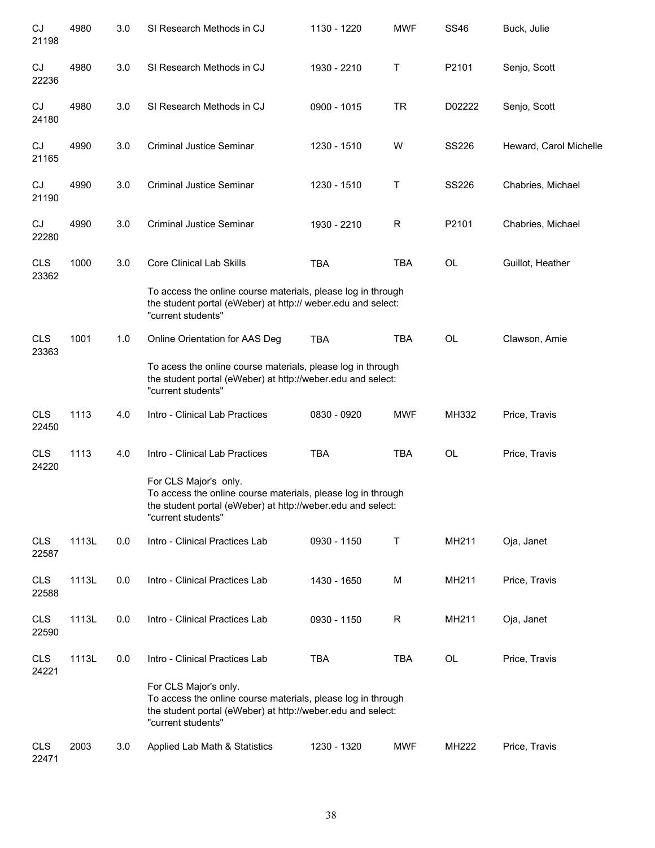| CJ<br>21198         | 4980  | 3.0 | SI Research Methods in CJ                                                                                                                                                  | 1130 - 1220 | <b>MWF</b> | <b>SS46</b>  | Buck, Julie            |
|---------------------|-------|-----|----------------------------------------------------------------------------------------------------------------------------------------------------------------------------|-------------|------------|--------------|------------------------|
| CJ<br>22236         | 4980  | 3.0 | SI Research Methods in CJ                                                                                                                                                  | 1930 - 2210 | Τ          | P2101        | Senjo, Scott           |
| CJ<br>24180         | 4980  | 3.0 | SI Research Methods in CJ                                                                                                                                                  | 0900 - 1015 | <b>TR</b>  | D02222       | Senjo, Scott           |
| CJ<br>21165         | 4990  | 3.0 | <b>Criminal Justice Seminar</b>                                                                                                                                            | 1230 - 1510 | W          | SS226        | Heward, Carol Michelle |
| CJ<br>21190         | 4990  | 3.0 | <b>Criminal Justice Seminar</b>                                                                                                                                            | 1230 - 1510 | Τ          | <b>SS226</b> | Chabries, Michael      |
| CJ<br>22280         | 4990  | 3.0 | <b>Criminal Justice Seminar</b>                                                                                                                                            | 1930 - 2210 | R          | P2101        | Chabries, Michael      |
| <b>CLS</b><br>23362 | 1000  | 3.0 | <b>Core Clinical Lab Skills</b>                                                                                                                                            | <b>TBA</b>  | <b>TBA</b> | OL           | Guillot, Heather       |
|                     |       |     | To access the online course materials, please log in through<br>the student portal (eWeber) at http:// weber.edu and select:<br>"current students"                         |             |            |              |                        |
| <b>CLS</b><br>23363 | 1001  | 1.0 | Online Orientation for AAS Deg                                                                                                                                             | <b>TBA</b>  | <b>TBA</b> | <b>OL</b>    | Clawson, Amie          |
|                     |       |     | To acess the online course materials, please log in through<br>the student portal (eWeber) at http://weber.edu and select:<br>"current students"                           |             |            |              |                        |
| <b>CLS</b><br>22450 | 1113  | 4.0 | Intro - Clinical Lab Practices                                                                                                                                             | 0830 - 0920 | <b>MWF</b> | MH332        | Price, Travis          |
| <b>CLS</b><br>24220 | 1113  | 4.0 | Intro - Clinical Lab Practices                                                                                                                                             | <b>TBA</b>  | <b>TBA</b> | OL           | Price, Travis          |
|                     |       |     | For CLS Major's only.<br>To access the online course materials, please log in through<br>the student portal (eWeber) at http://weber.edu and select:<br>"current students" |             |            |              |                        |
| <b>CLS</b><br>22587 | 1113L | 0.0 | Intro - Clinical Practices Lab                                                                                                                                             | 0930 - 1150 | $\sf T$    | MH211        | Oja, Janet             |
| <b>CLS</b><br>22588 | 1113L | 0.0 | Intro - Clinical Practices Lab                                                                                                                                             | 1430 - 1650 | M          | MH211        | Price, Travis          |
| <b>CLS</b><br>22590 | 1113L | 0.0 | Intro - Clinical Practices Lab                                                                                                                                             | 0930 - 1150 | R          | MH211        | Oja, Janet             |
| <b>CLS</b><br>24221 | 1113L | 0.0 | Intro - Clinical Practices Lab                                                                                                                                             | <b>TBA</b>  | <b>TBA</b> | OL           | Price, Travis          |
|                     |       |     | For CLS Major's only.<br>To access the online course materials, please log in through<br>the student portal (eWeber) at http://weber.edu and select:<br>"current students" |             |            |              |                        |
| <b>CLS</b><br>22471 | 2003  | 3.0 | Applied Lab Math & Statistics                                                                                                                                              | 1230 - 1320 | <b>MWF</b> | MH222        | Price, Travis          |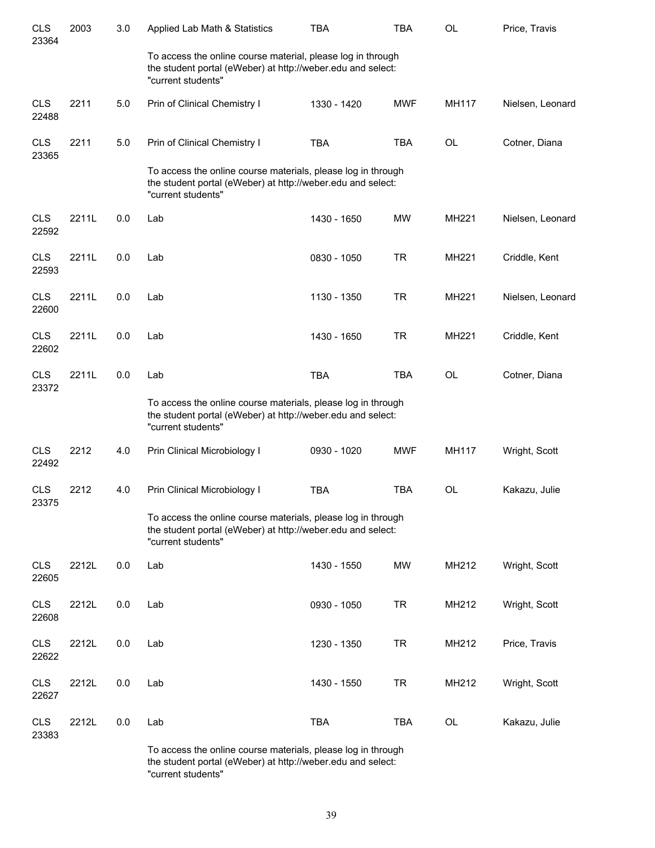| <b>CLS</b><br>23364 | 2003  | 3.0 | Applied Lab Math & Statistics                                                                                                                     | <b>TBA</b>  | <b>TBA</b> | <b>OL</b>    | Price, Travis    |
|---------------------|-------|-----|---------------------------------------------------------------------------------------------------------------------------------------------------|-------------|------------|--------------|------------------|
|                     |       |     | To access the online course material, please log in through<br>the student portal (eWeber) at http://weber.edu and select:<br>"current students"  |             |            |              |                  |
| <b>CLS</b><br>22488 | 2211  | 5.0 | Prin of Clinical Chemistry I                                                                                                                      | 1330 - 1420 | <b>MWF</b> | MH117        | Nielsen, Leonard |
| <b>CLS</b><br>23365 | 2211  | 5.0 | Prin of Clinical Chemistry I                                                                                                                      | <b>TBA</b>  | <b>TBA</b> | OL           | Cotner, Diana    |
|                     |       |     | To access the online course materials, please log in through<br>the student portal (eWeber) at http://weber.edu and select:<br>"current students" |             |            |              |                  |
| <b>CLS</b><br>22592 | 2211L | 0.0 | Lab                                                                                                                                               | 1430 - 1650 | <b>MW</b>  | <b>MH221</b> | Nielsen, Leonard |
| <b>CLS</b><br>22593 | 2211L | 0.0 | Lab                                                                                                                                               | 0830 - 1050 | <b>TR</b>  | MH221        | Criddle, Kent    |
| <b>CLS</b><br>22600 | 2211L | 0.0 | Lab                                                                                                                                               | 1130 - 1350 | <b>TR</b>  | MH221        | Nielsen, Leonard |
| <b>CLS</b><br>22602 | 2211L | 0.0 | Lab                                                                                                                                               | 1430 - 1650 | <b>TR</b>  | MH221        | Criddle, Kent    |
| <b>CLS</b><br>23372 | 2211L | 0.0 | Lab                                                                                                                                               | <b>TBA</b>  | <b>TBA</b> | <b>OL</b>    | Cotner, Diana    |
|                     |       |     | To access the online course materials, please log in through<br>the student portal (eWeber) at http://weber.edu and select:<br>"current students" |             |            |              |                  |
| <b>CLS</b><br>22492 | 2212  | 4.0 | Prin Clinical Microbiology I                                                                                                                      | 0930 - 1020 | <b>MWF</b> | MH117        | Wright, Scott    |
| <b>CLS</b><br>23375 | 2212  | 4.0 | Prin Clinical Microbiology I                                                                                                                      | <b>TBA</b>  | <b>TBA</b> | OL           | Kakazu, Julie    |
|                     |       |     | To access the online course materials, please log in through<br>the student portal (eWeber) at http://weber.edu and select:<br>"current students" |             |            |              |                  |
| <b>CLS</b><br>22605 | 2212L | 0.0 | Lab                                                                                                                                               | 1430 - 1550 | <b>MW</b>  | MH212        | Wright, Scott    |
| <b>CLS</b><br>22608 | 2212L | 0.0 | Lab                                                                                                                                               | 0930 - 1050 | <b>TR</b>  | MH212        | Wright, Scott    |
| <b>CLS</b><br>22622 | 2212L | 0.0 | Lab                                                                                                                                               | 1230 - 1350 | <b>TR</b>  | MH212        | Price, Travis    |
| <b>CLS</b><br>22627 | 2212L | 0.0 | Lab                                                                                                                                               | 1430 - 1550 | <b>TR</b>  | MH212        | Wright, Scott    |
| <b>CLS</b><br>23383 | 2212L | 0.0 | Lab                                                                                                                                               | <b>TBA</b>  | <b>TBA</b> | OL           | Kakazu, Julie    |
|                     |       |     | course motorials                                                                                                                                  |             |            |              |                  |

To access the online course materials, please log in through the student portal (eWeber) at http://weber.edu and select: "current students"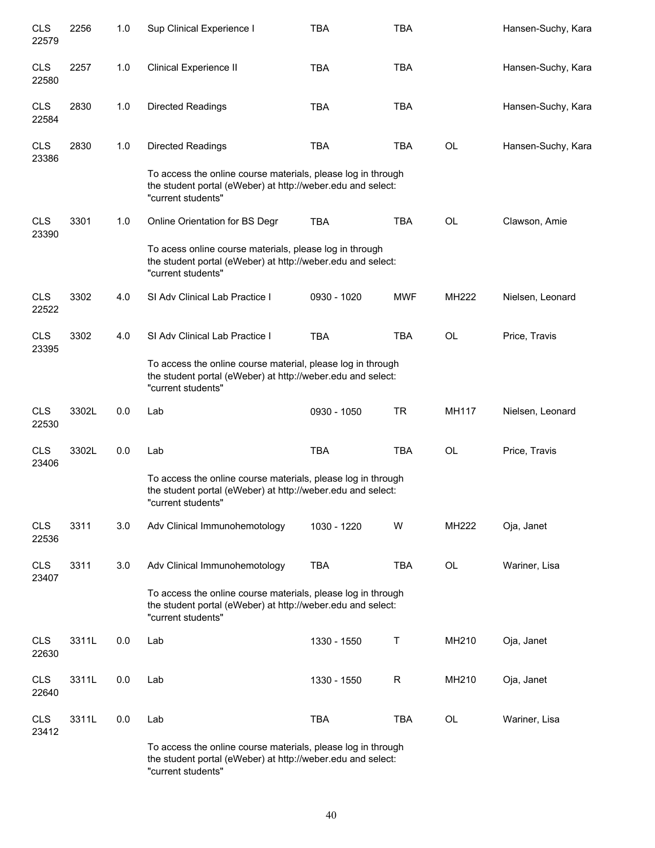| <b>CLS</b><br>22579 | 2256  | 1.0 | Sup Clinical Experience I                                                                                                                         | <b>TBA</b>  | <b>TBA</b> |              | Hansen-Suchy, Kara |
|---------------------|-------|-----|---------------------------------------------------------------------------------------------------------------------------------------------------|-------------|------------|--------------|--------------------|
| <b>CLS</b><br>22580 | 2257  | 1.0 | Clinical Experience II                                                                                                                            | <b>TBA</b>  | <b>TBA</b> |              | Hansen-Suchy, Kara |
| <b>CLS</b><br>22584 | 2830  | 1.0 | Directed Readings                                                                                                                                 | <b>TBA</b>  | <b>TBA</b> |              | Hansen-Suchy, Kara |
| <b>CLS</b><br>23386 | 2830  | 1.0 | Directed Readings                                                                                                                                 | <b>TBA</b>  | <b>TBA</b> | <b>OL</b>    | Hansen-Suchy, Kara |
|                     |       |     | To access the online course materials, please log in through<br>the student portal (eWeber) at http://weber.edu and select:<br>"current students" |             |            |              |                    |
| <b>CLS</b><br>23390 | 3301  | 1.0 | Online Orientation for BS Degr                                                                                                                    | <b>TBA</b>  | <b>TBA</b> | OL           | Clawson, Amie      |
|                     |       |     | To acess online course materials, please log in through<br>the student portal (eWeber) at http://weber.edu and select:<br>"current students"      |             |            |              |                    |
| <b>CLS</b><br>22522 | 3302  | 4.0 | SI Adv Clinical Lab Practice I                                                                                                                    | 0930 - 1020 | <b>MWF</b> | MH222        | Nielsen, Leonard   |
| <b>CLS</b><br>23395 | 3302  | 4.0 | SI Adv Clinical Lab Practice I                                                                                                                    | <b>TBA</b>  | <b>TBA</b> | OL           | Price, Travis      |
|                     |       |     | To access the online course material, please log in through<br>the student portal (eWeber) at http://weber.edu and select:<br>"current students"  |             |            |              |                    |
| <b>CLS</b><br>22530 | 3302L | 0.0 | Lab                                                                                                                                               | 0930 - 1050 | <b>TR</b>  | <b>MH117</b> | Nielsen, Leonard   |
| <b>CLS</b><br>23406 | 3302L | 0.0 | Lab                                                                                                                                               | <b>TBA</b>  | <b>TBA</b> | OL           | Price, Travis      |
|                     |       |     | To access the online course materials, please log in through<br>the student portal (eWeber) at http://weber.edu and select:<br>"current students" |             |            |              |                    |
| <b>CLS</b><br>22536 | 3311  | 3.0 | Adv Clinical Immunohemotology                                                                                                                     | 1030 - 1220 | W          | MH222        | Oja, Janet         |
| <b>CLS</b><br>23407 | 3311  | 3.0 | Adv Clinical Immunohemotology                                                                                                                     | <b>TBA</b>  | <b>TBA</b> | OL           | Wariner, Lisa      |
|                     |       |     | To access the online course materials, please log in through<br>the student portal (eWeber) at http://weber.edu and select:<br>"current students" |             |            |              |                    |
| <b>CLS</b><br>22630 | 3311L | 0.0 | Lab                                                                                                                                               | 1330 - 1550 | Τ          | MH210        | Oja, Janet         |
| <b>CLS</b><br>22640 | 3311L | 0.0 | Lab                                                                                                                                               | 1330 - 1550 | R          | MH210        | Oja, Janet         |
| <b>CLS</b><br>23412 | 3311L | 0.0 | Lab                                                                                                                                               | <b>TBA</b>  | <b>TBA</b> | OL           | Wariner, Lisa      |
|                     |       |     | To access the online course materials, please log in through<br>the student portal (eWeber) at http://weber.edu and select:<br>"current students" |             |            |              |                    |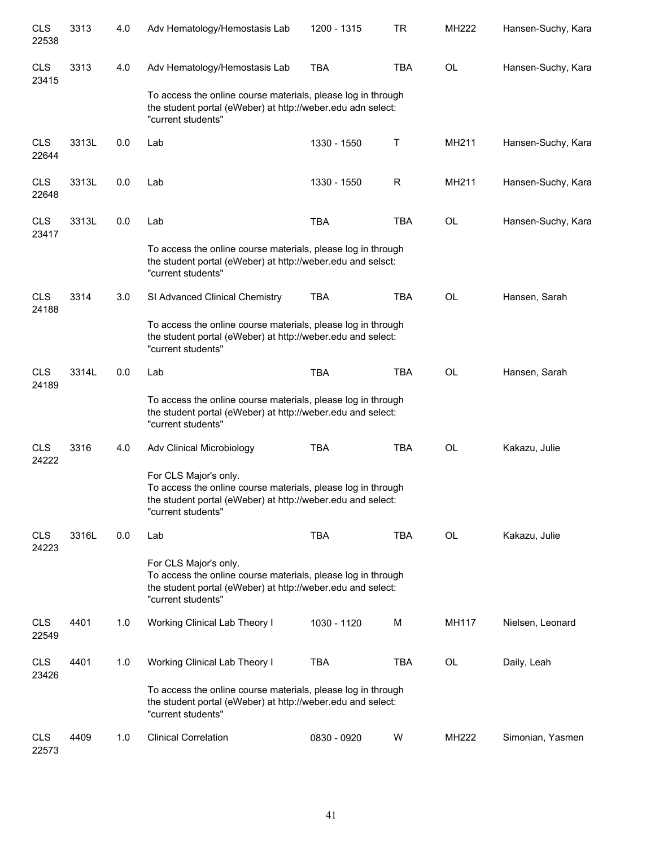| <b>CLS</b><br>22538 | 3313  | 4.0 | Adv Hematology/Hemostasis Lab                                                                                                                                              | 1200 - 1315 | TR         | MH222     | Hansen-Suchy, Kara |
|---------------------|-------|-----|----------------------------------------------------------------------------------------------------------------------------------------------------------------------------|-------------|------------|-----------|--------------------|
| <b>CLS</b><br>23415 | 3313  | 4.0 | Adv Hematology/Hemostasis Lab                                                                                                                                              | <b>TBA</b>  | <b>TBA</b> | OL        | Hansen-Suchy, Kara |
|                     |       |     | To access the online course materials, please log in through<br>the student portal (eWeber) at http://weber.edu adn select:<br>"current students"                          |             |            |           |                    |
| <b>CLS</b><br>22644 | 3313L | 0.0 | Lab                                                                                                                                                                        | 1330 - 1550 | Т          | MH211     | Hansen-Suchy, Kara |
| <b>CLS</b><br>22648 | 3313L | 0.0 | Lab                                                                                                                                                                        | 1330 - 1550 | R          | MH211     | Hansen-Suchy, Kara |
| <b>CLS</b><br>23417 | 3313L | 0.0 | Lab                                                                                                                                                                        | <b>TBA</b>  | <b>TBA</b> | OL        | Hansen-Suchy, Kara |
|                     |       |     | To access the online course materials, please log in through<br>the student portal (eWeber) at http://weber.edu and selsct:<br>"current students"                          |             |            |           |                    |
| <b>CLS</b><br>24188 | 3314  | 3.0 | SI Advanced Clinical Chemistry                                                                                                                                             | <b>TBA</b>  | <b>TBA</b> | <b>OL</b> | Hansen, Sarah      |
|                     |       |     | To access the online course materials, please log in through<br>the student portal (eWeber) at http://weber.edu and select:<br>"current students"                          |             |            |           |                    |
| <b>CLS</b><br>24189 | 3314L | 0.0 | Lab                                                                                                                                                                        | <b>TBA</b>  | <b>TBA</b> | OL        | Hansen, Sarah      |
|                     |       |     | To access the online course materials, please log in through<br>the student portal (eWeber) at http://weber.edu and select:<br>"current students"                          |             |            |           |                    |
| <b>CLS</b><br>24222 | 3316  | 4.0 | Adv Clinical Microbiology                                                                                                                                                  | <b>TBA</b>  | <b>TBA</b> | OL        | Kakazu, Julie      |
|                     |       |     | For CLS Major's only.<br>To access the online course materials, please log in through<br>the student portal (eWeber) at http://weber.edu and select:<br>"current students" |             |            |           |                    |
| <b>CLS</b><br>24223 | 3316L | 0.0 | Lab                                                                                                                                                                        | <b>TBA</b>  | <b>TBA</b> | OL        | Kakazu, Julie      |
|                     |       |     | For CLS Major's only.<br>To access the online course materials, please log in through<br>the student portal (eWeber) at http://weber.edu and select:<br>"current students" |             |            |           |                    |
| <b>CLS</b><br>22549 | 4401  | 1.0 | Working Clinical Lab Theory I                                                                                                                                              | 1030 - 1120 | М          | MH117     | Nielsen, Leonard   |
| <b>CLS</b><br>23426 | 4401  | 1.0 | Working Clinical Lab Theory I                                                                                                                                              | <b>TBA</b>  | <b>TBA</b> | OL        | Daily, Leah        |
|                     |       |     | To access the online course materials, please log in through<br>the student portal (eWeber) at http://weber.edu and select:<br>"current students"                          |             |            |           |                    |
| <b>CLS</b><br>22573 | 4409  | 1.0 | <b>Clinical Correlation</b>                                                                                                                                                | 0830 - 0920 | W          | MH222     | Simonian, Yasmen   |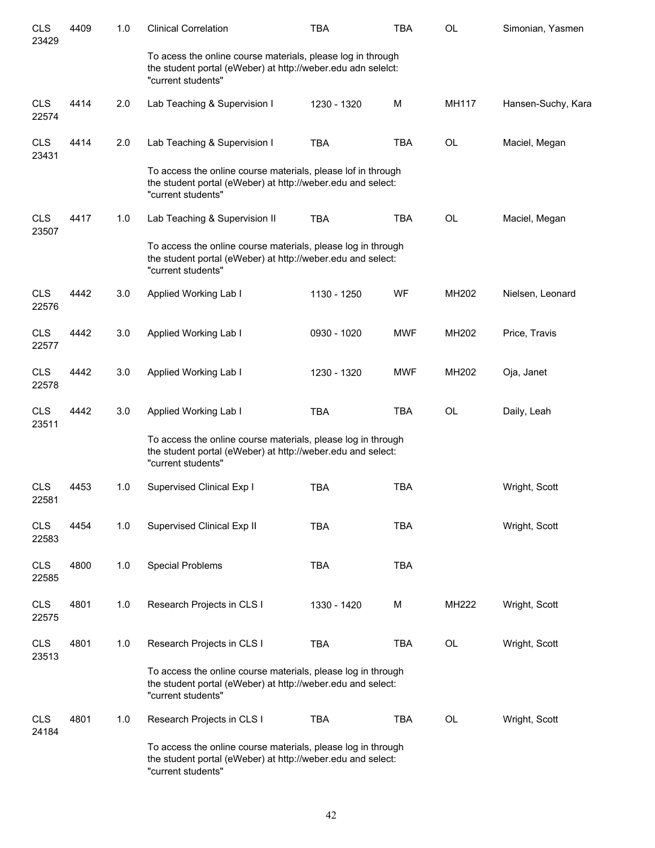| <b>CLS</b><br>23429 | 4409 | 1.0 | <b>Clinical Correlation</b>                                                                                                                       | <b>TBA</b>  | <b>TBA</b> | OL           | Simonian, Yasmen   |
|---------------------|------|-----|---------------------------------------------------------------------------------------------------------------------------------------------------|-------------|------------|--------------|--------------------|
|                     |      |     | To acess the online course materials, please log in through<br>the student portal (eWeber) at http://weber.edu adn seleict:<br>"current students" |             |            |              |                    |
| <b>CLS</b><br>22574 | 4414 | 2.0 | Lab Teaching & Supervision I                                                                                                                      | 1230 - 1320 | M          | <b>MH117</b> | Hansen-Suchy, Kara |
| <b>CLS</b><br>23431 | 4414 | 2.0 | Lab Teaching & Supervision I                                                                                                                      | <b>TBA</b>  | <b>TBA</b> | OL           | Maciel, Megan      |
|                     |      |     | To access the online course materials, please lof in through<br>the student portal (eWeber) at http://weber.edu and select:<br>"current students" |             |            |              |                    |
| <b>CLS</b><br>23507 | 4417 | 1.0 | Lab Teaching & Supervision II                                                                                                                     | <b>TBA</b>  | <b>TBA</b> | OL           | Maciel, Megan      |
|                     |      |     | To access the online course materials, please log in through<br>the student portal (eWeber) at http://weber.edu and select:<br>"current students" |             |            |              |                    |
| <b>CLS</b><br>22576 | 4442 | 3.0 | Applied Working Lab I                                                                                                                             | 1130 - 1250 | WF         | MH202        | Nielsen, Leonard   |
| <b>CLS</b><br>22577 | 4442 | 3.0 | Applied Working Lab I                                                                                                                             | 0930 - 1020 | <b>MWF</b> | MH202        | Price, Travis      |
| <b>CLS</b><br>22578 | 4442 | 3.0 | Applied Working Lab I                                                                                                                             | 1230 - 1320 | MWF        | MH202        | Oja, Janet         |
| <b>CLS</b><br>23511 | 4442 | 3.0 | Applied Working Lab I                                                                                                                             | <b>TBA</b>  | <b>TBA</b> | OL           | Daily, Leah        |
|                     |      |     | To access the online course materials, please log in through<br>the student portal (eWeber) at http://weber.edu and select:<br>"current students" |             |            |              |                    |
| <b>CLS</b><br>22581 | 4453 | 1.0 | Supervised Clinical Exp I                                                                                                                         | <b>TBA</b>  | <b>TBA</b> |              | Wright, Scott      |
| <b>CLS</b><br>22583 | 4454 | 1.0 | Supervised Clinical Exp II                                                                                                                        | <b>TBA</b>  | <b>TBA</b> |              | Wright, Scott      |
| <b>CLS</b><br>22585 | 4800 | 1.0 | <b>Special Problems</b>                                                                                                                           | <b>TBA</b>  | <b>TBA</b> |              |                    |
| <b>CLS</b><br>22575 | 4801 | 1.0 | Research Projects in CLS I                                                                                                                        | 1330 - 1420 | M          | MH222        | Wright, Scott      |
| <b>CLS</b><br>23513 | 4801 | 1.0 | Research Projects in CLS I                                                                                                                        | <b>TBA</b>  | <b>TBA</b> | OL           | Wright, Scott      |
|                     |      |     | To access the online course materials, please log in through<br>the student portal (eWeber) at http://weber.edu and select:<br>"current students" |             |            |              |                    |
| <b>CLS</b><br>24184 | 4801 | 1.0 | Research Projects in CLS I                                                                                                                        | <b>TBA</b>  | <b>TBA</b> | <b>OL</b>    | Wright, Scott      |
|                     |      |     | To access the online course materials, please log in through<br>the student portal (eWeber) at http://weber.edu and select:<br>"current students" |             |            |              |                    |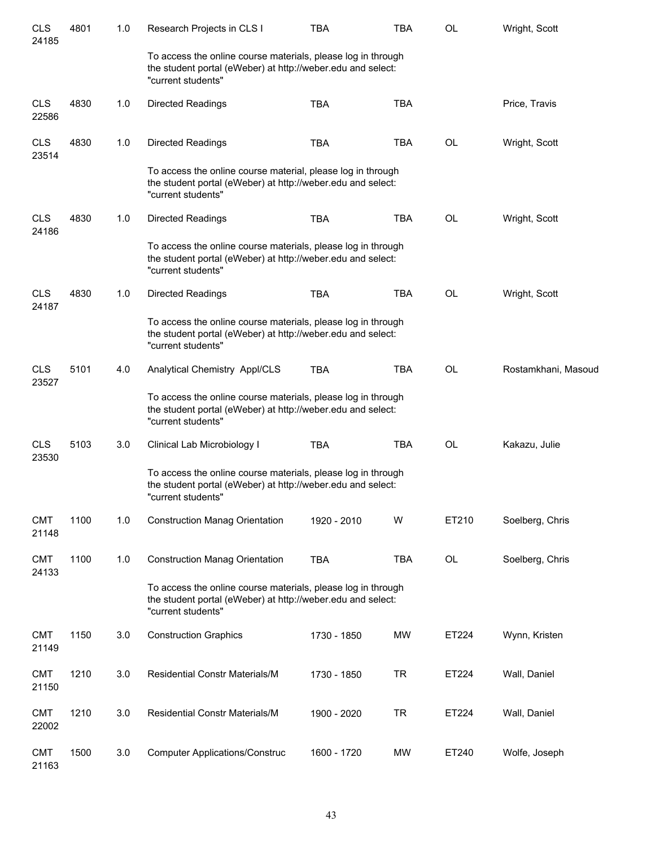| <b>CLS</b><br>24185 | 4801 | 1.0 | Research Projects in CLS I                                                                                                                        | <b>TBA</b>  | TBA        | OL        | Wright, Scott       |
|---------------------|------|-----|---------------------------------------------------------------------------------------------------------------------------------------------------|-------------|------------|-----------|---------------------|
|                     |      |     | To access the online course materials, please log in through<br>the student portal (eWeber) at http://weber.edu and select:<br>"current students" |             |            |           |                     |
| <b>CLS</b><br>22586 | 4830 | 1.0 | <b>Directed Readings</b>                                                                                                                          | <b>TBA</b>  | <b>TBA</b> |           | Price, Travis       |
| <b>CLS</b><br>23514 | 4830 | 1.0 | <b>Directed Readings</b>                                                                                                                          | <b>TBA</b>  | <b>TBA</b> | <b>OL</b> | Wright, Scott       |
|                     |      |     | To access the online course material, please log in through<br>the student portal (eWeber) at http://weber.edu and select:<br>"current students"  |             |            |           |                     |
| <b>CLS</b><br>24186 | 4830 | 1.0 | <b>Directed Readings</b>                                                                                                                          | <b>TBA</b>  | <b>TBA</b> | OL        | Wright, Scott       |
|                     |      |     | To access the online course materials, please log in through<br>the student portal (eWeber) at http://weber.edu and select:<br>"current students" |             |            |           |                     |
| <b>CLS</b><br>24187 | 4830 | 1.0 | <b>Directed Readings</b>                                                                                                                          | <b>TBA</b>  | <b>TBA</b> | OL        | Wright, Scott       |
|                     |      |     | To access the online course materials, please log in through<br>the student portal (eWeber) at http://weber.edu and select:<br>"current students" |             |            |           |                     |
| <b>CLS</b><br>23527 | 5101 | 4.0 | Analytical Chemistry Appl/CLS                                                                                                                     | <b>TBA</b>  | <b>TBA</b> | <b>OL</b> | Rostamkhani, Masoud |
|                     |      |     | To access the online course materials, please log in through<br>the student portal (eWeber) at http://weber.edu and select:<br>"current students" |             |            |           |                     |
| <b>CLS</b><br>23530 | 5103 | 3.0 | Clinical Lab Microbiology I                                                                                                                       | <b>TBA</b>  | <b>TBA</b> | <b>OL</b> | Kakazu, Julie       |
|                     |      |     | To access the online course materials, please log in through<br>the student portal (eWeber) at http://weber.edu and select:<br>"current students" |             |            |           |                     |
| <b>CMT</b><br>21148 | 1100 | 1.0 | <b>Construction Manag Orientation</b>                                                                                                             | 1920 - 2010 | W          | ET210     | Soelberg, Chris     |
| <b>CMT</b><br>24133 | 1100 | 1.0 | <b>Construction Manag Orientation</b>                                                                                                             | <b>TBA</b>  | <b>TBA</b> | OL        | Soelberg, Chris     |
|                     |      |     | To access the online course materials, please log in through<br>the student portal (eWeber) at http://weber.edu and select:<br>"current students" |             |            |           |                     |
| <b>CMT</b><br>21149 | 1150 | 3.0 | <b>Construction Graphics</b>                                                                                                                      | 1730 - 1850 | <b>MW</b>  | ET224     | Wynn, Kristen       |
| <b>CMT</b><br>21150 | 1210 | 3.0 | Residential Constr Materials/M                                                                                                                    | 1730 - 1850 | <b>TR</b>  | ET224     | Wall, Daniel        |
| <b>CMT</b><br>22002 | 1210 | 3.0 | Residential Constr Materials/M                                                                                                                    | 1900 - 2020 | <b>TR</b>  | ET224     | Wall, Daniel        |
| <b>CMT</b><br>21163 | 1500 | 3.0 | <b>Computer Applications/Construc</b>                                                                                                             | 1600 - 1720 | MW         | ET240     | Wolfe, Joseph       |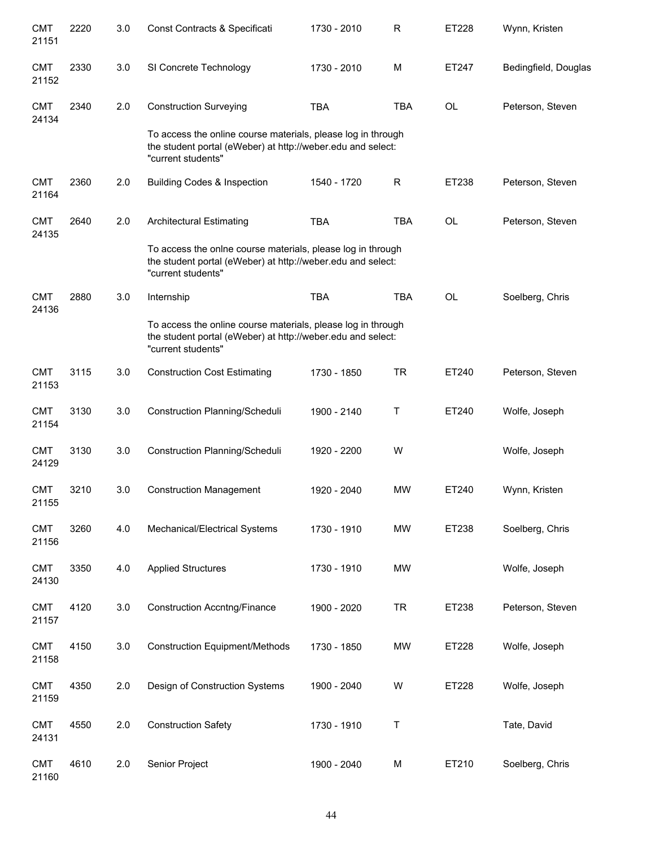| <b>CMT</b><br>21151 | 2220 | 3.0 | Const Contracts & Specificati                                                                                                                     | 1730 - 2010 | R          | ET228     | Wynn, Kristen        |
|---------------------|------|-----|---------------------------------------------------------------------------------------------------------------------------------------------------|-------------|------------|-----------|----------------------|
| <b>CMT</b><br>21152 | 2330 | 3.0 | SI Concrete Technology                                                                                                                            | 1730 - 2010 | M          | ET247     | Bedingfield, Douglas |
| <b>CMT</b><br>24134 | 2340 | 2.0 | <b>Construction Surveying</b>                                                                                                                     | <b>TBA</b>  | <b>TBA</b> | <b>OL</b> | Peterson, Steven     |
|                     |      |     | To access the online course materials, please log in through<br>the student portal (eWeber) at http://weber.edu and select:<br>"current students" |             |            |           |                      |
| <b>CMT</b><br>21164 | 2360 | 2.0 | <b>Building Codes &amp; Inspection</b>                                                                                                            | 1540 - 1720 | R          | ET238     | Peterson, Steven     |
| <b>CMT</b><br>24135 | 2640 | 2.0 | <b>Architectural Estimating</b>                                                                                                                   | <b>TBA</b>  | <b>TBA</b> | <b>OL</b> | Peterson, Steven     |
|                     |      |     | To access the onlne course materials, please log in through<br>the student portal (eWeber) at http://weber.edu and select:<br>"current students"  |             |            |           |                      |
| <b>CMT</b><br>24136 | 2880 | 3.0 | Internship                                                                                                                                        | <b>TBA</b>  | <b>TBA</b> | <b>OL</b> | Soelberg, Chris      |
|                     |      |     | To access the online course materials, please log in through<br>the student portal (eWeber) at http://weber.edu and select:<br>"current students" |             |            |           |                      |
| <b>CMT</b><br>21153 | 3115 | 3.0 | <b>Construction Cost Estimating</b>                                                                                                               | 1730 - 1850 | <b>TR</b>  | ET240     | Peterson, Steven     |
| <b>CMT</b><br>21154 | 3130 | 3.0 | Construction Planning/Scheduli                                                                                                                    | 1900 - 2140 | Τ          | ET240     | Wolfe, Joseph        |
| <b>CMT</b><br>24129 | 3130 | 3.0 | Construction Planning/Scheduli                                                                                                                    | 1920 - 2200 | W          |           | Wolfe, Joseph        |
| <b>CMT</b><br>21155 | 3210 | 3.0 | <b>Construction Management</b>                                                                                                                    | 1920 - 2040 | <b>MW</b>  | ET240     | Wynn, Kristen        |
| <b>CMT</b><br>21156 | 3260 | 4.0 | Mechanical/Electrical Systems                                                                                                                     | 1730 - 1910 | <b>MW</b>  | ET238     | Soelberg, Chris      |
| <b>CMT</b><br>24130 | 3350 | 4.0 | <b>Applied Structures</b>                                                                                                                         | 1730 - 1910 | <b>MW</b>  |           | Wolfe, Joseph        |
| <b>CMT</b><br>21157 | 4120 | 3.0 | <b>Construction Accntng/Finance</b>                                                                                                               | 1900 - 2020 | <b>TR</b>  | ET238     | Peterson, Steven     |
| <b>CMT</b><br>21158 | 4150 | 3.0 | <b>Construction Equipment/Methods</b>                                                                                                             | 1730 - 1850 | <b>MW</b>  | ET228     | Wolfe, Joseph        |
| <b>CMT</b><br>21159 | 4350 | 2.0 | Design of Construction Systems                                                                                                                    | 1900 - 2040 | W          | ET228     | Wolfe, Joseph        |
| <b>CMT</b><br>24131 | 4550 | 2.0 | <b>Construction Safety</b>                                                                                                                        | 1730 - 1910 | Τ          |           | Tate, David          |
| <b>CMT</b><br>21160 | 4610 | 2.0 | Senior Project                                                                                                                                    | 1900 - 2040 | M          | ET210     | Soelberg, Chris      |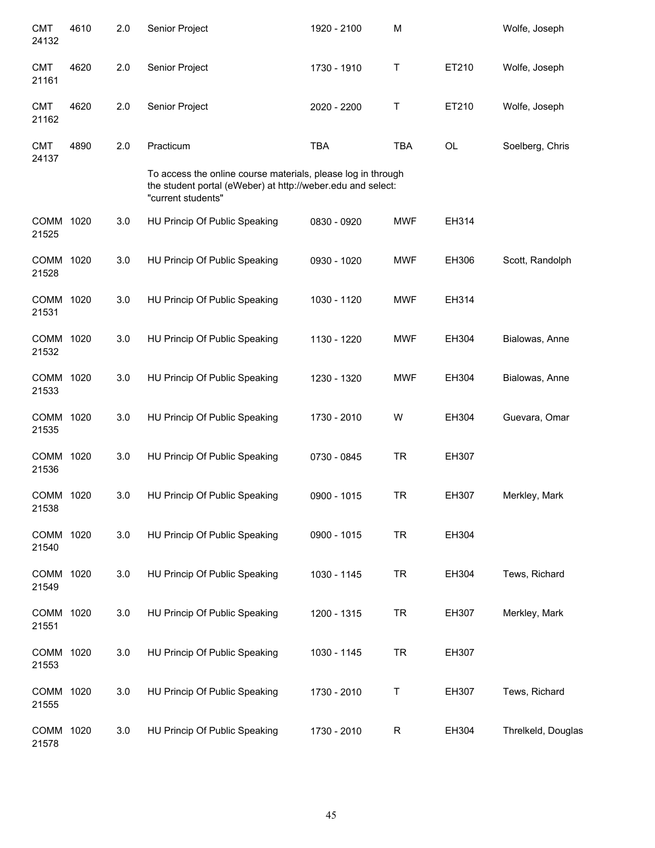| <b>CMT</b><br>24132  | 4610 | 2.0 | Senior Project                                                                                                                                                 | 1920 - 2100 | M          |       | Wolfe, Joseph      |
|----------------------|------|-----|----------------------------------------------------------------------------------------------------------------------------------------------------------------|-------------|------------|-------|--------------------|
| <b>CMT</b><br>21161  | 4620 | 2.0 | Senior Project                                                                                                                                                 | 1730 - 1910 | Τ          | ET210 | Wolfe, Joseph      |
| <b>CMT</b><br>21162  | 4620 | 2.0 | Senior Project                                                                                                                                                 | 2020 - 2200 | Τ          | ET210 | Wolfe, Joseph      |
| <b>CMT</b><br>24137  | 4890 | 2.0 | Practicum<br>To access the online course materials, please log in through<br>the student portal (eWeber) at http://weber.edu and select:<br>"current students" | <b>TBA</b>  | <b>TBA</b> | OL    | Soelberg, Chris    |
| COMM 1020<br>21525   |      | 3.0 | HU Princip Of Public Speaking                                                                                                                                  | 0830 - 0920 | <b>MWF</b> | EH314 |                    |
| COMM 1020<br>21528   |      | 3.0 | HU Princip Of Public Speaking                                                                                                                                  | 0930 - 1020 | <b>MWF</b> | EH306 | Scott, Randolph    |
| COMM 1020<br>21531   |      | 3.0 | HU Princip Of Public Speaking                                                                                                                                  | 1030 - 1120 | <b>MWF</b> | EH314 |                    |
| COMM 1020<br>21532   |      | 3.0 | HU Princip Of Public Speaking                                                                                                                                  | 1130 - 1220 | <b>MWF</b> | EH304 | Bialowas, Anne     |
| COMM 1020<br>21533   |      | 3.0 | HU Princip Of Public Speaking                                                                                                                                  | 1230 - 1320 | <b>MWF</b> | EH304 | Bialowas, Anne     |
| COMM 1020<br>21535   |      | 3.0 | HU Princip Of Public Speaking                                                                                                                                  | 1730 - 2010 | W          | EH304 | Guevara, Omar      |
| <b>COMM</b><br>21536 | 1020 | 3.0 | HU Princip Of Public Speaking                                                                                                                                  | 0730 - 0845 | <b>TR</b>  | EH307 |                    |
| COMM<br>21538        | 1020 | 3.0 | HU Princip Of Public Speaking                                                                                                                                  | 0900 - 1015 | TR         | EH307 | Merkley, Mark      |
| COMM 1020<br>21540   |      | 3.0 | HU Princip Of Public Speaking                                                                                                                                  | 0900 - 1015 | <b>TR</b>  | EH304 |                    |
| COMM 1020<br>21549   |      | 3.0 | HU Princip Of Public Speaking                                                                                                                                  | 1030 - 1145 | <b>TR</b>  | EH304 | Tews, Richard      |
| COMM 1020<br>21551   |      | 3.0 | HU Princip Of Public Speaking                                                                                                                                  | 1200 - 1315 | <b>TR</b>  | EH307 | Merkley, Mark      |
| COMM 1020<br>21553   |      | 3.0 | HU Princip Of Public Speaking                                                                                                                                  | 1030 - 1145 | <b>TR</b>  | EH307 |                    |
| COMM<br>21555        | 1020 | 3.0 | HU Princip Of Public Speaking                                                                                                                                  | 1730 - 2010 | Τ          | EH307 | Tews, Richard      |
| COMM<br>21578        | 1020 | 3.0 | HU Princip Of Public Speaking                                                                                                                                  | 1730 - 2010 | R          | EH304 | Threlkeld, Douglas |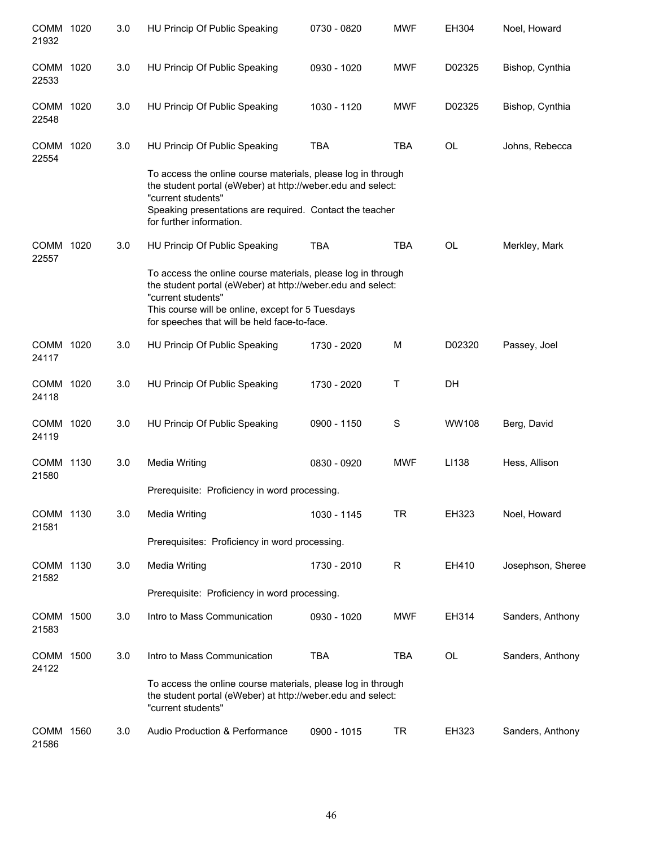| COMM 1020<br>21932 | 3.0 | HU Princip Of Public Speaking                                                                                                                                                                                                                          | 0730 - 0820 | <b>MWF</b>   | EH304     | Noel, Howard      |
|--------------------|-----|--------------------------------------------------------------------------------------------------------------------------------------------------------------------------------------------------------------------------------------------------------|-------------|--------------|-----------|-------------------|
| COMM 1020<br>22533 | 3.0 | HU Princip Of Public Speaking                                                                                                                                                                                                                          | 0930 - 1020 | <b>MWF</b>   | D02325    | Bishop, Cynthia   |
| COMM 1020<br>22548 | 3.0 | HU Princip Of Public Speaking                                                                                                                                                                                                                          | 1030 - 1120 | <b>MWF</b>   | D02325    | Bishop, Cynthia   |
| COMM 1020<br>22554 | 3.0 | HU Princip Of Public Speaking                                                                                                                                                                                                                          | <b>TBA</b>  | <b>TBA</b>   | <b>OL</b> | Johns, Rebecca    |
|                    |     | To access the online course materials, please log in through<br>the student portal (eWeber) at http://weber.edu and select:<br>"current students"<br>Speaking presentations are required. Contact the teacher<br>for further information.              |             |              |           |                   |
| COMM 1020<br>22557 | 3.0 | HU Princip Of Public Speaking                                                                                                                                                                                                                          | <b>TBA</b>  | <b>TBA</b>   | <b>OL</b> | Merkley, Mark     |
|                    |     | To access the online course materials, please log in through<br>the student portal (eWeber) at http://weber.edu and select:<br>"current students"<br>This course will be online, except for 5 Tuesdays<br>for speeches that will be held face-to-face. |             |              |           |                   |
| COMM 1020<br>24117 | 3.0 | HU Princip Of Public Speaking                                                                                                                                                                                                                          | 1730 - 2020 | M            | D02320    | Passey, Joel      |
| COMM 1020<br>24118 | 3.0 | HU Princip Of Public Speaking                                                                                                                                                                                                                          | 1730 - 2020 | Τ            | DH        |                   |
| COMM 1020<br>24119 | 3.0 | HU Princip Of Public Speaking                                                                                                                                                                                                                          | 0900 - 1150 | S            | WW108     | Berg, David       |
| COMM 1130<br>21580 | 3.0 | <b>Media Writing</b>                                                                                                                                                                                                                                   | 0830 - 0920 | <b>MWF</b>   | LI138     | Hess, Allison     |
|                    |     | Prerequisite: Proficiency in word processing.                                                                                                                                                                                                          |             |              |           |                   |
| COMM 1130<br>21581 | 3.0 | <b>Media Writing</b>                                                                                                                                                                                                                                   | 1030 - 1145 | <b>TR</b>    | EH323     | Noel, Howard      |
|                    |     | Prerequisites: Proficiency in word processing.                                                                                                                                                                                                         |             |              |           |                   |
| COMM 1130<br>21582 | 3.0 | <b>Media Writing</b>                                                                                                                                                                                                                                   | 1730 - 2010 | $\mathsf{R}$ | EH410     | Josephson, Sheree |
|                    |     | Prerequisite: Proficiency in word processing.                                                                                                                                                                                                          |             |              |           |                   |
| COMM 1500<br>21583 | 3.0 | Intro to Mass Communication                                                                                                                                                                                                                            | 0930 - 1020 | <b>MWF</b>   | EH314     | Sanders, Anthony  |
| COMM 1500<br>24122 | 3.0 | Intro to Mass Communication                                                                                                                                                                                                                            | <b>TBA</b>  | TBA          | OL        | Sanders, Anthony  |
|                    |     | To access the online course materials, please log in through<br>the student portal (eWeber) at http://weber.edu and select:<br>"current students"                                                                                                      |             |              |           |                   |
| COMM 1560<br>21586 | 3.0 | Audio Production & Performance                                                                                                                                                                                                                         | 0900 - 1015 | TR           | EH323     | Sanders, Anthony  |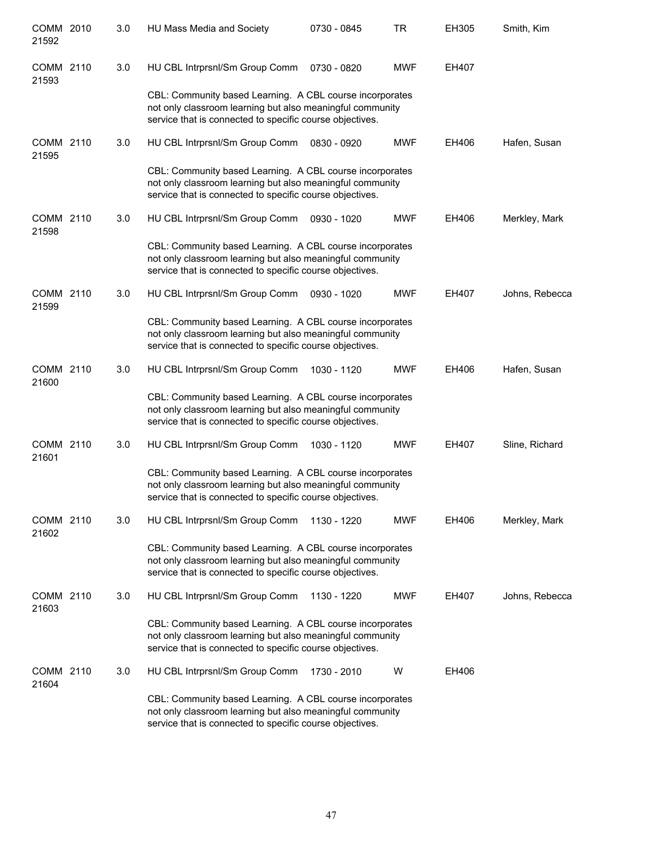| COMM 2010<br>21592 | 3.0 | HU Mass Media and Society                                                                                                                                                         | 0730 - 0845 | <b>TR</b>  | EH305 | Smith, Kim     |
|--------------------|-----|-----------------------------------------------------------------------------------------------------------------------------------------------------------------------------------|-------------|------------|-------|----------------|
| COMM 2110<br>21593 | 3.0 | HU CBL Intrprsnl/Sm Group Comm                                                                                                                                                    | 0730 - 0820 | <b>MWF</b> | EH407 |                |
|                    |     | CBL: Community based Learning. A CBL course incorporates<br>not only classroom learning but also meaningful community<br>service that is connected to specific course objectives. |             |            |       |                |
| COMM 2110<br>21595 | 3.0 | HU CBL Intrprsnl/Sm Group Comm                                                                                                                                                    | 0830 - 0920 | <b>MWF</b> | EH406 | Hafen, Susan   |
|                    |     | CBL: Community based Learning. A CBL course incorporates<br>not only classroom learning but also meaningful community<br>service that is connected to specific course objectives. |             |            |       |                |
| COMM 2110<br>21598 | 3.0 | HU CBL Intrprsnl/Sm Group Comm                                                                                                                                                    | 0930 - 1020 | <b>MWF</b> | EH406 | Merkley, Mark  |
|                    |     | CBL: Community based Learning. A CBL course incorporates<br>not only classroom learning but also meaningful community<br>service that is connected to specific course objectives. |             |            |       |                |
| COMM 2110<br>21599 | 3.0 | HU CBL Intrprsnl/Sm Group Comm                                                                                                                                                    | 0930 - 1020 | <b>MWF</b> | EH407 | Johns, Rebecca |
|                    |     | CBL: Community based Learning. A CBL course incorporates<br>not only classroom learning but also meaningful community<br>service that is connected to specific course objectives. |             |            |       |                |
| COMM 2110<br>21600 | 3.0 | HU CBL Intrprsnl/Sm Group Comm                                                                                                                                                    | 1030 - 1120 | <b>MWF</b> | EH406 | Hafen, Susan   |
|                    |     | CBL: Community based Learning. A CBL course incorporates<br>not only classroom learning but also meaningful community<br>service that is connected to specific course objectives. |             |            |       |                |
| COMM 2110<br>21601 | 3.0 | HU CBL Intrprsnl/Sm Group Comm                                                                                                                                                    | 1030 - 1120 | <b>MWF</b> | EH407 | Sline, Richard |
|                    |     | CBL: Community based Learning. A CBL course incorporates<br>not only classroom learning but also meaningful community<br>service that is connected to specific course objectives. |             |            |       |                |
| COMM 2110<br>21602 | 3.0 | HU CBL Intrprsnl/Sm Group Comm                                                                                                                                                    | 1130 - 1220 | MWF        | EH406 | Merkley, Mark  |
|                    |     | CBL: Community based Learning. A CBL course incorporates<br>not only classroom learning but also meaningful community<br>service that is connected to specific course objectives. |             |            |       |                |
| COMM 2110<br>21603 | 3.0 | HU CBL Intrprsnl/Sm Group Comm                                                                                                                                                    | 1130 - 1220 | <b>MWF</b> | EH407 | Johns, Rebecca |
|                    |     | CBL: Community based Learning. A CBL course incorporates<br>not only classroom learning but also meaningful community<br>service that is connected to specific course objectives. |             |            |       |                |
| COMM 2110<br>21604 | 3.0 | HU CBL Intrprsnl/Sm Group Comm                                                                                                                                                    | 1730 - 2010 | W          | EH406 |                |
|                    |     | CBL: Community based Learning. A CBL course incorporates<br>not only classroom learning but also meaningful community<br>service that is connected to specific course objectives. |             |            |       |                |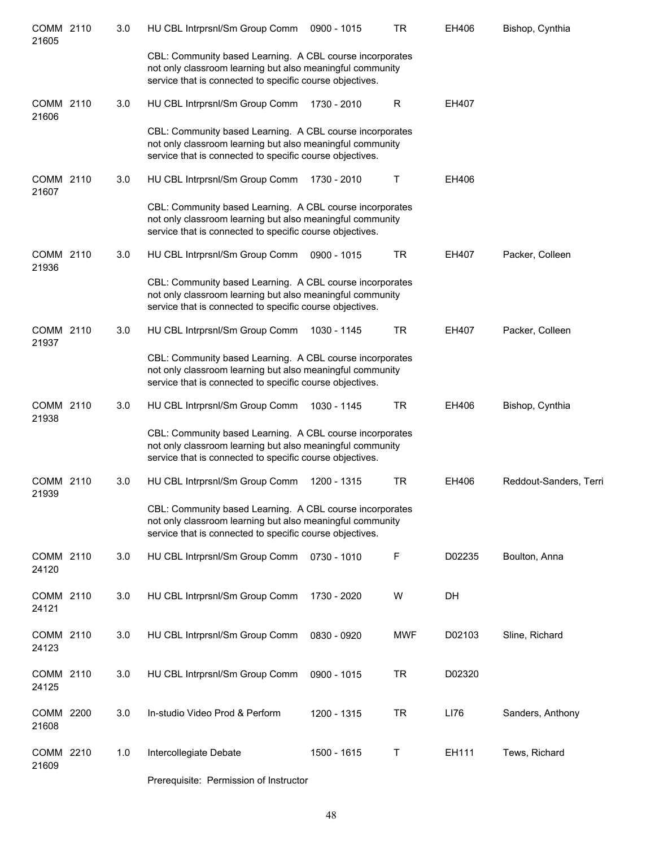| COMM 2110<br>21605 | 3.0 | HU CBL Intrprsnl/Sm Group Comm                                                                                                                                                    | 0900 - 1015 | <b>TR</b>  | EH406  | Bishop, Cynthia        |
|--------------------|-----|-----------------------------------------------------------------------------------------------------------------------------------------------------------------------------------|-------------|------------|--------|------------------------|
|                    |     | CBL: Community based Learning. A CBL course incorporates<br>not only classroom learning but also meaningful community<br>service that is connected to specific course objectives. |             |            |        |                        |
| COMM 2110<br>21606 | 3.0 | HU CBL Intrprsnl/Sm Group Comm                                                                                                                                                    | 1730 - 2010 | R          | EH407  |                        |
|                    |     | CBL: Community based Learning. A CBL course incorporates<br>not only classroom learning but also meaningful community<br>service that is connected to specific course objectives. |             |            |        |                        |
| COMM 2110<br>21607 | 3.0 | HU CBL Intrprsnl/Sm Group Comm                                                                                                                                                    | 1730 - 2010 | Τ          | EH406  |                        |
|                    |     | CBL: Community based Learning. A CBL course incorporates<br>not only classroom learning but also meaningful community<br>service that is connected to specific course objectives. |             |            |        |                        |
| COMM 2110<br>21936 | 3.0 | HU CBL Intrprsnl/Sm Group Comm                                                                                                                                                    | 0900 - 1015 | <b>TR</b>  | EH407  | Packer, Colleen        |
|                    |     | CBL: Community based Learning. A CBL course incorporates<br>not only classroom learning but also meaningful community<br>service that is connected to specific course objectives. |             |            |        |                        |
| COMM 2110<br>21937 | 3.0 | HU CBL Intrprsnl/Sm Group Comm                                                                                                                                                    | 1030 - 1145 | <b>TR</b>  | EH407  | Packer, Colleen        |
|                    |     | CBL: Community based Learning. A CBL course incorporates<br>not only classroom learning but also meaningful community<br>service that is connected to specific course objectives. |             |            |        |                        |
| COMM 2110<br>21938 | 3.0 | HU CBL Intrprsnl/Sm Group Comm                                                                                                                                                    | 1030 - 1145 | TR         | EH406  | Bishop, Cynthia        |
|                    |     | CBL: Community based Learning. A CBL course incorporates<br>not only classroom learning but also meaningful community<br>service that is connected to specific course objectives. |             |            |        |                        |
| COMM 2110<br>21939 | 3.0 | HU CBL Intrprsnl/Sm Group Comm                                                                                                                                                    | 1200 - 1315 | <b>TR</b>  | EH406  | Reddout-Sanders, Terri |
|                    |     | CBL: Community based Learning. A CBL course incorporates<br>not only classroom learning but also meaningful community<br>service that is connected to specific course objectives. |             |            |        |                        |
| COMM 2110<br>24120 | 3.0 | HU CBL Intrprsnl/Sm Group Comm                                                                                                                                                    | 0730 - 1010 | F          | D02235 | Boulton, Anna          |
| COMM 2110<br>24121 | 3.0 | HU CBL Intrprsnl/Sm Group Comm                                                                                                                                                    | 1730 - 2020 | W          | DH     |                        |
| COMM 2110<br>24123 | 3.0 | HU CBL Intrprsnl/Sm Group Comm                                                                                                                                                    | 0830 - 0920 | <b>MWF</b> | D02103 | Sline, Richard         |
| COMM 2110<br>24125 | 3.0 | HU CBL Intrprsnl/Sm Group Comm                                                                                                                                                    | 0900 - 1015 | <b>TR</b>  | D02320 |                        |
| COMM 2200<br>21608 | 3.0 | In-studio Video Prod & Perform                                                                                                                                                    | 1200 - 1315 | TR         | LI76   | Sanders, Anthony       |
| COMM 2210<br>21609 | 1.0 | Intercollegiate Debate                                                                                                                                                            | 1500 - 1615 | Т          | EH111  | Tews, Richard          |
|                    |     | Prerequisite: Permission of Instructor                                                                                                                                            |             |            |        |                        |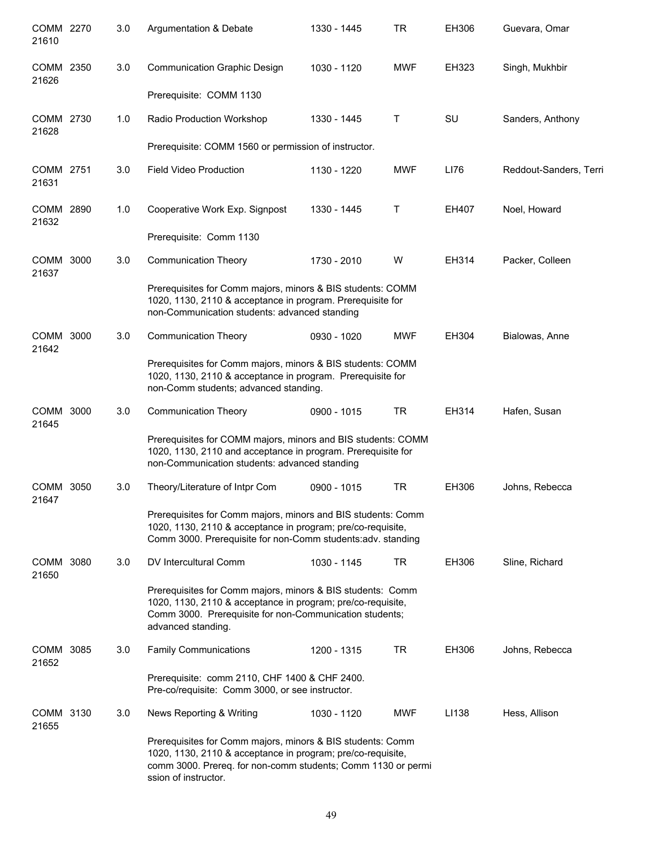| COMM 2270<br>21610   |      | 3.0 | Argumentation & Debate                                                                                                                                                                                            | 1330 - 1445 | <b>TR</b>  | EH306 | Guevara, Omar          |
|----------------------|------|-----|-------------------------------------------------------------------------------------------------------------------------------------------------------------------------------------------------------------------|-------------|------------|-------|------------------------|
| COMM 2350<br>21626   |      | 3.0 | <b>Communication Graphic Design</b>                                                                                                                                                                               | 1030 - 1120 | <b>MWF</b> | EH323 | Singh, Mukhbir         |
|                      |      |     | Prerequisite: COMM 1130                                                                                                                                                                                           |             |            |       |                        |
| COMM 2730<br>21628   |      | 1.0 | Radio Production Workshop                                                                                                                                                                                         | 1330 - 1445 | Τ          | SU    | Sanders, Anthony       |
|                      |      |     | Prerequisite: COMM 1560 or permission of instructor.                                                                                                                                                              |             |            |       |                        |
| COMM 2751<br>21631   |      | 3.0 | <b>Field Video Production</b>                                                                                                                                                                                     | 1130 - 1220 | <b>MWF</b> | LI76  | Reddout-Sanders, Terri |
| COMM 2890<br>21632   |      | 1.0 | Cooperative Work Exp. Signpost                                                                                                                                                                                    | 1330 - 1445 | Τ          | EH407 | Noel, Howard           |
|                      |      |     | Prerequisite: Comm 1130                                                                                                                                                                                           |             |            |       |                        |
| COMM 3000<br>21637   |      | 3.0 | <b>Communication Theory</b>                                                                                                                                                                                       | 1730 - 2010 | W          | EH314 | Packer, Colleen        |
|                      |      |     | Prerequisites for Comm majors, minors & BIS students: COMM<br>1020, 1130, 2110 & acceptance in program. Prerequisite for<br>non-Communication students: advanced standing                                         |             |            |       |                        |
| COMM<br>21642        | 3000 | 3.0 | <b>Communication Theory</b>                                                                                                                                                                                       | 0930 - 1020 | <b>MWF</b> | EH304 | Bialowas, Anne         |
|                      |      |     | Prerequisites for Comm majors, minors & BIS students: COMM<br>1020, 1130, 2110 & acceptance in program. Prerequisite for<br>non-Comm students; advanced standing.                                                 |             |            |       |                        |
| COMM<br>21645        | 3000 | 3.0 | <b>Communication Theory</b>                                                                                                                                                                                       | 0900 - 1015 | <b>TR</b>  | EH314 | Hafen, Susan           |
|                      |      |     | Prerequisites for COMM majors, minors and BIS students: COMM<br>1020, 1130, 2110 and acceptance in program. Prerequisite for<br>non-Communication students: advanced standing                                     |             |            |       |                        |
| <b>COMM</b><br>21647 | 3050 | 3.0 | Theory/Literature of Intpr Com                                                                                                                                                                                    | 0900 - 1015 | <b>TR</b>  | EH306 | Johns, Rebecca         |
|                      |      |     | Prerequisites for Comm majors, minors and BIS students: Comm<br>1020, 1130, 2110 & acceptance in program; pre/co-requisite,<br>Comm 3000. Prerequisite for non-Comm students:adv. standing                        |             |            |       |                        |
| COMM 3080<br>21650   |      | 3.0 | DV Intercultural Comm                                                                                                                                                                                             | 1030 - 1145 | TR         | EH306 | Sline, Richard         |
|                      |      |     | Prerequisites for Comm majors, minors & BIS students: Comm<br>1020, 1130, 2110 & acceptance in program; pre/co-requisite,<br>Comm 3000. Prerequisite for non-Communication students;<br>advanced standing.        |             |            |       |                        |
| COMM 3085<br>21652   |      | 3.0 | <b>Family Communications</b>                                                                                                                                                                                      | 1200 - 1315 | TR         | EH306 | Johns, Rebecca         |
|                      |      |     | Prerequisite: comm 2110, CHF 1400 & CHF 2400.<br>Pre-co/requisite: Comm 3000, or see instructor.                                                                                                                  |             |            |       |                        |
| COMM 3130<br>21655   |      | 3.0 | News Reporting & Writing                                                                                                                                                                                          | 1030 - 1120 | <b>MWF</b> | LI138 | Hess, Allison          |
|                      |      |     | Prerequisites for Comm majors, minors & BIS students: Comm<br>1020, 1130, 2110 & acceptance in program; pre/co-requisite,<br>comm 3000. Prereq. for non-comm students; Comm 1130 or permi<br>ssion of instructor. |             |            |       |                        |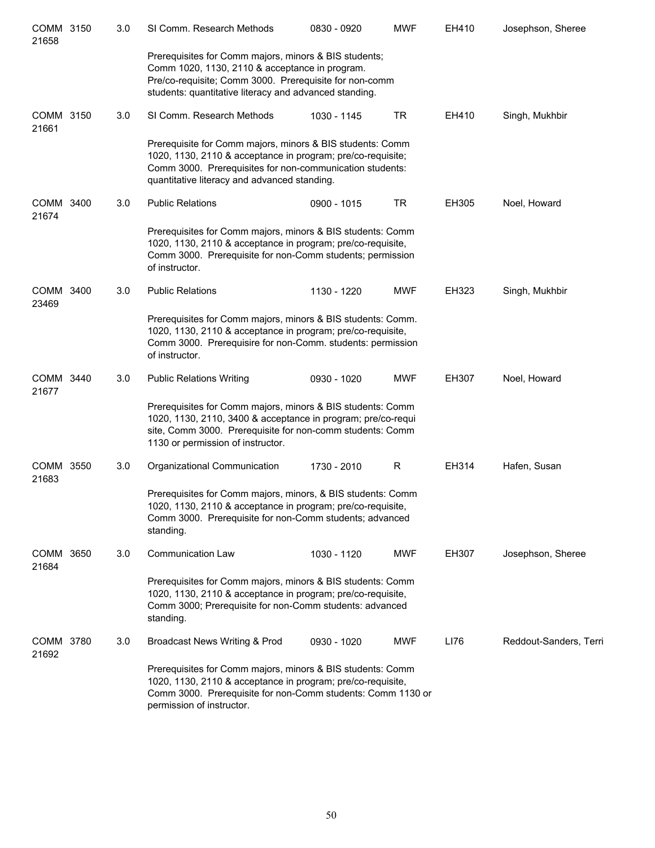| COMM 3150<br>21658 | 3.0 | SI Comm. Research Methods                                                                                                                                                                                                            | 0830 - 0920 | <b>MWF</b> | EH410 | Josephson, Sheree      |
|--------------------|-----|--------------------------------------------------------------------------------------------------------------------------------------------------------------------------------------------------------------------------------------|-------------|------------|-------|------------------------|
|                    |     | Prerequisites for Comm majors, minors & BIS students;<br>Comm 1020, 1130, 2110 & acceptance in program.<br>Pre/co-requisite; Comm 3000. Prerequisite for non-comm<br>students: quantitative literacy and advanced standing.          |             |            |       |                        |
| COMM 3150<br>21661 | 3.0 | SI Comm. Research Methods                                                                                                                                                                                                            | 1030 - 1145 | <b>TR</b>  | EH410 | Singh, Mukhbir         |
|                    |     | Prerequisite for Comm majors, minors & BIS students: Comm<br>1020, 1130, 2110 & acceptance in program; pre/co-requisite;<br>Comm 3000. Prerequisites for non-communication students:<br>quantitative literacy and advanced standing. |             |            |       |                        |
| COMM 3400<br>21674 | 3.0 | <b>Public Relations</b>                                                                                                                                                                                                              | 0900 - 1015 | <b>TR</b>  | EH305 | Noel, Howard           |
|                    |     | Prerequisites for Comm majors, minors & BIS students: Comm<br>1020, 1130, 2110 & acceptance in program; pre/co-requisite,<br>Comm 3000. Prerequisite for non-Comm students; permission<br>of instructor.                             |             |            |       |                        |
| COMM 3400<br>23469 | 3.0 | <b>Public Relations</b>                                                                                                                                                                                                              | 1130 - 1220 | <b>MWF</b> | EH323 | Singh, Mukhbir         |
|                    |     | Prerequisites for Comm majors, minors & BIS students: Comm.<br>1020, 1130, 2110 & acceptance in program; pre/co-requisite,<br>Comm 3000. Prerequisire for non-Comm. students: permission<br>of instructor.                           |             |            |       |                        |
| COMM 3440<br>21677 | 3.0 | <b>Public Relations Writing</b>                                                                                                                                                                                                      | 0930 - 1020 | <b>MWF</b> | EH307 | Noel, Howard           |
|                    |     | Prerequisites for Comm majors, minors & BIS students: Comm<br>1020, 1130, 2110, 3400 & acceptance in program; pre/co-requi<br>site, Comm 3000. Prerequisite for non-comm students: Comm<br>1130 or permission of instructor.         |             |            |       |                        |
| COMM 3550<br>21683 | 3.0 | Organizational Communication                                                                                                                                                                                                         | 1730 - 2010 | R          | EH314 | Hafen, Susan           |
|                    |     | Prerequisites for Comm majors, minors, & BIS students: Comm<br>1020, 1130, 2110 & acceptance in program; pre/co-requisite,<br>Comm 3000. Prerequisite for non-Comm students; advanced<br>standing.                                   |             |            |       |                        |
| COMM 3650<br>21684 | 3.0 | <b>Communication Law</b>                                                                                                                                                                                                             | 1030 - 1120 | <b>MWF</b> | EH307 | Josephson, Sheree      |
|                    |     | Prerequisites for Comm majors, minors & BIS students: Comm<br>1020, 1130, 2110 & acceptance in program; pre/co-requisite,<br>Comm 3000; Prerequisite for non-Comm students: advanced<br>standing.                                    |             |            |       |                        |
| COMM 3780<br>21692 | 3.0 | Broadcast News Writing & Prod                                                                                                                                                                                                        | 0930 - 1020 | <b>MWF</b> | LI76  | Reddout-Sanders, Terri |
|                    |     | Prerequisites for Comm majors, minors & BIS students: Comm<br>1020, 1130, 2110 & acceptance in program; pre/co-requisite,<br>Comm 3000. Prerequisite for non-Comm students: Comm 1130 or<br>permission of instructor.                |             |            |       |                        |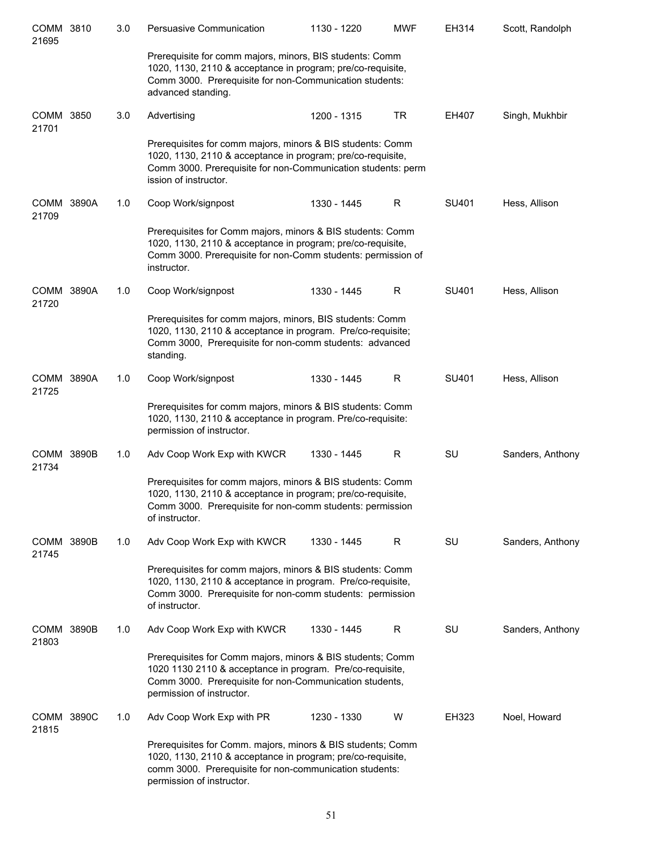| COMM 3810<br>21695         | 3.0 | Persuasive Communication                                                                                                                                                                                           | 1130 - 1220 | <b>MWF</b> | EH314 | Scott, Randolph  |
|----------------------------|-----|--------------------------------------------------------------------------------------------------------------------------------------------------------------------------------------------------------------------|-------------|------------|-------|------------------|
|                            |     | Prerequisite for comm majors, minors, BIS students: Comm<br>1020, 1130, 2110 & acceptance in program; pre/co-requisite,<br>Comm 3000. Prerequisite for non-Communication students:<br>advanced standing.           |             |            |       |                  |
| COMM 3850<br>21701         | 3.0 | Advertising                                                                                                                                                                                                        | 1200 - 1315 | <b>TR</b>  | EH407 | Singh, Mukhbir   |
|                            |     | Prerequisites for comm majors, minors & BIS students: Comm<br>1020, 1130, 2110 & acceptance in program; pre/co-requisite,<br>Comm 3000. Prerequisite for non-Communication students: perm<br>ission of instructor. |             |            |       |                  |
| COMM 3890A<br>21709        | 1.0 | Coop Work/signpost                                                                                                                                                                                                 | 1330 - 1445 | R          | SU401 | Hess, Allison    |
|                            |     | Prerequisites for Comm majors, minors & BIS students: Comm<br>1020, 1130, 2110 & acceptance in program; pre/co-requisite,<br>Comm 3000. Prerequisite for non-Comm students: permission of<br>instructor.           |             |            |       |                  |
| COMM 3890A<br>21720        | 1.0 | Coop Work/signpost                                                                                                                                                                                                 | 1330 - 1445 | R          | SU401 | Hess, Allison    |
|                            |     | Prerequisites for comm majors, minors, BIS students: Comm<br>1020, 1130, 2110 & acceptance in program. Pre/co-requisite;<br>Comm 3000, Prerequisite for non-comm students: advanced<br>standing.                   |             |            |       |                  |
| COMM 3890A<br>21725        | 1.0 | Coop Work/signpost                                                                                                                                                                                                 | 1330 - 1445 | R          | SU401 | Hess, Allison    |
|                            |     | Prerequisites for comm majors, minors & BIS students: Comm<br>1020, 1130, 2110 & acceptance in program. Pre/co-requisite:<br>permission of instructor.                                                             |             |            |       |                  |
| <b>COMM 3890B</b><br>21734 | 1.0 | Adv Coop Work Exp with KWCR                                                                                                                                                                                        | 1330 - 1445 | R          | SU    | Sanders, Anthony |
|                            |     | Prerequisites for comm majors, minors & BIS students: Comm<br>1020, 1130, 2110 & acceptance in program; pre/co-requisite,<br>Comm 3000. Prerequisite for non-comm students: permission<br>of instructor.           |             |            |       |                  |
| COMM 3890B<br>21745        | 1.0 | Adv Coop Work Exp with KWCR                                                                                                                                                                                        | 1330 - 1445 | R.         | SU    | Sanders, Anthony |
|                            |     | Prerequisites for comm majors, minors & BIS students: Comm<br>1020, 1130, 2110 & acceptance in program. Pre/co-requisite,<br>Comm 3000. Prerequisite for non-comm students: permission<br>of instructor.           |             |            |       |                  |
| <b>COMM 3890B</b><br>21803 | 1.0 | Adv Coop Work Exp with KWCR                                                                                                                                                                                        | 1330 - 1445 | R          | SU    | Sanders, Anthony |
|                            |     | Prerequisites for Comm majors, minors & BIS students; Comm<br>1020 1130 2110 & acceptance in program. Pre/co-requisite,<br>Comm 3000. Prerequisite for non-Communication students,<br>permission of instructor.    |             |            |       |                  |
| COMM 3890C<br>21815        | 1.0 | Adv Coop Work Exp with PR                                                                                                                                                                                          | 1230 - 1330 | W          | EH323 | Noel, Howard     |
|                            |     | Prerequisites for Comm. majors, minors & BIS students; Comm<br>1020, 1130, 2110 & acceptance in program; pre/co-requisite,<br>comm 3000. Prerequisite for non-communication students:<br>permission of instructor. |             |            |       |                  |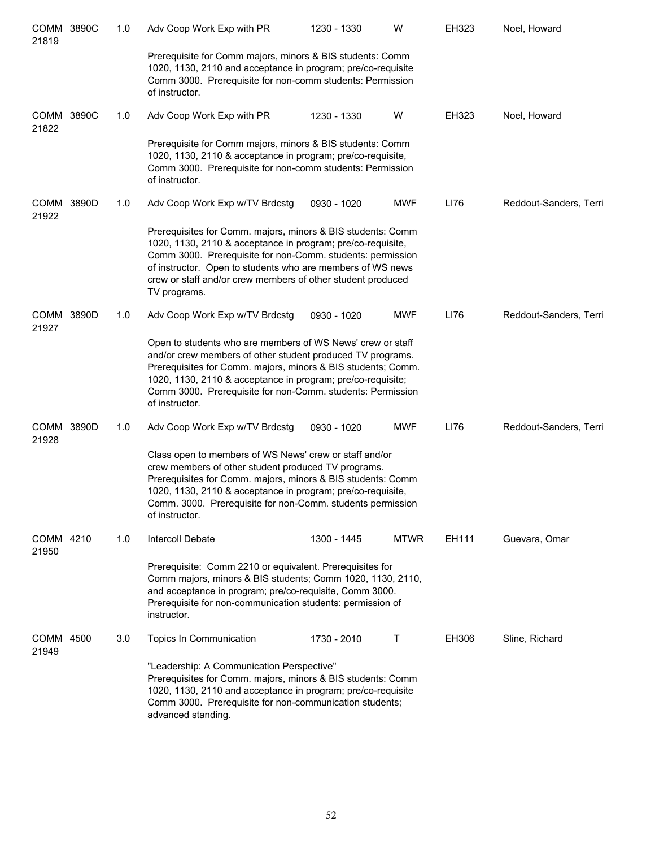| COMM 3890C<br>21819  |       | 1.0 | Adv Coop Work Exp with PR                                                                                                                                                                                                                                                                                                               | 1230 - 1330 | W           | EH323 | Noel, Howard           |
|----------------------|-------|-----|-----------------------------------------------------------------------------------------------------------------------------------------------------------------------------------------------------------------------------------------------------------------------------------------------------------------------------------------|-------------|-------------|-------|------------------------|
|                      |       |     | Prerequisite for Comm majors, minors & BIS students: Comm<br>1020, 1130, 2110 and acceptance in program; pre/co-requisite<br>Comm 3000. Prerequisite for non-comm students: Permission<br>of instructor.                                                                                                                                |             |             |       |                        |
| COMM 3890C<br>21822  |       | 1.0 | Adv Coop Work Exp with PR                                                                                                                                                                                                                                                                                                               | 1230 - 1330 | W           | EH323 | Noel, Howard           |
|                      |       |     | Prerequisite for Comm majors, minors & BIS students: Comm<br>1020, 1130, 2110 & acceptance in program; pre/co-requisite,<br>Comm 3000. Prerequisite for non-comm students: Permission<br>of instructor.                                                                                                                                 |             |             |       |                        |
| COMM 3890D<br>21922  |       | 1.0 | Adv Coop Work Exp w/TV Brdcstg                                                                                                                                                                                                                                                                                                          | 0930 - 1020 | <b>MWF</b>  | LI76  | Reddout-Sanders, Terri |
|                      |       |     | Prerequisites for Comm. majors, minors & BIS students: Comm<br>1020, 1130, 2110 & acceptance in program; pre/co-requisite,<br>Comm 3000. Prerequisite for non-Comm. students: permission<br>of instructor. Open to students who are members of WS news<br>crew or staff and/or crew members of other student produced<br>TV programs.   |             |             |       |                        |
| <b>COMM</b><br>21927 | 3890D | 1.0 | Adv Coop Work Exp w/TV Brdcstg                                                                                                                                                                                                                                                                                                          | 0930 - 1020 | <b>MWF</b>  | LI76  | Reddout-Sanders, Terri |
|                      |       |     | Open to students who are members of WS News' crew or staff<br>and/or crew members of other student produced TV programs.<br>Prerequisites for Comm. majors, minors & BIS students; Comm.<br>1020, 1130, 2110 & acceptance in program; pre/co-requisite;<br>Comm 3000. Prerequisite for non-Comm. students: Permission<br>of instructor. |             |             |       |                        |
| <b>COMM</b><br>21928 | 3890D | 1.0 | Adv Coop Work Exp w/TV Brdcstg                                                                                                                                                                                                                                                                                                          | 0930 - 1020 | <b>MWF</b>  | LI76  | Reddout-Sanders, Terri |
|                      |       |     | Class open to members of WS News' crew or staff and/or<br>crew members of other student produced TV programs.<br>Prerequisites for Comm. majors, minors & BIS students: Comm<br>1020, 1130, 2110 & acceptance in program; pre/co-requisite,<br>Comm. 3000. Prerequisite for non-Comm. students permission<br>of instructor.             |             |             |       |                        |
| COMM 4210<br>21950   |       | 1.0 | Intercoll Debate                                                                                                                                                                                                                                                                                                                        | 1300 - 1445 | <b>MTWR</b> | EH111 | Guevara, Omar          |
|                      |       |     | Prerequisite: Comm 2210 or equivalent. Prerequisites for<br>Comm majors, minors & BIS students; Comm 1020, 1130, 2110,<br>and acceptance in program; pre/co-requisite, Comm 3000.<br>Prerequisite for non-communication students: permission of<br>instructor.                                                                          |             |             |       |                        |
| <b>COMM</b><br>21949 | 4500  | 3.0 | Topics In Communication                                                                                                                                                                                                                                                                                                                 | 1730 - 2010 | Τ           | EH306 | Sline, Richard         |
|                      |       |     | "Leadership: A Communication Perspective"<br>Prerequisites for Comm. majors, minors & BIS students: Comm<br>1020, 1130, 2110 and acceptance in program; pre/co-requisite<br>Comm 3000. Prerequisite for non-communication students;<br>advanced standing.                                                                               |             |             |       |                        |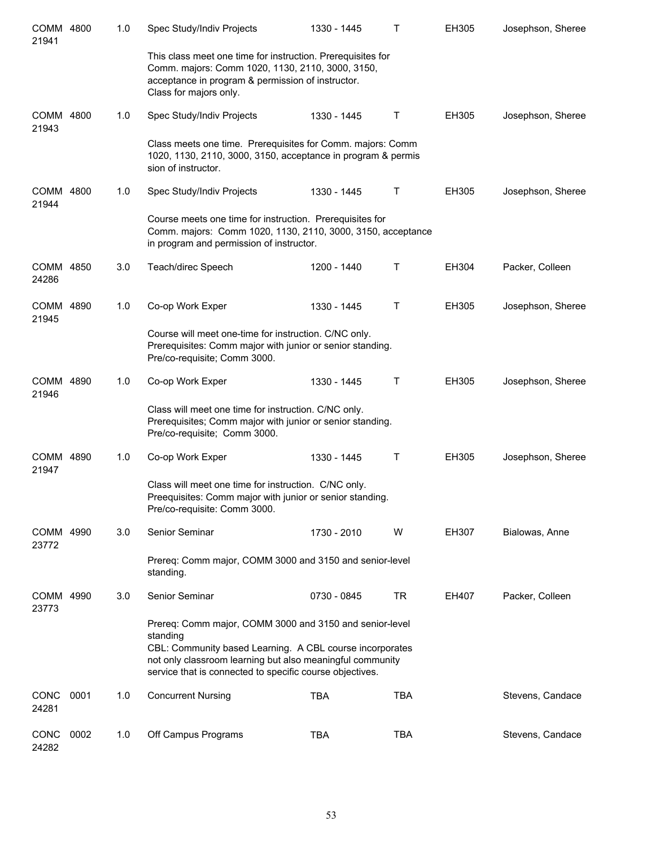| COMM 4800<br>21941   |      | 1.0 | Spec Study/Indiv Projects                                                                                                                                                                                                                                | 1330 - 1445 | Τ          | EH305 | Josephson, Sheree |
|----------------------|------|-----|----------------------------------------------------------------------------------------------------------------------------------------------------------------------------------------------------------------------------------------------------------|-------------|------------|-------|-------------------|
|                      |      |     | This class meet one time for instruction. Prerequisites for<br>Comm. majors: Comm 1020, 1130, 2110, 3000, 3150,<br>acceptance in program & permission of instructor.<br>Class for majors only.                                                           |             |            |       |                   |
| COMM 4800<br>21943   |      | 1.0 | Spec Study/Indiv Projects                                                                                                                                                                                                                                | 1330 - 1445 | т          | EH305 | Josephson, Sheree |
|                      |      |     | Class meets one time. Prerequisites for Comm. majors: Comm<br>1020, 1130, 2110, 3000, 3150, acceptance in program & permis<br>sion of instructor.                                                                                                        |             |            |       |                   |
| COMM 4800<br>21944   |      | 1.0 | Spec Study/Indiv Projects                                                                                                                                                                                                                                | 1330 - 1445 | Т          | EH305 | Josephson, Sheree |
|                      |      |     | Course meets one time for instruction. Prerequisites for<br>Comm. majors: Comm 1020, 1130, 2110, 3000, 3150, acceptance<br>in program and permission of instructor.                                                                                      |             |            |       |                   |
| COMM 4850<br>24286   |      | 3.0 | Teach/direc Speech                                                                                                                                                                                                                                       | 1200 - 1440 | Т          | EH304 | Packer, Colleen   |
| COMM 4890<br>21945   |      | 1.0 | Co-op Work Exper                                                                                                                                                                                                                                         | 1330 - 1445 | т          | EH305 | Josephson, Sheree |
|                      |      |     | Course will meet one-time for instruction. C/NC only.<br>Prerequisites: Comm major with junior or senior standing.<br>Pre/co-requisite; Comm 3000.                                                                                                       |             |            |       |                   |
| COMM 4890<br>21946   |      | 1.0 | Co-op Work Exper                                                                                                                                                                                                                                         | 1330 - 1445 | т          | EH305 | Josephson, Sheree |
|                      |      |     | Class will meet one time for instruction. C/NC only.<br>Prerequisites; Comm major with junior or senior standing.<br>Pre/co-requisite; Comm 3000.                                                                                                        |             |            |       |                   |
| COMM 4890<br>21947   |      | 1.0 | Co-op Work Exper                                                                                                                                                                                                                                         | 1330 - 1445 | т          | EH305 | Josephson, Sheree |
|                      |      |     | Class will meet one time for instruction. C/NC only.<br>Preequisites: Comm major with junior or senior standing.<br>Pre/co-requisite: Comm 3000.                                                                                                         |             |            |       |                   |
| COMM 4990<br>23772   |      | 3.0 | Senior Seminar                                                                                                                                                                                                                                           | 1730 - 2010 | W          | EH307 | Bialowas, Anne    |
|                      |      |     | Prereq: Comm major, COMM 3000 and 3150 and senior-level<br>standing.                                                                                                                                                                                     |             |            |       |                   |
| COMM 4990<br>23773   |      | 3.0 | Senior Seminar                                                                                                                                                                                                                                           | 0730 - 0845 | <b>TR</b>  | EH407 | Packer, Colleen   |
|                      |      |     | Prereq: Comm major, COMM 3000 and 3150 and senior-level<br>standing<br>CBL: Community based Learning. A CBL course incorporates<br>not only classroom learning but also meaningful community<br>service that is connected to specific course objectives. |             |            |       |                   |
| <b>CONC</b><br>24281 | 0001 | 1.0 | <b>Concurrent Nursing</b>                                                                                                                                                                                                                                | <b>TBA</b>  | <b>TBA</b> |       | Stevens, Candace  |
| <b>CONC</b><br>24282 | 0002 | 1.0 | Off Campus Programs                                                                                                                                                                                                                                      | <b>TBA</b>  | <b>TBA</b> |       | Stevens, Candace  |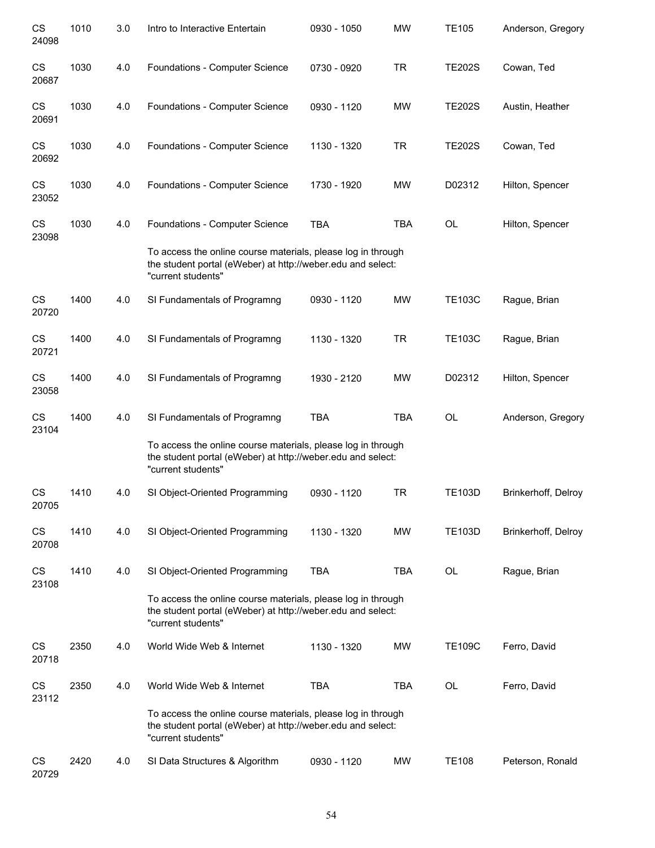| CS<br>24098        | 1010 | 3.0 | Intro to Interactive Entertain                                                                                                                    | 0930 - 1050 | <b>MW</b>  | <b>TE105</b>  | Anderson, Gregory   |
|--------------------|------|-----|---------------------------------------------------------------------------------------------------------------------------------------------------|-------------|------------|---------------|---------------------|
| CS<br>20687        | 1030 | 4.0 | Foundations - Computer Science                                                                                                                    | 0730 - 0920 | <b>TR</b>  | <b>TE202S</b> | Cowan, Ted          |
| CS<br>20691        | 1030 | 4.0 | Foundations - Computer Science                                                                                                                    | 0930 - 1120 | <b>MW</b>  | <b>TE202S</b> | Austin, Heather     |
| CS<br>20692        | 1030 | 4.0 | Foundations - Computer Science                                                                                                                    | 1130 - 1320 | <b>TR</b>  | <b>TE202S</b> | Cowan, Ted          |
| CS<br>23052        | 1030 | 4.0 | Foundations - Computer Science                                                                                                                    | 1730 - 1920 | MW         | D02312        | Hilton, Spencer     |
| CS<br>23098        | 1030 | 4.0 | Foundations - Computer Science                                                                                                                    | <b>TBA</b>  | <b>TBA</b> | OL            | Hilton, Spencer     |
|                    |      |     | To access the online course materials, please log in through<br>the student portal (eWeber) at http://weber.edu and select:<br>"current students" |             |            |               |                     |
| <b>CS</b><br>20720 | 1400 | 4.0 | SI Fundamentals of Programng                                                                                                                      | 0930 - 1120 | <b>MW</b>  | <b>TE103C</b> | Rague, Brian        |
| CS<br>20721        | 1400 | 4.0 | SI Fundamentals of Programng                                                                                                                      | 1130 - 1320 | <b>TR</b>  | <b>TE103C</b> | Rague, Brian        |
| CS<br>23058        | 1400 | 4.0 | SI Fundamentals of Programng                                                                                                                      | 1930 - 2120 | <b>MW</b>  | D02312        | Hilton, Spencer     |
| CS<br>23104        | 1400 | 4.0 | SI Fundamentals of Programng                                                                                                                      | <b>TBA</b>  | <b>TBA</b> | OL            | Anderson, Gregory   |
|                    |      |     | To access the online course materials, please log in through<br>the student portal (eWeber) at http://weber.edu and select:<br>"current students" |             |            |               |                     |
| CS<br>20705        | 1410 | 4.0 | SI Object-Oriented Programming                                                                                                                    | 0930 - 1120 | <b>TR</b>  | <b>TE103D</b> | Brinkerhoff, Delroy |
| CS<br>20708        | 1410 | 4.0 | SI Object-Oriented Programming                                                                                                                    | 1130 - 1320 | MW         | <b>TE103D</b> | Brinkerhoff, Delroy |
| CS<br>23108        | 1410 | 4.0 | SI Object-Oriented Programming                                                                                                                    | <b>TBA</b>  | TBA        | OL            | Rague, Brian        |
|                    |      |     | To access the online course materials, please log in through<br>the student portal (eWeber) at http://weber.edu and select:<br>"current students" |             |            |               |                     |
| CS<br>20718        | 2350 | 4.0 | World Wide Web & Internet                                                                                                                         | 1130 - 1320 | <b>MW</b>  | <b>TE109C</b> | Ferro, David        |
| CS<br>23112        | 2350 | 4.0 | World Wide Web & Internet                                                                                                                         | <b>TBA</b>  | <b>TBA</b> | OL            | Ferro, David        |
|                    |      |     | To access the online course materials, please log in through<br>the student portal (eWeber) at http://weber.edu and select:<br>"current students" |             |            |               |                     |
| CS<br>20729        | 2420 | 4.0 | SI Data Structures & Algorithm                                                                                                                    | 0930 - 1120 | MW         | <b>TE108</b>  | Peterson, Ronald    |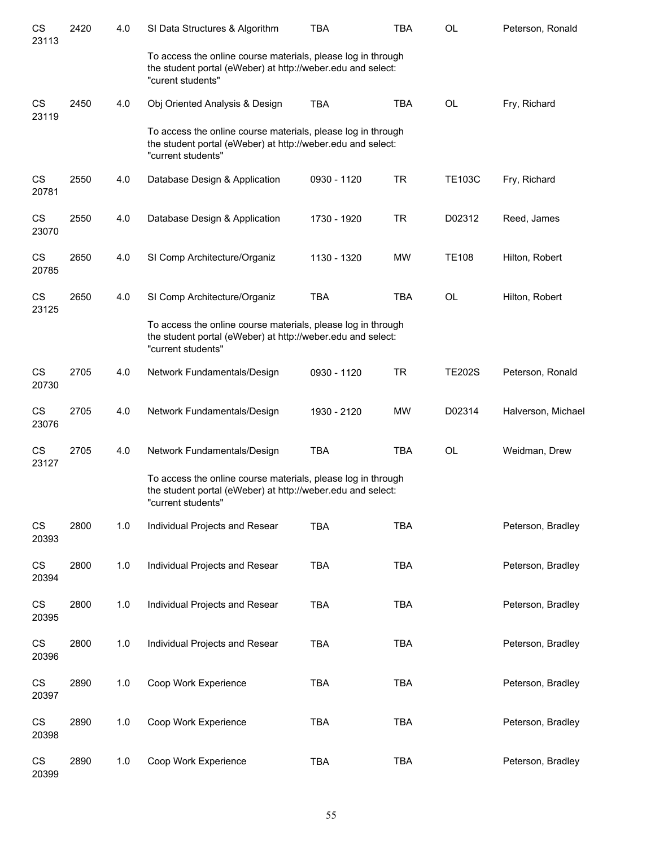| CS<br>23113 | 2420 | 4.0 | SI Data Structures & Algorithm                                                                                                                    | <b>TBA</b>  | <b>TBA</b> | <b>OL</b>     | Peterson, Ronald   |
|-------------|------|-----|---------------------------------------------------------------------------------------------------------------------------------------------------|-------------|------------|---------------|--------------------|
|             |      |     | To access the online course materials, please log in through<br>the student portal (eWeber) at http://weber.edu and select:<br>"curent students"  |             |            |               |                    |
| CS<br>23119 | 2450 | 4.0 | Obj Oriented Analysis & Design                                                                                                                    | <b>TBA</b>  | <b>TBA</b> | OL            | Fry, Richard       |
|             |      |     | To access the online course materials, please log in through<br>the student portal (eWeber) at http://weber.edu and select:<br>"current students" |             |            |               |                    |
| CS<br>20781 | 2550 | 4.0 | Database Design & Application                                                                                                                     | 0930 - 1120 | <b>TR</b>  | <b>TE103C</b> | Fry, Richard       |
| CS<br>23070 | 2550 | 4.0 | Database Design & Application                                                                                                                     | 1730 - 1920 | <b>TR</b>  | D02312        | Reed, James        |
| CS<br>20785 | 2650 | 4.0 | SI Comp Architecture/Organiz                                                                                                                      | 1130 - 1320 | MW         | <b>TE108</b>  | Hilton, Robert     |
| CS<br>23125 | 2650 | 4.0 | SI Comp Architecture/Organiz                                                                                                                      | <b>TBA</b>  | <b>TBA</b> | <b>OL</b>     | Hilton, Robert     |
|             |      |     | To access the online course materials, please log in through<br>the student portal (eWeber) at http://weber.edu and select:<br>"current students" |             |            |               |                    |
| CS<br>20730 | 2705 | 4.0 | Network Fundamentals/Design                                                                                                                       | 0930 - 1120 | <b>TR</b>  | <b>TE202S</b> | Peterson, Ronald   |
| CS<br>23076 | 2705 | 4.0 | Network Fundamentals/Design                                                                                                                       | 1930 - 2120 | MW         | D02314        | Halverson, Michael |
| CS<br>23127 | 2705 | 4.0 | Network Fundamentals/Design                                                                                                                       | <b>TBA</b>  | <b>TBA</b> | <b>OL</b>     | Weidman, Drew      |
|             |      |     | To access the online course materials, please log in through<br>the student portal (eWeber) at http://weber.edu and select:<br>"current students" |             |            |               |                    |
| CS<br>20393 | 2800 | 1.0 | Individual Projects and Resear                                                                                                                    | TBA         | <b>TBA</b> |               | Peterson, Bradley  |
| CS<br>20394 | 2800 | 1.0 | Individual Projects and Resear                                                                                                                    | TBA         | <b>TBA</b> |               | Peterson, Bradley  |
| CS<br>20395 | 2800 | 1.0 | Individual Projects and Resear                                                                                                                    | <b>TBA</b>  | <b>TBA</b> |               | Peterson, Bradley  |
| CS<br>20396 | 2800 | 1.0 | Individual Projects and Resear                                                                                                                    | <b>TBA</b>  | <b>TBA</b> |               | Peterson, Bradley  |
| CS<br>20397 | 2890 | 1.0 | Coop Work Experience                                                                                                                              | <b>TBA</b>  | <b>TBA</b> |               | Peterson, Bradley  |
| CS<br>20398 | 2890 | 1.0 | Coop Work Experience                                                                                                                              | <b>TBA</b>  | <b>TBA</b> |               | Peterson, Bradley  |
| CS<br>20399 | 2890 | 1.0 | Coop Work Experience                                                                                                                              | TBA         | TBA        |               | Peterson, Bradley  |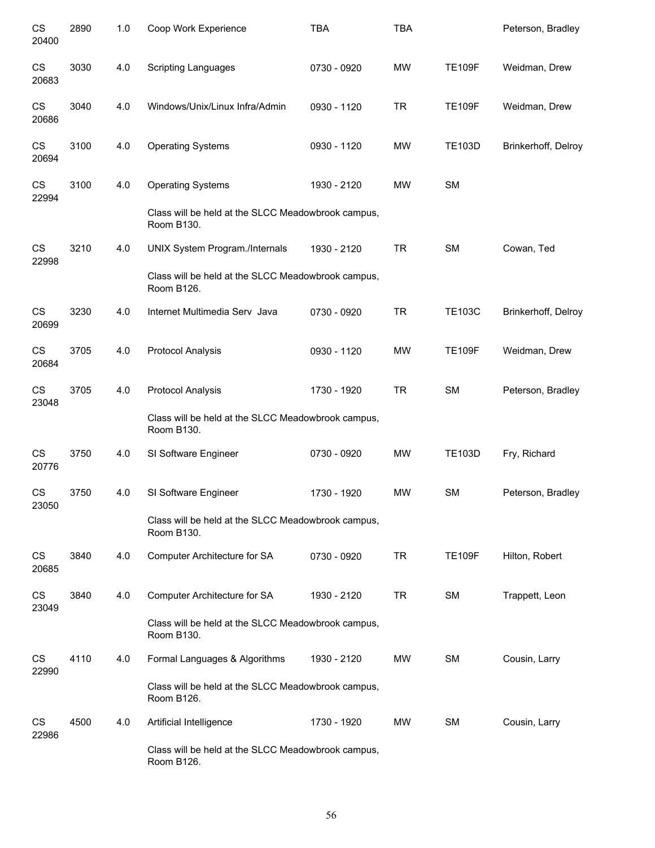| CS<br>20400 | 2890 | 1.0 | Coop Work Experience                                                           | <b>TBA</b>  | <b>TBA</b> |               | Peterson, Bradley   |
|-------------|------|-----|--------------------------------------------------------------------------------|-------------|------------|---------------|---------------------|
| CS<br>20683 | 3030 | 4.0 | <b>Scripting Languages</b>                                                     | 0730 - 0920 | <b>MW</b>  | <b>TE109F</b> | Weidman, Drew       |
| CS<br>20686 | 3040 | 4.0 | Windows/Unix/Linux Infra/Admin                                                 | 0930 - 1120 | <b>TR</b>  | <b>TE109F</b> | Weidman, Drew       |
| CS<br>20694 | 3100 | 4.0 | <b>Operating Systems</b>                                                       | 0930 - 1120 | <b>MW</b>  | <b>TE103D</b> | Brinkerhoff, Delroy |
| CS<br>22994 | 3100 | 4.0 | <b>Operating Systems</b><br>Class will be held at the SLCC Meadowbrook campus, | 1930 - 2120 | <b>MW</b>  | <b>SM</b>     |                     |
|             |      |     | Room B130.                                                                     |             |            |               |                     |
| CS<br>22998 | 3210 | 4.0 | <b>UNIX System Program./Internals</b>                                          | 1930 - 2120 | <b>TR</b>  | SM            | Cowan, Ted          |
|             |      |     | Class will be held at the SLCC Meadowbrook campus,<br>Room B126.               |             |            |               |                     |
| CS<br>20699 | 3230 | 4.0 | Internet Multimedia Serv Java                                                  | 0730 - 0920 | <b>TR</b>  | <b>TE103C</b> | Brinkerhoff, Delroy |
| CS<br>20684 | 3705 | 4.0 | Protocol Analysis                                                              | 0930 - 1120 | <b>MW</b>  | <b>TE109F</b> | Weidman, Drew       |
| CS<br>23048 | 3705 | 4.0 | Protocol Analysis                                                              | 1730 - 1920 | <b>TR</b>  | SM            | Peterson, Bradley   |
|             |      |     | Class will be held at the SLCC Meadowbrook campus,<br>Room B130.               |             |            |               |                     |
| CS<br>20776 | 3750 | 4.0 | SI Software Engineer                                                           | 0730 - 0920 | <b>MW</b>  | <b>TE103D</b> | Fry, Richard        |
| CS<br>23050 | 3750 | 4.0 | SI Software Engineer                                                           | 1730 - 1920 | <b>MW</b>  | SM            | Peterson, Bradley   |
|             |      |     | Class will be held at the SLCC Meadowbrook campus,<br>Room B130.               |             |            |               |                     |
| CS<br>20685 | 3840 | 4.0 | Computer Architecture for SA                                                   | 0730 - 0920 | <b>TR</b>  | <b>TE109F</b> | Hilton, Robert      |
| CS<br>23049 | 3840 | 4.0 | Computer Architecture for SA                                                   | 1930 - 2120 | <b>TR</b>  | SM            | Trappett, Leon      |
|             |      |     | Class will be held at the SLCC Meadowbrook campus,<br>Room B130.               |             |            |               |                     |
| CS<br>22990 | 4110 | 4.0 | Formal Languages & Algorithms                                                  | 1930 - 2120 | MW         | <b>SM</b>     | Cousin, Larry       |
|             |      |     | Class will be held at the SLCC Meadowbrook campus,<br>Room B126.               |             |            |               |                     |
| CS<br>22986 | 4500 | 4.0 | Artificial Intelligence                                                        | 1730 - 1920 | MW         | <b>SM</b>     | Cousin, Larry       |
|             |      |     | Class will be held at the SLCC Meadowbrook campus,<br>Room B126.               |             |            |               |                     |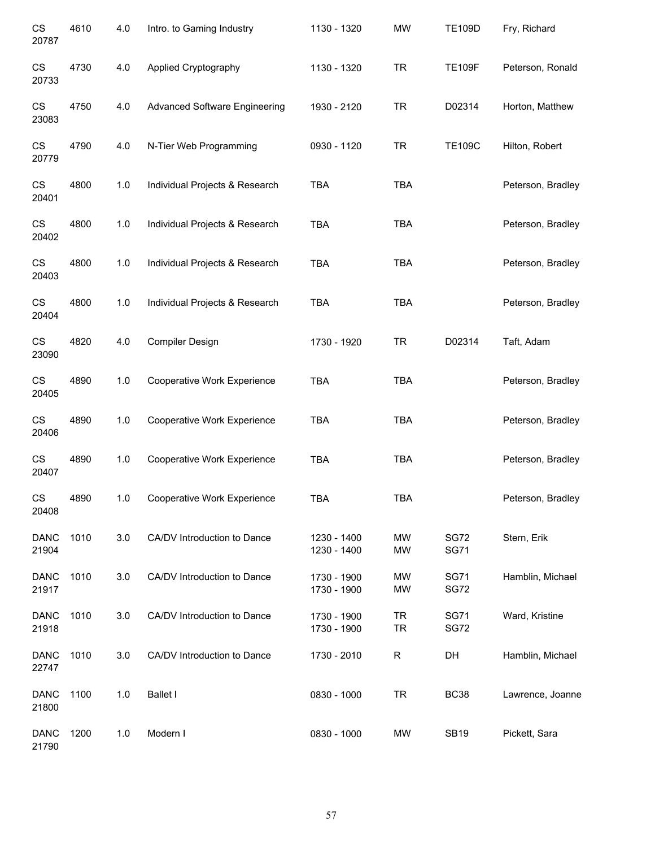| CS<br>20787          | 4610 | 4.0 | Intro. to Gaming Industry            | 1130 - 1320                | <b>MW</b>       | <b>TE109D</b>              | Fry, Richard      |
|----------------------|------|-----|--------------------------------------|----------------------------|-----------------|----------------------------|-------------------|
| CS<br>20733          | 4730 | 4.0 | Applied Cryptography                 | 1130 - 1320                | <b>TR</b>       | <b>TE109F</b>              | Peterson, Ronald  |
| CS<br>23083          | 4750 | 4.0 | <b>Advanced Software Engineering</b> | 1930 - 2120                | <b>TR</b>       | D02314                     | Horton, Matthew   |
| CS<br>20779          | 4790 | 4.0 | N-Tier Web Programming               | 0930 - 1120                | <b>TR</b>       | <b>TE109C</b>              | Hilton, Robert    |
| CS<br>20401          | 4800 | 1.0 | Individual Projects & Research       | <b>TBA</b>                 | <b>TBA</b>      |                            | Peterson, Bradley |
| CS<br>20402          | 4800 | 1.0 | Individual Projects & Research       | <b>TBA</b>                 | <b>TBA</b>      |                            | Peterson, Bradley |
| <b>CS</b><br>20403   | 4800 | 1.0 | Individual Projects & Research       | <b>TBA</b>                 | <b>TBA</b>      |                            | Peterson, Bradley |
| CS<br>20404          | 4800 | 1.0 | Individual Projects & Research       | <b>TBA</b>                 | <b>TBA</b>      |                            | Peterson, Bradley |
| CS<br>23090          | 4820 | 4.0 | Compiler Design                      | 1730 - 1920                | <b>TR</b>       | D02314                     | Taft, Adam        |
| CS<br>20405          | 4890 | 1.0 | Cooperative Work Experience          | <b>TBA</b>                 | <b>TBA</b>      |                            | Peterson, Bradley |
| CS<br>20406          | 4890 | 1.0 | Cooperative Work Experience          | <b>TBA</b>                 | <b>TBA</b>      |                            | Peterson, Bradley |
| <b>CS</b><br>20407   | 4890 | 1.0 | Cooperative Work Experience          | <b>TBA</b>                 | <b>TBA</b>      |                            | Peterson, Bradley |
| CS<br>20408          | 4890 | 1.0 | Cooperative Work Experience          | <b>TBA</b>                 | <b>TBA</b>      |                            | Peterson, Bradley |
| <b>DANC</b><br>21904 | 1010 | 3.0 | CA/DV Introduction to Dance          | 1230 - 1400<br>1230 - 1400 | MW<br><b>MW</b> | <b>SG72</b><br><b>SG71</b> | Stern, Erik       |
| <b>DANC</b><br>21917 | 1010 | 3.0 | CA/DV Introduction to Dance          | 1730 - 1900<br>1730 - 1900 | MW<br><b>MW</b> | <b>SG71</b><br><b>SG72</b> | Hamblin, Michael  |
| <b>DANC</b><br>21918 | 1010 | 3.0 | CA/DV Introduction to Dance          | 1730 - 1900<br>1730 - 1900 | TR<br><b>TR</b> | <b>SG71</b><br><b>SG72</b> | Ward, Kristine    |
| <b>DANC</b><br>22747 | 1010 | 3.0 | CA/DV Introduction to Dance          | 1730 - 2010                | $\mathsf R$     | DH                         | Hamblin, Michael  |
| <b>DANC</b><br>21800 | 1100 | 1.0 | <b>Ballet I</b>                      | 0830 - 1000                | <b>TR</b>       | <b>BC38</b>                | Lawrence, Joanne  |
| <b>DANC</b><br>21790 | 1200 | 1.0 | Modern I                             | 0830 - 1000                | MW              | <b>SB19</b>                | Pickett, Sara     |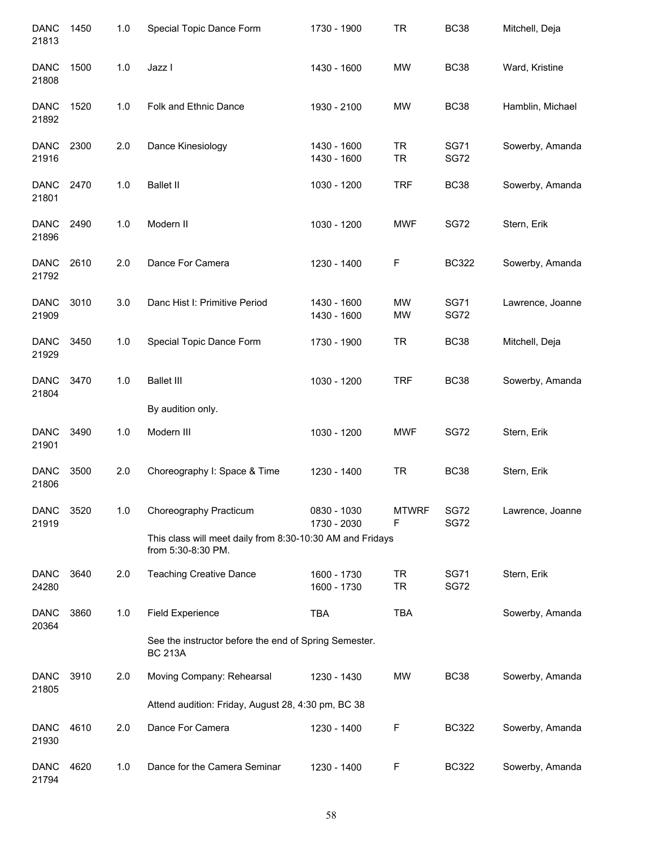| <b>DANC</b><br>21813 | 1450 | 1.0   | Special Topic Dance Form                                                        | 1730 - 1900                | <b>TR</b>              | <b>BC38</b>                | Mitchell, Deja   |
|----------------------|------|-------|---------------------------------------------------------------------------------|----------------------------|------------------------|----------------------------|------------------|
| <b>DANC</b><br>21808 | 1500 | $1.0$ | Jazz I                                                                          | 1430 - 1600                | <b>MW</b>              | <b>BC38</b>                | Ward, Kristine   |
| <b>DANC</b><br>21892 | 1520 | 1.0   | Folk and Ethnic Dance                                                           | 1930 - 2100                | <b>MW</b>              | <b>BC38</b>                | Hamblin, Michael |
| <b>DANC</b><br>21916 | 2300 | 2.0   | Dance Kinesiology                                                               | 1430 - 1600<br>1430 - 1600 | <b>TR</b><br><b>TR</b> | <b>SG71</b><br><b>SG72</b> | Sowerby, Amanda  |
| <b>DANC</b><br>21801 | 2470 | 1.0   | <b>Ballet II</b>                                                                | 1030 - 1200                | <b>TRF</b>             | <b>BC38</b>                | Sowerby, Amanda  |
| <b>DANC</b><br>21896 | 2490 | 1.0   | Modern II                                                                       | 1030 - 1200                | <b>MWF</b>             | <b>SG72</b>                | Stern, Erik      |
| <b>DANC</b><br>21792 | 2610 | 2.0   | Dance For Camera                                                                | 1230 - 1400                | F                      | <b>BC322</b>               | Sowerby, Amanda  |
| <b>DANC</b><br>21909 | 3010 | 3.0   | Danc Hist I: Primitive Period                                                   | 1430 - 1600<br>1430 - 1600 | <b>MW</b><br>MW        | <b>SG71</b><br>SG72        | Lawrence, Joanne |
| <b>DANC</b><br>21929 | 3450 | 1.0   | Special Topic Dance Form                                                        | 1730 - 1900                | <b>TR</b>              | <b>BC38</b>                | Mitchell, Deja   |
| <b>DANC</b><br>21804 | 3470 | 1.0   | <b>Ballet III</b>                                                               | 1030 - 1200                | <b>TRF</b>             | <b>BC38</b>                | Sowerby, Amanda  |
|                      |      |       | By audition only.                                                               |                            |                        |                            |                  |
| <b>DANC</b><br>21901 | 3490 | 1.0   | Modern III                                                                      | 1030 - 1200                | <b>MWF</b>             | <b>SG72</b>                | Stern, Erik      |
| <b>DANC</b><br>21806 | 3500 | 2.0   | Choreography I: Space & Time                                                    | 1230 - 1400                | <b>TR</b>              | <b>BC38</b>                | Stern, Erik      |
| <b>DANC</b><br>21919 | 3520 | 1.0   | Choreography Practicum                                                          | 0830 - 1030<br>1730 - 2030 | <b>MTWRF</b><br>F      | <b>SG72</b><br><b>SG72</b> | Lawrence, Joanne |
|                      |      |       | This class will meet daily from 8:30-10:30 AM and Fridays<br>from 5:30-8:30 PM. |                            |                        |                            |                  |
| <b>DANC</b><br>24280 | 3640 | 2.0   | <b>Teaching Creative Dance</b>                                                  | 1600 - 1730<br>1600 - 1730 | <b>TR</b><br><b>TR</b> | <b>SG71</b><br><b>SG72</b> | Stern, Erik      |
| <b>DANC</b><br>20364 | 3860 | 1.0   | <b>Field Experience</b>                                                         | <b>TBA</b>                 | <b>TBA</b>             |                            | Sowerby, Amanda  |
|                      |      |       | See the instructor before the end of Spring Semester.<br><b>BC 213A</b>         |                            |                        |                            |                  |
| <b>DANC</b><br>21805 | 3910 | 2.0   | Moving Company: Rehearsal                                                       | 1230 - 1430                | MW                     | <b>BC38</b>                | Sowerby, Amanda  |
|                      |      |       | Attend audition: Friday, August 28, 4:30 pm, BC 38                              |                            |                        |                            |                  |
| <b>DANC</b><br>21930 | 4610 | 2.0   | Dance For Camera                                                                | 1230 - 1400                | F                      | <b>BC322</b>               | Sowerby, Amanda  |
| <b>DANC</b><br>21794 | 4620 | 1.0   | Dance for the Camera Seminar                                                    | 1230 - 1400                | F                      | <b>BC322</b>               | Sowerby, Amanda  |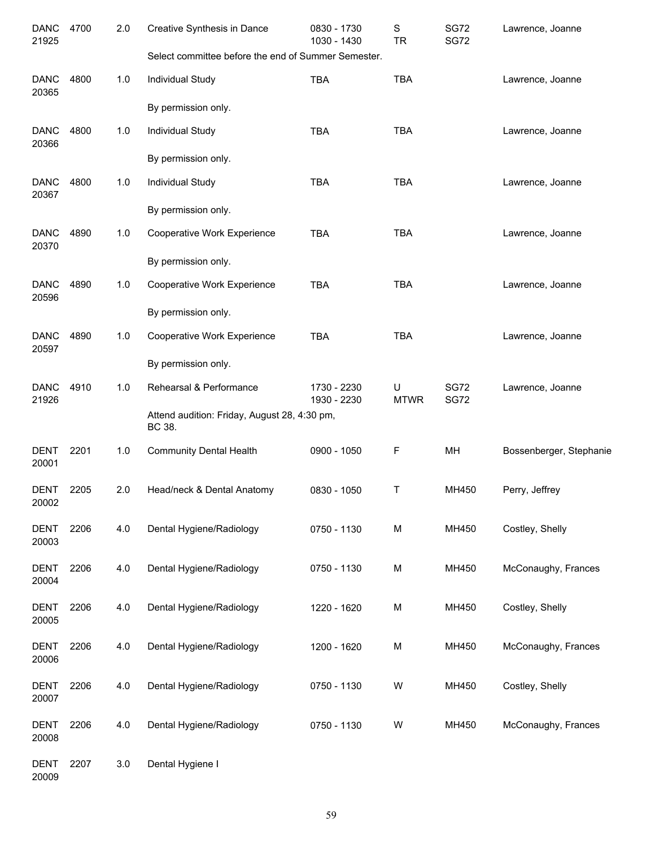| <b>DANC</b><br>21925 | 4700 | 2.0 | Creative Synthesis in Dance                            | 0830 - 1730<br>1030 - 1430 | S<br><b>TR</b>   | <b>SG72</b><br><b>SG72</b> | Lawrence, Joanne        |
|----------------------|------|-----|--------------------------------------------------------|----------------------------|------------------|----------------------------|-------------------------|
|                      |      |     | Select committee before the end of Summer Semester.    |                            |                  |                            |                         |
| <b>DANC</b><br>20365 | 4800 | 1.0 | Individual Study                                       | <b>TBA</b>                 | <b>TBA</b>       |                            | Lawrence, Joanne        |
|                      |      |     | By permission only.                                    |                            |                  |                            |                         |
| <b>DANC</b><br>20366 | 4800 | 1.0 | Individual Study                                       | <b>TBA</b>                 | <b>TBA</b>       |                            | Lawrence, Joanne        |
|                      |      |     | By permission only.                                    |                            |                  |                            |                         |
| <b>DANC</b><br>20367 | 4800 | 1.0 | Individual Study                                       | <b>TBA</b>                 | <b>TBA</b>       |                            | Lawrence, Joanne        |
|                      |      |     | By permission only.                                    |                            |                  |                            |                         |
| <b>DANC</b><br>20370 | 4890 | 1.0 | Cooperative Work Experience                            | <b>TBA</b>                 | <b>TBA</b>       |                            | Lawrence, Joanne        |
|                      |      |     | By permission only.                                    |                            |                  |                            |                         |
| <b>DANC</b><br>20596 | 4890 | 1.0 | Cooperative Work Experience                            | <b>TBA</b>                 | <b>TBA</b>       |                            | Lawrence, Joanne        |
|                      |      |     | By permission only.                                    |                            |                  |                            |                         |
| <b>DANC</b><br>20597 | 4890 | 1.0 | Cooperative Work Experience                            | <b>TBA</b>                 | <b>TBA</b>       |                            | Lawrence, Joanne        |
|                      |      |     | By permission only.                                    |                            |                  |                            |                         |
| <b>DANC</b><br>21926 | 4910 | 1.0 | Rehearsal & Performance                                | 1730 - 2230<br>1930 - 2230 | U<br><b>MTWR</b> | <b>SG72</b><br><b>SG72</b> | Lawrence, Joanne        |
|                      |      |     | Attend audition: Friday, August 28, 4:30 pm,<br>BC 38. |                            |                  |                            |                         |
| <b>DENT</b><br>20001 | 2201 | 1.0 | <b>Community Dental Health</b>                         | 0900 - 1050                | F                | MH                         | Bossenberger, Stephanie |
| DENT                 | 2205 | 2.0 | Head/neck & Dental Anatomy                             | 0830 - 1050                | Τ                | MH450                      | Perry, Jeffrey          |
| 20002                |      |     |                                                        |                            |                  |                            |                         |
| <b>DENT</b><br>20003 | 2206 | 4.0 | Dental Hygiene/Radiology                               | 0750 - 1130                | M                | MH450                      | Costley, Shelly         |
| <b>DENT</b>          | 2206 | 4.0 | Dental Hygiene/Radiology                               | 0750 - 1130                | M                | MH450                      | McConaughy, Frances     |
| 20004                |      |     |                                                        |                            |                  |                            |                         |
| <b>DENT</b><br>20005 | 2206 | 4.0 | Dental Hygiene/Radiology                               | 1220 - 1620                | M                | MH450                      | Costley, Shelly         |
| <b>DENT</b><br>20006 | 2206 | 4.0 | Dental Hygiene/Radiology                               | 1200 - 1620                | M                | MH450                      | McConaughy, Frances     |
| <b>DENT</b><br>20007 | 2206 | 4.0 | Dental Hygiene/Radiology                               | 0750 - 1130                | W                | MH450                      | Costley, Shelly         |
| <b>DENT</b><br>20008 | 2206 | 4.0 | Dental Hygiene/Radiology                               | 0750 - 1130                | W                | MH450                      | McConaughy, Frances     |
| <b>DENT</b>          | 2207 | 3.0 | Dental Hygiene I                                       |                            |                  |                            |                         |
|                      |      |     |                                                        |                            |                  |                            |                         |

20009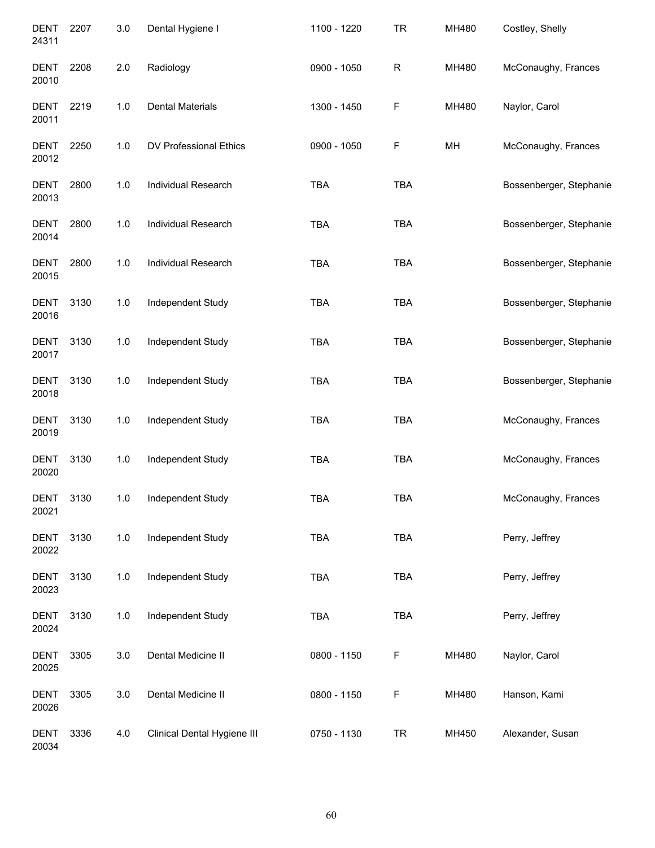| <b>DENT</b><br>24311 | 2207 | 3.0   | Dental Hygiene I            | 1100 - 1220 | <b>TR</b>    | MH480 | Costley, Shelly         |
|----------------------|------|-------|-----------------------------|-------------|--------------|-------|-------------------------|
| <b>DENT</b><br>20010 | 2208 | 2.0   | Radiology                   | 0900 - 1050 | $\mathsf{R}$ | MH480 | McConaughy, Frances     |
| <b>DENT</b><br>20011 | 2219 | 1.0   | <b>Dental Materials</b>     | 1300 - 1450 | F            | MH480 | Naylor, Carol           |
| <b>DENT</b><br>20012 | 2250 | 1.0   | DV Professional Ethics      | 0900 - 1050 | F            | MH    | McConaughy, Frances     |
| <b>DENT</b><br>20013 | 2800 | 1.0   | Individual Research         | <b>TBA</b>  | <b>TBA</b>   |       | Bossenberger, Stephanie |
| <b>DENT</b><br>20014 | 2800 | 1.0   | Individual Research         | <b>TBA</b>  | <b>TBA</b>   |       | Bossenberger, Stephanie |
| <b>DENT</b><br>20015 | 2800 | 1.0   | <b>Individual Research</b>  | <b>TBA</b>  | <b>TBA</b>   |       | Bossenberger, Stephanie |
| <b>DENT</b><br>20016 | 3130 | 1.0   | Independent Study           | <b>TBA</b>  | <b>TBA</b>   |       | Bossenberger, Stephanie |
| <b>DENT</b><br>20017 | 3130 | $1.0$ | Independent Study           | TBA         | <b>TBA</b>   |       | Bossenberger, Stephanie |
| <b>DENT</b><br>20018 | 3130 | 1.0   | Independent Study           | <b>TBA</b>  | <b>TBA</b>   |       | Bossenberger, Stephanie |
| <b>DENT</b><br>20019 | 3130 | 1.0   | Independent Study           | <b>TBA</b>  | <b>TBA</b>   |       | McConaughy, Frances     |
| <b>DENT</b><br>20020 | 3130 | 1.0   | Independent Study           | <b>TBA</b>  | <b>TBA</b>   |       | McConaughy, Frances     |
| DENT<br>20021        | 3130 | 1.0   | Independent Study           | TBA         | TBA          |       | McConaughy, Frances     |
| <b>DENT</b><br>20022 | 3130 | $1.0$ | Independent Study           | TBA         | TBA          |       | Perry, Jeffrey          |
| <b>DENT</b><br>20023 | 3130 | 1.0   | Independent Study           | <b>TBA</b>  | TBA          |       | Perry, Jeffrey          |
| <b>DENT</b><br>20024 | 3130 | 1.0   | Independent Study           | <b>TBA</b>  | TBA          |       | Perry, Jeffrey          |
| <b>DENT</b><br>20025 | 3305 | 3.0   | Dental Medicine II          | 0800 - 1150 | F            | MH480 | Naylor, Carol           |
| <b>DENT</b><br>20026 | 3305 | 3.0   | Dental Medicine II          | 0800 - 1150 | F            | MH480 | Hanson, Kami            |
| <b>DENT</b><br>20034 | 3336 | 4.0   | Clinical Dental Hygiene III | 0750 - 1130 | <b>TR</b>    | MH450 | Alexander, Susan        |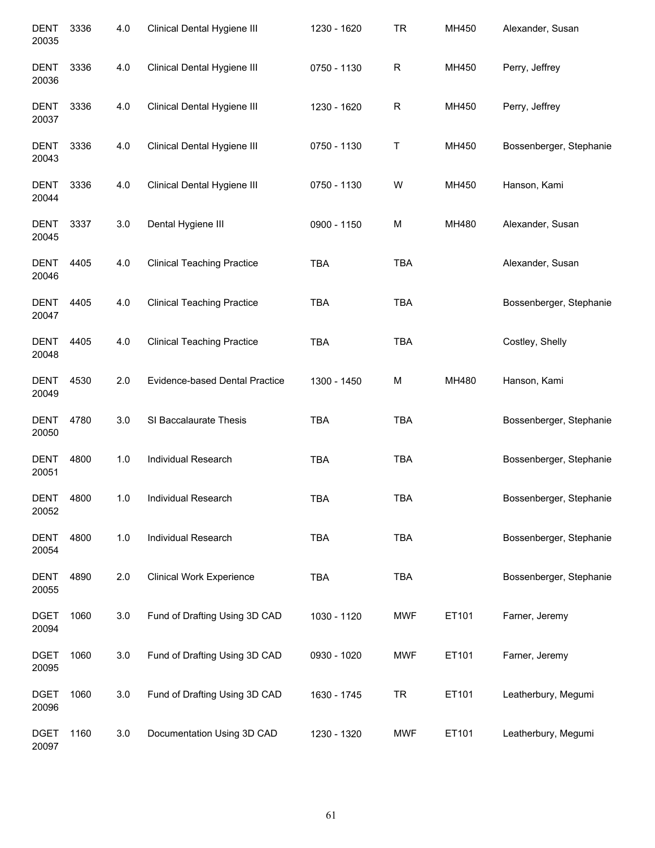| <b>DENT</b><br>20035 | 3336 | 4.0 | Clinical Dental Hygiene III       | 1230 - 1620 | TR         | MH450 | Alexander, Susan        |
|----------------------|------|-----|-----------------------------------|-------------|------------|-------|-------------------------|
| <b>DENT</b><br>20036 | 3336 | 4.0 | Clinical Dental Hygiene III       | 0750 - 1130 | R          | MH450 | Perry, Jeffrey          |
| DENT<br>20037        | 3336 | 4.0 | Clinical Dental Hygiene III       | 1230 - 1620 | R          | MH450 | Perry, Jeffrey          |
| DENT<br>20043        | 3336 | 4.0 | Clinical Dental Hygiene III       | 0750 - 1130 | Τ          | MH450 | Bossenberger, Stephanie |
| <b>DENT</b><br>20044 | 3336 | 4.0 | Clinical Dental Hygiene III       | 0750 - 1130 | W          | MH450 | Hanson, Kami            |
| <b>DENT</b><br>20045 | 3337 | 3.0 | Dental Hygiene III                | 0900 - 1150 | M          | MH480 | Alexander, Susan        |
| <b>DENT</b><br>20046 | 4405 | 4.0 | <b>Clinical Teaching Practice</b> | <b>TBA</b>  | <b>TBA</b> |       | Alexander, Susan        |
| <b>DENT</b><br>20047 | 4405 | 4.0 | <b>Clinical Teaching Practice</b> | <b>TBA</b>  | <b>TBA</b> |       | Bossenberger, Stephanie |
| <b>DENT</b><br>20048 | 4405 | 4.0 | <b>Clinical Teaching Practice</b> | <b>TBA</b>  | <b>TBA</b> |       | Costley, Shelly         |
| <b>DENT</b><br>20049 | 4530 | 2.0 | Evidence-based Dental Practice    | 1300 - 1450 | M          | MH480 | Hanson, Kami            |
| <b>DENT</b><br>20050 | 4780 | 3.0 | SI Baccalaurate Thesis            | <b>TBA</b>  | <b>TBA</b> |       | Bossenberger, Stephanie |
| <b>DENT</b><br>20051 | 4800 | 1.0 | Individual Research               | <b>TBA</b>  | <b>TBA</b> |       | Bossenberger, Stephanie |
| <b>DENT</b><br>20052 | 4800 | 1.0 | Individual Research               | <b>TBA</b>  | <b>TBA</b> |       | Bossenberger, Stephanie |
| <b>DENT</b><br>20054 | 4800 | 1.0 | Individual Research               | <b>TBA</b>  | <b>TBA</b> |       | Bossenberger, Stephanie |
| <b>DENT</b><br>20055 | 4890 | 2.0 | <b>Clinical Work Experience</b>   | <b>TBA</b>  | <b>TBA</b> |       | Bossenberger, Stephanie |
| <b>DGET</b><br>20094 | 1060 | 3.0 | Fund of Drafting Using 3D CAD     | 1030 - 1120 | <b>MWF</b> | ET101 | Farner, Jeremy          |
| <b>DGET</b><br>20095 | 1060 | 3.0 | Fund of Drafting Using 3D CAD     | 0930 - 1020 | <b>MWF</b> | ET101 | Farner, Jeremy          |
| <b>DGET</b><br>20096 | 1060 | 3.0 | Fund of Drafting Using 3D CAD     | 1630 - 1745 | <b>TR</b>  | ET101 | Leatherbury, Megumi     |
| <b>DGET</b><br>20097 | 1160 | 3.0 | Documentation Using 3D CAD        | 1230 - 1320 | <b>MWF</b> | ET101 | Leatherbury, Megumi     |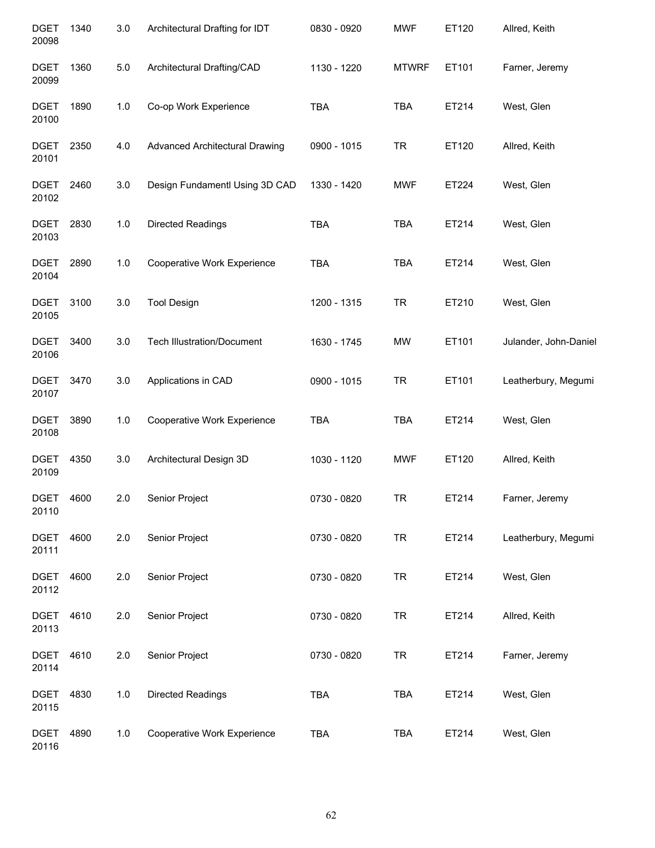| <b>DGET</b><br>20098 | 1340 | 3.0   | Architectural Drafting for IDT        | 0830 - 0920 | <b>MWF</b>   | ET120 | Allred, Keith         |
|----------------------|------|-------|---------------------------------------|-------------|--------------|-------|-----------------------|
| <b>DGET</b><br>20099 | 1360 | $5.0$ | Architectural Drafting/CAD            | 1130 - 1220 | <b>MTWRF</b> | ET101 | Farner, Jeremy        |
| <b>DGET</b><br>20100 | 1890 | 1.0   | Co-op Work Experience                 | <b>TBA</b>  | <b>TBA</b>   | ET214 | West, Glen            |
| DGET<br>20101        | 2350 | 4.0   | <b>Advanced Architectural Drawing</b> | 0900 - 1015 | <b>TR</b>    | ET120 | Allred, Keith         |
| DGET<br>20102        | 2460 | 3.0   | Design Fundamentl Using 3D CAD        | 1330 - 1420 | <b>MWF</b>   | ET224 | West, Glen            |
| <b>DGET</b><br>20103 | 2830 | 1.0   | Directed Readings                     | <b>TBA</b>  | <b>TBA</b>   | ET214 | West, Glen            |
| <b>DGET</b><br>20104 | 2890 | 1.0   | Cooperative Work Experience           | <b>TBA</b>  | <b>TBA</b>   | ET214 | West, Glen            |
| <b>DGET</b><br>20105 | 3100 | 3.0   | <b>Tool Design</b>                    | 1200 - 1315 | <b>TR</b>    | ET210 | West, Glen            |
| <b>DGET</b><br>20106 | 3400 | 3.0   | <b>Tech Illustration/Document</b>     | 1630 - 1745 | <b>MW</b>    | ET101 | Julander, John-Daniel |
| <b>DGET</b><br>20107 | 3470 | 3.0   | Applications in CAD                   | 0900 - 1015 | <b>TR</b>    | ET101 | Leatherbury, Megumi   |
| <b>DGET</b><br>20108 | 3890 | 1.0   | Cooperative Work Experience           | TBA         | <b>TBA</b>   | ET214 | West, Glen            |
| <b>DGET</b><br>20109 | 4350 | 3.0   | Architectural Design 3D               | 1030 - 1120 | <b>MWF</b>   | ET120 | Allred, Keith         |
| DGET<br>20110        | 4600 | 2.0   | Senior Project                        | 0730 - 0820 | TR           | ET214 | Farner, Jeremy        |
| <b>DGET</b><br>20111 | 4600 | 2.0   | Senior Project                        | 0730 - 0820 | <b>TR</b>    | ET214 | Leatherbury, Megumi   |
| <b>DGET</b><br>20112 | 4600 | 2.0   | Senior Project                        | 0730 - 0820 | <b>TR</b>    | ET214 | West, Glen            |
| <b>DGET</b><br>20113 | 4610 | 2.0   | Senior Project                        | 0730 - 0820 | <b>TR</b>    | ET214 | Allred, Keith         |
| <b>DGET</b><br>20114 | 4610 | 2.0   | Senior Project                        | 0730 - 0820 | <b>TR</b>    | ET214 | Farner, Jeremy        |
| <b>DGET</b><br>20115 | 4830 | $1.0$ | Directed Readings                     | TBA         | TBA          | ET214 | West, Glen            |
| <b>DGET</b><br>20116 | 4890 | 1.0   | Cooperative Work Experience           | TBA         | TBA          | ET214 | West, Glen            |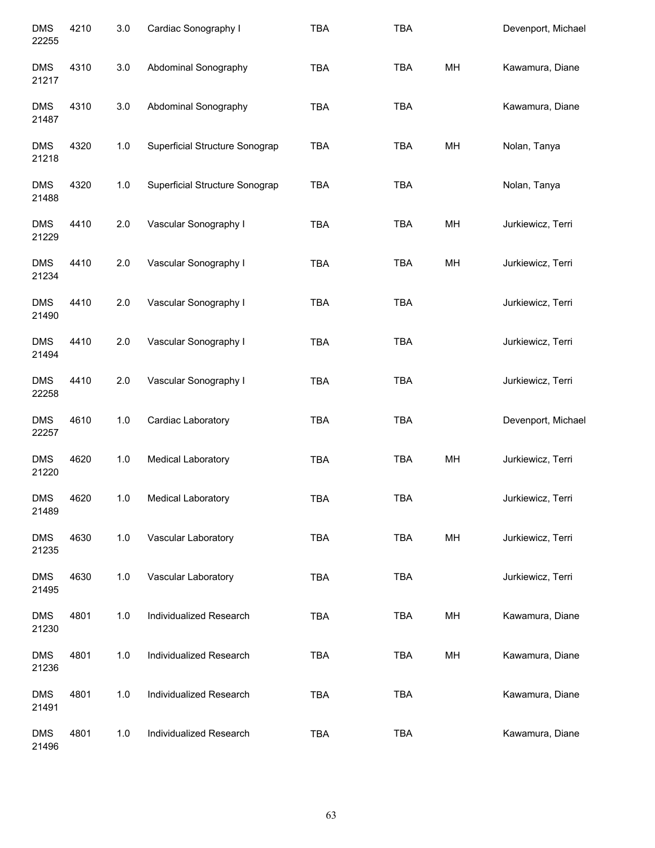| <b>DMS</b><br>22255 | 4210 | 3.0 | Cardiac Sonography I           | <b>TBA</b> | TBA        |    | Devenport, Michael |
|---------------------|------|-----|--------------------------------|------------|------------|----|--------------------|
| <b>DMS</b><br>21217 | 4310 | 3.0 | Abdominal Sonography           | <b>TBA</b> | <b>TBA</b> | MH | Kawamura, Diane    |
| <b>DMS</b><br>21487 | 4310 | 3.0 | Abdominal Sonography           | <b>TBA</b> | <b>TBA</b> |    | Kawamura, Diane    |
| <b>DMS</b><br>21218 | 4320 | 1.0 | Superficial Structure Sonograp | <b>TBA</b> | <b>TBA</b> | MH | Nolan, Tanya       |
| <b>DMS</b><br>21488 | 4320 | 1.0 | Superficial Structure Sonograp | <b>TBA</b> | <b>TBA</b> |    | Nolan, Tanya       |
| <b>DMS</b><br>21229 | 4410 | 2.0 | Vascular Sonography I          | <b>TBA</b> | <b>TBA</b> | MH | Jurkiewicz, Terri  |
| <b>DMS</b><br>21234 | 4410 | 2.0 | Vascular Sonography I          | <b>TBA</b> | <b>TBA</b> | MH | Jurkiewicz, Terri  |
| <b>DMS</b><br>21490 | 4410 | 2.0 | Vascular Sonography I          | <b>TBA</b> | <b>TBA</b> |    | Jurkiewicz, Terri  |
| <b>DMS</b><br>21494 | 4410 | 2.0 | Vascular Sonography I          | <b>TBA</b> | <b>TBA</b> |    | Jurkiewicz, Terri  |
| <b>DMS</b><br>22258 | 4410 | 2.0 | Vascular Sonography I          | <b>TBA</b> | <b>TBA</b> |    | Jurkiewicz, Terri  |
| <b>DMS</b><br>22257 | 4610 | 1.0 | Cardiac Laboratory             | <b>TBA</b> | <b>TBA</b> |    | Devenport, Michael |
| <b>DMS</b><br>21220 | 4620 | 1.0 | <b>Medical Laboratory</b>      | <b>TBA</b> | <b>TBA</b> | MH | Jurkiewicz, Terri  |
| <b>DMS</b><br>21489 | 4620 | 1.0 | Medical Laboratory             | <b>TBA</b> | <b>TBA</b> |    | Jurkiewicz, Terri  |
| <b>DMS</b><br>21235 | 4630 | 1.0 | Vascular Laboratory            | <b>TBA</b> | <b>TBA</b> | MH | Jurkiewicz, Terri  |
| <b>DMS</b><br>21495 | 4630 | 1.0 | Vascular Laboratory            | <b>TBA</b> | TBA        |    | Jurkiewicz, Terri  |
| DMS<br>21230        | 4801 | 1.0 | Individualized Research        | <b>TBA</b> | TBA        | MH | Kawamura, Diane    |
| <b>DMS</b><br>21236 | 4801 | 1.0 | Individualized Research        | <b>TBA</b> | TBA        | MH | Kawamura, Diane    |
| <b>DMS</b><br>21491 | 4801 | 1.0 | Individualized Research        | <b>TBA</b> | <b>TBA</b> |    | Kawamura, Diane    |
| <b>DMS</b><br>21496 | 4801 | 1.0 | Individualized Research        | <b>TBA</b> | <b>TBA</b> |    | Kawamura, Diane    |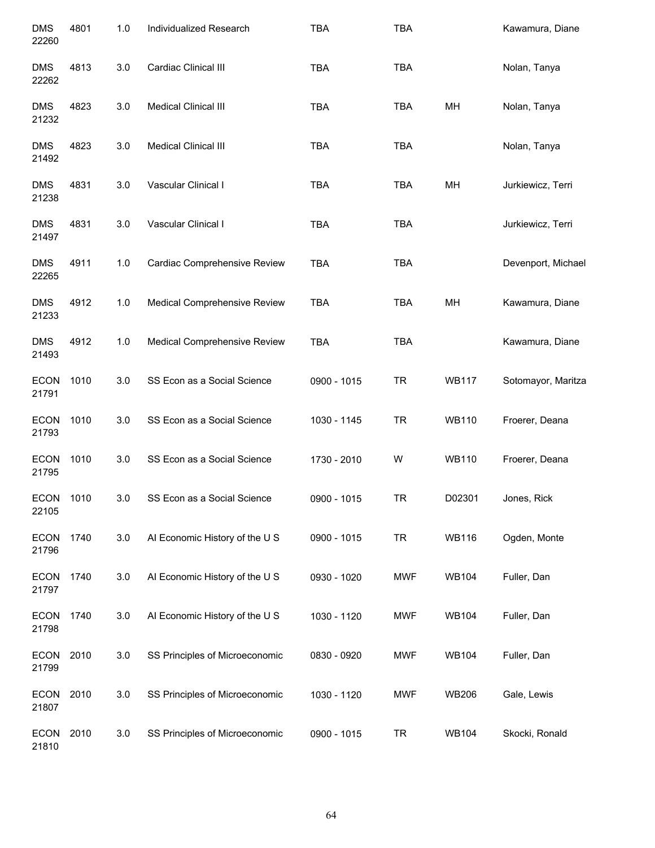| <b>DMS</b><br>22260  | 4801 | 1.0 | Individualized Research        | <b>TBA</b>  | <b>TBA</b> |              | Kawamura, Diane    |
|----------------------|------|-----|--------------------------------|-------------|------------|--------------|--------------------|
| <b>DMS</b><br>22262  | 4813 | 3.0 | Cardiac Clinical III           | <b>TBA</b>  | <b>TBA</b> |              | Nolan, Tanya       |
| <b>DMS</b><br>21232  | 4823 | 3.0 | Medical Clinical III           | <b>TBA</b>  | TBA        | MH           | Nolan, Tanya       |
| <b>DMS</b><br>21492  | 4823 | 3.0 | Medical Clinical III           | <b>TBA</b>  | <b>TBA</b> |              | Nolan, Tanya       |
| <b>DMS</b><br>21238  | 4831 | 3.0 | Vascular Clinical I            | <b>TBA</b>  | <b>TBA</b> | MH           | Jurkiewicz, Terri  |
| <b>DMS</b><br>21497  | 4831 | 3.0 | Vascular Clinical I            | <b>TBA</b>  | <b>TBA</b> |              | Jurkiewicz, Terri  |
| <b>DMS</b><br>22265  | 4911 | 1.0 | Cardiac Comprehensive Review   | <b>TBA</b>  | <b>TBA</b> |              | Devenport, Michael |
| <b>DMS</b><br>21233  | 4912 | 1.0 | Medical Comprehensive Review   | <b>TBA</b>  | TBA        | MH           | Kawamura, Diane    |
| <b>DMS</b><br>21493  | 4912 | 1.0 | Medical Comprehensive Review   | <b>TBA</b>  | <b>TBA</b> |              | Kawamura, Diane    |
| <b>ECON</b><br>21791 | 1010 | 3.0 | SS Econ as a Social Science    | 0900 - 1015 | <b>TR</b>  | <b>WB117</b> | Sotomayor, Maritza |
| <b>ECON</b><br>21793 | 1010 | 3.0 | SS Econ as a Social Science    | 1030 - 1145 | <b>TR</b>  | <b>WB110</b> | Froerer, Deana     |
| <b>ECON</b><br>21795 | 1010 | 3.0 | SS Econ as a Social Science    | 1730 - 2010 | W          | <b>WB110</b> | Froerer, Deana     |
| <b>ECON</b><br>22105 | 1010 | 3.0 | SS Econ as a Social Science    | 0900 - 1015 | TR         | D02301       | Jones, Rick        |
| <b>ECON</b><br>21796 | 1740 | 3.0 | Al Economic History of the U S | 0900 - 1015 | <b>TR</b>  | <b>WB116</b> | Ogden, Monte       |
| <b>ECON</b><br>21797 | 1740 | 3.0 | Al Economic History of the U S | 0930 - 1020 | <b>MWF</b> | <b>WB104</b> | Fuller, Dan        |
| <b>ECON</b><br>21798 | 1740 | 3.0 | Al Economic History of the U S | 1030 - 1120 | <b>MWF</b> | <b>WB104</b> | Fuller, Dan        |
| <b>ECON</b><br>21799 | 2010 | 3.0 | SS Principles of Microeconomic | 0830 - 0920 | <b>MWF</b> | <b>WB104</b> | Fuller, Dan        |
| <b>ECON</b><br>21807 | 2010 | 3.0 | SS Principles of Microeconomic | 1030 - 1120 | <b>MWF</b> | <b>WB206</b> | Gale, Lewis        |
| <b>ECON</b><br>21810 | 2010 | 3.0 | SS Principles of Microeconomic | 0900 - 1015 | <b>TR</b>  | <b>WB104</b> | Skocki, Ronald     |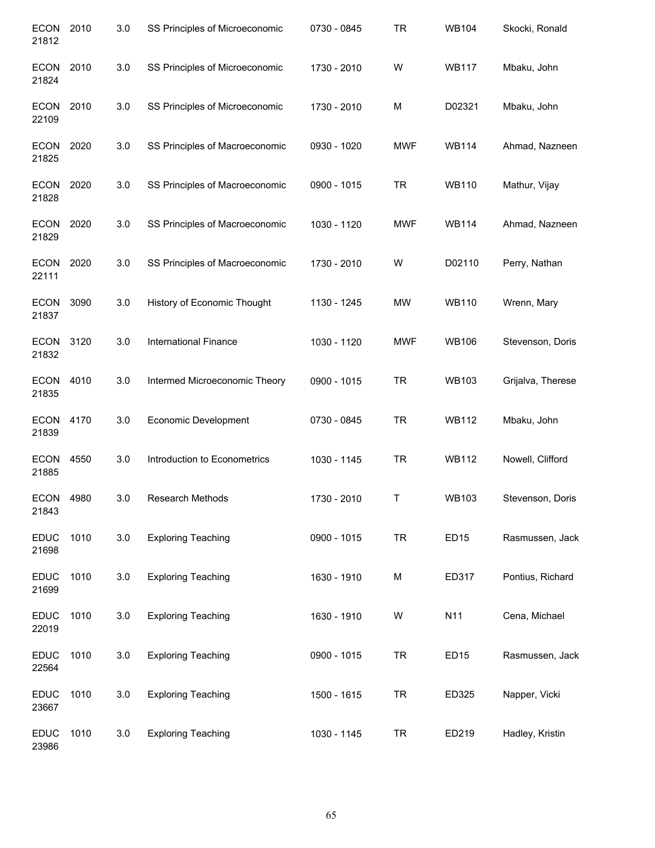| <b>ECON</b><br>21812 | 2010 | 3.0 | SS Principles of Microeconomic | 0730 - 0845 | <b>TR</b>  | <b>WB104</b>     | Skocki, Ronald    |
|----------------------|------|-----|--------------------------------|-------------|------------|------------------|-------------------|
| <b>ECON</b><br>21824 | 2010 | 3.0 | SS Principles of Microeconomic | 1730 - 2010 | W          | <b>WB117</b>     | Mbaku, John       |
| <b>ECON</b><br>22109 | 2010 | 3.0 | SS Principles of Microeconomic | 1730 - 2010 | M          | D02321           | Mbaku, John       |
| <b>ECON</b><br>21825 | 2020 | 3.0 | SS Principles of Macroeconomic | 0930 - 1020 | <b>MWF</b> | <b>WB114</b>     | Ahmad, Nazneen    |
| <b>ECON</b><br>21828 | 2020 | 3.0 | SS Principles of Macroeconomic | 0900 - 1015 | <b>TR</b>  | <b>WB110</b>     | Mathur, Vijay     |
| <b>ECON</b><br>21829 | 2020 | 3.0 | SS Principles of Macroeconomic | 1030 - 1120 | <b>MWF</b> | <b>WB114</b>     | Ahmad, Nazneen    |
| <b>ECON</b><br>22111 | 2020 | 3.0 | SS Principles of Macroeconomic | 1730 - 2010 | W          | D02110           | Perry, Nathan     |
| <b>ECON</b><br>21837 | 3090 | 3.0 | History of Economic Thought    | 1130 - 1245 | MW         | <b>WB110</b>     | Wrenn, Mary       |
| <b>ECON</b><br>21832 | 3120 | 3.0 | <b>International Finance</b>   | 1030 - 1120 | <b>MWF</b> | <b>WB106</b>     | Stevenson, Doris  |
| <b>ECON</b><br>21835 | 4010 | 3.0 | Intermed Microeconomic Theory  | 0900 - 1015 | <b>TR</b>  | <b>WB103</b>     | Grijalva, Therese |
| <b>ECON</b><br>21839 | 4170 | 3.0 | <b>Economic Development</b>    | 0730 - 0845 | <b>TR</b>  | <b>WB112</b>     | Mbaku, John       |
| <b>ECON</b><br>21885 | 4550 | 3.0 | Introduction to Econometrics   | 1030 - 1145 | <b>TR</b>  | <b>WB112</b>     | Nowell, Clifford  |
| <b>ECON</b><br>21843 | 4980 | 3.0 | Research Methods               | 1730 - 2010 | T          | WB103            | Stevenson, Doris  |
| <b>EDUC</b><br>21698 | 1010 | 3.0 | <b>Exploring Teaching</b>      | 0900 - 1015 | <b>TR</b>  | ED <sub>15</sub> | Rasmussen, Jack   |
| <b>EDUC</b><br>21699 | 1010 | 3.0 | <b>Exploring Teaching</b>      | 1630 - 1910 | M          | ED317            | Pontius, Richard  |
| <b>EDUC</b><br>22019 | 1010 | 3.0 | <b>Exploring Teaching</b>      | 1630 - 1910 | W          | N11              | Cena, Michael     |
| <b>EDUC</b><br>22564 | 1010 | 3.0 | <b>Exploring Teaching</b>      | 0900 - 1015 | <b>TR</b>  | ED <sub>15</sub> | Rasmussen, Jack   |
| <b>EDUC</b><br>23667 | 1010 | 3.0 | <b>Exploring Teaching</b>      | 1500 - 1615 | <b>TR</b>  | ED325            | Napper, Vicki     |
| <b>EDUC</b><br>23986 | 1010 | 3.0 | <b>Exploring Teaching</b>      | 1030 - 1145 | <b>TR</b>  | ED219            | Hadley, Kristin   |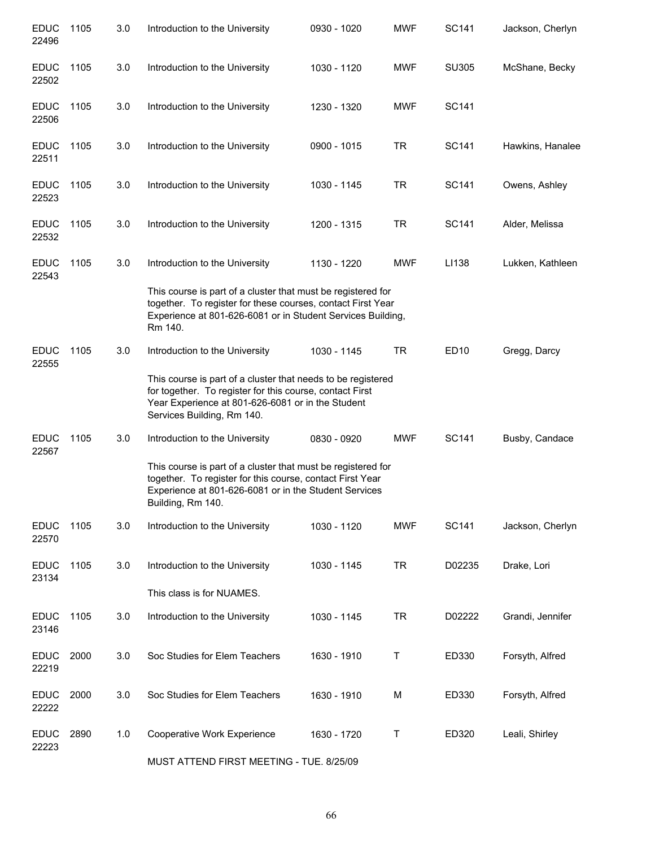| <b>EDUC</b><br>22496 | 1105 | 3.0 | Introduction to the University                                                                                                                                                                              | 0930 - 1020 | <b>MWF</b> | SC141        | Jackson, Cherlyn |
|----------------------|------|-----|-------------------------------------------------------------------------------------------------------------------------------------------------------------------------------------------------------------|-------------|------------|--------------|------------------|
| <b>EDUC</b><br>22502 | 1105 | 3.0 | Introduction to the University                                                                                                                                                                              | 1030 - 1120 | <b>MWF</b> | SU305        | McShane, Becky   |
| <b>EDUC</b><br>22506 | 1105 | 3.0 | Introduction to the University                                                                                                                                                                              | 1230 - 1320 | <b>MWF</b> | SC141        |                  |
| <b>EDUC</b><br>22511 | 1105 | 3.0 | Introduction to the University                                                                                                                                                                              | 0900 - 1015 | TR         | SC141        | Hawkins, Hanalee |
| <b>EDUC</b><br>22523 | 1105 | 3.0 | Introduction to the University                                                                                                                                                                              | 1030 - 1145 | TR         | <b>SC141</b> | Owens, Ashley    |
| <b>EDUC</b><br>22532 | 1105 | 3.0 | Introduction to the University                                                                                                                                                                              | 1200 - 1315 | TR         | SC141        | Alder, Melissa   |
| <b>EDUC</b><br>22543 | 1105 | 3.0 | Introduction to the University                                                                                                                                                                              | 1130 - 1220 | <b>MWF</b> | LI138        | Lukken, Kathleen |
|                      |      |     | This course is part of a cluster that must be registered for<br>together. To register for these courses, contact First Year<br>Experience at 801-626-6081 or in Student Services Building,<br>Rm 140.       |             |            |              |                  |
| <b>EDUC</b><br>22555 | 1105 | 3.0 | Introduction to the University                                                                                                                                                                              | 1030 - 1145 | <b>TR</b>  | ED10         | Gregg, Darcy     |
|                      |      |     | This course is part of a cluster that needs to be registered<br>for together. To register for this course, contact First<br>Year Experience at 801-626-6081 or in the Student<br>Services Building, Rm 140. |             |            |              |                  |
| <b>EDUC</b><br>22567 | 1105 | 3.0 | Introduction to the University                                                                                                                                                                              | 0830 - 0920 | <b>MWF</b> | SC141        | Busby, Candace   |
|                      |      |     | This course is part of a cluster that must be registered for<br>together. To register for this course, contact First Year<br>Experience at 801-626-6081 or in the Student Services<br>Building, Rm 140.     |             |            |              |                  |
| <b>EDUC</b><br>22570 | 1105 | 3.0 | Introduction to the University                                                                                                                                                                              | 1030 - 1120 | <b>MWF</b> | <b>SC141</b> | Jackson, Cherlyn |
| <b>EDUC</b><br>23134 | 1105 | 3.0 | Introduction to the University                                                                                                                                                                              | 1030 - 1145 | <b>TR</b>  | D02235       | Drake, Lori      |
|                      |      |     | This class is for NUAMES.                                                                                                                                                                                   |             |            |              |                  |
| <b>EDUC</b><br>23146 | 1105 | 3.0 | Introduction to the University                                                                                                                                                                              | 1030 - 1145 | <b>TR</b>  | D02222       | Grandi, Jennifer |
| <b>EDUC</b><br>22219 | 2000 | 3.0 | Soc Studies for Elem Teachers                                                                                                                                                                               | 1630 - 1910 | Τ          | ED330        | Forsyth, Alfred  |
| <b>EDUC</b><br>22222 | 2000 | 3.0 | Soc Studies for Elem Teachers                                                                                                                                                                               | 1630 - 1910 | М          | ED330        | Forsyth, Alfred  |
| <b>EDUC</b><br>22223 | 2890 | 1.0 | Cooperative Work Experience                                                                                                                                                                                 | 1630 - 1720 | Τ          | ED320        | Leali, Shirley   |

MUST ATTEND FIRST MEETING - TUE. 8/25/09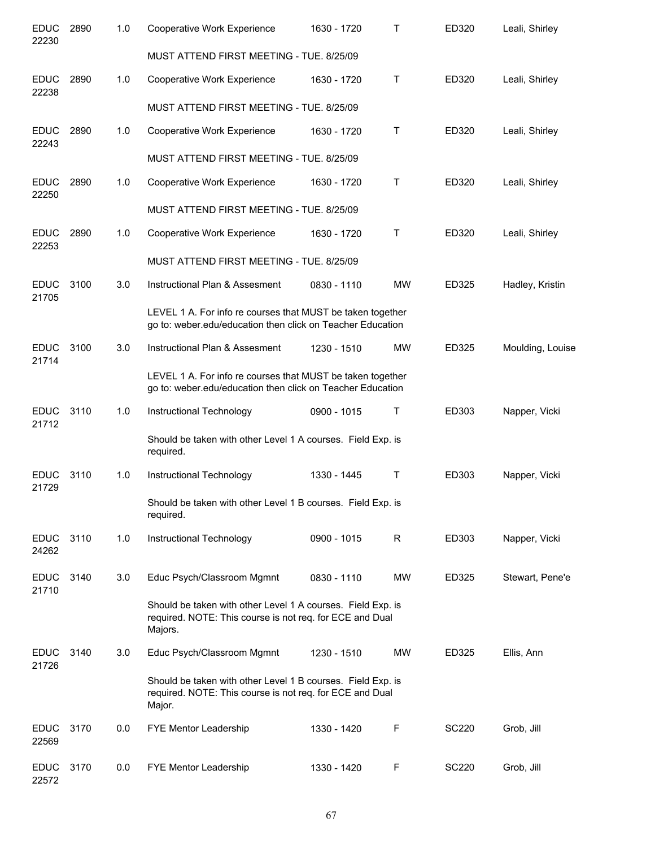| <b>EDUC</b><br>22230 | 2890 | 1.0 | Cooperative Work Experience                                                                                                        | 1630 - 1720 | т            | ED320        | Leali, Shirley   |
|----------------------|------|-----|------------------------------------------------------------------------------------------------------------------------------------|-------------|--------------|--------------|------------------|
|                      |      |     | MUST ATTEND FIRST MEETING - TUE. 8/25/09                                                                                           |             |              |              |                  |
| <b>EDUC</b><br>22238 | 2890 | 1.0 | Cooperative Work Experience                                                                                                        | 1630 - 1720 | Τ            | ED320        | Leali, Shirley   |
|                      |      |     | MUST ATTEND FIRST MEETING - TUE. 8/25/09                                                                                           |             |              |              |                  |
| <b>EDUC</b><br>22243 | 2890 | 1.0 | Cooperative Work Experience                                                                                                        | 1630 - 1720 | Τ            | ED320        | Leali, Shirley   |
|                      |      |     | MUST ATTEND FIRST MEETING - TUE. 8/25/09                                                                                           |             |              |              |                  |
| <b>EDUC</b><br>22250 | 2890 | 1.0 | Cooperative Work Experience                                                                                                        | 1630 - 1720 | Τ            | ED320        | Leali, Shirley   |
|                      |      |     | MUST ATTEND FIRST MEETING - TUE. 8/25/09                                                                                           |             |              |              |                  |
| <b>EDUC</b><br>22253 | 2890 | 1.0 | Cooperative Work Experience                                                                                                        | 1630 - 1720 | Τ            | ED320        | Leali, Shirley   |
|                      |      |     | MUST ATTEND FIRST MEETING - TUE. 8/25/09                                                                                           |             |              |              |                  |
| <b>EDUC</b><br>21705 | 3100 | 3.0 | Instructional Plan & Assesment                                                                                                     | 0830 - 1110 | <b>MW</b>    | ED325        | Hadley, Kristin  |
|                      |      |     | LEVEL 1 A. For info re courses that MUST be taken together<br>go to: weber.edu/education then click on Teacher Education           |             |              |              |                  |
| <b>EDUC</b><br>21714 | 3100 | 3.0 | Instructional Plan & Assesment                                                                                                     | 1230 - 1510 | MW           | ED325        | Moulding, Louise |
|                      |      |     | LEVEL 1 A. For info re courses that MUST be taken together<br>go to: weber.edu/education then click on Teacher Education           |             |              |              |                  |
| <b>EDUC</b><br>21712 | 3110 | 1.0 | Instructional Technology                                                                                                           | 0900 - 1015 | Τ            | ED303        | Napper, Vicki    |
|                      |      |     | Should be taken with other Level 1 A courses. Field Exp. is<br>required.                                                           |             |              |              |                  |
| <b>EDUC</b><br>21729 | 3110 | 1.0 | Instructional Technology                                                                                                           | 1330 - 1445 | Т            | ED303        | Napper, Vicki    |
|                      |      |     | Should be taken with other Level 1 B courses. Field Exp. is<br>required.                                                           |             |              |              |                  |
| <b>EDUC</b><br>24262 | 3110 | 1.0 | Instructional Technology                                                                                                           | 0900 - 1015 | $\mathsf{R}$ | ED303        | Napper, Vicki    |
| <b>EDUC</b><br>21710 | 3140 | 3.0 | Educ Psych/Classroom Mgmnt                                                                                                         | 0830 - 1110 | <b>MW</b>    | ED325        | Stewart, Pene'e  |
|                      |      |     | Should be taken with other Level 1 A courses. Field Exp. is<br>required. NOTE: This course is not req. for ECE and Dual<br>Majors. |             |              |              |                  |
| <b>EDUC</b><br>21726 | 3140 | 3.0 | Educ Psych/Classroom Mgmnt                                                                                                         | 1230 - 1510 | <b>MW</b>    | ED325        | Ellis, Ann       |
|                      |      |     | Should be taken with other Level 1 B courses. Field Exp. is<br>required. NOTE: This course is not req. for ECE and Dual<br>Major.  |             |              |              |                  |
| <b>EDUC</b><br>22569 | 3170 | 0.0 | FYE Mentor Leadership                                                                                                              | 1330 - 1420 | $\mathsf F$  | <b>SC220</b> | Grob, Jill       |
| <b>EDUC</b><br>22572 | 3170 | 0.0 | FYE Mentor Leadership                                                                                                              | 1330 - 1420 | $\mathsf F$  | <b>SC220</b> | Grob, Jill       |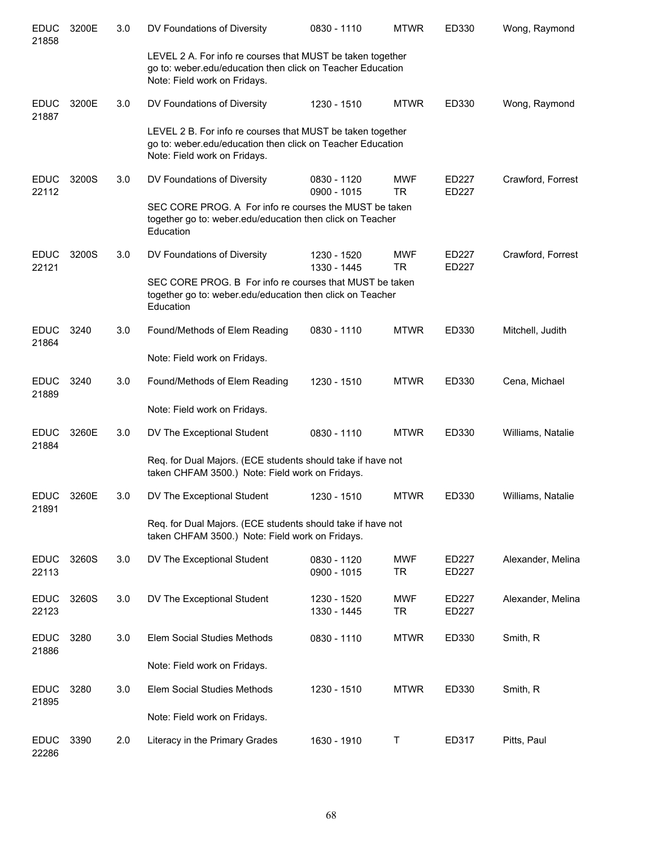| <b>EDUC</b><br>21858 | 3200E | 3.0 | DV Foundations of Diversity                                                                                                                              | 0830 - 1110                | <b>MTWR</b>             | ED330                 | Wong, Raymond     |
|----------------------|-------|-----|----------------------------------------------------------------------------------------------------------------------------------------------------------|----------------------------|-------------------------|-----------------------|-------------------|
|                      |       |     | LEVEL 2 A. For info re courses that MUST be taken together<br>go to: weber.edu/education then click on Teacher Education<br>Note: Field work on Fridays. |                            |                         |                       |                   |
| <b>EDUC</b><br>21887 | 3200E | 3.0 | DV Foundations of Diversity                                                                                                                              | 1230 - 1510                | <b>MTWR</b>             | ED330                 | Wong, Raymond     |
|                      |       |     | LEVEL 2 B. For info re courses that MUST be taken together<br>go to: weber.edu/education then click on Teacher Education<br>Note: Field work on Fridays. |                            |                         |                       |                   |
| <b>EDUC</b><br>22112 | 3200S | 3.0 | DV Foundations of Diversity                                                                                                                              | 0830 - 1120<br>0900 - 1015 | <b>MWF</b><br>TR.       | ED227<br><b>ED227</b> | Crawford, Forrest |
|                      |       |     | SEC CORE PROG. A For info re courses the MUST be taken<br>together go to: weber.edu/education then click on Teacher<br>Education                         |                            |                         |                       |                   |
| <b>EDUC</b><br>22121 | 3200S | 3.0 | DV Foundations of Diversity                                                                                                                              | 1230 - 1520<br>1330 - 1445 | <b>MWF</b><br><b>TR</b> | ED227<br>ED227        | Crawford, Forrest |
|                      |       |     | SEC CORE PROG. B For info re courses that MUST be taken<br>together go to: weber.edu/education then click on Teacher<br>Education                        |                            |                         |                       |                   |
| <b>EDUC</b><br>21864 | 3240  | 3.0 | Found/Methods of Elem Reading                                                                                                                            | 0830 - 1110                | <b>MTWR</b>             | ED330                 | Mitchell, Judith  |
|                      |       |     | Note: Field work on Fridays.                                                                                                                             |                            |                         |                       |                   |
| <b>EDUC</b><br>21889 | 3240  | 3.0 | Found/Methods of Elem Reading                                                                                                                            | 1230 - 1510                | <b>MTWR</b>             | ED330                 | Cena, Michael     |
|                      |       |     | Note: Field work on Fridays.                                                                                                                             |                            |                         |                       |                   |
| <b>EDUC</b><br>21884 | 3260E | 3.0 | DV The Exceptional Student                                                                                                                               | 0830 - 1110                | <b>MTWR</b>             | ED330                 | Williams, Natalie |
|                      |       |     | Req. for Dual Majors. (ECE students should take if have not<br>taken CHFAM 3500.) Note: Field work on Fridays.                                           |                            |                         |                       |                   |
| <b>EDUC</b><br>21891 | 3260E | 3.0 | DV The Exceptional Student                                                                                                                               | 1230 - 1510                | <b>MTWR</b>             | ED330                 | Williams, Natalie |
|                      |       |     | Req. for Dual Majors. (ECE students should take if have not<br>taken CHFAM 3500.) Note: Field work on Fridays.                                           |                            |                         |                       |                   |
| <b>EDUC</b><br>22113 | 3260S | 3.0 | DV The Exceptional Student                                                                                                                               | 0830 - 1120<br>0900 - 1015 | <b>MWF</b><br><b>TR</b> | ED227<br><b>ED227</b> | Alexander, Melina |
| <b>EDUC</b><br>22123 | 3260S | 3.0 | DV The Exceptional Student                                                                                                                               | 1230 - 1520<br>1330 - 1445 | <b>MWF</b><br>TR        | ED227<br>ED227        | Alexander, Melina |
| <b>EDUC</b><br>21886 | 3280  | 3.0 | Elem Social Studies Methods                                                                                                                              | 0830 - 1110                | <b>MTWR</b>             | ED330                 | Smith, R          |
|                      |       |     | Note: Field work on Fridays.                                                                                                                             |                            |                         |                       |                   |
| <b>EDUC</b><br>21895 | 3280  | 3.0 | Elem Social Studies Methods                                                                                                                              | 1230 - 1510                | <b>MTWR</b>             | ED330                 | Smith, R          |
|                      |       |     | Note: Field work on Fridays.                                                                                                                             |                            |                         |                       |                   |
| <b>EDUC</b><br>22286 | 3390  | 2.0 | Literacy in the Primary Grades                                                                                                                           | 1630 - 1910                | Т                       | ED317                 | Pitts, Paul       |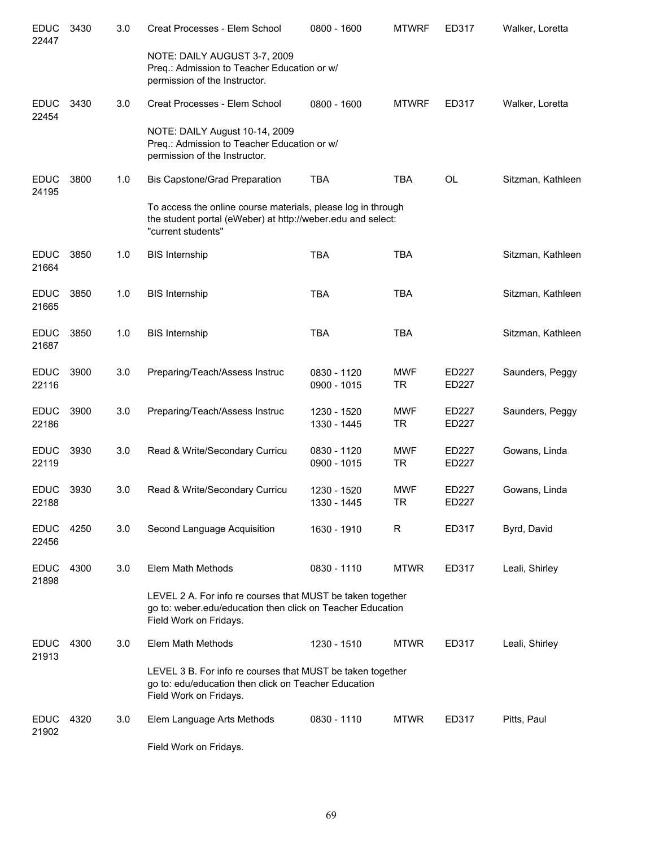| <b>EDUC</b><br>22447 | 3430 | 3.0 | Creat Processes - Elem School                                                                                                                      | 0800 - 1600                | <b>MTWRF</b>            | ED317          | Walker, Loretta   |
|----------------------|------|-----|----------------------------------------------------------------------------------------------------------------------------------------------------|----------------------------|-------------------------|----------------|-------------------|
|                      |      |     | NOTE: DAILY AUGUST 3-7, 2009<br>Preq.: Admission to Teacher Education or w/<br>permission of the Instructor.                                       |                            |                         |                |                   |
| <b>EDUC</b><br>22454 | 3430 | 3.0 | Creat Processes - Elem School                                                                                                                      | 0800 - 1600                | <b>MTWRF</b>            | ED317          | Walker, Loretta   |
|                      |      |     | NOTE: DAILY August 10-14, 2009<br>Preq.: Admission to Teacher Education or w/<br>permission of the Instructor.                                     |                            |                         |                |                   |
| <b>EDUC</b><br>24195 | 3800 | 1.0 | <b>Bis Capstone/Grad Preparation</b>                                                                                                               | <b>TBA</b>                 | <b>TBA</b>              | <b>OL</b>      | Sitzman, Kathleen |
|                      |      |     | To access the online course materials, please log in through<br>the student portal (eWeber) at http://weber.edu and select:<br>"current students"  |                            |                         |                |                   |
| <b>EDUC</b><br>21664 | 3850 | 1.0 | <b>BIS Internship</b>                                                                                                                              | <b>TBA</b>                 | <b>TBA</b>              |                | Sitzman, Kathleen |
| <b>EDUC</b><br>21665 | 3850 | 1.0 | <b>BIS Internship</b>                                                                                                                              | <b>TBA</b>                 | <b>TBA</b>              |                | Sitzman, Kathleen |
| <b>EDUC</b><br>21687 | 3850 | 1.0 | <b>BIS Internship</b>                                                                                                                              | <b>TBA</b>                 | <b>TBA</b>              |                | Sitzman, Kathleen |
| <b>EDUC</b><br>22116 | 3900 | 3.0 | Preparing/Teach/Assess Instruc                                                                                                                     | 0830 - 1120<br>0900 - 1015 | <b>MWF</b><br><b>TR</b> | ED227<br>ED227 | Saunders, Peggy   |
| <b>EDUC</b><br>22186 | 3900 | 3.0 | Preparing/Teach/Assess Instruc                                                                                                                     | 1230 - 1520<br>1330 - 1445 | <b>MWF</b><br><b>TR</b> | ED227<br>ED227 | Saunders, Peggy   |
| <b>EDUC</b><br>22119 | 3930 | 3.0 | Read & Write/Secondary Curricu                                                                                                                     | 0830 - 1120<br>0900 - 1015 | <b>MWF</b><br>TR        | ED227<br>ED227 | Gowans, Linda     |
| <b>EDUC</b><br>22188 | 3930 | 3.0 | Read & Write/Secondary Curricu                                                                                                                     | 1230 - 1520<br>1330 - 1445 | <b>MWF</b><br><b>TR</b> | ED227<br>ED227 | Gowans, Linda     |
| <b>EDUC</b><br>22456 | 4250 | 3.0 | Second Language Acquisition                                                                                                                        | 1630 - 1910                | R                       | ED317          | Byrd, David       |
| <b>EDUC</b><br>21898 | 4300 | 3.0 | Elem Math Methods                                                                                                                                  | 0830 - 1110                | <b>MTWR</b>             | ED317          | Leali, Shirley    |
|                      |      |     | LEVEL 2 A. For info re courses that MUST be taken together<br>go to: weber.edu/education then click on Teacher Education<br>Field Work on Fridays. |                            |                         |                |                   |
| <b>EDUC</b><br>21913 | 4300 | 3.0 | Elem Math Methods                                                                                                                                  | 1230 - 1510                | <b>MTWR</b>             | ED317          | Leali, Shirley    |
|                      |      |     | LEVEL 3 B. For info re courses that MUST be taken together<br>go to: edu/education then click on Teacher Education<br>Field Work on Fridays.       |                            |                         |                |                   |
| <b>EDUC</b><br>21902 | 4320 | 3.0 | Elem Language Arts Methods                                                                                                                         | 0830 - 1110                | <b>MTWR</b>             | ED317          | Pitts, Paul       |
|                      |      |     | Field Work on Fridays.                                                                                                                             |                            |                         |                |                   |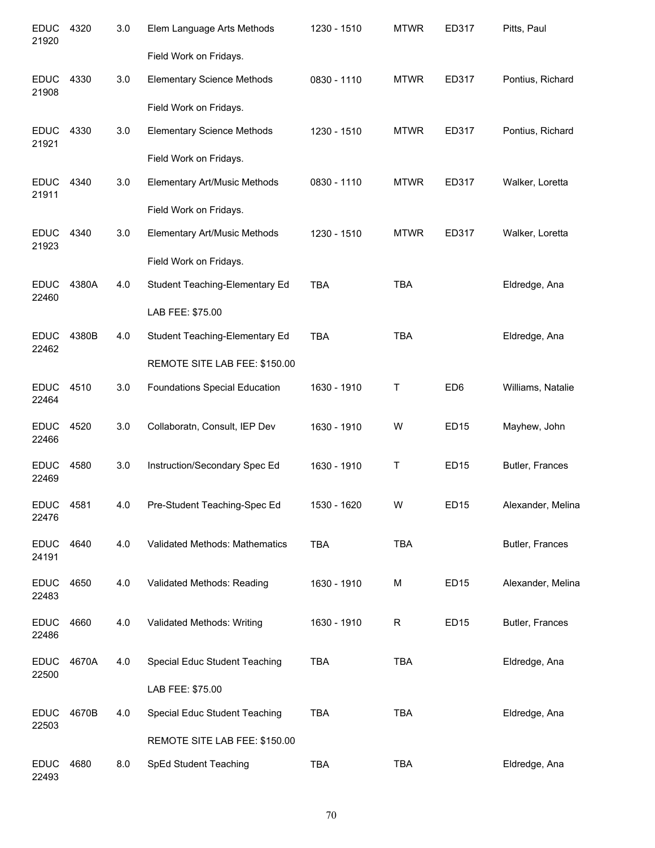| <b>EDUC</b><br>21920 | 4320  | 3.0 | Elem Language Arts Methods           | 1230 - 1510 | <b>MTWR</b> | ED317            | Pitts, Paul       |
|----------------------|-------|-----|--------------------------------------|-------------|-------------|------------------|-------------------|
|                      |       |     | Field Work on Fridays.               |             |             |                  |                   |
| <b>EDUC</b><br>21908 | 4330  | 3.0 | <b>Elementary Science Methods</b>    | 0830 - 1110 | <b>MTWR</b> | ED317            | Pontius, Richard  |
|                      |       |     | Field Work on Fridays.               |             |             |                  |                   |
| <b>EDUC</b><br>21921 | 4330  | 3.0 | <b>Elementary Science Methods</b>    | 1230 - 1510 | <b>MTWR</b> | ED317            | Pontius, Richard  |
|                      |       |     | Field Work on Fridays.               |             |             |                  |                   |
| <b>EDUC</b><br>21911 | 4340  | 3.0 | Elementary Art/Music Methods         | 0830 - 1110 | <b>MTWR</b> | ED317            | Walker, Loretta   |
|                      |       |     | Field Work on Fridays.               |             |             |                  |                   |
| <b>EDUC</b><br>21923 | 4340  | 3.0 | <b>Elementary Art/Music Methods</b>  | 1230 - 1510 | <b>MTWR</b> | ED317            | Walker, Loretta   |
|                      |       |     | Field Work on Fridays.               |             |             |                  |                   |
| <b>EDUC</b><br>22460 | 4380A | 4.0 | Student Teaching-Elementary Ed       | <b>TBA</b>  | <b>TBA</b>  |                  | Eldredge, Ana     |
|                      |       |     | LAB FEE: \$75.00                     |             |             |                  |                   |
| <b>EDUC</b><br>22462 | 4380B | 4.0 | Student Teaching-Elementary Ed       | <b>TBA</b>  | <b>TBA</b>  |                  | Eldredge, Ana     |
|                      |       |     | REMOTE SITE LAB FEE: \$150.00        |             |             |                  |                   |
| <b>EDUC</b><br>22464 | 4510  | 3.0 | <b>Foundations Special Education</b> | 1630 - 1910 | $\mathsf T$ | ED <sub>6</sub>  | Williams, Natalie |
| <b>EDUC</b><br>22466 | 4520  | 3.0 | Collaboratn, Consult, IEP Dev        | 1630 - 1910 | W           | <b>ED15</b>      | Mayhew, John      |
| <b>EDUC</b><br>22469 | 4580  | 3.0 | Instruction/Secondary Spec Ed        | 1630 - 1910 | $\mathsf T$ | <b>ED15</b>      | Butler, Frances   |
| EDUC<br>22476        | 4581  | 4.0 | Pre-Student Teaching-Spec Ed         | 1530 - 1620 | W           | <b>ED15</b>      | Alexander, Melina |
| <b>EDUC</b><br>24191 | 4640  | 4.0 | Validated Methods: Mathematics       | <b>TBA</b>  | <b>TBA</b>  |                  | Butler, Frances   |
| <b>EDUC</b><br>22483 | 4650  | 4.0 | Validated Methods: Reading           | 1630 - 1910 | M           | <b>ED15</b>      | Alexander, Melina |
| <b>EDUC</b><br>22486 | 4660  | 4.0 | Validated Methods: Writing           | 1630 - 1910 | R           | ED <sub>15</sub> | Butler, Frances   |
| <b>EDUC</b><br>22500 | 4670A | 4.0 | Special Educ Student Teaching        | <b>TBA</b>  | <b>TBA</b>  |                  | Eldredge, Ana     |
|                      |       |     | LAB FEE: \$75.00                     |             |             |                  |                   |
| <b>EDUC</b><br>22503 | 4670B | 4.0 | Special Educ Student Teaching        | <b>TBA</b>  | <b>TBA</b>  |                  | Eldredge, Ana     |
|                      |       |     | REMOTE SITE LAB FEE: \$150.00        |             |             |                  |                   |
| <b>EDUC</b><br>22493 | 4680  | 8.0 | SpEd Student Teaching                | <b>TBA</b>  | <b>TBA</b>  |                  | Eldredge, Ana     |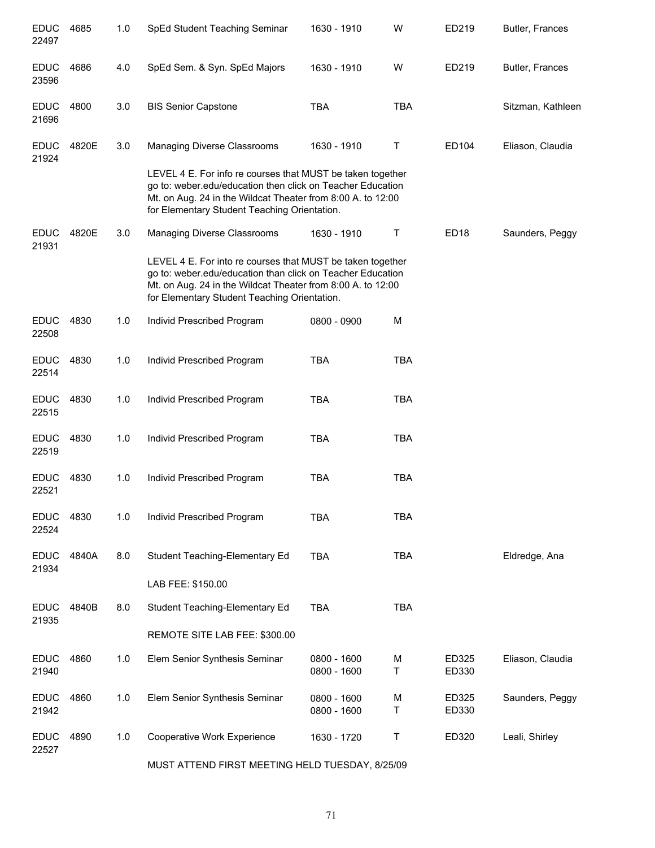| <b>EDUC</b><br>22497 | 4685  | 1.0 | SpEd Student Teaching Seminar                                                                                                                                                                                                           | 1630 - 1910                | W          | ED219            | Butler, Frances   |
|----------------------|-------|-----|-----------------------------------------------------------------------------------------------------------------------------------------------------------------------------------------------------------------------------------------|----------------------------|------------|------------------|-------------------|
| <b>EDUC</b><br>23596 | 4686  | 4.0 | SpEd Sem. & Syn. SpEd Majors                                                                                                                                                                                                            | 1630 - 1910                | W          | ED219            | Butler, Frances   |
| <b>EDUC</b><br>21696 | 4800  | 3.0 | <b>BIS Senior Capstone</b>                                                                                                                                                                                                              | <b>TBA</b>                 | <b>TBA</b> |                  | Sitzman, Kathleen |
| <b>EDUC</b><br>21924 | 4820E | 3.0 | Managing Diverse Classrooms                                                                                                                                                                                                             | 1630 - 1910                | Τ          | ED104            | Eliason, Claudia  |
|                      |       |     | LEVEL 4 E. For info re courses that MUST be taken together<br>go to: weber.edu/education then click on Teacher Education<br>Mt. on Aug. 24 in the Wildcat Theater from 8:00 A. to 12:00<br>for Elementary Student Teaching Orientation. |                            |            |                  |                   |
| EDUC<br>21931        | 4820E | 3.0 | Managing Diverse Classrooms                                                                                                                                                                                                             | 1630 - 1910                | Τ          | ED <sub>18</sub> | Saunders, Peggy   |
|                      |       |     | LEVEL 4 E. For into re courses that MUST be taken together<br>go to: weber.edu/education than click on Teacher Education<br>Mt. on Aug. 24 in the Wildcat Theater from 8:00 A. to 12:00<br>for Elementary Student Teaching Orientation. |                            |            |                  |                   |
| <b>EDUC</b><br>22508 | 4830  | 1.0 | Individ Prescribed Program                                                                                                                                                                                                              | 0800 - 0900                | M          |                  |                   |
| <b>EDUC</b><br>22514 | 4830  | 1.0 | Individ Prescribed Program                                                                                                                                                                                                              | <b>TBA</b>                 | <b>TBA</b> |                  |                   |
| <b>EDUC</b><br>22515 | 4830  | 1.0 | Individ Prescribed Program                                                                                                                                                                                                              | <b>TBA</b>                 | <b>TBA</b> |                  |                   |
| <b>EDUC</b><br>22519 | 4830  | 1.0 | Individ Prescribed Program                                                                                                                                                                                                              | <b>TBA</b>                 | <b>TBA</b> |                  |                   |
| <b>EDUC</b><br>22521 | 4830  | 1.0 | Individ Prescribed Program                                                                                                                                                                                                              | <b>TBA</b>                 | <b>TBA</b> |                  |                   |
| <b>EDUC</b><br>22524 | 4830  | 1.0 | Individ Prescribed Program                                                                                                                                                                                                              | <b>TBA</b>                 | <b>TBA</b> |                  |                   |
| <b>EDUC</b><br>21934 | 4840A | 8.0 | Student Teaching-Elementary Ed                                                                                                                                                                                                          | TBA                        | <b>TBA</b> |                  | Eldredge, Ana     |
|                      |       |     | LAB FEE: \$150.00                                                                                                                                                                                                                       |                            |            |                  |                   |
| <b>EDUC</b><br>21935 | 4840B | 8.0 | Student Teaching-Elementary Ed                                                                                                                                                                                                          | <b>TBA</b>                 | <b>TBA</b> |                  |                   |
|                      |       |     | REMOTE SITE LAB FEE: \$300.00                                                                                                                                                                                                           |                            |            |                  |                   |
| <b>EDUC</b><br>21940 | 4860  | 1.0 | Elem Senior Synthesis Seminar                                                                                                                                                                                                           | 0800 - 1600<br>0800 - 1600 | M<br>Τ     | ED325<br>ED330   | Eliason, Claudia  |
| <b>EDUC</b><br>21942 | 4860  | 1.0 | Elem Senior Synthesis Seminar                                                                                                                                                                                                           | 0800 - 1600<br>0800 - 1600 | M<br>Τ     | ED325<br>ED330   | Saunders, Peggy   |
| <b>EDUC</b><br>22527 | 4890  | 1.0 | Cooperative Work Experience                                                                                                                                                                                                             | 1630 - 1720                | T          | ED320            | Leali, Shirley    |

MUST ATTEND FIRST MEETING HELD TUESDAY, 8/25/09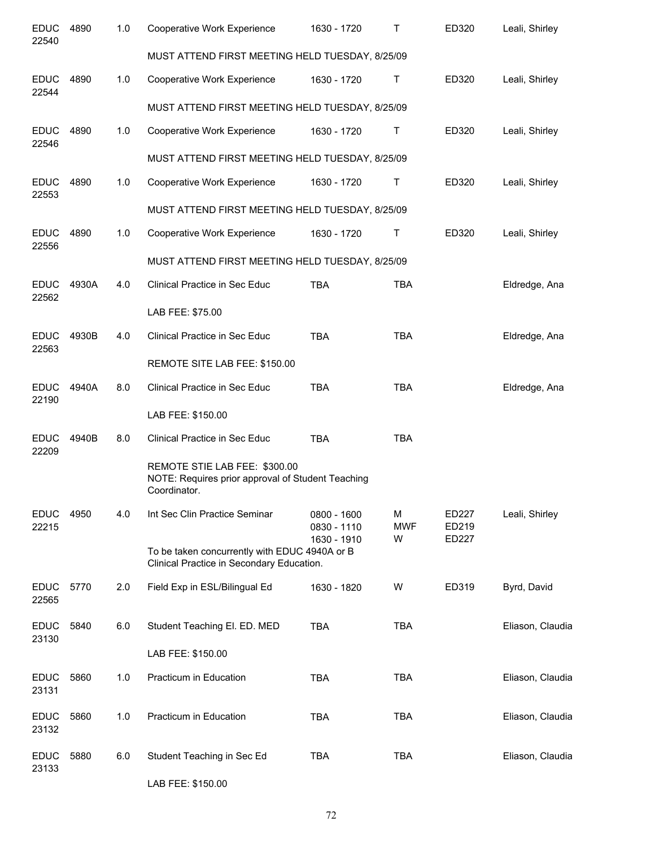| <b>EDUC</b><br>22540 | 4890  | 1.0 | Cooperative Work Experience                                                                        | 1630 - 1720                | т               | ED320          | Leali, Shirley   |
|----------------------|-------|-----|----------------------------------------------------------------------------------------------------|----------------------------|-----------------|----------------|------------------|
|                      |       |     | MUST ATTEND FIRST MEETING HELD TUESDAY, 8/25/09                                                    |                            |                 |                |                  |
| <b>EDUC</b><br>22544 | 4890  | 1.0 | Cooperative Work Experience                                                                        | 1630 - 1720                | Τ               | ED320          | Leali, Shirley   |
|                      |       |     | MUST ATTEND FIRST MEETING HELD TUESDAY, 8/25/09                                                    |                            |                 |                |                  |
| <b>EDUC</b><br>22546 | 4890  | 1.0 | Cooperative Work Experience                                                                        | 1630 - 1720                | Τ               | ED320          | Leali, Shirley   |
|                      |       |     | MUST ATTEND FIRST MEETING HELD TUESDAY, 8/25/09                                                    |                            |                 |                |                  |
| <b>EDUC</b><br>22553 | 4890  | 1.0 | Cooperative Work Experience                                                                        | 1630 - 1720                | Τ               | ED320          | Leali, Shirley   |
|                      |       |     | MUST ATTEND FIRST MEETING HELD TUESDAY, 8/25/09                                                    |                            |                 |                |                  |
| <b>EDUC</b><br>22556 | 4890  | 1.0 | Cooperative Work Experience                                                                        | 1630 - 1720                | Τ               | ED320          | Leali, Shirley   |
|                      |       |     | MUST ATTEND FIRST MEETING HELD TUESDAY, 8/25/09                                                    |                            |                 |                |                  |
| <b>EDUC</b><br>22562 | 4930A | 4.0 | Clinical Practice in Sec Educ                                                                      | TBA                        | <b>TBA</b>      |                | Eldredge, Ana    |
|                      |       |     | LAB FEE: \$75.00                                                                                   |                            |                 |                |                  |
| <b>EDUC</b><br>22563 | 4930B | 4.0 | Clinical Practice in Sec Educ                                                                      | <b>TBA</b>                 | <b>TBA</b>      |                | Eldredge, Ana    |
|                      |       |     | REMOTE SITE LAB FEE: \$150.00                                                                      |                            |                 |                |                  |
| <b>EDUC</b><br>22190 | 4940A | 8.0 | Clinical Practice in Sec Educ                                                                      | <b>TBA</b>                 | <b>TBA</b>      |                | Eldredge, Ana    |
|                      |       |     | LAB FEE: \$150.00                                                                                  |                            |                 |                |                  |
| <b>EDUC</b><br>22209 | 4940B | 8.0 | Clinical Practice in Sec Educ                                                                      | <b>TBA</b>                 | <b>TBA</b>      |                |                  |
|                      |       |     | REMOTE STIE LAB FEE: \$300.00<br>NOTE: Requires prior approval of Student Teaching<br>Coordinator. |                            |                 |                |                  |
| <b>EDUC</b><br>22215 | 4950  | 4.0 | Int Sec Clin Practice Seminar                                                                      | 0800 - 1600<br>0830 - 1110 | M<br><b>MWF</b> | ED227<br>ED219 | Leali, Shirley   |
|                      |       |     | To be taken concurrently with EDUC 4940A or B<br>Clinical Practice in Secondary Education.         | 1630 - 1910                | W               | ED227          |                  |
| <b>EDUC</b><br>22565 | 5770  | 2.0 | Field Exp in ESL/Bilingual Ed                                                                      | 1630 - 1820                | W               | ED319          | Byrd, David      |
| <b>EDUC</b><br>23130 | 5840  | 6.0 | Student Teaching El. ED. MED                                                                       | <b>TBA</b>                 | <b>TBA</b>      |                | Eliason, Claudia |
|                      |       |     | LAB FEE: \$150.00                                                                                  |                            |                 |                |                  |
| <b>EDUC</b><br>23131 | 5860  | 1.0 | Practicum in Education                                                                             | <b>TBA</b>                 | <b>TBA</b>      |                | Eliason, Claudia |
| <b>EDUC</b><br>23132 | 5860  | 1.0 | Practicum in Education                                                                             | <b>TBA</b>                 | <b>TBA</b>      |                | Eliason, Claudia |
| <b>EDUC</b><br>23133 | 5880  | 6.0 | Student Teaching in Sec Ed                                                                         | <b>TBA</b>                 | <b>TBA</b>      |                | Eliason, Claudia |
|                      |       |     | LAB FEE: \$150.00                                                                                  |                            |                 |                |                  |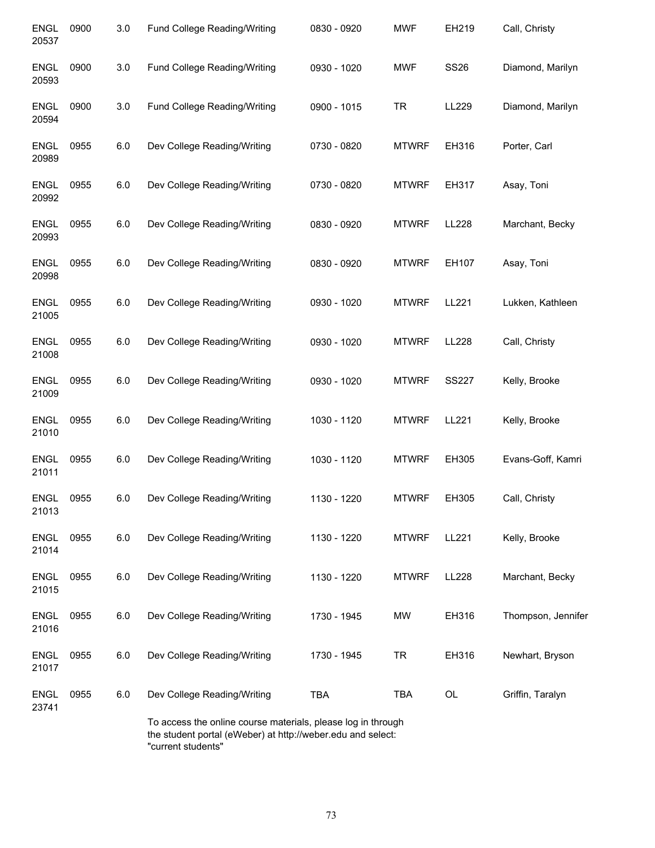| <b>ENGL</b><br>20537 | 0900 | 3.0 | Fund College Reading/Writing                                                                                                | 0830 - 0920 | <b>MWF</b>   | EH219        | Call, Christy      |
|----------------------|------|-----|-----------------------------------------------------------------------------------------------------------------------------|-------------|--------------|--------------|--------------------|
| <b>ENGL</b><br>20593 | 0900 | 3.0 | Fund College Reading/Writing                                                                                                | 0930 - 1020 | <b>MWF</b>   | <b>SS26</b>  | Diamond, Marilyn   |
| <b>ENGL</b><br>20594 | 0900 | 3.0 | Fund College Reading/Writing                                                                                                | 0900 - 1015 | <b>TR</b>    | LL229        | Diamond, Marilyn   |
| <b>ENGL</b><br>20989 | 0955 | 6.0 | Dev College Reading/Writing                                                                                                 | 0730 - 0820 | <b>MTWRF</b> | EH316        | Porter, Carl       |
| <b>ENGL</b><br>20992 | 0955 | 6.0 | Dev College Reading/Writing                                                                                                 | 0730 - 0820 | <b>MTWRF</b> | EH317        | Asay, Toni         |
| <b>ENGL</b><br>20993 | 0955 | 6.0 | Dev College Reading/Writing                                                                                                 | 0830 - 0920 | <b>MTWRF</b> | LL228        | Marchant, Becky    |
| <b>ENGL</b><br>20998 | 0955 | 6.0 | Dev College Reading/Writing                                                                                                 | 0830 - 0920 | <b>MTWRF</b> | EH107        | Asay, Toni         |
| <b>ENGL</b><br>21005 | 0955 | 6.0 | Dev College Reading/Writing                                                                                                 | 0930 - 1020 | <b>MTWRF</b> | LL221        | Lukken, Kathleen   |
| <b>ENGL</b><br>21008 | 0955 | 6.0 | Dev College Reading/Writing                                                                                                 | 0930 - 1020 | <b>MTWRF</b> | LL228        | Call, Christy      |
| <b>ENGL</b><br>21009 | 0955 | 6.0 | Dev College Reading/Writing                                                                                                 | 0930 - 1020 | <b>MTWRF</b> | <b>SS227</b> | Kelly, Brooke      |
| <b>ENGL</b><br>21010 | 0955 | 6.0 | Dev College Reading/Writing                                                                                                 | 1030 - 1120 | <b>MTWRF</b> | LL221        | Kelly, Brooke      |
| <b>ENGL</b><br>21011 | 0955 | 6.0 | Dev College Reading/Writing                                                                                                 | 1030 - 1120 | <b>MTWRF</b> | EH305        | Evans-Goff, Kamri  |
| ENGL<br>21013        | 0955 | 6.0 | Dev College Reading/Writing                                                                                                 | 1130 - 1220 | <b>MTWRF</b> | EH305        | Call, Christy      |
| <b>ENGL</b><br>21014 | 0955 | 6.0 | Dev College Reading/Writing                                                                                                 | 1130 - 1220 | <b>MTWRF</b> | LL221        | Kelly, Brooke      |
| ENGL<br>21015        | 0955 | 6.0 | Dev College Reading/Writing                                                                                                 | 1130 - 1220 | <b>MTWRF</b> | LL228        | Marchant, Becky    |
| ENGL<br>21016        | 0955 | 6.0 | Dev College Reading/Writing                                                                                                 | 1730 - 1945 | <b>MW</b>    | EH316        | Thompson, Jennifer |
| ENGL<br>21017        | 0955 | 6.0 | Dev College Reading/Writing                                                                                                 | 1730 - 1945 | <b>TR</b>    | EH316        | Newhart, Bryson    |
| <b>ENGL</b><br>23741 | 0955 | 6.0 | Dev College Reading/Writing                                                                                                 | <b>TBA</b>  | <b>TBA</b>   | OL           | Griffin, Taralyn   |
|                      |      |     | To access the online course materials, please log in through<br>the student portal (eWeber) at http://weber.edu and select: |             |              |              |                    |

the student portal (<br>"current students"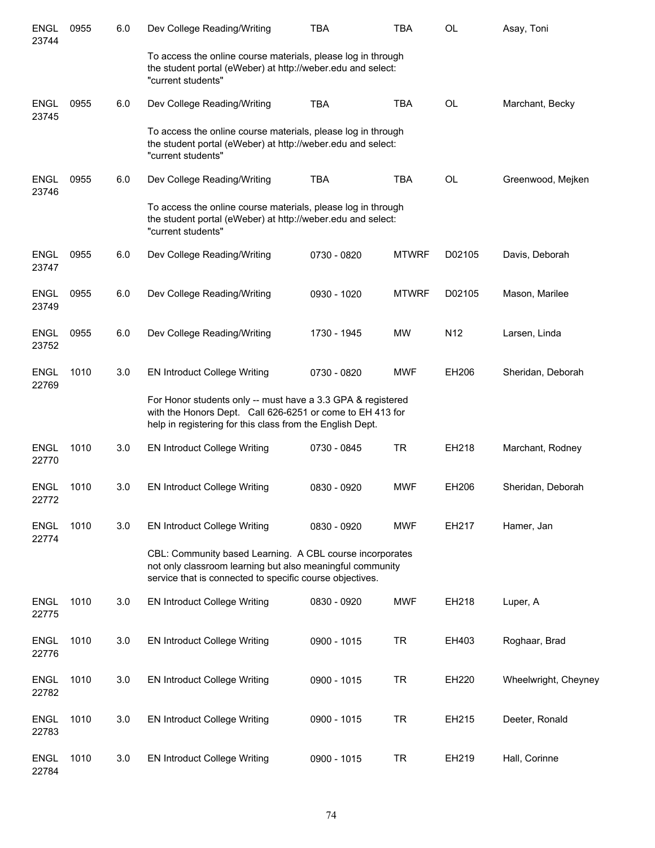| <b>ENGL</b><br>23744 | 0955 | 6.0 | Dev College Reading/Writing                                                                                                                                                           | <b>TBA</b>  | <b>TBA</b>   | <b>OL</b>       | Asay, Toni           |
|----------------------|------|-----|---------------------------------------------------------------------------------------------------------------------------------------------------------------------------------------|-------------|--------------|-----------------|----------------------|
|                      |      |     | To access the online course materials, please log in through<br>the student portal (eWeber) at http://weber.edu and select:<br>"current students"                                     |             |              |                 |                      |
| <b>ENGL</b><br>23745 | 0955 | 6.0 | Dev College Reading/Writing                                                                                                                                                           | <b>TBA</b>  | <b>TBA</b>   | <b>OL</b>       | Marchant, Becky      |
|                      |      |     | To access the online course materials, please log in through<br>the student portal (eWeber) at http://weber.edu and select:<br>"current students"                                     |             |              |                 |                      |
| <b>ENGL</b><br>23746 | 0955 | 6.0 | Dev College Reading/Writing                                                                                                                                                           | <b>TBA</b>  | <b>TBA</b>   | <b>OL</b>       | Greenwood, Mejken    |
|                      |      |     | To access the online course materials, please log in through<br>the student portal (eWeber) at http://weber.edu and select:<br>"current students"                                     |             |              |                 |                      |
| <b>ENGL</b><br>23747 | 0955 | 6.0 | Dev College Reading/Writing                                                                                                                                                           | 0730 - 0820 | <b>MTWRF</b> | D02105          | Davis, Deborah       |
| <b>ENGL</b><br>23749 | 0955 | 6.0 | Dev College Reading/Writing                                                                                                                                                           | 0930 - 1020 | <b>MTWRF</b> | D02105          | Mason, Marilee       |
| <b>ENGL</b><br>23752 | 0955 | 6.0 | Dev College Reading/Writing                                                                                                                                                           | 1730 - 1945 | MW           | N <sub>12</sub> | Larsen, Linda        |
| <b>ENGL</b><br>22769 | 1010 | 3.0 | <b>EN Introduct College Writing</b>                                                                                                                                                   | 0730 - 0820 | <b>MWF</b>   | EH206           | Sheridan, Deborah    |
|                      |      |     | For Honor students only -- must have a 3.3 GPA & registered<br>with the Honors Dept. Call 626-6251 or come to EH 413 for<br>help in registering for this class from the English Dept. |             |              |                 |                      |
| <b>ENGL</b><br>22770 | 1010 | 3.0 | <b>EN Introduct College Writing</b>                                                                                                                                                   | 0730 - 0845 | <b>TR</b>    | EH218           | Marchant, Rodney     |
| <b>ENGL</b><br>22772 | 1010 | 3.0 | <b>EN Introduct College Writing</b>                                                                                                                                                   | 0830 - 0920 | <b>MWF</b>   | EH206           | Sheridan, Deborah    |
| <b>ENGL</b><br>22774 | 1010 | 3.0 | <b>EN Introduct College Writing</b>                                                                                                                                                   | 0830 - 0920 | <b>MWF</b>   | EH217           | Hamer, Jan           |
|                      |      |     | CBL: Community based Learning. A CBL course incorporates<br>not only classroom learning but also meaningful community<br>service that is connected to specific course objectives.     |             |              |                 |                      |
| <b>ENGL</b><br>22775 | 1010 | 3.0 | <b>EN Introduct College Writing</b>                                                                                                                                                   | 0830 - 0920 | <b>MWF</b>   | EH218           | Luper, A             |
| <b>ENGL</b><br>22776 | 1010 | 3.0 | <b>EN Introduct College Writing</b>                                                                                                                                                   | 0900 - 1015 | <b>TR</b>    | EH403           | Roghaar, Brad        |
| <b>ENGL</b><br>22782 | 1010 | 3.0 | <b>EN Introduct College Writing</b>                                                                                                                                                   | 0900 - 1015 | <b>TR</b>    | EH220           | Wheelwright, Cheyney |
| <b>ENGL</b><br>22783 | 1010 | 3.0 | <b>EN Introduct College Writing</b>                                                                                                                                                   | 0900 - 1015 | <b>TR</b>    | EH215           | Deeter, Ronald       |
| <b>ENGL</b><br>22784 | 1010 | 3.0 | <b>EN Introduct College Writing</b>                                                                                                                                                   | 0900 - 1015 | <b>TR</b>    | EH219           | Hall, Corinne        |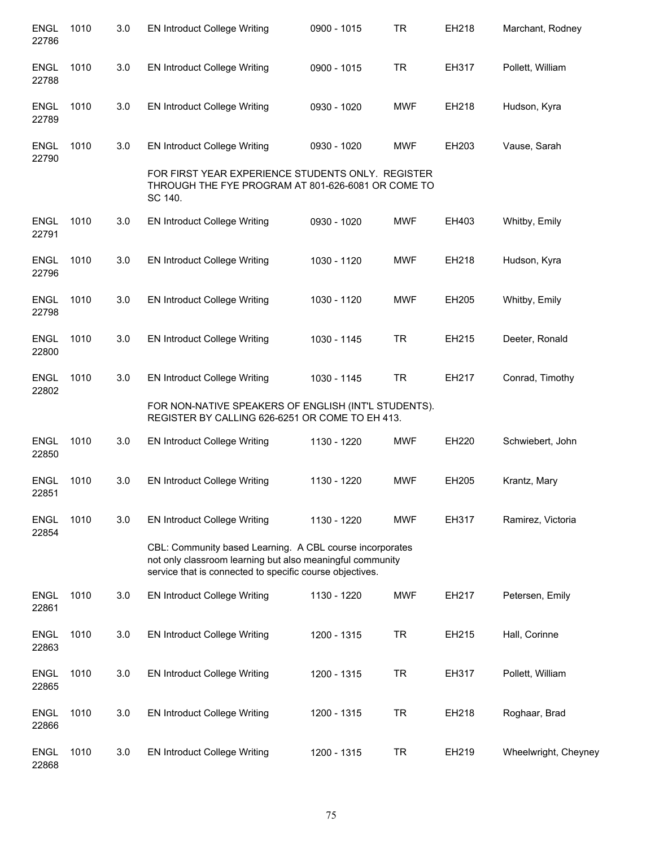| <b>ENGL</b><br>22786 | 1010 | 3.0 | <b>EN Introduct College Writing</b>                                                                                                                                               | 0900 - 1015 | <b>TR</b>  | EH218 | Marchant, Rodney     |
|----------------------|------|-----|-----------------------------------------------------------------------------------------------------------------------------------------------------------------------------------|-------------|------------|-------|----------------------|
| <b>ENGL</b><br>22788 | 1010 | 3.0 | <b>EN Introduct College Writing</b>                                                                                                                                               | 0900 - 1015 | <b>TR</b>  | EH317 | Pollett, William     |
| <b>ENGL</b><br>22789 | 1010 | 3.0 | <b>EN Introduct College Writing</b>                                                                                                                                               | 0930 - 1020 | <b>MWF</b> | EH218 | Hudson, Kyra         |
| <b>ENGL</b><br>22790 | 1010 | 3.0 | <b>EN Introduct College Writing</b>                                                                                                                                               | 0930 - 1020 | <b>MWF</b> | EH203 | Vause, Sarah         |
|                      |      |     | FOR FIRST YEAR EXPERIENCE STUDENTS ONLY. REGISTER<br>THROUGH THE FYE PROGRAM AT 801-626-6081 OR COME TO<br>SC 140.                                                                |             |            |       |                      |
| <b>ENGL</b><br>22791 | 1010 | 3.0 | <b>EN Introduct College Writing</b>                                                                                                                                               | 0930 - 1020 | <b>MWF</b> | EH403 | Whitby, Emily        |
| <b>ENGL</b><br>22796 | 1010 | 3.0 | <b>EN Introduct College Writing</b>                                                                                                                                               | 1030 - 1120 | <b>MWF</b> | EH218 | Hudson, Kyra         |
| <b>ENGL</b><br>22798 | 1010 | 3.0 | <b>EN Introduct College Writing</b>                                                                                                                                               | 1030 - 1120 | <b>MWF</b> | EH205 | Whitby, Emily        |
| <b>ENGL</b><br>22800 | 1010 | 3.0 | <b>EN Introduct College Writing</b>                                                                                                                                               | 1030 - 1145 | <b>TR</b>  | EH215 | Deeter, Ronald       |
| <b>ENGL</b><br>22802 | 1010 | 3.0 | <b>EN Introduct College Writing</b>                                                                                                                                               | 1030 - 1145 | <b>TR</b>  | EH217 | Conrad, Timothy      |
|                      |      |     | FOR NON-NATIVE SPEAKERS OF ENGLISH (INT'L STUDENTS).<br>REGISTER BY CALLING 626-6251 OR COME TO EH 413.                                                                           |             |            |       |                      |
| <b>ENGL</b><br>22850 | 1010 | 3.0 | <b>EN Introduct College Writing</b>                                                                                                                                               | 1130 - 1220 | <b>MWF</b> | EH220 | Schwiebert, John     |
| <b>ENGL</b><br>22851 | 1010 | 3.0 | <b>EN Introduct College Writing</b>                                                                                                                                               | 1130 - 1220 | <b>MWF</b> | EH205 | Krantz, Mary         |
| <b>ENGL</b><br>22854 | 1010 | 3.0 | <b>EN Introduct College Writing</b>                                                                                                                                               | 1130 - 1220 | <b>MWF</b> | EH317 | Ramirez, Victoria    |
|                      |      |     | CBL: Community based Learning. A CBL course incorporates<br>not only classroom learning but also meaningful community<br>service that is connected to specific course objectives. |             |            |       |                      |
| <b>ENGL</b><br>22861 | 1010 | 3.0 | <b>EN Introduct College Writing</b>                                                                                                                                               | 1130 - 1220 | <b>MWF</b> | EH217 | Petersen, Emily      |
| <b>ENGL</b><br>22863 | 1010 | 3.0 | <b>EN Introduct College Writing</b>                                                                                                                                               | 1200 - 1315 | <b>TR</b>  | EH215 | Hall, Corinne        |
| <b>ENGL</b><br>22865 | 1010 | 3.0 | <b>EN Introduct College Writing</b>                                                                                                                                               | 1200 - 1315 | <b>TR</b>  | EH317 | Pollett, William     |
| <b>ENGL</b><br>22866 | 1010 | 3.0 | <b>EN Introduct College Writing</b>                                                                                                                                               | 1200 - 1315 | <b>TR</b>  | EH218 | Roghaar, Brad        |
| <b>ENGL</b><br>22868 | 1010 | 3.0 | <b>EN Introduct College Writing</b>                                                                                                                                               | 1200 - 1315 | <b>TR</b>  | EH219 | Wheelwright, Cheyney |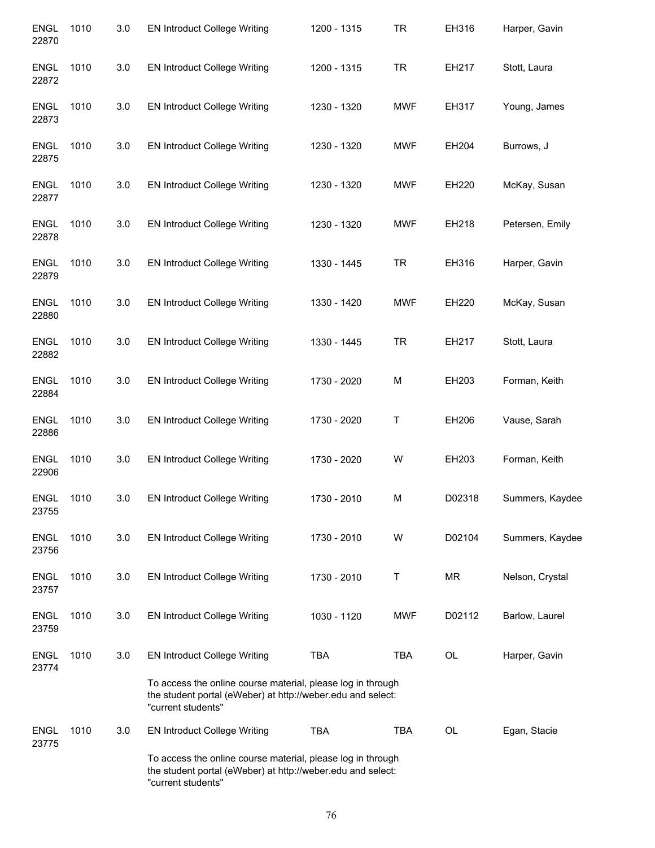| <b>ENGL</b><br>22870 | 1010 | 3.0 | <b>EN Introduct College Writing</b>                                                                                                              | 1200 - 1315 | <b>TR</b>  | EH316     | Harper, Gavin   |
|----------------------|------|-----|--------------------------------------------------------------------------------------------------------------------------------------------------|-------------|------------|-----------|-----------------|
| <b>ENGL</b><br>22872 | 1010 | 3.0 | <b>EN Introduct College Writing</b>                                                                                                              | 1200 - 1315 | <b>TR</b>  | EH217     | Stott, Laura    |
| <b>ENGL</b><br>22873 | 1010 | 3.0 | <b>EN Introduct College Writing</b>                                                                                                              | 1230 - 1320 | <b>MWF</b> | EH317     | Young, James    |
| <b>ENGL</b><br>22875 | 1010 | 3.0 | <b>EN Introduct College Writing</b>                                                                                                              | 1230 - 1320 | <b>MWF</b> | EH204     | Burrows, J      |
| <b>ENGL</b><br>22877 | 1010 | 3.0 | <b>EN Introduct College Writing</b>                                                                                                              | 1230 - 1320 | <b>MWF</b> | EH220     | McKay, Susan    |
| <b>ENGL</b><br>22878 | 1010 | 3.0 | <b>EN Introduct College Writing</b>                                                                                                              | 1230 - 1320 | <b>MWF</b> | EH218     | Petersen, Emily |
| <b>ENGL</b><br>22879 | 1010 | 3.0 | <b>EN Introduct College Writing</b>                                                                                                              | 1330 - 1445 | <b>TR</b>  | EH316     | Harper, Gavin   |
| <b>ENGL</b><br>22880 | 1010 | 3.0 | <b>EN Introduct College Writing</b>                                                                                                              | 1330 - 1420 | <b>MWF</b> | EH220     | McKay, Susan    |
| <b>ENGL</b><br>22882 | 1010 | 3.0 | <b>EN Introduct College Writing</b>                                                                                                              | 1330 - 1445 | <b>TR</b>  | EH217     | Stott, Laura    |
| <b>ENGL</b><br>22884 | 1010 | 3.0 | <b>EN Introduct College Writing</b>                                                                                                              | 1730 - 2020 | M          | EH203     | Forman, Keith   |
| <b>ENGL</b><br>22886 | 1010 | 3.0 | <b>EN Introduct College Writing</b>                                                                                                              | 1730 - 2020 | T          | EH206     | Vause, Sarah    |
| <b>ENGL</b><br>22906 | 1010 | 3.0 | <b>EN Introduct College Writing</b>                                                                                                              | 1730 - 2020 | W          | EH203     | Forman, Keith   |
| <b>ENGL</b><br>23755 | 1010 | 3.0 | <b>EN Introduct College Writing</b>                                                                                                              | 1730 - 2010 | M          | D02318    | Summers, Kaydee |
| <b>ENGL</b><br>23756 | 1010 | 3.0 | <b>EN Introduct College Writing</b>                                                                                                              | 1730 - 2010 | W          | D02104    | Summers, Kaydee |
| <b>ENGL</b><br>23757 | 1010 | 3.0 | <b>EN Introduct College Writing</b>                                                                                                              | 1730 - 2010 | Τ          | <b>MR</b> | Nelson, Crystal |
| <b>ENGL</b><br>23759 | 1010 | 3.0 | <b>EN Introduct College Writing</b>                                                                                                              | 1030 - 1120 | <b>MWF</b> | D02112    | Barlow, Laurel  |
| <b>ENGL</b><br>23774 | 1010 | 3.0 | <b>EN Introduct College Writing</b>                                                                                                              | <b>TBA</b>  | <b>TBA</b> | OL        | Harper, Gavin   |
|                      |      |     | To access the online course material, please log in through<br>the student portal (eWeber) at http://weber.edu and select:<br>"current students" |             |            |           |                 |
| <b>ENGL</b><br>23775 | 1010 | 3.0 | <b>EN Introduct College Writing</b>                                                                                                              | TBA         | <b>TBA</b> | OL        | Egan, Stacie    |
|                      |      |     | To access the online course material, please log in through<br>the student portal (eWeber) at http://weber.edu and select:<br>"current students" |             |            |           |                 |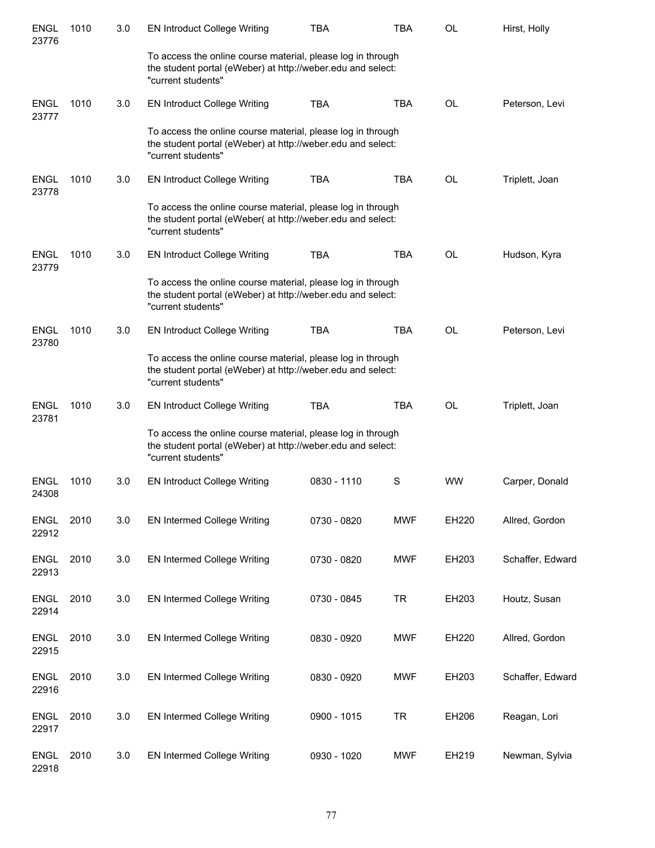| <b>ENGL</b><br>23776 | 1010 | 3.0 | <b>EN Introduct College Writing</b>                                                                                                              | TBA         | TBA        | <b>OL</b> | Hirst, Holly     |
|----------------------|------|-----|--------------------------------------------------------------------------------------------------------------------------------------------------|-------------|------------|-----------|------------------|
|                      |      |     | To access the online course material, please log in through<br>the student portal (eWeber) at http://weber.edu and select:<br>"current students" |             |            |           |                  |
| <b>ENGL</b><br>23777 | 1010 | 3.0 | <b>EN Introduct College Writing</b>                                                                                                              | <b>TBA</b>  | <b>TBA</b> | <b>OL</b> | Peterson, Levi   |
|                      |      |     | To access the online course material, please log in through<br>the student portal (eWeber) at http://weber.edu and select:<br>"current students" |             |            |           |                  |
| <b>ENGL</b><br>23778 | 1010 | 3.0 | <b>EN Introduct College Writing</b>                                                                                                              | <b>TBA</b>  | <b>TBA</b> | <b>OL</b> | Triplett, Joan   |
|                      |      |     | To access the online course material, please log in through<br>the student portal (eWeber( at http://weber.edu and select:<br>"current students" |             |            |           |                  |
| <b>ENGL</b><br>23779 | 1010 | 3.0 | <b>EN Introduct College Writing</b>                                                                                                              | <b>TBA</b>  | <b>TBA</b> | <b>OL</b> | Hudson, Kyra     |
|                      |      |     | To access the online course material, please log in through<br>the student portal (eWeber) at http://weber.edu and select:<br>"current students" |             |            |           |                  |
| <b>ENGL</b><br>23780 | 1010 | 3.0 | <b>EN Introduct College Writing</b>                                                                                                              | <b>TBA</b>  | <b>TBA</b> | <b>OL</b> | Peterson, Levi   |
|                      |      |     | To access the online course material, please log in through<br>the student portal (eWeber) at http://weber.edu and select:<br>"current students" |             |            |           |                  |
| <b>ENGL</b><br>23781 | 1010 | 3.0 | <b>EN Introduct College Writing</b>                                                                                                              | <b>TBA</b>  | <b>TBA</b> | <b>OL</b> | Triplett, Joan   |
|                      |      |     | To access the online course material, please log in through<br>the student portal (eWeber) at http://weber.edu and select:<br>"current students" |             |            |           |                  |
| ENGL<br>24308        | 1010 | 3.0 | <b>EN Introduct College Writing</b>                                                                                                              | 0830 - 1110 | S          | <b>WW</b> | Carper, Donald   |
| <b>ENGL</b><br>22912 | 2010 | 3.0 | <b>EN Intermed College Writing</b>                                                                                                               | 0730 - 0820 | <b>MWF</b> | EH220     | Allred, Gordon   |
| <b>ENGL</b><br>22913 | 2010 | 3.0 | <b>EN Intermed College Writing</b>                                                                                                               | 0730 - 0820 | <b>MWF</b> | EH203     | Schaffer, Edward |
| <b>ENGL</b><br>22914 | 2010 | 3.0 | <b>EN Intermed College Writing</b>                                                                                                               | 0730 - 0845 | <b>TR</b>  | EH203     | Houtz, Susan     |
| <b>ENGL</b><br>22915 | 2010 | 3.0 | EN Intermed College Writing                                                                                                                      | 0830 - 0920 | <b>MWF</b> | EH220     | Allred, Gordon   |
| <b>ENGL</b><br>22916 | 2010 | 3.0 | <b>EN Intermed College Writing</b>                                                                                                               | 0830 - 0920 | <b>MWF</b> | EH203     | Schaffer, Edward |
| <b>ENGL</b><br>22917 | 2010 | 3.0 | <b>EN Intermed College Writing</b>                                                                                                               | 0900 - 1015 | <b>TR</b>  | EH206     | Reagan, Lori     |
| <b>ENGL</b><br>22918 | 2010 | 3.0 | <b>EN Intermed College Writing</b>                                                                                                               | 0930 - 1020 | <b>MWF</b> | EH219     | Newman, Sylvia   |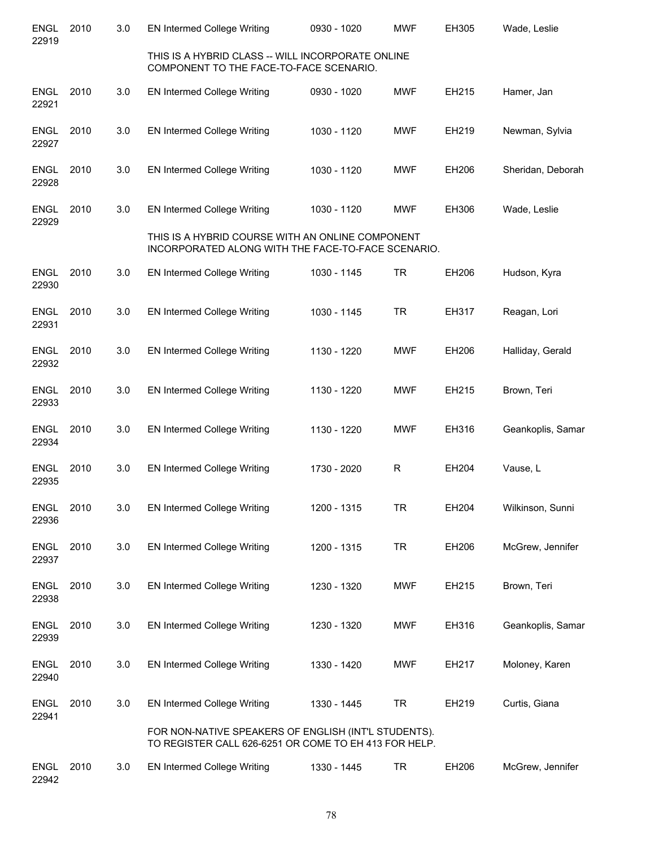| <b>ENGL</b><br>22919 | 2010 | 3.0 | <b>EN Intermed College Writing</b>                                                                            | 0930 - 1020 | <b>MWF</b> | EH305 | Wade, Leslie      |
|----------------------|------|-----|---------------------------------------------------------------------------------------------------------------|-------------|------------|-------|-------------------|
|                      |      |     | THIS IS A HYBRID CLASS -- WILL INCORPORATE ONLINE<br>COMPONENT TO THE FACE-TO-FACE SCENARIO.                  |             |            |       |                   |
| <b>ENGL</b><br>22921 | 2010 | 3.0 | <b>EN Intermed College Writing</b>                                                                            | 0930 - 1020 | <b>MWF</b> | EH215 | Hamer, Jan        |
| <b>ENGL</b><br>22927 | 2010 | 3.0 | <b>EN Intermed College Writing</b>                                                                            | 1030 - 1120 | <b>MWF</b> | EH219 | Newman, Sylvia    |
| <b>ENGL</b><br>22928 | 2010 | 3.0 | EN Intermed College Writing                                                                                   | 1030 - 1120 | <b>MWF</b> | EH206 | Sheridan, Deborah |
| <b>ENGL</b><br>22929 | 2010 | 3.0 | EN Intermed College Writing                                                                                   | 1030 - 1120 | <b>MWF</b> | EH306 | Wade, Leslie      |
|                      |      |     | THIS IS A HYBRID COURSE WITH AN ONLINE COMPONENT<br>INCORPORATED ALONG WITH THE FACE-TO-FACE SCENARIO.        |             |            |       |                   |
| <b>ENGL</b><br>22930 | 2010 | 3.0 | EN Intermed College Writing                                                                                   | 1030 - 1145 | <b>TR</b>  | EH206 | Hudson, Kyra      |
| <b>ENGL</b><br>22931 | 2010 | 3.0 | <b>EN Intermed College Writing</b>                                                                            | 1030 - 1145 | <b>TR</b>  | EH317 | Reagan, Lori      |
| <b>ENGL</b><br>22932 | 2010 | 3.0 | EN Intermed College Writing                                                                                   | 1130 - 1220 | <b>MWF</b> | EH206 | Halliday, Gerald  |
| <b>ENGL</b><br>22933 | 2010 | 3.0 | <b>EN Intermed College Writing</b>                                                                            | 1130 - 1220 | <b>MWF</b> | EH215 | Brown, Teri       |
| <b>ENGL</b><br>22934 | 2010 | 3.0 | EN Intermed College Writing                                                                                   | 1130 - 1220 | <b>MWF</b> | EH316 | Geankoplis, Samar |
| <b>ENGL</b><br>22935 | 2010 | 3.0 | EN Intermed College Writing                                                                                   | 1730 - 2020 | R          | EH204 | Vause, L          |
| <b>ENGL</b><br>22936 | 2010 | 3.0 | <b>EN Intermed College Writing</b>                                                                            | 1200 - 1315 | <b>TR</b>  | EH204 | Wilkinson, Sunni  |
| <b>ENGL</b><br>22937 | 2010 | 3.0 | EN Intermed College Writing                                                                                   | 1200 - 1315 | <b>TR</b>  | EH206 | McGrew, Jennifer  |
| <b>ENGL</b><br>22938 | 2010 | 3.0 | <b>EN Intermed College Writing</b>                                                                            | 1230 - 1320 | <b>MWF</b> | EH215 | Brown, Teri       |
| <b>ENGL</b><br>22939 | 2010 | 3.0 | <b>EN Intermed College Writing</b>                                                                            | 1230 - 1320 | <b>MWF</b> | EH316 | Geankoplis, Samar |
| <b>ENGL</b><br>22940 | 2010 | 3.0 | EN Intermed College Writing                                                                                   | 1330 - 1420 | <b>MWF</b> | EH217 | Moloney, Karen    |
| <b>ENGL</b><br>22941 | 2010 | 3.0 | EN Intermed College Writing                                                                                   | 1330 - 1445 | <b>TR</b>  | EH219 | Curtis, Giana     |
|                      |      |     | FOR NON-NATIVE SPEAKERS OF ENGLISH (INT'L STUDENTS).<br>TO REGISTER CALL 626-6251 OR COME TO EH 413 FOR HELP. |             |            |       |                   |
| <b>ENGL</b><br>22942 | 2010 | 3.0 | EN Intermed College Writing                                                                                   | 1330 - 1445 | TR         | EH206 | McGrew, Jennifer  |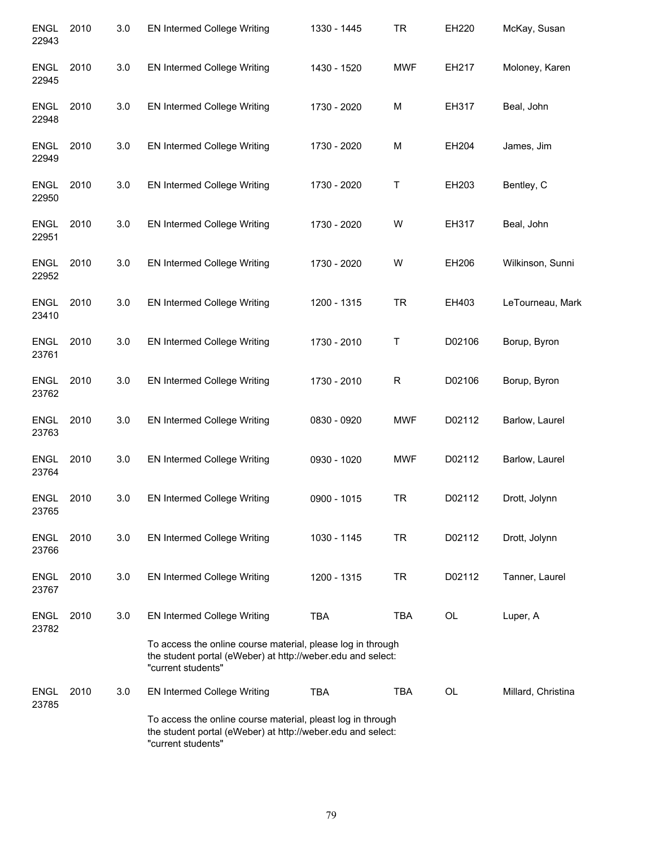| <b>ENGL</b><br>22943 | 2010 | 3.0 | <b>EN Intermed College Writing</b>                                                                                                               | 1330 - 1445 | <b>TR</b>  | EH220  | McKay, Susan       |
|----------------------|------|-----|--------------------------------------------------------------------------------------------------------------------------------------------------|-------------|------------|--------|--------------------|
| <b>ENGL</b><br>22945 | 2010 | 3.0 | EN Intermed College Writing                                                                                                                      | 1430 - 1520 | <b>MWF</b> | EH217  | Moloney, Karen     |
| <b>ENGL</b><br>22948 | 2010 | 3.0 | EN Intermed College Writing                                                                                                                      | 1730 - 2020 | М          | EH317  | Beal, John         |
| <b>ENGL</b><br>22949 | 2010 | 3.0 | <b>EN Intermed College Writing</b>                                                                                                               | 1730 - 2020 | М          | EH204  | James, Jim         |
| <b>ENGL</b><br>22950 | 2010 | 3.0 | <b>EN Intermed College Writing</b>                                                                                                               | 1730 - 2020 | Τ          | EH203  | Bentley, C         |
| <b>ENGL</b><br>22951 | 2010 | 3.0 | EN Intermed College Writing                                                                                                                      | 1730 - 2020 | W          | EH317  | Beal, John         |
| <b>ENGL</b><br>22952 | 2010 | 3.0 | <b>EN Intermed College Writing</b>                                                                                                               | 1730 - 2020 | W          | EH206  | Wilkinson, Sunni   |
| <b>ENGL</b><br>23410 | 2010 | 3.0 | EN Intermed College Writing                                                                                                                      | 1200 - 1315 | <b>TR</b>  | EH403  | LeTourneau, Mark   |
| <b>ENGL</b><br>23761 | 2010 | 3.0 | <b>EN Intermed College Writing</b>                                                                                                               | 1730 - 2010 | Τ          | D02106 | Borup, Byron       |
| <b>ENGL</b><br>23762 | 2010 | 3.0 | EN Intermed College Writing                                                                                                                      | 1730 - 2010 | R          | D02106 | Borup, Byron       |
| <b>ENGL</b><br>23763 | 2010 | 3.0 | EN Intermed College Writing                                                                                                                      | 0830 - 0920 | MWF        | D02112 | Barlow, Laurel     |
| <b>ENGL</b><br>23764 | 2010 | 3.0 | EN Intermed College Writing                                                                                                                      | 0930 - 1020 | <b>MWF</b> | D02112 | Barlow, Laurel     |
| <b>ENGL</b><br>23765 | 2010 | 3.0 | <b>EN Intermed College Writing</b>                                                                                                               | 0900 - 1015 | TR         | D02112 | Drott, Jolynn      |
| <b>ENGL</b><br>23766 | 2010 | 3.0 | <b>EN Intermed College Writing</b>                                                                                                               | 1030 - 1145 | <b>TR</b>  | D02112 | Drott, Jolynn      |
| <b>ENGL</b><br>23767 | 2010 | 3.0 | <b>EN Intermed College Writing</b>                                                                                                               | 1200 - 1315 | <b>TR</b>  | D02112 | Tanner, Laurel     |
| <b>ENGL</b><br>23782 | 2010 | 3.0 | <b>EN Intermed College Writing</b>                                                                                                               | <b>TBA</b>  | <b>TBA</b> | OL     | Luper, A           |
|                      |      |     | To access the online course material, please log in through<br>the student portal (eWeber) at http://weber.edu and select:<br>"current students" |             |            |        |                    |
| <b>ENGL</b><br>23785 | 2010 | 3.0 | <b>EN Intermed College Writing</b>                                                                                                               | <b>TBA</b>  | <b>TBA</b> | OL     | Millard, Christina |
|                      |      |     | To access the online course material, pleast log in through<br>the student portal (eWeber) at http://weber.edu and select:<br>"current students" |             |            |        |                    |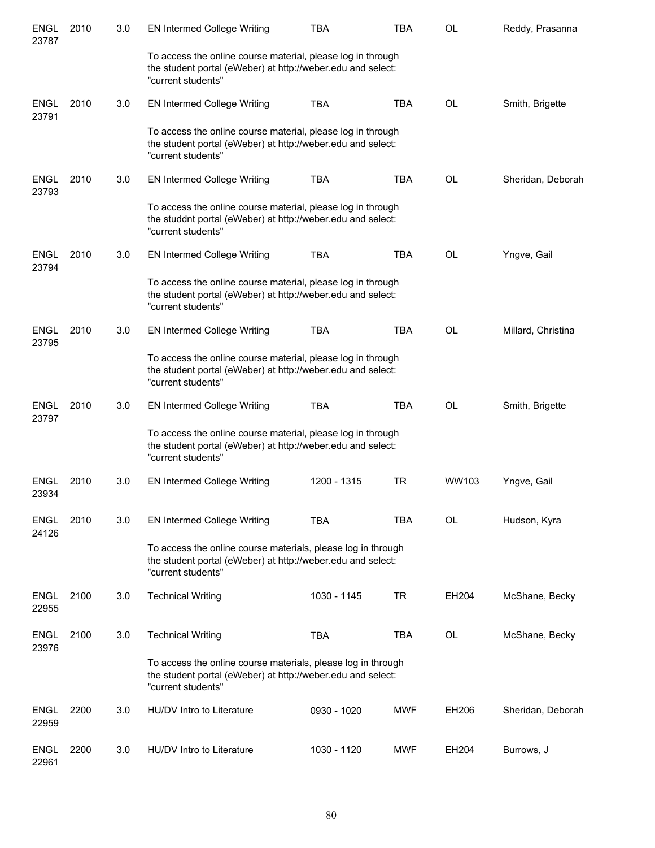| <b>ENGL</b><br>23787 | 2010 | 3.0 | <b>EN Intermed College Writing</b>                                                                                                                | <b>TBA</b>  | TBA        | OL    | Reddy, Prasanna    |
|----------------------|------|-----|---------------------------------------------------------------------------------------------------------------------------------------------------|-------------|------------|-------|--------------------|
|                      |      |     | To access the online course material, please log in through<br>the student portal (eWeber) at http://weber.edu and select:<br>"current students"  |             |            |       |                    |
| <b>ENGL</b><br>23791 | 2010 | 3.0 | <b>EN Intermed College Writing</b>                                                                                                                | <b>TBA</b>  | <b>TBA</b> | OL    | Smith, Brigette    |
|                      |      |     | To access the online course material, please log in through<br>the student portal (eWeber) at http://weber.edu and select:<br>"current students"  |             |            |       |                    |
| <b>ENGL</b><br>23793 | 2010 | 3.0 | EN Intermed College Writing                                                                                                                       | <b>TBA</b>  | TBA        | OL    | Sheridan, Deborah  |
|                      |      |     | To access the online course material, please log in through<br>the studdnt portal (eWeber) at http://weber.edu and select:<br>"current students"  |             |            |       |                    |
| <b>ENGL</b><br>23794 | 2010 | 3.0 | EN Intermed College Writing                                                                                                                       | <b>TBA</b>  | TBA        | OL    | Yngve, Gail        |
|                      |      |     | To access the online course material, please log in through<br>the student portal (eWeber) at http://weber.edu and select:<br>"current students"  |             |            |       |                    |
| <b>ENGL</b><br>23795 | 2010 | 3.0 | <b>EN Intermed College Writing</b>                                                                                                                | <b>TBA</b>  | TBA        | OL    | Millard, Christina |
|                      |      |     | To access the online course material, please log in through<br>the student portal (eWeber) at http://weber.edu and select:<br>"current students"  |             |            |       |                    |
| <b>ENGL</b><br>23797 | 2010 | 3.0 | <b>EN Intermed College Writing</b>                                                                                                                | <b>TBA</b>  | <b>TBA</b> | OL    | Smith, Brigette    |
|                      |      |     | To access the online course material, please log in through<br>the student portal (eWeber) at http://weber.edu and select:<br>"current students"  |             |            |       |                    |
| <b>ENGL</b><br>23934 | 2010 | 3.0 | <b>EN Intermed College Writing</b>                                                                                                                | 1200 - 1315 | TR         | WW103 | Yngve, Gail        |
| <b>ENGL</b><br>24126 | 2010 | 3.0 | <b>EN Intermed College Writing</b>                                                                                                                | <b>TBA</b>  | <b>TBA</b> | OL    | Hudson, Kyra       |
|                      |      |     | To access the online course materials, please log in through<br>the student portal (eWeber) at http://weber.edu and select:<br>"current students" |             |            |       |                    |
| <b>ENGL</b><br>22955 | 2100 | 3.0 | <b>Technical Writing</b>                                                                                                                          | 1030 - 1145 | <b>TR</b>  | EH204 | McShane, Becky     |
| <b>ENGL</b><br>23976 | 2100 | 3.0 | <b>Technical Writing</b>                                                                                                                          | <b>TBA</b>  | TBA        | OL    | McShane, Becky     |
|                      |      |     | To access the online course materials, please log in through<br>the student portal (eWeber) at http://weber.edu and select:<br>"current students" |             |            |       |                    |
| <b>ENGL</b><br>22959 | 2200 | 3.0 | HU/DV Intro to Literature                                                                                                                         | 0930 - 1020 | <b>MWF</b> | EH206 | Sheridan, Deborah  |
| <b>ENGL</b><br>22961 | 2200 | 3.0 | HU/DV Intro to Literature                                                                                                                         | 1030 - 1120 | <b>MWF</b> | EH204 | Burrows, J         |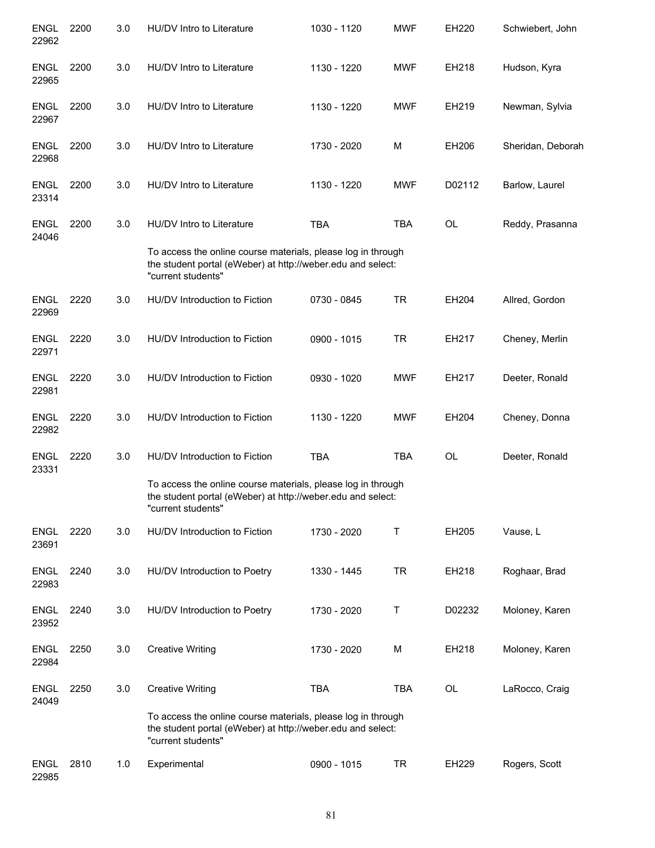| <b>ENGL</b><br>22962 | 2200 | 3.0 | HU/DV Intro to Literature                                                                                                                         | 1030 - 1120 | <b>MWF</b> | EH220     | Schwiebert, John  |
|----------------------|------|-----|---------------------------------------------------------------------------------------------------------------------------------------------------|-------------|------------|-----------|-------------------|
| <b>ENGL</b><br>22965 | 2200 | 3.0 | HU/DV Intro to Literature                                                                                                                         | 1130 - 1220 | <b>MWF</b> | EH218     | Hudson, Kyra      |
| <b>ENGL</b><br>22967 | 2200 | 3.0 | HU/DV Intro to Literature                                                                                                                         | 1130 - 1220 | <b>MWF</b> | EH219     | Newman, Sylvia    |
| <b>ENGL</b><br>22968 | 2200 | 3.0 | HU/DV Intro to Literature                                                                                                                         | 1730 - 2020 | M          | EH206     | Sheridan, Deborah |
| <b>ENGL</b><br>23314 | 2200 | 3.0 | HU/DV Intro to Literature                                                                                                                         | 1130 - 1220 | <b>MWF</b> | D02112    | Barlow, Laurel    |
| <b>ENGL</b><br>24046 | 2200 | 3.0 | HU/DV Intro to Literature                                                                                                                         | <b>TBA</b>  | <b>TBA</b> | <b>OL</b> | Reddy, Prasanna   |
|                      |      |     | To access the online course materials, please log in through<br>the student portal (eWeber) at http://weber.edu and select:<br>"current students" |             |            |           |                   |
| <b>ENGL</b><br>22969 | 2220 | 3.0 | HU/DV Introduction to Fiction                                                                                                                     | 0730 - 0845 | <b>TR</b>  | EH204     | Allred, Gordon    |
| <b>ENGL</b><br>22971 | 2220 | 3.0 | HU/DV Introduction to Fiction                                                                                                                     | 0900 - 1015 | <b>TR</b>  | EH217     | Cheney, Merlin    |
| <b>ENGL</b><br>22981 | 2220 | 3.0 | HU/DV Introduction to Fiction                                                                                                                     | 0930 - 1020 | <b>MWF</b> | EH217     | Deeter, Ronald    |
| <b>ENGL</b><br>22982 | 2220 | 3.0 | HU/DV Introduction to Fiction                                                                                                                     | 1130 - 1220 | <b>MWF</b> | EH204     | Cheney, Donna     |
| <b>ENGL</b><br>23331 | 2220 | 3.0 | HU/DV Introduction to Fiction                                                                                                                     | <b>TBA</b>  | <b>TBA</b> | <b>OL</b> | Deeter, Ronald    |
|                      |      |     | To access the online course materials, please log in through<br>the student portal (eWeber) at http://weber.edu and select:<br>"current students" |             |            |           |                   |
| <b>ENGL</b><br>23691 | 2220 | 3.0 | HU/DV Introduction to Fiction                                                                                                                     | 1730 - 2020 | Τ          | EH205     | Vause, L          |
| <b>ENGL</b><br>22983 | 2240 | 3.0 | HU/DV Introduction to Poetry                                                                                                                      | 1330 - 1445 | <b>TR</b>  | EH218     | Roghaar, Brad     |
| <b>ENGL</b><br>23952 | 2240 | 3.0 | HU/DV Introduction to Poetry                                                                                                                      | 1730 - 2020 | Τ          | D02232    | Moloney, Karen    |
| <b>ENGL</b><br>22984 | 2250 | 3.0 | <b>Creative Writing</b>                                                                                                                           | 1730 - 2020 | M          | EH218     | Moloney, Karen    |
| <b>ENGL</b><br>24049 | 2250 | 3.0 | <b>Creative Writing</b>                                                                                                                           | <b>TBA</b>  | <b>TBA</b> | OL        | LaRocco, Craig    |
|                      |      |     | To access the online course materials, please log in through<br>the student portal (eWeber) at http://weber.edu and select:<br>"current students" |             |            |           |                   |
| <b>ENGL</b><br>22985 | 2810 | 1.0 | Experimental                                                                                                                                      | 0900 - 1015 | <b>TR</b>  | EH229     | Rogers, Scott     |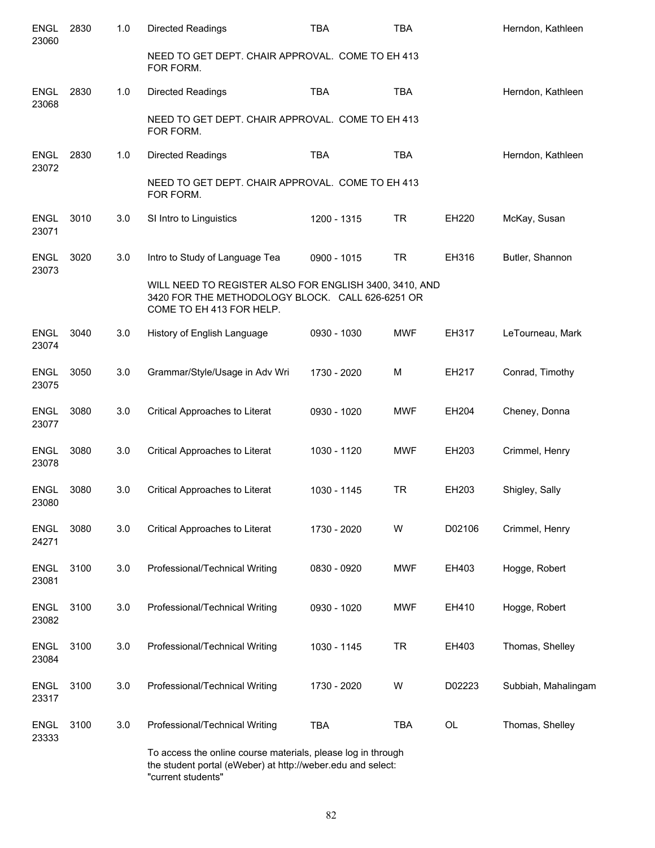| <b>ENGL</b><br>23060 | 2830 | 1.0 | <b>Directed Readings</b>                                                                                                               | <b>TBA</b>  | <b>TBA</b> |                | Herndon, Kathleen   |
|----------------------|------|-----|----------------------------------------------------------------------------------------------------------------------------------------|-------------|------------|----------------|---------------------|
|                      |      |     | NEED TO GET DEPT. CHAIR APPROVAL. COME TO EH 413<br>FOR FORM.                                                                          |             |            |                |                     |
| <b>ENGL</b><br>23068 | 2830 | 1.0 | Directed Readings                                                                                                                      | <b>TBA</b>  | <b>TBA</b> |                | Herndon, Kathleen   |
|                      |      |     | NEED TO GET DEPT. CHAIR APPROVAL. COME TO EH 413<br>FOR FORM.                                                                          |             |            |                |                     |
| ENGL<br>23072        | 2830 | 1.0 | <b>Directed Readings</b>                                                                                                               | <b>TBA</b>  | <b>TBA</b> |                | Herndon, Kathleen   |
|                      |      |     | NEED TO GET DEPT. CHAIR APPROVAL. COME TO EH 413<br>FOR FORM.                                                                          |             |            |                |                     |
| <b>ENGL</b><br>23071 | 3010 | 3.0 | SI Intro to Linguistics                                                                                                                | 1200 - 1315 | <b>TR</b>  | EH220          | McKay, Susan        |
| <b>ENGL</b><br>23073 | 3020 | 3.0 | Intro to Study of Language Tea                                                                                                         | 0900 - 1015 | <b>TR</b>  | EH316          | Butler, Shannon     |
|                      |      |     | WILL NEED TO REGISTER ALSO FOR ENGLISH 3400, 3410, AND<br>3420 FOR THE METHODOLOGY BLOCK. CALL 626-6251 OR<br>COME TO EH 413 FOR HELP. |             |            |                |                     |
| <b>ENGL</b><br>23074 | 3040 | 3.0 | History of English Language                                                                                                            | 0930 - 1030 | <b>MWF</b> | EH317          | LeTourneau, Mark    |
| <b>ENGL</b><br>23075 | 3050 | 3.0 | Grammar/Style/Usage in Adv Wri                                                                                                         | 1730 - 2020 | M          | EH217          | Conrad, Timothy     |
| <b>ENGL</b><br>23077 | 3080 | 3.0 | Critical Approaches to Literat                                                                                                         | 0930 - 1020 | <b>MWF</b> | EH204          | Cheney, Donna       |
| <b>ENGL</b><br>23078 | 3080 | 3.0 | Critical Approaches to Literat                                                                                                         | 1030 - 1120 | <b>MWF</b> | EH203          | Crimmel, Henry      |
| <b>ENGL</b><br>23080 | 3080 | 3.0 | Critical Approaches to Literat                                                                                                         | 1030 - 1145 | <b>TR</b>  | EH203          | Shigley, Sally      |
| <b>ENGL</b><br>24271 | 3080 | 3.0 | Critical Approaches to Literat                                                                                                         | 1730 - 2020 | W          | D02106         | Crimmel, Henry      |
| <b>ENGL</b><br>23081 | 3100 | 3.0 | Professional/Technical Writing                                                                                                         | 0830 - 0920 | <b>MWF</b> | EH403          | Hogge, Robert       |
| <b>ENGL</b><br>23082 | 3100 | 3.0 | Professional/Technical Writing                                                                                                         | 0930 - 1020 | <b>MWF</b> | EH410          | Hogge, Robert       |
| ENGL<br>23084        | 3100 | 3.0 | Professional/Technical Writing                                                                                                         | 1030 - 1145 | <b>TR</b>  | EH403          | Thomas, Shelley     |
| <b>ENGL</b><br>23317 | 3100 | 3.0 | Professional/Technical Writing                                                                                                         | 1730 - 2020 | W          | D02223         | Subbiah, Mahalingam |
| <b>ENGL</b><br>23333 | 3100 | 3.0 | Professional/Technical Writing                                                                                                         | <b>TBA</b>  | <b>TBA</b> | $\mathsf{OL}%$ | Thomas, Shelley     |
|                      |      |     | To access the online course materials, please log in through                                                                           |             |            |                |                     |

the student portal (eWeber) at http://weber.edu and select: "current students"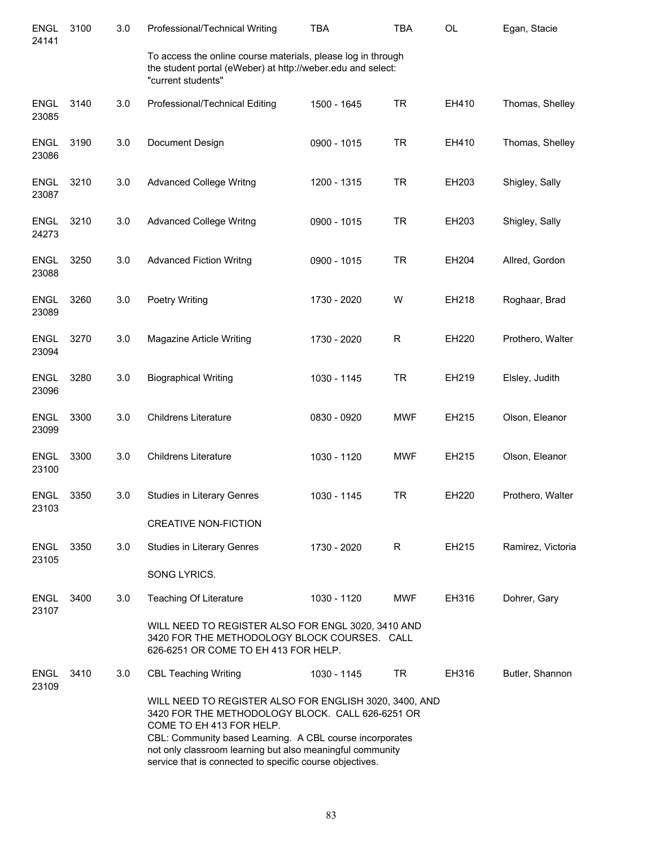| <b>ENGL</b><br>24141 | 3100 | 3.0 | Professional/Technical Writing                                                                                                                                                                                                                                                                                              | <b>TBA</b>  | <b>TBA</b> | <b>OL</b> | Egan, Stacie      |
|----------------------|------|-----|-----------------------------------------------------------------------------------------------------------------------------------------------------------------------------------------------------------------------------------------------------------------------------------------------------------------------------|-------------|------------|-----------|-------------------|
|                      |      |     | To access the online course materials, please log in through<br>the student portal (eWeber) at http://weber.edu and select:<br>"current students"                                                                                                                                                                           |             |            |           |                   |
| <b>ENGL</b><br>23085 | 3140 | 3.0 | Professional/Technical Editing                                                                                                                                                                                                                                                                                              | 1500 - 1645 | <b>TR</b>  | EH410     | Thomas, Shelley   |
| <b>ENGL</b><br>23086 | 3190 | 3.0 | Document Design                                                                                                                                                                                                                                                                                                             | 0900 - 1015 | <b>TR</b>  | EH410     | Thomas, Shelley   |
| <b>ENGL</b><br>23087 | 3210 | 3.0 | <b>Advanced College Writng</b>                                                                                                                                                                                                                                                                                              | 1200 - 1315 | <b>TR</b>  | EH203     | Shigley, Sally    |
| <b>ENGL</b><br>24273 | 3210 | 3.0 | <b>Advanced College Writng</b>                                                                                                                                                                                                                                                                                              | 0900 - 1015 | <b>TR</b>  | EH203     | Shigley, Sally    |
| <b>ENGL</b><br>23088 | 3250 | 3.0 | <b>Advanced Fiction Writng</b>                                                                                                                                                                                                                                                                                              | 0900 - 1015 | <b>TR</b>  | EH204     | Allred, Gordon    |
| <b>ENGL</b><br>23089 | 3260 | 3.0 | Poetry Writing                                                                                                                                                                                                                                                                                                              | 1730 - 2020 | W          | EH218     | Roghaar, Brad     |
| <b>ENGL</b><br>23094 | 3270 | 3.0 | Magazine Article Writing                                                                                                                                                                                                                                                                                                    | 1730 - 2020 | R          | EH220     | Prothero, Walter  |
| <b>ENGL</b><br>23096 | 3280 | 3.0 | <b>Biographical Writing</b>                                                                                                                                                                                                                                                                                                 | 1030 - 1145 | <b>TR</b>  | EH219     | Elsley, Judith    |
| <b>ENGL</b><br>23099 | 3300 | 3.0 | <b>Childrens Literature</b>                                                                                                                                                                                                                                                                                                 | 0830 - 0920 | <b>MWF</b> | EH215     | Olson, Eleanor    |
| <b>ENGL</b><br>23100 | 3300 | 3.0 | <b>Childrens Literature</b>                                                                                                                                                                                                                                                                                                 | 1030 - 1120 | <b>MWF</b> | EH215     | Olson, Eleanor    |
| <b>ENGL</b><br>23103 | 3350 | 3.0 | Studies in Literary Genres                                                                                                                                                                                                                                                                                                  | 1030 - 1145 | <b>TR</b>  | EH220     | Prothero, Walter  |
|                      |      |     | <b>CREATIVE NON-FICTION</b>                                                                                                                                                                                                                                                                                                 |             |            |           |                   |
| <b>ENGL</b><br>23105 | 3350 | 3.0 | Studies in Literary Genres                                                                                                                                                                                                                                                                                                  | 1730 - 2020 | R          | EH215     | Ramirez, Victoria |
|                      |      |     | SONG LYRICS.                                                                                                                                                                                                                                                                                                                |             |            |           |                   |
| <b>ENGL</b><br>23107 | 3400 | 3.0 | Teaching Of Literature                                                                                                                                                                                                                                                                                                      | 1030 - 1120 | <b>MWF</b> | EH316     | Dohrer, Gary      |
|                      |      |     | WILL NEED TO REGISTER ALSO FOR ENGL 3020, 3410 AND<br>3420 FOR THE METHODOLOGY BLOCK COURSES. CALL<br>626-6251 OR COME TO EH 413 FOR HELP.                                                                                                                                                                                  |             |            |           |                   |
| <b>ENGL</b><br>23109 | 3410 | 3.0 | <b>CBL Teaching Writing</b>                                                                                                                                                                                                                                                                                                 | 1030 - 1145 | <b>TR</b>  | EH316     | Butler, Shannon   |
|                      |      |     | WILL NEED TO REGISTER ALSO FOR ENGLISH 3020, 3400, AND<br>3420 FOR THE METHODOLOGY BLOCK. CALL 626-6251 OR<br>COME TO EH 413 FOR HELP.<br>CBL: Community based Learning. A CBL course incorporates<br>not only classroom learning but also meaningful community<br>service that is connected to specific course objectives. |             |            |           |                   |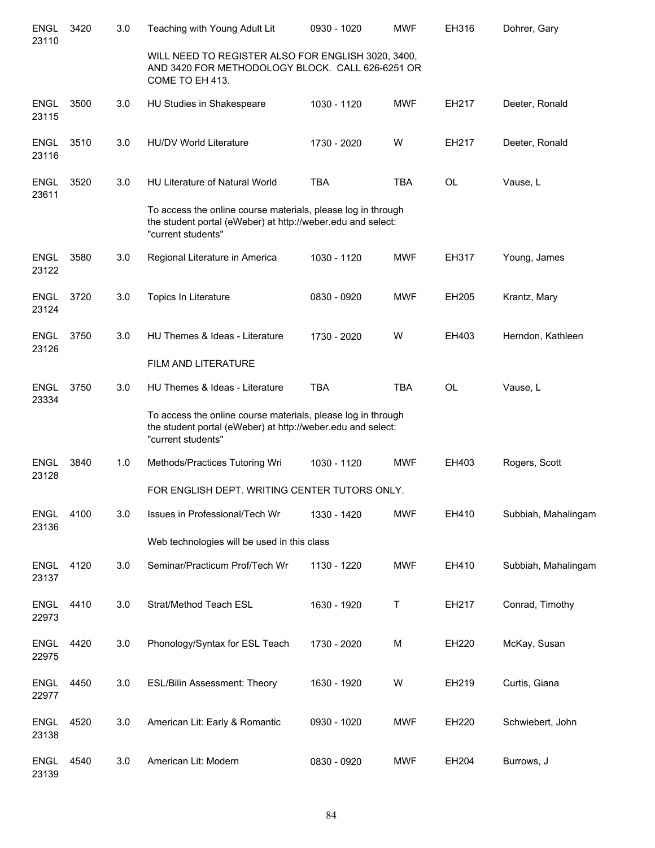| <b>ENGL</b><br>23110 | 3420 | 3.0 | Teaching with Young Adult Lit                                                                                                                     | 0930 - 1020 | <b>MWF</b> | EH316     | Dohrer, Gary        |
|----------------------|------|-----|---------------------------------------------------------------------------------------------------------------------------------------------------|-------------|------------|-----------|---------------------|
|                      |      |     | WILL NEED TO REGISTER ALSO FOR ENGLISH 3020, 3400,<br>AND 3420 FOR METHODOLOGY BLOCK. CALL 626-6251 OR<br>COME TO EH 413.                         |             |            |           |                     |
| <b>ENGL</b><br>23115 | 3500 | 3.0 | HU Studies in Shakespeare                                                                                                                         | 1030 - 1120 | <b>MWF</b> | EH217     | Deeter, Ronald      |
| <b>ENGL</b><br>23116 | 3510 | 3.0 | <b>HU/DV World Literature</b>                                                                                                                     | 1730 - 2020 | W          | EH217     | Deeter, Ronald      |
| <b>ENGL</b><br>23611 | 3520 | 3.0 | <b>HU Literature of Natural World</b>                                                                                                             | <b>TBA</b>  | <b>TBA</b> | <b>OL</b> | Vause, L            |
|                      |      |     | To access the online course materials, please log in through<br>the student portal (eWeber) at http://weber.edu and select:<br>"current students" |             |            |           |                     |
| <b>ENGL</b><br>23122 | 3580 | 3.0 | Regional Literature in America                                                                                                                    | 1030 - 1120 | <b>MWF</b> | EH317     | Young, James        |
| <b>ENGL</b><br>23124 | 3720 | 3.0 | Topics In Literature                                                                                                                              | 0830 - 0920 | <b>MWF</b> | EH205     | Krantz, Mary        |
| <b>ENGL</b><br>23126 | 3750 | 3.0 | HU Themes & Ideas - Literature                                                                                                                    | 1730 - 2020 | W          | EH403     | Herndon, Kathleen   |
|                      |      |     | FILM AND LITERATURE                                                                                                                               |             |            |           |                     |
| <b>ENGL</b><br>23334 | 3750 | 3.0 | HU Themes & Ideas - Literature                                                                                                                    | <b>TBA</b>  | <b>TBA</b> | <b>OL</b> | Vause, L            |
|                      |      |     | To access the online course materials, please log in through<br>the student portal (eWeber) at http://weber.edu and select:<br>"current students" |             |            |           |                     |
| ENGL<br>23128        | 3840 | 1.0 | Methods/Practices Tutoring Wri                                                                                                                    | 1030 - 1120 | <b>MWF</b> | EH403     | Rogers, Scott       |
|                      |      |     | FOR ENGLISH DEPT. WRITING CENTER TUTORS ONLY.                                                                                                     |             |            |           |                     |
| <b>ENGL</b><br>23136 | 4100 | 3.0 | Issues in Professional/Tech Wr                                                                                                                    | 1330 - 1420 | <b>MWF</b> | EH410     | Subbiah, Mahalingam |
|                      |      |     | Web technologies will be used in this class                                                                                                       |             |            |           |                     |
| <b>ENGL</b><br>23137 | 4120 | 3.0 | Seminar/Practicum Prof/Tech Wr                                                                                                                    | 1130 - 1220 | <b>MWF</b> | EH410     | Subbiah, Mahalingam |
| <b>ENGL</b><br>22973 | 4410 | 3.0 | Strat/Method Teach ESL                                                                                                                            | 1630 - 1920 | Τ          | EH217     | Conrad, Timothy     |
| <b>ENGL</b><br>22975 | 4420 | 3.0 | Phonology/Syntax for ESL Teach                                                                                                                    | 1730 - 2020 | M          | EH220     | McKay, Susan        |
| <b>ENGL</b><br>22977 | 4450 | 3.0 | ESL/Bilin Assessment: Theory                                                                                                                      | 1630 - 1920 | W          | EH219     | Curtis, Giana       |
| <b>ENGL</b><br>23138 | 4520 | 3.0 | American Lit: Early & Romantic                                                                                                                    | 0930 - 1020 | <b>MWF</b> | EH220     | Schwiebert, John    |
| <b>ENGL</b><br>23139 | 4540 | 3.0 | American Lit: Modern                                                                                                                              | 0830 - 0920 | <b>MWF</b> | EH204     | Burrows, J          |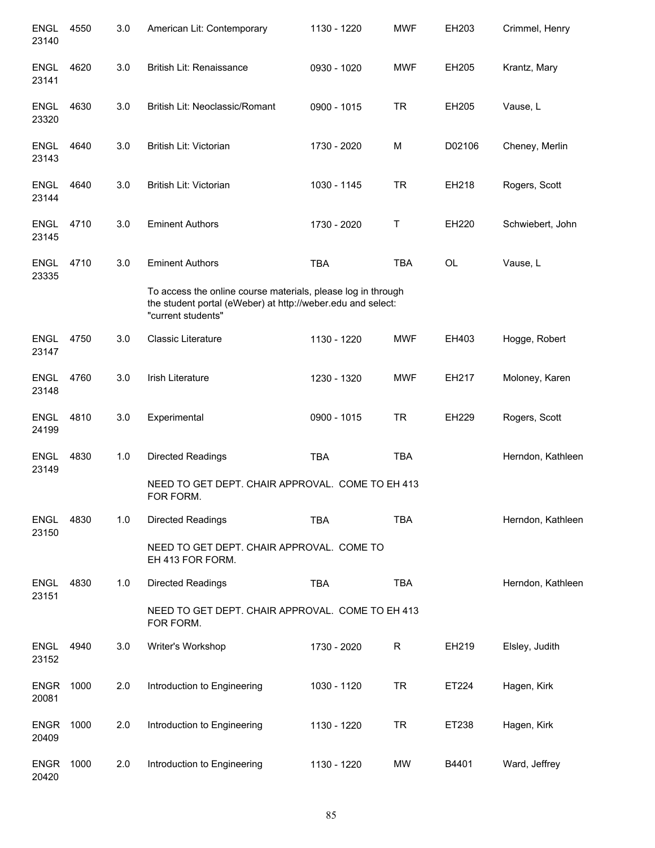| <b>ENGL</b><br>23140 | 4550 | 3.0 | American Lit: Contemporary                                                                                                                        | 1130 - 1220 | <b>MWF</b> | EH203     | Crimmel, Henry    |
|----------------------|------|-----|---------------------------------------------------------------------------------------------------------------------------------------------------|-------------|------------|-----------|-------------------|
| <b>ENGL</b><br>23141 | 4620 | 3.0 | British Lit: Renaissance                                                                                                                          | 0930 - 1020 | <b>MWF</b> | EH205     | Krantz, Mary      |
| <b>ENGL</b><br>23320 | 4630 | 3.0 | British Lit: Neoclassic/Romant                                                                                                                    | 0900 - 1015 | <b>TR</b>  | EH205     | Vause, L          |
| <b>ENGL</b><br>23143 | 4640 | 3.0 | British Lit: Victorian                                                                                                                            | 1730 - 2020 | M          | D02106    | Cheney, Merlin    |
| <b>ENGL</b><br>23144 | 4640 | 3.0 | British Lit: Victorian                                                                                                                            | 1030 - 1145 | <b>TR</b>  | EH218     | Rogers, Scott     |
| <b>ENGL</b><br>23145 | 4710 | 3.0 | <b>Eminent Authors</b>                                                                                                                            | 1730 - 2020 | Τ          | EH220     | Schwiebert, John  |
| <b>ENGL</b><br>23335 | 4710 | 3.0 | <b>Eminent Authors</b>                                                                                                                            | <b>TBA</b>  | <b>TBA</b> | <b>OL</b> | Vause, L          |
|                      |      |     | To access the online course materials, please log in through<br>the student portal (eWeber) at http://weber.edu and select:<br>"current students" |             |            |           |                   |
| <b>ENGL</b><br>23147 | 4750 | 3.0 | <b>Classic Literature</b>                                                                                                                         | 1130 - 1220 | <b>MWF</b> | EH403     | Hogge, Robert     |
| <b>ENGL</b><br>23148 | 4760 | 3.0 | <b>Irish Literature</b>                                                                                                                           | 1230 - 1320 | <b>MWF</b> | EH217     | Moloney, Karen    |
| <b>ENGL</b><br>24199 | 4810 | 3.0 | Experimental                                                                                                                                      | 0900 - 1015 | <b>TR</b>  | EH229     | Rogers, Scott     |
| <b>ENGL</b><br>23149 | 4830 | 1.0 | <b>Directed Readings</b>                                                                                                                          | <b>TBA</b>  | <b>TBA</b> |           | Herndon, Kathleen |
|                      |      |     | NEED TO GET DEPT. CHAIR APPROVAL. COME TO EH 413<br>FOR FORM.                                                                                     |             |            |           |                   |
| <b>ENGL</b><br>23150 | 4830 | 1.0 | <b>Directed Readings</b>                                                                                                                          | <b>TBA</b>  | <b>TBA</b> |           | Herndon, Kathleen |
|                      |      |     | NEED TO GET DEPT. CHAIR APPROVAL. COME TO<br>EH 413 FOR FORM.                                                                                     |             |            |           |                   |
| <b>ENGL</b><br>23151 | 4830 | 1.0 | <b>Directed Readings</b>                                                                                                                          | <b>TBA</b>  | <b>TBA</b> |           | Herndon, Kathleen |
|                      |      |     | NEED TO GET DEPT. CHAIR APPROVAL. COME TO EH 413<br>FOR FORM.                                                                                     |             |            |           |                   |
| <b>ENGL</b><br>23152 | 4940 | 3.0 | Writer's Workshop                                                                                                                                 | 1730 - 2020 | R          | EH219     | Elsley, Judith    |
| <b>ENGR</b><br>20081 | 1000 | 2.0 | Introduction to Engineering                                                                                                                       | 1030 - 1120 | <b>TR</b>  | ET224     | Hagen, Kirk       |
| <b>ENGR</b><br>20409 | 1000 | 2.0 | Introduction to Engineering                                                                                                                       | 1130 - 1220 | <b>TR</b>  | ET238     | Hagen, Kirk       |
| <b>ENGR</b><br>20420 | 1000 | 2.0 | Introduction to Engineering                                                                                                                       | 1130 - 1220 | MW         | B4401     | Ward, Jeffrey     |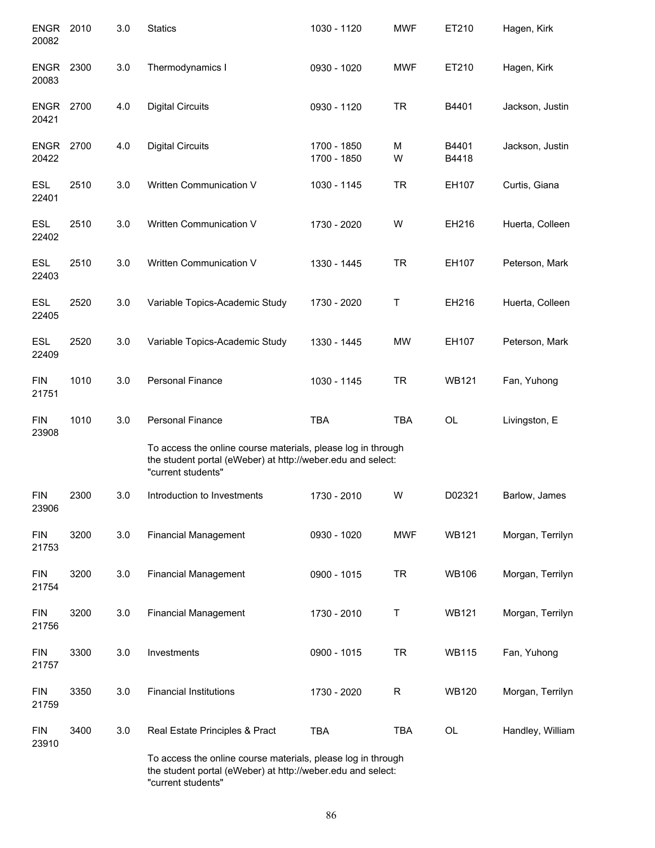| ENGR<br>20082        | 2010 | 3.0 | <b>Statics</b>                                                                                                                                    | 1030 - 1120                | <b>MWF</b>  | ET210          | Hagen, Kirk      |
|----------------------|------|-----|---------------------------------------------------------------------------------------------------------------------------------------------------|----------------------------|-------------|----------------|------------------|
| <b>ENGR</b><br>20083 | 2300 | 3.0 | Thermodynamics I                                                                                                                                  | 0930 - 1020                | <b>MWF</b>  | ET210          | Hagen, Kirk      |
| <b>ENGR</b><br>20421 | 2700 | 4.0 | <b>Digital Circuits</b>                                                                                                                           | 0930 - 1120                | <b>TR</b>   | B4401          | Jackson, Justin  |
| <b>ENGR</b><br>20422 | 2700 | 4.0 | <b>Digital Circuits</b>                                                                                                                           | 1700 - 1850<br>1700 - 1850 | M<br>W      | B4401<br>B4418 | Jackson, Justin  |
| <b>ESL</b><br>22401  | 2510 | 3.0 | Written Communication V                                                                                                                           | 1030 - 1145                | <b>TR</b>   | EH107          | Curtis, Giana    |
| <b>ESL</b><br>22402  | 2510 | 3.0 | Written Communication V                                                                                                                           | 1730 - 2020                | W           | EH216          | Huerta, Colleen  |
| <b>ESL</b><br>22403  | 2510 | 3.0 | Written Communication V                                                                                                                           | 1330 - 1445                | <b>TR</b>   | EH107          | Peterson, Mark   |
| <b>ESL</b><br>22405  | 2520 | 3.0 | Variable Topics-Academic Study                                                                                                                    | 1730 - 2020                | Τ           | EH216          | Huerta, Colleen  |
| <b>ESL</b><br>22409  | 2520 | 3.0 | Variable Topics-Academic Study                                                                                                                    | 1330 - 1445                | <b>MW</b>   | EH107          | Peterson, Mark   |
| <b>FIN</b><br>21751  | 1010 | 3.0 | <b>Personal Finance</b>                                                                                                                           | 1030 - 1145                | <b>TR</b>   | <b>WB121</b>   | Fan, Yuhong      |
| <b>FIN</b><br>23908  | 1010 | 3.0 | <b>Personal Finance</b>                                                                                                                           | <b>TBA</b>                 | <b>TBA</b>  | OL             | Livingston, E    |
|                      |      |     | To access the online course materials, please log in through<br>the student portal (eWeber) at http://weber.edu and select:<br>"current students" |                            |             |                |                  |
| <b>FIN</b><br>23906  | 2300 | 3.0 | Introduction to Investments                                                                                                                       | 1730 - 2010                | W           | D02321         | Barlow, James    |
| <b>FIN</b><br>21753  | 3200 | 3.0 | <b>Financial Management</b>                                                                                                                       | 0930 - 1020                | <b>MWF</b>  | <b>WB121</b>   | Morgan, Terrilyn |
| <b>FIN</b><br>21754  | 3200 | 3.0 | <b>Financial Management</b>                                                                                                                       | 0900 - 1015                | <b>TR</b>   | <b>WB106</b>   | Morgan, Terrilyn |
| <b>FIN</b><br>21756  | 3200 | 3.0 | <b>Financial Management</b>                                                                                                                       | 1730 - 2010                | Τ           | <b>WB121</b>   | Morgan, Terrilyn |
| <b>FIN</b><br>21757  | 3300 | 3.0 | Investments                                                                                                                                       | 0900 - 1015                | <b>TR</b>   | <b>WB115</b>   | Fan, Yuhong      |
| <b>FIN</b><br>21759  | 3350 | 3.0 | <b>Financial Institutions</b>                                                                                                                     | 1730 - 2020                | $\mathsf R$ | <b>WB120</b>   | Morgan, Terrilyn |
| <b>FIN</b><br>23910  | 3400 | 3.0 | Real Estate Principles & Pract                                                                                                                    | <b>TBA</b>                 | <b>TBA</b>  | OL             | Handley, William |
|                      |      |     | To access the online course materials, please log in through<br>the student portal (eWeber) at http://weber.edu and select:                       |                            |             |                |                  |

"current students"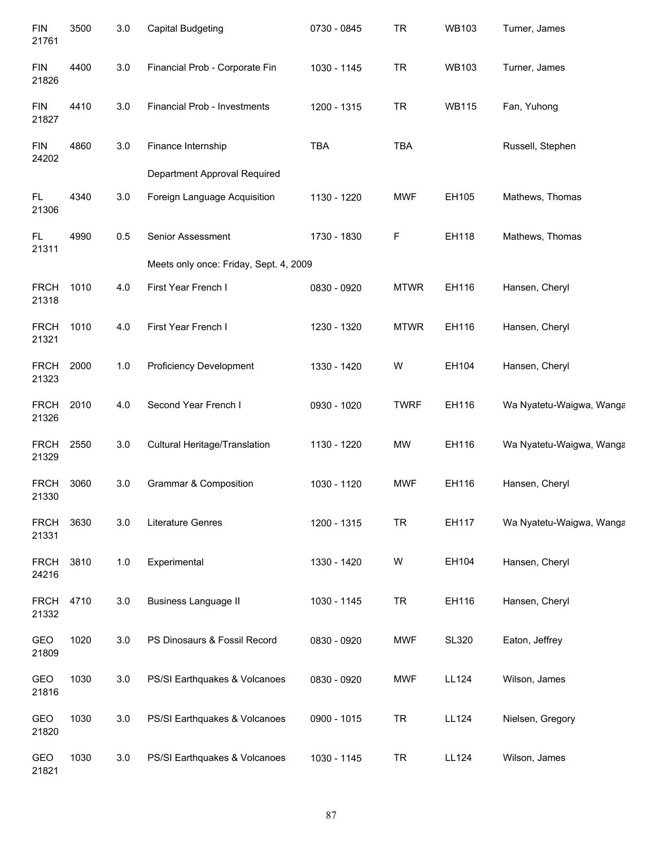| <b>FIN</b><br>21761  | 3500 | 3.0 | <b>Capital Budgeting</b>               | 0730 - 0845 | <b>TR</b>   | <b>WB103</b> | Turner, James            |
|----------------------|------|-----|----------------------------------------|-------------|-------------|--------------|--------------------------|
| <b>FIN</b><br>21826  | 4400 | 3.0 | Financial Prob - Corporate Fin         | 1030 - 1145 | <b>TR</b>   | <b>WB103</b> | Turner, James            |
| <b>FIN</b><br>21827  | 4410 | 3.0 | Financial Prob - Investments           | 1200 - 1315 | <b>TR</b>   | <b>WB115</b> | Fan, Yuhong              |
| <b>FIN</b><br>24202  | 4860 | 3.0 | Finance Internship                     | <b>TBA</b>  | <b>TBA</b>  |              | Russell, Stephen         |
|                      |      |     | Department Approval Required           |             |             |              |                          |
| FL.<br>21306         | 4340 | 3.0 | Foreign Language Acquisition           | 1130 - 1220 | <b>MWF</b>  | EH105        | Mathews, Thomas          |
| FL.<br>21311         | 4990 | 0.5 | Senior Assessment                      | 1730 - 1830 | F           | EH118        | Mathews, Thomas          |
|                      |      |     | Meets only once: Friday, Sept. 4, 2009 |             |             |              |                          |
| <b>FRCH</b><br>21318 | 1010 | 4.0 | First Year French I                    | 0830 - 0920 | <b>MTWR</b> | EH116        | Hansen, Cheryl           |
| <b>FRCH</b><br>21321 | 1010 | 4.0 | First Year French I                    | 1230 - 1320 | <b>MTWR</b> | EH116        | Hansen, Cheryl           |
| <b>FRCH</b><br>21323 | 2000 | 1.0 | <b>Proficiency Development</b>         | 1330 - 1420 | W           | EH104        | Hansen, Cheryl           |
| <b>FRCH</b><br>21326 | 2010 | 4.0 | Second Year French I                   | 0930 - 1020 | <b>TWRF</b> | EH116        | Wa Nyatetu-Waigwa, Wanga |
| <b>FRCH</b><br>21329 | 2550 | 3.0 | Cultural Heritage/Translation          | 1130 - 1220 | <b>MW</b>   | EH116        | Wa Nyatetu-Waigwa, Wanga |
| <b>FRCH</b><br>21330 | 3060 | 3.0 | <b>Grammar &amp; Composition</b>       | 1030 - 1120 | <b>MWF</b>  | EH116        | Hansen, Cheryl           |
| <b>FRCH</b><br>21331 | 3630 | 3.0 | <b>Literature Genres</b>               | 1200 - 1315 | <b>TR</b>   | EH117        | Wa Nyatetu-Waigwa, Wanga |
| <b>FRCH</b><br>24216 | 3810 | 1.0 | Experimental                           | 1330 - 1420 | W           | EH104        | Hansen, Cheryl           |
| <b>FRCH</b><br>21332 | 4710 | 3.0 | <b>Business Language II</b>            | 1030 - 1145 | <b>TR</b>   | EH116        | Hansen, Cheryl           |
| GEO<br>21809         | 1020 | 3.0 | PS Dinosaurs & Fossil Record           | 0830 - 0920 | <b>MWF</b>  | <b>SL320</b> | Eaton, Jeffrey           |
| GEO<br>21816         | 1030 | 3.0 | PS/SI Earthquakes & Volcanoes          | 0830 - 0920 | <b>MWF</b>  | <b>LL124</b> | Wilson, James            |
| GEO<br>21820         | 1030 | 3.0 | PS/SI Earthquakes & Volcanoes          | 0900 - 1015 | <b>TR</b>   | <b>LL124</b> | Nielsen, Gregory         |
| GEO<br>21821         | 1030 | 3.0 | PS/SI Earthquakes & Volcanoes          | 1030 - 1145 | <b>TR</b>   | <b>LL124</b> | Wilson, James            |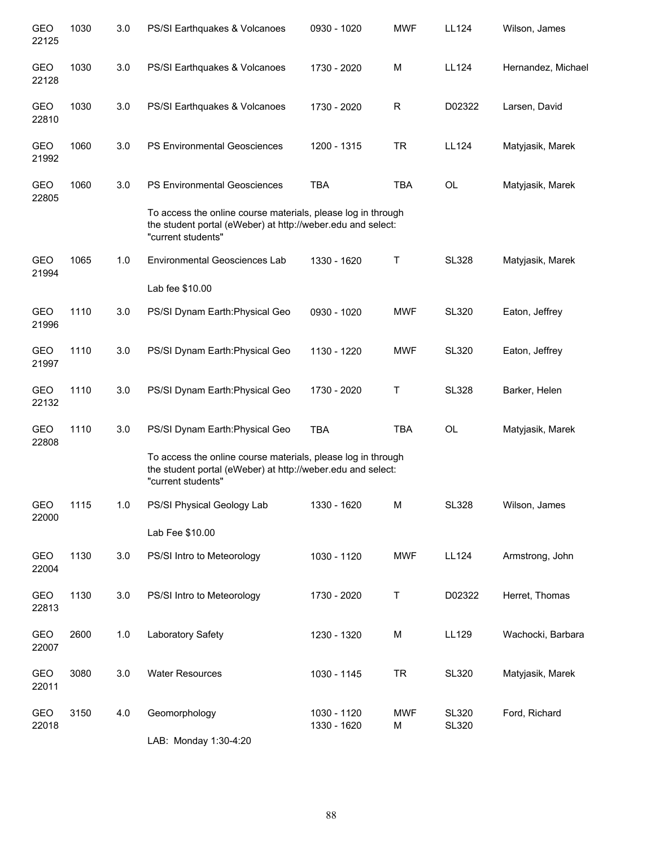| <b>GEO</b><br>22125 | 1030 | 3.0 | PS/SI Earthquakes & Volcanoes                                                                                                                     | 0930 - 1020                | <b>MWF</b>      | LL124                        | Wilson, James      |
|---------------------|------|-----|---------------------------------------------------------------------------------------------------------------------------------------------------|----------------------------|-----------------|------------------------------|--------------------|
| <b>GEO</b><br>22128 | 1030 | 3.0 | PS/SI Earthquakes & Volcanoes                                                                                                                     | 1730 - 2020                | M               | LL124                        | Hernandez, Michael |
| GEO<br>22810        | 1030 | 3.0 | PS/SI Earthquakes & Volcanoes                                                                                                                     | 1730 - 2020                | R               | D02322                       | Larsen, David      |
| <b>GEO</b><br>21992 | 1060 | 3.0 | <b>PS Environmental Geosciences</b>                                                                                                               | 1200 - 1315                | <b>TR</b>       | LL124                        | Matyjasik, Marek   |
| <b>GEO</b><br>22805 | 1060 | 3.0 | <b>PS Environmental Geosciences</b>                                                                                                               | <b>TBA</b>                 | <b>TBA</b>      | OL                           | Matyjasik, Marek   |
|                     |      |     | To access the online course materials, please log in through<br>the student portal (eWeber) at http://weber.edu and select:<br>"current students" |                            |                 |                              |                    |
| <b>GEO</b><br>21994 | 1065 | 1.0 | <b>Environmental Geosciences Lab</b>                                                                                                              | 1330 - 1620                | Τ               | <b>SL328</b>                 | Matyjasik, Marek   |
|                     |      |     | Lab fee \$10.00                                                                                                                                   |                            |                 |                              |                    |
| <b>GEO</b><br>21996 | 1110 | 3.0 | PS/SI Dynam Earth: Physical Geo                                                                                                                   | 0930 - 1020                | <b>MWF</b>      | <b>SL320</b>                 | Eaton, Jeffrey     |
| <b>GEO</b><br>21997 | 1110 | 3.0 | PS/SI Dynam Earth: Physical Geo                                                                                                                   | 1130 - 1220                | <b>MWF</b>      | <b>SL320</b>                 | Eaton, Jeffrey     |
| <b>GEO</b><br>22132 | 1110 | 3.0 | PS/SI Dynam Earth: Physical Geo                                                                                                                   | 1730 - 2020                | Τ               | <b>SL328</b>                 | Barker, Helen      |
| <b>GEO</b><br>22808 | 1110 | 3.0 | PS/SI Dynam Earth: Physical Geo                                                                                                                   | <b>TBA</b>                 | <b>TBA</b>      | OL                           | Matyjasik, Marek   |
|                     |      |     | To access the online course materials, please log in through<br>the student portal (eWeber) at http://weber.edu and select:<br>"current students" |                            |                 |                              |                    |
| GEO<br>22000        | 1115 | 1.0 | PS/SI Physical Geology Lab                                                                                                                        | 1330 - 1620                | М               | <b>SL328</b>                 | Wilson, James      |
|                     |      |     | Lab Fee \$10.00                                                                                                                                   |                            |                 |                              |                    |
| GEO<br>22004        | 1130 | 3.0 | PS/SI Intro to Meteorology                                                                                                                        | 1030 - 1120                | <b>MWF</b>      | <b>LL124</b>                 | Armstrong, John    |
| <b>GEO</b><br>22813 | 1130 | 3.0 | PS/SI Intro to Meteorology                                                                                                                        | 1730 - 2020                | Τ               | D02322                       | Herret, Thomas     |
| GEO<br>22007        | 2600 | 1.0 | Laboratory Safety                                                                                                                                 | 1230 - 1320                | M               | LL129                        | Wachocki, Barbara  |
| GEO<br>22011        | 3080 | 3.0 | <b>Water Resources</b>                                                                                                                            | 1030 - 1145                | <b>TR</b>       | <b>SL320</b>                 | Matyjasik, Marek   |
| GEO<br>22018        | 3150 | 4.0 | Geomorphology                                                                                                                                     | 1030 - 1120<br>1330 - 1620 | <b>MWF</b><br>M | <b>SL320</b><br><b>SL320</b> | Ford, Richard      |
|                     |      |     | LAB: Monday 1:30-4:20                                                                                                                             |                            |                 |                              |                    |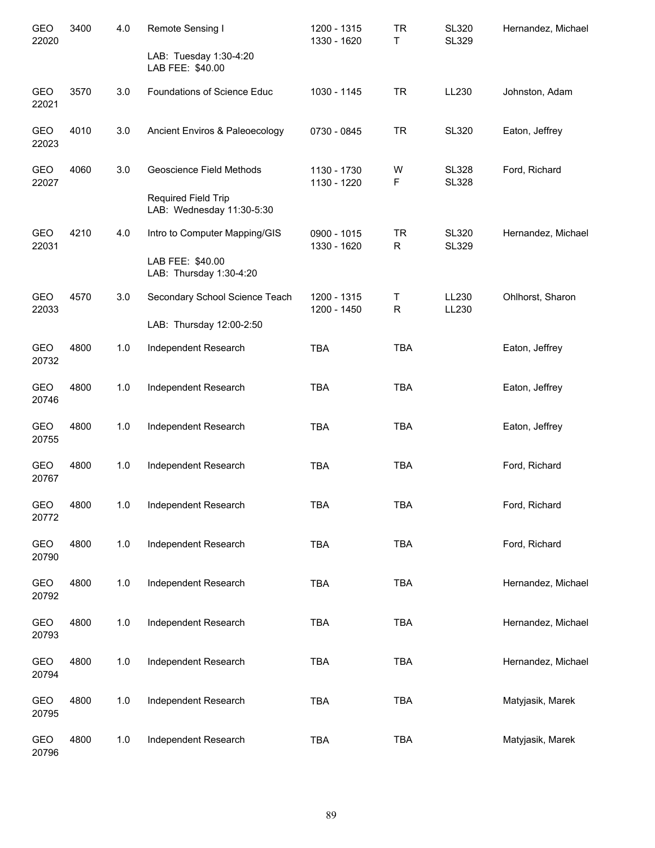| <b>GEO</b><br>22020 | 3400 | 4.0   | Remote Sensing I                                 | 1200 - 1315<br>1330 - 1620 | <b>TR</b><br>T    | <b>SL320</b><br><b>SL329</b> | Hernandez, Michael |
|---------------------|------|-------|--------------------------------------------------|----------------------------|-------------------|------------------------------|--------------------|
|                     |      |       | LAB: Tuesday 1:30-4:20<br>LAB FEE: \$40.00       |                            |                   |                              |                    |
| GEO<br>22021        | 3570 | 3.0   | Foundations of Science Educ                      | 1030 - 1145                | <b>TR</b>         | LL230                        | Johnston, Adam     |
| GEO<br>22023        | 4010 | 3.0   | Ancient Enviros & Paleoecology                   | 0730 - 0845                | <b>TR</b>         | <b>SL320</b>                 | Eaton, Jeffrey     |
| GEO<br>22027        | 4060 | 3.0   | Geoscience Field Methods                         | 1130 - 1730<br>1130 - 1220 | W<br>F            | <b>SL328</b><br><b>SL328</b> | Ford, Richard      |
|                     |      |       | Required Field Trip<br>LAB: Wednesday 11:30-5:30 |                            |                   |                              |                    |
| GEO<br>22031        | 4210 | 4.0   | Intro to Computer Mapping/GIS                    | 0900 - 1015<br>1330 - 1620 | <b>TR</b><br>R    | <b>SL320</b><br><b>SL329</b> | Hernandez, Michael |
|                     |      |       | LAB FEE: \$40.00<br>LAB: Thursday 1:30-4:20      |                            |                   |                              |                    |
| GEO<br>22033        | 4570 | 3.0   | Secondary School Science Teach                   | 1200 - 1315<br>1200 - 1450 | T<br>$\mathsf{R}$ | LL230<br>LL230               | Ohlhorst, Sharon   |
|                     |      |       | LAB: Thursday 12:00-2:50                         |                            |                   |                              |                    |
| GEO<br>20732        | 4800 | 1.0   | Independent Research                             | <b>TBA</b>                 | <b>TBA</b>        |                              | Eaton, Jeffrey     |
| GEO<br>20746        | 4800 | 1.0   | Independent Research                             | <b>TBA</b>                 | <b>TBA</b>        |                              | Eaton, Jeffrey     |
| GEO<br>20755        | 4800 | 1.0   | Independent Research                             | <b>TBA</b>                 | <b>TBA</b>        |                              | Eaton, Jeffrey     |
| GEO<br>20767        | 4800 | 1.0   | Independent Research                             | <b>TBA</b>                 | <b>TBA</b>        |                              | Ford, Richard      |
| GEO<br>20772        | 4800 | 1.0   | Independent Research                             | TBA                        | TBA               |                              | Ford, Richard      |
| GEO<br>20790        | 4800 | 1.0   | Independent Research                             | TBA                        | <b>TBA</b>        |                              | Ford, Richard      |
| GEO<br>20792        | 4800 | 1.0   | Independent Research                             | TBA                        | <b>TBA</b>        |                              | Hernandez, Michael |
| <b>GEO</b><br>20793 | 4800 | 1.0   | Independent Research                             | <b>TBA</b>                 | <b>TBA</b>        |                              | Hernandez, Michael |
| GEO<br>20794        | 4800 | 1.0   | Independent Research                             | <b>TBA</b>                 | <b>TBA</b>        |                              | Hernandez, Michael |
| GEO<br>20795        | 4800 | 1.0   | Independent Research                             | <b>TBA</b>                 | <b>TBA</b>        |                              | Matyjasik, Marek   |
| GEO<br>20796        | 4800 | $1.0$ | Independent Research                             | <b>TBA</b>                 | <b>TBA</b>        |                              | Matyjasik, Marek   |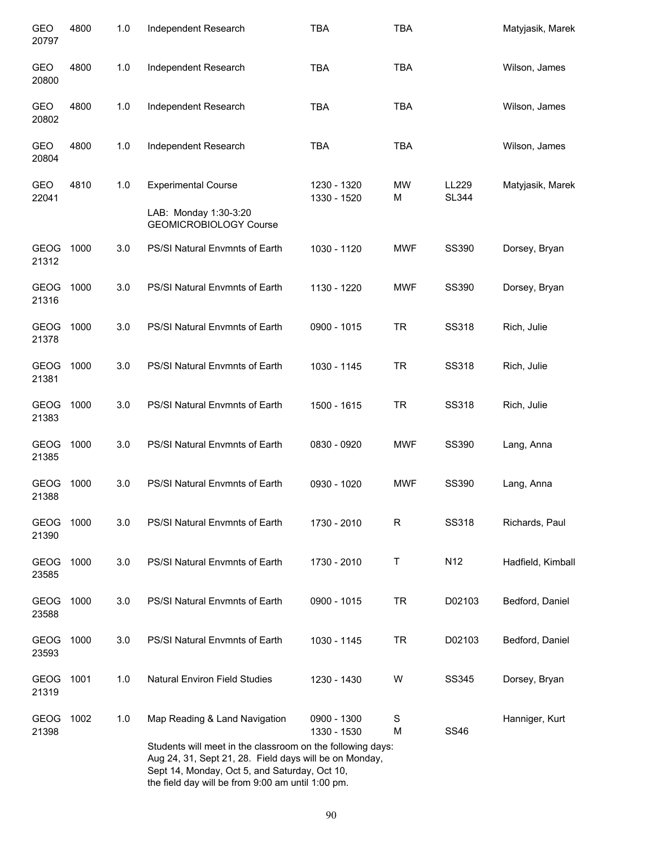| GEO<br>20797         | 4800 | 1.0 | Independent Research                                                                                                                                                                                                       | <b>TBA</b>                 | <b>TBA</b>     |                       | Matyjasik, Marek  |
|----------------------|------|-----|----------------------------------------------------------------------------------------------------------------------------------------------------------------------------------------------------------------------------|----------------------------|----------------|-----------------------|-------------------|
| GEO<br>20800         | 4800 | 1.0 | Independent Research                                                                                                                                                                                                       | <b>TBA</b>                 | <b>TBA</b>     |                       | Wilson, James     |
| GEO<br>20802         | 4800 | 1.0 | Independent Research                                                                                                                                                                                                       | <b>TBA</b>                 | <b>TBA</b>     |                       | Wilson, James     |
| <b>GEO</b><br>20804  | 4800 | 1.0 | Independent Research                                                                                                                                                                                                       | <b>TBA</b>                 | <b>TBA</b>     |                       | Wilson, James     |
| <b>GEO</b><br>22041  | 4810 | 1.0 | <b>Experimental Course</b><br>LAB: Monday 1:30-3:20                                                                                                                                                                        | 1230 - 1320<br>1330 - 1520 | <b>MW</b><br>М | LL229<br><b>SL344</b> | Matyjasik, Marek  |
|                      |      |     | <b>GEOMICROBIOLOGY Course</b>                                                                                                                                                                                              |                            |                |                       |                   |
| <b>GEOG</b><br>21312 | 1000 | 3.0 | PS/SI Natural Envmnts of Earth                                                                                                                                                                                             | 1030 - 1120                | <b>MWF</b>     | <b>SS390</b>          | Dorsey, Bryan     |
| GEOG<br>21316        | 1000 | 3.0 | PS/SI Natural Envmnts of Earth                                                                                                                                                                                             | 1130 - 1220                | <b>MWF</b>     | SS390                 | Dorsey, Bryan     |
| GEOG<br>21378        | 1000 | 3.0 | PS/SI Natural Envmnts of Earth                                                                                                                                                                                             | 0900 - 1015                | <b>TR</b>      | <b>SS318</b>          | Rich, Julie       |
| <b>GEOG</b><br>21381 | 1000 | 3.0 | PS/SI Natural Envmnts of Earth                                                                                                                                                                                             | 1030 - 1145                | <b>TR</b>      | <b>SS318</b>          | Rich, Julie       |
| <b>GEOG</b><br>21383 | 1000 | 3.0 | PS/SI Natural Envmnts of Earth                                                                                                                                                                                             | 1500 - 1615                | <b>TR</b>      | <b>SS318</b>          | Rich, Julie       |
| <b>GEOG</b><br>21385 | 1000 | 3.0 | PS/SI Natural Envmnts of Earth                                                                                                                                                                                             | 0830 - 0920                | <b>MWF</b>     | <b>SS390</b>          | Lang, Anna        |
| <b>GEOG</b><br>21388 | 1000 | 3.0 | PS/SI Natural Envmnts of Earth                                                                                                                                                                                             | 0930 - 1020                | <b>MWF</b>     | SS390                 | Lang, Anna        |
| <b>GEOG</b><br>21390 | 1000 | 3.0 | PS/SI Natural Envmnts of Earth                                                                                                                                                                                             | 1730 - 2010                | R              | <b>SS318</b>          | Richards, Paul    |
| GEOG<br>23585        | 1000 | 3.0 | PS/SI Natural Envmnts of Earth                                                                                                                                                                                             | 1730 - 2010                | Τ              | N <sub>12</sub>       | Hadfield, Kimball |
| GEOG<br>23588        | 1000 | 3.0 | PS/SI Natural Envmnts of Earth                                                                                                                                                                                             | 0900 - 1015                | <b>TR</b>      | D02103                | Bedford, Daniel   |
| GEOG<br>23593        | 1000 | 3.0 | PS/SI Natural Envmnts of Earth                                                                                                                                                                                             | 1030 - 1145                | <b>TR</b>      | D02103                | Bedford, Daniel   |
| <b>GEOG</b><br>21319 | 1001 | 1.0 | <b>Natural Environ Field Studies</b>                                                                                                                                                                                       | 1230 - 1430                | W              | <b>SS345</b>          | Dorsey, Bryan     |
| <b>GEOG</b><br>21398 | 1002 | 1.0 | Map Reading & Land Navigation                                                                                                                                                                                              | 0900 - 1300<br>1330 - 1530 | S<br>M         | <b>SS46</b>           | Hanniger, Kurt    |
|                      |      |     | Students will meet in the classroom on the following days:<br>Aug 24, 31, Sept 21, 28. Field days will be on Monday,<br>Sept 14, Monday, Oct 5, and Saturday, Oct 10,<br>the field day will be from 9:00 am until 1:00 pm. |                            |                |                       |                   |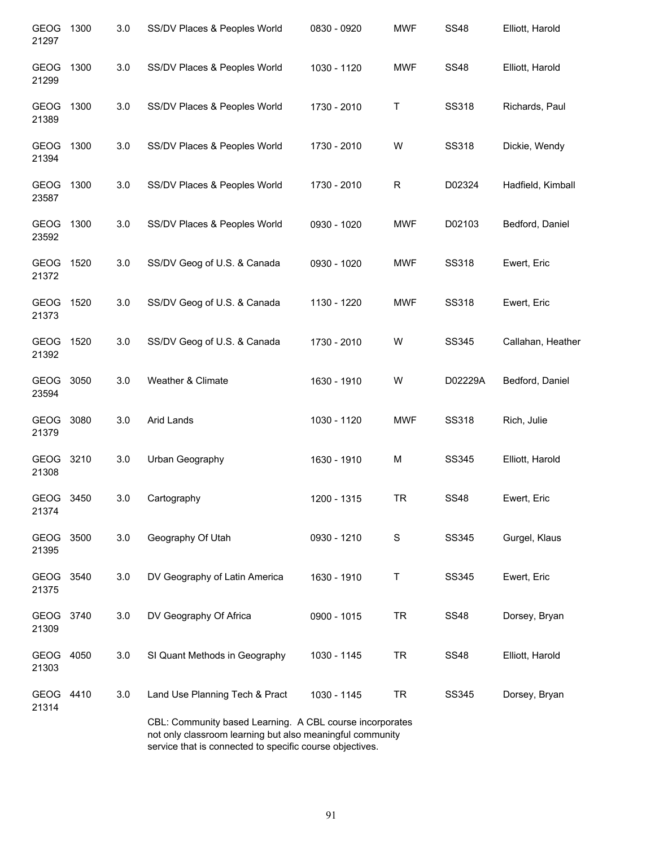| <b>GEOG</b><br>21297 | 1300 | 3.0 | SS/DV Places & Peoples World                                                                                          | 0830 - 0920 | <b>MWF</b> | <b>SS48</b>  | Elliott, Harold   |
|----------------------|------|-----|-----------------------------------------------------------------------------------------------------------------------|-------------|------------|--------------|-------------------|
| GEOG<br>21299        | 1300 | 3.0 | SS/DV Places & Peoples World                                                                                          | 1030 - 1120 | <b>MWF</b> | <b>SS48</b>  | Elliott, Harold   |
| GEOG<br>21389        | 1300 | 3.0 | SS/DV Places & Peoples World                                                                                          | 1730 - 2010 | Т          | <b>SS318</b> | Richards, Paul    |
| <b>GEOG</b><br>21394 | 1300 | 3.0 | SS/DV Places & Peoples World                                                                                          | 1730 - 2010 | W          | <b>SS318</b> | Dickie, Wendy     |
| <b>GEOG</b><br>23587 | 1300 | 3.0 | SS/DV Places & Peoples World                                                                                          | 1730 - 2010 | R          | D02324       | Hadfield, Kimball |
| <b>GEOG</b><br>23592 | 1300 | 3.0 | SS/DV Places & Peoples World                                                                                          | 0930 - 1020 | <b>MWF</b> | D02103       | Bedford, Daniel   |
| <b>GEOG</b><br>21372 | 1520 | 3.0 | SS/DV Geog of U.S. & Canada                                                                                           | 0930 - 1020 | <b>MWF</b> | <b>SS318</b> | Ewert, Eric       |
| GEOG<br>21373        | 1520 | 3.0 | SS/DV Geog of U.S. & Canada                                                                                           | 1130 - 1220 | <b>MWF</b> | <b>SS318</b> | Ewert, Eric       |
| <b>GEOG</b><br>21392 | 1520 | 3.0 | SS/DV Geog of U.S. & Canada                                                                                           | 1730 - 2010 | W          | SS345        | Callahan, Heather |
| GEOG<br>23594        | 3050 | 3.0 | Weather & Climate                                                                                                     | 1630 - 1910 | W          | D02229A      | Bedford, Daniel   |
| <b>GEOG</b><br>21379 | 3080 | 3.0 | Arid Lands                                                                                                            | 1030 - 1120 | <b>MWF</b> | <b>SS318</b> | Rich, Julie       |
| <b>GEOG</b><br>21308 | 3210 | 3.0 | Urban Geography                                                                                                       | 1630 - 1910 | M          | SS345        | Elliott, Harold   |
| GEOG 3450<br>21374   |      | 3.0 | Cartography                                                                                                           | 1200 - 1315 | TR         | <b>SS48</b>  | Ewert, Eric       |
| GEOG 3500<br>21395   |      | 3.0 | Geography Of Utah                                                                                                     | 0930 - 1210 | S          | SS345        | Gurgel, Klaus     |
| GEOG<br>21375        | 3540 | 3.0 | DV Geography of Latin America                                                                                         | 1630 - 1910 | Τ          | SS345        | Ewert, Eric       |
| <b>GEOG</b><br>21309 | 3740 | 3.0 | DV Geography Of Africa                                                                                                | 0900 - 1015 | <b>TR</b>  | <b>SS48</b>  | Dorsey, Bryan     |
| GEOG<br>21303        | 4050 | 3.0 | SI Quant Methods in Geography                                                                                         | 1030 - 1145 | TR         | <b>SS48</b>  | Elliott, Harold   |
| GEOG 4410<br>21314   |      | 3.0 | Land Use Planning Tech & Pract                                                                                        | 1030 - 1145 | <b>TR</b>  | SS345        | Dorsey, Bryan     |
|                      |      |     | CBL: Community based Learning. A CBL course incorporates<br>not only classroom learning but also meaningful community |             |            |              |                   |

service that is connected to specific course objectives.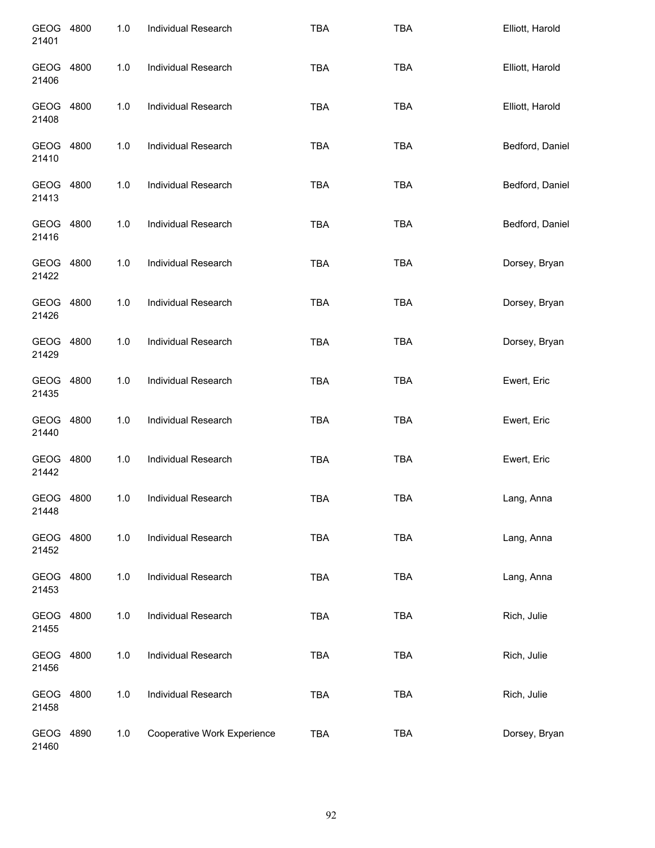| GEOG 4800<br>21401 |      | 1.0 | Individual Research         | <b>TBA</b> | <b>TBA</b> | Elliott, Harold |
|--------------------|------|-----|-----------------------------|------------|------------|-----------------|
| GEOG 4800<br>21406 |      | 1.0 | Individual Research         | <b>TBA</b> | <b>TBA</b> | Elliott, Harold |
| GEOG 4800<br>21408 |      | 1.0 | Individual Research         | <b>TBA</b> | <b>TBA</b> | Elliott, Harold |
| GEOG 4800<br>21410 |      | 1.0 | Individual Research         | <b>TBA</b> | <b>TBA</b> | Bedford, Daniel |
| GEOG 4800<br>21413 |      | 1.0 | Individual Research         | <b>TBA</b> | <b>TBA</b> | Bedford, Daniel |
| GEOG 4800<br>21416 |      | 1.0 | Individual Research         | <b>TBA</b> | <b>TBA</b> | Bedford, Daniel |
| GEOG 4800<br>21422 |      | 1.0 | Individual Research         | <b>TBA</b> | <b>TBA</b> | Dorsey, Bryan   |
| GEOG 4800<br>21426 |      | 1.0 | Individual Research         | <b>TBA</b> | <b>TBA</b> | Dorsey, Bryan   |
| GEOG 4800<br>21429 |      | 1.0 | Individual Research         | <b>TBA</b> | <b>TBA</b> | Dorsey, Bryan   |
| GEOG 4800<br>21435 |      | 1.0 | Individual Research         | <b>TBA</b> | <b>TBA</b> | Ewert, Eric     |
| GEOG 4800<br>21440 |      | 1.0 | Individual Research         | <b>TBA</b> | <b>TBA</b> | Ewert, Eric     |
| GEOG 4800<br>21442 |      | 1.0 | Individual Research         | <b>TBA</b> | <b>TBA</b> | Ewert, Eric     |
| GEOG 4800<br>21448 |      | 1.0 | Individual Research         | <b>TBA</b> | <b>TBA</b> | Lang, Anna      |
| GEOG<br>21452      | 4800 | 1.0 | Individual Research         | <b>TBA</b> | <b>TBA</b> | Lang, Anna      |
| GEOG<br>21453      | 4800 | 1.0 | Individual Research         | <b>TBA</b> | <b>TBA</b> | Lang, Anna      |
| GEOG<br>21455      | 4800 | 1.0 | Individual Research         | <b>TBA</b> | <b>TBA</b> | Rich, Julie     |
| GEOG<br>21456      | 4800 | 1.0 | Individual Research         | <b>TBA</b> | <b>TBA</b> | Rich, Julie     |
| GEOG<br>21458      | 4800 | 1.0 | Individual Research         | <b>TBA</b> | <b>TBA</b> | Rich, Julie     |
| GEOG<br>21460      | 4890 | 1.0 | Cooperative Work Experience | <b>TBA</b> | <b>TBA</b> | Dorsey, Bryan   |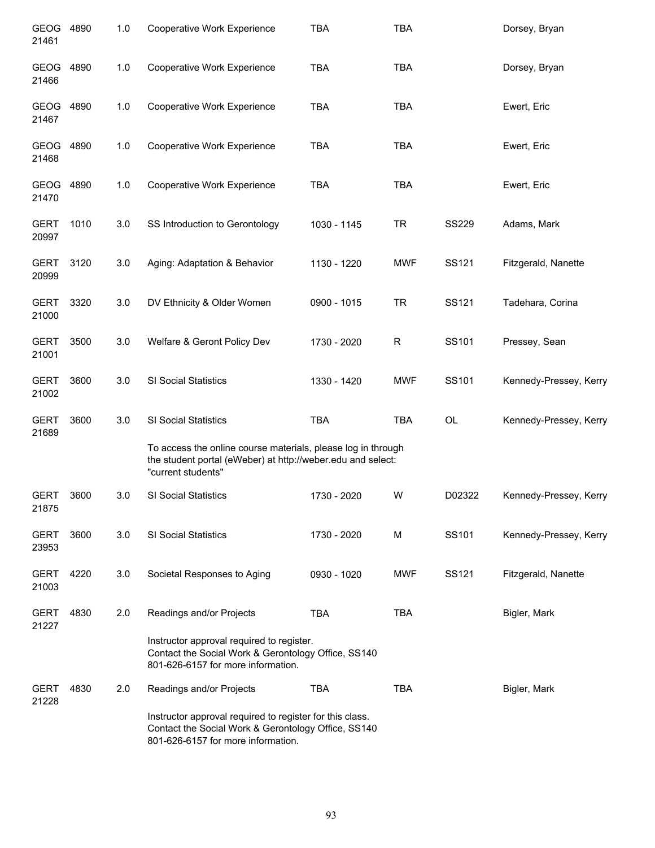| GEOG<br>21461        | 4890 | 1.0 | Cooperative Work Experience                                                                                                                           | <b>TBA</b>  | <b>TBA</b> |              | Dorsey, Bryan          |
|----------------------|------|-----|-------------------------------------------------------------------------------------------------------------------------------------------------------|-------------|------------|--------------|------------------------|
| GEOG<br>21466        | 4890 | 1.0 | Cooperative Work Experience                                                                                                                           | <b>TBA</b>  | <b>TBA</b> |              | Dorsey, Bryan          |
| GEOG<br>21467        | 4890 | 1.0 | Cooperative Work Experience                                                                                                                           | <b>TBA</b>  | <b>TBA</b> |              | Ewert, Eric            |
| GEOG<br>21468        | 4890 | 1.0 | Cooperative Work Experience                                                                                                                           | <b>TBA</b>  | <b>TBA</b> |              | Ewert, Eric            |
| GEOG<br>21470        | 4890 | 1.0 | Cooperative Work Experience                                                                                                                           | <b>TBA</b>  | <b>TBA</b> |              | Ewert, Eric            |
| <b>GERT</b><br>20997 | 1010 | 3.0 | SS Introduction to Gerontology                                                                                                                        | 1030 - 1145 | <b>TR</b>  | <b>SS229</b> | Adams, Mark            |
| <b>GERT</b><br>20999 | 3120 | 3.0 | Aging: Adaptation & Behavior                                                                                                                          | 1130 - 1220 | <b>MWF</b> | SS121        | Fitzgerald, Nanette    |
| <b>GERT</b><br>21000 | 3320 | 3.0 | DV Ethnicity & Older Women                                                                                                                            | 0900 - 1015 | <b>TR</b>  | SS121        | Tadehara, Corina       |
| <b>GERT</b><br>21001 | 3500 | 3.0 | Welfare & Geront Policy Dev                                                                                                                           | 1730 - 2020 | R          | SS101        | Pressey, Sean          |
| <b>GERT</b><br>21002 | 3600 | 3.0 | SI Social Statistics                                                                                                                                  | 1330 - 1420 | <b>MWF</b> | SS101        | Kennedy-Pressey, Kerry |
| <b>GERT</b><br>21689 | 3600 | 3.0 | SI Social Statistics                                                                                                                                  | <b>TBA</b>  | <b>TBA</b> | OL           | Kennedy-Pressey, Kerry |
|                      |      |     | To access the online course materials, please log in through<br>the student portal (eWeber) at http://weber.edu and select:<br>"current students"     |             |            |              |                        |
| <b>GERT</b><br>21875 | 3600 | 3.0 | SI Social Statistics                                                                                                                                  | 1730 - 2020 | W          | D02322       | Kennedy-Pressey, Kerry |
| <b>GERT</b><br>23953 | 3600 | 3.0 | SI Social Statistics                                                                                                                                  | 1730 - 2020 | M          | SS101        | Kennedy-Pressey, Kerry |
| <b>GERT</b><br>21003 | 4220 | 3.0 | Societal Responses to Aging                                                                                                                           | 0930 - 1020 | <b>MWF</b> | SS121        | Fitzgerald, Nanette    |
| <b>GERT</b><br>21227 | 4830 | 2.0 | Readings and/or Projects                                                                                                                              | <b>TBA</b>  | <b>TBA</b> |              | Bigler, Mark           |
|                      |      |     | Instructor approval required to register.<br>Contact the Social Work & Gerontology Office, SS140<br>801-626-6157 for more information.                |             |            |              |                        |
| <b>GERT</b><br>21228 | 4830 | 2.0 | Readings and/or Projects                                                                                                                              | <b>TBA</b>  | <b>TBA</b> |              | Bigler, Mark           |
|                      |      |     | Instructor approval required to register for this class.<br>Contact the Social Work & Gerontology Office, SS140<br>801-626-6157 for more information. |             |            |              |                        |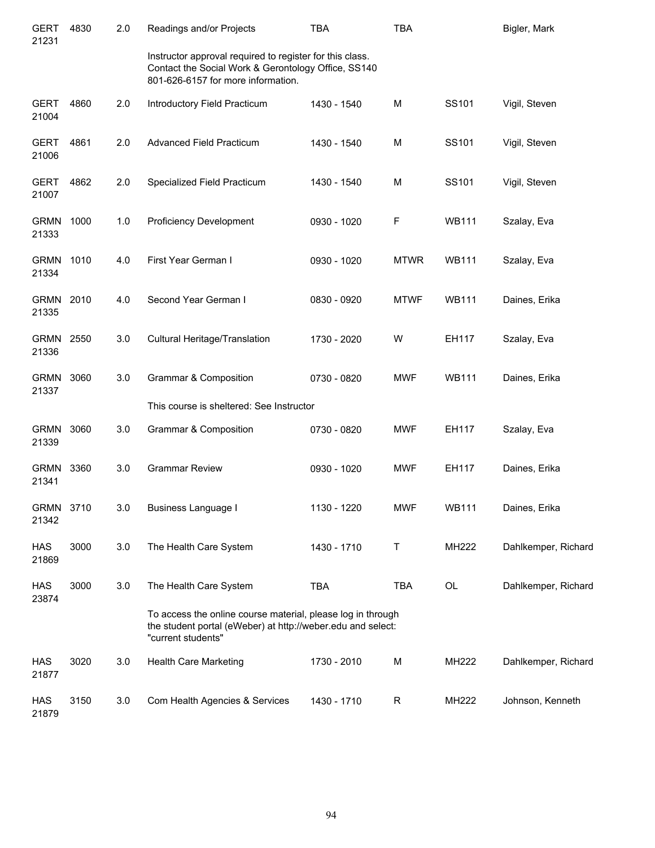| <b>GERT</b><br>21231 | 4830 | 2.0 | Readings and/or Projects                                                                                                                              | <b>TBA</b>  | <b>TBA</b>   |              | Bigler, Mark        |
|----------------------|------|-----|-------------------------------------------------------------------------------------------------------------------------------------------------------|-------------|--------------|--------------|---------------------|
|                      |      |     | Instructor approval required to register for this class.<br>Contact the Social Work & Gerontology Office, SS140<br>801-626-6157 for more information. |             |              |              |                     |
| <b>GERT</b><br>21004 | 4860 | 2.0 | Introductory Field Practicum                                                                                                                          | 1430 - 1540 | M            | SS101        | Vigil, Steven       |
| <b>GERT</b><br>21006 | 4861 | 2.0 | Advanced Field Practicum                                                                                                                              | 1430 - 1540 | M            | SS101        | Vigil, Steven       |
| <b>GERT</b><br>21007 | 4862 | 2.0 | Specialized Field Practicum                                                                                                                           | 1430 - 1540 | M            | SS101        | Vigil, Steven       |
| <b>GRMN</b><br>21333 | 1000 | 1.0 | <b>Proficiency Development</b>                                                                                                                        | 0930 - 1020 | F            | <b>WB111</b> | Szalay, Eva         |
| <b>GRMN</b><br>21334 | 1010 | 4.0 | First Year German I                                                                                                                                   | 0930 - 1020 | <b>MTWR</b>  | <b>WB111</b> | Szalay, Eva         |
| <b>GRMN</b><br>21335 | 2010 | 4.0 | Second Year German I                                                                                                                                  | 0830 - 0920 | <b>MTWF</b>  | <b>WB111</b> | Daines, Erika       |
| <b>GRMN</b><br>21336 | 2550 | 3.0 | Cultural Heritage/Translation                                                                                                                         | 1730 - 2020 | W            | EH117        | Szalay, Eva         |
| <b>GRMN</b><br>21337 | 3060 | 3.0 | Grammar & Composition                                                                                                                                 | 0730 - 0820 | <b>MWF</b>   | <b>WB111</b> | Daines, Erika       |
|                      |      |     | This course is sheltered: See Instructor                                                                                                              |             |              |              |                     |
| <b>GRMN</b><br>21339 | 3060 | 3.0 | <b>Grammar &amp; Composition</b>                                                                                                                      | 0730 - 0820 | <b>MWF</b>   | EH117        | Szalay, Eva         |
| <b>GRMN</b><br>21341 | 3360 | 3.0 | <b>Grammar Review</b>                                                                                                                                 | 0930 - 1020 | <b>MWF</b>   | EH117        | Daines, Erika       |
| <b>GRMN</b><br>21342 | 3710 | 3.0 | <b>Business Language I</b>                                                                                                                            | 1130 - 1220 | <b>MWF</b>   | <b>WB111</b> | Daines, Erika       |
| <b>HAS</b><br>21869  | 3000 | 3.0 | The Health Care System                                                                                                                                | 1430 - 1710 | Τ            | MH222        | Dahlkemper, Richard |
| <b>HAS</b><br>23874  | 3000 | 3.0 | The Health Care System                                                                                                                                | <b>TBA</b>  | <b>TBA</b>   | OL           | Dahlkemper, Richard |
|                      |      |     | To access the online course material, please log in through<br>the student portal (eWeber) at http://weber.edu and select:<br>"current students"      |             |              |              |                     |
| <b>HAS</b><br>21877  | 3020 | 3.0 | Health Care Marketing                                                                                                                                 | 1730 - 2010 | М            | MH222        | Dahlkemper, Richard |
| <b>HAS</b><br>21879  | 3150 | 3.0 | Com Health Agencies & Services                                                                                                                        | 1430 - 1710 | $\mathsf{R}$ | MH222        | Johnson, Kenneth    |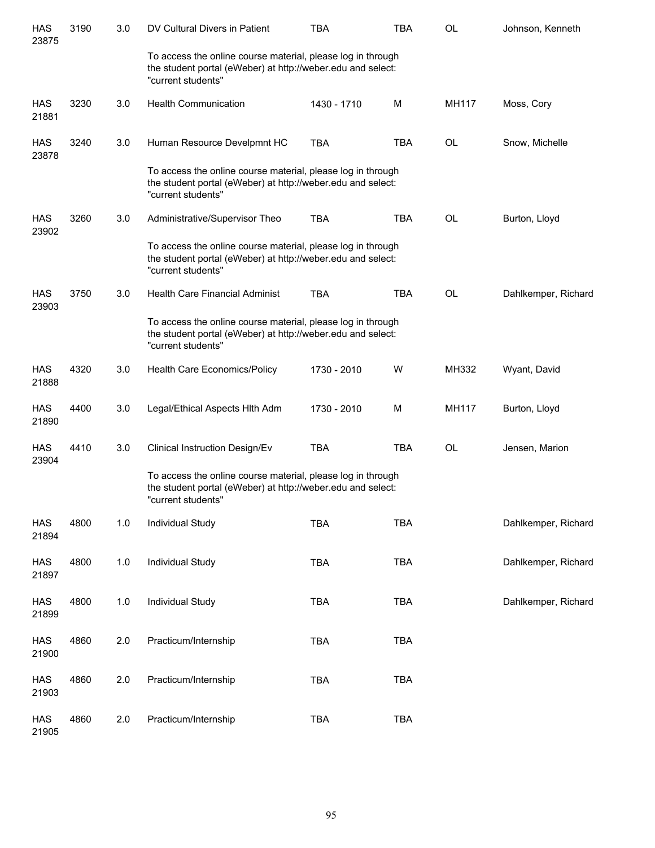| <b>HAS</b><br>23875 | 3190 | 3.0   | DV Cultural Divers in Patient                                                                                                                    | <b>TBA</b>  | <b>TBA</b> | <b>OL</b>    | Johnson, Kenneth    |
|---------------------|------|-------|--------------------------------------------------------------------------------------------------------------------------------------------------|-------------|------------|--------------|---------------------|
|                     |      |       | To access the online course material, please log in through<br>the student portal (eWeber) at http://weber.edu and select:<br>"current students" |             |            |              |                     |
| HAS<br>21881        | 3230 | 3.0   | <b>Health Communication</b>                                                                                                                      | 1430 - 1710 | M          | <b>MH117</b> | Moss, Cory          |
| <b>HAS</b><br>23878 | 3240 | 3.0   | Human Resource Develpmnt HC                                                                                                                      | <b>TBA</b>  | <b>TBA</b> | <b>OL</b>    | Snow, Michelle      |
|                     |      |       | To access the online course material, please log in through<br>the student portal (eWeber) at http://weber.edu and select:<br>"current students" |             |            |              |                     |
| HAS<br>23902        | 3260 | 3.0   | Administrative/Supervisor Theo                                                                                                                   | <b>TBA</b>  | <b>TBA</b> | <b>OL</b>    | Burton, Lloyd       |
|                     |      |       | To access the online course material, please log in through<br>the student portal (eWeber) at http://weber.edu and select:<br>"current students" |             |            |              |                     |
| HAS<br>23903        | 3750 | 3.0   | <b>Health Care Financial Administ</b>                                                                                                            | <b>TBA</b>  | <b>TBA</b> | <b>OL</b>    | Dahlkemper, Richard |
|                     |      |       | To access the online course material, please log in through<br>the student portal (eWeber) at http://weber.edu and select:<br>"current students" |             |            |              |                     |
| HAS<br>21888        | 4320 | 3.0   | Health Care Economics/Policy                                                                                                                     | 1730 - 2010 | W          | MH332        | Wyant, David        |
| HAS<br>21890        | 4400 | 3.0   | Legal/Ethical Aspects Hith Adm                                                                                                                   | 1730 - 2010 | M          | <b>MH117</b> | Burton, Lloyd       |
| <b>HAS</b><br>23904 | 4410 | 3.0   | Clinical Instruction Design/Ev                                                                                                                   | <b>TBA</b>  | <b>TBA</b> | <b>OL</b>    | Jensen, Marion      |
|                     |      |       | To access the online course material, please log in through<br>the student portal (eWeber) at http://weber.edu and select:<br>"current students" |             |            |              |                     |
| <b>HAS</b><br>21894 | 4800 | 1.0   | Individual Study                                                                                                                                 | <b>TBA</b>  | <b>TBA</b> |              | Dahlkemper, Richard |
| <b>HAS</b><br>21897 | 4800 | $1.0$ | Individual Study                                                                                                                                 | <b>TBA</b>  | <b>TBA</b> |              | Dahlkemper, Richard |
| <b>HAS</b><br>21899 | 4800 | 1.0   | Individual Study                                                                                                                                 | <b>TBA</b>  | <b>TBA</b> |              | Dahlkemper, Richard |
| <b>HAS</b><br>21900 | 4860 | 2.0   | Practicum/Internship                                                                                                                             | <b>TBA</b>  | <b>TBA</b> |              |                     |
| <b>HAS</b><br>21903 | 4860 | 2.0   | Practicum/Internship                                                                                                                             | <b>TBA</b>  | <b>TBA</b> |              |                     |
| <b>HAS</b><br>21905 | 4860 | 2.0   | Practicum/Internship                                                                                                                             | <b>TBA</b>  | <b>TBA</b> |              |                     |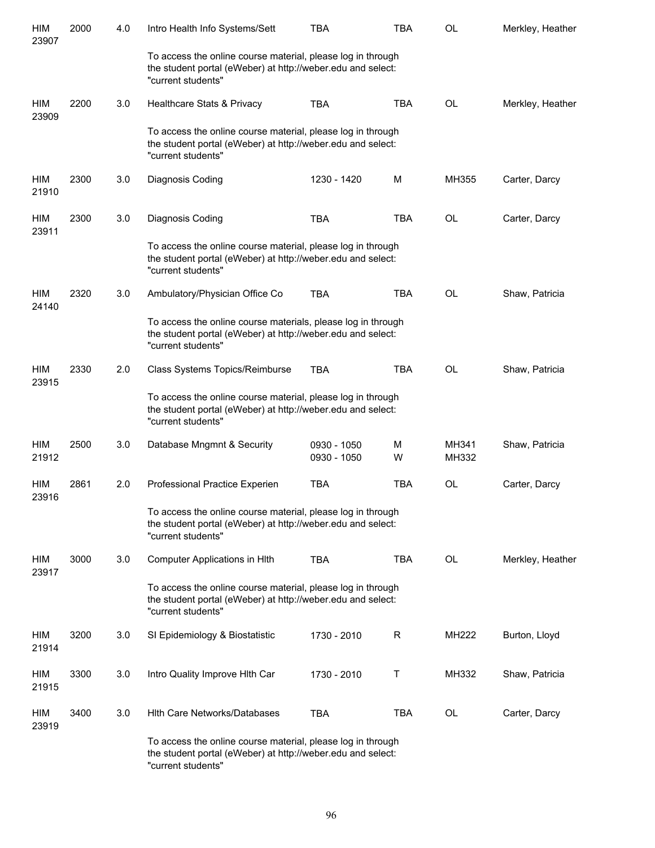| HIM<br>23907        | 2000 | 4.0 | Intro Health Info Systems/Sett                                                                                                                    | TBA                        | TBA        | <b>OL</b>      | Merkley, Heather |
|---------------------|------|-----|---------------------------------------------------------------------------------------------------------------------------------------------------|----------------------------|------------|----------------|------------------|
|                     |      |     | To access the online course material, please log in through<br>the student portal (eWeber) at http://weber.edu and select:<br>"current students"  |                            |            |                |                  |
| HIM<br>23909        | 2200 | 3.0 | Healthcare Stats & Privacy                                                                                                                        | <b>TBA</b>                 | <b>TBA</b> | <b>OL</b>      | Merkley, Heather |
|                     |      |     | To access the online course material, please log in through<br>the student portal (eWeber) at http://weber.edu and select:<br>"current students"  |                            |            |                |                  |
| HIM<br>21910        | 2300 | 3.0 | Diagnosis Coding                                                                                                                                  | 1230 - 1420                | M          | MH355          | Carter, Darcy    |
| HIM<br>23911        | 2300 | 3.0 | Diagnosis Coding                                                                                                                                  | <b>TBA</b>                 | <b>TBA</b> | <b>OL</b>      | Carter, Darcy    |
|                     |      |     | To access the online course material, please log in through<br>the student portal (eWeber) at http://weber.edu and select:<br>"current students"  |                            |            |                |                  |
| HIM<br>24140        | 2320 | 3.0 | Ambulatory/Physician Office Co                                                                                                                    | <b>TBA</b>                 | <b>TBA</b> | <b>OL</b>      | Shaw, Patricia   |
|                     |      |     | To access the online course materials, please log in through<br>the student portal (eWeber) at http://weber.edu and select:<br>"current students" |                            |            |                |                  |
| HIM<br>23915        | 2330 | 2.0 | Class Systems Topics/Reimburse                                                                                                                    | <b>TBA</b>                 | <b>TBA</b> | <b>OL</b>      | Shaw, Patricia   |
|                     |      |     | To access the online course material, please log in through<br>the student portal (eWeber) at http://weber.edu and select:<br>"current students"  |                            |            |                |                  |
| HIM<br>21912        | 2500 | 3.0 | Database Mngmnt & Security                                                                                                                        | 0930 - 1050<br>0930 - 1050 | M<br>W     | MH341<br>MH332 | Shaw, Patricia   |
| <b>HIM</b><br>23916 | 2861 | 2.0 | Professional Practice Experien                                                                                                                    | <b>TBA</b>                 | <b>TBA</b> | OL             | Carter, Darcy    |
|                     |      |     | To access the online course material, please log in through<br>the student portal (eWeber) at http://weber.edu and select:<br>"current students"  |                            |            |                |                  |
| HIM<br>23917        | 3000 | 3.0 | Computer Applications in Hlth                                                                                                                     | <b>TBA</b>                 | TBA        | OL             | Merkley, Heather |
|                     |      |     | To access the online course material, please log in through<br>the student portal (eWeber) at http://weber.edu and select:<br>"current students"  |                            |            |                |                  |
| HIM<br>21914        | 3200 | 3.0 | SI Epidemiology & Biostatistic                                                                                                                    | 1730 - 2010                | R          | MH222          | Burton, Lloyd    |
| HIM<br>21915        | 3300 | 3.0 | Intro Quality Improve Hith Car                                                                                                                    | 1730 - 2010                | Т          | MH332          | Shaw, Patricia   |
| HIM<br>23919        | 3400 | 3.0 | Hith Care Networks/Databases                                                                                                                      | <b>TBA</b>                 | TBA        | OL             | Carter, Darcy    |
|                     |      |     | To access the online course material, please log in through<br>the student portal (eWeber) at http://weber.edu and select:<br>"current students"  |                            |            |                |                  |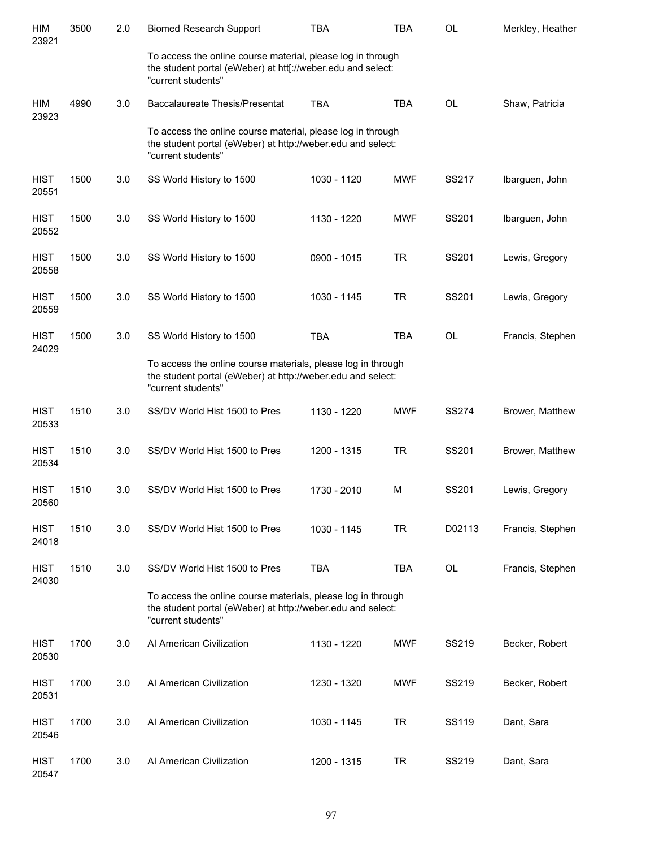| HIM<br>23921         | 3500 | 2.0 | <b>Biomed Research Support</b>                                                                                                                    | <b>TBA</b>  | <b>TBA</b> | OL           | Merkley, Heather |
|----------------------|------|-----|---------------------------------------------------------------------------------------------------------------------------------------------------|-------------|------------|--------------|------------------|
|                      |      |     | To access the online course material, please log in through<br>the student portal (eWeber) at htt[://weber.edu and select:<br>"current students"  |             |            |              |                  |
| HIM<br>23923         | 4990 | 3.0 | Baccalaureate Thesis/Presentat                                                                                                                    | <b>TBA</b>  | <b>TBA</b> | OL           | Shaw, Patricia   |
|                      |      |     | To access the online course material, please log in through<br>the student portal (eWeber) at http://weber.edu and select:<br>"current students"  |             |            |              |                  |
| <b>HIST</b><br>20551 | 1500 | 3.0 | SS World History to 1500                                                                                                                          | 1030 - 1120 | <b>MWF</b> | SS217        | Ibarguen, John   |
| <b>HIST</b><br>20552 | 1500 | 3.0 | SS World History to 1500                                                                                                                          | 1130 - 1220 | <b>MWF</b> | SS201        | Ibarguen, John   |
| <b>HIST</b><br>20558 | 1500 | 3.0 | SS World History to 1500                                                                                                                          | 0900 - 1015 | <b>TR</b>  | SS201        | Lewis, Gregory   |
| <b>HIST</b><br>20559 | 1500 | 3.0 | SS World History to 1500                                                                                                                          | 1030 - 1145 | <b>TR</b>  | SS201        | Lewis, Gregory   |
| <b>HIST</b><br>24029 | 1500 | 3.0 | SS World History to 1500                                                                                                                          | <b>TBA</b>  | <b>TBA</b> | OL           | Francis, Stephen |
|                      |      |     | To access the online course materials, please log in through<br>the student portal (eWeber) at http://weber.edu and select:<br>"current students" |             |            |              |                  |
| <b>HIST</b><br>20533 | 1510 | 3.0 | SS/DV World Hist 1500 to Pres                                                                                                                     | 1130 - 1220 | <b>MWF</b> | <b>SS274</b> | Brower, Matthew  |
| <b>HIST</b><br>20534 | 1510 | 3.0 | SS/DV World Hist 1500 to Pres                                                                                                                     | 1200 - 1315 | <b>TR</b>  | SS201        | Brower, Matthew  |
| <b>HIST</b><br>20560 | 1510 | 3.0 | SS/DV World Hist 1500 to Pres                                                                                                                     | 1730 - 2010 | M          | SS201        | Lewis, Gregory   |
| <b>HIST</b><br>24018 | 1510 | 3.0 | SS/DV World Hist 1500 to Pres                                                                                                                     | 1030 - 1145 | <b>TR</b>  | D02113       | Francis, Stephen |
| <b>HIST</b><br>24030 | 1510 | 3.0 | SS/DV World Hist 1500 to Pres                                                                                                                     | <b>TBA</b>  | <b>TBA</b> | OL           | Francis, Stephen |
|                      |      |     | To access the online course materials, please log in through<br>the student portal (eWeber) at http://weber.edu and select:<br>"current students" |             |            |              |                  |
| <b>HIST</b><br>20530 | 1700 | 3.0 | Al American Civilization                                                                                                                          | 1130 - 1220 | <b>MWF</b> | SS219        | Becker, Robert   |
| <b>HIST</b><br>20531 | 1700 | 3.0 | Al American Civilization                                                                                                                          | 1230 - 1320 | <b>MWF</b> | SS219        | Becker, Robert   |
| <b>HIST</b><br>20546 | 1700 | 3.0 | Al American Civilization                                                                                                                          | 1030 - 1145 | <b>TR</b>  | SS119        | Dant, Sara       |
| HIST<br>20547        | 1700 | 3.0 | Al American Civilization                                                                                                                          | 1200 - 1315 | <b>TR</b>  | SS219        | Dant, Sara       |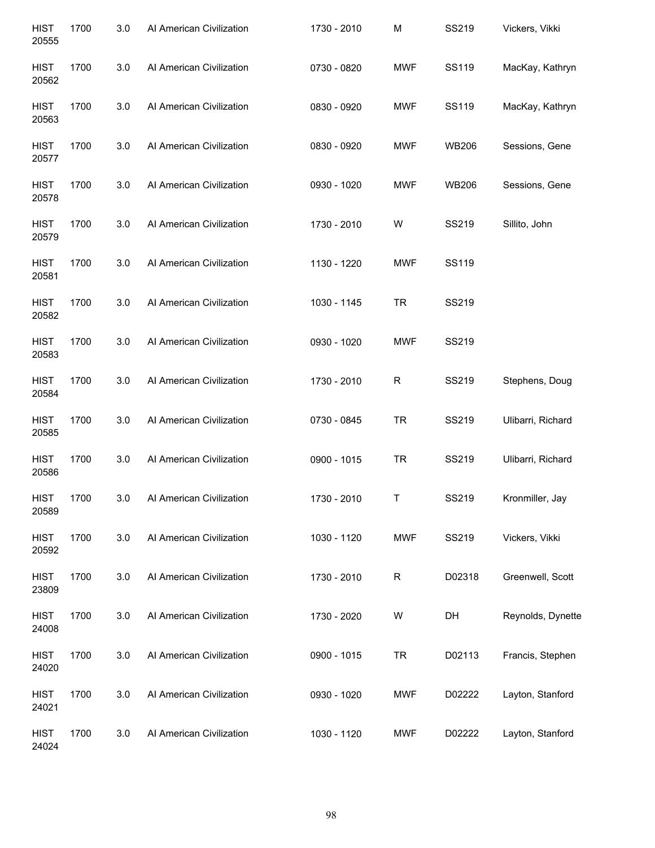| <b>HIST</b><br>20555 | 1700 | 3.0 | Al American Civilization | 1730 - 2010 | M            | SS219        | Vickers, Vikki    |
|----------------------|------|-----|--------------------------|-------------|--------------|--------------|-------------------|
| <b>HIST</b><br>20562 | 1700 | 3.0 | Al American Civilization | 0730 - 0820 | <b>MWF</b>   | SS119        | MacKay, Kathryn   |
| <b>HIST</b><br>20563 | 1700 | 3.0 | Al American Civilization | 0830 - 0920 | MWF          | SS119        | MacKay, Kathryn   |
| <b>HIST</b><br>20577 | 1700 | 3.0 | Al American Civilization | 0830 - 0920 | <b>MWF</b>   | <b>WB206</b> | Sessions, Gene    |
| <b>HIST</b><br>20578 | 1700 | 3.0 | Al American Civilization | 0930 - 1020 | <b>MWF</b>   | <b>WB206</b> | Sessions, Gene    |
| <b>HIST</b><br>20579 | 1700 | 3.0 | Al American Civilization | 1730 - 2010 | W            | SS219        | Sillito, John     |
| <b>HIST</b><br>20581 | 1700 | 3.0 | Al American Civilization | 1130 - 1220 | <b>MWF</b>   | SS119        |                   |
| <b>HIST</b><br>20582 | 1700 | 3.0 | Al American Civilization | 1030 - 1145 | <b>TR</b>    | SS219        |                   |
| <b>HIST</b><br>20583 | 1700 | 3.0 | Al American Civilization | 0930 - 1020 | <b>MWF</b>   | SS219        |                   |
| <b>HIST</b><br>20584 | 1700 | 3.0 | Al American Civilization | 1730 - 2010 | $\mathsf{R}$ | SS219        | Stephens, Doug    |
| <b>HIST</b><br>20585 | 1700 | 3.0 | Al American Civilization | 0730 - 0845 | <b>TR</b>    | SS219        | Ulibarri, Richard |
| <b>HIST</b><br>20586 | 1700 | 3.0 | Al American Civilization | 0900 - 1015 | <b>TR</b>    | SS219        | Ulibarri, Richard |
| <b>HIST</b><br>20589 | 1700 | 3.0 | Al American Civilization | 1730 - 2010 | Τ            | SS219        | Kronmiller, Jay   |
| <b>HIST</b><br>20592 | 1700 | 3.0 | Al American Civilization | 1030 - 1120 | <b>MWF</b>   | SS219        | Vickers, Vikki    |
| <b>HIST</b><br>23809 | 1700 | 3.0 | Al American Civilization | 1730 - 2010 | $\mathsf{R}$ | D02318       | Greenwell, Scott  |
| <b>HIST</b><br>24008 | 1700 | 3.0 | Al American Civilization | 1730 - 2020 | W            | DH           | Reynolds, Dynette |
| <b>HIST</b><br>24020 | 1700 | 3.0 | Al American Civilization | 0900 - 1015 | <b>TR</b>    | D02113       | Francis, Stephen  |
| <b>HIST</b><br>24021 | 1700 | 3.0 | Al American Civilization | 0930 - 1020 | <b>MWF</b>   | D02222       | Layton, Stanford  |
| <b>HIST</b><br>24024 | 1700 | 3.0 | Al American Civilization | 1030 - 1120 | <b>MWF</b>   | D02222       | Layton, Stanford  |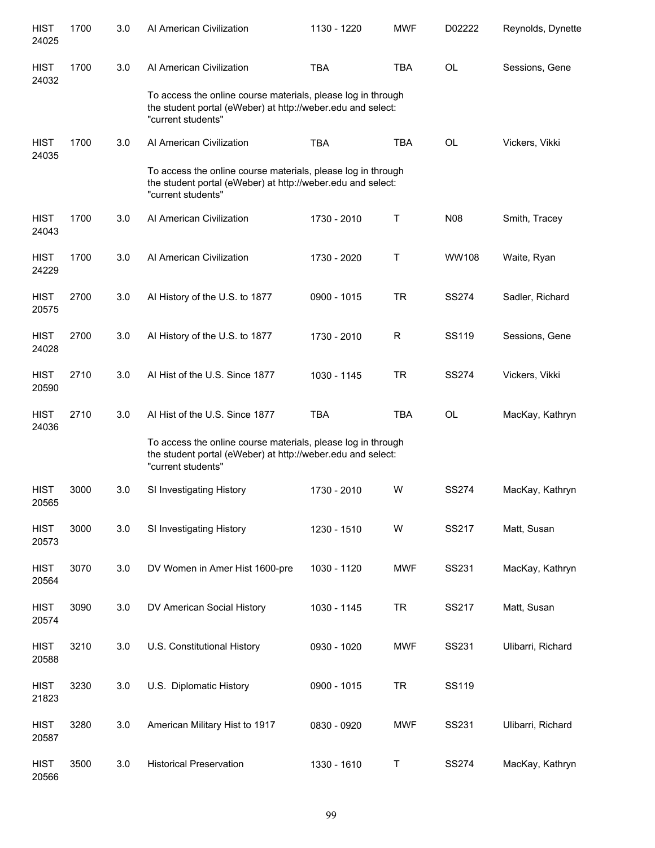| <b>HIST</b><br>24025 | 1700 | 3.0 | Al American Civilization                                                                                                                          | 1130 - 1220 | <b>MWF</b>   | D02222       | Reynolds, Dynette |
|----------------------|------|-----|---------------------------------------------------------------------------------------------------------------------------------------------------|-------------|--------------|--------------|-------------------|
| <b>HIST</b><br>24032 | 1700 | 3.0 | Al American Civilization                                                                                                                          | <b>TBA</b>  | <b>TBA</b>   | OL           | Sessions, Gene    |
|                      |      |     | To access the online course materials, please log in through<br>the student portal (eWeber) at http://weber.edu and select:<br>"current students" |             |              |              |                   |
| <b>HIST</b><br>24035 | 1700 | 3.0 | Al American Civilization                                                                                                                          | <b>TBA</b>  | <b>TBA</b>   | <b>OL</b>    | Vickers, Vikki    |
|                      |      |     | To access the online course materials, please log in through<br>the student portal (eWeber) at http://weber.edu and select:<br>"current students" |             |              |              |                   |
| <b>HIST</b><br>24043 | 1700 | 3.0 | Al American Civilization                                                                                                                          | 1730 - 2010 | Τ            | N08          | Smith, Tracey     |
| <b>HIST</b><br>24229 | 1700 | 3.0 | Al American Civilization                                                                                                                          | 1730 - 2020 | Т            | WW108        | Waite, Ryan       |
| <b>HIST</b><br>20575 | 2700 | 3.0 | Al History of the U.S. to 1877                                                                                                                    | 0900 - 1015 | <b>TR</b>    | <b>SS274</b> | Sadler, Richard   |
| <b>HIST</b><br>24028 | 2700 | 3.0 | Al History of the U.S. to 1877                                                                                                                    | 1730 - 2010 | $\mathsf{R}$ | SS119        | Sessions, Gene    |
| <b>HIST</b><br>20590 | 2710 | 3.0 | AI Hist of the U.S. Since 1877                                                                                                                    | 1030 - 1145 | <b>TR</b>    | <b>SS274</b> | Vickers, Vikki    |
| <b>HIST</b><br>24036 | 2710 | 3.0 | Al Hist of the U.S. Since 1877                                                                                                                    | <b>TBA</b>  | <b>TBA</b>   | OL           | MacKay, Kathryn   |
|                      |      |     | To access the online course materials, please log in through<br>the student portal (eWeber) at http://weber.edu and select:<br>"current students" |             |              |              |                   |
| <b>HIST</b><br>20565 | 3000 | 3.0 | SI Investigating History                                                                                                                          | 1730 - 2010 | W            | <b>SS274</b> | MacKay, Kathryn   |
| <b>HIST</b><br>20573 | 3000 | 3.0 | SI Investigating History                                                                                                                          | 1230 - 1510 | W            | SS217        | Matt, Susan       |
| <b>HIST</b><br>20564 | 3070 | 3.0 | DV Women in Amer Hist 1600-pre                                                                                                                    | 1030 - 1120 | <b>MWF</b>   | SS231        | MacKay, Kathryn   |
| <b>HIST</b><br>20574 | 3090 | 3.0 | DV American Social History                                                                                                                        | 1030 - 1145 | <b>TR</b>    | SS217        | Matt, Susan       |
| <b>HIST</b><br>20588 | 3210 | 3.0 | U.S. Constitutional History                                                                                                                       | 0930 - 1020 | <b>MWF</b>   | SS231        | Ulibarri, Richard |
| <b>HIST</b><br>21823 | 3230 | 3.0 | U.S. Diplomatic History                                                                                                                           | 0900 - 1015 | <b>TR</b>    | SS119        |                   |
| <b>HIST</b><br>20587 | 3280 | 3.0 | American Military Hist to 1917                                                                                                                    | 0830 - 0920 | <b>MWF</b>   | SS231        | Ulibarri, Richard |
| <b>HIST</b><br>20566 | 3500 | 3.0 | <b>Historical Preservation</b>                                                                                                                    | 1330 - 1610 | Τ            | <b>SS274</b> | MacKay, Kathryn   |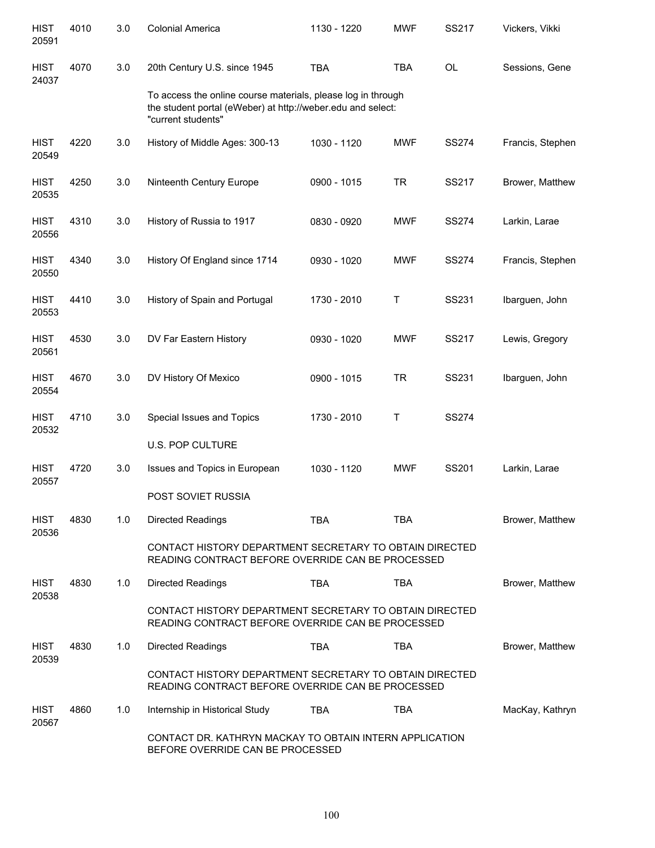| <b>HIST</b><br>20591 | 4010 | 3.0 | <b>Colonial America</b>                                                                                                                           | 1130 - 1220 | <b>MWF</b> | SS217        | Vickers, Vikki   |
|----------------------|------|-----|---------------------------------------------------------------------------------------------------------------------------------------------------|-------------|------------|--------------|------------------|
| <b>HIST</b><br>24037 | 4070 | 3.0 | 20th Century U.S. since 1945                                                                                                                      | <b>TBA</b>  | <b>TBA</b> | <b>OL</b>    | Sessions, Gene   |
|                      |      |     | To access the online course materials, please log in through<br>the student portal (eWeber) at http://weber.edu and select:<br>"current students" |             |            |              |                  |
| <b>HIST</b><br>20549 | 4220 | 3.0 | History of Middle Ages: 300-13                                                                                                                    | 1030 - 1120 | <b>MWF</b> | <b>SS274</b> | Francis, Stephen |
| <b>HIST</b><br>20535 | 4250 | 3.0 | Ninteenth Century Europe                                                                                                                          | 0900 - 1015 | <b>TR</b>  | SS217        | Brower, Matthew  |
| <b>HIST</b><br>20556 | 4310 | 3.0 | History of Russia to 1917                                                                                                                         | 0830 - 0920 | <b>MWF</b> | <b>SS274</b> | Larkin, Larae    |
| <b>HIST</b><br>20550 | 4340 | 3.0 | History Of England since 1714                                                                                                                     | 0930 - 1020 | <b>MWF</b> | <b>SS274</b> | Francis, Stephen |
| <b>HIST</b><br>20553 | 4410 | 3.0 | History of Spain and Portugal                                                                                                                     | 1730 - 2010 | Τ          | SS231        | Ibarguen, John   |
| <b>HIST</b><br>20561 | 4530 | 3.0 | DV Far Eastern History                                                                                                                            | 0930 - 1020 | <b>MWF</b> | SS217        | Lewis, Gregory   |
| <b>HIST</b><br>20554 | 4670 | 3.0 | DV History Of Mexico                                                                                                                              | 0900 - 1015 | <b>TR</b>  | SS231        | Ibarguen, John   |
| <b>HIST</b><br>20532 | 4710 | 3.0 | Special Issues and Topics                                                                                                                         | 1730 - 2010 | Τ          | <b>SS274</b> |                  |
|                      |      |     | <b>U.S. POP CULTURE</b>                                                                                                                           |             |            |              |                  |
| <b>HIST</b><br>20557 | 4720 | 3.0 | Issues and Topics in European                                                                                                                     | 1030 - 1120 | <b>MWF</b> | SS201        | Larkin, Larae    |
|                      |      |     | POST SOVIET RUSSIA                                                                                                                                |             |            |              |                  |
| <b>HIST</b><br>20536 | 4830 | 1.0 | <b>Directed Readings</b>                                                                                                                          | <b>TBA</b>  | <b>TBA</b> |              | Brower, Matthew  |
|                      |      |     | CONTACT HISTORY DEPARTMENT SECRETARY TO OBTAIN DIRECTED<br>READING CONTRACT BEFORE OVERRIDE CAN BE PROCESSED                                      |             |            |              |                  |
| <b>HIST</b><br>20538 | 4830 | 1.0 | <b>Directed Readings</b>                                                                                                                          | <b>TBA</b>  | <b>TBA</b> |              | Brower, Matthew  |
|                      |      |     | CONTACT HISTORY DEPARTMENT SECRETARY TO OBTAIN DIRECTED<br>READING CONTRACT BEFORE OVERRIDE CAN BE PROCESSED                                      |             |            |              |                  |
| <b>HIST</b><br>20539 | 4830 | 1.0 | <b>Directed Readings</b>                                                                                                                          | <b>TBA</b>  | <b>TBA</b> |              | Brower, Matthew  |
|                      |      |     | CONTACT HISTORY DEPARTMENT SECRETARY TO OBTAIN DIRECTED<br>READING CONTRACT BEFORE OVERRIDE CAN BE PROCESSED                                      |             |            |              |                  |
| <b>HIST</b><br>20567 | 4860 | 1.0 | Internship in Historical Study                                                                                                                    | <b>TBA</b>  | <b>TBA</b> |              | MacKay, Kathryn  |
|                      |      |     | CONTACT DR. KATHRYN MACKAY TO OBTAIN INTERN APPLICATION<br>BEFORE OVERRIDE CAN BE PROCESSED                                                       |             |            |              |                  |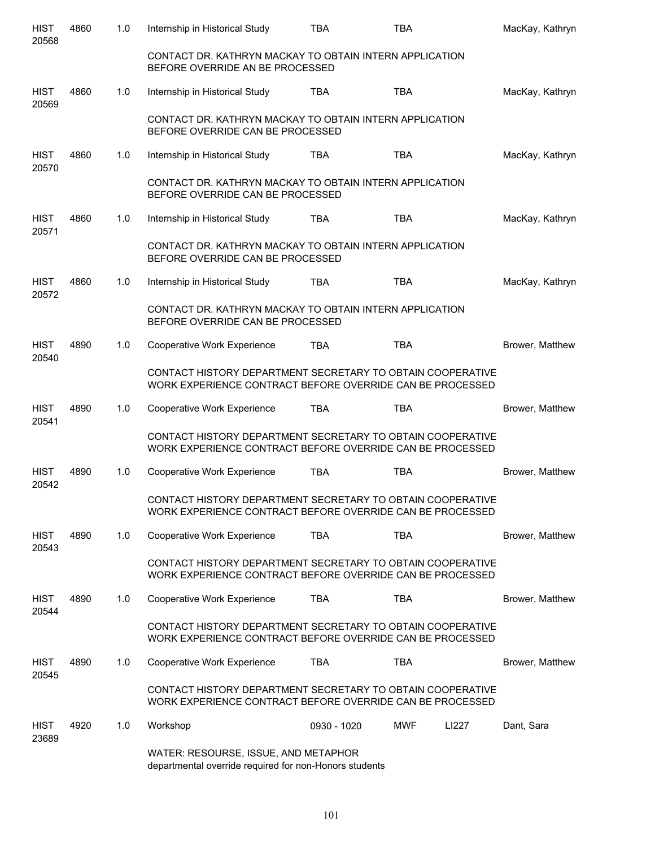| <b>HIST</b><br>20568 | 4860 | 1.0 | Internship in Historical Study                                                                                          | <b>TBA</b>  | <b>TBA</b> |       | MacKay, Kathryn |
|----------------------|------|-----|-------------------------------------------------------------------------------------------------------------------------|-------------|------------|-------|-----------------|
|                      |      |     | CONTACT DR. KATHRYN MACKAY TO OBTAIN INTERN APPLICATION<br>BEFORE OVERRIDE AN BE PROCESSED                              |             |            |       |                 |
| <b>HIST</b><br>20569 | 4860 | 1.0 | Internship in Historical Study                                                                                          | <b>TBA</b>  | <b>TBA</b> |       | MacKay, Kathryn |
|                      |      |     | CONTACT DR. KATHRYN MACKAY TO OBTAIN INTERN APPLICATION<br>BEFORE OVERRIDE CAN BE PROCESSED                             |             |            |       |                 |
| <b>HIST</b><br>20570 | 4860 | 1.0 | Internship in Historical Study                                                                                          | <b>TBA</b>  | <b>TBA</b> |       | MacKay, Kathryn |
|                      |      |     | CONTACT DR. KATHRYN MACKAY TO OBTAIN INTERN APPLICATION<br>BEFORE OVERRIDE CAN BE PROCESSED                             |             |            |       |                 |
| <b>HIST</b><br>20571 | 4860 | 1.0 | Internship in Historical Study                                                                                          | <b>TBA</b>  | <b>TBA</b> |       | MacKay, Kathryn |
|                      |      |     | CONTACT DR. KATHRYN MACKAY TO OBTAIN INTERN APPLICATION<br>BEFORE OVERRIDE CAN BE PROCESSED                             |             |            |       |                 |
| <b>HIST</b><br>20572 | 4860 | 1.0 | Internship in Historical Study                                                                                          | <b>TBA</b>  | <b>TBA</b> |       | MacKay, Kathryn |
|                      |      |     | CONTACT DR. KATHRYN MACKAY TO OBTAIN INTERN APPLICATION<br>BEFORE OVERRIDE CAN BE PROCESSED                             |             |            |       |                 |
| <b>HIST</b><br>20540 | 4890 | 1.0 | Cooperative Work Experience                                                                                             | <b>TBA</b>  | <b>TBA</b> |       | Brower, Matthew |
|                      |      |     | CONTACT HISTORY DEPARTMENT SECRETARY TO OBTAIN COOPERATIVE<br>WORK EXPERIENCE CONTRACT BEFORE OVERRIDE CAN BE PROCESSED |             |            |       |                 |
| <b>HIST</b><br>20541 | 4890 | 1.0 | Cooperative Work Experience                                                                                             | TBA         | <b>TBA</b> |       | Brower, Matthew |
|                      |      |     | CONTACT HISTORY DEPARTMENT SECRETARY TO OBTAIN COOPERATIVE<br>WORK EXPERIENCE CONTRACT BEFORE OVERRIDE CAN BE PROCESSED |             |            |       |                 |
| <b>HIST</b><br>20542 | 4890 | 1.0 | Cooperative Work Experience                                                                                             | <b>TBA</b>  | <b>TBA</b> |       | Brower, Matthew |
|                      |      |     | CONTACT HISTORY DEPARTMENT SECRETARY TO OBTAIN COOPERATIVE<br>WORK EXPERIENCE CONTRACT BEFORE OVERRIDE CAN BE PROCESSED |             |            |       |                 |
| <b>HIST</b><br>20543 | 4890 | 1.0 | Cooperative Work Experience                                                                                             | <b>TBA</b>  | <b>TBA</b> |       | Brower, Matthew |
|                      |      |     | CONTACT HISTORY DEPARTMENT SECRETARY TO OBTAIN COOPERATIVE<br>WORK EXPERIENCE CONTRACT BEFORE OVERRIDE CAN BE PROCESSED |             |            |       |                 |
| HIST<br>20544        | 4890 | 1.0 | Cooperative Work Experience                                                                                             | <b>TBA</b>  | <b>TBA</b> |       | Brower, Matthew |
|                      |      |     | CONTACT HISTORY DEPARTMENT SECRETARY TO OBTAIN COOPERATIVE<br>WORK EXPERIENCE CONTRACT BEFORE OVERRIDE CAN BE PROCESSED |             |            |       |                 |
| <b>HIST</b><br>20545 | 4890 | 1.0 | Cooperative Work Experience                                                                                             | <b>TBA</b>  | <b>TBA</b> |       | Brower, Matthew |
|                      |      |     | CONTACT HISTORY DEPARTMENT SECRETARY TO OBTAIN COOPERATIVE<br>WORK EXPERIENCE CONTRACT BEFORE OVERRIDE CAN BE PROCESSED |             |            |       |                 |
| <b>HIST</b><br>23689 | 4920 | 1.0 | Workshop                                                                                                                | 0930 - 1020 | <b>MWF</b> | LI227 | Dant, Sara      |
|                      |      |     | WATER: RESOURSE, ISSUE, AND METAPHOR<br>departmental override required for non-Honors students                          |             |            |       |                 |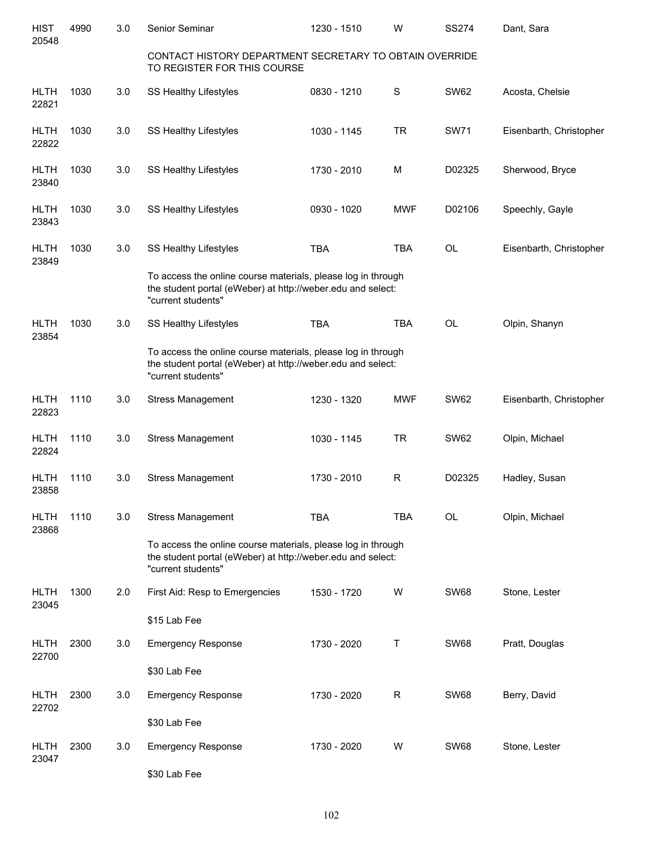| <b>HIST</b><br>20548 | 4990 | 3.0 | Senior Seminar                                                                                                                                    | 1230 - 1510 | W           | <b>SS274</b> | Dant, Sara              |
|----------------------|------|-----|---------------------------------------------------------------------------------------------------------------------------------------------------|-------------|-------------|--------------|-------------------------|
|                      |      |     | CONTACT HISTORY DEPARTMENT SECRETARY TO OBTAIN OVERRIDE<br>TO REGISTER FOR THIS COURSE                                                            |             |             |              |                         |
| <b>HLTH</b><br>22821 | 1030 | 3.0 | SS Healthy Lifestyles                                                                                                                             | 0830 - 1210 | S           | <b>SW62</b>  | Acosta, Chelsie         |
| <b>HLTH</b><br>22822 | 1030 | 3.0 | SS Healthy Lifestyles                                                                                                                             | 1030 - 1145 | <b>TR</b>   | <b>SW71</b>  | Eisenbarth, Christopher |
| <b>HLTH</b><br>23840 | 1030 | 3.0 | SS Healthy Lifestyles                                                                                                                             | 1730 - 2010 | M           | D02325       | Sherwood, Bryce         |
| <b>HLTH</b><br>23843 | 1030 | 3.0 | SS Healthy Lifestyles                                                                                                                             | 0930 - 1020 | <b>MWF</b>  | D02106       | Speechly, Gayle         |
| <b>HLTH</b><br>23849 | 1030 | 3.0 | <b>SS Healthy Lifestyles</b>                                                                                                                      | <b>TBA</b>  | <b>TBA</b>  | OL           | Eisenbarth, Christopher |
|                      |      |     | To access the online course materials, please log in through<br>the student portal (eWeber) at http://weber.edu and select:<br>"current students" |             |             |              |                         |
| <b>HLTH</b><br>23854 | 1030 | 3.0 | SS Healthy Lifestyles                                                                                                                             | <b>TBA</b>  | <b>TBA</b>  | OL           | Olpin, Shanyn           |
|                      |      |     | To access the online course materials, please log in through<br>the student portal (eWeber) at http://weber.edu and select:<br>"current students" |             |             |              |                         |
| <b>HLTH</b><br>22823 | 1110 | 3.0 | <b>Stress Management</b>                                                                                                                          | 1230 - 1320 | <b>MWF</b>  | <b>SW62</b>  | Eisenbarth, Christopher |
| <b>HLTH</b><br>22824 | 1110 | 3.0 | <b>Stress Management</b>                                                                                                                          | 1030 - 1145 | <b>TR</b>   | <b>SW62</b>  | Olpin, Michael          |
| <b>HLTH</b><br>23858 | 1110 | 3.0 | <b>Stress Management</b>                                                                                                                          | 1730 - 2010 | R           | D02325       | Hadley, Susan           |
| <b>HLTH</b><br>23868 | 1110 | 3.0 | <b>Stress Management</b>                                                                                                                          | <b>TBA</b>  | <b>TBA</b>  | OL           | Olpin, Michael          |
|                      |      |     | To access the online course materials, please log in through<br>the student portal (eWeber) at http://weber.edu and select:<br>"current students" |             |             |              |                         |
| <b>HLTH</b><br>23045 | 1300 | 2.0 | First Aid: Resp to Emergencies                                                                                                                    | 1530 - 1720 | W           | <b>SW68</b>  | Stone, Lester           |
|                      |      |     | \$15 Lab Fee                                                                                                                                      |             |             |              |                         |
| <b>HLTH</b><br>22700 | 2300 | 3.0 | <b>Emergency Response</b>                                                                                                                         | 1730 - 2020 | $\sf T$     | <b>SW68</b>  | Pratt, Douglas          |
|                      |      |     | \$30 Lab Fee                                                                                                                                      |             |             |              |                         |
| <b>HLTH</b><br>22702 | 2300 | 3.0 | <b>Emergency Response</b>                                                                                                                         | 1730 - 2020 | $\mathsf R$ | <b>SW68</b>  | Berry, David            |
|                      |      |     | \$30 Lab Fee                                                                                                                                      |             |             |              |                         |
| <b>HLTH</b><br>23047 | 2300 | 3.0 | <b>Emergency Response</b>                                                                                                                         | 1730 - 2020 | W           | <b>SW68</b>  | Stone, Lester           |
|                      |      |     | \$30 Lab Fee                                                                                                                                      |             |             |              |                         |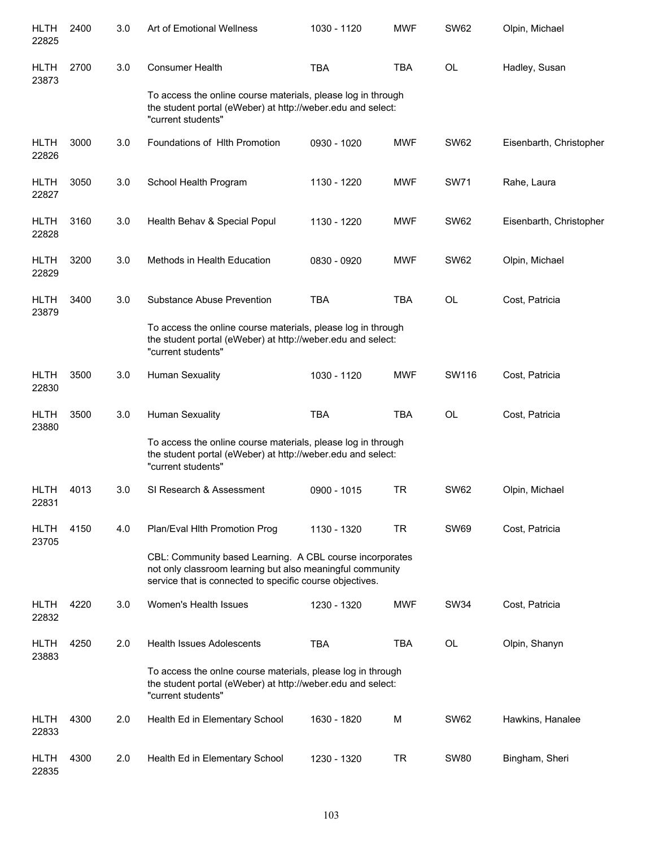| <b>HLTH</b><br>22825 | 2400 | 3.0 | Art of Emotional Wellness                                                                                                                                                         | 1030 - 1120 | <b>MWF</b> | <b>SW62</b> | Olpin, Michael          |
|----------------------|------|-----|-----------------------------------------------------------------------------------------------------------------------------------------------------------------------------------|-------------|------------|-------------|-------------------------|
| <b>HLTH</b><br>23873 | 2700 | 3.0 | <b>Consumer Health</b>                                                                                                                                                            | <b>TBA</b>  | <b>TBA</b> | OL          | Hadley, Susan           |
|                      |      |     | To access the online course materials, please log in through<br>the student portal (eWeber) at http://weber.edu and select:<br>"current students"                                 |             |            |             |                         |
| <b>HLTH</b><br>22826 | 3000 | 3.0 | Foundations of Hith Promotion                                                                                                                                                     | 0930 - 1020 | <b>MWF</b> | <b>SW62</b> | Eisenbarth, Christopher |
| <b>HLTH</b><br>22827 | 3050 | 3.0 | School Health Program                                                                                                                                                             | 1130 - 1220 | <b>MWF</b> | <b>SW71</b> | Rahe, Laura             |
| <b>HLTH</b><br>22828 | 3160 | 3.0 | Health Behav & Special Popul                                                                                                                                                      | 1130 - 1220 | <b>MWF</b> | <b>SW62</b> | Eisenbarth, Christopher |
| <b>HLTH</b><br>22829 | 3200 | 3.0 | Methods in Health Education                                                                                                                                                       | 0830 - 0920 | <b>MWF</b> | <b>SW62</b> | Olpin, Michael          |
| <b>HLTH</b><br>23879 | 3400 | 3.0 | <b>Substance Abuse Prevention</b>                                                                                                                                                 | <b>TBA</b>  | <b>TBA</b> | <b>OL</b>   | Cost, Patricia          |
|                      |      |     | To access the online course materials, please log in through<br>the student portal (eWeber) at http://weber.edu and select:<br>"current students"                                 |             |            |             |                         |
| <b>HLTH</b><br>22830 | 3500 | 3.0 | Human Sexuality                                                                                                                                                                   | 1030 - 1120 | <b>MWF</b> | SW116       | Cost, Patricia          |
| <b>HLTH</b><br>23880 | 3500 | 3.0 | Human Sexuality                                                                                                                                                                   | <b>TBA</b>  | <b>TBA</b> | <b>OL</b>   | Cost, Patricia          |
|                      |      |     | To access the online course materials, please log in through<br>the student portal (eWeber) at http://weber.edu and select:<br>"current students"                                 |             |            |             |                         |
| <b>HLTH</b><br>22831 | 4013 | 3.0 | SI Research & Assessment                                                                                                                                                          | 0900 - 1015 | <b>TR</b>  | <b>SW62</b> | Olpin, Michael          |
| <b>HLTH</b><br>23705 | 4150 | 4.0 | Plan/Eval Hith Promotion Prog                                                                                                                                                     | 1130 - 1320 | <b>TR</b>  | <b>SW69</b> | Cost, Patricia          |
|                      |      |     | CBL: Community based Learning. A CBL course incorporates<br>not only classroom learning but also meaningful community<br>service that is connected to specific course objectives. |             |            |             |                         |
| <b>HLTH</b><br>22832 | 4220 | 3.0 | Women's Health Issues                                                                                                                                                             | 1230 - 1320 | <b>MWF</b> | <b>SW34</b> | Cost, Patricia          |
| <b>HLTH</b><br>23883 | 4250 | 2.0 | <b>Health Issues Adolescents</b>                                                                                                                                                  | <b>TBA</b>  | <b>TBA</b> | OL          | Olpin, Shanyn           |
|                      |      |     | To access the onlne course materials, please log in through<br>the student portal (eWeber) at http://weber.edu and select:<br>"current students"                                  |             |            |             |                         |
| <b>HLTH</b><br>22833 | 4300 | 2.0 | Health Ed in Elementary School                                                                                                                                                    | 1630 - 1820 | M          | <b>SW62</b> | Hawkins, Hanalee        |
| <b>HLTH</b><br>22835 | 4300 | 2.0 | Health Ed in Elementary School                                                                                                                                                    | 1230 - 1320 | <b>TR</b>  | <b>SW80</b> | Bingham, Sheri          |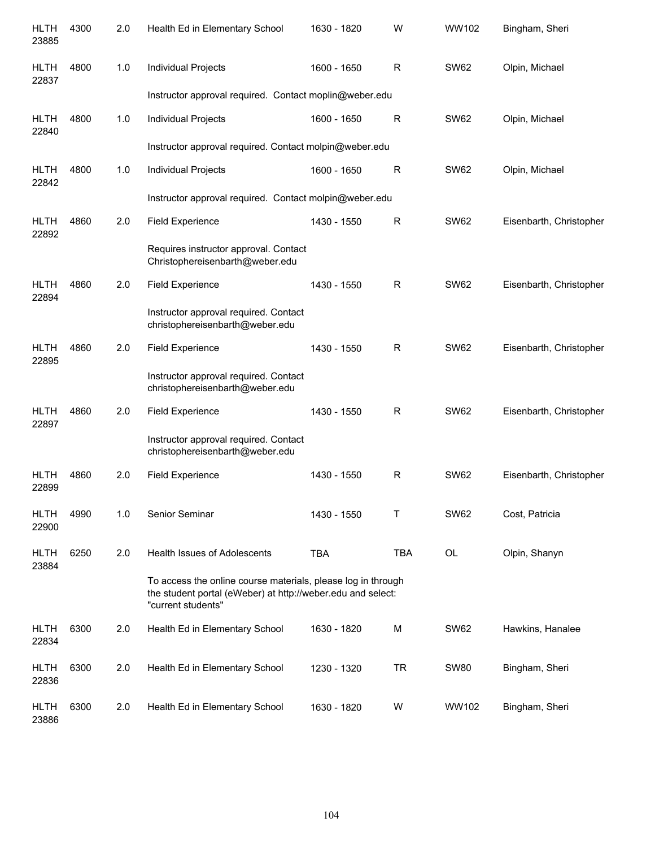| <b>HLTH</b><br>23885 | 4300 | 2.0 | Health Ed in Elementary School                                                                                                                    | 1630 - 1820 | W           | WW102       | Bingham, Sheri          |
|----------------------|------|-----|---------------------------------------------------------------------------------------------------------------------------------------------------|-------------|-------------|-------------|-------------------------|
| <b>HLTH</b><br>22837 | 4800 | 1.0 | Individual Projects                                                                                                                               | 1600 - 1650 | R           | <b>SW62</b> | Olpin, Michael          |
|                      |      |     | Instructor approval required. Contact moplin@weber.edu                                                                                            |             |             |             |                         |
| <b>HLTH</b><br>22840 | 4800 | 1.0 | Individual Projects                                                                                                                               | 1600 - 1650 | $\mathsf R$ | <b>SW62</b> | Olpin, Michael          |
|                      |      |     | Instructor approval required. Contact molpin@weber.edu                                                                                            |             |             |             |                         |
| <b>HLTH</b><br>22842 | 4800 | 1.0 | Individual Projects                                                                                                                               | 1600 - 1650 | $\mathsf R$ | <b>SW62</b> | Olpin, Michael          |
|                      |      |     | Instructor approval required. Contact molpin@weber.edu                                                                                            |             |             |             |                         |
| <b>HLTH</b><br>22892 | 4860 | 2.0 | <b>Field Experience</b>                                                                                                                           | 1430 - 1550 | $\mathsf R$ | <b>SW62</b> | Eisenbarth, Christopher |
|                      |      |     | Requires instructor approval. Contact<br>Christophereisenbarth@weber.edu                                                                          |             |             |             |                         |
| <b>HLTH</b><br>22894 | 4860 | 2.0 | <b>Field Experience</b>                                                                                                                           | 1430 - 1550 | R           | <b>SW62</b> | Eisenbarth, Christopher |
|                      |      |     | Instructor approval required. Contact<br>christophereisenbarth@weber.edu                                                                          |             |             |             |                         |
| <b>HLTH</b><br>22895 | 4860 | 2.0 | <b>Field Experience</b>                                                                                                                           | 1430 - 1550 | R           | <b>SW62</b> | Eisenbarth, Christopher |
|                      |      |     | Instructor approval required. Contact<br>christophereisenbarth@weber.edu                                                                          |             |             |             |                         |
| <b>HLTH</b><br>22897 | 4860 | 2.0 | <b>Field Experience</b>                                                                                                                           | 1430 - 1550 | R           | <b>SW62</b> | Eisenbarth, Christopher |
|                      |      |     | Instructor approval required. Contact<br>christophereisenbarth@weber.edu                                                                          |             |             |             |                         |
| <b>HLTH</b><br>22899 | 4860 | 2.0 | <b>Field Experience</b>                                                                                                                           | 1430 - 1550 | $\mathsf R$ | <b>SW62</b> | Eisenbarth, Christopher |
| <b>HLTH</b><br>22900 | 4990 | 1.0 | Senior Seminar                                                                                                                                    | 1430 - 1550 | т           | <b>SW62</b> | Cost, Patricia          |
| <b>HLTH</b><br>23884 | 6250 | 2.0 | <b>Health Issues of Adolescents</b>                                                                                                               | <b>TBA</b>  | <b>TBA</b>  | OL          | Olpin, Shanyn           |
|                      |      |     | To access the online course materials, please log in through<br>the student portal (eWeber) at http://weber.edu and select:<br>"current students" |             |             |             |                         |
| <b>HLTH</b><br>22834 | 6300 | 2.0 | Health Ed in Elementary School                                                                                                                    | 1630 - 1820 | M           | <b>SW62</b> | Hawkins, Hanalee        |
| HLTH<br>22836        | 6300 | 2.0 | Health Ed in Elementary School                                                                                                                    | 1230 - 1320 | <b>TR</b>   | <b>SW80</b> | Bingham, Sheri          |
| HLTH<br>23886        | 6300 | 2.0 | Health Ed in Elementary School                                                                                                                    | 1630 - 1820 | W           | WW102       | Bingham, Sheri          |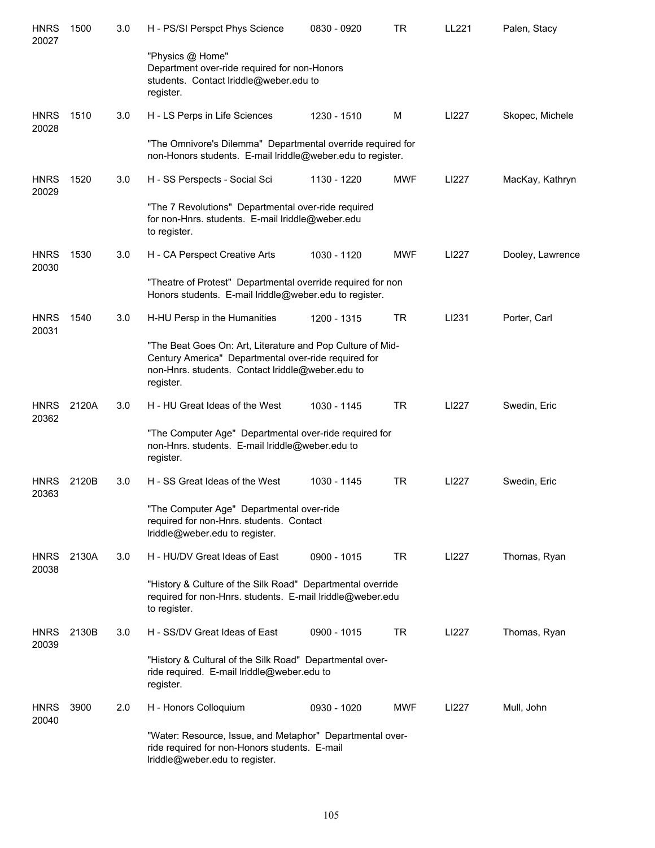| <b>HNRS</b><br>20027 | 1500  | 3.0 | H - PS/SI Perspct Phys Science                                                                                                                                                      | 0830 - 0920 | TR         | LL221 | Palen, Stacy     |
|----------------------|-------|-----|-------------------------------------------------------------------------------------------------------------------------------------------------------------------------------------|-------------|------------|-------|------------------|
|                      |       |     | "Physics @ Home"<br>Department over-ride required for non-Honors<br>students. Contact Iriddle@weber.edu to<br>register.                                                             |             |            |       |                  |
| <b>HNRS</b><br>20028 | 1510  | 3.0 | H - LS Perps in Life Sciences                                                                                                                                                       | 1230 - 1510 | M          | LI227 | Skopec, Michele  |
|                      |       |     | "The Omnivore's Dilemma" Departmental override required for<br>non-Honors students. E-mail Iriddle@weber.edu to register.                                                           |             |            |       |                  |
| <b>HNRS</b><br>20029 | 1520  | 3.0 | H - SS Perspects - Social Sci                                                                                                                                                       | 1130 - 1220 | <b>MWF</b> | LI227 | MacKay, Kathryn  |
|                      |       |     | "The 7 Revolutions" Departmental over-ride required<br>for non-Hnrs. students. E-mail lriddle@weber.edu<br>to register.                                                             |             |            |       |                  |
| <b>HNRS</b><br>20030 | 1530  | 3.0 | H - CA Perspect Creative Arts                                                                                                                                                       | 1030 - 1120 | <b>MWF</b> | LI227 | Dooley, Lawrence |
|                      |       |     | "Theatre of Protest" Departmental override required for non<br>Honors students. E-mail lriddle@weber.edu to register.                                                               |             |            |       |                  |
| <b>HNRS</b><br>20031 | 1540  | 3.0 | H-HU Persp in the Humanities                                                                                                                                                        | 1200 - 1315 | <b>TR</b>  | LI231 | Porter, Carl     |
|                      |       |     | "The Beat Goes On: Art, Literature and Pop Culture of Mid-<br>Century America" Departmental over-ride required for<br>non-Hnrs. students. Contact Iriddle@weber.edu to<br>register. |             |            |       |                  |
| <b>HNRS</b><br>20362 | 2120A | 3.0 | H - HU Great Ideas of the West                                                                                                                                                      | 1030 - 1145 | <b>TR</b>  | LI227 | Swedin, Eric     |
|                      |       |     | "The Computer Age" Departmental over-ride required for<br>non-Hnrs. students. E-mail lriddle@weber.edu to<br>register.                                                              |             |            |       |                  |
| <b>HNRS</b><br>20363 | 2120B | 3.0 | H - SS Great Ideas of the West                                                                                                                                                      | 1030 - 1145 | <b>TR</b>  | LI227 | Swedin, Eric     |
|                      |       |     | "The Computer Age" Departmental over-ride<br>required for non-Hnrs. students. Contact<br>Iriddle@weber.edu to register.                                                             |             |            |       |                  |
| <b>HNRS</b><br>20038 | 2130A | 3.0 | H - HU/DV Great Ideas of East                                                                                                                                                       | 0900 - 1015 | TR         | LI227 | Thomas, Ryan     |
|                      |       |     | "History & Culture of the Silk Road" Departmental override<br>required for non-Hnrs. students. E-mail lriddle@weber.edu<br>to register.                                             |             |            |       |                  |
| <b>HNRS</b><br>20039 | 2130B | 3.0 | H - SS/DV Great Ideas of East                                                                                                                                                       | 0900 - 1015 | TR         | LI227 | Thomas, Ryan     |
|                      |       |     | "History & Cultural of the Silk Road" Departmental over-<br>ride required. E-mail lriddle@weber.edu to<br>register.                                                                 |             |            |       |                  |
| <b>HNRS</b><br>20040 | 3900  | 2.0 | H - Honors Colloquium                                                                                                                                                               | 0930 - 1020 | <b>MWF</b> | LI227 | Mull, John       |
|                      |       |     | "Water: Resource, Issue, and Metaphor" Departmental over-<br>ride required for non-Honors students. E-mail<br>Iriddle@weber.edu to register.                                        |             |            |       |                  |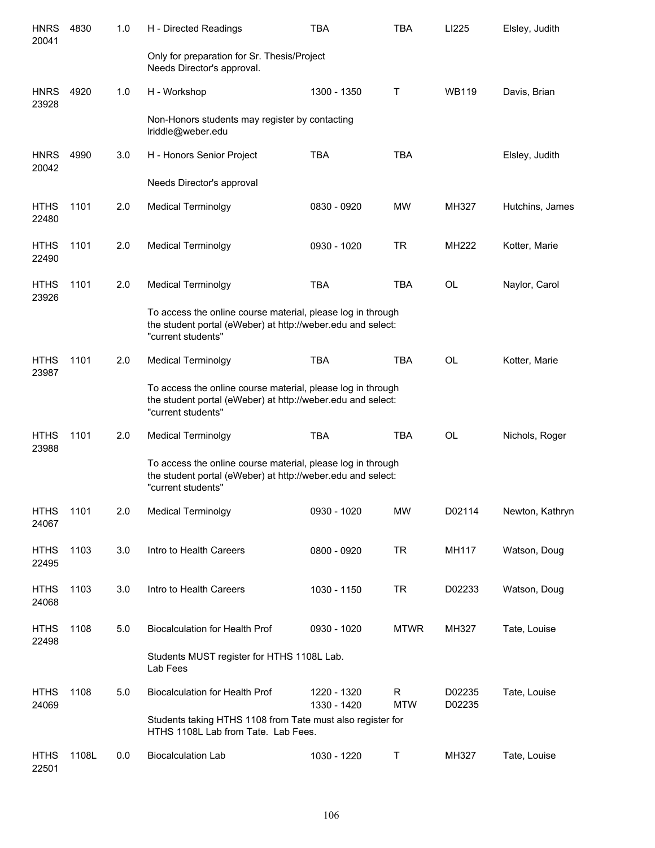| <b>HNRS</b><br>20041 | 4830  | 1.0 | H - Directed Readings                                                                                                                            | <b>TBA</b>                 | <b>TBA</b>      | LI225            | Elsley, Judith  |
|----------------------|-------|-----|--------------------------------------------------------------------------------------------------------------------------------------------------|----------------------------|-----------------|------------------|-----------------|
|                      |       |     | Only for preparation for Sr. Thesis/Project<br>Needs Director's approval.                                                                        |                            |                 |                  |                 |
| <b>HNRS</b><br>23928 | 4920  | 1.0 | H - Workshop                                                                                                                                     | 1300 - 1350                | Τ               | <b>WB119</b>     | Davis, Brian    |
|                      |       |     | Non-Honors students may register by contacting<br>Iriddle@weber.edu                                                                              |                            |                 |                  |                 |
| <b>HNRS</b><br>20042 | 4990  | 3.0 | H - Honors Senior Project                                                                                                                        | <b>TBA</b>                 | <b>TBA</b>      |                  | Elsley, Judith  |
|                      |       |     | Needs Director's approval                                                                                                                        |                            |                 |                  |                 |
| <b>HTHS</b><br>22480 | 1101  | 2.0 | <b>Medical Terminolgy</b>                                                                                                                        | 0830 - 0920                | <b>MW</b>       | MH327            | Hutchins, James |
| <b>HTHS</b><br>22490 | 1101  | 2.0 | <b>Medical Terminolgy</b>                                                                                                                        | 0930 - 1020                | <b>TR</b>       | <b>MH222</b>     | Kotter, Marie   |
| <b>HTHS</b><br>23926 | 1101  | 2.0 | <b>Medical Terminolgy</b>                                                                                                                        | <b>TBA</b>                 | <b>TBA</b>      | <b>OL</b>        | Naylor, Carol   |
|                      |       |     | To access the online course material, please log in through<br>the student portal (eWeber) at http://weber.edu and select:<br>"current students" |                            |                 |                  |                 |
| <b>HTHS</b><br>23987 | 1101  | 2.0 | <b>Medical Terminolgy</b>                                                                                                                        | <b>TBA</b>                 | <b>TBA</b>      | <b>OL</b>        | Kotter, Marie   |
|                      |       |     | To access the online course material, please log in through<br>the student portal (eWeber) at http://weber.edu and select:<br>"current students" |                            |                 |                  |                 |
| <b>HTHS</b><br>23988 | 1101  | 2.0 | <b>Medical Terminolgy</b>                                                                                                                        | <b>TBA</b>                 | <b>TBA</b>      | <b>OL</b>        | Nichols, Roger  |
|                      |       |     | To access the online course material, please log in through<br>the student portal (eWeber) at http://weber.edu and select:<br>"current students" |                            |                 |                  |                 |
| <b>HTHS</b><br>24067 | 1101  | 2.0 | <b>Medical Terminolgy</b>                                                                                                                        | 0930 - 1020                | MW              | D02114           | Newton, Kathryn |
| <b>HTHS</b><br>22495 | 1103  | 3.0 | Intro to Health Careers                                                                                                                          | 0800 - 0920                | <b>TR</b>       | MH117            | Watson, Doug    |
| <b>HTHS</b><br>24068 | 1103  | 3.0 | Intro to Health Careers                                                                                                                          | 1030 - 1150                | TR              | D02233           | Watson, Doug    |
| <b>HTHS</b><br>22498 | 1108  | 5.0 | Biocalculation for Health Prof                                                                                                                   | 0930 - 1020                | <b>MTWR</b>     | MH327            | Tate, Louise    |
|                      |       |     | Students MUST register for HTHS 1108L Lab.<br>Lab Fees                                                                                           |                            |                 |                  |                 |
| <b>HTHS</b><br>24069 | 1108  | 5.0 | <b>Biocalculation for Health Prof</b>                                                                                                            | 1220 - 1320<br>1330 - 1420 | R<br><b>MTW</b> | D02235<br>D02235 | Tate, Louise    |
|                      |       |     | Students taking HTHS 1108 from Tate must also register for<br>HTHS 1108L Lab from Tate. Lab Fees.                                                |                            |                 |                  |                 |
| <b>HTHS</b><br>22501 | 1108L | 0.0 | <b>Biocalculation Lab</b>                                                                                                                        | 1030 - 1220                | Τ               | MH327            | Tate, Louise    |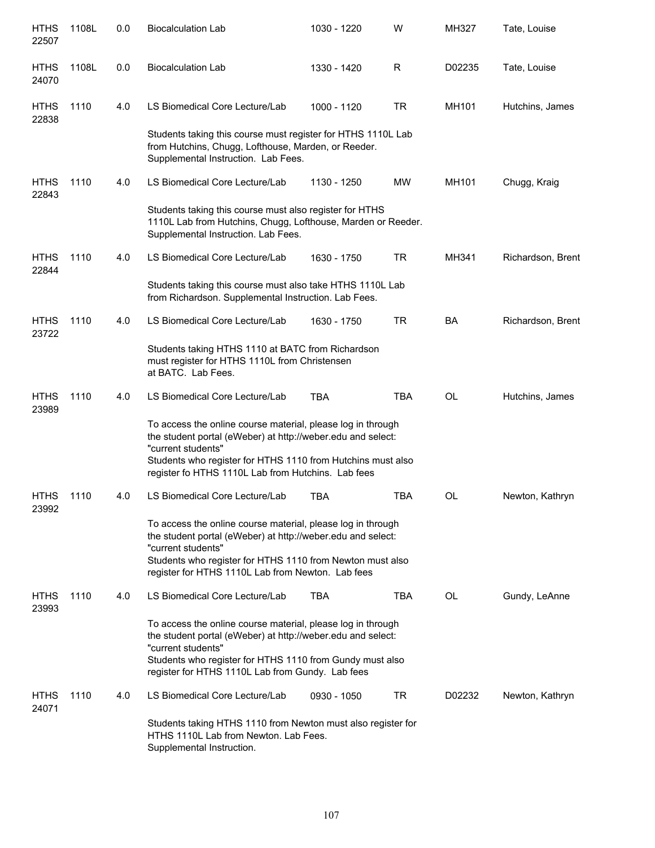| <b>HTHS</b><br>22507 | 1108L | 0.0 | <b>Biocalculation Lab</b>                                                                                                                                                                                                                                             | 1030 - 1220 | W          | MH327     | Tate, Louise      |
|----------------------|-------|-----|-----------------------------------------------------------------------------------------------------------------------------------------------------------------------------------------------------------------------------------------------------------------------|-------------|------------|-----------|-------------------|
| <b>HTHS</b><br>24070 | 1108L | 0.0 | <b>Biocalculation Lab</b>                                                                                                                                                                                                                                             | 1330 - 1420 | R          | D02235    | Tate, Louise      |
| <b>HTHS</b><br>22838 | 1110  | 4.0 | LS Biomedical Core Lecture/Lab                                                                                                                                                                                                                                        | 1000 - 1120 | <b>TR</b>  | MH101     | Hutchins, James   |
|                      |       |     | Students taking this course must register for HTHS 1110L Lab<br>from Hutchins, Chugg, Lofthouse, Marden, or Reeder.<br>Supplemental Instruction. Lab Fees.                                                                                                            |             |            |           |                   |
| <b>HTHS</b><br>22843 | 1110  | 4.0 | LS Biomedical Core Lecture/Lab                                                                                                                                                                                                                                        | 1130 - 1250 | <b>MW</b>  | MH101     | Chugg, Kraig      |
|                      |       |     | Students taking this course must also register for HTHS<br>1110L Lab from Hutchins, Chugg, Lofthouse, Marden or Reeder.<br>Supplemental Instruction. Lab Fees.                                                                                                        |             |            |           |                   |
| <b>HTHS</b><br>22844 | 1110  | 4.0 | LS Biomedical Core Lecture/Lab                                                                                                                                                                                                                                        | 1630 - 1750 | <b>TR</b>  | MH341     | Richardson, Brent |
|                      |       |     | Students taking this course must also take HTHS 1110L Lab<br>from Richardson. Supplemental Instruction. Lab Fees.                                                                                                                                                     |             |            |           |                   |
| <b>HTHS</b><br>23722 | 1110  | 4.0 | LS Biomedical Core Lecture/Lab                                                                                                                                                                                                                                        | 1630 - 1750 | <b>TR</b>  | <b>BA</b> | Richardson, Brent |
|                      |       |     | Students taking HTHS 1110 at BATC from Richardson<br>must register for HTHS 1110L from Christensen<br>at BATC. Lab Fees.                                                                                                                                              |             |            |           |                   |
| <b>HTHS</b><br>23989 | 1110  | 4.0 | LS Biomedical Core Lecture/Lab                                                                                                                                                                                                                                        | <b>TBA</b>  | <b>TBA</b> | <b>OL</b> | Hutchins, James   |
|                      |       |     | To access the online course material, please log in through<br>the student portal (eWeber) at http://weber.edu and select:<br>"current students"<br>Students who register for HTHS 1110 from Hutchins must also<br>register fo HTHS 1110L Lab from Hutchins. Lab fees |             |            |           |                   |
| <b>HTHS</b><br>23992 | 1110  | 4.0 | LS Biomedical Core Lecture/Lab                                                                                                                                                                                                                                        | TBA         | <b>TBA</b> | OL        | Newton, Kathryn   |
|                      |       |     | To access the online course material, please log in through<br>the student portal (eWeber) at http://weber.edu and select:<br>"current students"<br>Students who register for HTHS 1110 from Newton must also<br>register for HTHS 1110L Lab from Newton. Lab fees    |             |            |           |                   |
| <b>HTHS</b><br>23993 | 1110  | 4.0 | LS Biomedical Core Lecture/Lab                                                                                                                                                                                                                                        | <b>TBA</b>  | <b>TBA</b> | <b>OL</b> | Gundy, LeAnne     |
|                      |       |     | To access the online course material, please log in through<br>the student portal (eWeber) at http://weber.edu and select:<br>"current students"<br>Students who register for HTHS 1110 from Gundy must also<br>register for HTHS 1110L Lab from Gundy. Lab fees      |             |            |           |                   |
| <b>HTHS</b><br>24071 | 1110  | 4.0 | LS Biomedical Core Lecture/Lab                                                                                                                                                                                                                                        | 0930 - 1050 | TR         | D02232    | Newton, Kathryn   |
|                      |       |     | Students taking HTHS 1110 from Newton must also register for<br>HTHS 1110L Lab from Newton. Lab Fees.<br>Supplemental Instruction.                                                                                                                                    |             |            |           |                   |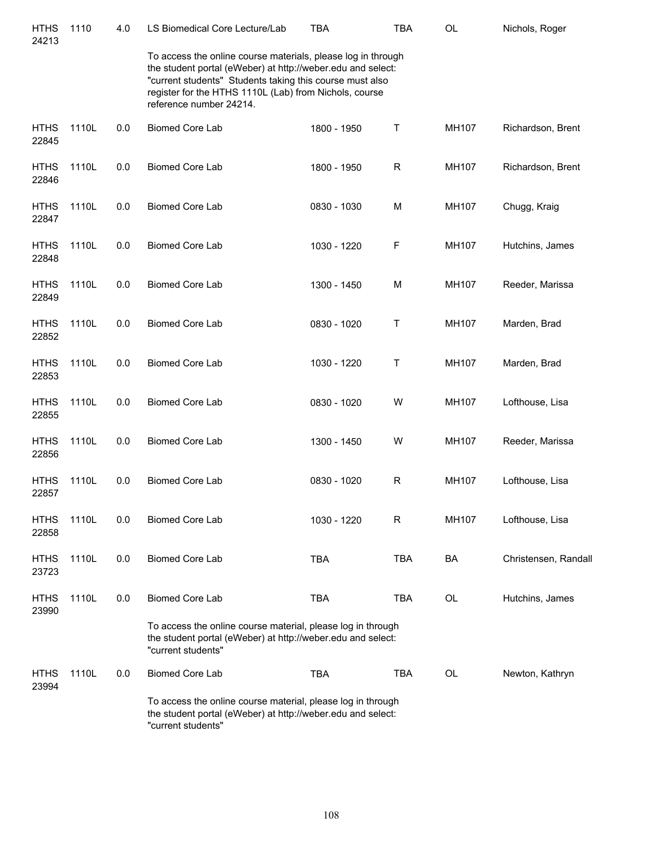| <b>HTHS</b><br>24213 | 1110  | 4.0 | LS Biomedical Core Lecture/Lab                                                                                                                                                                                                                                               | <b>TBA</b>  | <b>TBA</b>  | OL        | Nichols, Roger       |
|----------------------|-------|-----|------------------------------------------------------------------------------------------------------------------------------------------------------------------------------------------------------------------------------------------------------------------------------|-------------|-------------|-----------|----------------------|
|                      |       |     | To access the online course materials, please log in through<br>the student portal (eWeber) at http://weber.edu and select:<br>"current students" Students taking this course must also<br>register for the HTHS 1110L (Lab) from Nichols, course<br>reference number 24214. |             |             |           |                      |
| <b>HTHS</b><br>22845 | 1110L | 0.0 | <b>Biomed Core Lab</b>                                                                                                                                                                                                                                                       | 1800 - 1950 | т           | MH107     | Richardson, Brent    |
| <b>HTHS</b><br>22846 | 1110L | 0.0 | <b>Biomed Core Lab</b>                                                                                                                                                                                                                                                       | 1800 - 1950 | R           | MH107     | Richardson, Brent    |
| <b>HTHS</b><br>22847 | 1110L | 0.0 | <b>Biomed Core Lab</b>                                                                                                                                                                                                                                                       | 0830 - 1030 | M           | MH107     | Chugg, Kraig         |
| <b>HTHS</b><br>22848 | 1110L | 0.0 | <b>Biomed Core Lab</b>                                                                                                                                                                                                                                                       | 1030 - 1220 | F           | MH107     | Hutchins, James      |
| <b>HTHS</b><br>22849 | 1110L | 0.0 | <b>Biomed Core Lab</b>                                                                                                                                                                                                                                                       | 1300 - 1450 | M           | MH107     | Reeder, Marissa      |
| <b>HTHS</b><br>22852 | 1110L | 0.0 | <b>Biomed Core Lab</b>                                                                                                                                                                                                                                                       | 0830 - 1020 | Т           | MH107     | Marden, Brad         |
| <b>HTHS</b><br>22853 | 1110L | 0.0 | <b>Biomed Core Lab</b>                                                                                                                                                                                                                                                       | 1030 - 1220 | Т           | MH107     | Marden, Brad         |
| <b>HTHS</b><br>22855 | 1110L | 0.0 | <b>Biomed Core Lab</b>                                                                                                                                                                                                                                                       | 0830 - 1020 | W           | MH107     | Lofthouse, Lisa      |
| <b>HTHS</b><br>22856 | 1110L | 0.0 | <b>Biomed Core Lab</b>                                                                                                                                                                                                                                                       | 1300 - 1450 | W           | MH107     | Reeder, Marissa      |
| <b>HTHS</b><br>22857 | 1110L | 0.0 | <b>Biomed Core Lab</b>                                                                                                                                                                                                                                                       | 0830 - 1020 | $\mathsf R$ | MH107     | Lofthouse, Lisa      |
| <b>HTHS</b><br>22858 | 1110L | 0.0 | <b>Biomed Core Lab</b>                                                                                                                                                                                                                                                       | 1030 - 1220 | R           | MH107     | Lofthouse, Lisa      |
| <b>HTHS</b><br>23723 | 1110L | 0.0 | <b>Biomed Core Lab</b>                                                                                                                                                                                                                                                       | <b>TBA</b>  | <b>TBA</b>  | <b>BA</b> | Christensen, Randall |
| <b>HTHS</b><br>23990 | 1110L | 0.0 | <b>Biomed Core Lab</b>                                                                                                                                                                                                                                                       | <b>TBA</b>  | <b>TBA</b>  | OL        | Hutchins, James      |
|                      |       |     | To access the online course material, please log in through<br>the student portal (eWeber) at http://weber.edu and select:<br>"current students"                                                                                                                             |             |             |           |                      |
| <b>HTHS</b><br>23994 | 1110L | 0.0 | Biomed Core Lab                                                                                                                                                                                                                                                              | <b>TBA</b>  | <b>TBA</b>  | OL        | Newton, Kathryn      |
|                      |       |     | To access the online course material, please log in through<br>the student portal (eWeber) at http://weber.edu and select:<br>"current students"                                                                                                                             |             |             |           |                      |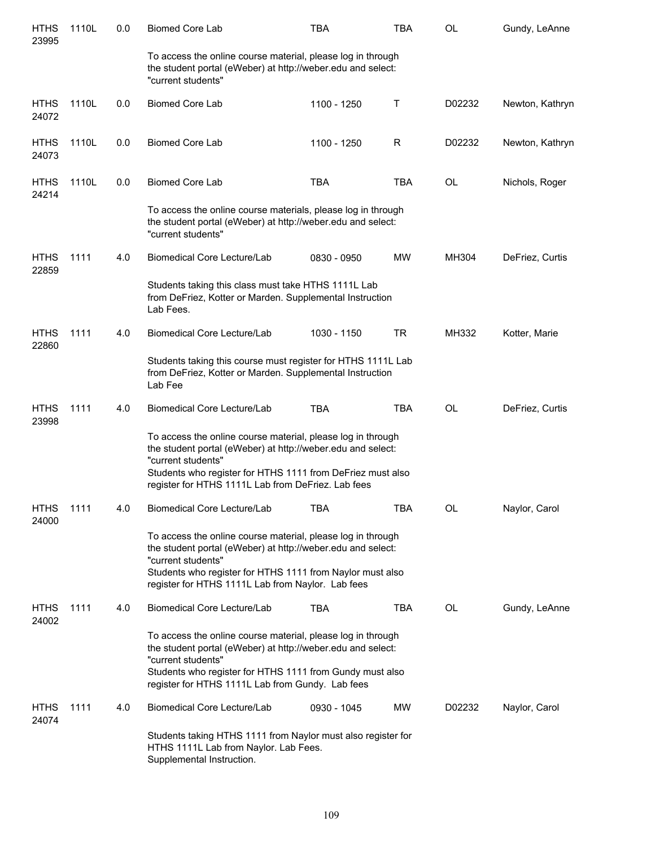| <b>HTHS</b><br>23995 | 1110L | 0.0 | <b>Biomed Core Lab</b>                                                                                                                                                                                                                                               | TBA         | <b>TBA</b> | OL     | Gundy, LeAnne   |
|----------------------|-------|-----|----------------------------------------------------------------------------------------------------------------------------------------------------------------------------------------------------------------------------------------------------------------------|-------------|------------|--------|-----------------|
|                      |       |     | To access the online course material, please log in through<br>the student portal (eWeber) at http://weber.edu and select:<br>"current students"                                                                                                                     |             |            |        |                 |
| <b>HTHS</b><br>24072 | 1110L | 0.0 | <b>Biomed Core Lab</b>                                                                                                                                                                                                                                               | 1100 - 1250 | Τ          | D02232 | Newton, Kathryn |
| <b>HTHS</b><br>24073 | 1110L | 0.0 | <b>Biomed Core Lab</b>                                                                                                                                                                                                                                               | 1100 - 1250 | R          | D02232 | Newton, Kathryn |
| <b>HTHS</b><br>24214 | 1110L | 0.0 | <b>Biomed Core Lab</b>                                                                                                                                                                                                                                               | <b>TBA</b>  | <b>TBA</b> | OL     | Nichols, Roger  |
|                      |       |     | To access the online course materials, please log in through<br>the student portal (eWeber) at http://weber.edu and select:<br>"current students"                                                                                                                    |             |            |        |                 |
| <b>HTHS</b><br>22859 | 1111  | 4.0 | Biomedical Core Lecture/Lab                                                                                                                                                                                                                                          | 0830 - 0950 | <b>MW</b>  | MH304  | DeFriez, Curtis |
|                      |       |     | Students taking this class must take HTHS 1111L Lab<br>from DeFriez, Kotter or Marden. Supplemental Instruction<br>Lab Fees.                                                                                                                                         |             |            |        |                 |
| <b>HTHS</b><br>22860 | 1111  | 4.0 | Biomedical Core Lecture/Lab                                                                                                                                                                                                                                          | 1030 - 1150 | TR         | MH332  | Kotter, Marie   |
|                      |       |     | Students taking this course must register for HTHS 1111L Lab<br>from DeFriez, Kotter or Marden. Supplemental Instruction<br>Lab Fee                                                                                                                                  |             |            |        |                 |
| <b>HTHS</b><br>23998 | 1111  | 4.0 | Biomedical Core Lecture/Lab                                                                                                                                                                                                                                          | <b>TBA</b>  | <b>TBA</b> | OL     | DeFriez, Curtis |
|                      |       |     | To access the online course material, please log in through<br>the student portal (eWeber) at http://weber.edu and select:<br>"current students"<br>Students who register for HTHS 1111 from DeFriez must also<br>register for HTHS 1111L Lab from DeFriez. Lab fees |             |            |        |                 |
| <b>HTHS</b><br>24000 | 1111  | 4.0 | Biomedical Core Lecture/Lab                                                                                                                                                                                                                                          | TBA         | TBA        | OL     | Naylor, Carol   |
|                      |       |     | To access the online course material, please log in through<br>the student portal (eWeber) at http://weber.edu and select:<br>"current students"<br>Students who register for HTHS 1111 from Naylor must also<br>register for HTHS 1111L Lab from Naylor. Lab fees   |             |            |        |                 |
| <b>HTHS</b><br>24002 | 1111  | 4.0 | Biomedical Core Lecture/Lab                                                                                                                                                                                                                                          | <b>TBA</b>  | <b>TBA</b> | OL     | Gundy, LeAnne   |
|                      |       |     | To access the online course material, please log in through<br>the student portal (eWeber) at http://weber.edu and select:<br>"current students"<br>Students who register for HTHS 1111 from Gundy must also<br>register for HTHS 1111L Lab from Gundy. Lab fees     |             |            |        |                 |
| <b>HTHS</b><br>24074 | 1111  | 4.0 | Biomedical Core Lecture/Lab                                                                                                                                                                                                                                          | 0930 - 1045 | <b>MW</b>  | D02232 | Naylor, Carol   |
|                      |       |     | Students taking HTHS 1111 from Naylor must also register for<br>HTHS 1111L Lab from Naylor. Lab Fees.<br>Supplemental Instruction.                                                                                                                                   |             |            |        |                 |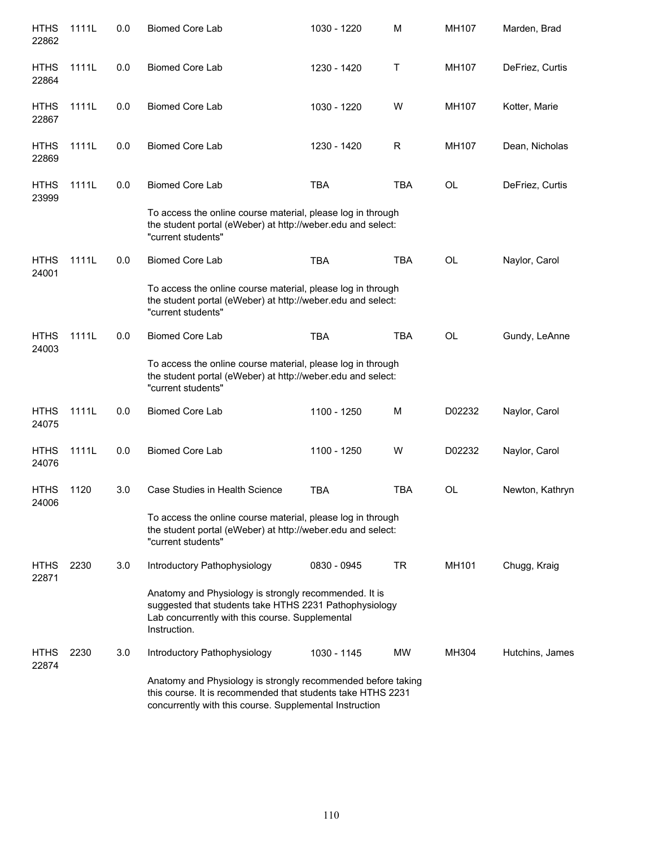| <b>HTHS</b><br>22862 | 1111L | 0.0 | <b>Biomed Core Lab</b>                                                                                                                                                                 | 1030 - 1220 | M          | MH107  | Marden, Brad    |
|----------------------|-------|-----|----------------------------------------------------------------------------------------------------------------------------------------------------------------------------------------|-------------|------------|--------|-----------------|
| <b>HTHS</b><br>22864 | 1111L | 0.0 | <b>Biomed Core Lab</b>                                                                                                                                                                 | 1230 - 1420 | Τ          | MH107  | DeFriez, Curtis |
| <b>HTHS</b><br>22867 | 1111L | 0.0 | <b>Biomed Core Lab</b>                                                                                                                                                                 | 1030 - 1220 | W          | MH107  | Kotter, Marie   |
| <b>HTHS</b><br>22869 | 1111L | 0.0 | <b>Biomed Core Lab</b>                                                                                                                                                                 | 1230 - 1420 | R          | MH107  | Dean, Nicholas  |
| <b>HTHS</b><br>23999 | 1111L | 0.0 | <b>Biomed Core Lab</b>                                                                                                                                                                 | <b>TBA</b>  | <b>TBA</b> | OL     | DeFriez, Curtis |
|                      |       |     | To access the online course material, please log in through<br>the student portal (eWeber) at http://weber.edu and select:<br>"current students"                                       |             |            |        |                 |
| <b>HTHS</b><br>24001 | 1111L | 0.0 | <b>Biomed Core Lab</b>                                                                                                                                                                 | <b>TBA</b>  | <b>TBA</b> | OL     | Naylor, Carol   |
|                      |       |     | To access the online course material, please log in through<br>the student portal (eWeber) at http://weber.edu and select:<br>"current students"                                       |             |            |        |                 |
| <b>HTHS</b><br>24003 | 1111L | 0.0 | <b>Biomed Core Lab</b>                                                                                                                                                                 | <b>TBA</b>  | <b>TBA</b> | OL     | Gundy, LeAnne   |
|                      |       |     | To access the online course material, please log in through<br>the student portal (eWeber) at http://weber.edu and select:<br>"current students"                                       |             |            |        |                 |
| <b>HTHS</b><br>24075 | 1111L | 0.0 | <b>Biomed Core Lab</b>                                                                                                                                                                 | 1100 - 1250 | M          | D02232 | Naylor, Carol   |
| <b>HTHS</b><br>24076 | 1111L | 0.0 | <b>Biomed Core Lab</b>                                                                                                                                                                 | 1100 - 1250 | W          | D02232 | Naylor, Carol   |
| <b>HTHS</b><br>24006 | 1120  | 3.0 | Case Studies in Health Science                                                                                                                                                         | <b>TBA</b>  | <b>TBA</b> | OL     | Newton, Kathryn |
|                      |       |     | To access the online course material, please log in through<br>the student portal (eWeber) at http://weber.edu and select:<br>"current students"                                       |             |            |        |                 |
| <b>HTHS</b><br>22871 | 2230  | 3.0 | Introductory Pathophysiology                                                                                                                                                           | 0830 - 0945 | TR         | MH101  | Chugg, Kraig    |
|                      |       |     | Anatomy and Physiology is strongly recommended. It is<br>suggested that students take HTHS 2231 Pathophysiology<br>Lab concurrently with this course. Supplemental<br>Instruction.     |             |            |        |                 |
| <b>HTHS</b><br>22874 | 2230  | 3.0 | Introductory Pathophysiology                                                                                                                                                           | 1030 - 1145 | MW         | MH304  | Hutchins, James |
|                      |       |     | Anatomy and Physiology is strongly recommended before taking<br>this course. It is recommended that students take HTHS 2231<br>concurrently with this course. Supplemental Instruction |             |            |        |                 |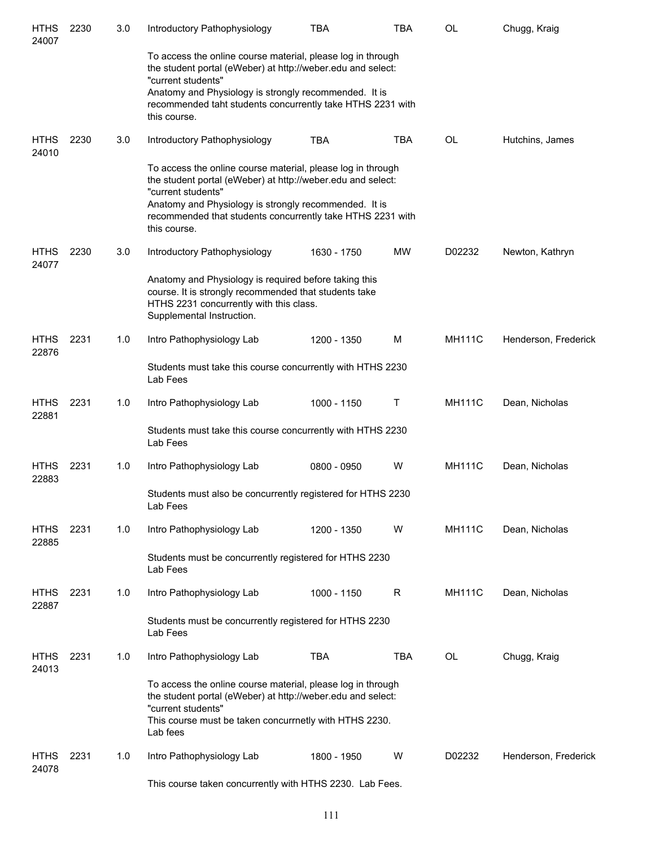| <b>HTHS</b><br>24007 | 2230 | 3.0 | Introductory Pathophysiology                                                                                                                                                                                                                                                            | <b>TBA</b>  | TBA       | <b>OL</b>     | Chugg, Kraig         |
|----------------------|------|-----|-----------------------------------------------------------------------------------------------------------------------------------------------------------------------------------------------------------------------------------------------------------------------------------------|-------------|-----------|---------------|----------------------|
|                      |      |     | To access the online course material, please log in through<br>the student portal (eWeber) at http://weber.edu and select:<br>"current students"<br>Anatomy and Physiology is strongly recommended. It is<br>recommended taht students concurrently take HTHS 2231 with<br>this course. |             |           |               |                      |
| <b>HTHS</b><br>24010 | 2230 | 3.0 | Introductory Pathophysiology                                                                                                                                                                                                                                                            | <b>TBA</b>  | TBA       | <b>OL</b>     | Hutchins, James      |
|                      |      |     | To access the online course material, please log in through<br>the student portal (eWeber) at http://weber.edu and select:<br>"current students"<br>Anatomy and Physiology is strongly recommended. It is<br>recommended that students concurrently take HTHS 2231 with<br>this course. |             |           |               |                      |
| <b>HTHS</b><br>24077 | 2230 | 3.0 | Introductory Pathophysiology                                                                                                                                                                                                                                                            | 1630 - 1750 | <b>MW</b> | D02232        | Newton, Kathryn      |
|                      |      |     | Anatomy and Physiology is required before taking this<br>course. It is strongly recommended that students take<br>HTHS 2231 concurrently with this class.<br>Supplemental Instruction.                                                                                                  |             |           |               |                      |
| <b>HTHS</b><br>22876 | 2231 | 1.0 | Intro Pathophysiology Lab                                                                                                                                                                                                                                                               | 1200 - 1350 | м         | <b>MH111C</b> | Henderson, Frederick |
|                      |      |     | Students must take this course concurrently with HTHS 2230<br>Lab Fees                                                                                                                                                                                                                  |             |           |               |                      |
| <b>HTHS</b><br>22881 | 2231 | 1.0 | Intro Pathophysiology Lab                                                                                                                                                                                                                                                               | 1000 - 1150 | T         | <b>MH111C</b> | Dean, Nicholas       |
|                      |      |     | Students must take this course concurrently with HTHS 2230<br>Lab Fees                                                                                                                                                                                                                  |             |           |               |                      |
| <b>HTHS</b><br>22883 | 2231 | 1.0 | Intro Pathophysiology Lab                                                                                                                                                                                                                                                               | 0800 - 0950 | W         | <b>MH111C</b> | Dean, Nicholas       |
|                      |      |     | Students must also be concurrently registered for HTHS 2230<br>Lab Fees                                                                                                                                                                                                                 |             |           |               |                      |
| <b>HTHS</b><br>22885 | 2231 | 1.0 | Intro Pathophysiology Lab                                                                                                                                                                                                                                                               | 1200 - 1350 | W         | <b>MH111C</b> | Dean, Nicholas       |
|                      |      |     | Students must be concurrently registered for HTHS 2230<br>Lab Fees                                                                                                                                                                                                                      |             |           |               |                      |
| <b>HTHS</b><br>22887 | 2231 | 1.0 | Intro Pathophysiology Lab                                                                                                                                                                                                                                                               | 1000 - 1150 | R         | <b>MH111C</b> | Dean, Nicholas       |
|                      |      |     | Students must be concurrently registered for HTHS 2230<br>Lab Fees                                                                                                                                                                                                                      |             |           |               |                      |
| <b>HTHS</b><br>24013 | 2231 | 1.0 | Intro Pathophysiology Lab                                                                                                                                                                                                                                                               | <b>TBA</b>  | TBA       | OL            | Chugg, Kraig         |
|                      |      |     | To access the online course material, please log in through<br>the student portal (eWeber) at http://weber.edu and select:<br>"current students"<br>This course must be taken concurrnetly with HTHS 2230.<br>Lab fees                                                                  |             |           |               |                      |
| <b>HTHS</b><br>24078 | 2231 | 1.0 | Intro Pathophysiology Lab                                                                                                                                                                                                                                                               | 1800 - 1950 | W         | D02232        | Henderson, Frederick |
|                      |      |     | This course taken concurrently with HTHS 2230. Lab Fees.                                                                                                                                                                                                                                |             |           |               |                      |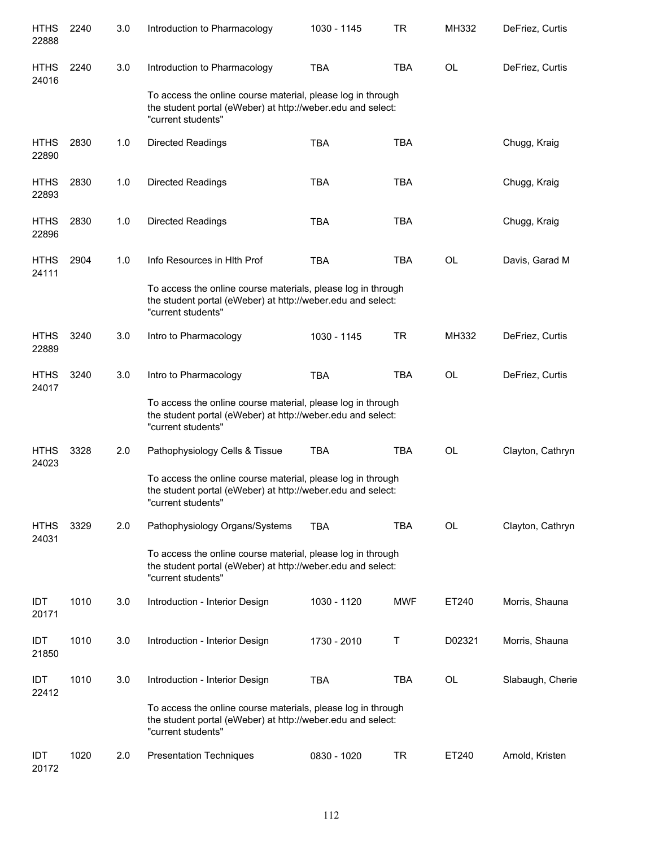| <b>HTHS</b><br>22888 | 2240 | 3.0 | Introduction to Pharmacology                                                                                                                      | 1030 - 1145 | <b>TR</b>  | MH332        | DeFriez, Curtis  |
|----------------------|------|-----|---------------------------------------------------------------------------------------------------------------------------------------------------|-------------|------------|--------------|------------------|
| <b>HTHS</b><br>24016 | 2240 | 3.0 | Introduction to Pharmacology                                                                                                                      | <b>TBA</b>  | <b>TBA</b> | <b>OL</b>    | DeFriez, Curtis  |
|                      |      |     | To access the online course material, please log in through<br>the student portal (eWeber) at http://weber.edu and select:<br>"current students"  |             |            |              |                  |
| <b>HTHS</b><br>22890 | 2830 | 1.0 | Directed Readings                                                                                                                                 | <b>TBA</b>  | <b>TBA</b> |              | Chugg, Kraig     |
| <b>HTHS</b><br>22893 | 2830 | 1.0 | Directed Readings                                                                                                                                 | <b>TBA</b>  | <b>TBA</b> |              | Chugg, Kraig     |
| <b>HTHS</b><br>22896 | 2830 | 1.0 | Directed Readings                                                                                                                                 | <b>TBA</b>  | <b>TBA</b> |              | Chugg, Kraig     |
| <b>HTHS</b><br>24111 | 2904 | 1.0 | Info Resources in Hlth Prof                                                                                                                       | <b>TBA</b>  | <b>TBA</b> | <b>OL</b>    | Davis, Garad M   |
|                      |      |     | To access the online course materials, please log in through<br>the student portal (eWeber) at http://weber.edu and select:<br>"current students" |             |            |              |                  |
| <b>HTHS</b><br>22889 | 3240 | 3.0 | Intro to Pharmacology                                                                                                                             | 1030 - 1145 | <b>TR</b>  | <b>MH332</b> | DeFriez, Curtis  |
| <b>HTHS</b><br>24017 | 3240 | 3.0 | Intro to Pharmacology                                                                                                                             | <b>TBA</b>  | <b>TBA</b> | <b>OL</b>    | DeFriez, Curtis  |
|                      |      |     | To access the online course material, please log in through<br>the student portal (eWeber) at http://weber.edu and select:<br>"current students"  |             |            |              |                  |
| <b>HTHS</b><br>24023 | 3328 | 2.0 | Pathophysiology Cells & Tissue                                                                                                                    | <b>TBA</b>  | <b>TBA</b> | <b>OL</b>    | Clayton, Cathryn |
|                      |      |     | To access the online course material, please log in through<br>the student portal (eWeber) at http://weber.edu and select:<br>"current students"  |             |            |              |                  |
| <b>HTHS</b><br>24031 | 3329 | 2.0 | Pathophysiology Organs/Systems                                                                                                                    | <b>TBA</b>  | <b>TBA</b> | OL           | Clayton, Cathryn |
|                      |      |     | To access the online course material, please log in through<br>the student portal (eWeber) at http://weber.edu and select:<br>"current students"  |             |            |              |                  |
| <b>IDT</b><br>20171  | 1010 | 3.0 | Introduction - Interior Design                                                                                                                    | 1030 - 1120 | <b>MWF</b> | ET240        | Morris, Shauna   |
| IDT<br>21850         | 1010 | 3.0 | Introduction - Interior Design                                                                                                                    | 1730 - 2010 | Т          | D02321       | Morris, Shauna   |
| <b>IDT</b><br>22412  | 1010 | 3.0 | Introduction - Interior Design                                                                                                                    | <b>TBA</b>  | <b>TBA</b> | OL           | Slabaugh, Cherie |
|                      |      |     | To access the online course materials, please log in through<br>the student portal (eWeber) at http://weber.edu and select:<br>"current students" |             |            |              |                  |
| IDT<br>20172         | 1020 | 2.0 | <b>Presentation Techniques</b>                                                                                                                    | 0830 - 1020 | TR         | ET240        | Arnold, Kristen  |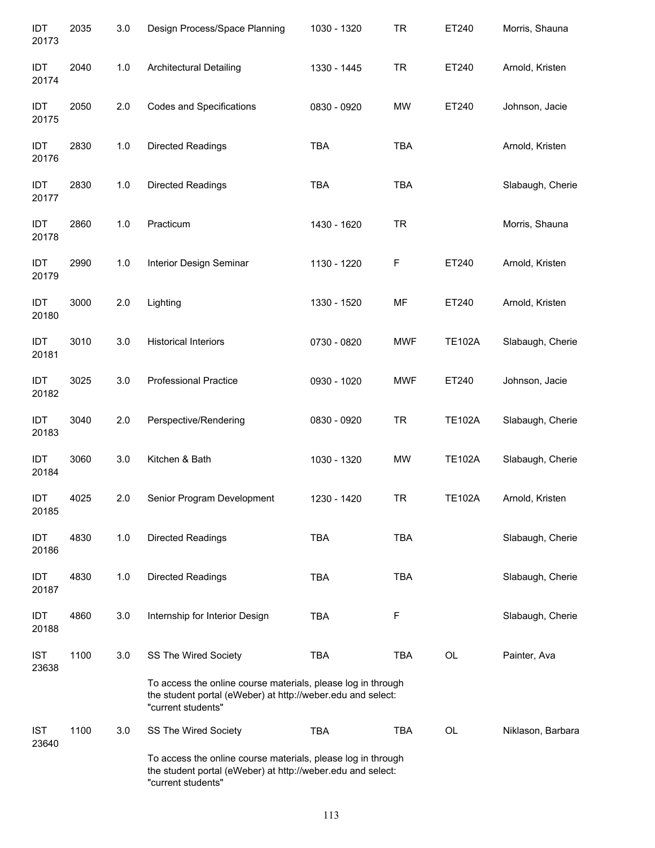| IDT<br>20173        | 2035 | 3.0   | Design Process/Space Planning                                                                                                                     | 1030 - 1320 | <b>TR</b>   | ET240         | Morris, Shauna    |
|---------------------|------|-------|---------------------------------------------------------------------------------------------------------------------------------------------------|-------------|-------------|---------------|-------------------|
| IDT<br>20174        | 2040 | $1.0$ | <b>Architectural Detailing</b>                                                                                                                    | 1330 - 1445 | <b>TR</b>   | ET240         | Arnold, Kristen   |
| IDT<br>20175        | 2050 | 2.0   | <b>Codes and Specifications</b>                                                                                                                   | 0830 - 0920 | <b>MW</b>   | ET240         | Johnson, Jacie    |
| IDT<br>20176        | 2830 | $1.0$ | <b>Directed Readings</b>                                                                                                                          | <b>TBA</b>  | <b>TBA</b>  |               | Arnold, Kristen   |
| IDT<br>20177        | 2830 | 1.0   | Directed Readings                                                                                                                                 | <b>TBA</b>  | <b>TBA</b>  |               | Slabaugh, Cherie  |
| IDT<br>20178        | 2860 | 1.0   | Practicum                                                                                                                                         | 1430 - 1620 | <b>TR</b>   |               | Morris, Shauna    |
| IDT<br>20179        | 2990 | 1.0   | Interior Design Seminar                                                                                                                           | 1130 - 1220 | $\mathsf F$ | ET240         | Arnold, Kristen   |
| IDT<br>20180        | 3000 | 2.0   | Lighting                                                                                                                                          | 1330 - 1520 | MF          | ET240         | Arnold, Kristen   |
| IDT<br>20181        | 3010 | 3.0   | <b>Historical Interiors</b>                                                                                                                       | 0730 - 0820 | <b>MWF</b>  | <b>TE102A</b> | Slabaugh, Cherie  |
| IDT<br>20182        | 3025 | 3.0   | <b>Professional Practice</b>                                                                                                                      | 0930 - 1020 | <b>MWF</b>  | ET240         | Johnson, Jacie    |
| IDT<br>20183        | 3040 | 2.0   | Perspective/Rendering                                                                                                                             | 0830 - 0920 | <b>TR</b>   | <b>TE102A</b> | Slabaugh, Cherie  |
| IDT<br>20184        | 3060 | 3.0   | Kitchen & Bath                                                                                                                                    | 1030 - 1320 | <b>MW</b>   | <b>TE102A</b> | Slabaugh, Cherie  |
| IDT<br>20185        | 4025 | 2.0   | Senior Program Development                                                                                                                        | 1230 - 1420 | TR          | <b>TE102A</b> | Arnold, Kristen   |
| IDT<br>20186        | 4830 | 1.0   | Directed Readings                                                                                                                                 | <b>TBA</b>  | <b>TBA</b>  |               | Slabaugh, Cherie  |
| IDT<br>20187        | 4830 | 1.0   | Directed Readings                                                                                                                                 | <b>TBA</b>  | <b>TBA</b>  |               | Slabaugh, Cherie  |
| IDT<br>20188        | 4860 | 3.0   | Internship for Interior Design                                                                                                                    | TBA         | F           |               | Slabaugh, Cherie  |
| <b>IST</b><br>23638 | 1100 | 3.0   | SS The Wired Society                                                                                                                              | <b>TBA</b>  | <b>TBA</b>  | OL            | Painter, Ava      |
|                     |      |       | To access the online course materials, please log in through<br>the student portal (eWeber) at http://weber.edu and select:<br>"current students" |             |             |               |                   |
| <b>IST</b><br>23640 | 1100 | 3.0   | SS The Wired Society                                                                                                                              | <b>TBA</b>  | TBA         | OL            | Niklason, Barbara |
|                     |      |       | To access the online course materials, please log in through<br>the student portal (eWeber) at http://weber.edu and select:<br>"current students" |             |             |               |                   |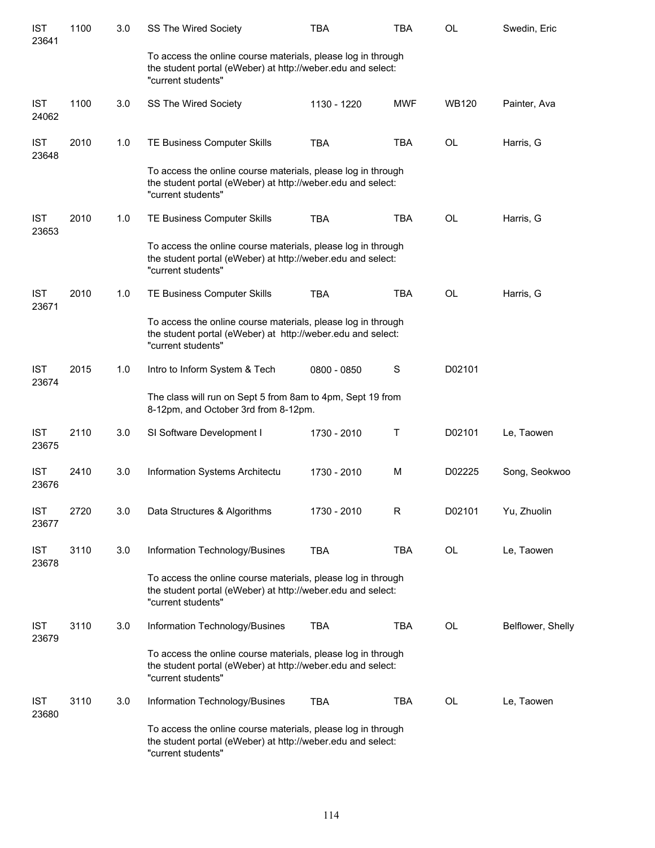| <b>IST</b><br>23641 | 1100 | 3.0 | SS The Wired Society                                                                                                                              | <b>TBA</b>  | TBA        | OL           | Swedin, Eric      |
|---------------------|------|-----|---------------------------------------------------------------------------------------------------------------------------------------------------|-------------|------------|--------------|-------------------|
|                     |      |     | To access the online course materials, please log in through<br>the student portal (eWeber) at http://weber.edu and select:<br>"current students" |             |            |              |                   |
| <b>IST</b><br>24062 | 1100 | 3.0 | SS The Wired Society                                                                                                                              | 1130 - 1220 | <b>MWF</b> | <b>WB120</b> | Painter, Ava      |
| <b>IST</b><br>23648 | 2010 | 1.0 | TE Business Computer Skills                                                                                                                       | <b>TBA</b>  | <b>TBA</b> | <b>OL</b>    | Harris, G         |
|                     |      |     | To access the online course materials, please log in through<br>the student portal (eWeber) at http://weber.edu and select:<br>"current students" |             |            |              |                   |
| <b>IST</b><br>23653 | 2010 | 1.0 | TE Business Computer Skills                                                                                                                       | <b>TBA</b>  | <b>TBA</b> | <b>OL</b>    | Harris, G         |
|                     |      |     | To access the online course materials, please log in through<br>the student portal (eWeber) at http://weber.edu and select:<br>"current students" |             |            |              |                   |
| <b>IST</b><br>23671 | 2010 | 1.0 | TE Business Computer Skills                                                                                                                       | <b>TBA</b>  | <b>TBA</b> | OL           | Harris, G         |
|                     |      |     | To access the online course materials, please log in through<br>the student portal (eWeber) at http://weber.edu and select:<br>"current students" |             |            |              |                   |
| <b>IST</b><br>23674 | 2015 | 1.0 | Intro to Inform System & Tech                                                                                                                     | 0800 - 0850 | S          | D02101       |                   |
|                     |      |     | The class will run on Sept 5 from 8am to 4pm, Sept 19 from<br>8-12pm, and October 3rd from 8-12pm.                                                |             |            |              |                   |
| <b>IST</b><br>23675 | 2110 | 3.0 | SI Software Development I                                                                                                                         | 1730 - 2010 | T          | D02101       | Le, Taowen        |
| <b>IST</b><br>23676 | 2410 | 3.0 | Information Systems Architectu                                                                                                                    | 1730 - 2010 | M          | D02225       | Song, Seokwoo     |
| <b>IST</b><br>23677 | 2720 | 3.0 | Data Structures & Algorithms                                                                                                                      | 1730 - 2010 | R          | D02101       | Yu, Zhuolin       |
| <b>IST</b><br>23678 | 3110 | 3.0 | Information Technology/Busines                                                                                                                    | <b>TBA</b>  | <b>TBA</b> | OL           | Le, Taowen        |
|                     |      |     | To access the online course materials, please log in through<br>the student portal (eWeber) at http://weber.edu and select:<br>"current students" |             |            |              |                   |
| <b>IST</b><br>23679 | 3110 | 3.0 | Information Technology/Busines                                                                                                                    | <b>TBA</b>  | <b>TBA</b> | OL           | Belflower, Shelly |
|                     |      |     | To access the online course materials, please log in through<br>the student portal (eWeber) at http://weber.edu and select:<br>"current students" |             |            |              |                   |
| <b>IST</b><br>23680 | 3110 | 3.0 | Information Technology/Busines                                                                                                                    | <b>TBA</b>  | <b>TBA</b> | OL           | Le, Taowen        |
|                     |      |     | To access the online course materials, please log in through<br>the student portal (eWeber) at http://weber.edu and select:<br>"current students" |             |            |              |                   |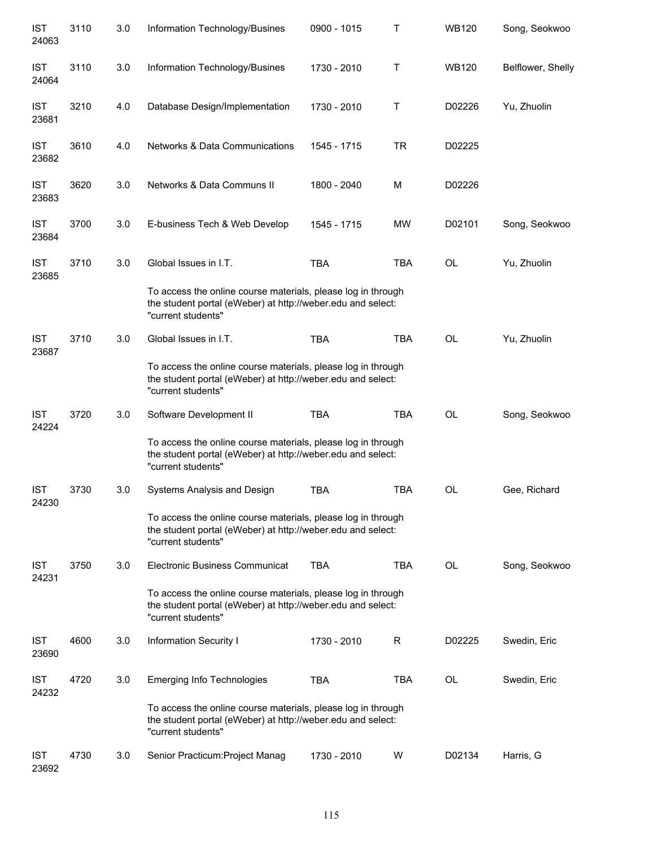| <b>IST</b><br>24063 | 3110 | 3.0 | Information Technology/Busines                                                                                                                    | 0900 - 1015 | Τ          | <b>WB120</b> | Song, Seokwoo     |
|---------------------|------|-----|---------------------------------------------------------------------------------------------------------------------------------------------------|-------------|------------|--------------|-------------------|
| <b>IST</b><br>24064 | 3110 | 3.0 | Information Technology/Busines                                                                                                                    | 1730 - 2010 | Τ          | <b>WB120</b> | Belflower, Shelly |
| <b>IST</b><br>23681 | 3210 | 4.0 | Database Design/Implementation                                                                                                                    | 1730 - 2010 | Τ          | D02226       | Yu, Zhuolin       |
| <b>IST</b><br>23682 | 3610 | 4.0 | Networks & Data Communications                                                                                                                    | 1545 - 1715 | <b>TR</b>  | D02225       |                   |
| <b>IST</b><br>23683 | 3620 | 3.0 | Networks & Data Communs II                                                                                                                        | 1800 - 2040 | M          | D02226       |                   |
| <b>IST</b><br>23684 | 3700 | 3.0 | E-business Tech & Web Develop                                                                                                                     | 1545 - 1715 | MW         | D02101       | Song, Seokwoo     |
| <b>IST</b><br>23685 | 3710 | 3.0 | Global Issues in I.T.                                                                                                                             | <b>TBA</b>  | <b>TBA</b> | <b>OL</b>    | Yu, Zhuolin       |
|                     |      |     | To access the online course materials, please log in through<br>the student portal (eWeber) at http://weber.edu and select:<br>"current students" |             |            |              |                   |
| <b>IST</b><br>23687 | 3710 | 3.0 | Global Issues in I.T.                                                                                                                             | <b>TBA</b>  | <b>TBA</b> | <b>OL</b>    | Yu, Zhuolin       |
|                     |      |     | To access the online course materials, please log in through<br>the student portal (eWeber) at http://weber.edu and select:<br>"current students" |             |            |              |                   |
| <b>IST</b><br>24224 | 3720 | 3.0 | Software Development II                                                                                                                           | <b>TBA</b>  | <b>TBA</b> | <b>OL</b>    | Song, Seokwoo     |
|                     |      |     | To access the online course materials, please log in through<br>the student portal (eWeber) at http://weber.edu and select:<br>"current students" |             |            |              |                   |
| <b>IST</b><br>24230 | 3730 | 3.0 | Systems Analysis and Design                                                                                                                       | <b>TBA</b>  | <b>TBA</b> | OL           | Gee, Richard      |
|                     |      |     | To access the online course materials, please log in through<br>the student portal (eWeber) at http://weber.edu and select:<br>"current students" |             |            |              |                   |
| <b>IST</b><br>24231 | 3750 | 3.0 | Electronic Business Communicat                                                                                                                    | <b>TBA</b>  | <b>TBA</b> | <b>OL</b>    | Song, Seokwoo     |
|                     |      |     | To access the online course materials, please log in through<br>the student portal (eWeber) at http://weber.edu and select:<br>"current students" |             |            |              |                   |
| <b>IST</b><br>23690 | 4600 | 3.0 | <b>Information Security I</b>                                                                                                                     | 1730 - 2010 | R          | D02225       | Swedin, Eric      |
| <b>IST</b><br>24232 | 4720 | 3.0 | <b>Emerging Info Technologies</b>                                                                                                                 | <b>TBA</b>  | <b>TBA</b> | OL           | Swedin, Eric      |
|                     |      |     | To access the online course materials, please log in through<br>the student portal (eWeber) at http://weber.edu and select:<br>"current students" |             |            |              |                   |
| <b>IST</b><br>23692 | 4730 | 3.0 | Senior Practicum: Project Manag                                                                                                                   | 1730 - 2010 | W          | D02134       | Harris, G         |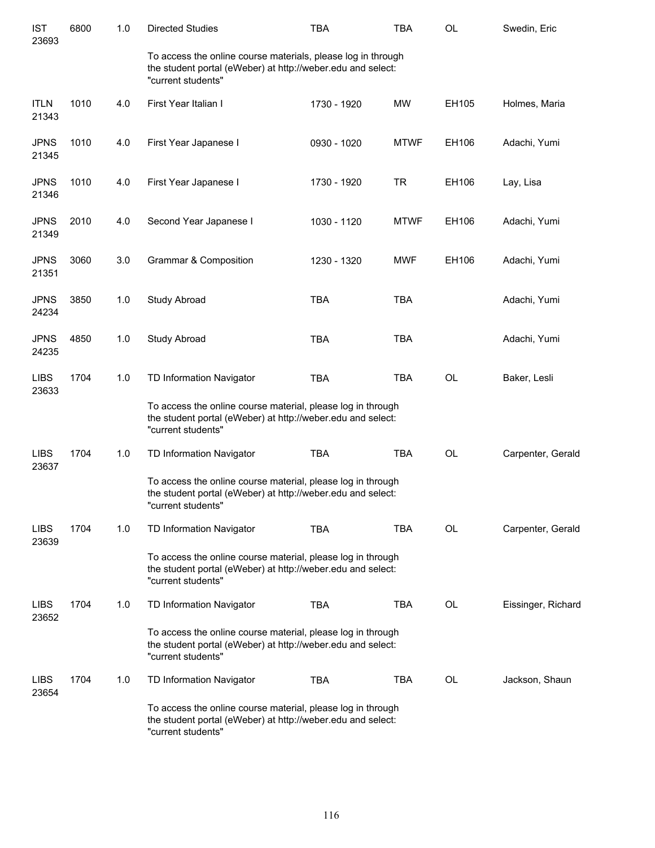| <b>IST</b><br>23693  | 6800 | 1.0 | <b>Directed Studies</b>                                                                                                                           | <b>TBA</b>  | <b>TBA</b>  | OL        | Swedin, Eric       |
|----------------------|------|-----|---------------------------------------------------------------------------------------------------------------------------------------------------|-------------|-------------|-----------|--------------------|
|                      |      |     | To access the online course materials, please log in through<br>the student portal (eWeber) at http://weber.edu and select:<br>"current students" |             |             |           |                    |
| <b>ITLN</b><br>21343 | 1010 | 4.0 | First Year Italian I                                                                                                                              | 1730 - 1920 | MW          | EH105     | Holmes, Maria      |
| <b>JPNS</b><br>21345 | 1010 | 4.0 | First Year Japanese I                                                                                                                             | 0930 - 1020 | <b>MTWF</b> | EH106     | Adachi, Yumi       |
| <b>JPNS</b><br>21346 | 1010 | 4.0 | First Year Japanese I                                                                                                                             | 1730 - 1920 | <b>TR</b>   | EH106     | Lay, Lisa          |
| <b>JPNS</b><br>21349 | 2010 | 4.0 | Second Year Japanese I                                                                                                                            | 1030 - 1120 | <b>MTWF</b> | EH106     | Adachi, Yumi       |
| <b>JPNS</b><br>21351 | 3060 | 3.0 | <b>Grammar &amp; Composition</b>                                                                                                                  | 1230 - 1320 | <b>MWF</b>  | EH106     | Adachi, Yumi       |
| <b>JPNS</b><br>24234 | 3850 | 1.0 | Study Abroad                                                                                                                                      | <b>TBA</b>  | <b>TBA</b>  |           | Adachi, Yumi       |
| <b>JPNS</b><br>24235 | 4850 | 1.0 | Study Abroad                                                                                                                                      | <b>TBA</b>  | <b>TBA</b>  |           | Adachi, Yumi       |
| <b>LIBS</b><br>23633 | 1704 | 1.0 | TD Information Navigator                                                                                                                          | <b>TBA</b>  | <b>TBA</b>  | OL        | Baker, Lesli       |
|                      |      |     | To access the online course material, please log in through<br>the student portal (eWeber) at http://weber.edu and select:<br>"current students"  |             |             |           |                    |
| <b>LIBS</b><br>23637 | 1704 | 1.0 | TD Information Navigator                                                                                                                          | <b>TBA</b>  | <b>TBA</b>  | OL        | Carpenter, Gerald  |
|                      |      |     | To access the online course material, please log in through<br>the student portal (eWeber) at http://weber.edu and select:<br>"current students"  |             |             |           |                    |
| <b>LIBS</b><br>23639 | 1704 | 1.0 | TD Information Navigator                                                                                                                          | TBA         | <b>TBA</b>  | OL        | Carpenter, Gerald  |
|                      |      |     | To access the online course material, please log in through<br>the student portal (eWeber) at http://weber.edu and select:<br>"current students"  |             |             |           |                    |
| <b>LIBS</b><br>23652 | 1704 | 1.0 | TD Information Navigator                                                                                                                          | <b>TBA</b>  | <b>TBA</b>  | <b>OL</b> | Eissinger, Richard |
|                      |      |     | To access the online course material, please log in through<br>the student portal (eWeber) at http://weber.edu and select:<br>"current students"  |             |             |           |                    |
| <b>LIBS</b><br>23654 | 1704 | 1.0 | TD Information Navigator                                                                                                                          | TBA         | <b>TBA</b>  | OL        | Jackson, Shaun     |
|                      |      |     | To access the online course material, please log in through<br>the student portal (eWeber) at http://weber.edu and select:<br>"current students"  |             |             |           |                    |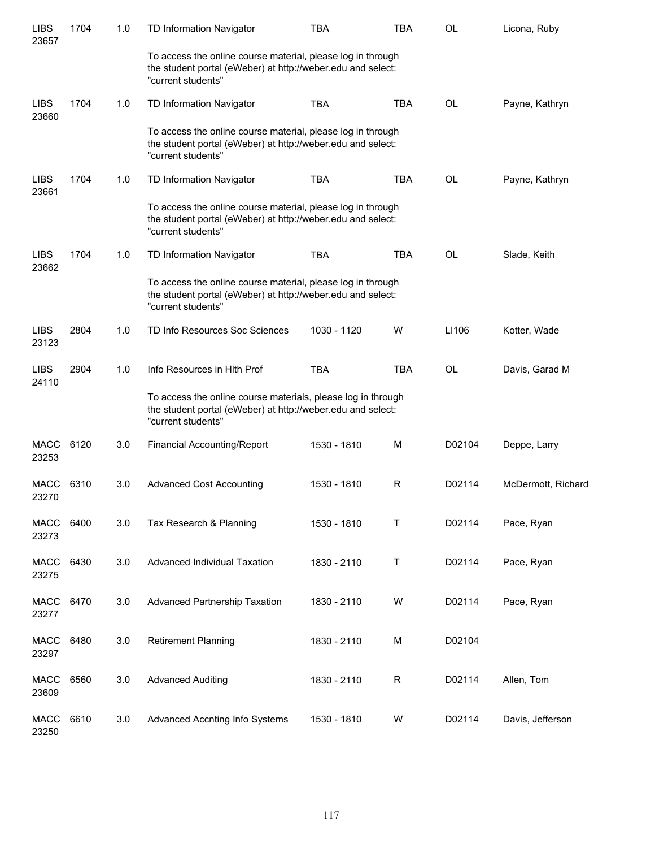| <b>LIBS</b><br>23657 | 1704 | 1.0 | TD Information Navigator                                                                                                                          | <b>TBA</b>  | <b>TBA</b> | OL        | Licona, Ruby       |
|----------------------|------|-----|---------------------------------------------------------------------------------------------------------------------------------------------------|-------------|------------|-----------|--------------------|
|                      |      |     | To access the online course material, please log in through<br>the student portal (eWeber) at http://weber.edu and select:<br>"current students"  |             |            |           |                    |
| <b>LIBS</b><br>23660 | 1704 | 1.0 | TD Information Navigator                                                                                                                          | <b>TBA</b>  | <b>TBA</b> | <b>OL</b> | Payne, Kathryn     |
|                      |      |     | To access the online course material, please log in through<br>the student portal (eWeber) at http://weber.edu and select:<br>"current students"  |             |            |           |                    |
| <b>LIBS</b><br>23661 | 1704 | 1.0 | TD Information Navigator                                                                                                                          | <b>TBA</b>  | <b>TBA</b> | <b>OL</b> | Payne, Kathryn     |
|                      |      |     | To access the online course material, please log in through<br>the student portal (eWeber) at http://weber.edu and select:<br>"current students"  |             |            |           |                    |
| <b>LIBS</b><br>23662 | 1704 | 1.0 | TD Information Navigator                                                                                                                          | <b>TBA</b>  | <b>TBA</b> | <b>OL</b> | Slade, Keith       |
|                      |      |     | To access the online course material, please log in through<br>the student portal (eWeber) at http://weber.edu and select:<br>"current students"  |             |            |           |                    |
| <b>LIBS</b><br>23123 | 2804 | 1.0 | TD Info Resources Soc Sciences                                                                                                                    | 1030 - 1120 | W          | LI106     | Kotter, Wade       |
| <b>LIBS</b><br>24110 | 2904 | 1.0 | Info Resources in HIth Prof                                                                                                                       | <b>TBA</b>  | <b>TBA</b> | <b>OL</b> | Davis, Garad M     |
|                      |      |     | To access the online course materials, please log in through<br>the student portal (eWeber) at http://weber.edu and select:<br>"current students" |             |            |           |                    |
| MACC<br>23253        | 6120 | 3.0 | Financial Accounting/Report                                                                                                                       | 1530 - 1810 | M          | D02104    | Deppe, Larry       |
| MACC<br>23270        | 6310 | 3.0 | <b>Advanced Cost Accounting</b>                                                                                                                   | 1530 - 1810 | R          | D02114    | McDermott, Richard |
| MACC<br>23273        | 6400 | 3.0 | Tax Research & Planning                                                                                                                           | 1530 - 1810 | Т          | D02114    | Pace, Ryan         |
| MACC<br>23275        | 6430 | 3.0 | Advanced Individual Taxation                                                                                                                      | 1830 - 2110 | T          | D02114    | Pace, Ryan         |
| <b>MACC</b><br>23277 | 6470 | 3.0 | <b>Advanced Partnership Taxation</b>                                                                                                              | 1830 - 2110 | W          | D02114    | Pace, Ryan         |
| MACC<br>23297        | 6480 | 3.0 | <b>Retirement Planning</b>                                                                                                                        | 1830 - 2110 | M          | D02104    |                    |
| <b>MACC</b><br>23609 | 6560 | 3.0 | <b>Advanced Auditing</b>                                                                                                                          | 1830 - 2110 | R          | D02114    | Allen, Tom         |
| <b>MACC</b><br>23250 | 6610 | 3.0 | Advanced Accnting Info Systems                                                                                                                    | 1530 - 1810 | W          | D02114    | Davis, Jefferson   |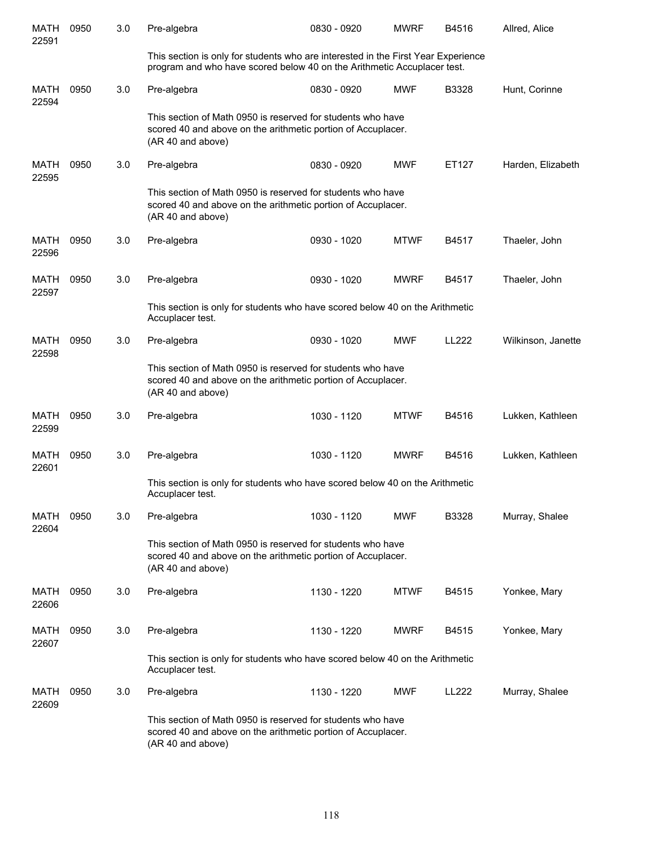| <b>MATH</b><br>22591 | 0950 | 3.0 | Pre-algebra                                                                                                                                                  | 0830 - 0920 | <b>MWRF</b> | B4516        | Allred, Alice      |
|----------------------|------|-----|--------------------------------------------------------------------------------------------------------------------------------------------------------------|-------------|-------------|--------------|--------------------|
|                      |      |     | This section is only for students who are interested in the First Year Experience<br>program and who have scored below 40 on the Arithmetic Accuplacer test. |             |             |              |                    |
| <b>MATH</b><br>22594 | 0950 | 3.0 | Pre-algebra                                                                                                                                                  | 0830 - 0920 | <b>MWF</b>  | B3328        | Hunt, Corinne      |
|                      |      |     | This section of Math 0950 is reserved for students who have<br>scored 40 and above on the arithmetic portion of Accuplacer.<br>(AR 40 and above)             |             |             |              |                    |
| MATH<br>22595        | 0950 | 3.0 | Pre-algebra                                                                                                                                                  | 0830 - 0920 | <b>MWF</b>  | ET127        | Harden, Elizabeth  |
|                      |      |     | This section of Math 0950 is reserved for students who have<br>scored 40 and above on the arithmetic portion of Accuplacer.<br>(AR 40 and above)             |             |             |              |                    |
| MATH<br>22596        | 0950 | 3.0 | Pre-algebra                                                                                                                                                  | 0930 - 1020 | <b>MTWF</b> | B4517        | Thaeler, John      |
| MATH<br>22597        | 0950 | 3.0 | Pre-algebra                                                                                                                                                  | 0930 - 1020 | <b>MWRF</b> | B4517        | Thaeler, John      |
|                      |      |     | This section is only for students who have scored below 40 on the Arithmetic<br>Accuplacer test.                                                             |             |             |              |                    |
| <b>MATH</b><br>22598 | 0950 | 3.0 | Pre-algebra                                                                                                                                                  | 0930 - 1020 | <b>MWF</b>  | <b>LL222</b> | Wilkinson, Janette |
|                      |      |     | This section of Math 0950 is reserved for students who have<br>scored 40 and above on the arithmetic portion of Accuplacer.<br>(AR 40 and above)             |             |             |              |                    |
| MATH<br>22599        | 0950 | 3.0 | Pre-algebra                                                                                                                                                  | 1030 - 1120 | <b>MTWF</b> | B4516        | Lukken, Kathleen   |
| <b>MATH</b><br>22601 | 0950 | 3.0 | Pre-algebra                                                                                                                                                  | 1030 - 1120 | <b>MWRF</b> | B4516        | Lukken, Kathleen   |
|                      |      |     | This section is only for students who have scored below 40 on the Arithmetic<br>Accuplacer test.                                                             |             |             |              |                    |
| MATH<br>22604        | 0950 | 3.0 | Pre-algebra                                                                                                                                                  | 1030 - 1120 | <b>MWF</b>  | B3328        | Murray, Shalee     |
|                      |      |     | This section of Math 0950 is reserved for students who have<br>scored 40 and above on the arithmetic portion of Accuplacer.<br>(AR 40 and above)             |             |             |              |                    |
| MATH<br>22606        | 0950 | 3.0 | Pre-algebra                                                                                                                                                  | 1130 - 1220 | <b>MTWF</b> | B4515        | Yonkee, Mary       |
| MATH<br>22607        | 0950 | 3.0 | Pre-algebra                                                                                                                                                  | 1130 - 1220 | <b>MWRF</b> | B4515        | Yonkee, Mary       |
|                      |      |     | This section is only for students who have scored below 40 on the Arithmetic<br>Accuplacer test.                                                             |             |             |              |                    |
| MATH<br>22609        | 0950 | 3.0 | Pre-algebra                                                                                                                                                  | 1130 - 1220 | <b>MWF</b>  | LL222        | Murray, Shalee     |
|                      |      |     | This section of Math 0950 is reserved for students who have<br>scored 40 and above on the arithmetic portion of Accuplacer.<br>(AR 40 and above)             |             |             |              |                    |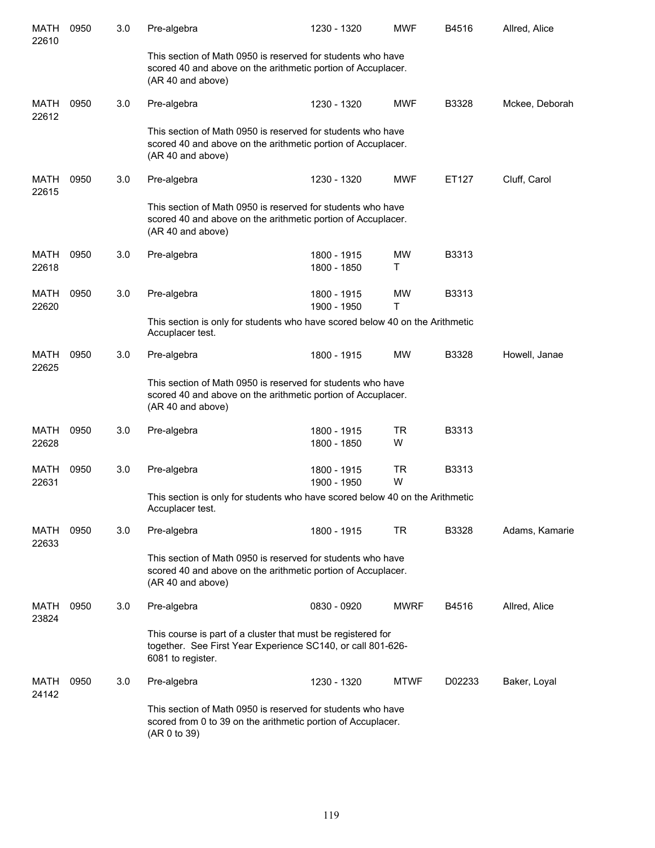| <b>MATH</b><br>22610 | 0950 | 3.0 | Pre-algebra                                                                                                                                      | 1230 - 1320                | <b>MWF</b>     | B4516  | Allred, Alice  |
|----------------------|------|-----|--------------------------------------------------------------------------------------------------------------------------------------------------|----------------------------|----------------|--------|----------------|
|                      |      |     | This section of Math 0950 is reserved for students who have<br>scored 40 and above on the arithmetic portion of Accuplacer.<br>(AR 40 and above) |                            |                |        |                |
| <b>MATH</b><br>22612 | 0950 | 3.0 | Pre-algebra                                                                                                                                      | 1230 - 1320                | <b>MWF</b>     | B3328  | Mckee, Deborah |
|                      |      |     | This section of Math 0950 is reserved for students who have<br>scored 40 and above on the arithmetic portion of Accuplacer.<br>(AR 40 and above) |                            |                |        |                |
| MATH<br>22615        | 0950 | 3.0 | Pre-algebra                                                                                                                                      | 1230 - 1320                | <b>MWF</b>     | ET127  | Cluff, Carol   |
|                      |      |     | This section of Math 0950 is reserved for students who have<br>scored 40 and above on the arithmetic portion of Accuplacer.<br>(AR 40 and above) |                            |                |        |                |
| <b>MATH</b><br>22618 | 0950 | 3.0 | Pre-algebra                                                                                                                                      | 1800 - 1915<br>1800 - 1850 | MW<br>т        | B3313  |                |
| <b>MATH</b><br>22620 | 0950 | 3.0 | Pre-algebra                                                                                                                                      | 1800 - 1915<br>1900 - 1950 | <b>MW</b><br>Τ | B3313  |                |
|                      |      |     | This section is only for students who have scored below 40 on the Arithmetic<br>Accuplacer test.                                                 |                            |                |        |                |
| MATH<br>22625        | 0950 | 3.0 | Pre-algebra                                                                                                                                      | 1800 - 1915                | MW             | B3328  | Howell, Janae  |
|                      |      |     | This section of Math 0950 is reserved for students who have<br>scored 40 and above on the arithmetic portion of Accuplacer.<br>(AR 40 and above) |                            |                |        |                |
| MATH<br>22628        | 0950 | 3.0 | Pre-algebra                                                                                                                                      | 1800 - 1915<br>1800 - 1850 | TR<br>W        | B3313  |                |
| <b>MATH</b><br>22631 | 0950 | 3.0 | Pre-algebra                                                                                                                                      | 1800 - 1915<br>1900 - 1950 | TR<br>W        | B3313  |                |
|                      |      |     | This section is only for students who have scored below 40 on the Arithmetic<br>Accuplacer test.                                                 |                            |                |        |                |
| MATH<br>22633        | 0950 | 3.0 | Pre-algebra                                                                                                                                      | 1800 - 1915                | TR             | B3328  | Adams, Kamarie |
|                      |      |     | This section of Math 0950 is reserved for students who have<br>scored 40 and above on the arithmetic portion of Accuplacer.<br>(AR 40 and above) |                            |                |        |                |
| MATH<br>23824        | 0950 | 3.0 | Pre-algebra                                                                                                                                      | 0830 - 0920                | <b>MWRF</b>    | B4516  | Allred, Alice  |
|                      |      |     | This course is part of a cluster that must be registered for<br>together. See First Year Experience SC140, or call 801-626-<br>6081 to register. |                            |                |        |                |
| MATH<br>24142        | 0950 | 3.0 | Pre-algebra                                                                                                                                      | 1230 - 1320                | <b>MTWF</b>    | D02233 | Baker, Loyal   |
|                      |      |     | This section of Math 0950 is reserved for students who have<br>scored from 0 to 39 on the arithmetic portion of Accuplacer.<br>(AR 0 to 39)      |                            |                |        |                |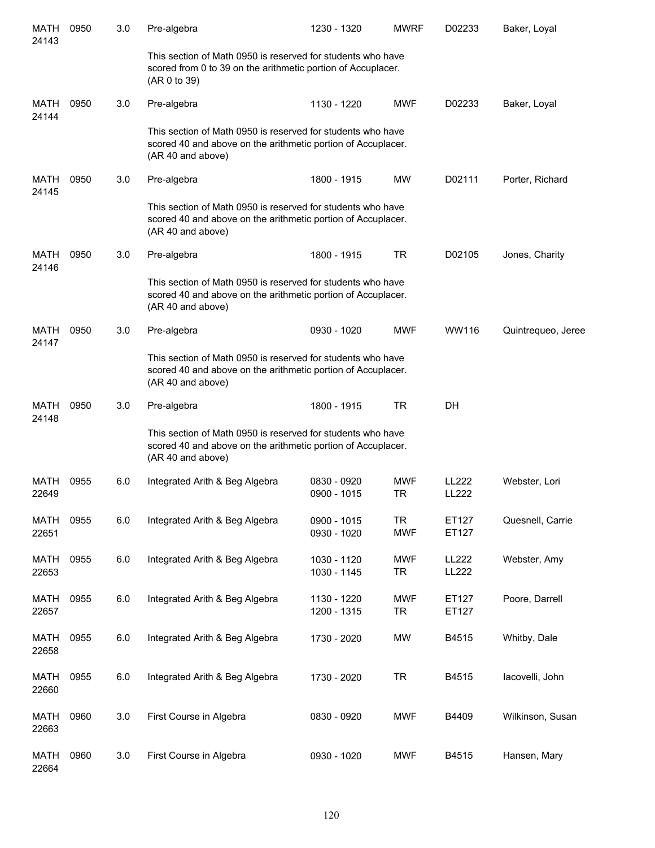| MATH<br>24143        | 0950 | 3.0 | Pre-algebra                                                                                                                                      | 1230 - 1320                | <b>MWRF</b>             | D02233                | Baker, Loyal       |
|----------------------|------|-----|--------------------------------------------------------------------------------------------------------------------------------------------------|----------------------------|-------------------------|-----------------------|--------------------|
|                      |      |     | This section of Math 0950 is reserved for students who have<br>scored from 0 to 39 on the arithmetic portion of Accuplacer.<br>(AR 0 to 39)      |                            |                         |                       |                    |
| MATH<br>24144        | 0950 | 3.0 | Pre-algebra                                                                                                                                      | 1130 - 1220                | <b>MWF</b>              | D02233                | Baker, Loyal       |
|                      |      |     | This section of Math 0950 is reserved for students who have<br>scored 40 and above on the arithmetic portion of Accuplacer.<br>(AR 40 and above) |                            |                         |                       |                    |
| MATH<br>24145        | 0950 | 3.0 | Pre-algebra                                                                                                                                      | 1800 - 1915                | <b>MW</b>               | D02111                | Porter, Richard    |
|                      |      |     | This section of Math 0950 is reserved for students who have<br>scored 40 and above on the arithmetic portion of Accuplacer.<br>(AR 40 and above) |                            |                         |                       |                    |
| MATH<br>24146        | 0950 | 3.0 | Pre-algebra                                                                                                                                      | 1800 - 1915                | <b>TR</b>               | D02105                | Jones, Charity     |
|                      |      |     | This section of Math 0950 is reserved for students who have<br>scored 40 and above on the arithmetic portion of Accuplacer.<br>(AR 40 and above) |                            |                         |                       |                    |
| <b>MATH</b><br>24147 | 0950 | 3.0 | Pre-algebra                                                                                                                                      | 0930 - 1020                | <b>MWF</b>              | WW116                 | Quintrequeo, Jeree |
|                      |      |     | This section of Math 0950 is reserved for students who have<br>scored 40 and above on the arithmetic portion of Accuplacer.<br>(AR 40 and above) |                            |                         |                       |                    |
| <b>MATH</b><br>24148 | 0950 | 3.0 | Pre-algebra                                                                                                                                      | 1800 - 1915                | <b>TR</b>               | DH                    |                    |
|                      |      |     | This section of Math 0950 is reserved for students who have<br>scored 40 and above on the arithmetic portion of Accuplacer.<br>(AR 40 and above) |                            |                         |                       |                    |
| MATH<br>22649        | 0955 | 6.0 | Integrated Arith & Beg Algebra                                                                                                                   | 0830 - 0920<br>0900 - 1015 | <b>MWF</b><br><b>TR</b> | LL222<br>LL222        | Webster, Lori      |
| <b>MATH</b><br>22651 | 0955 | 6.0 | Integrated Arith & Beg Algebra                                                                                                                   | 0900 - 1015<br>0930 - 1020 | <b>TR</b><br><b>MWF</b> | ET127<br>ET127        | Quesnell, Carrie   |
| <b>MATH</b><br>22653 | 0955 | 6.0 | Integrated Arith & Beg Algebra                                                                                                                   | 1030 - 1120<br>1030 - 1145 | <b>MWF</b><br><b>TR</b> | <b>LL222</b><br>LL222 | Webster, Amy       |
| <b>MATH</b><br>22657 | 0955 | 6.0 | Integrated Arith & Beg Algebra                                                                                                                   | 1130 - 1220<br>1200 - 1315 | <b>MWF</b><br><b>TR</b> | ET127<br>ET127        | Poore, Darrell     |
| <b>MATH</b><br>22658 | 0955 | 6.0 | Integrated Arith & Beg Algebra                                                                                                                   | 1730 - 2020                | <b>MW</b>               | B4515                 | Whitby, Dale       |
| <b>MATH</b><br>22660 | 0955 | 6.0 | Integrated Arith & Beg Algebra                                                                                                                   | 1730 - 2020                | <b>TR</b>               | B4515                 | lacovelli, John    |
| <b>MATH</b><br>22663 | 0960 | 3.0 | First Course in Algebra                                                                                                                          | 0830 - 0920                | <b>MWF</b>              | B4409                 | Wilkinson, Susan   |
| <b>MATH</b><br>22664 | 0960 | 3.0 | First Course in Algebra                                                                                                                          | 0930 - 1020                | <b>MWF</b>              | B4515                 | Hansen, Mary       |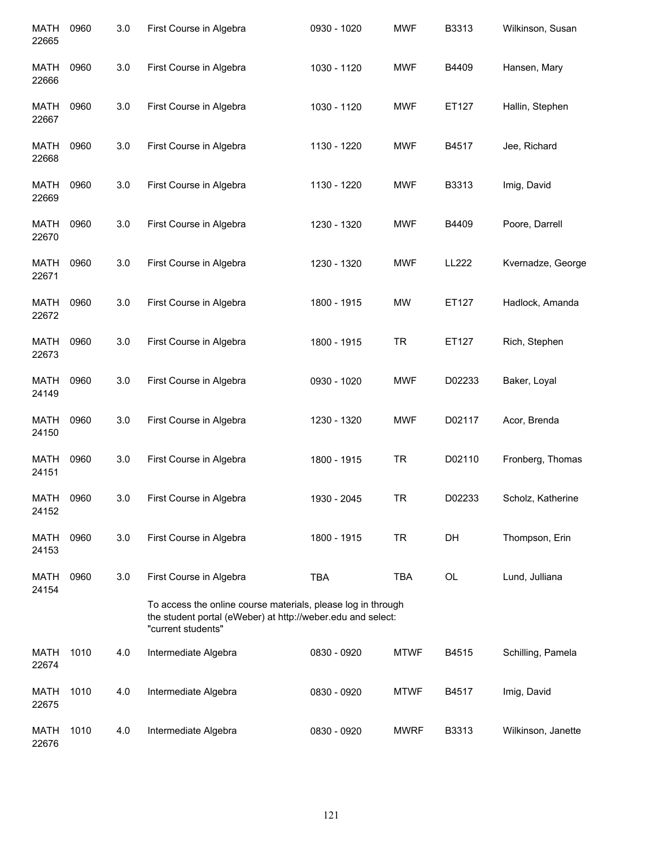| <b>MATH</b><br>22665 | 0960 | 3.0 | First Course in Algebra                                                                                                                           | 0930 - 1020 | <b>MWF</b>  | B3313  | Wilkinson, Susan   |
|----------------------|------|-----|---------------------------------------------------------------------------------------------------------------------------------------------------|-------------|-------------|--------|--------------------|
| <b>MATH</b><br>22666 | 0960 | 3.0 | First Course in Algebra                                                                                                                           | 1030 - 1120 | <b>MWF</b>  | B4409  | Hansen, Mary       |
| MATH<br>22667        | 0960 | 3.0 | First Course in Algebra                                                                                                                           | 1030 - 1120 | <b>MWF</b>  | ET127  | Hallin, Stephen    |
| MATH<br>22668        | 0960 | 3.0 | First Course in Algebra                                                                                                                           | 1130 - 1220 | <b>MWF</b>  | B4517  | Jee, Richard       |
| MATH<br>22669        | 0960 | 3.0 | First Course in Algebra                                                                                                                           | 1130 - 1220 | <b>MWF</b>  | B3313  | Imig, David        |
| <b>MATH</b><br>22670 | 0960 | 3.0 | First Course in Algebra                                                                                                                           | 1230 - 1320 | <b>MWF</b>  | B4409  | Poore, Darrell     |
| <b>MATH</b><br>22671 | 0960 | 3.0 | First Course in Algebra                                                                                                                           | 1230 - 1320 | <b>MWF</b>  | LL222  | Kvernadze, George  |
| <b>MATH</b><br>22672 | 0960 | 3.0 | First Course in Algebra                                                                                                                           | 1800 - 1915 | <b>MW</b>   | ET127  | Hadlock, Amanda    |
| <b>MATH</b><br>22673 | 0960 | 3.0 | First Course in Algebra                                                                                                                           | 1800 - 1915 | <b>TR</b>   | ET127  | Rich, Stephen      |
| <b>MATH</b><br>24149 | 0960 | 3.0 | First Course in Algebra                                                                                                                           | 0930 - 1020 | <b>MWF</b>  | D02233 | Baker, Loyal       |
| <b>MATH</b><br>24150 | 0960 | 3.0 | First Course in Algebra                                                                                                                           | 1230 - 1320 | <b>MWF</b>  | D02117 | Acor, Brenda       |
| <b>MATH</b><br>24151 | 0960 | 3.0 | First Course in Algebra                                                                                                                           | 1800 - 1915 | <b>TR</b>   | D02110 | Fronberg, Thomas   |
| <b>MATH</b><br>24152 | 0960 | 3.0 | First Course in Algebra                                                                                                                           | 1930 - 2045 | TR          | D02233 | Scholz, Katherine  |
| MATH<br>24153        | 0960 | 3.0 | First Course in Algebra                                                                                                                           | 1800 - 1915 | <b>TR</b>   | DH     | Thompson, Erin     |
| MATH<br>24154        | 0960 | 3.0 | First Course in Algebra                                                                                                                           | <b>TBA</b>  | <b>TBA</b>  | OL     | Lund, Julliana     |
|                      |      |     | To access the online course materials, please log in through<br>the student portal (eWeber) at http://weber.edu and select:<br>"current students" |             |             |        |                    |
| <b>MATH</b><br>22674 | 1010 | 4.0 | Intermediate Algebra                                                                                                                              | 0830 - 0920 | <b>MTWF</b> | B4515  | Schilling, Pamela  |
| <b>MATH</b><br>22675 | 1010 | 4.0 | Intermediate Algebra                                                                                                                              | 0830 - 0920 | <b>MTWF</b> | B4517  | Imig, David        |
| MATH<br>22676        | 1010 | 4.0 | Intermediate Algebra                                                                                                                              | 0830 - 0920 | <b>MWRF</b> | B3313  | Wilkinson, Janette |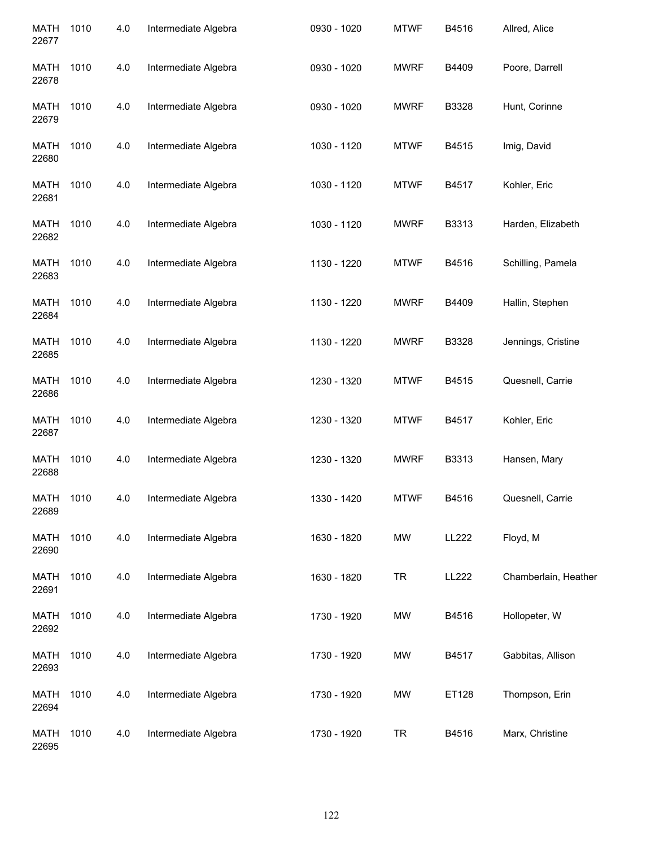| <b>MATH</b><br>22677 | 1010 | 4.0 | Intermediate Algebra | 0930 - 1020 | <b>MTWF</b> | B4516 | Allred, Alice        |
|----------------------|------|-----|----------------------|-------------|-------------|-------|----------------------|
| <b>MATH</b><br>22678 | 1010 | 4.0 | Intermediate Algebra | 0930 - 1020 | <b>MWRF</b> | B4409 | Poore, Darrell       |
| <b>MATH</b><br>22679 | 1010 | 4.0 | Intermediate Algebra | 0930 - 1020 | <b>MWRF</b> | B3328 | Hunt, Corinne        |
| <b>MATH</b><br>22680 | 1010 | 4.0 | Intermediate Algebra | 1030 - 1120 | <b>MTWF</b> | B4515 | Imig, David          |
| <b>MATH</b><br>22681 | 1010 | 4.0 | Intermediate Algebra | 1030 - 1120 | <b>MTWF</b> | B4517 | Kohler, Eric         |
| <b>MATH</b><br>22682 | 1010 | 4.0 | Intermediate Algebra | 1030 - 1120 | <b>MWRF</b> | B3313 | Harden, Elizabeth    |
| <b>MATH</b><br>22683 | 1010 | 4.0 | Intermediate Algebra | 1130 - 1220 | <b>MTWF</b> | B4516 | Schilling, Pamela    |
| <b>MATH</b><br>22684 | 1010 | 4.0 | Intermediate Algebra | 1130 - 1220 | <b>MWRF</b> | B4409 | Hallin, Stephen      |
| <b>MATH</b><br>22685 | 1010 | 4.0 | Intermediate Algebra | 1130 - 1220 | <b>MWRF</b> | B3328 | Jennings, Cristine   |
| <b>MATH</b><br>22686 | 1010 | 4.0 | Intermediate Algebra | 1230 - 1320 | <b>MTWF</b> | B4515 | Quesnell, Carrie     |
| <b>MATH</b><br>22687 | 1010 | 4.0 | Intermediate Algebra | 1230 - 1320 | <b>MTWF</b> | B4517 | Kohler, Eric         |
| <b>MATH</b><br>22688 | 1010 | 4.0 | Intermediate Algebra | 1230 - 1320 | <b>MWRF</b> | B3313 | Hansen, Mary         |
| <b>MATH</b><br>22689 | 1010 | 4.0 | Intermediate Algebra | 1330 - 1420 | <b>MTWF</b> | B4516 | Quesnell, Carrie     |
| <b>MATH</b><br>22690 | 1010 | 4.0 | Intermediate Algebra | 1630 - 1820 | MW          | LL222 | Floyd, M             |
| <b>MATH</b><br>22691 | 1010 | 4.0 | Intermediate Algebra | 1630 - 1820 | <b>TR</b>   | LL222 | Chamberlain, Heather |
| <b>MATH</b><br>22692 | 1010 | 4.0 | Intermediate Algebra | 1730 - 1920 | MW          | B4516 | Hollopeter, W        |
| <b>MATH</b><br>22693 | 1010 | 4.0 | Intermediate Algebra | 1730 - 1920 | MW          | B4517 | Gabbitas, Allison    |
| <b>MATH</b><br>22694 | 1010 | 4.0 | Intermediate Algebra | 1730 - 1920 | MW          | ET128 | Thompson, Erin       |
| <b>MATH</b><br>22695 | 1010 | 4.0 | Intermediate Algebra | 1730 - 1920 | <b>TR</b>   | B4516 | Marx, Christine      |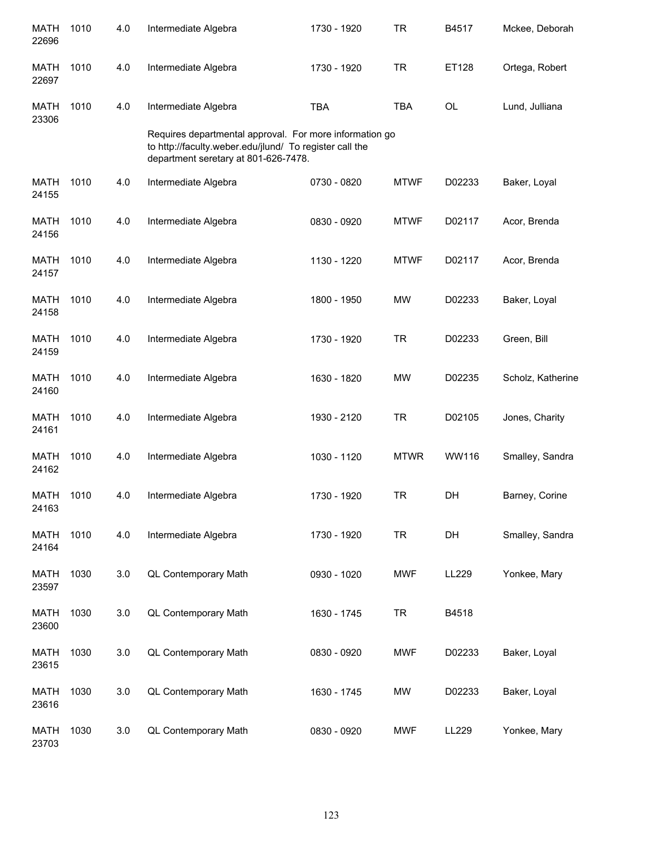| <b>MATH</b><br>22696 | 1010 | 4.0 | Intermediate Algebra                                                                                                                                       | 1730 - 1920 | <b>TR</b>   | B4517     | Mckee, Deborah    |
|----------------------|------|-----|------------------------------------------------------------------------------------------------------------------------------------------------------------|-------------|-------------|-----------|-------------------|
| MATH<br>22697        | 1010 | 4.0 | Intermediate Algebra                                                                                                                                       | 1730 - 1920 | <b>TR</b>   | ET128     | Ortega, Robert    |
| <b>MATH</b><br>23306 | 1010 | 4.0 | Intermediate Algebra                                                                                                                                       | <b>TBA</b>  | <b>TBA</b>  | <b>OL</b> | Lund, Julliana    |
|                      |      |     | Requires departmental approval. For more information go<br>to http://faculty.weber.edu/jlund/ To register call the<br>department seretary at 801-626-7478. |             |             |           |                   |
| <b>MATH</b><br>24155 | 1010 | 4.0 | Intermediate Algebra                                                                                                                                       | 0730 - 0820 | <b>MTWF</b> | D02233    | Baker, Loyal      |
| <b>MATH</b><br>24156 | 1010 | 4.0 | Intermediate Algebra                                                                                                                                       | 0830 - 0920 | <b>MTWF</b> | D02117    | Acor, Brenda      |
| MATH<br>24157        | 1010 | 4.0 | Intermediate Algebra                                                                                                                                       | 1130 - 1220 | <b>MTWF</b> | D02117    | Acor, Brenda      |
| <b>MATH</b><br>24158 | 1010 | 4.0 | Intermediate Algebra                                                                                                                                       | 1800 - 1950 | <b>MW</b>   | D02233    | Baker, Loyal      |
| <b>MATH</b><br>24159 | 1010 | 4.0 | Intermediate Algebra                                                                                                                                       | 1730 - 1920 | <b>TR</b>   | D02233    | Green, Bill       |
| <b>MATH</b><br>24160 | 1010 | 4.0 | Intermediate Algebra                                                                                                                                       | 1630 - 1820 | <b>MW</b>   | D02235    | Scholz, Katherine |
| <b>MATH</b><br>24161 | 1010 | 4.0 | Intermediate Algebra                                                                                                                                       | 1930 - 2120 | <b>TR</b>   | D02105    | Jones, Charity    |
| <b>MATH</b><br>24162 | 1010 | 4.0 | Intermediate Algebra                                                                                                                                       | 1030 - 1120 | <b>MTWR</b> | WW116     | Smalley, Sandra   |
| MATH<br>24163        | 1010 | 4.0 | Intermediate Algebra                                                                                                                                       | 1730 - 1920 | <b>TR</b>   | DH        | Barney, Corine    |
| <b>MATH</b><br>24164 | 1010 | 4.0 | Intermediate Algebra                                                                                                                                       | 1730 - 1920 | <b>TR</b>   | DH        | Smalley, Sandra   |
| <b>MATH</b><br>23597 | 1030 | 3.0 | QL Contemporary Math                                                                                                                                       | 0930 - 1020 | <b>MWF</b>  | LL229     | Yonkee, Mary      |
| <b>MATH</b><br>23600 | 1030 | 3.0 | QL Contemporary Math                                                                                                                                       | 1630 - 1745 | <b>TR</b>   | B4518     |                   |
| <b>MATH</b><br>23615 | 1030 | 3.0 | QL Contemporary Math                                                                                                                                       | 0830 - 0920 | <b>MWF</b>  | D02233    | Baker, Loyal      |
| <b>MATH</b><br>23616 | 1030 | 3.0 | QL Contemporary Math                                                                                                                                       | 1630 - 1745 | MW          | D02233    | Baker, Loyal      |
| <b>MATH</b><br>23703 | 1030 | 3.0 | QL Contemporary Math                                                                                                                                       | 0830 - 0920 | <b>MWF</b>  | LL229     | Yonkee, Mary      |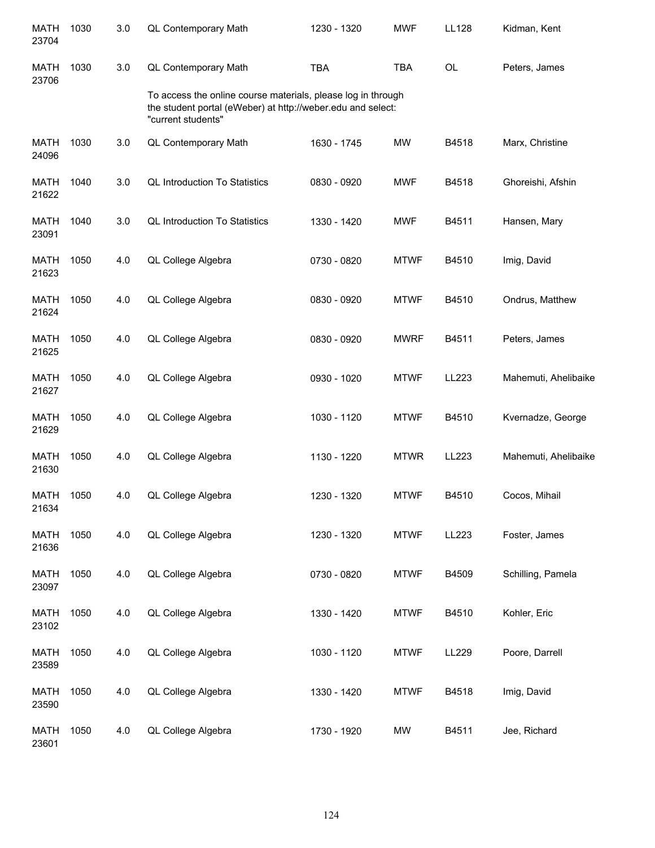| <b>MATH</b><br>23704 | 1030 | 3.0 | QL Contemporary Math                                                                                                                              | 1230 - 1320 | <b>MWF</b>  | <b>LL128</b> | Kidman, Kent         |
|----------------------|------|-----|---------------------------------------------------------------------------------------------------------------------------------------------------|-------------|-------------|--------------|----------------------|
| <b>MATH</b><br>23706 | 1030 | 3.0 | QL Contemporary Math                                                                                                                              | <b>TBA</b>  | <b>TBA</b>  | <b>OL</b>    | Peters, James        |
|                      |      |     | To access the online course materials, please log in through<br>the student portal (eWeber) at http://weber.edu and select:<br>"current students" |             |             |              |                      |
| <b>MATH</b><br>24096 | 1030 | 3.0 | QL Contemporary Math                                                                                                                              | 1630 - 1745 | <b>MW</b>   | B4518        | Marx, Christine      |
| <b>MATH</b><br>21622 | 1040 | 3.0 | <b>QL Introduction To Statistics</b>                                                                                                              | 0830 - 0920 | <b>MWF</b>  | B4518        | Ghoreishi, Afshin    |
| <b>MATH</b><br>23091 | 1040 | 3.0 | <b>QL Introduction To Statistics</b>                                                                                                              | 1330 - 1420 | <b>MWF</b>  | B4511        | Hansen, Mary         |
| <b>MATH</b><br>21623 | 1050 | 4.0 | QL College Algebra                                                                                                                                | 0730 - 0820 | <b>MTWF</b> | B4510        | Imig, David          |
| <b>MATH</b><br>21624 | 1050 | 4.0 | QL College Algebra                                                                                                                                | 0830 - 0920 | <b>MTWF</b> | B4510        | Ondrus, Matthew      |
| <b>MATH</b><br>21625 | 1050 | 4.0 | QL College Algebra                                                                                                                                | 0830 - 0920 | <b>MWRF</b> | B4511        | Peters, James        |
| <b>MATH</b><br>21627 | 1050 | 4.0 | QL College Algebra                                                                                                                                | 0930 - 1020 | <b>MTWF</b> | LL223        | Mahemuti, Ahelibaike |
| <b>MATH</b><br>21629 | 1050 | 4.0 | QL College Algebra                                                                                                                                | 1030 - 1120 | <b>MTWF</b> | B4510        | Kvernadze, George    |
| <b>MATH</b><br>21630 | 1050 | 4.0 | QL College Algebra                                                                                                                                | 1130 - 1220 | <b>MTWR</b> | LL223        | Mahemuti, Ahelibaike |
| <b>MATH</b><br>21634 | 1050 | 4.0 | QL College Algebra                                                                                                                                | 1230 - 1320 | <b>MTWF</b> | B4510        | Cocos, Mihail        |
| <b>MATH</b><br>21636 | 1050 | 4.0 | QL College Algebra                                                                                                                                | 1230 - 1320 | <b>MTWF</b> | LL223        | Foster, James        |
| <b>MATH</b><br>23097 | 1050 | 4.0 | QL College Algebra                                                                                                                                | 0730 - 0820 | <b>MTWF</b> | B4509        | Schilling, Pamela    |
| <b>MATH</b><br>23102 | 1050 | 4.0 | QL College Algebra                                                                                                                                | 1330 - 1420 | <b>MTWF</b> | B4510        | Kohler, Eric         |
| <b>MATH</b><br>23589 | 1050 | 4.0 | QL College Algebra                                                                                                                                | 1030 - 1120 | <b>MTWF</b> | LL229        | Poore, Darrell       |
| <b>MATH</b><br>23590 | 1050 | 4.0 | QL College Algebra                                                                                                                                | 1330 - 1420 | <b>MTWF</b> | B4518        | Imig, David          |
| <b>MATH</b><br>23601 | 1050 | 4.0 | QL College Algebra                                                                                                                                | 1730 - 1920 | MW          | B4511        | Jee, Richard         |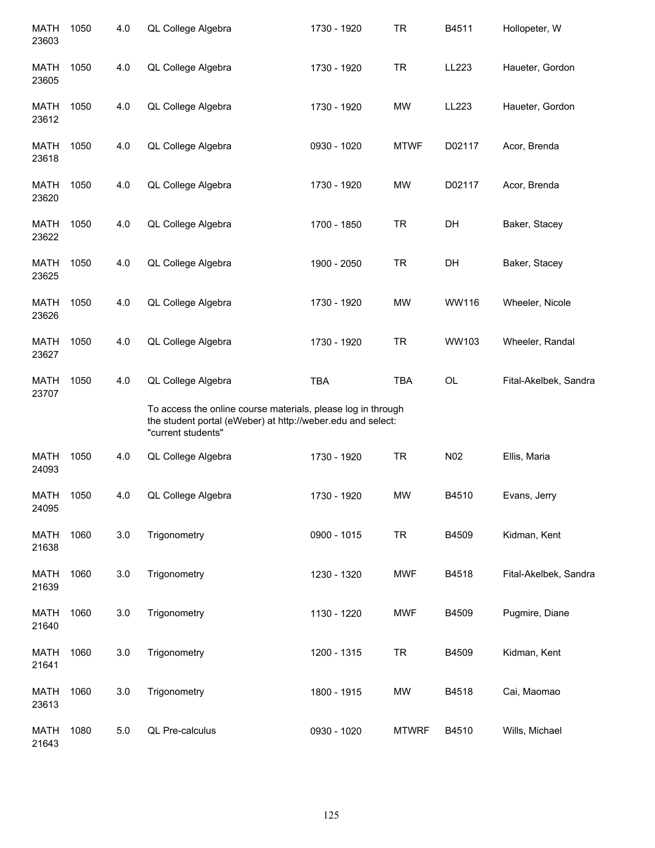| <b>MATH</b><br>23603 | 1050 | 4.0     | QL College Algebra                                                                                                                                | 1730 - 1920 | <b>TR</b>    | B4511  | Hollopeter, W         |
|----------------------|------|---------|---------------------------------------------------------------------------------------------------------------------------------------------------|-------------|--------------|--------|-----------------------|
| MATH<br>23605        | 1050 | 4.0     | QL College Algebra                                                                                                                                | 1730 - 1920 | <b>TR</b>    | LL223  | Haueter, Gordon       |
| MATH<br>23612        | 1050 | 4.0     | QL College Algebra                                                                                                                                | 1730 - 1920 | MW           | LL223  | Haueter, Gordon       |
| MATH<br>23618        | 1050 | 4.0     | QL College Algebra                                                                                                                                | 0930 - 1020 | <b>MTWF</b>  | D02117 | Acor, Brenda          |
| <b>MATH</b><br>23620 | 1050 | 4.0     | QL College Algebra                                                                                                                                | 1730 - 1920 | <b>MW</b>    | D02117 | Acor, Brenda          |
| MATH<br>23622        | 1050 | 4.0     | QL College Algebra                                                                                                                                | 1700 - 1850 | <b>TR</b>    | DH     | Baker, Stacey         |
| <b>MATH</b><br>23625 | 1050 | 4.0     | QL College Algebra                                                                                                                                | 1900 - 2050 | <b>TR</b>    | DH     | Baker, Stacey         |
| <b>MATH</b><br>23626 | 1050 | 4.0     | QL College Algebra                                                                                                                                | 1730 - 1920 | <b>MW</b>    | WW116  | Wheeler, Nicole       |
| <b>MATH</b><br>23627 | 1050 | 4.0     | QL College Algebra                                                                                                                                | 1730 - 1920 | <b>TR</b>    | WW103  | Wheeler, Randal       |
| <b>MATH</b><br>23707 | 1050 | 4.0     | QL College Algebra                                                                                                                                | <b>TBA</b>  | <b>TBA</b>   | OL     | Fital-Akelbek, Sandra |
|                      |      |         | To access the online course materials, please log in through<br>the student portal (eWeber) at http://weber.edu and select:<br>"current students" |             |              |        |                       |
| <b>MATH</b><br>24093 | 1050 | 4.0     | QL College Algebra                                                                                                                                | 1730 - 1920 | <b>TR</b>    | N02    | Ellis, Maria          |
| <b>MATH</b><br>24095 | 1050 | 4.0     | QL College Algebra                                                                                                                                | 1730 - 1920 | <b>MW</b>    | B4510  | Evans, Jerry          |
| <b>MATH</b><br>21638 | 1060 | 3.0     | Trigonometry                                                                                                                                      | 0900 - 1015 | <b>TR</b>    | B4509  | Kidman, Kent          |
| <b>MATH</b><br>21639 | 1060 | 3.0     | Trigonometry                                                                                                                                      | 1230 - 1320 | <b>MWF</b>   | B4518  | Fital-Akelbek, Sandra |
| <b>MATH</b><br>21640 | 1060 | $3.0\,$ | Trigonometry                                                                                                                                      | 1130 - 1220 | <b>MWF</b>   | B4509  | Pugmire, Diane        |
| <b>MATH</b><br>21641 | 1060 | 3.0     | Trigonometry                                                                                                                                      | 1200 - 1315 | <b>TR</b>    | B4509  | Kidman, Kent          |
| <b>MATH</b><br>23613 | 1060 | $3.0\,$ | Trigonometry                                                                                                                                      | 1800 - 1915 | MW           | B4518  | Cai, Maomao           |
| <b>MATH</b><br>21643 | 1080 | 5.0     | QL Pre-calculus                                                                                                                                   | 0930 - 1020 | <b>MTWRF</b> | B4510  | Wills, Michael        |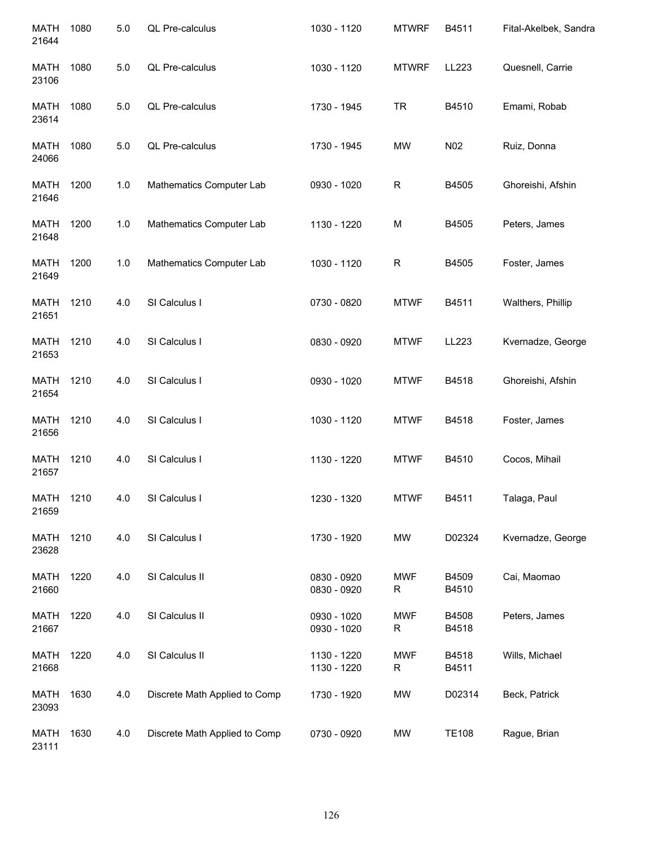| <b>MATH</b><br>21644 | 1080 | $5.0$ | QL Pre-calculus               | 1030 - 1120                | <b>MTWRF</b>              | B4511          | Fital-Akelbek, Sandra |
|----------------------|------|-------|-------------------------------|----------------------------|---------------------------|----------------|-----------------------|
| MATH<br>23106        | 1080 | 5.0   | QL Pre-calculus               | 1030 - 1120                | <b>MTWRF</b>              | LL223          | Quesnell, Carrie      |
| MATH<br>23614        | 1080 | 5.0   | QL Pre-calculus               | 1730 - 1945                | <b>TR</b>                 | B4510          | Emami, Robab          |
| MATH<br>24066        | 1080 | 5.0   | QL Pre-calculus               | 1730 - 1945                | MW                        | N02            | Ruiz, Donna           |
| MATH<br>21646        | 1200 | 1.0   | Mathematics Computer Lab      | 0930 - 1020                | $\mathsf R$               | B4505          | Ghoreishi, Afshin     |
| MATH<br>21648        | 1200 | 1.0   | Mathematics Computer Lab      | 1130 - 1220                | M                         | B4505          | Peters, James         |
| MATH<br>21649        | 1200 | 1.0   | Mathematics Computer Lab      | 1030 - 1120                | $\mathsf R$               | B4505          | Foster, James         |
| <b>MATH</b><br>21651 | 1210 | 4.0   | SI Calculus I                 | 0730 - 0820                | <b>MTWF</b>               | B4511          | Walthers, Phillip     |
| <b>MATH</b><br>21653 | 1210 | 4.0   | SI Calculus I                 | 0830 - 0920                | <b>MTWF</b>               | LL223          | Kvernadze, George     |
| <b>MATH</b><br>21654 | 1210 | 4.0   | SI Calculus I                 | 0930 - 1020                | <b>MTWF</b>               | B4518          | Ghoreishi, Afshin     |
| <b>MATH</b><br>21656 | 1210 | 4.0   | SI Calculus I                 | 1030 - 1120                | <b>MTWF</b>               | B4518          | Foster, James         |
| <b>MATH</b><br>21657 | 1210 | 4.0   | SI Calculus I                 | 1130 - 1220                | <b>MTWF</b>               | B4510          | Cocos, Mihail         |
| <b>MATH</b><br>21659 | 1210 | 4.0   | SI Calculus I                 | 1230 - 1320                | <b>MTWF</b>               | B4511          | Talaga, Paul          |
| <b>MATH</b><br>23628 | 1210 | 4.0   | SI Calculus I                 | 1730 - 1920                | MW                        | D02324         | Kvernadze, George     |
| MATH<br>21660        | 1220 | 4.0   | SI Calculus II                | 0830 - 0920<br>0830 - 0920 | <b>MWF</b><br>R           | B4509<br>B4510 | Cai, Maomao           |
| <b>MATH</b><br>21667 | 1220 | 4.0   | SI Calculus II                | 0930 - 1020<br>0930 - 1020 | <b>MWF</b><br>$\mathsf R$ | B4508<br>B4518 | Peters, James         |
| <b>MATH</b><br>21668 | 1220 | 4.0   | SI Calculus II                | 1130 - 1220<br>1130 - 1220 | <b>MWF</b><br>R           | B4518<br>B4511 | Wills, Michael        |
| <b>MATH</b><br>23093 | 1630 | 4.0   | Discrete Math Applied to Comp | 1730 - 1920                | MW                        | D02314         | Beck, Patrick         |
| <b>MATH</b><br>23111 | 1630 | 4.0   | Discrete Math Applied to Comp | 0730 - 0920                | MW                        | <b>TE108</b>   | Rague, Brian          |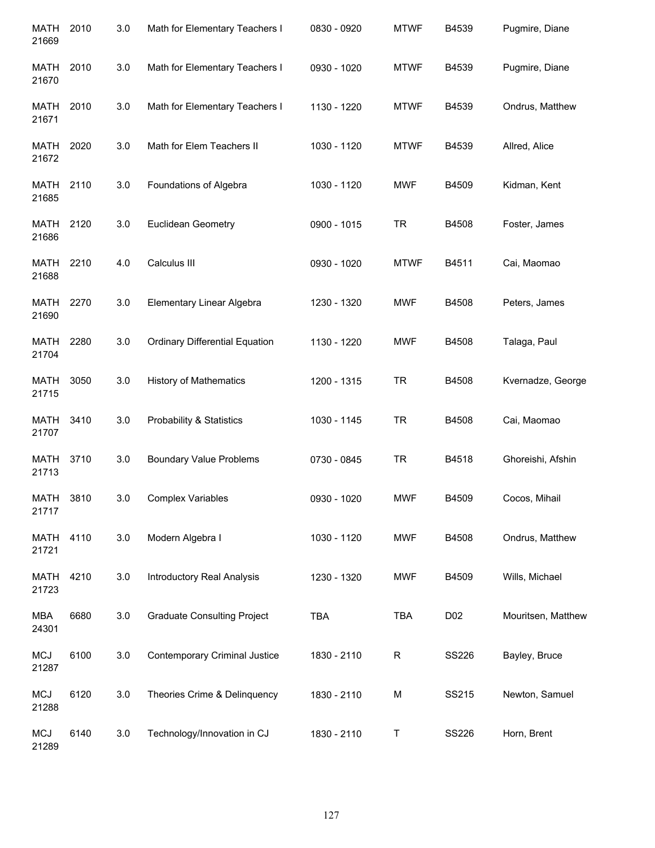| <b>MATH</b><br>21669 | 2010 | 3.0 | Math for Elementary Teachers I        | 0830 - 0920 | <b>MTWF</b> | B4539        | Pugmire, Diane     |
|----------------------|------|-----|---------------------------------------|-------------|-------------|--------------|--------------------|
| MATH<br>21670        | 2010 | 3.0 | Math for Elementary Teachers I        | 0930 - 1020 | <b>MTWF</b> | B4539        | Pugmire, Diane     |
| MATH<br>21671        | 2010 | 3.0 | Math for Elementary Teachers I        | 1130 - 1220 | <b>MTWF</b> | B4539        | Ondrus, Matthew    |
| MATH<br>21672        | 2020 | 3.0 | Math for Elem Teachers II             | 1030 - 1120 | <b>MTWF</b> | B4539        | Allred, Alice      |
| MATH<br>21685        | 2110 | 3.0 | Foundations of Algebra                | 1030 - 1120 | <b>MWF</b>  | B4509        | Kidman, Kent       |
| MATH<br>21686        | 2120 | 3.0 | Euclidean Geometry                    | 0900 - 1015 | <b>TR</b>   | B4508        | Foster, James      |
| <b>MATH</b><br>21688 | 2210 | 4.0 | Calculus III                          | 0930 - 1020 | <b>MTWF</b> | B4511        | Cai, Maomao        |
| <b>MATH</b><br>21690 | 2270 | 3.0 | Elementary Linear Algebra             | 1230 - 1320 | <b>MWF</b>  | B4508        | Peters, James      |
| <b>MATH</b><br>21704 | 2280 | 3.0 | <b>Ordinary Differential Equation</b> | 1130 - 1220 | <b>MWF</b>  | B4508        | Talaga, Paul       |
| <b>MATH</b><br>21715 | 3050 | 3.0 | <b>History of Mathematics</b>         | 1200 - 1315 | <b>TR</b>   | B4508        | Kvernadze, George  |
| MATH<br>21707        | 3410 | 3.0 | <b>Probability &amp; Statistics</b>   | 1030 - 1145 | <b>TR</b>   | B4508        | Cai, Maomao        |
| <b>MATH</b><br>21713 | 3710 | 3.0 | <b>Boundary Value Problems</b>        | 0730 - 0845 | <b>TR</b>   | B4518        | Ghoreishi, Afshin  |
| <b>MATH</b><br>21717 | 3810 | 3.0 | <b>Complex Variables</b>              | 0930 - 1020 | <b>MWF</b>  | B4509        | Cocos, Mihail      |
| MATH<br>21721        | 4110 | 3.0 | Modern Algebra I                      | 1030 - 1120 | <b>MWF</b>  | B4508        | Ondrus, Matthew    |
| <b>MATH</b><br>21723 | 4210 | 3.0 | <b>Introductory Real Analysis</b>     | 1230 - 1320 | <b>MWF</b>  | B4509        | Wills, Michael     |
| <b>MBA</b><br>24301  | 6680 | 3.0 | <b>Graduate Consulting Project</b>    | <b>TBA</b>  | <b>TBA</b>  | D02          | Mouritsen, Matthew |
| <b>MCJ</b><br>21287  | 6100 | 3.0 | Contemporary Criminal Justice         | 1830 - 2110 | $\mathsf R$ | SS226        | Bayley, Bruce      |
| <b>MCJ</b><br>21288  | 6120 | 3.0 | Theories Crime & Delinquency          | 1830 - 2110 | M           | SS215        | Newton, Samuel     |
| <b>MCJ</b><br>21289  | 6140 | 3.0 | Technology/Innovation in CJ           | 1830 - 2110 | Τ           | <b>SS226</b> | Horn, Brent        |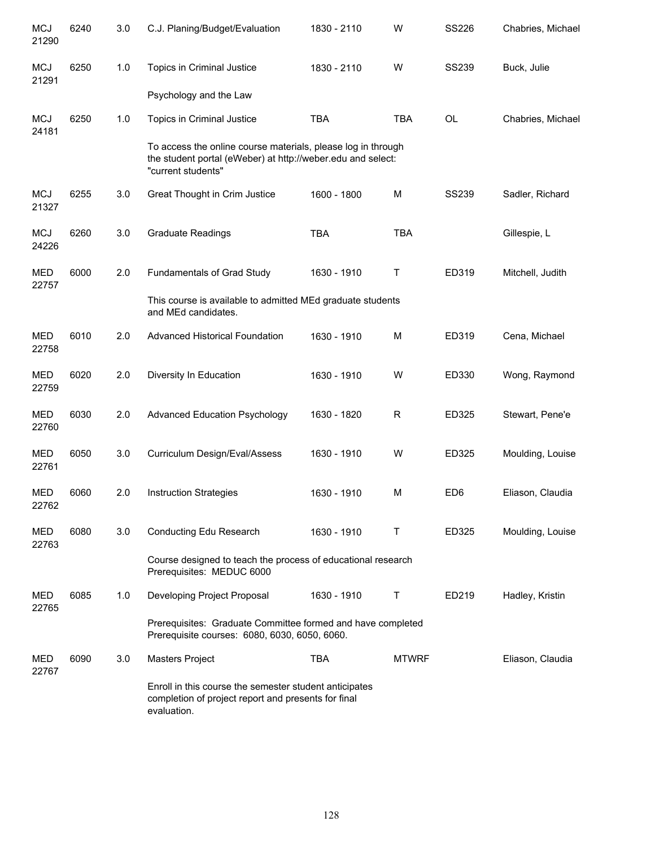| <b>MCJ</b><br>21290 | 6240 | 3.0 | C.J. Planing/Budget/Evaluation                                                                                                                    | 1830 - 2110 | W            | <b>SS226</b>    | Chabries, Michael |
|---------------------|------|-----|---------------------------------------------------------------------------------------------------------------------------------------------------|-------------|--------------|-----------------|-------------------|
| <b>MCJ</b><br>21291 | 6250 | 1.0 | Topics in Criminal Justice                                                                                                                        | 1830 - 2110 | W            | <b>SS239</b>    | Buck, Julie       |
|                     |      |     | Psychology and the Law                                                                                                                            |             |              |                 |                   |
| <b>MCJ</b><br>24181 | 6250 | 1.0 | Topics in Criminal Justice                                                                                                                        | <b>TBA</b>  | <b>TBA</b>   | <b>OL</b>       | Chabries, Michael |
|                     |      |     | To access the online course materials, please log in through<br>the student portal (eWeber) at http://weber.edu and select:<br>"current students" |             |              |                 |                   |
| <b>MCJ</b><br>21327 | 6255 | 3.0 | Great Thought in Crim Justice                                                                                                                     | 1600 - 1800 | M            | <b>SS239</b>    | Sadler, Richard   |
| <b>MCJ</b><br>24226 | 6260 | 3.0 | <b>Graduate Readings</b>                                                                                                                          | <b>TBA</b>  | <b>TBA</b>   |                 | Gillespie, L      |
| <b>MED</b><br>22757 | 6000 | 2.0 | Fundamentals of Grad Study                                                                                                                        | 1630 - 1910 | Τ            | ED319           | Mitchell, Judith  |
|                     |      |     | This course is available to admitted MEd graduate students<br>and MEd candidates.                                                                 |             |              |                 |                   |
| <b>MED</b><br>22758 | 6010 | 2.0 | <b>Advanced Historical Foundation</b>                                                                                                             | 1630 - 1910 | M            | ED319           | Cena, Michael     |
| MED<br>22759        | 6020 | 2.0 | Diversity In Education                                                                                                                            | 1630 - 1910 | W            | ED330           | Wong, Raymond     |
| <b>MED</b><br>22760 | 6030 | 2.0 | <b>Advanced Education Psychology</b>                                                                                                              | 1630 - 1820 | R            | ED325           | Stewart, Pene'e   |
| <b>MED</b><br>22761 | 6050 | 3.0 | Curriculum Design/Eval/Assess                                                                                                                     | 1630 - 1910 | W            | ED325           | Moulding, Louise  |
| <b>MED</b><br>22762 | 6060 | 2.0 | <b>Instruction Strategies</b>                                                                                                                     | 1630 - 1910 | M            | ED <sub>6</sub> | Eliason, Claudia  |
| <b>MED</b><br>22763 | 6080 | 3.0 | Conducting Edu Research                                                                                                                           | 1630 - 1910 | Т            | ED325           | Moulding, Louise  |
|                     |      |     | Course designed to teach the process of educational research<br>Prerequisites: MEDUC 6000                                                         |             |              |                 |                   |
| MED<br>22765        | 6085 | 1.0 | Developing Project Proposal                                                                                                                       | 1630 - 1910 | Т            | ED219           | Hadley, Kristin   |
|                     |      |     | Prerequisites: Graduate Committee formed and have completed<br>Prerequisite courses: 6080, 6030, 6050, 6060.                                      |             |              |                 |                   |
| MED<br>22767        | 6090 | 3.0 | Masters Project                                                                                                                                   | <b>TBA</b>  | <b>MTWRF</b> |                 | Eliason, Claudia  |
|                     |      |     | Enroll in this course the semester student anticipates<br>completion of project report and presents for final<br>evaluation.                      |             |              |                 |                   |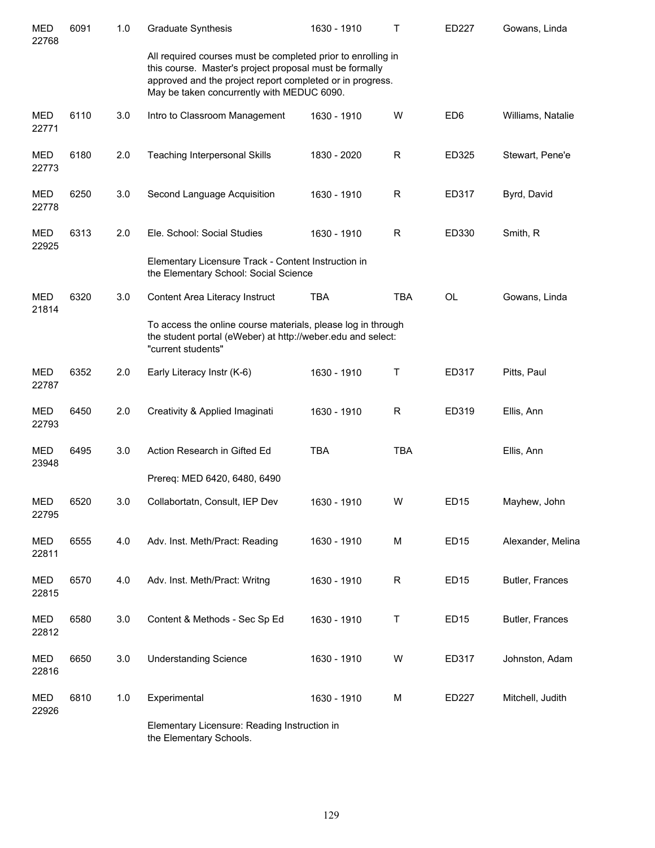| MED<br>22768        | 6091 | 1.0 | <b>Graduate Synthesis</b>                                                                                                                                                                                                          | 1630 - 1910 | Т           | ED227            | Gowans, Linda     |
|---------------------|------|-----|------------------------------------------------------------------------------------------------------------------------------------------------------------------------------------------------------------------------------------|-------------|-------------|------------------|-------------------|
|                     |      |     | All required courses must be completed prior to enrolling in<br>this course. Master's project proposal must be formally<br>approved and the project report completed or in progress.<br>May be taken concurrently with MEDUC 6090. |             |             |                  |                   |
| <b>MED</b><br>22771 | 6110 | 3.0 | Intro to Classroom Management                                                                                                                                                                                                      | 1630 - 1910 | W           | ED <sub>6</sub>  | Williams, Natalie |
| <b>MED</b><br>22773 | 6180 | 2.0 | <b>Teaching Interpersonal Skills</b>                                                                                                                                                                                               | 1830 - 2020 | R           | ED325            | Stewart, Pene'e   |
| <b>MED</b><br>22778 | 6250 | 3.0 | Second Language Acquisition                                                                                                                                                                                                        | 1630 - 1910 | $\mathsf R$ | ED317            | Byrd, David       |
| <b>MED</b><br>22925 | 6313 | 2.0 | Ele. School: Social Studies<br>Elementary Licensure Track - Content Instruction in                                                                                                                                                 | 1630 - 1910 | R           | ED330            | Smith, R          |
|                     |      |     | the Elementary School: Social Science                                                                                                                                                                                              |             |             |                  |                   |
| <b>MED</b><br>21814 | 6320 | 3.0 | Content Area Literacy Instruct                                                                                                                                                                                                     | <b>TBA</b>  | <b>TBA</b>  | <b>OL</b>        | Gowans, Linda     |
|                     |      |     | To access the online course materials, please log in through<br>the student portal (eWeber) at http://weber.edu and select:<br>"current students"                                                                                  |             |             |                  |                   |
| <b>MED</b><br>22787 | 6352 | 2.0 | Early Literacy Instr (K-6)                                                                                                                                                                                                         | 1630 - 1910 | Τ           | ED317            | Pitts, Paul       |
| <b>MED</b><br>22793 | 6450 | 2.0 | Creativity & Applied Imaginati                                                                                                                                                                                                     | 1630 - 1910 | R           | ED319            | Ellis, Ann        |
| <b>MED</b><br>23948 | 6495 | 3.0 | Action Research in Gifted Ed                                                                                                                                                                                                       | <b>TBA</b>  | <b>TBA</b>  |                  | Ellis, Ann        |
|                     |      |     | Prereq: MED 6420, 6480, 6490                                                                                                                                                                                                       |             |             |                  |                   |
| <b>MED</b><br>22795 | 6520 | 3.0 | Collabortatn, Consult, IEP Dev                                                                                                                                                                                                     | 1630 - 1910 | W           | ED15             | Mayhew, John      |
| <b>MED</b><br>22811 | 6555 | 4.0 | Adv. Inst. Meth/Pract: Reading                                                                                                                                                                                                     | 1630 - 1910 | M           | ED <sub>15</sub> | Alexander, Melina |
| <b>MED</b><br>22815 | 6570 | 4.0 | Adv. Inst. Meth/Pract: Writng                                                                                                                                                                                                      | 1630 - 1910 | R           | ED <sub>15</sub> | Butler, Frances   |
| MED<br>22812        | 6580 | 3.0 | Content & Methods - Sec Sp Ed                                                                                                                                                                                                      | 1630 - 1910 | T           | ED <sub>15</sub> | Butler, Frances   |
| <b>MED</b><br>22816 | 6650 | 3.0 | <b>Understanding Science</b>                                                                                                                                                                                                       | 1630 - 1910 | W           | ED317            | Johnston, Adam    |
| <b>MED</b><br>22926 | 6810 | 1.0 | Experimental                                                                                                                                                                                                                       | 1630 - 1910 | M           | ED227            | Mitchell, Judith  |
|                     |      |     | Elementary Licensure: Reading Instruction in                                                                                                                                                                                       |             |             |                  |                   |

the Elementary Schools.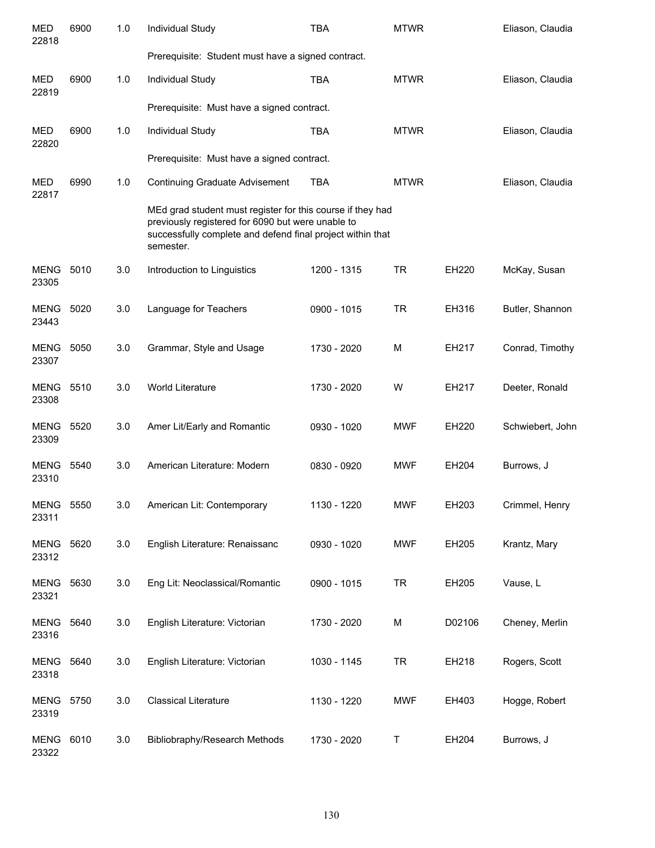| <b>MED</b><br>22818       | 6900 | 1.0 | Individual Study                                                                                                                                                                           | <b>TBA</b>  | <b>MTWR</b> |        | Eliason, Claudia |
|---------------------------|------|-----|--------------------------------------------------------------------------------------------------------------------------------------------------------------------------------------------|-------------|-------------|--------|------------------|
|                           |      |     | Prerequisite: Student must have a signed contract.                                                                                                                                         |             |             |        |                  |
| <b>MED</b><br>22819       | 6900 | 1.0 | Individual Study                                                                                                                                                                           | <b>TBA</b>  | <b>MTWR</b> |        | Eliason, Claudia |
|                           |      |     | Prerequisite: Must have a signed contract.                                                                                                                                                 |             |             |        |                  |
| <b>MED</b><br>22820       | 6900 | 1.0 | Individual Study                                                                                                                                                                           | <b>TBA</b>  | <b>MTWR</b> |        | Eliason, Claudia |
|                           |      |     | Prerequisite: Must have a signed contract.                                                                                                                                                 |             |             |        |                  |
| <b>MED</b><br>22817       | 6990 | 1.0 | <b>Continuing Graduate Advisement</b>                                                                                                                                                      | <b>TBA</b>  | <b>MTWR</b> |        | Eliason, Claudia |
|                           |      |     | MEd grad student must register for this course if they had<br>previously registered for 6090 but were unable to<br>successfully complete and defend final project within that<br>semester. |             |             |        |                  |
| <b>MENG</b><br>23305      | 5010 | 3.0 | Introduction to Linguistics                                                                                                                                                                | 1200 - 1315 | <b>TR</b>   | EH220  | McKay, Susan     |
| <b>MENG</b><br>23443      | 5020 | 3.0 | Language for Teachers                                                                                                                                                                      | 0900 - 1015 | <b>TR</b>   | EH316  | Butler, Shannon  |
| <b>MENG</b><br>23307      | 5050 | 3.0 | Grammar, Style and Usage                                                                                                                                                                   | 1730 - 2020 | M           | EH217  | Conrad, Timothy  |
| <b>MENG</b><br>23308      | 5510 | 3.0 | World Literature                                                                                                                                                                           | 1730 - 2020 | W           | EH217  | Deeter, Ronald   |
| MENG<br>23309             | 5520 | 3.0 | Amer Lit/Early and Romantic                                                                                                                                                                | 0930 - 1020 | <b>MWF</b>  | EH220  | Schwiebert, John |
| <b>MENG 5540</b><br>23310 |      | 3.0 | American Literature: Modern                                                                                                                                                                | 0830 - 0920 | MWF         | EH204  | Burrows, J       |
| MENG<br>23311             | 5550 | 3.0 | American Lit: Contemporary                                                                                                                                                                 | 1130 - 1220 | <b>MWF</b>  | EH203  | Crimmel, Henry   |
| MENG<br>23312             | 5620 | 3.0 | English Literature: Renaissanc                                                                                                                                                             | 0930 - 1020 | <b>MWF</b>  | EH205  | Krantz, Mary     |
| <b>MENG</b><br>23321      | 5630 | 3.0 | Eng Lit: Neoclassical/Romantic                                                                                                                                                             | 0900 - 1015 | <b>TR</b>   | EH205  | Vause, L         |
| <b>MENG</b><br>23316      | 5640 | 3.0 | English Literature: Victorian                                                                                                                                                              | 1730 - 2020 | М           | D02106 | Cheney, Merlin   |
| <b>MENG</b><br>23318      | 5640 | 3.0 | English Literature: Victorian                                                                                                                                                              | 1030 - 1145 | <b>TR</b>   | EH218  | Rogers, Scott    |
| <b>MENG</b><br>23319      | 5750 | 3.0 | <b>Classical Literature</b>                                                                                                                                                                | 1130 - 1220 | <b>MWF</b>  | EH403  | Hogge, Robert    |
| MENG<br>23322             | 6010 | 3.0 | Bibliobraphy/Research Methods                                                                                                                                                              | 1730 - 2020 | Τ           | EH204  | Burrows, J       |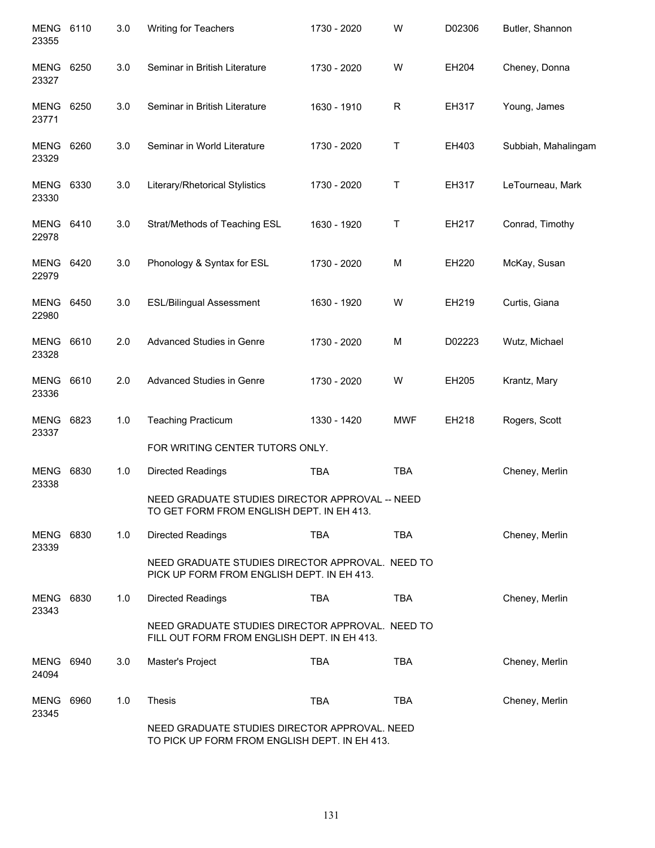| MENG 6110<br>23355        |      | 3.0 | Writing for Teachers                                                                            | 1730 - 2020 | W           | D02306 | Butler, Shannon     |
|---------------------------|------|-----|-------------------------------------------------------------------------------------------------|-------------|-------------|--------|---------------------|
| MENG<br>23327             | 6250 | 3.0 | Seminar in British Literature                                                                   | 1730 - 2020 | W           | EH204  | Cheney, Donna       |
| MENG<br>23771             | 6250 | 3.0 | Seminar in British Literature                                                                   | 1630 - 1910 | $\mathsf R$ | EH317  | Young, James        |
| MENG<br>23329             | 6260 | 3.0 | Seminar in World Literature                                                                     | 1730 - 2020 | $\mathsf T$ | EH403  | Subbiah, Mahalingam |
| MENG<br>23330             | 6330 | 3.0 | Literary/Rhetorical Stylistics                                                                  | 1730 - 2020 | $\mathsf T$ | EH317  | LeTourneau, Mark    |
| <b>MENG 6410</b><br>22978 |      | 3.0 | Strat/Methods of Teaching ESL                                                                   | 1630 - 1920 | Τ           | EH217  | Conrad, Timothy     |
| <b>MENG 6420</b><br>22979 |      | 3.0 | Phonology & Syntax for ESL                                                                      | 1730 - 2020 | M           | EH220  | McKay, Susan        |
| <b>MENG 6450</b><br>22980 |      | 3.0 | <b>ESL/Bilingual Assessment</b>                                                                 | 1630 - 1920 | W           | EH219  | Curtis, Giana       |
| <b>MENG</b><br>23328      | 6610 | 2.0 | Advanced Studies in Genre                                                                       | 1730 - 2020 | M           | D02223 | Wutz, Michael       |
| <b>MENG</b><br>23336      | 6610 | 2.0 | Advanced Studies in Genre                                                                       | 1730 - 2020 | W           | EH205  | Krantz, Mary        |
| MENG<br>23337             | 6823 | 1.0 | <b>Teaching Practicum</b>                                                                       | 1330 - 1420 | <b>MWF</b>  | EH218  | Rogers, Scott       |
|                           |      |     | FOR WRITING CENTER TUTORS ONLY.                                                                 |             |             |        |                     |
| <b>MENG</b><br>23338      | 6830 | 1.0 | <b>Directed Readings</b>                                                                        | <b>TBA</b>  | <b>TBA</b>  |        | Cheney, Merlin      |
|                           |      |     | NEED GRADUATE STUDIES DIRECTOR APPROVAL -- NEED<br>TO GET FORM FROM ENGLISH DEPT. IN EH 413.    |             |             |        |                     |
| MENG<br>23339             | 6830 | 1.0 | Directed Readings                                                                               | <b>TBA</b>  | <b>TBA</b>  |        | Cheney, Merlin      |
|                           |      |     | NEED GRADUATE STUDIES DIRECTOR APPROVAL. NEED TO<br>PICK UP FORM FROM ENGLISH DEPT. IN EH 413.  |             |             |        |                     |
| MENG<br>23343             | 6830 | 1.0 | <b>Directed Readings</b>                                                                        | <b>TBA</b>  | <b>TBA</b>  |        | Cheney, Merlin      |
|                           |      |     | NEED GRADUATE STUDIES DIRECTOR APPROVAL. NEED TO<br>FILL OUT FORM FROM ENGLISH DEPT. IN EH 413. |             |             |        |                     |
| MENG<br>24094             | 6940 | 3.0 | Master's Project                                                                                | <b>TBA</b>  | <b>TBA</b>  |        | Cheney, Merlin      |
| MENG<br>23345             | 6960 | 1.0 | Thesis                                                                                          | <b>TBA</b>  | <b>TBA</b>  |        | Cheney, Merlin      |
|                           |      |     | NEED GRADUATE STUDIES DIRECTOR APPROVAL. NEED<br>TO PICK UP FORM FROM ENGLISH DEPT. IN EH 413.  |             |             |        |                     |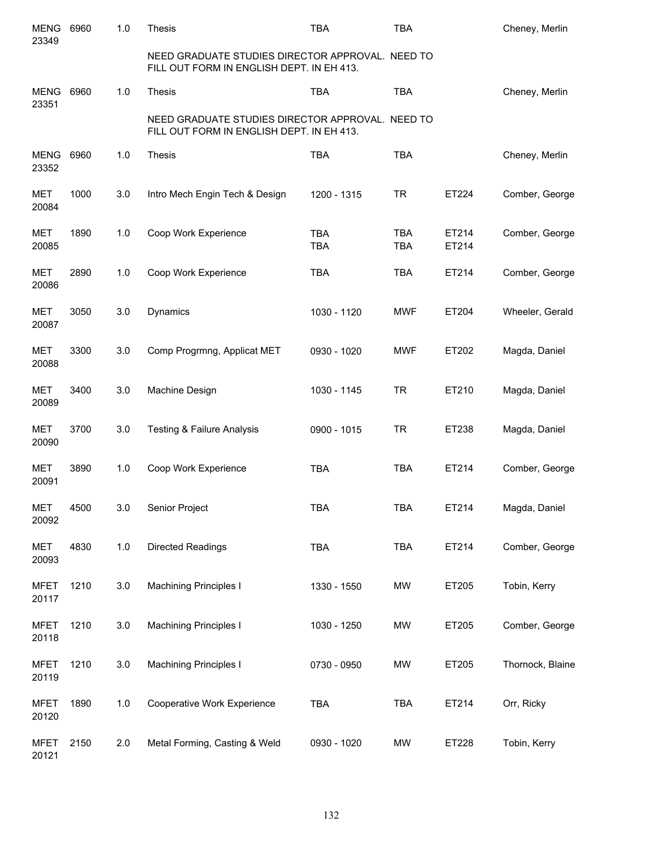| <b>MENG</b><br>23349 | 6960 | 1.0   | <b>Thesis</b>                                                                                 | <b>TBA</b>               | <b>TBA</b>               |                | Cheney, Merlin   |
|----------------------|------|-------|-----------------------------------------------------------------------------------------------|--------------------------|--------------------------|----------------|------------------|
|                      |      |       | NEED GRADUATE STUDIES DIRECTOR APPROVAL. NEED TO<br>FILL OUT FORM IN ENGLISH DEPT. IN EH 413. |                          |                          |                |                  |
| <b>MENG</b><br>23351 | 6960 | 1.0   | <b>Thesis</b>                                                                                 | <b>TBA</b>               | <b>TBA</b>               |                | Cheney, Merlin   |
|                      |      |       | NEED GRADUATE STUDIES DIRECTOR APPROVAL. NEED TO<br>FILL OUT FORM IN ENGLISH DEPT. IN EH 413. |                          |                          |                |                  |
| <b>MENG</b><br>23352 | 6960 | 1.0   | <b>Thesis</b>                                                                                 | <b>TBA</b>               | <b>TBA</b>               |                | Cheney, Merlin   |
| <b>MET</b><br>20084  | 1000 | 3.0   | Intro Mech Engin Tech & Design                                                                | 1200 - 1315              | <b>TR</b>                | ET224          | Comber, George   |
| MET<br>20085         | 1890 | 1.0   | Coop Work Experience                                                                          | <b>TBA</b><br><b>TBA</b> | <b>TBA</b><br><b>TBA</b> | ET214<br>ET214 | Comber, George   |
| <b>MET</b><br>20086  | 2890 | 1.0   | Coop Work Experience                                                                          | <b>TBA</b>               | <b>TBA</b>               | ET214          | Comber, George   |
| MET<br>20087         | 3050 | 3.0   | Dynamics                                                                                      | 1030 - 1120              | <b>MWF</b>               | ET204          | Wheeler, Gerald  |
| <b>MET</b><br>20088  | 3300 | 3.0   | Comp Progrmng, Applicat MET                                                                   | 0930 - 1020              | <b>MWF</b>               | ET202          | Magda, Daniel    |
| MET<br>20089         | 3400 | 3.0   | Machine Design                                                                                | 1030 - 1145              | <b>TR</b>                | ET210          | Magda, Daniel    |
| <b>MET</b><br>20090  | 3700 | 3.0   | <b>Testing &amp; Failure Analysis</b>                                                         | 0900 - 1015              | <b>TR</b>                | ET238          | Magda, Daniel    |
| <b>MET</b><br>20091  | 3890 | 1.0   | Coop Work Experience                                                                          | <b>TBA</b>               | <b>TBA</b>               | ET214          | Comber, George   |
| <b>MET</b><br>20092  | 4500 | 3.0   | Senior Project                                                                                | <b>TBA</b>               | <b>TBA</b>               | ET214          | Magda, Daniel    |
| <b>MET</b><br>20093  | 4830 | $1.0$ | Directed Readings                                                                             | <b>TBA</b>               | <b>TBA</b>               | ET214          | Comber, George   |
| <b>MFET</b><br>20117 | 1210 | 3.0   | <b>Machining Principles I</b>                                                                 | 1330 - 1550              | <b>MW</b>                | ET205          | Tobin, Kerry     |
| <b>MFET</b><br>20118 | 1210 | 3.0   | <b>Machining Principles I</b>                                                                 | 1030 - 1250              | <b>MW</b>                | ET205          | Comber, George   |
| <b>MFET</b><br>20119 | 1210 | 3.0   | <b>Machining Principles I</b>                                                                 | 0730 - 0950              | <b>MW</b>                | ET205          | Thornock, Blaine |
| <b>MFET</b><br>20120 | 1890 | $1.0$ | Cooperative Work Experience                                                                   | <b>TBA</b>               | <b>TBA</b>               | ET214          | Orr, Ricky       |
| <b>MFET</b><br>20121 | 2150 | 2.0   | Metal Forming, Casting & Weld                                                                 | 0930 - 1020              | <b>MW</b>                | ET228          | Tobin, Kerry     |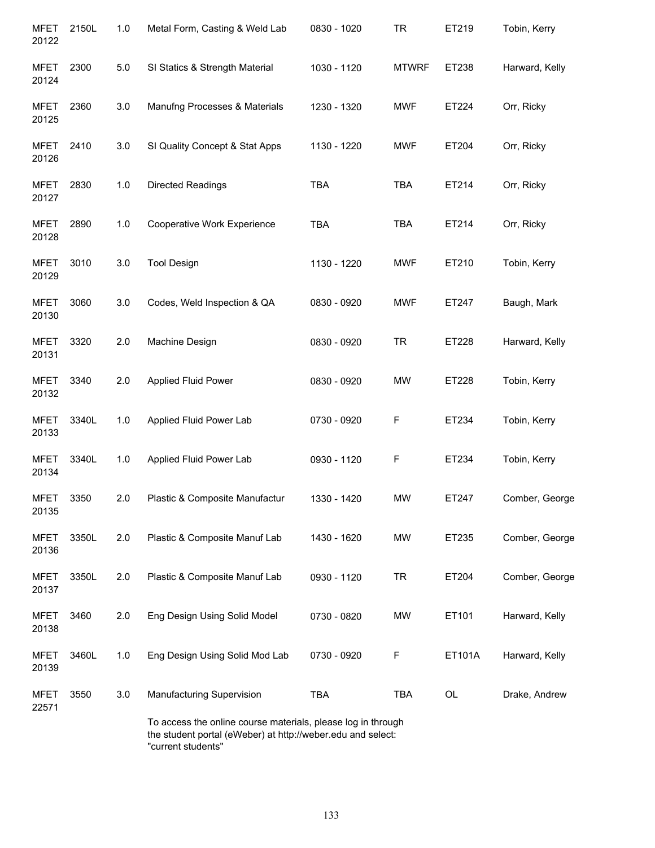| <b>MFET</b><br>20122 | 2150L | 1.0 | Metal Form, Casting & Weld Lab                                                                                              | 0830 - 1020 | <b>TR</b>    | ET219  | Tobin, Kerry   |
|----------------------|-------|-----|-----------------------------------------------------------------------------------------------------------------------------|-------------|--------------|--------|----------------|
| MFET<br>20124        | 2300  | 5.0 | SI Statics & Strength Material                                                                                              | 1030 - 1120 | <b>MTWRF</b> | ET238  | Harward, Kelly |
| MFET<br>20125        | 2360  | 3.0 | Manufng Processes & Materials                                                                                               | 1230 - 1320 | <b>MWF</b>   | ET224  | Orr, Ricky     |
| MFET<br>20126        | 2410  | 3.0 | SI Quality Concept & Stat Apps                                                                                              | 1130 - 1220 | <b>MWF</b>   | ET204  | Orr, Ricky     |
| MFET<br>20127        | 2830  | 1.0 | <b>Directed Readings</b>                                                                                                    | <b>TBA</b>  | <b>TBA</b>   | ET214  | Orr, Ricky     |
| <b>MFET</b><br>20128 | 2890  | 1.0 | Cooperative Work Experience                                                                                                 | <b>TBA</b>  | <b>TBA</b>   | ET214  | Orr, Ricky     |
| MFET<br>20129        | 3010  | 3.0 | <b>Tool Design</b>                                                                                                          | 1130 - 1220 | <b>MWF</b>   | ET210  | Tobin, Kerry   |
| <b>MFET</b><br>20130 | 3060  | 3.0 | Codes, Weld Inspection & QA                                                                                                 | 0830 - 0920 | <b>MWF</b>   | ET247  | Baugh, Mark    |
| <b>MFET</b><br>20131 | 3320  | 2.0 | Machine Design                                                                                                              | 0830 - 0920 | <b>TR</b>    | ET228  | Harward, Kelly |
| <b>MFET</b><br>20132 | 3340  | 2.0 | <b>Applied Fluid Power</b>                                                                                                  | 0830 - 0920 | <b>MW</b>    | ET228  | Tobin, Kerry   |
| <b>MFET</b><br>20133 | 3340L | 1.0 | Applied Fluid Power Lab                                                                                                     | 0730 - 0920 | F            | ET234  | Tobin, Kerry   |
| <b>MFET</b><br>20134 | 3340L | 1.0 | Applied Fluid Power Lab                                                                                                     | 0930 - 1120 | F            | ET234  | Tobin, Kerry   |
| MFET<br>20135        | 3350  | 2.0 | Plastic & Composite Manufactur                                                                                              | 1330 - 1420 | <b>MW</b>    | ET247  | Comber, George |
| MFET<br>20136        | 3350L | 2.0 | Plastic & Composite Manuf Lab                                                                                               | 1430 - 1620 | <b>MW</b>    | ET235  | Comber, George |
| MFET<br>20137        | 3350L | 2.0 | Plastic & Composite Manuf Lab                                                                                               | 0930 - 1120 | <b>TR</b>    | ET204  | Comber, George |
| <b>MFET</b><br>20138 | 3460  | 2.0 | Eng Design Using Solid Model                                                                                                | 0730 - 0820 | <b>MW</b>    | ET101  | Harward, Kelly |
| MFET<br>20139        | 3460L | 1.0 | Eng Design Using Solid Mod Lab                                                                                              | 0730 - 0920 | F            | ET101A | Harward, Kelly |
| MFET<br>22571        | 3550  | 3.0 | Manufacturing Supervision                                                                                                   | <b>TBA</b>  | <b>TBA</b>   | OL     | Drake, Andrew  |
|                      |       |     | To access the online course materials, please log in through<br>the student portal (eWeber) at http://weber.edu and select: |             |              |        |                |

"current students"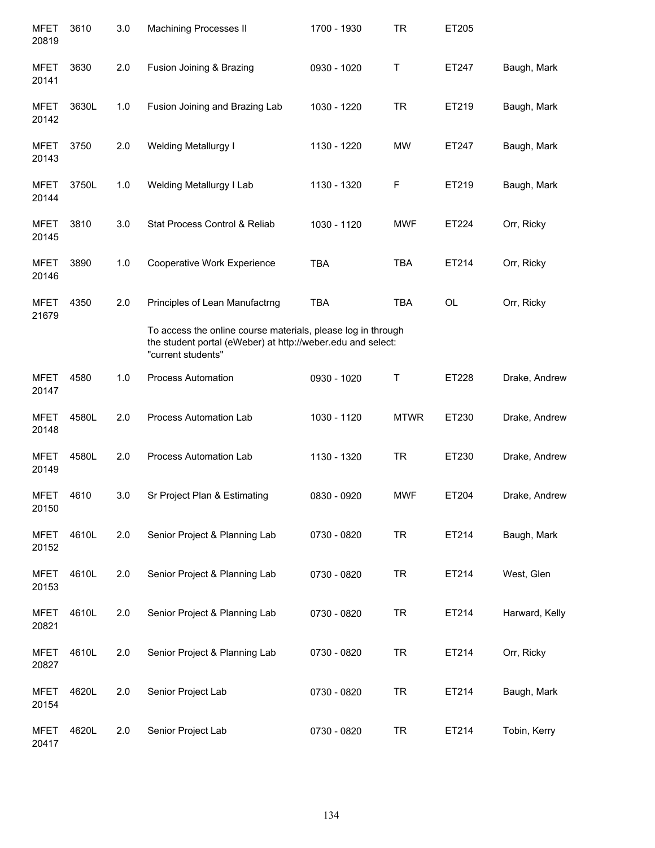| <b>MFET</b><br>20819 | 3610  | 3.0 | Machining Processes II                                                                                                                            | 1700 - 1930 | TR          | ET205     |                |
|----------------------|-------|-----|---------------------------------------------------------------------------------------------------------------------------------------------------|-------------|-------------|-----------|----------------|
| <b>MFET</b><br>20141 | 3630  | 2.0 | Fusion Joining & Brazing                                                                                                                          | 0930 - 1020 | Τ           | ET247     | Baugh, Mark    |
| <b>MFET</b><br>20142 | 3630L | 1.0 | Fusion Joining and Brazing Lab                                                                                                                    | 1030 - 1220 | <b>TR</b>   | ET219     | Baugh, Mark    |
| <b>MFET</b><br>20143 | 3750  | 2.0 | <b>Welding Metallurgy I</b>                                                                                                                       | 1130 - 1220 | <b>MW</b>   | ET247     | Baugh, Mark    |
| <b>MFET</b><br>20144 | 3750L | 1.0 | Welding Metallurgy I Lab                                                                                                                          | 1130 - 1320 | F           | ET219     | Baugh, Mark    |
| <b>MFET</b><br>20145 | 3810  | 3.0 | Stat Process Control & Reliab                                                                                                                     | 1030 - 1120 | <b>MWF</b>  | ET224     | Orr, Ricky     |
| <b>MFET</b><br>20146 | 3890  | 1.0 | Cooperative Work Experience                                                                                                                       | <b>TBA</b>  | <b>TBA</b>  | ET214     | Orr, Ricky     |
| <b>MFET</b><br>21679 | 4350  | 2.0 | Principles of Lean Manufactrng                                                                                                                    | <b>TBA</b>  | <b>TBA</b>  | <b>OL</b> | Orr, Ricky     |
|                      |       |     | To access the online course materials, please log in through<br>the student portal (eWeber) at http://weber.edu and select:<br>"current students" |             |             |           |                |
| <b>MFET</b><br>20147 | 4580  | 1.0 | <b>Process Automation</b>                                                                                                                         | 0930 - 1020 | Τ           | ET228     | Drake, Andrew  |
| <b>MFET</b><br>20148 | 4580L | 2.0 | Process Automation Lab                                                                                                                            | 1030 - 1120 | <b>MTWR</b> | ET230     | Drake, Andrew  |
| <b>MFET</b><br>20149 | 4580L | 2.0 | Process Automation Lab                                                                                                                            | 1130 - 1320 | <b>TR</b>   | ET230     | Drake, Andrew  |
| <b>MFET</b><br>20150 | 4610  | 3.0 | Sr Project Plan & Estimating                                                                                                                      | 0830 - 0920 | <b>MWF</b>  | ET204     | Drake, Andrew  |
| <b>MFET</b><br>20152 | 4610L | 2.0 | Senior Project & Planning Lab                                                                                                                     | 0730 - 0820 | <b>TR</b>   | ET214     | Baugh, Mark    |
| <b>MFET</b><br>20153 | 4610L | 2.0 | Senior Project & Planning Lab                                                                                                                     | 0730 - 0820 | <b>TR</b>   | ET214     | West, Glen     |
| <b>MFET</b><br>20821 | 4610L | 2.0 | Senior Project & Planning Lab                                                                                                                     | 0730 - 0820 | <b>TR</b>   | ET214     | Harward, Kelly |
| <b>MFET</b><br>20827 | 4610L | 2.0 | Senior Project & Planning Lab                                                                                                                     | 0730 - 0820 | <b>TR</b>   | ET214     | Orr, Ricky     |
| <b>MFET</b><br>20154 | 4620L | 2.0 | Senior Project Lab                                                                                                                                | 0730 - 0820 | <b>TR</b>   | ET214     | Baugh, Mark    |
| <b>MFET</b><br>20417 | 4620L | 2.0 | Senior Project Lab                                                                                                                                | 0730 - 0820 | <b>TR</b>   | ET214     | Tobin, Kerry   |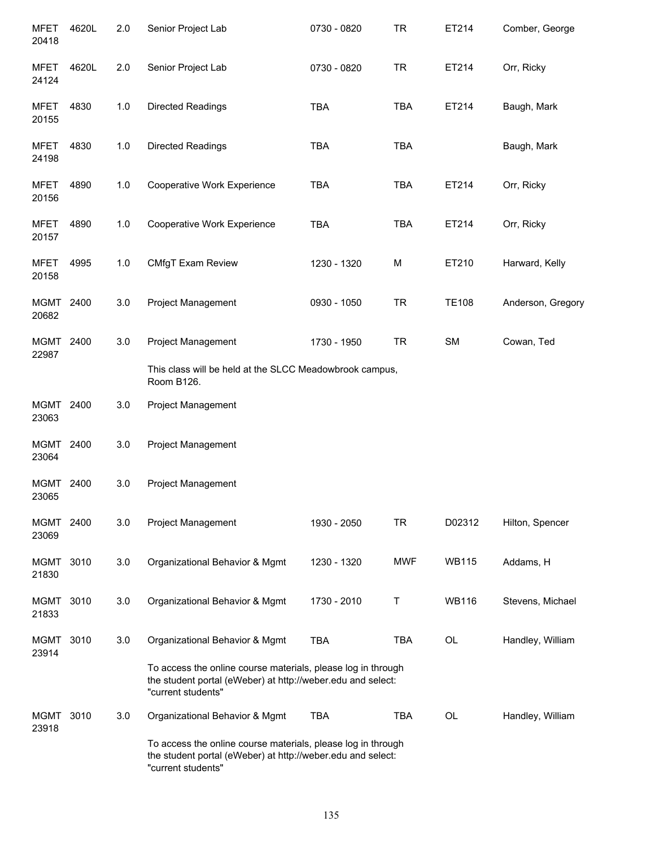| <b>MFET</b><br>20418 | 4620L | 2.0   | Senior Project Lab                                                                                                                                | 0730 - 0820 | <b>TR</b>  | ET214        | Comber, George    |
|----------------------|-------|-------|---------------------------------------------------------------------------------------------------------------------------------------------------|-------------|------------|--------------|-------------------|
| <b>MFET</b><br>24124 | 4620L | 2.0   | Senior Project Lab                                                                                                                                | 0730 - 0820 | <b>TR</b>  | ET214        | Orr, Ricky        |
| MFET<br>20155        | 4830  | $1.0$ | Directed Readings                                                                                                                                 | <b>TBA</b>  | <b>TBA</b> | ET214        | Baugh, Mark       |
| MFET<br>24198        | 4830  | $1.0$ | Directed Readings                                                                                                                                 | <b>TBA</b>  | <b>TBA</b> |              | Baugh, Mark       |
| MFET<br>20156        | 4890  | 1.0   | Cooperative Work Experience                                                                                                                       | <b>TBA</b>  | <b>TBA</b> | ET214        | Orr, Ricky        |
| MFET<br>20157        | 4890  | 1.0   | Cooperative Work Experience                                                                                                                       | <b>TBA</b>  | <b>TBA</b> | ET214        | Orr, Ricky        |
| MFET<br>20158        | 4995  | 1.0   | CMfgT Exam Review                                                                                                                                 | 1230 - 1320 | M          | ET210        | Harward, Kelly    |
| MGMT 2400<br>20682   |       | 3.0   | <b>Project Management</b>                                                                                                                         | 0930 - 1050 | <b>TR</b>  | <b>TE108</b> | Anderson, Gregory |
| MGMT 2400<br>22987   |       | 3.0   | Project Management<br>This class will be held at the SLCC Meadowbrook campus,                                                                     | 1730 - 1950 | <b>TR</b>  | SM           | Cowan, Ted        |
| MGMT 2400            |       | 3.0   | Room B126.<br>Project Management                                                                                                                  |             |            |              |                   |
| 23063                |       |       |                                                                                                                                                   |             |            |              |                   |
| MGMT<br>23064        | 2400  | 3.0   | <b>Project Management</b>                                                                                                                         |             |            |              |                   |
| MGMT<br>23065        | 2400  | 3.0   | Project Management                                                                                                                                |             |            |              |                   |
| MGMT 2400<br>23069   |       | 3.0   | Project Management                                                                                                                                | 1930 - 2050 | <b>TR</b>  | D02312       | Hilton, Spencer   |
| <b>MGMT</b><br>21830 | 3010  | 3.0   | Organizational Behavior & Mgmt                                                                                                                    | 1230 - 1320 | <b>MWF</b> | <b>WB115</b> | Addams, H         |
| MGMT<br>21833        | 3010  | 3.0   | Organizational Behavior & Mgmt                                                                                                                    | 1730 - 2010 | Т          | <b>WB116</b> | Stevens, Michael  |
| MGMT<br>23914        | 3010  | 3.0   | Organizational Behavior & Mgmt                                                                                                                    | <b>TBA</b>  | <b>TBA</b> | <b>OL</b>    | Handley, William  |
|                      |       |       | To access the online course materials, please log in through<br>the student portal (eWeber) at http://weber.edu and select:<br>"current students" |             |            |              |                   |
| MGMT<br>23918        | 3010  | 3.0   | Organizational Behavior & Mgmt                                                                                                                    | <b>TBA</b>  | <b>TBA</b> | OL           | Handley, William  |
|                      |       |       | To access the online course materials, please log in through<br>the student portal (eWeber) at http://weber.edu and select:<br>"current students" |             |            |              |                   |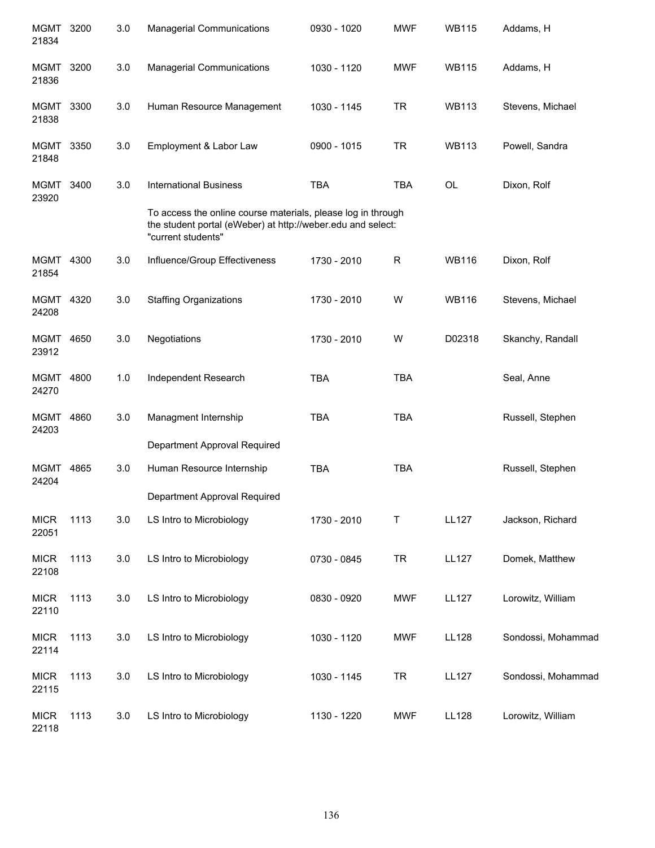| MGMT 3200<br>21834   |      | 3.0 | <b>Managerial Communications</b>                                                                                                                  | 0930 - 1020 | <b>MWF</b>   | <b>WB115</b> | Addams, H          |
|----------------------|------|-----|---------------------------------------------------------------------------------------------------------------------------------------------------|-------------|--------------|--------------|--------------------|
| MGMT<br>21836        | 3200 | 3.0 | <b>Managerial Communications</b>                                                                                                                  | 1030 - 1120 | <b>MWF</b>   | <b>WB115</b> | Addams, H          |
| MGMT<br>21838        | 3300 | 3.0 | Human Resource Management                                                                                                                         | 1030 - 1145 | <b>TR</b>    | <b>WB113</b> | Stevens, Michael   |
| MGMT<br>21848        | 3350 | 3.0 | Employment & Labor Law                                                                                                                            | 0900 - 1015 | <b>TR</b>    | <b>WB113</b> | Powell, Sandra     |
| <b>MGMT</b><br>23920 | 3400 | 3.0 | <b>International Business</b>                                                                                                                     | <b>TBA</b>  | <b>TBA</b>   | OL           | Dixon, Rolf        |
|                      |      |     | To access the online course materials, please log in through<br>the student portal (eWeber) at http://weber.edu and select:<br>"current students" |             |              |              |                    |
| MGMT 4300<br>21854   |      | 3.0 | Influence/Group Effectiveness                                                                                                                     | 1730 - 2010 | $\mathsf{R}$ | <b>WB116</b> | Dixon, Rolf        |
| MGMT 4320<br>24208   |      | 3.0 | <b>Staffing Organizations</b>                                                                                                                     | 1730 - 2010 | W            | <b>WB116</b> | Stevens, Michael   |
| MGMT 4650<br>23912   |      | 3.0 | Negotiations                                                                                                                                      | 1730 - 2010 | W            | D02318       | Skanchy, Randall   |
| <b>MGMT</b><br>24270 | 4800 | 1.0 | Independent Research                                                                                                                              | <b>TBA</b>  | <b>TBA</b>   |              | Seal, Anne         |
| <b>MGMT</b><br>24203 | 4860 | 3.0 | Managment Internship                                                                                                                              | <b>TBA</b>  | <b>TBA</b>   |              | Russell, Stephen   |
|                      |      |     | Department Approval Required                                                                                                                      |             |              |              |                    |
| MGMT<br>24204        | 4865 | 3.0 | Human Resource Internship                                                                                                                         | <b>TBA</b>  | <b>TBA</b>   |              | Russell, Stephen   |
|                      |      |     | Department Approval Required                                                                                                                      |             |              |              |                    |
| <b>MICR</b><br>22051 | 1113 | 3.0 | LS Intro to Microbiology                                                                                                                          | 1730 - 2010 | Τ            | <b>LL127</b> | Jackson, Richard   |
| <b>MICR</b><br>22108 | 1113 | 3.0 | LS Intro to Microbiology                                                                                                                          | 0730 - 0845 | <b>TR</b>    | <b>LL127</b> | Domek, Matthew     |
| <b>MICR</b><br>22110 | 1113 | 3.0 | LS Intro to Microbiology                                                                                                                          | 0830 - 0920 | <b>MWF</b>   | <b>LL127</b> | Lorowitz, William  |
| <b>MICR</b><br>22114 | 1113 | 3.0 | LS Intro to Microbiology                                                                                                                          | 1030 - 1120 | <b>MWF</b>   | LL128        | Sondossi, Mohammad |
| <b>MICR</b><br>22115 | 1113 | 3.0 | LS Intro to Microbiology                                                                                                                          | 1030 - 1145 | <b>TR</b>    | <b>LL127</b> | Sondossi, Mohammad |
| <b>MICR</b><br>22118 | 1113 | 3.0 | LS Intro to Microbiology                                                                                                                          | 1130 - 1220 | <b>MWF</b>   | LL128        | Lorowitz, William  |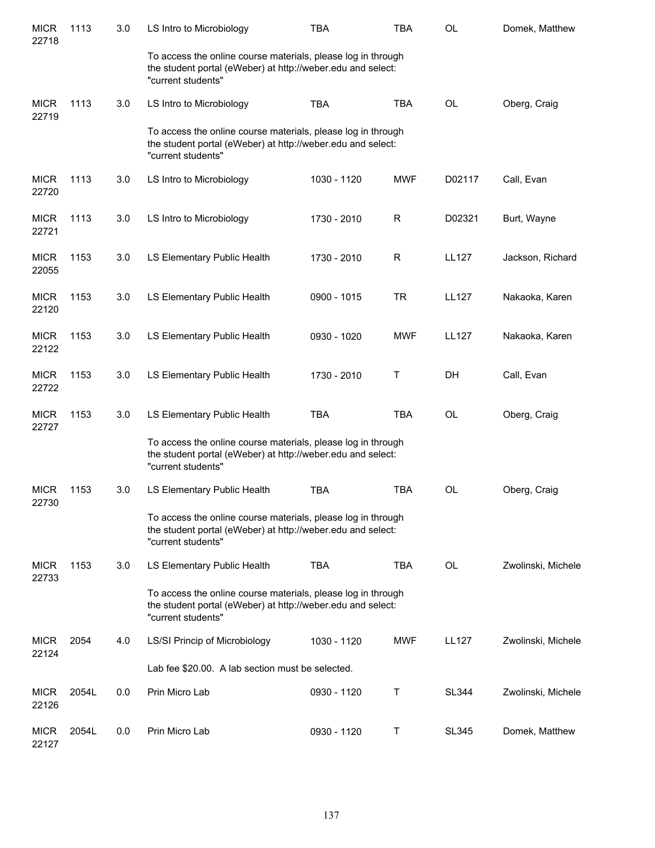| <b>MICR</b><br>22718 | 1113  | 3.0 | LS Intro to Microbiology                                                                                                                          | <b>TBA</b>  | <b>TBA</b>   | OL           | Domek, Matthew     |
|----------------------|-------|-----|---------------------------------------------------------------------------------------------------------------------------------------------------|-------------|--------------|--------------|--------------------|
|                      |       |     | To access the online course materials, please log in through<br>the student portal (eWeber) at http://weber.edu and select:<br>"current students" |             |              |              |                    |
| <b>MICR</b><br>22719 | 1113  | 3.0 | LS Intro to Microbiology                                                                                                                          | <b>TBA</b>  | <b>TBA</b>   | OL           | Oberg, Craig       |
|                      |       |     | To access the online course materials, please log in through<br>the student portal (eWeber) at http://weber.edu and select:<br>"current students" |             |              |              |                    |
| <b>MICR</b><br>22720 | 1113  | 3.0 | LS Intro to Microbiology                                                                                                                          | 1030 - 1120 | <b>MWF</b>   | D02117       | Call, Evan         |
| <b>MICR</b><br>22721 | 1113  | 3.0 | LS Intro to Microbiology                                                                                                                          | 1730 - 2010 | $\mathsf{R}$ | D02321       | Burt, Wayne        |
| <b>MICR</b><br>22055 | 1153  | 3.0 | LS Elementary Public Health                                                                                                                       | 1730 - 2010 | $\mathsf R$  | <b>LL127</b> | Jackson, Richard   |
| <b>MICR</b><br>22120 | 1153  | 3.0 | LS Elementary Public Health                                                                                                                       | 0900 - 1015 | <b>TR</b>    | <b>LL127</b> | Nakaoka, Karen     |
| <b>MICR</b><br>22122 | 1153  | 3.0 | LS Elementary Public Health                                                                                                                       | 0930 - 1020 | <b>MWF</b>   | <b>LL127</b> | Nakaoka, Karen     |
| <b>MICR</b><br>22722 | 1153  | 3.0 | LS Elementary Public Health                                                                                                                       | 1730 - 2010 | Т            | DH           | Call, Evan         |
| <b>MICR</b><br>22727 | 1153  | 3.0 | LS Elementary Public Health                                                                                                                       | <b>TBA</b>  | <b>TBA</b>   | OL           | Oberg, Craig       |
|                      |       |     | To access the online course materials, please log in through<br>the student portal (eWeber) at http://weber.edu and select:<br>"current students" |             |              |              |                    |
| <b>MICR</b><br>22730 | 1153  | 3.0 | LS Elementary Public Health                                                                                                                       | <b>TBA</b>  | <b>TBA</b>   | <b>OL</b>    | Oberg, Craig       |
|                      |       |     | To access the online course materials, please log in through<br>the student portal (eWeber) at http://weber.edu and select:<br>"current students" |             |              |              |                    |
| <b>MICR</b><br>22733 | 1153  | 3.0 | LS Elementary Public Health                                                                                                                       | <b>TBA</b>  | <b>TBA</b>   | <b>OL</b>    | Zwolinski, Michele |
|                      |       |     | To access the online course materials, please log in through<br>the student portal (eWeber) at http://weber.edu and select:<br>"current students" |             |              |              |                    |
| <b>MICR</b><br>22124 | 2054  | 4.0 | LS/SI Princip of Microbiology                                                                                                                     | 1030 - 1120 | <b>MWF</b>   | <b>LL127</b> | Zwolinski, Michele |
|                      |       |     | Lab fee \$20.00. A lab section must be selected.                                                                                                  |             |              |              |                    |
| <b>MICR</b><br>22126 | 2054L | 0.0 | Prin Micro Lab                                                                                                                                    | 0930 - 1120 | Τ            | <b>SL344</b> | Zwolinski, Michele |
| <b>MICR</b><br>22127 | 2054L | 0.0 | Prin Micro Lab                                                                                                                                    | 0930 - 1120 | Τ            | SL345        | Domek, Matthew     |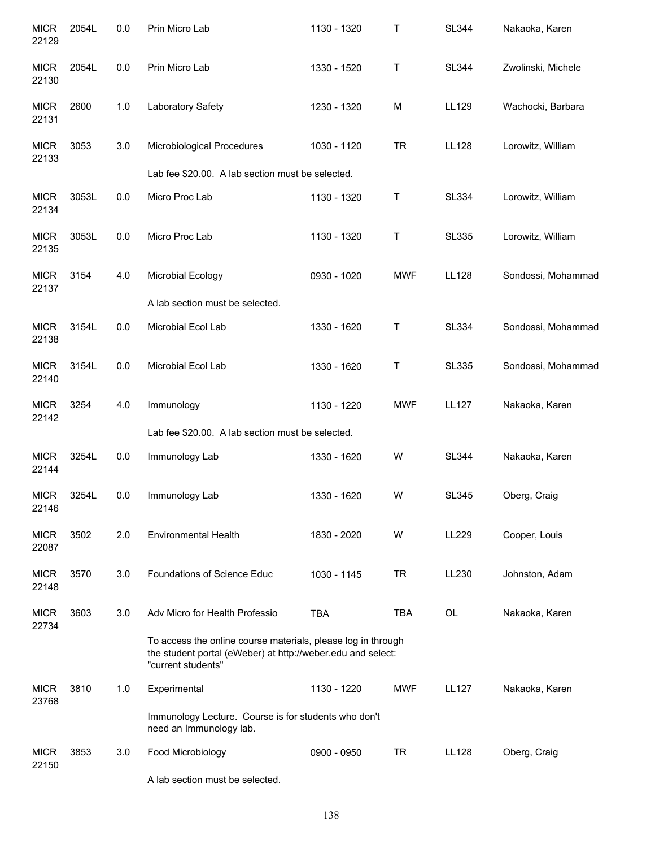| <b>MICR</b><br>22129 | 2054L | 0.0 | Prin Micro Lab                                                                                                                                    | 1130 - 1320 | Τ          | <b>SL344</b> | Nakaoka, Karen     |
|----------------------|-------|-----|---------------------------------------------------------------------------------------------------------------------------------------------------|-------------|------------|--------------|--------------------|
| <b>MICR</b><br>22130 | 2054L | 0.0 | Prin Micro Lab                                                                                                                                    | 1330 - 1520 | Τ          | <b>SL344</b> | Zwolinski, Michele |
| <b>MICR</b><br>22131 | 2600  | 1.0 | Laboratory Safety                                                                                                                                 | 1230 - 1320 | M          | LL129        | Wachocki, Barbara  |
| <b>MICR</b><br>22133 | 3053  | 3.0 | Microbiological Procedures                                                                                                                        | 1030 - 1120 | <b>TR</b>  | <b>LL128</b> | Lorowitz, William  |
|                      |       |     | Lab fee \$20.00. A lab section must be selected.                                                                                                  |             |            |              |                    |
| <b>MICR</b><br>22134 | 3053L | 0.0 | Micro Proc Lab                                                                                                                                    | 1130 - 1320 | T          | <b>SL334</b> | Lorowitz, William  |
| <b>MICR</b><br>22135 | 3053L | 0.0 | Micro Proc Lab                                                                                                                                    | 1130 - 1320 | Т          | <b>SL335</b> | Lorowitz, William  |
| <b>MICR</b><br>22137 | 3154  | 4.0 | Microbial Ecology                                                                                                                                 | 0930 - 1020 | <b>MWF</b> | <b>LL128</b> | Sondossi, Mohammad |
|                      |       |     | A lab section must be selected.                                                                                                                   |             |            |              |                    |
| <b>MICR</b><br>22138 | 3154L | 0.0 | Microbial Ecol Lab                                                                                                                                | 1330 - 1620 | Τ          | <b>SL334</b> | Sondossi, Mohammad |
| <b>MICR</b><br>22140 | 3154L | 0.0 | Microbial Ecol Lab                                                                                                                                | 1330 - 1620 | Τ          | <b>SL335</b> | Sondossi, Mohammad |
| <b>MICR</b><br>22142 | 3254  | 4.0 | Immunology                                                                                                                                        | 1130 - 1220 | <b>MWF</b> | <b>LL127</b> | Nakaoka, Karen     |
|                      |       |     | Lab fee \$20.00. A lab section must be selected.                                                                                                  |             |            |              |                    |
| <b>MICR</b><br>22144 | 3254L | 0.0 | Immunology Lab                                                                                                                                    | 1330 - 1620 | W          | <b>SL344</b> | Nakaoka, Karen     |
| <b>MICR</b><br>22146 | 3254L | 0.0 | Immunology Lab                                                                                                                                    | 1330 - 1620 | W          | <b>SL345</b> | Oberg, Craig       |
| <b>MICR</b><br>22087 | 3502  | 2.0 | <b>Environmental Health</b>                                                                                                                       | 1830 - 2020 | W          | LL229        | Cooper, Louis      |
| <b>MICR</b><br>22148 | 3570  | 3.0 | Foundations of Science Educ                                                                                                                       | 1030 - 1145 | <b>TR</b>  | LL230        | Johnston, Adam     |
| <b>MICR</b><br>22734 | 3603  | 3.0 | Adv Micro for Health Professio                                                                                                                    | <b>TBA</b>  | <b>TBA</b> | <b>OL</b>    | Nakaoka, Karen     |
|                      |       |     | To access the online course materials, please log in through<br>the student portal (eWeber) at http://weber.edu and select:<br>"current students" |             |            |              |                    |
| <b>MICR</b><br>23768 | 3810  | 1.0 | Experimental                                                                                                                                      | 1130 - 1220 | <b>MWF</b> | <b>LL127</b> | Nakaoka, Karen     |
|                      |       |     | Immunology Lecture. Course is for students who don't<br>need an Immunology lab.                                                                   |             |            |              |                    |
| <b>MICR</b><br>22150 | 3853  | 3.0 | Food Microbiology                                                                                                                                 | 0900 - 0950 | <b>TR</b>  | <b>LL128</b> | Oberg, Craig       |
|                      |       |     | A lab section must be selected.                                                                                                                   |             |            |              |                    |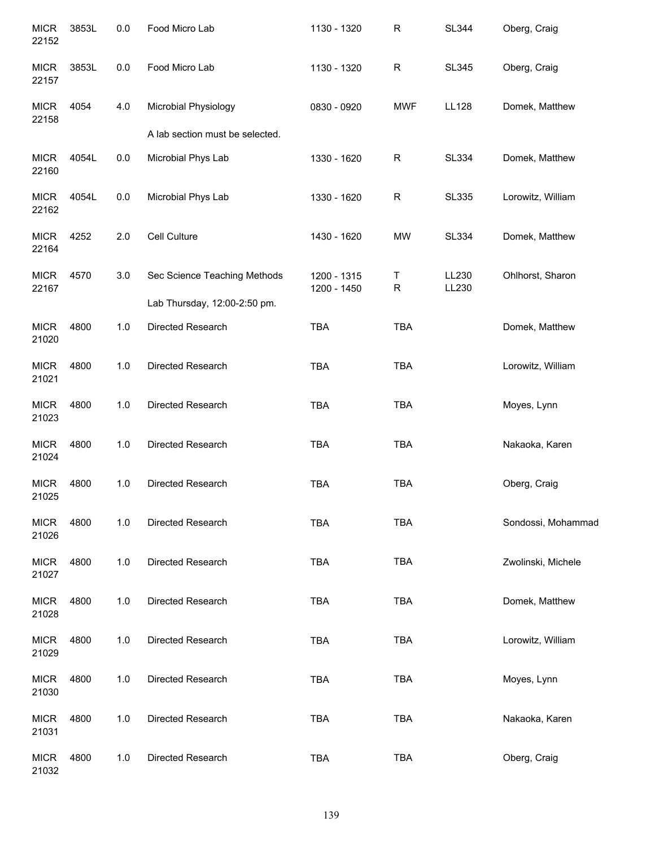| <b>MICR</b><br>22152 | 3853L | 0.0     | Food Micro Lab                  | 1130 - 1320                | $\mathsf{R}$     | <b>SL344</b>   | Oberg, Craig       |
|----------------------|-------|---------|---------------------------------|----------------------------|------------------|----------------|--------------------|
| <b>MICR</b><br>22157 | 3853L | $0.0\,$ | Food Micro Lab                  | 1130 - 1320                | $\mathsf{R}$     | <b>SL345</b>   | Oberg, Craig       |
| <b>MICR</b><br>22158 | 4054  | 4.0     | Microbial Physiology            | 0830 - 0920                | <b>MWF</b>       | <b>LL128</b>   | Domek, Matthew     |
|                      |       |         | A lab section must be selected. |                            |                  |                |                    |
| <b>MICR</b><br>22160 | 4054L | $0.0\,$ | Microbial Phys Lab              | 1330 - 1620                | $\mathsf{R}$     | <b>SL334</b>   | Domek, Matthew     |
| <b>MICR</b><br>22162 | 4054L | $0.0\,$ | Microbial Phys Lab              | 1330 - 1620                | $\mathsf{R}$     | <b>SL335</b>   | Lorowitz, William  |
| <b>MICR</b><br>22164 | 4252  | 2.0     | Cell Culture                    | 1430 - 1620                | <b>MW</b>        | <b>SL334</b>   | Domek, Matthew     |
| <b>MICR</b><br>22167 | 4570  | 3.0     | Sec Science Teaching Methods    | 1200 - 1315<br>1200 - 1450 | Τ<br>$\mathsf R$ | LL230<br>LL230 | Ohlhorst, Sharon   |
|                      |       |         | Lab Thursday, 12:00-2:50 pm.    |                            |                  |                |                    |
| <b>MICR</b><br>21020 | 4800  | $1.0$   | Directed Research               | <b>TBA</b>                 | <b>TBA</b>       |                | Domek, Matthew     |
| <b>MICR</b><br>21021 | 4800  | 1.0     | Directed Research               | TBA                        | <b>TBA</b>       |                | Lorowitz, William  |
| <b>MICR</b><br>21023 | 4800  | 1.0     | Directed Research               | TBA                        | <b>TBA</b>       |                | Moyes, Lynn        |
| <b>MICR</b><br>21024 | 4800  | 1.0     | Directed Research               | TBA                        | <b>TBA</b>       |                | Nakaoka, Karen     |
| <b>MICR</b><br>21025 | 4800  | 1.0     | Directed Research               | <b>TBA</b>                 | <b>TBA</b>       |                | Oberg, Craig       |
| <b>MICR</b><br>21026 | 4800  | 1.0     | Directed Research               | <b>TBA</b>                 | <b>TBA</b>       |                | Sondossi, Mohammad |
| <b>MICR</b><br>21027 | 4800  | 1.0     | Directed Research               | <b>TBA</b>                 | <b>TBA</b>       |                | Zwolinski, Michele |
| <b>MICR</b><br>21028 | 4800  | 1.0     | Directed Research               | <b>TBA</b>                 | <b>TBA</b>       |                | Domek, Matthew     |
| <b>MICR</b><br>21029 | 4800  | 1.0     | Directed Research               | <b>TBA</b>                 | <b>TBA</b>       |                | Lorowitz, William  |
| <b>MICR</b><br>21030 | 4800  | 1.0     | Directed Research               | <b>TBA</b>                 | <b>TBA</b>       |                | Moyes, Lynn        |
| <b>MICR</b><br>21031 | 4800  | 1.0     | Directed Research               | <b>TBA</b>                 | <b>TBA</b>       |                | Nakaoka, Karen     |
| <b>MICR</b><br>21032 | 4800  | 1.0     | Directed Research               | TBA                        | <b>TBA</b>       |                | Oberg, Craig       |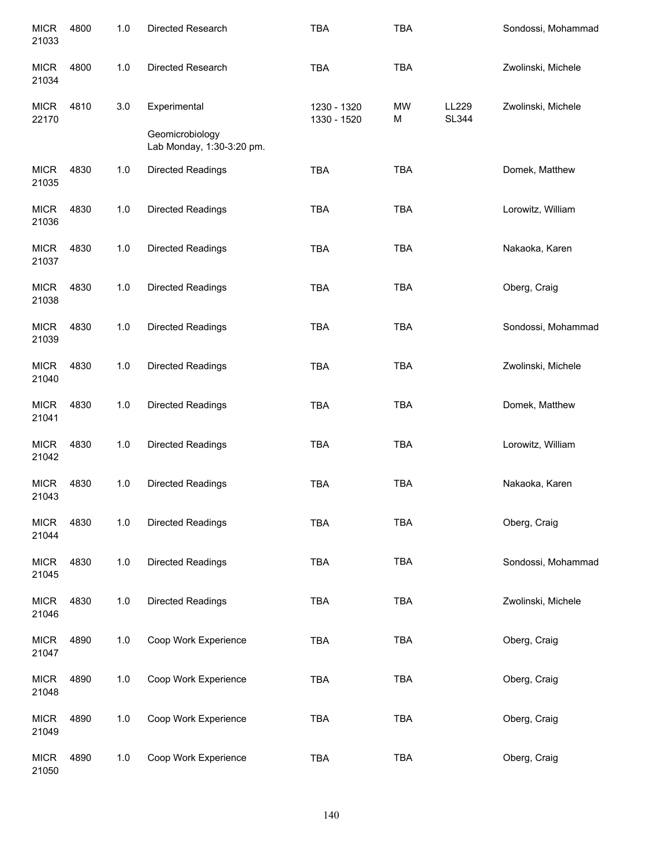| <b>MICR</b><br>21033 | 4800 | $1.0$ | Directed Research                            | <b>TBA</b>                 | <b>TBA</b> |                       | Sondossi, Mohammad |
|----------------------|------|-------|----------------------------------------------|----------------------------|------------|-----------------------|--------------------|
| <b>MICR</b><br>21034 | 4800 | 1.0   | Directed Research                            | <b>TBA</b>                 | <b>TBA</b> |                       | Zwolinski, Michele |
| <b>MICR</b><br>22170 | 4810 | 3.0   | Experimental                                 | 1230 - 1320<br>1330 - 1520 | MW<br>M    | LL229<br><b>SL344</b> | Zwolinski, Michele |
|                      |      |       | Geomicrobiology<br>Lab Monday, 1:30-3:20 pm. |                            |            |                       |                    |
| <b>MICR</b><br>21035 | 4830 | 1.0   | <b>Directed Readings</b>                     | <b>TBA</b>                 | <b>TBA</b> |                       | Domek, Matthew     |
| <b>MICR</b><br>21036 | 4830 | 1.0   | <b>Directed Readings</b>                     | <b>TBA</b>                 | <b>TBA</b> |                       | Lorowitz, William  |
| <b>MICR</b><br>21037 | 4830 | 1.0   | <b>Directed Readings</b>                     | <b>TBA</b>                 | <b>TBA</b> |                       | Nakaoka, Karen     |
| <b>MICR</b><br>21038 | 4830 | 1.0   | <b>Directed Readings</b>                     | <b>TBA</b>                 | <b>TBA</b> |                       | Oberg, Craig       |
| <b>MICR</b><br>21039 | 4830 | 1.0   | <b>Directed Readings</b>                     | <b>TBA</b>                 | <b>TBA</b> |                       | Sondossi, Mohammad |
| <b>MICR</b><br>21040 | 4830 | 1.0   | <b>Directed Readings</b>                     | <b>TBA</b>                 | <b>TBA</b> |                       | Zwolinski, Michele |
| <b>MICR</b><br>21041 | 4830 | 1.0   | <b>Directed Readings</b>                     | <b>TBA</b>                 | <b>TBA</b> |                       | Domek, Matthew     |
| <b>MICR</b><br>21042 | 4830 | 1.0   | <b>Directed Readings</b>                     | <b>TBA</b>                 | <b>TBA</b> |                       | Lorowitz, William  |
| <b>MICR</b><br>21043 | 4830 | 1.0   | <b>Directed Readings</b>                     | <b>TBA</b>                 | <b>TBA</b> |                       | Nakaoka, Karen     |
| <b>MICR</b><br>21044 | 4830 | 1.0   | <b>Directed Readings</b>                     | <b>TBA</b>                 | <b>TBA</b> |                       | Oberg, Craig       |
| <b>MICR</b><br>21045 | 4830 | 1.0   | <b>Directed Readings</b>                     | <b>TBA</b>                 | <b>TBA</b> |                       | Sondossi, Mohammad |
| <b>MICR</b><br>21046 | 4830 | $1.0$ | <b>Directed Readings</b>                     | <b>TBA</b>                 | <b>TBA</b> |                       | Zwolinski, Michele |
| <b>MICR</b><br>21047 | 4890 | 1.0   | Coop Work Experience                         | <b>TBA</b>                 | <b>TBA</b> |                       | Oberg, Craig       |
| <b>MICR</b><br>21048 | 4890 | 1.0   | Coop Work Experience                         | <b>TBA</b>                 | <b>TBA</b> |                       | Oberg, Craig       |
| <b>MICR</b><br>21049 | 4890 | 1.0   | Coop Work Experience                         | <b>TBA</b>                 | <b>TBA</b> |                       | Oberg, Craig       |
| <b>MICR</b><br>21050 | 4890 | 1.0   | Coop Work Experience                         | <b>TBA</b>                 | <b>TBA</b> |                       | Oberg, Craig       |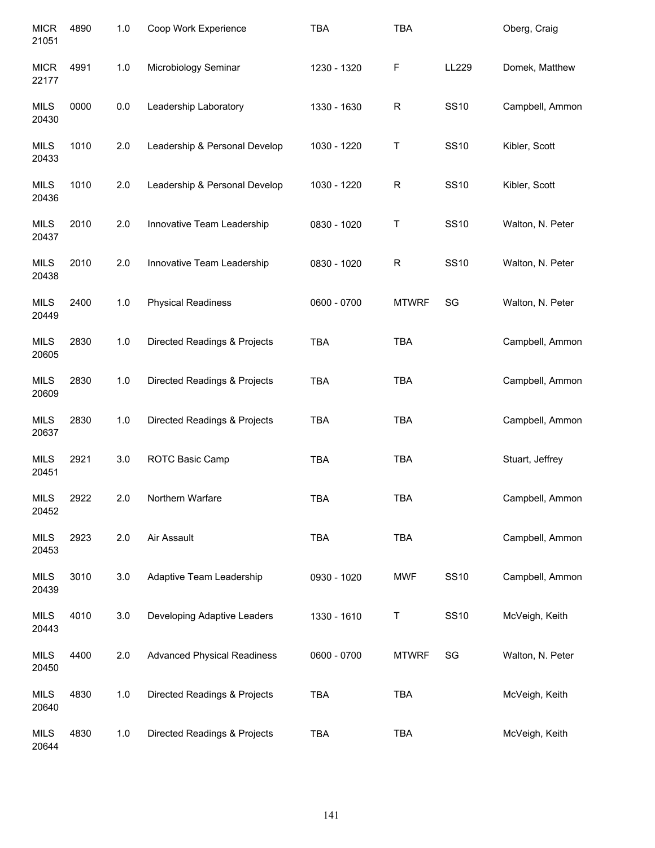| <b>MICR</b><br>21051 | 4890 | 1.0 | Coop Work Experience               | <b>TBA</b>  | <b>TBA</b>   |             | Oberg, Craig     |
|----------------------|------|-----|------------------------------------|-------------|--------------|-------------|------------------|
| <b>MICR</b><br>22177 | 4991 | 1.0 | Microbiology Seminar               | 1230 - 1320 | F            | LL229       | Domek, Matthew   |
| <b>MILS</b><br>20430 | 0000 | 0.0 | Leadership Laboratory              | 1330 - 1630 | $\mathsf R$  | <b>SS10</b> | Campbell, Ammon  |
| <b>MILS</b><br>20433 | 1010 | 2.0 | Leadership & Personal Develop      | 1030 - 1220 | Τ            | <b>SS10</b> | Kibler, Scott    |
| <b>MILS</b><br>20436 | 1010 | 2.0 | Leadership & Personal Develop      | 1030 - 1220 | R            | <b>SS10</b> | Kibler, Scott    |
| <b>MILS</b><br>20437 | 2010 | 2.0 | Innovative Team Leadership         | 0830 - 1020 | Τ            | <b>SS10</b> | Walton, N. Peter |
| <b>MILS</b><br>20438 | 2010 | 2.0 | Innovative Team Leadership         | 0830 - 1020 | $\mathsf R$  | <b>SS10</b> | Walton, N. Peter |
| <b>MILS</b><br>20449 | 2400 | 1.0 | <b>Physical Readiness</b>          | 0600 - 0700 | <b>MTWRF</b> | SG          | Walton, N. Peter |
| <b>MILS</b><br>20605 | 2830 | 1.0 | Directed Readings & Projects       | <b>TBA</b>  | <b>TBA</b>   |             | Campbell, Ammon  |
| <b>MILS</b><br>20609 | 2830 | 1.0 | Directed Readings & Projects       | <b>TBA</b>  | <b>TBA</b>   |             | Campbell, Ammon  |
| <b>MILS</b><br>20637 | 2830 | 1.0 | Directed Readings & Projects       | <b>TBA</b>  | <b>TBA</b>   |             | Campbell, Ammon  |
| <b>MILS</b><br>20451 | 2921 | 3.0 | ROTC Basic Camp                    | <b>TBA</b>  | <b>TBA</b>   |             | Stuart, Jeffrey  |
| <b>MILS</b><br>20452 | 2922 | 2.0 | Northern Warfare                   | <b>TBA</b>  | <b>TBA</b>   |             | Campbell, Ammon  |
| <b>MILS</b><br>20453 | 2923 | 2.0 | Air Assault                        | <b>TBA</b>  | TBA          |             | Campbell, Ammon  |
| <b>MILS</b><br>20439 | 3010 | 3.0 | Adaptive Team Leadership           | 0930 - 1020 | <b>MWF</b>   | <b>SS10</b> | Campbell, Ammon  |
| <b>MILS</b><br>20443 | 4010 | 3.0 | Developing Adaptive Leaders        | 1330 - 1610 | Τ            | <b>SS10</b> | McVeigh, Keith   |
| <b>MILS</b><br>20450 | 4400 | 2.0 | <b>Advanced Physical Readiness</b> | 0600 - 0700 | <b>MTWRF</b> | SG          | Walton, N. Peter |
| <b>MILS</b><br>20640 | 4830 | 1.0 | Directed Readings & Projects       | <b>TBA</b>  | <b>TBA</b>   |             | McVeigh, Keith   |
| <b>MILS</b><br>20644 | 4830 | 1.0 | Directed Readings & Projects       | <b>TBA</b>  | TBA          |             | McVeigh, Keith   |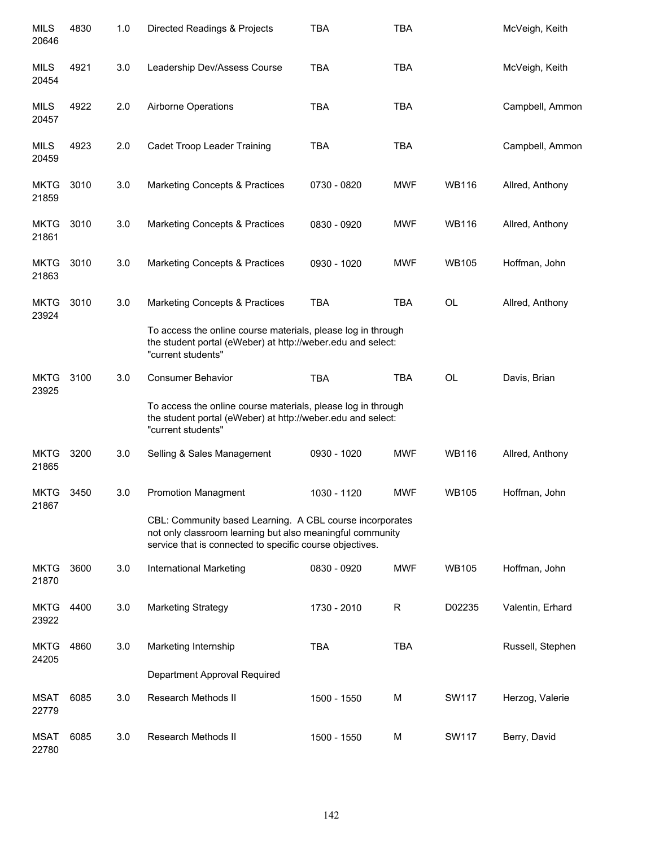| <b>MILS</b><br>20646 | 4830 | 1.0 | Directed Readings & Projects                                                                                                                                                      | <b>TBA</b>  | <b>TBA</b> |              | McVeigh, Keith   |
|----------------------|------|-----|-----------------------------------------------------------------------------------------------------------------------------------------------------------------------------------|-------------|------------|--------------|------------------|
| <b>MILS</b><br>20454 | 4921 | 3.0 | Leadership Dev/Assess Course                                                                                                                                                      | <b>TBA</b>  | <b>TBA</b> |              | McVeigh, Keith   |
| <b>MILS</b><br>20457 | 4922 | 2.0 | Airborne Operations                                                                                                                                                               | <b>TBA</b>  | <b>TBA</b> |              | Campbell, Ammon  |
| MILS<br>20459        | 4923 | 2.0 | Cadet Troop Leader Training                                                                                                                                                       | <b>TBA</b>  | <b>TBA</b> |              | Campbell, Ammon  |
| <b>MKTG</b><br>21859 | 3010 | 3.0 | <b>Marketing Concepts &amp; Practices</b>                                                                                                                                         | 0730 - 0820 | <b>MWF</b> | <b>WB116</b> | Allred, Anthony  |
| <b>MKTG</b><br>21861 | 3010 | 3.0 | <b>Marketing Concepts &amp; Practices</b>                                                                                                                                         | 0830 - 0920 | <b>MWF</b> | <b>WB116</b> | Allred, Anthony  |
| <b>MKTG</b><br>21863 | 3010 | 3.0 | <b>Marketing Concepts &amp; Practices</b>                                                                                                                                         | 0930 - 1020 | <b>MWF</b> | <b>WB105</b> | Hoffman, John    |
| <b>MKTG</b><br>23924 | 3010 | 3.0 | <b>Marketing Concepts &amp; Practices</b>                                                                                                                                         | <b>TBA</b>  | <b>TBA</b> | <b>OL</b>    | Allred, Anthony  |
|                      |      |     | To access the online course materials, please log in through<br>the student portal (eWeber) at http://weber.edu and select:<br>"current students"                                 |             |            |              |                  |
| <b>MKTG</b><br>23925 | 3100 | 3.0 | <b>Consumer Behavior</b>                                                                                                                                                          | <b>TBA</b>  | <b>TBA</b> | <b>OL</b>    | Davis, Brian     |
|                      |      |     | To access the online course materials, please log in through<br>the student portal (eWeber) at http://weber.edu and select:<br>"current students"                                 |             |            |              |                  |
| <b>MKTG</b><br>21865 | 3200 | 3.0 | Selling & Sales Management                                                                                                                                                        | 0930 - 1020 | <b>MWF</b> | <b>WB116</b> | Allred, Anthony  |
| <b>MKTG</b><br>21867 | 3450 | 3.0 | <b>Promotion Managment</b>                                                                                                                                                        | 1030 - 1120 | <b>MWF</b> | <b>WB105</b> | Hoffman, John    |
|                      |      |     | CBL: Community based Learning. A CBL course incorporates<br>not only classroom learning but also meaningful community<br>service that is connected to specific course objectives. |             |            |              |                  |
| <b>MKTG</b><br>21870 | 3600 | 3.0 | International Marketing                                                                                                                                                           | 0830 - 0920 | <b>MWF</b> | <b>WB105</b> | Hoffman, John    |
| <b>MKTG</b><br>23922 | 4400 | 3.0 | <b>Marketing Strategy</b>                                                                                                                                                         | 1730 - 2010 | R          | D02235       | Valentin, Erhard |
| <b>MKTG</b><br>24205 | 4860 | 3.0 | Marketing Internship                                                                                                                                                              | <b>TBA</b>  | <b>TBA</b> |              | Russell, Stephen |
|                      |      |     | Department Approval Required                                                                                                                                                      |             |            |              |                  |
| <b>MSAT</b><br>22779 | 6085 | 3.0 | Research Methods II                                                                                                                                                               | 1500 - 1550 | М          | SW117        | Herzog, Valerie  |
| <b>MSAT</b><br>22780 | 6085 | 3.0 | Research Methods II                                                                                                                                                               | 1500 - 1550 | M          | SW117        | Berry, David     |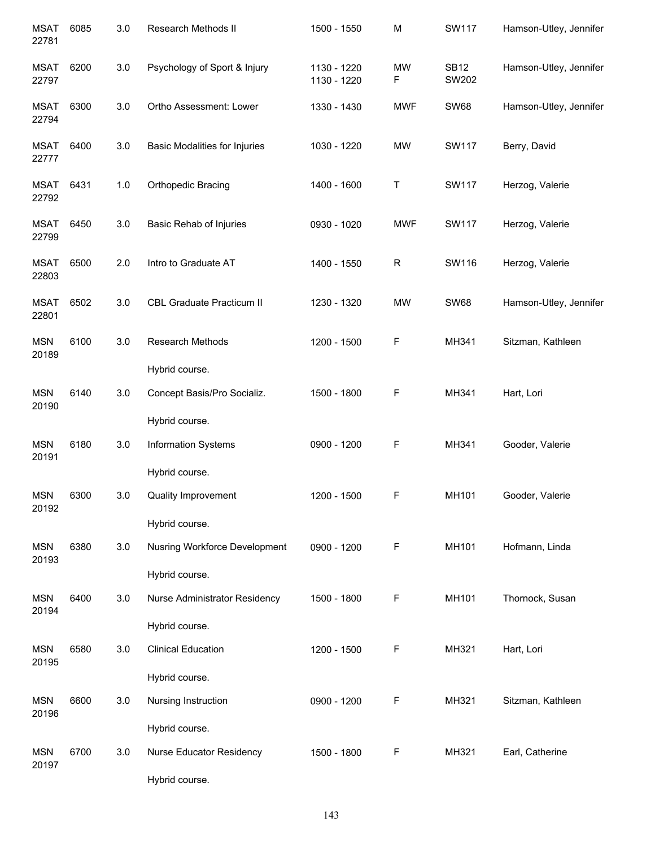| <b>MSAT</b><br>22781 | 6085 | 3.0     | Research Methods II                                             | 1500 - 1550                | M              | <b>SW117</b>         | Hamson-Utley, Jennifer |
|----------------------|------|---------|-----------------------------------------------------------------|----------------------------|----------------|----------------------|------------------------|
| <b>MSAT</b><br>22797 | 6200 | 3.0     | Psychology of Sport & Injury                                    | 1130 - 1220<br>1130 - 1220 | <b>MW</b><br>F | <b>SB12</b><br>SW202 | Hamson-Utley, Jennifer |
| <b>MSAT</b><br>22794 | 6300 | 3.0     | Ortho Assessment: Lower                                         | 1330 - 1430                | <b>MWF</b>     | <b>SW68</b>          | Hamson-Utley, Jennifer |
| <b>MSAT</b><br>22777 | 6400 | 3.0     | <b>Basic Modalities for Injuries</b>                            | 1030 - 1220                | <b>MW</b>      | <b>SW117</b>         | Berry, David           |
| <b>MSAT</b><br>22792 | 6431 | 1.0     | <b>Orthopedic Bracing</b>                                       | 1400 - 1600                | Τ              | SW117                | Herzog, Valerie        |
| <b>MSAT</b><br>22799 | 6450 | 3.0     | Basic Rehab of Injuries                                         | 0930 - 1020                | <b>MWF</b>     | SW117                | Herzog, Valerie        |
| <b>MSAT</b><br>22803 | 6500 | 2.0     | Intro to Graduate AT                                            | 1400 - 1550                | $\mathsf R$    | SW116                | Herzog, Valerie        |
| <b>MSAT</b><br>22801 | 6502 | 3.0     | <b>CBL Graduate Practicum II</b>                                | 1230 - 1320                | <b>MW</b>      | <b>SW68</b>          | Hamson-Utley, Jennifer |
| <b>MSN</b><br>20189  | 6100 | 3.0     | Research Methods                                                | 1200 - 1500                | F              | MH341                | Sitzman, Kathleen      |
| <b>MSN</b><br>20190  | 6140 | 3.0     | Hybrid course.<br>Concept Basis/Pro Socializ.<br>Hybrid course. | 1500 - 1800                | F              | MH341                | Hart, Lori             |
| <b>MSN</b><br>20191  | 6180 | 3.0     | <b>Information Systems</b><br>Hybrid course.                    | 0900 - 1200                | F              | MH341                | Gooder, Valerie        |
| <b>MSN</b><br>20192  | 6300 | 3.0     | <b>Quality Improvement</b><br>Hybrid course.                    | 1200 - 1500                | F              | MH101                | Gooder, Valerie        |
| <b>MSN</b><br>20193  | 6380 | 3.0     | Nusring Workforce Development<br>Hybrid course.                 | 0900 - 1200                | F              | MH101                | Hofmann, Linda         |
| <b>MSN</b><br>20194  | 6400 | 3.0     | Nurse Administrator Residency                                   | 1500 - 1800                | F              | MH101                | Thornock, Susan        |
| <b>MSN</b><br>20195  | 6580 | $3.0\,$ | Hybrid course.<br><b>Clinical Education</b>                     | 1200 - 1500                | F              | MH321                | Hart, Lori             |
| <b>MSN</b><br>20196  | 6600 | $3.0\,$ | Hybrid course.<br>Nursing Instruction                           | 0900 - 1200                | F              | MH321                | Sitzman, Kathleen      |
| <b>MSN</b><br>20197  | 6700 | $3.0\,$ | Hybrid course.<br>Nurse Educator Residency<br>Hybrid course.    | 1500 - 1800                | F              | MH321                | Earl, Catherine        |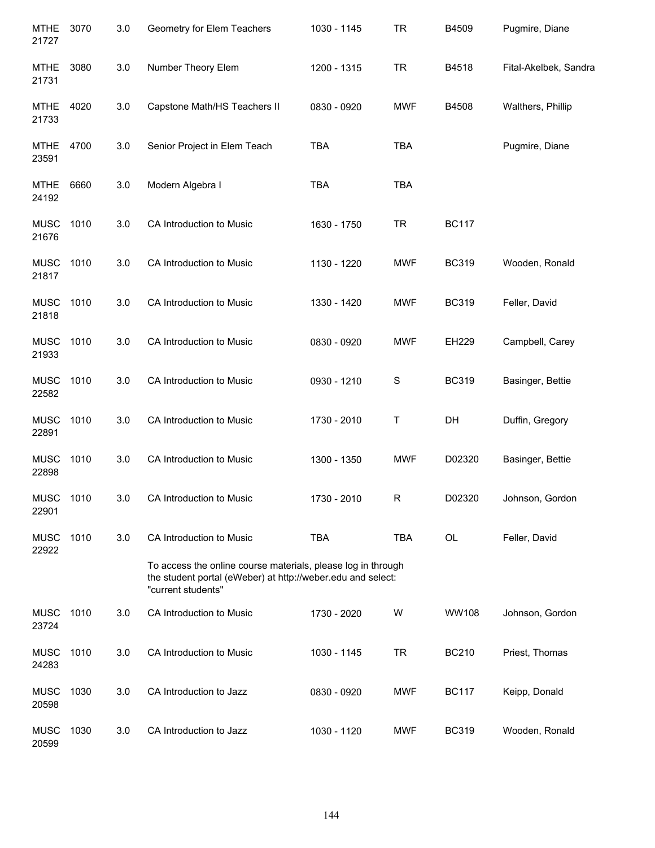| <b>MTHE</b><br>21727 | 3070 | 3.0     | Geometry for Elem Teachers                                                                                                                        | 1030 - 1145 | <b>TR</b>  | B4509        | Pugmire, Diane        |
|----------------------|------|---------|---------------------------------------------------------------------------------------------------------------------------------------------------|-------------|------------|--------------|-----------------------|
| <b>MTHE</b><br>21731 | 3080 | 3.0     | Number Theory Elem                                                                                                                                | 1200 - 1315 | <b>TR</b>  | B4518        | Fital-Akelbek, Sandra |
| <b>MTHE</b><br>21733 | 4020 | $3.0\,$ | Capstone Math/HS Teachers II                                                                                                                      | 0830 - 0920 | <b>MWF</b> | B4508        | Walthers, Phillip     |
| <b>MTHE</b><br>23591 | 4700 | 3.0     | Senior Project in Elem Teach                                                                                                                      | <b>TBA</b>  | <b>TBA</b> |              | Pugmire, Diane        |
| <b>MTHE</b><br>24192 | 6660 | 3.0     | Modern Algebra I                                                                                                                                  | <b>TBA</b>  | <b>TBA</b> |              |                       |
| <b>MUSC</b><br>21676 | 1010 | 3.0     | CA Introduction to Music                                                                                                                          | 1630 - 1750 | <b>TR</b>  | <b>BC117</b> |                       |
| <b>MUSC</b><br>21817 | 1010 | 3.0     | CA Introduction to Music                                                                                                                          | 1130 - 1220 | <b>MWF</b> | <b>BC319</b> | Wooden, Ronald        |
| <b>MUSC</b><br>21818 | 1010 | 3.0     | CA Introduction to Music                                                                                                                          | 1330 - 1420 | <b>MWF</b> | <b>BC319</b> | Feller, David         |
| <b>MUSC</b><br>21933 | 1010 | 3.0     | CA Introduction to Music                                                                                                                          | 0830 - 0920 | <b>MWF</b> | EH229        | Campbell, Carey       |
| <b>MUSC</b><br>22582 | 1010 | 3.0     | CA Introduction to Music                                                                                                                          | 0930 - 1210 | S          | <b>BC319</b> | Basinger, Bettie      |
| <b>MUSC</b><br>22891 | 1010 | 3.0     | CA Introduction to Music                                                                                                                          | 1730 - 2010 | Τ          | DH           | Duffin, Gregory       |
| <b>MUSC</b><br>22898 | 1010 | 3.0     | CA Introduction to Music                                                                                                                          | 1300 - 1350 | <b>MWF</b> | D02320       | Basinger, Bettie      |
| MUSC<br>22901        | 1010 | 3.0     | CA Introduction to Music                                                                                                                          | 1730 - 2010 | R          | D02320       | Johnson, Gordon       |
| <b>MUSC</b><br>22922 | 1010 | 3.0     | CA Introduction to Music                                                                                                                          | <b>TBA</b>  | <b>TBA</b> | OL           | Feller, David         |
|                      |      |         | To access the online course materials, please log in through<br>the student portal (eWeber) at http://weber.edu and select:<br>"current students" |             |            |              |                       |
| <b>MUSC</b><br>23724 | 1010 | 3.0     | CA Introduction to Music                                                                                                                          | 1730 - 2020 | W          | WW108        | Johnson, Gordon       |
| <b>MUSC</b><br>24283 | 1010 | 3.0     | CA Introduction to Music                                                                                                                          | 1030 - 1145 | <b>TR</b>  | <b>BC210</b> | Priest, Thomas        |
| <b>MUSC</b><br>20598 | 1030 | 3.0     | CA Introduction to Jazz                                                                                                                           | 0830 - 0920 | <b>MWF</b> | <b>BC117</b> | Keipp, Donald         |
| <b>MUSC</b><br>20599 | 1030 | 3.0     | CA Introduction to Jazz                                                                                                                           | 1030 - 1120 | <b>MWF</b> | <b>BC319</b> | Wooden, Ronald        |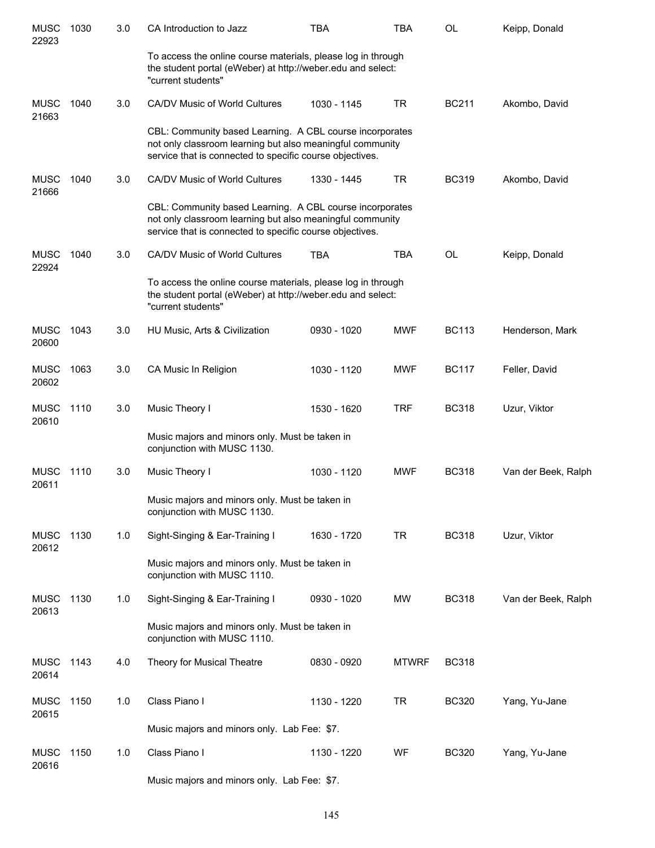| <b>MUSC</b><br>22923 | 1030 | 3.0 | CA Introduction to Jazz                                                                                                                                                           | <b>TBA</b>  | <b>TBA</b>   | OL           | Keipp, Donald       |
|----------------------|------|-----|-----------------------------------------------------------------------------------------------------------------------------------------------------------------------------------|-------------|--------------|--------------|---------------------|
|                      |      |     | To access the online course materials, please log in through<br>the student portal (eWeber) at http://weber.edu and select:<br>"current students"                                 |             |              |              |                     |
| <b>MUSC</b><br>21663 | 1040 | 3.0 | CA/DV Music of World Cultures                                                                                                                                                     | 1030 - 1145 | <b>TR</b>    | <b>BC211</b> | Akombo, David       |
|                      |      |     | CBL: Community based Learning. A CBL course incorporates<br>not only classroom learning but also meaningful community<br>service that is connected to specific course objectives. |             |              |              |                     |
| <b>MUSC</b><br>21666 | 1040 | 3.0 | CA/DV Music of World Cultures                                                                                                                                                     | 1330 - 1445 | <b>TR</b>    | <b>BC319</b> | Akombo, David       |
|                      |      |     | CBL: Community based Learning. A CBL course incorporates<br>not only classroom learning but also meaningful community<br>service that is connected to specific course objectives. |             |              |              |                     |
| <b>MUSC</b><br>22924 | 1040 | 3.0 | CA/DV Music of World Cultures                                                                                                                                                     | <b>TBA</b>  | <b>TBA</b>   | OL           | Keipp, Donald       |
|                      |      |     | To access the online course materials, please log in through<br>the student portal (eWeber) at http://weber.edu and select:<br>"current students"                                 |             |              |              |                     |
| <b>MUSC</b><br>20600 | 1043 | 3.0 | HU Music, Arts & Civilization                                                                                                                                                     | 0930 - 1020 | <b>MWF</b>   | <b>BC113</b> | Henderson, Mark     |
| <b>MUSC</b><br>20602 | 1063 | 3.0 | CA Music In Religion                                                                                                                                                              | 1030 - 1120 | <b>MWF</b>   | <b>BC117</b> | Feller, David       |
| <b>MUSC</b><br>20610 | 1110 | 3.0 | Music Theory I                                                                                                                                                                    | 1530 - 1620 | <b>TRF</b>   | <b>BC318</b> | Uzur, Viktor        |
|                      |      |     | Music majors and minors only. Must be taken in<br>conjunction with MUSC 1130.                                                                                                     |             |              |              |                     |
| <b>MUSC</b><br>20611 | 1110 | 3.0 | Music Theory I                                                                                                                                                                    | 1030 - 1120 | <b>MWF</b>   | <b>BC318</b> | Van der Beek, Ralph |
|                      |      |     | Music majors and minors only. Must be taken in<br>conjunction with MUSC 1130.                                                                                                     |             |              |              |                     |
| <b>MUSC</b><br>20612 | 1130 | 1.0 | Sight-Singing & Ear-Training I                                                                                                                                                    | 1630 - 1720 | <b>TR</b>    | <b>BC318</b> | Uzur, Viktor        |
|                      |      |     | Music majors and minors only. Must be taken in<br>conjunction with MUSC 1110.                                                                                                     |             |              |              |                     |
| <b>MUSC</b><br>20613 | 1130 | 1.0 | Sight-Singing & Ear-Training I                                                                                                                                                    | 0930 - 1020 | <b>MW</b>    | <b>BC318</b> | Van der Beek, Ralph |
|                      |      |     | Music majors and minors only. Must be taken in<br>conjunction with MUSC 1110.                                                                                                     |             |              |              |                     |
| <b>MUSC</b><br>20614 | 1143 | 4.0 | Theory for Musical Theatre                                                                                                                                                        | 0830 - 0920 | <b>MTWRF</b> | <b>BC318</b> |                     |
| <b>MUSC</b><br>20615 | 1150 | 1.0 | Class Piano I                                                                                                                                                                     | 1130 - 1220 | <b>TR</b>    | <b>BC320</b> | Yang, Yu-Jane       |
|                      |      |     | Music majors and minors only. Lab Fee: \$7.                                                                                                                                       |             |              |              |                     |
| <b>MUSC</b><br>20616 | 1150 | 1.0 | Class Piano I                                                                                                                                                                     | 1130 - 1220 | WF           | <b>BC320</b> | Yang, Yu-Jane       |
|                      |      |     | Music majors and minors only. Lab Fee: \$7.                                                                                                                                       |             |              |              |                     |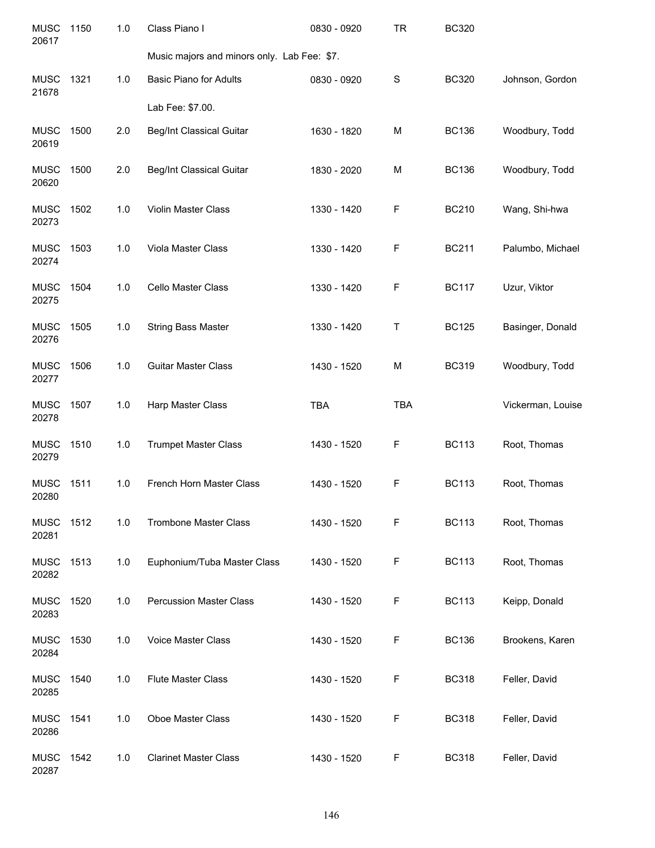| <b>MUSC</b><br>20617 | 1150 | 1.0 | Class Piano I                               | 0830 - 0920 | <b>TR</b>  | <b>BC320</b> |                   |
|----------------------|------|-----|---------------------------------------------|-------------|------------|--------------|-------------------|
|                      |      |     | Music majors and minors only. Lab Fee: \$7. |             |            |              |                   |
| <b>MUSC</b><br>21678 | 1321 | 1.0 | <b>Basic Piano for Adults</b>               | 0830 - 0920 | S          | <b>BC320</b> | Johnson, Gordon   |
|                      |      |     | Lab Fee: \$7.00.                            |             |            |              |                   |
| <b>MUSC</b><br>20619 | 1500 | 2.0 | <b>Beg/Int Classical Guitar</b>             | 1630 - 1820 | M          | <b>BC136</b> | Woodbury, Todd    |
| <b>MUSC</b><br>20620 | 1500 | 2.0 | <b>Beg/Int Classical Guitar</b>             | 1830 - 2020 | M          | <b>BC136</b> | Woodbury, Todd    |
| <b>MUSC</b><br>20273 | 1502 | 1.0 | Violin Master Class                         | 1330 - 1420 | F          | <b>BC210</b> | Wang, Shi-hwa     |
| <b>MUSC</b><br>20274 | 1503 | 1.0 | Viola Master Class                          | 1330 - 1420 | F          | <b>BC211</b> | Palumbo, Michael  |
| <b>MUSC</b><br>20275 | 1504 | 1.0 | Cello Master Class                          | 1330 - 1420 | F          | <b>BC117</b> | Uzur, Viktor      |
| <b>MUSC</b><br>20276 | 1505 | 1.0 | <b>String Bass Master</b>                   | 1330 - 1420 | T          | <b>BC125</b> | Basinger, Donald  |
| <b>MUSC</b><br>20277 | 1506 | 1.0 | <b>Guitar Master Class</b>                  | 1430 - 1520 | M          | <b>BC319</b> | Woodbury, Todd    |
| <b>MUSC</b><br>20278 | 1507 | 1.0 | Harp Master Class                           | TBA         | <b>TBA</b> |              | Vickerman, Louise |
| <b>MUSC</b><br>20279 | 1510 | 1.0 | <b>Trumpet Master Class</b>                 | 1430 - 1520 | F          | <b>BC113</b> | Root, Thomas      |
| <b>MUSC</b><br>20280 | 1511 | 1.0 | French Horn Master Class                    | 1430 - 1520 | F          | <b>BC113</b> | Root, Thomas      |
| <b>MUSC</b><br>20281 | 1512 | 1.0 | <b>Trombone Master Class</b>                | 1430 - 1520 | F          | <b>BC113</b> | Root, Thomas      |
| <b>MUSC</b><br>20282 | 1513 | 1.0 | Euphonium/Tuba Master Class                 | 1430 - 1520 | F          | <b>BC113</b> | Root, Thomas      |
| <b>MUSC</b><br>20283 | 1520 | 1.0 | <b>Percussion Master Class</b>              | 1430 - 1520 | F          | <b>BC113</b> | Keipp, Donald     |
| <b>MUSC</b><br>20284 | 1530 | 1.0 | <b>Voice Master Class</b>                   | 1430 - 1520 | F          | <b>BC136</b> | Brookens, Karen   |
| <b>MUSC</b><br>20285 | 1540 | 1.0 | <b>Flute Master Class</b>                   | 1430 - 1520 | F          | <b>BC318</b> | Feller, David     |
| <b>MUSC</b><br>20286 | 1541 | 1.0 | Oboe Master Class                           | 1430 - 1520 | F          | <b>BC318</b> | Feller, David     |
| <b>MUSC</b><br>20287 | 1542 | 1.0 | <b>Clarinet Master Class</b>                | 1430 - 1520 | F          | <b>BC318</b> | Feller, David     |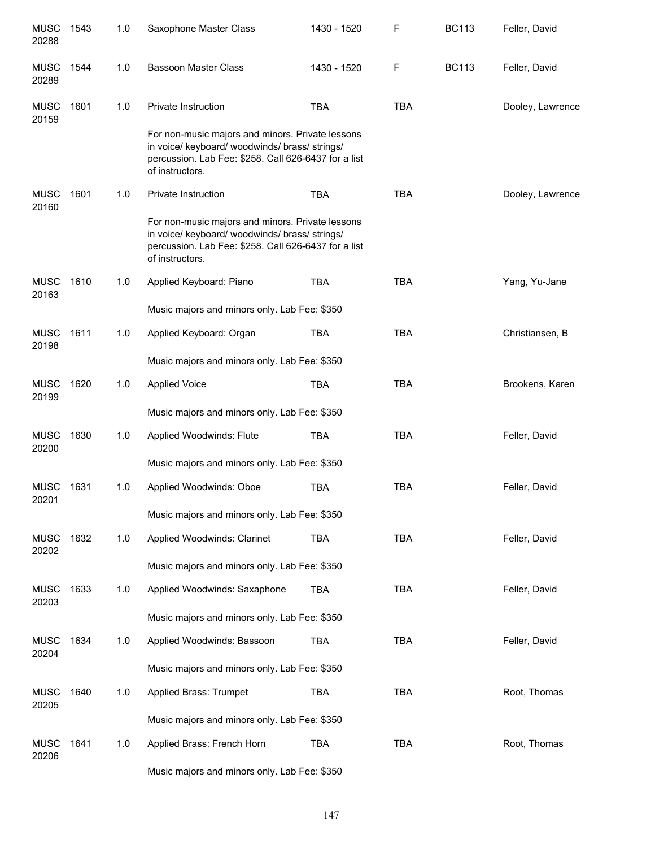| <b>MUSC</b><br>20288 | 1543 | 1.0 | Saxophone Master Class                                                                                                                                                        | 1430 - 1520 | F          | <b>BC113</b> | Feller, David    |
|----------------------|------|-----|-------------------------------------------------------------------------------------------------------------------------------------------------------------------------------|-------------|------------|--------------|------------------|
| <b>MUSC</b><br>20289 | 1544 | 1.0 | <b>Bassoon Master Class</b>                                                                                                                                                   | 1430 - 1520 | F          | <b>BC113</b> | Feller, David    |
| <b>MUSC</b><br>20159 | 1601 | 1.0 | Private Instruction                                                                                                                                                           | <b>TBA</b>  | <b>TBA</b> |              | Dooley, Lawrence |
|                      |      |     | For non-music majors and minors. Private lessons<br>in voice/ keyboard/ woodwinds/ brass/ strings/<br>percussion. Lab Fee: \$258. Call 626-6437 for a list<br>of instructors. |             |            |              |                  |
| <b>MUSC</b><br>20160 | 1601 | 1.0 | <b>Private Instruction</b>                                                                                                                                                    | <b>TBA</b>  | <b>TBA</b> |              | Dooley, Lawrence |
|                      |      |     | For non-music majors and minors. Private lessons<br>in voice/ keyboard/ woodwinds/ brass/ strings/<br>percussion. Lab Fee: \$258. Call 626-6437 for a list<br>of instructors. |             |            |              |                  |
| <b>MUSC</b><br>20163 | 1610 | 1.0 | Applied Keyboard: Piano                                                                                                                                                       | <b>TBA</b>  | <b>TBA</b> |              | Yang, Yu-Jane    |
|                      |      |     | Music majors and minors only. Lab Fee: \$350                                                                                                                                  |             |            |              |                  |
| <b>MUSC</b><br>20198 | 1611 | 1.0 | Applied Keyboard: Organ                                                                                                                                                       | <b>TBA</b>  | <b>TBA</b> |              | Christiansen, B  |
|                      |      |     | Music majors and minors only. Lab Fee: \$350                                                                                                                                  |             |            |              |                  |
| <b>MUSC</b><br>20199 | 1620 | 1.0 | <b>Applied Voice</b>                                                                                                                                                          | <b>TBA</b>  | <b>TBA</b> |              | Brookens, Karen  |
|                      |      |     | Music majors and minors only. Lab Fee: \$350                                                                                                                                  |             |            |              |                  |
| <b>MUSC</b><br>20200 | 1630 | 1.0 | Applied Woodwinds: Flute                                                                                                                                                      | <b>TBA</b>  | <b>TBA</b> |              | Feller, David    |
|                      |      |     | Music majors and minors only. Lab Fee: \$350                                                                                                                                  |             |            |              |                  |
| <b>MUSC</b><br>20201 | 1631 | 1.0 | Applied Woodwinds: Oboe                                                                                                                                                       | <b>TBA</b>  | <b>TBA</b> |              | Feller, David    |
|                      |      |     | Music majors and minors only. Lab Fee: \$350                                                                                                                                  |             |            |              |                  |
| <b>MUSC</b><br>20202 | 1632 | 1.0 | Applied Woodwinds: Clarinet                                                                                                                                                   | <b>TBA</b>  | <b>TBA</b> |              | Feller, David    |
|                      |      |     | Music majors and minors only. Lab Fee: \$350                                                                                                                                  |             |            |              |                  |
| <b>MUSC</b><br>20203 | 1633 | 1.0 | Applied Woodwinds: Saxaphone                                                                                                                                                  | <b>TBA</b>  | <b>TBA</b> |              | Feller, David    |
|                      |      |     | Music majors and minors only. Lab Fee: \$350                                                                                                                                  |             |            |              |                  |
| <b>MUSC</b><br>20204 | 1634 | 1.0 | Applied Woodwinds: Bassoon                                                                                                                                                    | <b>TBA</b>  | <b>TBA</b> |              | Feller, David    |
|                      |      |     | Music majors and minors only. Lab Fee: \$350                                                                                                                                  |             |            |              |                  |
| <b>MUSC</b><br>20205 | 1640 | 1.0 | Applied Brass: Trumpet                                                                                                                                                        | <b>TBA</b>  | <b>TBA</b> |              | Root, Thomas     |
|                      |      |     | Music majors and minors only. Lab Fee: \$350                                                                                                                                  |             |            |              |                  |
| <b>MUSC</b><br>20206 | 1641 | 1.0 | Applied Brass: French Horn                                                                                                                                                    | <b>TBA</b>  | <b>TBA</b> |              | Root, Thomas     |
|                      |      |     | Music majors and minors only. Lab Fee: \$350                                                                                                                                  |             |            |              |                  |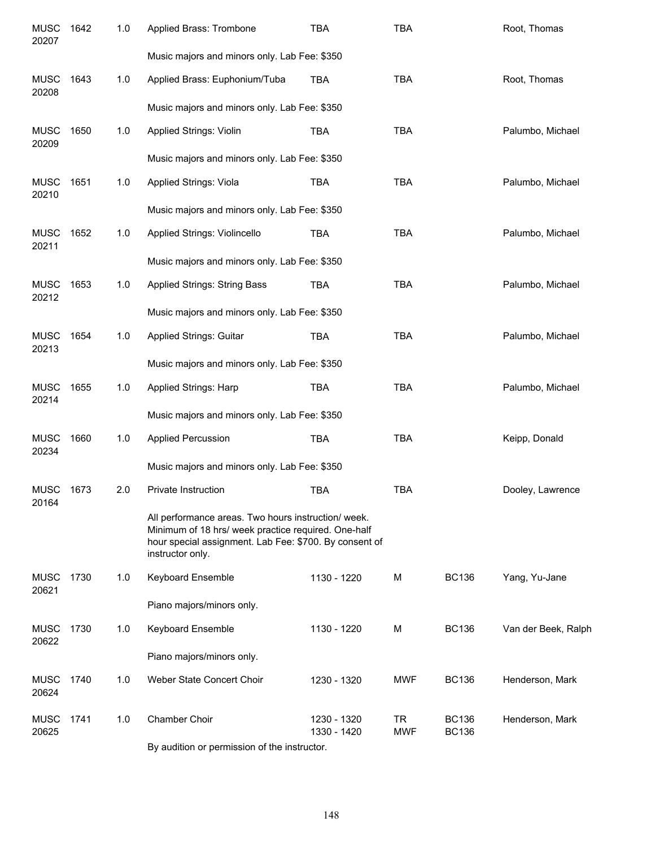| <b>MUSC</b><br>20207 | 1642 | 1.0 | Applied Brass: Trombone                                                                                                                                                                  | <b>TBA</b>                 | <b>TBA</b>       |                              | Root, Thomas        |
|----------------------|------|-----|------------------------------------------------------------------------------------------------------------------------------------------------------------------------------------------|----------------------------|------------------|------------------------------|---------------------|
|                      |      |     | Music majors and minors only. Lab Fee: \$350                                                                                                                                             |                            |                  |                              |                     |
| <b>MUSC</b><br>20208 | 1643 | 1.0 | Applied Brass: Euphonium/Tuba                                                                                                                                                            | <b>TBA</b>                 | <b>TBA</b>       |                              | Root, Thomas        |
|                      |      |     | Music majors and minors only. Lab Fee: \$350                                                                                                                                             |                            |                  |                              |                     |
| <b>MUSC</b><br>20209 | 1650 | 1.0 | <b>Applied Strings: Violin</b>                                                                                                                                                           | <b>TBA</b>                 | <b>TBA</b>       |                              | Palumbo, Michael    |
|                      |      |     | Music majors and minors only. Lab Fee: \$350                                                                                                                                             |                            |                  |                              |                     |
| <b>MUSC</b><br>20210 | 1651 | 1.0 | Applied Strings: Viola                                                                                                                                                                   | <b>TBA</b>                 | <b>TBA</b>       |                              | Palumbo, Michael    |
|                      |      |     | Music majors and minors only. Lab Fee: \$350                                                                                                                                             |                            |                  |                              |                     |
| <b>MUSC</b><br>20211 | 1652 | 1.0 | Applied Strings: Violincello                                                                                                                                                             | <b>TBA</b>                 | <b>TBA</b>       |                              | Palumbo, Michael    |
|                      |      |     | Music majors and minors only. Lab Fee: \$350                                                                                                                                             |                            |                  |                              |                     |
| <b>MUSC</b><br>20212 | 1653 | 1.0 | <b>Applied Strings: String Bass</b>                                                                                                                                                      | <b>TBA</b>                 | <b>TBA</b>       |                              | Palumbo, Michael    |
|                      |      |     | Music majors and minors only. Lab Fee: \$350                                                                                                                                             |                            |                  |                              |                     |
| <b>MUSC</b><br>20213 | 1654 | 1.0 | Applied Strings: Guitar                                                                                                                                                                  | <b>TBA</b>                 | <b>TBA</b>       |                              | Palumbo, Michael    |
|                      |      |     | Music majors and minors only. Lab Fee: \$350                                                                                                                                             |                            |                  |                              |                     |
| <b>MUSC</b><br>20214 | 1655 | 1.0 | Applied Strings: Harp                                                                                                                                                                    | <b>TBA</b>                 | <b>TBA</b>       |                              | Palumbo, Michael    |
|                      |      |     | Music majors and minors only. Lab Fee: \$350                                                                                                                                             |                            |                  |                              |                     |
| <b>MUSC</b><br>20234 | 1660 | 1.0 | <b>Applied Percussion</b>                                                                                                                                                                | <b>TBA</b>                 | <b>TBA</b>       |                              | Keipp, Donald       |
|                      |      |     | Music majors and minors only. Lab Fee: \$350                                                                                                                                             |                            |                  |                              |                     |
| <b>MUSC</b><br>20164 | 1673 | 2.0 | Private Instruction                                                                                                                                                                      | <b>TBA</b>                 | <b>TBA</b>       |                              | Dooley, Lawrence    |
|                      |      |     | All performance areas. Two hours instruction/ week.<br>Minimum of 18 hrs/ week practice required. One-half<br>hour special assignment. Lab Fee: \$700. By consent of<br>instructor only. |                            |                  |                              |                     |
| <b>MUSC</b><br>20621 | 1730 | 1.0 | Keyboard Ensemble                                                                                                                                                                        | 1130 - 1220                | M                | <b>BC136</b>                 | Yang, Yu-Jane       |
|                      |      |     | Piano majors/minors only.                                                                                                                                                                |                            |                  |                              |                     |
| <b>MUSC</b><br>20622 | 1730 | 1.0 | Keyboard Ensemble                                                                                                                                                                        | 1130 - 1220                | M                | <b>BC136</b>                 | Van der Beek, Ralph |
|                      |      |     | Piano majors/minors only.                                                                                                                                                                |                            |                  |                              |                     |
| <b>MUSC</b><br>20624 | 1740 | 1.0 | Weber State Concert Choir                                                                                                                                                                | 1230 - 1320                | <b>MWF</b>       | <b>BC136</b>                 | Henderson, Mark     |
| <b>MUSC</b><br>20625 | 1741 | 1.0 | Chamber Choir                                                                                                                                                                            | 1230 - 1320<br>1330 - 1420 | TR<br><b>MWF</b> | <b>BC136</b><br><b>BC136</b> | Henderson, Mark     |
|                      |      |     | By audition or permission of the instructor.                                                                                                                                             |                            |                  |                              |                     |

148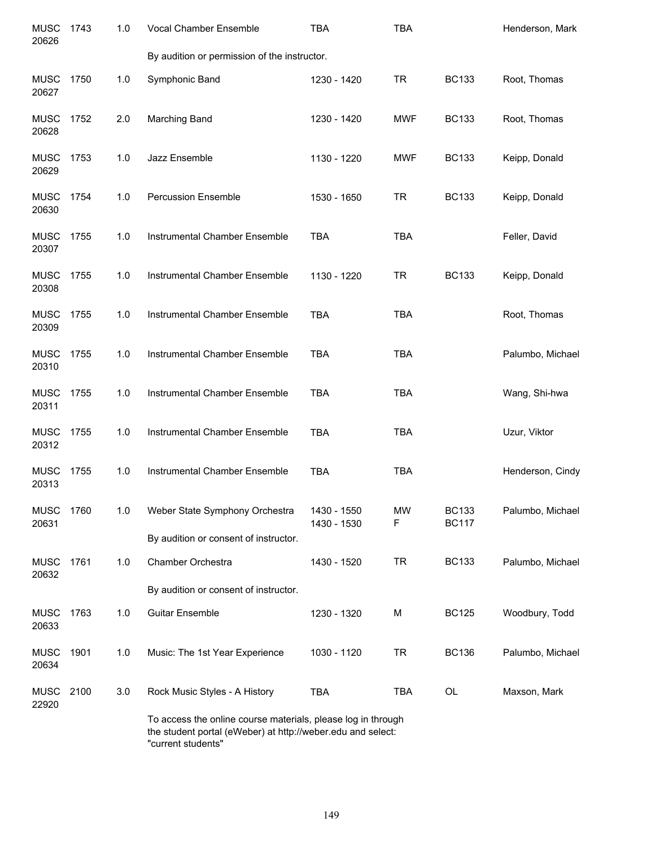| <b>MUSC</b><br>20626 | 1743 | 1.0 | Vocal Chamber Ensemble                                                                                                      | <b>TBA</b>                 | <b>TBA</b>     |                              | Henderson, Mark  |
|----------------------|------|-----|-----------------------------------------------------------------------------------------------------------------------------|----------------------------|----------------|------------------------------|------------------|
|                      |      |     | By audition or permission of the instructor.                                                                                |                            |                |                              |                  |
| <b>MUSC</b><br>20627 | 1750 | 1.0 | Symphonic Band                                                                                                              | 1230 - 1420                | <b>TR</b>      | <b>BC133</b>                 | Root, Thomas     |
| <b>MUSC</b><br>20628 | 1752 | 2.0 | Marching Band                                                                                                               | 1230 - 1420                | <b>MWF</b>     | <b>BC133</b>                 | Root, Thomas     |
| <b>MUSC</b><br>20629 | 1753 | 1.0 | Jazz Ensemble                                                                                                               | 1130 - 1220                | <b>MWF</b>     | <b>BC133</b>                 | Keipp, Donald    |
| <b>MUSC</b><br>20630 | 1754 | 1.0 | <b>Percussion Ensemble</b>                                                                                                  | 1530 - 1650                | TR             | <b>BC133</b>                 | Keipp, Donald    |
| <b>MUSC</b><br>20307 | 1755 | 1.0 | Instrumental Chamber Ensemble                                                                                               | <b>TBA</b>                 | <b>TBA</b>     |                              | Feller, David    |
| <b>MUSC</b><br>20308 | 1755 | 1.0 | Instrumental Chamber Ensemble                                                                                               | 1130 - 1220                | <b>TR</b>      | <b>BC133</b>                 | Keipp, Donald    |
| <b>MUSC</b><br>20309 | 1755 | 1.0 | Instrumental Chamber Ensemble                                                                                               | <b>TBA</b>                 | <b>TBA</b>     |                              | Root, Thomas     |
| <b>MUSC</b><br>20310 | 1755 | 1.0 | Instrumental Chamber Ensemble                                                                                               | <b>TBA</b>                 | <b>TBA</b>     |                              | Palumbo, Michael |
| <b>MUSC</b><br>20311 | 1755 | 1.0 | Instrumental Chamber Ensemble                                                                                               | <b>TBA</b>                 | <b>TBA</b>     |                              | Wang, Shi-hwa    |
| <b>MUSC</b><br>20312 | 1755 | 1.0 | Instrumental Chamber Ensemble                                                                                               | <b>TBA</b>                 | <b>TBA</b>     |                              | Uzur, Viktor     |
| <b>MUSC</b><br>20313 | 1755 | 1.0 | Instrumental Chamber Ensemble                                                                                               | <b>TBA</b>                 | <b>TBA</b>     |                              | Henderson, Cindy |
| <b>MUSC</b><br>20631 | 1760 | 1.0 | Weber State Symphony Orchestra                                                                                              | 1430 - 1550<br>1430 - 1530 | <b>MW</b><br>F | <b>BC133</b><br><b>BC117</b> | Palumbo, Michael |
|                      |      |     | By audition or consent of instructor.                                                                                       |                            |                |                              |                  |
| <b>MUSC</b><br>20632 | 1761 | 1.0 | Chamber Orchestra                                                                                                           | 1430 - 1520                | <b>TR</b>      | <b>BC133</b>                 | Palumbo, Michael |
|                      |      |     | By audition or consent of instructor.                                                                                       |                            |                |                              |                  |
| <b>MUSC</b><br>20633 | 1763 | 1.0 | <b>Guitar Ensemble</b>                                                                                                      | 1230 - 1320                | M              | <b>BC125</b>                 | Woodbury, Todd   |
| <b>MUSC</b><br>20634 | 1901 | 1.0 | Music: The 1st Year Experience                                                                                              | 1030 - 1120                | <b>TR</b>      | <b>BC136</b>                 | Palumbo, Michael |
| <b>MUSC</b><br>22920 | 2100 | 3.0 | Rock Music Styles - A History                                                                                               | <b>TBA</b>                 | <b>TBA</b>     | OL                           | Maxson, Mark     |
|                      |      |     | To access the online course materials, please log in through<br>the student portal (eWeber) at http://weber.edu and select: |                            |                |                              |                  |

"current students"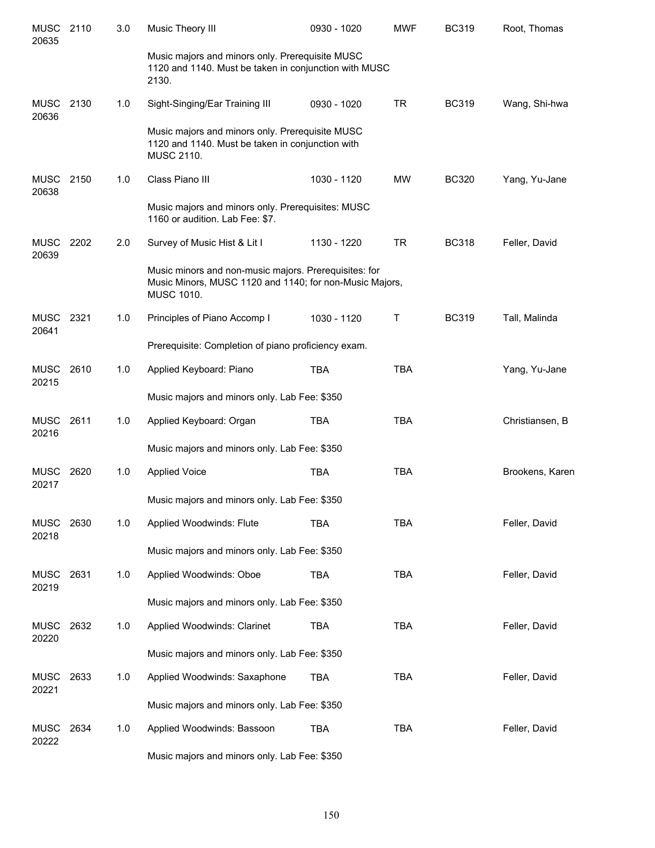| <b>MUSC</b><br>20635 | 2110 | 3.0 | Music Theory III                                                                                                                      | 0930 - 1020 | <b>MWF</b> | <b>BC319</b> | Root, Thomas    |
|----------------------|------|-----|---------------------------------------------------------------------------------------------------------------------------------------|-------------|------------|--------------|-----------------|
|                      |      |     | Music majors and minors only. Prerequisite MUSC<br>1120 and 1140. Must be taken in conjunction with MUSC<br>2130.                     |             |            |              |                 |
| <b>MUSC</b><br>20636 | 2130 | 1.0 | Sight-Singing/Ear Training III                                                                                                        | 0930 - 1020 | <b>TR</b>  | <b>BC319</b> | Wang, Shi-hwa   |
|                      |      |     | Music majors and minors only. Prerequisite MUSC<br>1120 and 1140. Must be taken in conjunction with<br>MUSC 2110.                     |             |            |              |                 |
| <b>MUSC</b><br>20638 | 2150 | 1.0 | Class Piano III                                                                                                                       | 1030 - 1120 | <b>MW</b>  | <b>BC320</b> | Yang, Yu-Jane   |
|                      |      |     | Music majors and minors only. Prerequisites: MUSC<br>1160 or audition. Lab Fee: \$7.                                                  |             |            |              |                 |
| <b>MUSC</b><br>20639 | 2202 | 2.0 | Survey of Music Hist & Lit I                                                                                                          | 1130 - 1220 | <b>TR</b>  | <b>BC318</b> | Feller, David   |
|                      |      |     | Music minors and non-music majors. Prerequisites: for<br>Music Minors, MUSC 1120 and 1140; for non-Music Majors,<br><b>MUSC 1010.</b> |             |            |              |                 |
| <b>MUSC</b><br>20641 | 2321 | 1.0 | Principles of Piano Accomp I                                                                                                          | 1030 - 1120 | Τ          | <b>BC319</b> | Tall, Malinda   |
|                      |      |     | Prerequisite: Completion of piano proficiency exam.                                                                                   |             |            |              |                 |
| <b>MUSC</b><br>20215 | 2610 | 1.0 | Applied Keyboard: Piano                                                                                                               | <b>TBA</b>  | <b>TBA</b> |              | Yang, Yu-Jane   |
|                      |      |     | Music majors and minors only. Lab Fee: \$350                                                                                          |             |            |              |                 |
| <b>MUSC</b><br>20216 | 2611 | 1.0 | Applied Keyboard: Organ                                                                                                               | <b>TBA</b>  | <b>TBA</b> |              | Christiansen, B |
|                      |      |     | Music majors and minors only. Lab Fee: \$350                                                                                          |             |            |              |                 |
| MUSC<br>20217        | 2620 | 1.0 | <b>Applied Voice</b>                                                                                                                  | <b>TBA</b>  | <b>TBA</b> |              | Brookens, Karen |
|                      |      |     | Music majors and minors only. Lab Fee: \$350                                                                                          |             |            |              |                 |
| <b>MUSC</b><br>20218 | 2630 | 1.0 | Applied Woodwinds: Flute                                                                                                              | <b>TBA</b>  | <b>TBA</b> |              | Feller, David   |
|                      |      |     | Music majors and minors only. Lab Fee: \$350                                                                                          |             |            |              |                 |
| <b>MUSC</b><br>20219 | 2631 | 1.0 | Applied Woodwinds: Oboe                                                                                                               | <b>TBA</b>  | <b>TBA</b> |              | Feller, David   |
|                      |      |     | Music majors and minors only. Lab Fee: \$350                                                                                          |             |            |              |                 |
| <b>MUSC</b><br>20220 | 2632 | 1.0 | Applied Woodwinds: Clarinet                                                                                                           | <b>TBA</b>  | <b>TBA</b> |              | Feller, David   |
|                      |      |     | Music majors and minors only. Lab Fee: \$350                                                                                          |             |            |              |                 |
| <b>MUSC</b><br>20221 | 2633 | 1.0 | Applied Woodwinds: Saxaphone                                                                                                          | TBA         | <b>TBA</b> |              | Feller, David   |
|                      |      |     | Music majors and minors only. Lab Fee: \$350                                                                                          |             |            |              |                 |
| MUSC<br>20222        | 2634 | 1.0 | Applied Woodwinds: Bassoon                                                                                                            | <b>TBA</b>  | <b>TBA</b> |              | Feller, David   |
|                      |      |     | Music majors and minors only. Lab Fee: \$350                                                                                          |             |            |              |                 |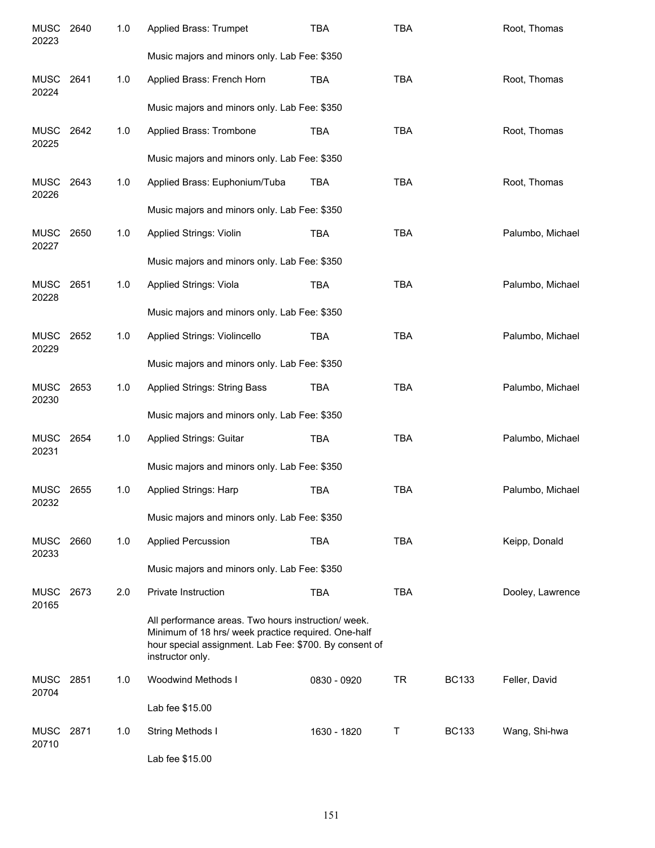| <b>MUSC</b><br>20223 | 2640 | 1.0 | Applied Brass: Trumpet                                                                                                                                                                   | <b>TBA</b>  | <b>TBA</b> |              | Root, Thomas     |
|----------------------|------|-----|------------------------------------------------------------------------------------------------------------------------------------------------------------------------------------------|-------------|------------|--------------|------------------|
|                      |      |     | Music majors and minors only. Lab Fee: \$350                                                                                                                                             |             |            |              |                  |
| <b>MUSC</b><br>20224 | 2641 | 1.0 | Applied Brass: French Horn                                                                                                                                                               | <b>TBA</b>  | <b>TBA</b> |              | Root, Thomas     |
|                      |      |     | Music majors and minors only. Lab Fee: \$350                                                                                                                                             |             |            |              |                  |
| <b>MUSC</b><br>20225 | 2642 | 1.0 | Applied Brass: Trombone                                                                                                                                                                  | <b>TBA</b>  | <b>TBA</b> |              | Root, Thomas     |
|                      |      |     | Music majors and minors only. Lab Fee: \$350                                                                                                                                             |             |            |              |                  |
| <b>MUSC</b><br>20226 | 2643 | 1.0 | Applied Brass: Euphonium/Tuba                                                                                                                                                            | <b>TBA</b>  | <b>TBA</b> |              | Root, Thomas     |
|                      |      |     | Music majors and minors only. Lab Fee: \$350                                                                                                                                             |             |            |              |                  |
| MUSC<br>20227        | 2650 | 1.0 | Applied Strings: Violin                                                                                                                                                                  | <b>TBA</b>  | <b>TBA</b> |              | Palumbo, Michael |
|                      |      |     | Music majors and minors only. Lab Fee: \$350                                                                                                                                             |             |            |              |                  |
| <b>MUSC</b><br>20228 | 2651 | 1.0 | Applied Strings: Viola                                                                                                                                                                   | <b>TBA</b>  | <b>TBA</b> |              | Palumbo, Michael |
|                      |      |     | Music majors and minors only. Lab Fee: \$350                                                                                                                                             |             |            |              |                  |
| <b>MUSC</b><br>20229 | 2652 | 1.0 | Applied Strings: Violincello                                                                                                                                                             | <b>TBA</b>  | <b>TBA</b> |              | Palumbo, Michael |
|                      |      |     | Music majors and minors only. Lab Fee: \$350                                                                                                                                             |             |            |              |                  |
| <b>MUSC</b><br>20230 | 2653 | 1.0 | <b>Applied Strings: String Bass</b>                                                                                                                                                      | <b>TBA</b>  | <b>TBA</b> |              | Palumbo, Michael |
|                      |      |     | Music majors and minors only. Lab Fee: \$350                                                                                                                                             |             |            |              |                  |
| <b>MUSC</b><br>20231 | 2654 | 1.0 | Applied Strings: Guitar                                                                                                                                                                  | <b>TBA</b>  | <b>TBA</b> |              | Palumbo, Michael |
|                      |      |     | Music majors and minors only. Lab Fee: \$350                                                                                                                                             |             |            |              |                  |
| MUSC<br>20232        | 2655 | 1.0 | Applied Strings: Harp                                                                                                                                                                    | <b>TBA</b>  | <b>TBA</b> |              | Palumbo, Michael |
|                      |      |     | Music majors and minors only. Lab Fee: \$350                                                                                                                                             |             |            |              |                  |
| MUSC<br>20233        | 2660 | 1.0 | <b>Applied Percussion</b>                                                                                                                                                                | <b>TBA</b>  | <b>TBA</b> |              | Keipp, Donald    |
|                      |      |     | Music majors and minors only. Lab Fee: \$350                                                                                                                                             |             |            |              |                  |
| MUSC<br>20165        | 2673 | 2.0 | Private Instruction                                                                                                                                                                      | <b>TBA</b>  | <b>TBA</b> |              | Dooley, Lawrence |
|                      |      |     | All performance areas. Two hours instruction/ week.<br>Minimum of 18 hrs/ week practice required. One-half<br>hour special assignment. Lab Fee: \$700. By consent of<br>instructor only. |             |            |              |                  |
| MUSC<br>20704        | 2851 | 1.0 | Woodwind Methods I                                                                                                                                                                       | 0830 - 0920 | <b>TR</b>  | <b>BC133</b> | Feller, David    |
|                      |      |     | Lab fee \$15.00                                                                                                                                                                          |             |            |              |                  |
| MUSC<br>20710        | 2871 | 1.0 | String Methods I                                                                                                                                                                         | 1630 - 1820 | Τ          | <b>BC133</b> | Wang, Shi-hwa    |
|                      |      |     | Lab fee \$15.00                                                                                                                                                                          |             |            |              |                  |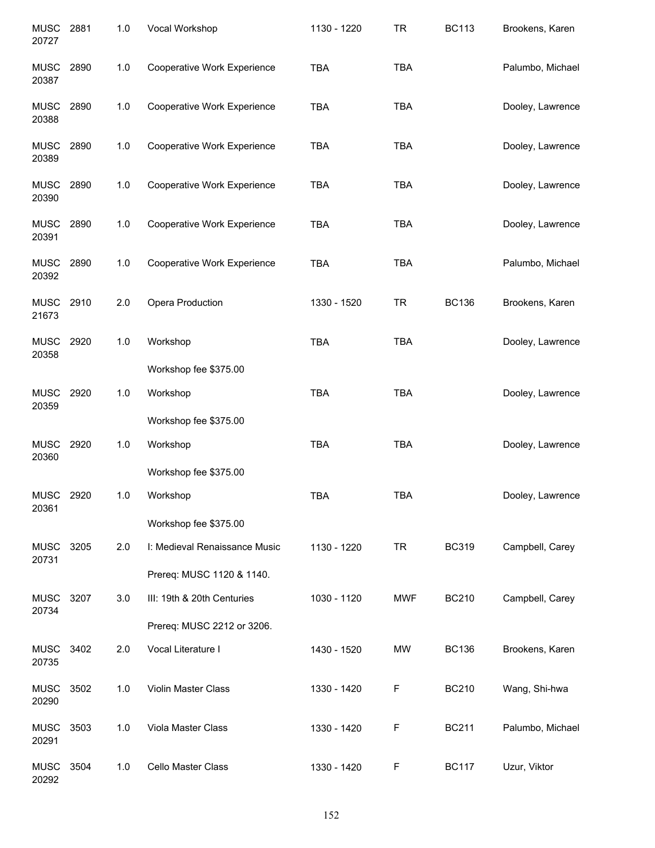| <b>MUSC</b><br>20727 | 2881 | 1.0 | Vocal Workshop                     | 1130 - 1220 | <b>TR</b>  | <b>BC113</b> | Brookens, Karen  |
|----------------------|------|-----|------------------------------------|-------------|------------|--------------|------------------|
| MUSC<br>20387        | 2890 | 1.0 | Cooperative Work Experience        | <b>TBA</b>  | <b>TBA</b> |              | Palumbo, Michael |
| <b>MUSC</b><br>20388 | 2890 | 1.0 | Cooperative Work Experience        | TBA         | <b>TBA</b> |              | Dooley, Lawrence |
| <b>MUSC</b><br>20389 | 2890 | 1.0 | Cooperative Work Experience        | TBA         | <b>TBA</b> |              | Dooley, Lawrence |
| <b>MUSC</b><br>20390 | 2890 | 1.0 | Cooperative Work Experience        | <b>TBA</b>  | <b>TBA</b> |              | Dooley, Lawrence |
| MUSC<br>20391        | 2890 | 1.0 | Cooperative Work Experience        | <b>TBA</b>  | <b>TBA</b> |              | Dooley, Lawrence |
| MUSC<br>20392        | 2890 | 1.0 | <b>Cooperative Work Experience</b> | <b>TBA</b>  | <b>TBA</b> |              | Palumbo, Michael |
| <b>MUSC</b><br>21673 | 2910 | 2.0 | Opera Production                   | 1330 - 1520 | <b>TR</b>  | <b>BC136</b> | Brookens, Karen  |
| <b>MUSC</b><br>20358 | 2920 | 1.0 | Workshop                           | <b>TBA</b>  | <b>TBA</b> |              | Dooley, Lawrence |
|                      |      |     | Workshop fee \$375.00              |             |            |              |                  |
| <b>MUSC</b><br>20359 | 2920 | 1.0 | Workshop                           | <b>TBA</b>  | <b>TBA</b> |              | Dooley, Lawrence |
|                      |      |     | Workshop fee \$375.00              |             |            |              |                  |
| <b>MUSC</b><br>20360 | 2920 | 1.0 | Workshop                           | <b>TBA</b>  | <b>TBA</b> |              | Dooley, Lawrence |
|                      |      |     | Workshop fee \$375.00              |             |            |              |                  |
| <b>MUSC</b><br>20361 | 2920 | 1.0 | Workshop                           | <b>TBA</b>  | <b>TBA</b> |              | Dooley, Lawrence |
|                      |      |     | Workshop fee \$375.00              |             |            |              |                  |
| <b>MUSC</b><br>20731 | 3205 | 2.0 | I: Medieval Renaissance Music      | 1130 - 1220 | <b>TR</b>  | <b>BC319</b> | Campbell, Carey  |
|                      |      |     | Prereq: MUSC 1120 & 1140.          |             |            |              |                  |
| <b>MUSC</b><br>20734 | 3207 | 3.0 | III: 19th & 20th Centuries         | 1030 - 1120 | <b>MWF</b> | <b>BC210</b> | Campbell, Carey  |
|                      |      |     | Prereq: MUSC 2212 or 3206.         |             |            |              |                  |
| <b>MUSC</b><br>20735 | 3402 | 2.0 | Vocal Literature I                 | 1430 - 1520 | <b>MW</b>  | <b>BC136</b> | Brookens, Karen  |
| <b>MUSC</b><br>20290 | 3502 | 1.0 | Violin Master Class                | 1330 - 1420 | F          | <b>BC210</b> | Wang, Shi-hwa    |
| <b>MUSC</b><br>20291 | 3503 | 1.0 | Viola Master Class                 | 1330 - 1420 | F          | <b>BC211</b> | Palumbo, Michael |
| MUSC<br>20292        | 3504 | 1.0 | Cello Master Class                 | 1330 - 1420 | F          | <b>BC117</b> | Uzur, Viktor     |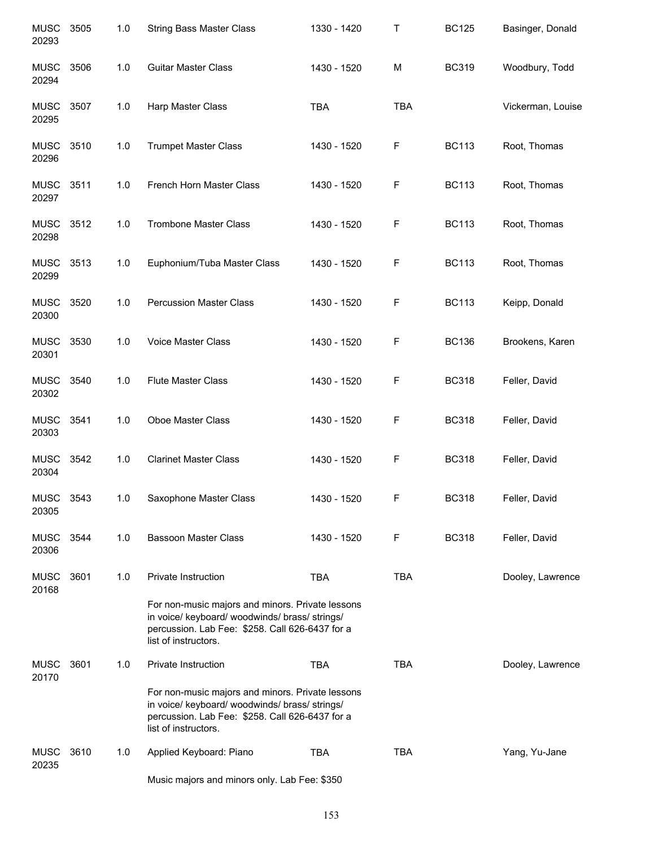| <b>MUSC</b><br>20293 | 3505 | 1.0 | <b>String Bass Master Class</b>                                                                                                                                               | 1330 - 1420 | Τ           | <b>BC125</b> | Basinger, Donald  |
|----------------------|------|-----|-------------------------------------------------------------------------------------------------------------------------------------------------------------------------------|-------------|-------------|--------------|-------------------|
| <b>MUSC</b><br>20294 | 3506 | 1.0 | <b>Guitar Master Class</b>                                                                                                                                                    | 1430 - 1520 | M           | <b>BC319</b> | Woodbury, Todd    |
| <b>MUSC</b><br>20295 | 3507 | 1.0 | Harp Master Class                                                                                                                                                             | <b>TBA</b>  | <b>TBA</b>  |              | Vickerman, Louise |
| <b>MUSC</b><br>20296 | 3510 | 1.0 | <b>Trumpet Master Class</b>                                                                                                                                                   | 1430 - 1520 | F           | <b>BC113</b> | Root, Thomas      |
| <b>MUSC</b><br>20297 | 3511 | 1.0 | French Horn Master Class                                                                                                                                                      | 1430 - 1520 | F           | <b>BC113</b> | Root, Thomas      |
| <b>MUSC</b><br>20298 | 3512 | 1.0 | <b>Trombone Master Class</b>                                                                                                                                                  | 1430 - 1520 | F           | <b>BC113</b> | Root, Thomas      |
| <b>MUSC</b><br>20299 | 3513 | 1.0 | Euphonium/Tuba Master Class                                                                                                                                                   | 1430 - 1520 | F           | <b>BC113</b> | Root, Thomas      |
| <b>MUSC</b><br>20300 | 3520 | 1.0 | <b>Percussion Master Class</b>                                                                                                                                                | 1430 - 1520 | F           | <b>BC113</b> | Keipp, Donald     |
| <b>MUSC</b><br>20301 | 3530 | 1.0 | Voice Master Class                                                                                                                                                            | 1430 - 1520 | F           | <b>BC136</b> | Brookens, Karen   |
| <b>MUSC</b><br>20302 | 3540 | 1.0 | <b>Flute Master Class</b>                                                                                                                                                     | 1430 - 1520 | F           | <b>BC318</b> | Feller, David     |
| <b>MUSC</b><br>20303 | 3541 | 1.0 | Oboe Master Class                                                                                                                                                             | 1430 - 1520 | F           | <b>BC318</b> | Feller, David     |
| <b>MUSC</b><br>20304 | 3542 | 1.0 | <b>Clarinet Master Class</b>                                                                                                                                                  | 1430 - 1520 | $\mathsf F$ | <b>BC318</b> | Feller, David     |
| <b>MUSC</b><br>20305 | 3543 | 1.0 | Saxophone Master Class                                                                                                                                                        | 1430 - 1520 | F           | <b>BC318</b> | Feller, David     |
| <b>MUSC</b><br>20306 | 3544 | 1.0 | <b>Bassoon Master Class</b>                                                                                                                                                   | 1430 - 1520 | F           | <b>BC318</b> | Feller, David     |
| <b>MUSC</b><br>20168 | 3601 | 1.0 | Private Instruction                                                                                                                                                           | <b>TBA</b>  | <b>TBA</b>  |              | Dooley, Lawrence  |
|                      |      |     | For non-music majors and minors. Private lessons<br>in voice/ keyboard/ woodwinds/ brass/ strings/<br>percussion. Lab Fee: \$258. Call 626-6437 for a<br>list of instructors. |             |             |              |                   |
| <b>MUSC</b><br>20170 | 3601 | 1.0 | Private Instruction                                                                                                                                                           | <b>TBA</b>  | <b>TBA</b>  |              | Dooley, Lawrence  |
|                      |      |     | For non-music majors and minors. Private lessons<br>in voice/ keyboard/ woodwinds/ brass/ strings/<br>percussion. Lab Fee: \$258. Call 626-6437 for a<br>list of instructors. |             |             |              |                   |
| <b>MUSC</b><br>20235 | 3610 | 1.0 | Applied Keyboard: Piano                                                                                                                                                       | <b>TBA</b>  | <b>TBA</b>  |              | Yang, Yu-Jane     |
|                      |      |     | Music majors and minors only. Lab Fee: \$350                                                                                                                                  |             |             |              |                   |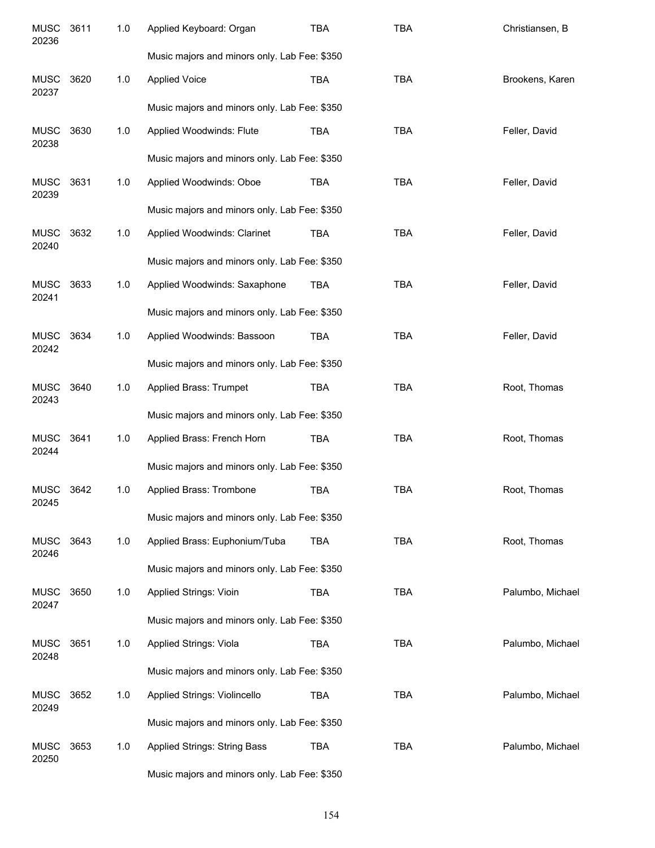| <b>MUSC</b><br>20236 | 3611 | 1.0 | Applied Keyboard: Organ                      | <b>TBA</b> | <b>TBA</b> | Christiansen, B  |
|----------------------|------|-----|----------------------------------------------|------------|------------|------------------|
|                      |      |     | Music majors and minors only. Lab Fee: \$350 |            |            |                  |
| <b>MUSC</b><br>20237 | 3620 | 1.0 | <b>Applied Voice</b>                         | <b>TBA</b> | <b>TBA</b> | Brookens, Karen  |
|                      |      |     | Music majors and minors only. Lab Fee: \$350 |            |            |                  |
| <b>MUSC</b><br>20238 | 3630 | 1.0 | Applied Woodwinds: Flute                     | <b>TBA</b> | <b>TBA</b> | Feller, David    |
|                      |      |     | Music majors and minors only. Lab Fee: \$350 |            |            |                  |
| <b>MUSC</b><br>20239 | 3631 | 1.0 | Applied Woodwinds: Oboe                      | <b>TBA</b> | <b>TBA</b> | Feller, David    |
|                      |      |     | Music majors and minors only. Lab Fee: \$350 |            |            |                  |
| <b>MUSC</b><br>20240 | 3632 | 1.0 | Applied Woodwinds: Clarinet                  | <b>TBA</b> | <b>TBA</b> | Feller, David    |
|                      |      |     | Music majors and minors only. Lab Fee: \$350 |            |            |                  |
| <b>MUSC</b><br>20241 | 3633 | 1.0 | Applied Woodwinds: Saxaphone                 | <b>TBA</b> | <b>TBA</b> | Feller, David    |
|                      |      |     | Music majors and minors only. Lab Fee: \$350 |            |            |                  |
| <b>MUSC</b><br>20242 | 3634 | 1.0 | Applied Woodwinds: Bassoon                   | <b>TBA</b> | <b>TBA</b> | Feller, David    |
|                      |      |     | Music majors and minors only. Lab Fee: \$350 |            |            |                  |
| <b>MUSC</b><br>20243 | 3640 | 1.0 | Applied Brass: Trumpet                       | <b>TBA</b> | <b>TBA</b> | Root, Thomas     |
|                      |      |     | Music majors and minors only. Lab Fee: \$350 |            |            |                  |
| <b>MUSC</b><br>20244 | 3641 | 1.0 | Applied Brass: French Horn                   | <b>TBA</b> | <b>TBA</b> | Root, Thomas     |
|                      |      |     | Music majors and minors only. Lab Fee: \$350 |            |            |                  |
| <b>MUSC</b><br>20245 | 3642 | 1.0 | Applied Brass: Trombone                      | <b>TBA</b> | <b>TBA</b> | Root, Thomas     |
|                      |      |     | Music majors and minors only. Lab Fee: \$350 |            |            |                  |
| <b>MUSC</b><br>20246 | 3643 | 1.0 | Applied Brass: Euphonium/Tuba                | <b>TBA</b> | <b>TBA</b> | Root, Thomas     |
|                      |      |     | Music majors and minors only. Lab Fee: \$350 |            |            |                  |
| <b>MUSC</b><br>20247 | 3650 | 1.0 | Applied Strings: Vioin                       | <b>TBA</b> | <b>TBA</b> | Palumbo, Michael |
|                      |      |     | Music majors and minors only. Lab Fee: \$350 |            |            |                  |
| <b>MUSC</b><br>20248 | 3651 | 1.0 | Applied Strings: Viola                       | <b>TBA</b> | <b>TBA</b> | Palumbo, Michael |
|                      |      |     | Music majors and minors only. Lab Fee: \$350 |            |            |                  |
| <b>MUSC</b><br>20249 | 3652 | 1.0 | Applied Strings: Violincello                 | <b>TBA</b> | <b>TBA</b> | Palumbo, Michael |
|                      |      |     | Music majors and minors only. Lab Fee: \$350 |            |            |                  |
| <b>MUSC</b><br>20250 | 3653 | 1.0 | <b>Applied Strings: String Bass</b>          | <b>TBA</b> | <b>TBA</b> | Palumbo, Michael |
|                      |      |     | Music majors and minors only. Lab Fee: \$350 |            |            |                  |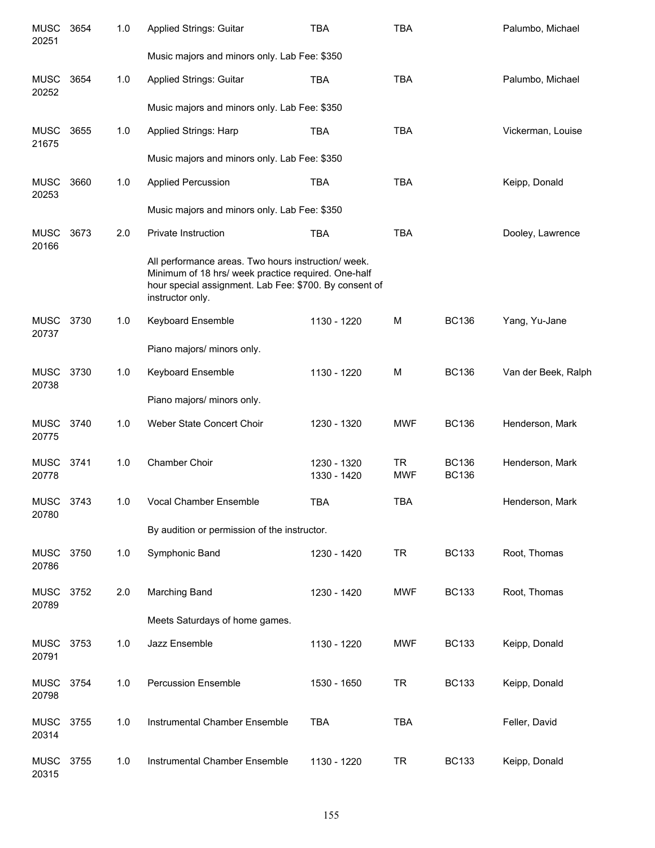| <b>MUSC</b><br>20251 | 3654 | 1.0 | Applied Strings: Guitar                                                                                                                                                                  | <b>TBA</b>                 | <b>TBA</b>              |                              | Palumbo, Michael    |
|----------------------|------|-----|------------------------------------------------------------------------------------------------------------------------------------------------------------------------------------------|----------------------------|-------------------------|------------------------------|---------------------|
|                      |      |     | Music majors and minors only. Lab Fee: \$350                                                                                                                                             |                            |                         |                              |                     |
| <b>MUSC</b><br>20252 | 3654 | 1.0 | <b>Applied Strings: Guitar</b>                                                                                                                                                           | <b>TBA</b>                 | <b>TBA</b>              |                              | Palumbo, Michael    |
|                      |      |     | Music majors and minors only. Lab Fee: \$350                                                                                                                                             |                            |                         |                              |                     |
| <b>MUSC</b><br>21675 | 3655 | 1.0 | Applied Strings: Harp                                                                                                                                                                    | <b>TBA</b>                 | <b>TBA</b>              |                              | Vickerman, Louise   |
|                      |      |     | Music majors and minors only. Lab Fee: \$350                                                                                                                                             |                            |                         |                              |                     |
| <b>MUSC</b><br>20253 | 3660 | 1.0 | <b>Applied Percussion</b>                                                                                                                                                                | <b>TBA</b>                 | <b>TBA</b>              |                              | Keipp, Donald       |
|                      |      |     | Music majors and minors only. Lab Fee: \$350                                                                                                                                             |                            |                         |                              |                     |
| <b>MUSC</b><br>20166 | 3673 | 2.0 | Private Instruction                                                                                                                                                                      | <b>TBA</b>                 | <b>TBA</b>              |                              | Dooley, Lawrence    |
|                      |      |     | All performance areas. Two hours instruction/ week.<br>Minimum of 18 hrs/ week practice required. One-half<br>hour special assignment. Lab Fee: \$700. By consent of<br>instructor only. |                            |                         |                              |                     |
| MUSC<br>20737        | 3730 | 1.0 | <b>Keyboard Ensemble</b>                                                                                                                                                                 | 1130 - 1220                | M                       | <b>BC136</b>                 | Yang, Yu-Jane       |
|                      |      |     | Piano majors/ minors only.                                                                                                                                                               |                            |                         |                              |                     |
| <b>MUSC</b><br>20738 | 3730 | 1.0 | <b>Keyboard Ensemble</b>                                                                                                                                                                 | 1130 - 1220                | M                       | <b>BC136</b>                 | Van der Beek, Ralph |
|                      |      |     | Piano majors/ minors only.                                                                                                                                                               |                            |                         |                              |                     |
| <b>MUSC</b><br>20775 | 3740 | 1.0 | Weber State Concert Choir                                                                                                                                                                | 1230 - 1320                | <b>MWF</b>              | <b>BC136</b>                 | Henderson, Mark     |
| <b>MUSC</b><br>20778 | 3741 | 1.0 | Chamber Choir                                                                                                                                                                            | 1230 - 1320<br>1330 - 1420 | <b>TR</b><br><b>MWF</b> | <b>BC136</b><br><b>BC136</b> | Henderson, Mark     |
| MUSC<br>20780        | 3743 | 1.0 | Vocal Chamber Ensemble                                                                                                                                                                   | TBA                        | <b>TBA</b>              |                              | Henderson, Mark     |
|                      |      |     | By audition or permission of the instructor.                                                                                                                                             |                            |                         |                              |                     |
| MUSC<br>20786        | 3750 | 1.0 | Symphonic Band                                                                                                                                                                           | 1230 - 1420                | <b>TR</b>               | <b>BC133</b>                 | Root, Thomas        |
| <b>MUSC</b><br>20789 | 3752 | 2.0 | Marching Band                                                                                                                                                                            | 1230 - 1420                | <b>MWF</b>              | <b>BC133</b>                 | Root, Thomas        |
|                      |      |     | Meets Saturdays of home games.                                                                                                                                                           |                            |                         |                              |                     |
| MUSC<br>20791        | 3753 | 1.0 | Jazz Ensemble                                                                                                                                                                            | 1130 - 1220                | <b>MWF</b>              | <b>BC133</b>                 | Keipp, Donald       |
| <b>MUSC</b><br>20798 | 3754 | 1.0 | <b>Percussion Ensemble</b>                                                                                                                                                               | 1530 - 1650                | <b>TR</b>               | <b>BC133</b>                 | Keipp, Donald       |
| <b>MUSC</b><br>20314 | 3755 | 1.0 | Instrumental Chamber Ensemble                                                                                                                                                            | <b>TBA</b>                 | <b>TBA</b>              |                              | Feller, David       |
| <b>MUSC</b><br>20315 | 3755 | 1.0 | Instrumental Chamber Ensemble                                                                                                                                                            | 1130 - 1220                | <b>TR</b>               | <b>BC133</b>                 | Keipp, Donald       |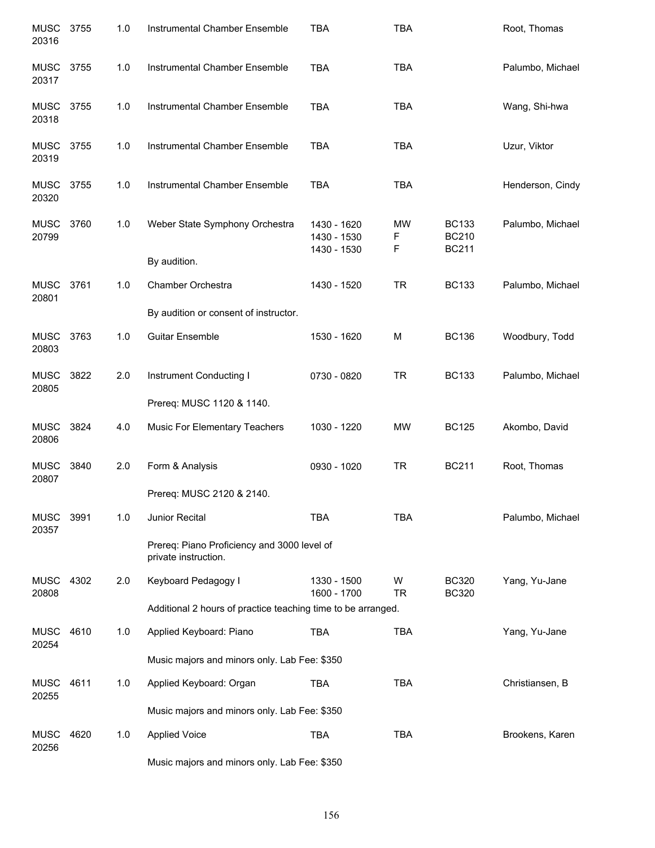| <b>MUSC</b><br>20316 | 3755 | 1.0 | Instrumental Chamber Ensemble                                       | <b>TBA</b>                                | <b>TBA</b>          |                                              | Root, Thomas     |
|----------------------|------|-----|---------------------------------------------------------------------|-------------------------------------------|---------------------|----------------------------------------------|------------------|
| <b>MUSC</b><br>20317 | 3755 | 1.0 | Instrumental Chamber Ensemble                                       | <b>TBA</b>                                | <b>TBA</b>          |                                              | Palumbo, Michael |
| <b>MUSC</b><br>20318 | 3755 | 1.0 | Instrumental Chamber Ensemble                                       | <b>TBA</b>                                | <b>TBA</b>          |                                              | Wang, Shi-hwa    |
| <b>MUSC</b><br>20319 | 3755 | 1.0 | Instrumental Chamber Ensemble                                       | <b>TBA</b>                                | <b>TBA</b>          |                                              | Uzur, Viktor     |
| <b>MUSC</b><br>20320 | 3755 | 1.0 | Instrumental Chamber Ensemble                                       | <b>TBA</b>                                | <b>TBA</b>          |                                              | Henderson, Cindy |
| <b>MUSC</b><br>20799 | 3760 | 1.0 | Weber State Symphony Orchestra                                      | 1430 - 1620<br>1430 - 1530<br>1430 - 1530 | <b>MW</b><br>F<br>F | <b>BC133</b><br><b>BC210</b><br><b>BC211</b> | Palumbo, Michael |
|                      |      |     | By audition.                                                        |                                           |                     |                                              |                  |
| <b>MUSC</b><br>20801 | 3761 | 1.0 | Chamber Orchestra                                                   | 1430 - 1520                               | <b>TR</b>           | <b>BC133</b>                                 | Palumbo, Michael |
|                      |      |     | By audition or consent of instructor.                               |                                           |                     |                                              |                  |
| <b>MUSC</b><br>20803 | 3763 | 1.0 | <b>Guitar Ensemble</b>                                              | 1530 - 1620                               | M                   | <b>BC136</b>                                 | Woodbury, Todd   |
| <b>MUSC</b><br>20805 | 3822 | 2.0 | Instrument Conducting I                                             | 0730 - 0820                               | <b>TR</b>           | <b>BC133</b>                                 | Palumbo, Michael |
|                      |      |     | Prereq: MUSC 1120 & 1140.                                           |                                           |                     |                                              |                  |
| <b>MUSC</b><br>20806 | 3824 | 4.0 | Music For Elementary Teachers                                       | 1030 - 1220                               | <b>MW</b>           | <b>BC125</b>                                 | Akombo, David    |
| MUSC<br>20807        | 3840 | 2.0 | Form & Analysis                                                     | 0930 - 1020                               | <b>TR</b>           | <b>BC211</b>                                 | Root, Thomas     |
|                      |      |     | Prereq: MUSC 2120 & 2140.                                           |                                           |                     |                                              |                  |
| MUSC 3991<br>20357   |      | 1.0 | Junior Recital                                                      | <b>TBA</b>                                | <b>TBA</b>          |                                              | Palumbo, Michael |
|                      |      |     | Prereq: Piano Proficiency and 3000 level of<br>private instruction. |                                           |                     |                                              |                  |
| <b>MUSC</b><br>20808 | 4302 | 2.0 | Keyboard Pedagogy I                                                 | 1330 - 1500<br>1600 - 1700                | W<br><b>TR</b>      | <b>BC320</b><br><b>BC320</b>                 | Yang, Yu-Jane    |
|                      |      |     | Additional 2 hours of practice teaching time to be arranged.        |                                           |                     |                                              |                  |
| MUSC<br>20254        | 4610 | 1.0 | Applied Keyboard: Piano                                             | TBA                                       | <b>TBA</b>          |                                              | Yang, Yu-Jane    |
|                      |      |     | Music majors and minors only. Lab Fee: \$350                        |                                           |                     |                                              |                  |
| MUSC<br>20255        | 4611 | 1.0 | Applied Keyboard: Organ                                             | TBA                                       | <b>TBA</b>          |                                              | Christiansen, B  |
|                      |      |     | Music majors and minors only. Lab Fee: \$350                        |                                           |                     |                                              |                  |
| <b>MUSC</b><br>20256 | 4620 | 1.0 | <b>Applied Voice</b>                                                | <b>TBA</b>                                | <b>TBA</b>          |                                              | Brookens, Karen  |
|                      |      |     | Music majors and minors only. Lab Fee: \$350                        |                                           |                     |                                              |                  |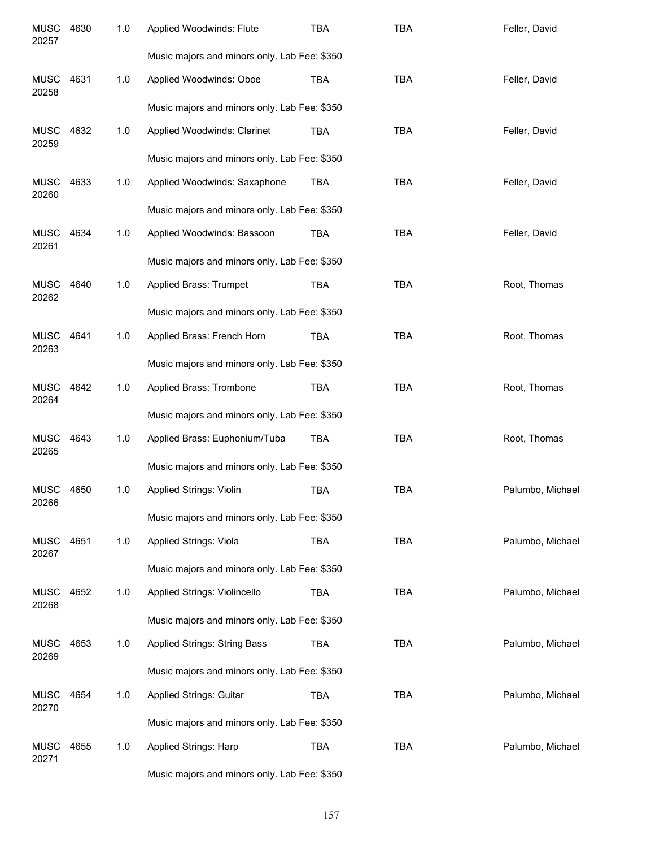| <b>MUSC</b><br>20257 | 4630 | 1.0 | Applied Woodwinds: Flute                     | <b>TBA</b> | <b>TBA</b> | Feller, David    |
|----------------------|------|-----|----------------------------------------------|------------|------------|------------------|
|                      |      |     | Music majors and minors only. Lab Fee: \$350 |            |            |                  |
| <b>MUSC</b><br>20258 | 4631 | 1.0 | Applied Woodwinds: Oboe                      | <b>TBA</b> | <b>TBA</b> | Feller, David    |
|                      |      |     | Music majors and minors only. Lab Fee: \$350 |            |            |                  |
| <b>MUSC</b><br>20259 | 4632 | 1.0 | Applied Woodwinds: Clarinet                  | <b>TBA</b> | <b>TBA</b> | Feller, David    |
|                      |      |     | Music majors and minors only. Lab Fee: \$350 |            |            |                  |
| <b>MUSC</b><br>20260 | 4633 | 1.0 | Applied Woodwinds: Saxaphone                 | <b>TBA</b> | <b>TBA</b> | Feller, David    |
|                      |      |     | Music majors and minors only. Lab Fee: \$350 |            |            |                  |
| <b>MUSC</b><br>20261 | 4634 | 1.0 | Applied Woodwinds: Bassoon                   | <b>TBA</b> | <b>TBA</b> | Feller, David    |
|                      |      |     | Music majors and minors only. Lab Fee: \$350 |            |            |                  |
| <b>MUSC</b><br>20262 | 4640 | 1.0 | Applied Brass: Trumpet                       | <b>TBA</b> | <b>TBA</b> | Root, Thomas     |
|                      |      |     | Music majors and minors only. Lab Fee: \$350 |            |            |                  |
| <b>MUSC</b><br>20263 | 4641 | 1.0 | Applied Brass: French Horn                   | <b>TBA</b> | <b>TBA</b> | Root, Thomas     |
|                      |      |     | Music majors and minors only. Lab Fee: \$350 |            |            |                  |
| <b>MUSC</b><br>20264 | 4642 | 1.0 | Applied Brass: Trombone                      | <b>TBA</b> | <b>TBA</b> | Root, Thomas     |
|                      |      |     | Music majors and minors only. Lab Fee: \$350 |            |            |                  |
| <b>MUSC</b><br>20265 | 4643 | 1.0 | Applied Brass: Euphonium/Tuba                | <b>TBA</b> | <b>TBA</b> | Root, Thomas     |
|                      |      |     | Music majors and minors only. Lab Fee: \$350 |            |            |                  |
| MUSC<br>20266        | 4650 | 1.0 | <b>Applied Strings: Violin</b>               | <b>TBA</b> | <b>TBA</b> | Palumbo, Michael |
|                      |      |     | Music majors and minors only. Lab Fee: \$350 |            |            |                  |
| MUSC<br>20267        | 4651 | 1.0 | Applied Strings: Viola                       | <b>TBA</b> | <b>TBA</b> | Palumbo, Michael |
|                      |      |     | Music majors and minors only. Lab Fee: \$350 |            |            |                  |
| MUSC<br>20268        | 4652 | 1.0 | Applied Strings: Violincello                 | <b>TBA</b> | <b>TBA</b> | Palumbo, Michael |
|                      |      |     | Music majors and minors only. Lab Fee: \$350 |            |            |                  |
| MUSC<br>20269        | 4653 | 1.0 | <b>Applied Strings: String Bass</b>          | <b>TBA</b> | <b>TBA</b> | Palumbo, Michael |
|                      |      |     | Music majors and minors only. Lab Fee: \$350 |            |            |                  |
| <b>MUSC</b><br>20270 | 4654 | 1.0 | Applied Strings: Guitar                      | <b>TBA</b> | <b>TBA</b> | Palumbo, Michael |
|                      |      |     | Music majors and minors only. Lab Fee: \$350 |            |            |                  |
| MUSC<br>20271        | 4655 | 1.0 | Applied Strings: Harp                        | <b>TBA</b> | <b>TBA</b> | Palumbo, Michael |
|                      |      |     | Music majors and minors only. Lab Fee: \$350 |            |            |                  |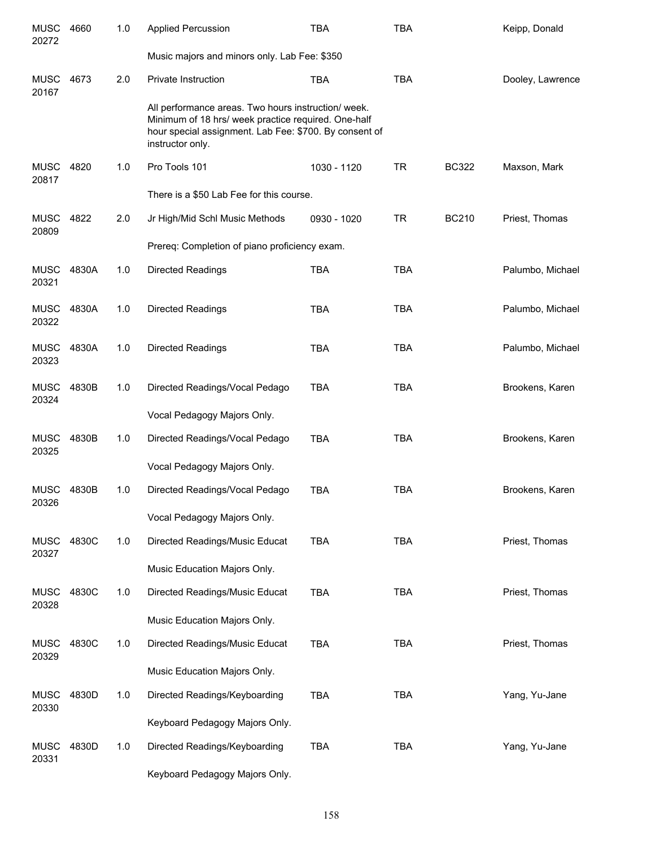| <b>MUSC</b><br>20272 | 4660  | 1.0 | <b>Applied Percussion</b>                                                                                                                                                                | <b>TBA</b>  | <b>TBA</b> |              | Keipp, Donald    |
|----------------------|-------|-----|------------------------------------------------------------------------------------------------------------------------------------------------------------------------------------------|-------------|------------|--------------|------------------|
|                      |       |     | Music majors and minors only. Lab Fee: \$350                                                                                                                                             |             |            |              |                  |
| MUSC<br>20167        | 4673  | 2.0 | <b>Private Instruction</b>                                                                                                                                                               | <b>TBA</b>  | <b>TBA</b> |              | Dooley, Lawrence |
|                      |       |     | All performance areas. Two hours instruction/ week.<br>Minimum of 18 hrs/ week practice required. One-half<br>hour special assignment. Lab Fee: \$700. By consent of<br>instructor only. |             |            |              |                  |
| <b>MUSC</b><br>20817 | 4820  | 1.0 | Pro Tools 101                                                                                                                                                                            | 1030 - 1120 | <b>TR</b>  | <b>BC322</b> | Maxson, Mark     |
|                      |       |     | There is a \$50 Lab Fee for this course.                                                                                                                                                 |             |            |              |                  |
| <b>MUSC</b><br>20809 | 4822  | 2.0 | Jr High/Mid Schl Music Methods                                                                                                                                                           | 0930 - 1020 | <b>TR</b>  | <b>BC210</b> | Priest, Thomas   |
|                      |       |     | Prereq: Completion of piano proficiency exam.                                                                                                                                            |             |            |              |                  |
| <b>MUSC</b><br>20321 | 4830A | 1.0 | <b>Directed Readings</b>                                                                                                                                                                 | <b>TBA</b>  | <b>TBA</b> |              | Palumbo, Michael |
| <b>MUSC</b><br>20322 | 4830A | 1.0 | <b>Directed Readings</b>                                                                                                                                                                 | <b>TBA</b>  | <b>TBA</b> |              | Palumbo, Michael |
| <b>MUSC</b><br>20323 | 4830A | 1.0 | <b>Directed Readings</b>                                                                                                                                                                 | <b>TBA</b>  | <b>TBA</b> |              | Palumbo, Michael |
| <b>MUSC</b><br>20324 | 4830B | 1.0 | Directed Readings/Vocal Pedago                                                                                                                                                           | <b>TBA</b>  | <b>TBA</b> |              | Brookens, Karen  |
|                      |       |     | Vocal Pedagogy Majors Only.                                                                                                                                                              |             |            |              |                  |
| <b>MUSC</b><br>20325 | 4830B | 1.0 | Directed Readings/Vocal Pedago                                                                                                                                                           | <b>TBA</b>  | <b>TBA</b> |              | Brookens, Karen  |
|                      |       |     | Vocal Pedagogy Majors Only.                                                                                                                                                              |             |            |              |                  |
| MUSC<br>20326        | 4830B | 1.0 | Directed Readings/Vocal Pedago                                                                                                                                                           | <b>TBA</b>  | <b>TBA</b> |              | Brookens, Karen  |
|                      |       |     | Vocal Pedagogy Majors Only.                                                                                                                                                              |             |            |              |                  |
| <b>MUSC</b><br>20327 | 4830C | 1.0 | Directed Readings/Music Educat                                                                                                                                                           | TBA         | <b>TBA</b> |              | Priest, Thomas   |
|                      |       |     | Music Education Majors Only.                                                                                                                                                             |             |            |              |                  |
| <b>MUSC</b><br>20328 | 4830C | 1.0 | Directed Readings/Music Educat                                                                                                                                                           | <b>TBA</b>  | <b>TBA</b> |              | Priest, Thomas   |
|                      |       |     | Music Education Majors Only.                                                                                                                                                             |             |            |              |                  |
| <b>MUSC</b><br>20329 | 4830C | 1.0 | Directed Readings/Music Educat                                                                                                                                                           | <b>TBA</b>  | <b>TBA</b> |              | Priest, Thomas   |
|                      |       |     | Music Education Majors Only.                                                                                                                                                             |             |            |              |                  |
| <b>MUSC</b><br>20330 | 4830D | 1.0 | Directed Readings/Keyboarding                                                                                                                                                            | TBA         | <b>TBA</b> |              | Yang, Yu-Jane    |
|                      |       |     | Keyboard Pedagogy Majors Only.                                                                                                                                                           |             |            |              |                  |
| <b>MUSC</b><br>20331 | 4830D | 1.0 | Directed Readings/Keyboarding                                                                                                                                                            | TBA         | TBA        |              | Yang, Yu-Jane    |
|                      |       |     | Keyboard Pedagogy Majors Only.                                                                                                                                                           |             |            |              |                  |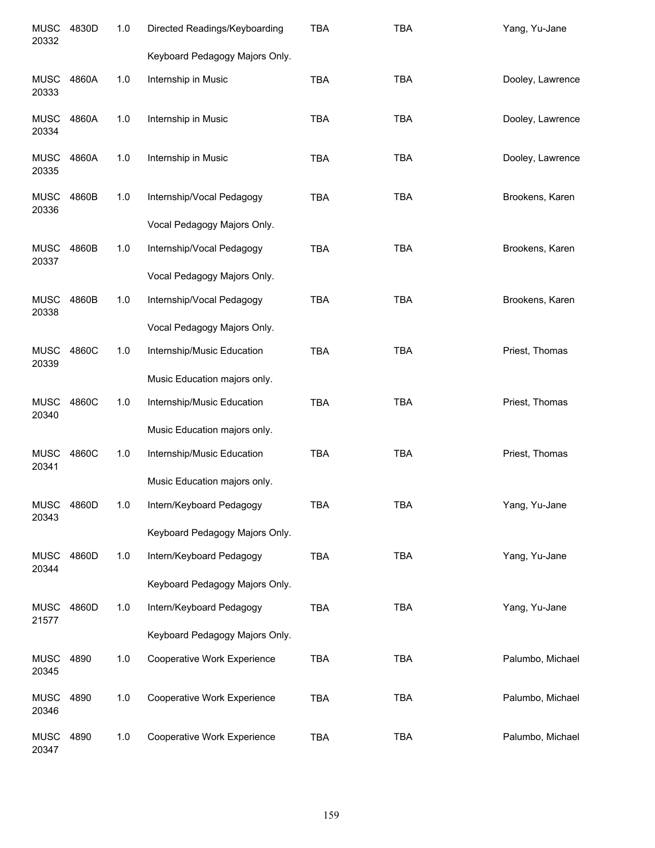| <b>MUSC</b><br>20332 | 4830D | 1.0   | Directed Readings/Keyboarding                              | <b>TBA</b> | <b>TBA</b> | Yang, Yu-Jane    |
|----------------------|-------|-------|------------------------------------------------------------|------------|------------|------------------|
|                      |       |       | Keyboard Pedagogy Majors Only.                             |            |            |                  |
| <b>MUSC</b><br>20333 | 4860A | 1.0   | Internship in Music                                        | <b>TBA</b> | <b>TBA</b> | Dooley, Lawrence |
| <b>MUSC</b><br>20334 | 4860A | 1.0   | Internship in Music                                        | <b>TBA</b> | <b>TBA</b> | Dooley, Lawrence |
| <b>MUSC</b><br>20335 | 4860A | 1.0   | Internship in Music                                        | <b>TBA</b> | <b>TBA</b> | Dooley, Lawrence |
| <b>MUSC</b><br>20336 | 4860B | 1.0   | Internship/Vocal Pedagogy                                  | <b>TBA</b> | <b>TBA</b> | Brookens, Karen  |
|                      |       |       | Vocal Pedagogy Majors Only.                                |            |            |                  |
| <b>MUSC</b><br>20337 | 4860B | 1.0   | Internship/Vocal Pedagogy                                  | <b>TBA</b> | <b>TBA</b> | Brookens, Karen  |
|                      |       |       | Vocal Pedagogy Majors Only.                                |            |            |                  |
| <b>MUSC</b><br>20338 | 4860B | 1.0   | Internship/Vocal Pedagogy<br>Vocal Pedagogy Majors Only.   | <b>TBA</b> | <b>TBA</b> | Brookens, Karen  |
|                      |       |       |                                                            |            |            |                  |
| <b>MUSC</b><br>20339 | 4860C | 1.0   | Internship/Music Education<br>Music Education majors only. | <b>TBA</b> | <b>TBA</b> | Priest, Thomas   |
| <b>MUSC</b><br>20340 | 4860C | 1.0   | Internship/Music Education                                 | <b>TBA</b> | <b>TBA</b> | Priest, Thomas   |
|                      |       |       | Music Education majors only.                               |            |            |                  |
| <b>MUSC</b><br>20341 | 4860C | 1.0   | Internship/Music Education                                 | <b>TBA</b> | <b>TBA</b> | Priest, Thomas   |
|                      |       |       | Music Education majors only.                               |            |            |                  |
| <b>MUSC</b><br>20343 | 4860D | 1.0   | Intern/Keyboard Pedagogy                                   | TBA        | TBA        | Yang, Yu-Jane    |
|                      |       |       | Keyboard Pedagogy Majors Only.                             |            |            |                  |
| <b>MUSC</b><br>20344 | 4860D | 1.0   | Intern/Keyboard Pedagogy                                   | <b>TBA</b> | <b>TBA</b> | Yang, Yu-Jane    |
|                      |       |       | Keyboard Pedagogy Majors Only.                             |            |            |                  |
| <b>MUSC</b><br>21577 | 4860D | 1.0   | Intern/Keyboard Pedagogy                                   | TBA        | <b>TBA</b> | Yang, Yu-Jane    |
|                      |       |       | Keyboard Pedagogy Majors Only.                             |            |            |                  |
| <b>MUSC</b><br>20345 | 4890  | 1.0   | Cooperative Work Experience                                | <b>TBA</b> | <b>TBA</b> | Palumbo, Michael |
| <b>MUSC</b><br>20346 | 4890  | $1.0$ | Cooperative Work Experience                                | <b>TBA</b> | <b>TBA</b> | Palumbo, Michael |
| <b>MUSC</b><br>20347 | 4890  | 1.0   | Cooperative Work Experience                                | <b>TBA</b> | <b>TBA</b> | Palumbo, Michael |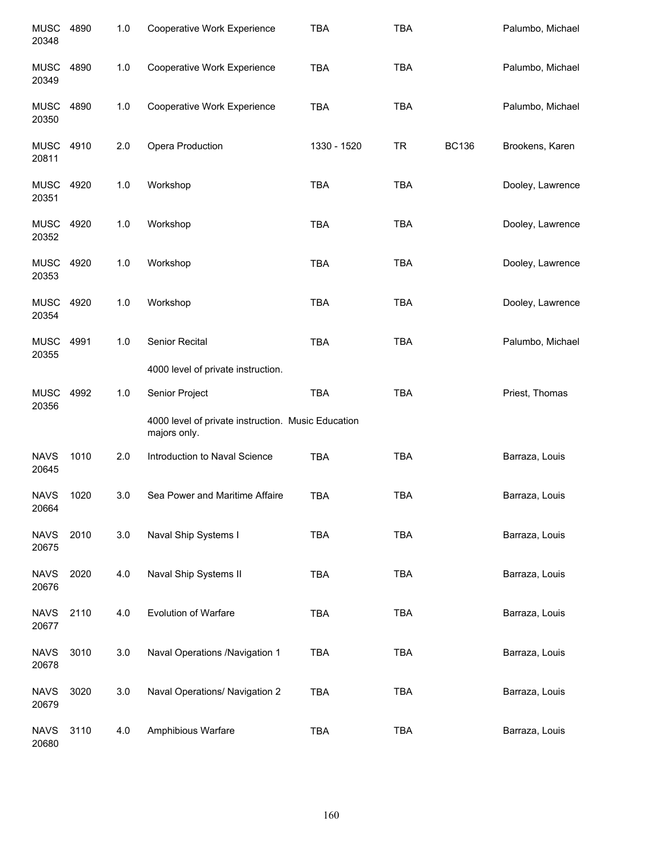| <b>MUSC</b><br>20348 | 4890 | 1.0 | Cooperative Work Experience                                        | <b>TBA</b>  | <b>TBA</b> |              | Palumbo, Michael |
|----------------------|------|-----|--------------------------------------------------------------------|-------------|------------|--------------|------------------|
| <b>MUSC</b><br>20349 | 4890 | 1.0 | Cooperative Work Experience                                        | <b>TBA</b>  | <b>TBA</b> |              | Palumbo, Michael |
| <b>MUSC</b><br>20350 | 4890 | 1.0 | Cooperative Work Experience                                        | <b>TBA</b>  | <b>TBA</b> |              | Palumbo, Michael |
| <b>MUSC</b><br>20811 | 4910 | 2.0 | Opera Production                                                   | 1330 - 1520 | <b>TR</b>  | <b>BC136</b> | Brookens, Karen  |
| MUSC<br>20351        | 4920 | 1.0 | Workshop                                                           | <b>TBA</b>  | <b>TBA</b> |              | Dooley, Lawrence |
| MUSC<br>20352        | 4920 | 1.0 | Workshop                                                           | <b>TBA</b>  | <b>TBA</b> |              | Dooley, Lawrence |
| MUSC<br>20353        | 4920 | 1.0 | Workshop                                                           | <b>TBA</b>  | <b>TBA</b> |              | Dooley, Lawrence |
| MUSC<br>20354        | 4920 | 1.0 | Workshop                                                           | <b>TBA</b>  | <b>TBA</b> |              | Dooley, Lawrence |
| <b>MUSC</b><br>20355 | 4991 | 1.0 | Senior Recital                                                     | <b>TBA</b>  | <b>TBA</b> |              | Palumbo, Michael |
|                      |      |     | 4000 level of private instruction.                                 |             |            |              |                  |
| <b>MUSC</b><br>20356 | 4992 | 1.0 | Senior Project                                                     | TBA         | <b>TBA</b> |              | Priest, Thomas   |
|                      |      |     | 4000 level of private instruction. Music Education<br>majors only. |             |            |              |                  |
| <b>NAVS</b><br>20645 | 1010 | 2.0 | Introduction to Naval Science                                      | <b>TBA</b>  | <b>TBA</b> |              | Barraza, Louis   |
| <b>NAVS</b><br>20664 | 1020 | 3.0 | Sea Power and Maritime Affaire                                     | <b>TBA</b>  | <b>TBA</b> |              | Barraza, Louis   |
| <b>NAVS</b><br>20675 | 2010 | 3.0 | Naval Ship Systems I                                               | <b>TBA</b>  | <b>TBA</b> |              | Barraza, Louis   |
| <b>NAVS</b><br>20676 | 2020 | 4.0 | Naval Ship Systems II                                              | <b>TBA</b>  | <b>TBA</b> |              | Barraza, Louis   |
| <b>NAVS</b><br>20677 | 2110 | 4.0 | <b>Evolution of Warfare</b>                                        | TBA         | <b>TBA</b> |              | Barraza, Louis   |
| <b>NAVS</b><br>20678 | 3010 | 3.0 | Naval Operations /Navigation 1                                     | <b>TBA</b>  | <b>TBA</b> |              | Barraza, Louis   |
| <b>NAVS</b><br>20679 | 3020 | 3.0 | Naval Operations/ Navigation 2                                     | <b>TBA</b>  | <b>TBA</b> |              | Barraza, Louis   |
| <b>NAVS</b><br>20680 | 3110 | 4.0 | Amphibious Warfare                                                 | TBA         | <b>TBA</b> |              | Barraza, Louis   |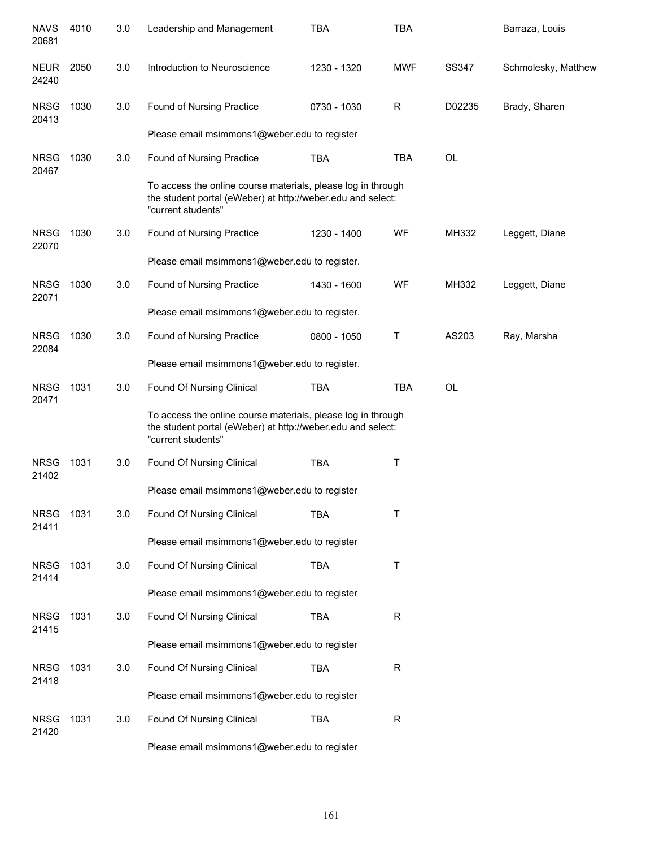| <b>NAVS</b><br>20681 | 4010 | 3.0 | Leadership and Management                                                                                                                         | <b>TBA</b>  | <b>TBA</b>  |           | Barraza, Louis      |
|----------------------|------|-----|---------------------------------------------------------------------------------------------------------------------------------------------------|-------------|-------------|-----------|---------------------|
| <b>NEUR</b><br>24240 | 2050 | 3.0 | Introduction to Neuroscience                                                                                                                      | 1230 - 1320 | <b>MWF</b>  | SS347     | Schmolesky, Matthew |
| <b>NRSG</b><br>20413 | 1030 | 3.0 | Found of Nursing Practice                                                                                                                         | 0730 - 1030 | R           | D02235    | Brady, Sharen       |
|                      |      |     | Please email msimmons1@weber.edu to register                                                                                                      |             |             |           |                     |
| <b>NRSG</b><br>20467 | 1030 | 3.0 | Found of Nursing Practice                                                                                                                         | <b>TBA</b>  | <b>TBA</b>  | <b>OL</b> |                     |
|                      |      |     | To access the online course materials, please log in through<br>the student portal (eWeber) at http://weber.edu and select:<br>"current students" |             |             |           |                     |
| <b>NRSG</b><br>22070 | 1030 | 3.0 | Found of Nursing Practice                                                                                                                         | 1230 - 1400 | WF          | MH332     | Leggett, Diane      |
|                      |      |     | Please email msimmons1@weber.edu to register.                                                                                                     |             |             |           |                     |
| <b>NRSG</b><br>22071 | 1030 | 3.0 | Found of Nursing Practice                                                                                                                         | 1430 - 1600 | WF          | MH332     | Leggett, Diane      |
|                      |      |     | Please email msimmons1@weber.edu to register.                                                                                                     |             |             |           |                     |
| <b>NRSG</b><br>22084 | 1030 | 3.0 | Found of Nursing Practice                                                                                                                         | 0800 - 1050 | Τ           | AS203     | Ray, Marsha         |
|                      |      |     | Please email msimmons1@weber.edu to register.                                                                                                     |             |             |           |                     |
| <b>NRSG</b><br>20471 | 1031 | 3.0 | Found Of Nursing Clinical                                                                                                                         | <b>TBA</b>  | <b>TBA</b>  | <b>OL</b> |                     |
|                      |      |     | To access the online course materials, please log in through<br>the student portal (eWeber) at http://weber.edu and select:<br>"current students" |             |             |           |                     |
| <b>NRSG</b><br>21402 | 1031 | 3.0 | Found Of Nursing Clinical                                                                                                                         | <b>TBA</b>  | $\top$      |           |                     |
|                      |      |     | Please email msimmons1@weber.edu to register                                                                                                      |             |             |           |                     |
| <b>NRSG</b><br>21411 | 1031 | 3.0 | Found Of Nursing Clinical                                                                                                                         | <b>TBA</b>  | Τ           |           |                     |
|                      |      |     | Please email msimmons1@weber.edu to register                                                                                                      |             |             |           |                     |
| <b>NRSG</b><br>21414 | 1031 | 3.0 | Found Of Nursing Clinical                                                                                                                         | <b>TBA</b>  | $\sf T$     |           |                     |
|                      |      |     | Please email msimmons1@weber.edu to register                                                                                                      |             |             |           |                     |
| <b>NRSG</b><br>21415 | 1031 | 3.0 | Found Of Nursing Clinical                                                                                                                         | <b>TBA</b>  | $\mathsf R$ |           |                     |
|                      |      |     | Please email msimmons1@weber.edu to register                                                                                                      |             |             |           |                     |
| <b>NRSG</b><br>21418 | 1031 | 3.0 | Found Of Nursing Clinical                                                                                                                         | <b>TBA</b>  | $\mathsf R$ |           |                     |
|                      |      |     | Please email msimmons1@weber.edu to register                                                                                                      |             |             |           |                     |
| <b>NRSG</b><br>21420 | 1031 | 3.0 | Found Of Nursing Clinical                                                                                                                         | <b>TBA</b>  | $\mathsf R$ |           |                     |
|                      |      |     | Please email msimmons1@weber.edu to register                                                                                                      |             |             |           |                     |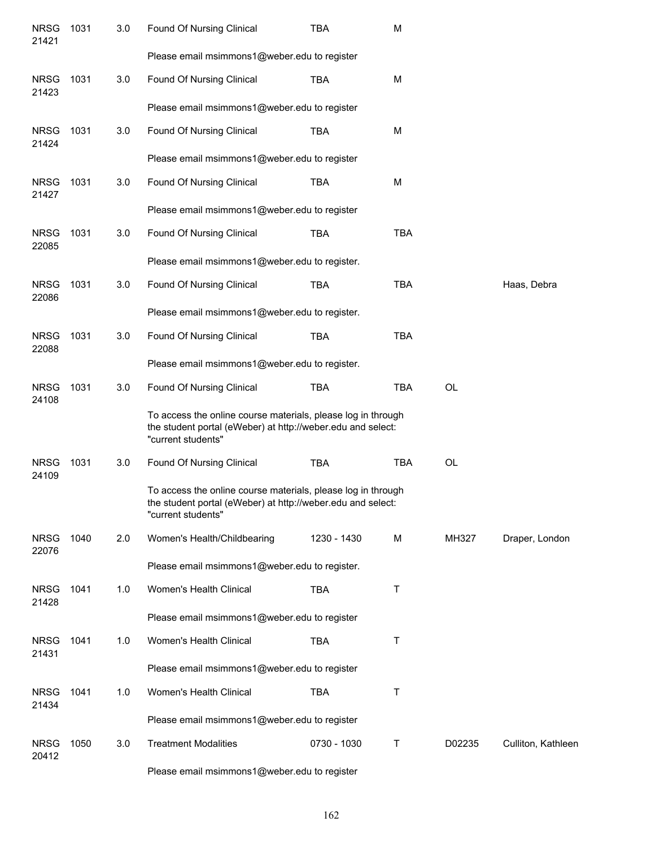| <b>NRSG</b><br>21421 | 1031 | 3.0 | Found Of Nursing Clinical                                                                                                                         | TBA         | M          |           |                    |
|----------------------|------|-----|---------------------------------------------------------------------------------------------------------------------------------------------------|-------------|------------|-----------|--------------------|
|                      |      |     | Please email msimmons1@weber.edu to register                                                                                                      |             |            |           |                    |
| <b>NRSG</b><br>21423 | 1031 | 3.0 | Found Of Nursing Clinical                                                                                                                         | <b>TBA</b>  | M          |           |                    |
|                      |      |     | Please email msimmons1@weber.edu to register                                                                                                      |             |            |           |                    |
| <b>NRSG</b><br>21424 | 1031 | 3.0 | Found Of Nursing Clinical                                                                                                                         | <b>TBA</b>  | M          |           |                    |
|                      |      |     | Please email msimmons1@weber.edu to register                                                                                                      |             |            |           |                    |
| <b>NRSG</b><br>21427 | 1031 | 3.0 | Found Of Nursing Clinical                                                                                                                         | <b>TBA</b>  | M          |           |                    |
|                      |      |     | Please email msimmons1@weber.edu to register                                                                                                      |             |            |           |                    |
| <b>NRSG</b><br>22085 | 1031 | 3.0 | Found Of Nursing Clinical                                                                                                                         | <b>TBA</b>  | <b>TBA</b> |           |                    |
|                      |      |     | Please email msimmons1@weber.edu to register.                                                                                                     |             |            |           |                    |
| <b>NRSG</b><br>22086 | 1031 | 3.0 | Found Of Nursing Clinical                                                                                                                         | <b>TBA</b>  | <b>TBA</b> |           | Haas, Debra        |
|                      |      |     | Please email msimmons1@weber.edu to register.                                                                                                     |             |            |           |                    |
| <b>NRSG</b><br>22088 | 1031 | 3.0 | Found Of Nursing Clinical                                                                                                                         | <b>TBA</b>  | <b>TBA</b> |           |                    |
|                      |      |     | Please email msimmons1@weber.edu to register.                                                                                                     |             |            |           |                    |
| <b>NRSG</b><br>24108 | 1031 | 3.0 | Found Of Nursing Clinical                                                                                                                         | <b>TBA</b>  | <b>TBA</b> | <b>OL</b> |                    |
|                      |      |     | To access the online course materials, please log in through<br>the student portal (eWeber) at http://weber.edu and select:<br>"current students" |             |            |           |                    |
| <b>NRSG</b><br>24109 | 1031 | 3.0 | Found Of Nursing Clinical                                                                                                                         | <b>TBA</b>  | <b>TBA</b> | <b>OL</b> |                    |
|                      |      |     | To access the online course materials, please log in through<br>the student portal (eWeber) at http://weber.edu and select:<br>"current students" |             |            |           |                    |
| <b>NRSG</b><br>22076 | 1040 | 2.0 | Women's Health/Childbearing                                                                                                                       | 1230 - 1430 | M          | MH327     | Draper, London     |
|                      |      |     | Please email msimmons1@weber.edu to register.                                                                                                     |             |            |           |                    |
| <b>NRSG</b><br>21428 | 1041 | 1.0 | Women's Health Clinical                                                                                                                           | <b>TBA</b>  | Τ          |           |                    |
|                      |      |     | Please email msimmons1@weber.edu to register                                                                                                      |             |            |           |                    |
| <b>NRSG</b><br>21431 | 1041 | 1.0 | Women's Health Clinical                                                                                                                           | <b>TBA</b>  | Τ          |           |                    |
|                      |      |     | Please email msimmons1@weber.edu to register                                                                                                      |             |            |           |                    |
| <b>NRSG</b><br>21434 | 1041 | 1.0 | Women's Health Clinical                                                                                                                           | <b>TBA</b>  | Τ          |           |                    |
|                      |      |     | Please email msimmons1@weber.edu to register                                                                                                      |             |            |           |                    |
| <b>NRSG</b><br>20412 | 1050 | 3.0 | <b>Treatment Modalities</b>                                                                                                                       | 0730 - 1030 | Т          | D02235    | Culliton, Kathleen |

Please email msimmons1@weber.edu to register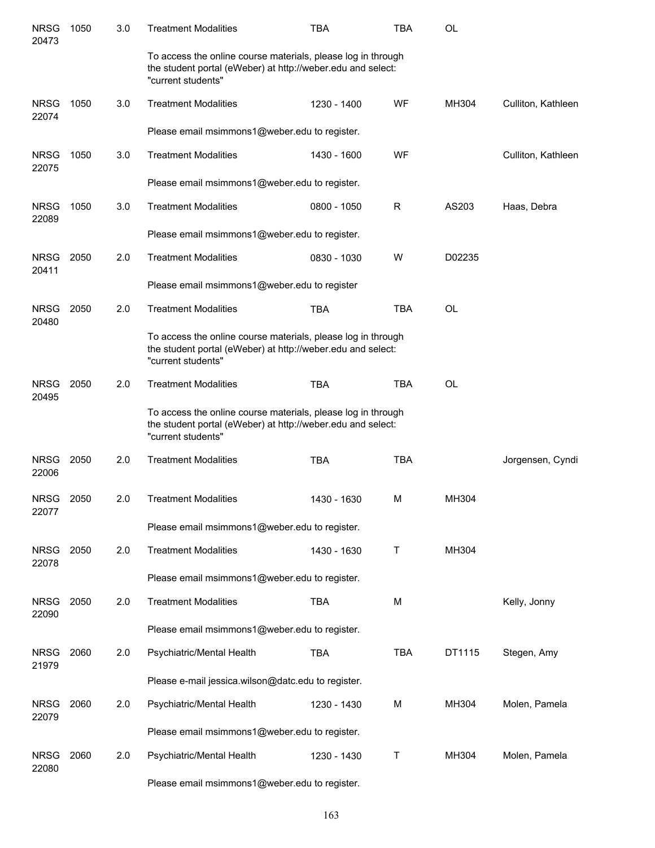| <b>NRSG</b><br>20473 | 1050 | 3.0 | <b>Treatment Modalities</b>                                                                                                                       | <b>TBA</b>  | <b>TBA</b> | <b>OL</b> |                    |
|----------------------|------|-----|---------------------------------------------------------------------------------------------------------------------------------------------------|-------------|------------|-----------|--------------------|
|                      |      |     | To access the online course materials, please log in through<br>the student portal (eWeber) at http://weber.edu and select:<br>"current students" |             |            |           |                    |
| <b>NRSG</b><br>22074 | 1050 | 3.0 | <b>Treatment Modalities</b>                                                                                                                       | 1230 - 1400 | WF         | MH304     | Culliton, Kathleen |
|                      |      |     | Please email msimmons1@weber.edu to register.                                                                                                     |             |            |           |                    |
| <b>NRSG</b><br>22075 | 1050 | 3.0 | <b>Treatment Modalities</b>                                                                                                                       | 1430 - 1600 | WF         |           | Culliton, Kathleen |
|                      |      |     | Please email msimmons1@weber.edu to register.                                                                                                     |             |            |           |                    |
| <b>NRSG</b><br>22089 | 1050 | 3.0 | <b>Treatment Modalities</b>                                                                                                                       | 0800 - 1050 | R          | AS203     | Haas, Debra        |
|                      |      |     | Please email msimmons1@weber.edu to register.                                                                                                     |             |            |           |                    |
| <b>NRSG</b><br>20411 | 2050 | 2.0 | <b>Treatment Modalities</b>                                                                                                                       | 0830 - 1030 | W          | D02235    |                    |
|                      |      |     | Please email msimmons1@weber.edu to register                                                                                                      |             |            |           |                    |
| <b>NRSG</b><br>20480 | 2050 | 2.0 | <b>Treatment Modalities</b>                                                                                                                       | <b>TBA</b>  | <b>TBA</b> | <b>OL</b> |                    |
|                      |      |     | To access the online course materials, please log in through<br>the student portal (eWeber) at http://weber.edu and select:<br>"current students" |             |            |           |                    |
| <b>NRSG</b><br>20495 | 2050 | 2.0 | <b>Treatment Modalities</b>                                                                                                                       | <b>TBA</b>  | <b>TBA</b> | <b>OL</b> |                    |
|                      |      |     | To access the online course materials, please log in through<br>the student portal (eWeber) at http://weber.edu and select:<br>"current students" |             |            |           |                    |
| <b>NRSG</b><br>22006 | 2050 | 2.0 | <b>Treatment Modalities</b>                                                                                                                       | <b>TBA</b>  | <b>TBA</b> |           | Jorgensen, Cyndi   |
| <b>NRSG</b><br>22077 | 2050 | 2.0 | <b>Treatment Modalities</b>                                                                                                                       | 1430 - 1630 | M          | MH304     |                    |
|                      |      |     | Please email msimmons1@weber.edu to register.                                                                                                     |             |            |           |                    |
| <b>NRSG</b><br>22078 | 2050 | 2.0 | <b>Treatment Modalities</b>                                                                                                                       | 1430 - 1630 | Τ          | MH304     |                    |
|                      |      |     | Please email msimmons1@weber.edu to register.                                                                                                     |             |            |           |                    |
| <b>NRSG</b><br>22090 | 2050 | 2.0 | <b>Treatment Modalities</b>                                                                                                                       | <b>TBA</b>  | M          |           | Kelly, Jonny       |
|                      |      |     | Please email msimmons1@weber.edu to register.                                                                                                     |             |            |           |                    |
| <b>NRSG</b><br>21979 | 2060 | 2.0 | Psychiatric/Mental Health                                                                                                                         | <b>TBA</b>  | <b>TBA</b> | DT1115    | Stegen, Amy        |
|                      |      |     | Please e-mail jessica.wilson@datc.edu to register.                                                                                                |             |            |           |                    |
| <b>NRSG</b><br>22079 | 2060 | 2.0 | Psychiatric/Mental Health                                                                                                                         | 1230 - 1430 | M          | MH304     | Molen, Pamela      |
|                      |      |     | Please email msimmons1@weber.edu to register.                                                                                                     |             |            |           |                    |
| <b>NRSG</b><br>22080 | 2060 | 2.0 | Psychiatric/Mental Health                                                                                                                         | 1230 - 1430 | Τ          | MH304     | Molen, Pamela      |
|                      |      |     | Please email msimmons1@weber.edu to register.                                                                                                     |             |            |           |                    |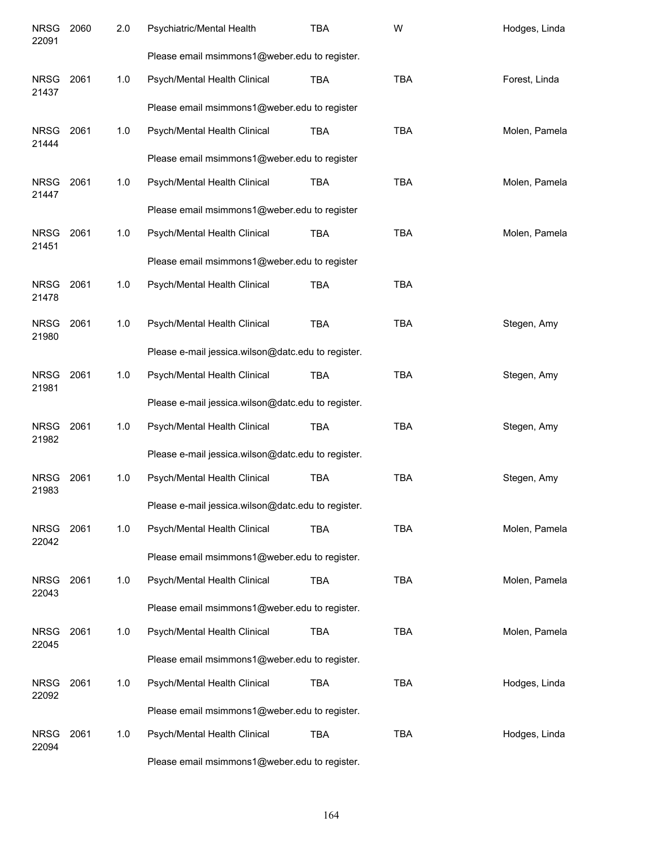| <b>NRSG</b><br>22091 | 2060 | 2.0 | Psychiatric/Mental Health                          | <b>TBA</b> | W          | Hodges, Linda |
|----------------------|------|-----|----------------------------------------------------|------------|------------|---------------|
|                      |      |     | Please email msimmons1@weber.edu to register.      |            |            |               |
| <b>NRSG</b><br>21437 | 2061 | 1.0 | Psych/Mental Health Clinical                       | <b>TBA</b> | <b>TBA</b> | Forest, Linda |
|                      |      |     | Please email msimmons1@weber.edu to register       |            |            |               |
| <b>NRSG</b><br>21444 | 2061 | 1.0 | Psych/Mental Health Clinical                       | <b>TBA</b> | <b>TBA</b> | Molen, Pamela |
|                      |      |     | Please email msimmons1@weber.edu to register       |            |            |               |
| <b>NRSG</b><br>21447 | 2061 | 1.0 | Psych/Mental Health Clinical                       | <b>TBA</b> | <b>TBA</b> | Molen, Pamela |
|                      |      |     | Please email msimmons1@weber.edu to register       |            |            |               |
| <b>NRSG</b><br>21451 | 2061 | 1.0 | Psych/Mental Health Clinical                       | <b>TBA</b> | <b>TBA</b> | Molen, Pamela |
|                      |      |     | Please email msimmons1@weber.edu to register       |            |            |               |
| <b>NRSG</b><br>21478 | 2061 | 1.0 | Psych/Mental Health Clinical                       | <b>TBA</b> | <b>TBA</b> |               |
| <b>NRSG</b><br>21980 | 2061 | 1.0 | Psych/Mental Health Clinical                       | <b>TBA</b> | <b>TBA</b> | Stegen, Amy   |
|                      |      |     | Please e-mail jessica.wilson@datc.edu to register. |            |            |               |
| <b>NRSG</b><br>21981 | 2061 | 1.0 | Psych/Mental Health Clinical                       | <b>TBA</b> | <b>TBA</b> | Stegen, Amy   |
|                      |      |     | Please e-mail jessica.wilson@datc.edu to register. |            |            |               |
| <b>NRSG</b><br>21982 | 2061 | 1.0 | Psych/Mental Health Clinical                       | <b>TBA</b> | <b>TBA</b> | Stegen, Amy   |
|                      |      |     | Please e-mail jessica.wilson@datc.edu to register. |            |            |               |
| <b>NRSG</b><br>21983 | 2061 | 1.0 | Psych/Mental Health Clinical                       | <b>TBA</b> | <b>TBA</b> | Stegen, Amy   |
|                      |      |     | Please e-mail jessica.wilson@datc.edu to register. |            |            |               |
| <b>NRSG</b><br>22042 | 2061 | 1.0 | Psych/Mental Health Clinical                       | <b>TBA</b> | <b>TBA</b> | Molen, Pamela |
|                      |      |     | Please email msimmons1@weber.edu to register.      |            |            |               |
| <b>NRSG</b><br>22043 | 2061 | 1.0 | Psych/Mental Health Clinical                       | TBA        | <b>TBA</b> | Molen, Pamela |
|                      |      |     | Please email msimmons1@weber.edu to register.      |            |            |               |
| <b>NRSG</b><br>22045 | 2061 | 1.0 | Psych/Mental Health Clinical                       | TBA        | <b>TBA</b> | Molen, Pamela |
|                      |      |     | Please email msimmons1@weber.edu to register.      |            |            |               |
| <b>NRSG</b><br>22092 | 2061 | 1.0 | Psych/Mental Health Clinical                       | <b>TBA</b> | <b>TBA</b> | Hodges, Linda |
|                      |      |     | Please email msimmons1@weber.edu to register.      |            |            |               |
| <b>NRSG</b><br>22094 | 2061 | 1.0 | Psych/Mental Health Clinical                       | TBA        | <b>TBA</b> | Hodges, Linda |
|                      |      |     | Please email msimmons1@weber.edu to register.      |            |            |               |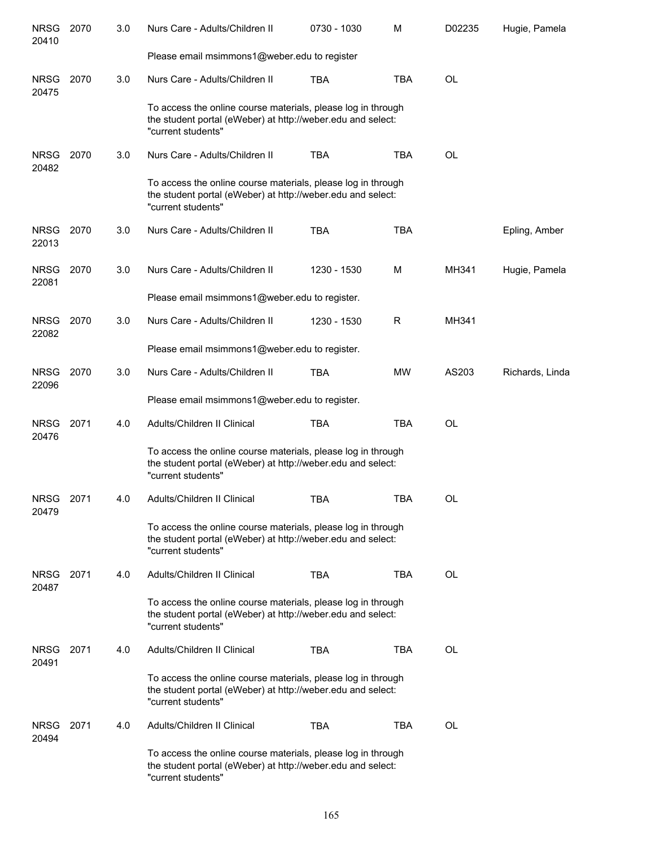| <b>NRSG</b><br>20410 | 2070 | 3.0 | Nurs Care - Adults/Children II                                                                                                                    | 0730 - 1030 | M          | D02235    | Hugie, Pamela   |
|----------------------|------|-----|---------------------------------------------------------------------------------------------------------------------------------------------------|-------------|------------|-----------|-----------------|
|                      |      |     | Please email msimmons1@weber.edu to register                                                                                                      |             |            |           |                 |
| <b>NRSG</b><br>20475 | 2070 | 3.0 | Nurs Care - Adults/Children II                                                                                                                    | <b>TBA</b>  | <b>TBA</b> | <b>OL</b> |                 |
|                      |      |     | To access the online course materials, please log in through<br>the student portal (eWeber) at http://weber.edu and select:<br>"current students" |             |            |           |                 |
| <b>NRSG</b><br>20482 | 2070 | 3.0 | Nurs Care - Adults/Children II                                                                                                                    | <b>TBA</b>  | <b>TBA</b> | OL        |                 |
|                      |      |     | To access the online course materials, please log in through<br>the student portal (eWeber) at http://weber.edu and select:<br>"current students" |             |            |           |                 |
| <b>NRSG</b><br>22013 | 2070 | 3.0 | Nurs Care - Adults/Children II                                                                                                                    | <b>TBA</b>  | <b>TBA</b> |           | Epling, Amber   |
| <b>NRSG</b><br>22081 | 2070 | 3.0 | Nurs Care - Adults/Children II                                                                                                                    | 1230 - 1530 | M          | MH341     | Hugie, Pamela   |
|                      |      |     | Please email msimmons1@weber.edu to register.                                                                                                     |             |            |           |                 |
| <b>NRSG</b><br>22082 | 2070 | 3.0 | Nurs Care - Adults/Children II                                                                                                                    | 1230 - 1530 | R          | MH341     |                 |
|                      |      |     | Please email msimmons1@weber.edu to register.                                                                                                     |             |            |           |                 |
| <b>NRSG</b><br>22096 | 2070 | 3.0 | Nurs Care - Adults/Children II                                                                                                                    | <b>TBA</b>  | MW         | AS203     | Richards, Linda |
|                      |      |     | Please email msimmons1@weber.edu to register.                                                                                                     |             |            |           |                 |
| <b>NRSG</b><br>20476 | 2071 | 4.0 | Adults/Children II Clinical                                                                                                                       | <b>TBA</b>  | <b>TBA</b> | OL        |                 |
|                      |      |     | To access the online course materials, please log in through<br>the student portal (eWeber) at http://weber.edu and select:<br>"current students" |             |            |           |                 |
| <b>NRSG</b><br>20479 | 2071 | 4.0 | Adults/Children II Clinical                                                                                                                       | <b>TBA</b>  | TBA        | OL        |                 |
|                      |      |     | To access the online course materials, please log in through<br>the student portal (eWeber) at http://weber.edu and select:<br>"current students" |             |            |           |                 |
| <b>NRSG</b><br>20487 | 2071 | 4.0 | Adults/Children II Clinical                                                                                                                       | <b>TBA</b>  | <b>TBA</b> | <b>OL</b> |                 |
|                      |      |     | To access the online course materials, please log in through<br>the student portal (eWeber) at http://weber.edu and select:<br>"current students" |             |            |           |                 |
| <b>NRSG</b><br>20491 | 2071 | 4.0 | Adults/Children II Clinical                                                                                                                       | <b>TBA</b>  | <b>TBA</b> | <b>OL</b> |                 |
|                      |      |     | To access the online course materials, please log in through<br>the student portal (eWeber) at http://weber.edu and select:<br>"current students" |             |            |           |                 |
| <b>NRSG</b><br>20494 | 2071 | 4.0 | Adults/Children II Clinical                                                                                                                       | <b>TBA</b>  | TBA        | <b>OL</b> |                 |
|                      |      |     | To access the online course materials, please log in through<br>the student portal (eWeber) at http://weber.edu and select:<br>"current students" |             |            |           |                 |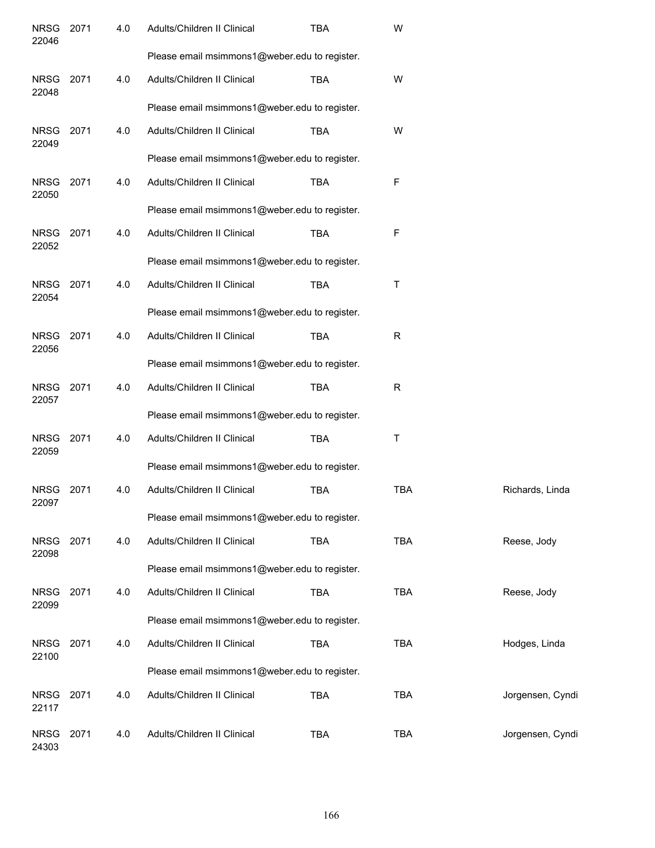| <b>NRSG</b><br>22046 | 2071 | 4.0 | Adults/Children II Clinical                   | <b>TBA</b> | W          |                  |  |  |  |  |
|----------------------|------|-----|-----------------------------------------------|------------|------------|------------------|--|--|--|--|
|                      |      |     | Please email msimmons1@weber.edu to register. |            |            |                  |  |  |  |  |
| <b>NRSG</b><br>22048 | 2071 | 4.0 | Adults/Children II Clinical                   | <b>TBA</b> | W          |                  |  |  |  |  |
|                      |      |     | Please email msimmons1@weber.edu to register. |            |            |                  |  |  |  |  |
| <b>NRSG</b><br>22049 | 2071 | 4.0 | Adults/Children II Clinical                   | <b>TBA</b> | W          |                  |  |  |  |  |
|                      |      |     | Please email msimmons1@weber.edu to register. |            |            |                  |  |  |  |  |
| <b>NRSG</b><br>22050 | 2071 | 4.0 | Adults/Children II Clinical                   | <b>TBA</b> | F          |                  |  |  |  |  |
|                      |      |     | Please email msimmons1@weber.edu to register. |            |            |                  |  |  |  |  |
| <b>NRSG</b><br>22052 | 2071 | 4.0 | Adults/Children II Clinical                   | <b>TBA</b> | F          |                  |  |  |  |  |
|                      |      |     | Please email msimmons1@weber.edu to register. |            |            |                  |  |  |  |  |
| <b>NRSG</b><br>22054 | 2071 | 4.0 | Adults/Children II Clinical                   | <b>TBA</b> | Τ          |                  |  |  |  |  |
|                      |      |     | Please email msimmons1@weber.edu to register. |            |            |                  |  |  |  |  |
| <b>NRSG</b><br>22056 | 2071 | 4.0 | Adults/Children II Clinical                   | <b>TBA</b> | R          |                  |  |  |  |  |
|                      |      |     | Please email msimmons1@weber.edu to register. |            |            |                  |  |  |  |  |
| <b>NRSG</b><br>22057 | 2071 | 4.0 | Adults/Children II Clinical                   | <b>TBA</b> | R          |                  |  |  |  |  |
|                      |      |     | Please email msimmons1@weber.edu to register. |            |            |                  |  |  |  |  |
| <b>NRSG</b><br>22059 | 2071 | 4.0 | Adults/Children II Clinical                   | <b>TBA</b> | Τ          |                  |  |  |  |  |
|                      |      |     | Please email msimmons1@weber.edu to register. |            |            |                  |  |  |  |  |
| <b>NRSG</b><br>22097 | 2071 | 4.0 | Adults/Children II Clinical                   | <b>TBA</b> | <b>TBA</b> | Richards, Linda  |  |  |  |  |
|                      |      |     | Please email msimmons1@weber.edu to register. |            |            |                  |  |  |  |  |
| <b>NRSG</b><br>22098 | 2071 | 4.0 | Adults/Children II Clinical                   | <b>TBA</b> | <b>TBA</b> | Reese, Jody      |  |  |  |  |
|                      |      |     | Please email msimmons1@weber.edu to register. |            |            |                  |  |  |  |  |
| <b>NRSG</b><br>22099 | 2071 | 4.0 | Adults/Children II Clinical                   | <b>TBA</b> | <b>TBA</b> | Reese, Jody      |  |  |  |  |
|                      |      |     | Please email msimmons1@weber.edu to register. |            |            |                  |  |  |  |  |
| <b>NRSG</b><br>22100 | 2071 | 4.0 | Adults/Children II Clinical                   | <b>TBA</b> | <b>TBA</b> | Hodges, Linda    |  |  |  |  |
|                      |      |     | Please email msimmons1@weber.edu to register. |            |            |                  |  |  |  |  |
| <b>NRSG</b><br>22117 | 2071 | 4.0 | Adults/Children II Clinical                   | <b>TBA</b> | <b>TBA</b> | Jorgensen, Cyndi |  |  |  |  |
| <b>NRSG</b><br>24303 | 2071 | 4.0 | Adults/Children II Clinical                   | <b>TBA</b> | <b>TBA</b> | Jorgensen, Cyndi |  |  |  |  |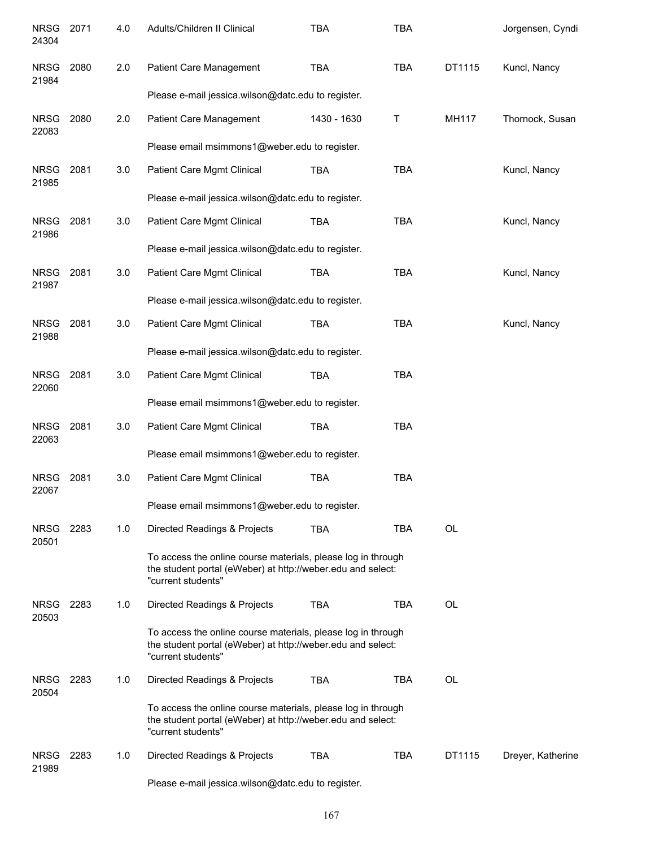| <b>NRSG</b><br>24304 | 2071 | 4.0 | Adults/Children II Clinical                                                                                                                       | <b>TBA</b>  | <b>TBA</b> |           | Jorgensen, Cyndi  |
|----------------------|------|-----|---------------------------------------------------------------------------------------------------------------------------------------------------|-------------|------------|-----------|-------------------|
| <b>NRSG</b><br>21984 | 2080 | 2.0 | Patient Care Management                                                                                                                           | <b>TBA</b>  | <b>TBA</b> | DT1115    | Kuncl, Nancy      |
|                      |      |     | Please e-mail jessica.wilson@datc.edu to register.                                                                                                |             |            |           |                   |
| <b>NRSG</b><br>22083 | 2080 | 2.0 | Patient Care Management                                                                                                                           | 1430 - 1630 | T          | MH117     | Thornock, Susan   |
|                      |      |     | Please email msimmons1@weber.edu to register.                                                                                                     |             |            |           |                   |
| <b>NRSG</b><br>21985 | 2081 | 3.0 | Patient Care Mgmt Clinical                                                                                                                        | <b>TBA</b>  | <b>TBA</b> |           | Kuncl, Nancy      |
|                      |      |     | Please e-mail jessica.wilson@datc.edu to register.                                                                                                |             |            |           |                   |
| <b>NRSG</b><br>21986 | 2081 | 3.0 | Patient Care Mgmt Clinical                                                                                                                        | <b>TBA</b>  | <b>TBA</b> |           | Kuncl, Nancy      |
|                      |      |     | Please e-mail jessica.wilson@datc.edu to register.                                                                                                |             |            |           |                   |
| <b>NRSG</b><br>21987 | 2081 | 3.0 | Patient Care Mgmt Clinical                                                                                                                        | <b>TBA</b>  | <b>TBA</b> |           | Kuncl, Nancy      |
|                      |      |     | Please e-mail jessica.wilson@datc.edu to register.                                                                                                |             |            |           |                   |
| <b>NRSG</b><br>21988 | 2081 | 3.0 | Patient Care Mgmt Clinical                                                                                                                        | <b>TBA</b>  | <b>TBA</b> |           | Kuncl, Nancy      |
|                      |      |     | Please e-mail jessica.wilson@datc.edu to register.                                                                                                |             |            |           |                   |
| <b>NRSG</b><br>22060 | 2081 | 3.0 | Patient Care Mgmt Clinical                                                                                                                        | <b>TBA</b>  | <b>TBA</b> |           |                   |
|                      |      |     | Please email msimmons1@weber.edu to register.                                                                                                     |             |            |           |                   |
| <b>NRSG</b><br>22063 | 2081 | 3.0 | Patient Care Mgmt Clinical                                                                                                                        | <b>TBA</b>  | <b>TBA</b> |           |                   |
|                      |      |     | Please email msimmons1@weber.edu to register.                                                                                                     |             |            |           |                   |
| <b>NRSG</b><br>22067 | 2081 | 3.0 | Patient Care Mgmt Clinical                                                                                                                        | <b>TBA</b>  | <b>TBA</b> |           |                   |
|                      |      |     | Please email msimmons1@weber.edu to register.                                                                                                     |             |            |           |                   |
| <b>NRSG</b><br>20501 | 2283 | 1.0 | Directed Readings & Projects                                                                                                                      | <b>TBA</b>  | <b>TBA</b> | <b>OL</b> |                   |
|                      |      |     | To access the online course materials, please log in through<br>the student portal (eWeber) at http://weber.edu and select:<br>"current students" |             |            |           |                   |
| <b>NRSG</b><br>20503 | 2283 | 1.0 | Directed Readings & Projects                                                                                                                      | <b>TBA</b>  | <b>TBA</b> | OL        |                   |
|                      |      |     | To access the online course materials, please log in through<br>the student portal (eWeber) at http://weber.edu and select:<br>"current students" |             |            |           |                   |
| <b>NRSG</b><br>20504 | 2283 | 1.0 | Directed Readings & Projects                                                                                                                      | <b>TBA</b>  | <b>TBA</b> | OL        |                   |
|                      |      |     | To access the online course materials, please log in through<br>the student portal (eWeber) at http://weber.edu and select:<br>"current students" |             |            |           |                   |
| <b>NRSG</b><br>21989 | 2283 | 1.0 | Directed Readings & Projects                                                                                                                      | <b>TBA</b>  | <b>TBA</b> | DT1115    | Dreyer, Katherine |
|                      |      |     | Please e-mail jessica.wilson@datc.edu to register.                                                                                                |             |            |           |                   |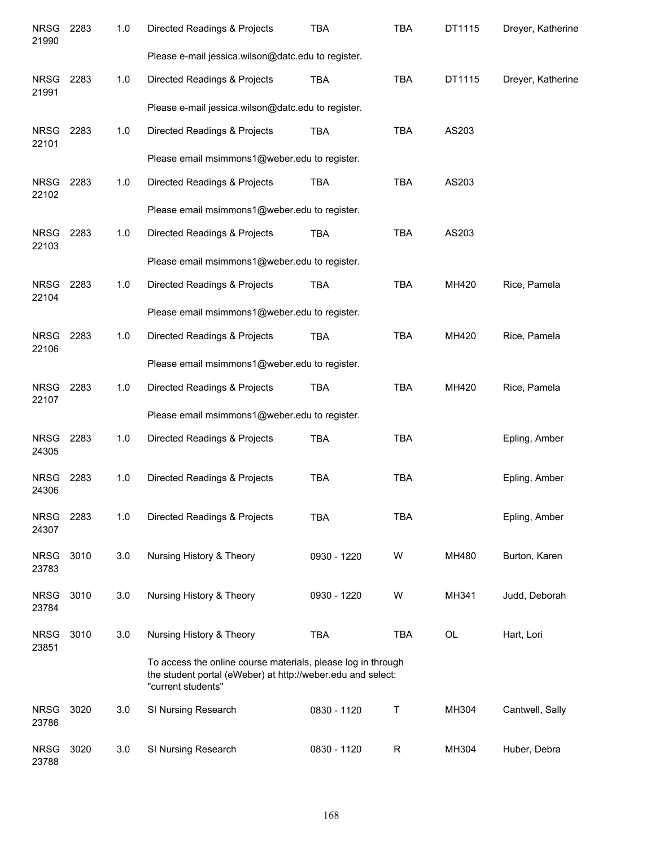| <b>NRSG</b><br>21990 | 2283 | 1.0 | Directed Readings & Projects                                                                                                                      | <b>TBA</b>  | <b>TBA</b>  | DT1115 | Dreyer, Katherine |
|----------------------|------|-----|---------------------------------------------------------------------------------------------------------------------------------------------------|-------------|-------------|--------|-------------------|
|                      |      |     | Please e-mail jessica.wilson@datc.edu to register.                                                                                                |             |             |        |                   |
| <b>NRSG</b><br>21991 | 2283 | 1.0 | Directed Readings & Projects                                                                                                                      | <b>TBA</b>  | <b>TBA</b>  | DT1115 | Dreyer, Katherine |
|                      |      |     | Please e-mail jessica.wilson@datc.edu to register.                                                                                                |             |             |        |                   |
| <b>NRSG</b><br>22101 | 2283 | 1.0 | Directed Readings & Projects                                                                                                                      | <b>TBA</b>  | <b>TBA</b>  | AS203  |                   |
|                      |      |     | Please email msimmons1@weber.edu to register.                                                                                                     |             |             |        |                   |
| <b>NRSG</b><br>22102 | 2283 | 1.0 | Directed Readings & Projects                                                                                                                      | <b>TBA</b>  | <b>TBA</b>  | AS203  |                   |
|                      |      |     | Please email msimmons1@weber.edu to register.                                                                                                     |             |             |        |                   |
| <b>NRSG</b><br>22103 | 2283 | 1.0 | Directed Readings & Projects                                                                                                                      | <b>TBA</b>  | <b>TBA</b>  | AS203  |                   |
|                      |      |     | Please email msimmons1@weber.edu to register.                                                                                                     |             |             |        |                   |
| <b>NRSG</b><br>22104 | 2283 | 1.0 | Directed Readings & Projects                                                                                                                      | <b>TBA</b>  | <b>TBA</b>  | MH420  | Rice, Pamela      |
|                      |      |     | Please email msimmons1@weber.edu to register.                                                                                                     |             |             |        |                   |
| <b>NRSG</b><br>22106 | 2283 | 1.0 | Directed Readings & Projects                                                                                                                      | <b>TBA</b>  | <b>TBA</b>  | MH420  | Rice, Pamela      |
|                      |      |     | Please email msimmons1@weber.edu to register.                                                                                                     |             |             |        |                   |
| NRSG<br>22107        | 2283 | 1.0 | Directed Readings & Projects                                                                                                                      | <b>TBA</b>  | <b>TBA</b>  | MH420  | Rice, Pamela      |
|                      |      |     | Please email msimmons1@weber.edu to register.                                                                                                     |             |             |        |                   |
| <b>NRSG</b><br>24305 | 2283 | 1.0 | Directed Readings & Projects                                                                                                                      | <b>TBA</b>  | <b>TBA</b>  |        | Epling, Amber     |
| <b>NRSG</b><br>24306 | 2283 | 1.0 | Directed Readings & Projects                                                                                                                      | <b>TBA</b>  | <b>TBA</b>  |        | Epling, Amber     |
| <b>NRSG</b><br>24307 | 2283 | 1.0 | Directed Readings & Projects                                                                                                                      | <b>TBA</b>  | <b>TBA</b>  |        | Epling, Amber     |
| <b>NRSG</b><br>23783 | 3010 | 3.0 | Nursing History & Theory                                                                                                                          | 0930 - 1220 | W           | MH480  | Burton, Karen     |
| <b>NRSG</b><br>23784 | 3010 | 3.0 | Nursing History & Theory                                                                                                                          | 0930 - 1220 | W           | MH341  | Judd, Deborah     |
| <b>NRSG</b><br>23851 | 3010 | 3.0 | Nursing History & Theory                                                                                                                          | <b>TBA</b>  | <b>TBA</b>  | OL     | Hart, Lori        |
|                      |      |     | To access the online course materials, please log in through<br>the student portal (eWeber) at http://weber.edu and select:<br>"current students" |             |             |        |                   |
| <b>NRSG</b><br>23786 | 3020 | 3.0 | SI Nursing Research                                                                                                                               | 0830 - 1120 | Τ           | MH304  | Cantwell, Sally   |
| <b>NRSG</b><br>23788 | 3020 | 3.0 | SI Nursing Research                                                                                                                               | 0830 - 1120 | $\mathsf R$ | MH304  | Huber, Debra      |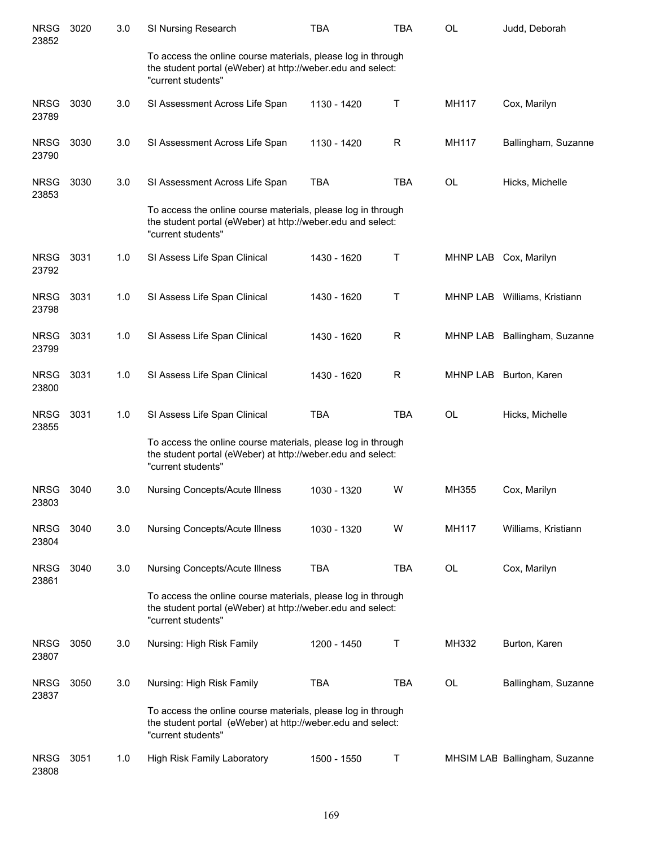| <b>NRSG</b><br>23852 | 3020 | 3.0 | SI Nursing Research                                                                                                                               | <b>TBA</b>  | <b>TBA</b> | <b>OL</b>    | Judd, Deborah                 |
|----------------------|------|-----|---------------------------------------------------------------------------------------------------------------------------------------------------|-------------|------------|--------------|-------------------------------|
|                      |      |     | To access the online course materials, please log in through<br>the student portal (eWeber) at http://weber.edu and select:<br>"current students" |             |            |              |                               |
| <b>NRSG</b><br>23789 | 3030 | 3.0 | SI Assessment Across Life Span                                                                                                                    | 1130 - 1420 | Τ          | <b>MH117</b> | Cox, Marilyn                  |
| <b>NRSG</b><br>23790 | 3030 | 3.0 | SI Assessment Across Life Span                                                                                                                    | 1130 - 1420 | R          | MH117        | Ballingham, Suzanne           |
| <b>NRSG</b><br>23853 | 3030 | 3.0 | SI Assessment Across Life Span                                                                                                                    | <b>TBA</b>  | <b>TBA</b> | <b>OL</b>    | Hicks, Michelle               |
|                      |      |     | To access the online course materials, please log in through<br>the student portal (eWeber) at http://weber.edu and select:<br>"current students" |             |            |              |                               |
| <b>NRSG</b><br>23792 | 3031 | 1.0 | SI Assess Life Span Clinical                                                                                                                      | 1430 - 1620 | т          | MHNP LAB     | Cox, Marilyn                  |
| <b>NRSG</b><br>23798 | 3031 | 1.0 | SI Assess Life Span Clinical                                                                                                                      | 1430 - 1620 | Τ          |              | MHNP LAB Williams, Kristiann  |
| <b>NRSG</b><br>23799 | 3031 | 1.0 | SI Assess Life Span Clinical                                                                                                                      | 1430 - 1620 | R          |              | MHNP LAB Ballingham, Suzanne  |
| <b>NRSG</b><br>23800 | 3031 | 1.0 | SI Assess Life Span Clinical                                                                                                                      | 1430 - 1620 | R          | MHNP LAB     | Burton, Karen                 |
| <b>NRSG</b><br>23855 | 3031 | 1.0 | SI Assess Life Span Clinical                                                                                                                      | <b>TBA</b>  | <b>TBA</b> | <b>OL</b>    | Hicks, Michelle               |
|                      |      |     | To access the online course materials, please log in through<br>the student portal (eWeber) at http://weber.edu and select:<br>"current students" |             |            |              |                               |
| <b>NRSG</b><br>23803 | 3040 | 3.0 | Nursing Concepts/Acute Illness                                                                                                                    | 1030 - 1320 | W          | MH355        | Cox, Marilyn                  |
| <b>NRSG</b><br>23804 | 3040 | 3.0 | Nursing Concepts/Acute Illness                                                                                                                    | 1030 - 1320 | W          | MH117        | Williams, Kristiann           |
| <b>NRSG</b><br>23861 | 3040 | 3.0 | Nursing Concepts/Acute Illness                                                                                                                    | <b>TBA</b>  | TBA        | OL           | Cox, Marilyn                  |
|                      |      |     | To access the online course materials, please log in through<br>the student portal (eWeber) at http://weber.edu and select:<br>"current students" |             |            |              |                               |
| <b>NRSG</b><br>23807 | 3050 | 3.0 | Nursing: High Risk Family                                                                                                                         | 1200 - 1450 | T          | MH332        | Burton, Karen                 |
| <b>NRSG</b><br>23837 | 3050 | 3.0 | Nursing: High Risk Family                                                                                                                         | <b>TBA</b>  | <b>TBA</b> | OL           | Ballingham, Suzanne           |
|                      |      |     | To access the online course materials, please log in through<br>the student portal (eWeber) at http://weber.edu and select:<br>"current students" |             |            |              |                               |
| <b>NRSG</b><br>23808 | 3051 | 1.0 | High Risk Family Laboratory                                                                                                                       | 1500 - 1550 | Т          |              | MHSIM LAE Ballingham, Suzanne |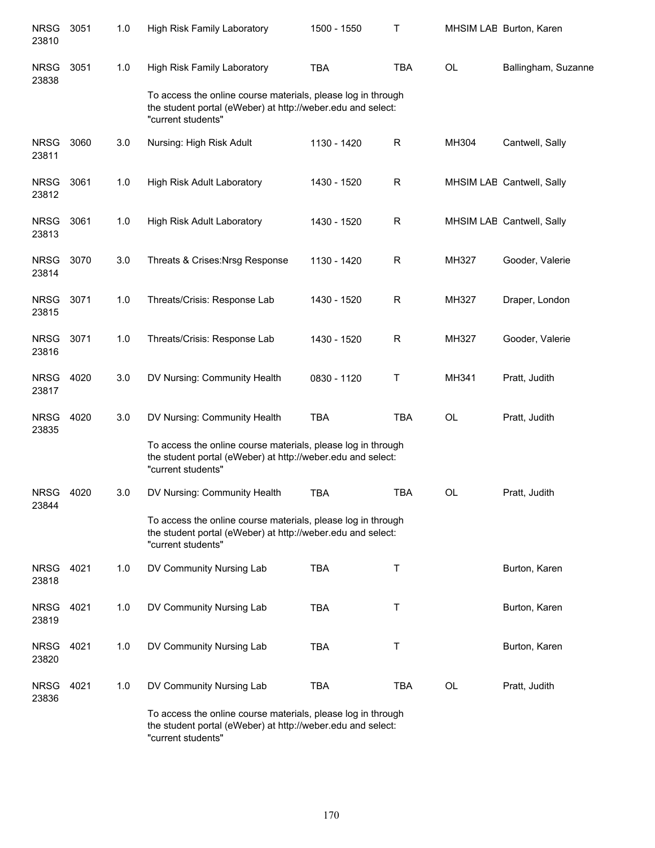| <b>NRSG</b><br>23810 | 3051 | 1.0 | High Risk Family Laboratory                                                                                                                       | 1500 - 1550 | Т           |           | MHSIM LAE Burton, Karen   |
|----------------------|------|-----|---------------------------------------------------------------------------------------------------------------------------------------------------|-------------|-------------|-----------|---------------------------|
| <b>NRSG</b><br>23838 | 3051 | 1.0 | High Risk Family Laboratory                                                                                                                       | <b>TBA</b>  | <b>TBA</b>  | <b>OL</b> | Ballingham, Suzanne       |
|                      |      |     | To access the online course materials, please log in through<br>the student portal (eWeber) at http://weber.edu and select:<br>"current students" |             |             |           |                           |
| <b>NRSG</b><br>23811 | 3060 | 3.0 | Nursing: High Risk Adult                                                                                                                          | 1130 - 1420 | R           | MH304     | Cantwell, Sally           |
| <b>NRSG</b><br>23812 | 3061 | 1.0 | High Risk Adult Laboratory                                                                                                                        | 1430 - 1520 | $\mathsf R$ |           | MHSIM LAE Cantwell, Sally |
| <b>NRSG</b><br>23813 | 3061 | 1.0 | High Risk Adult Laboratory                                                                                                                        | 1430 - 1520 | $\mathsf R$ |           | MHSIM LAE Cantwell, Sally |
| <b>NRSG</b><br>23814 | 3070 | 3.0 | Threats & Crises: Nrsg Response                                                                                                                   | 1130 - 1420 | R           | MH327     | Gooder, Valerie           |
| <b>NRSG</b><br>23815 | 3071 | 1.0 | Threats/Crisis: Response Lab                                                                                                                      | 1430 - 1520 | R           | MH327     | Draper, London            |
| <b>NRSG</b><br>23816 | 3071 | 1.0 | Threats/Crisis: Response Lab                                                                                                                      | 1430 - 1520 | R           | MH327     | Gooder, Valerie           |
| <b>NRSG</b><br>23817 | 4020 | 3.0 | DV Nursing: Community Health                                                                                                                      | 0830 - 1120 | Τ           | MH341     | Pratt, Judith             |
| <b>NRSG</b><br>23835 | 4020 | 3.0 | DV Nursing: Community Health                                                                                                                      | <b>TBA</b>  | <b>TBA</b>  | <b>OL</b> | Pratt, Judith             |
|                      |      |     | To access the online course materials, please log in through<br>the student portal (eWeber) at http://weber.edu and select:<br>"current students" |             |             |           |                           |
| <b>NRSG</b><br>23844 | 4020 | 3.0 | DV Nursing: Community Health                                                                                                                      | <b>TBA</b>  | <b>TBA</b>  | <b>OL</b> | Pratt, Judith             |
|                      |      |     | To access the online course materials, please log in through<br>the student portal (eWeber) at http://weber.edu and select:<br>"current students" |             |             |           |                           |
| <b>NRSG</b><br>23818 | 4021 | 1.0 | DV Community Nursing Lab                                                                                                                          | <b>TBA</b>  | Т           |           | Burton, Karen             |
| <b>NRSG</b><br>23819 | 4021 | 1.0 | DV Community Nursing Lab                                                                                                                          | <b>TBA</b>  | $\mathsf T$ |           | Burton, Karen             |
| <b>NRSG</b><br>23820 | 4021 | 1.0 | DV Community Nursing Lab                                                                                                                          | <b>TBA</b>  | $\mathsf T$ |           | Burton, Karen             |
| <b>NRSG</b><br>23836 | 4021 | 1.0 | DV Community Nursing Lab                                                                                                                          | <b>TBA</b>  | <b>TBA</b>  | <b>OL</b> | Pratt, Judith             |
|                      |      |     | To access the online course materials, please log in through<br>the student portal (eWeber) at http://weber.edu and select:<br>"current students" |             |             |           |                           |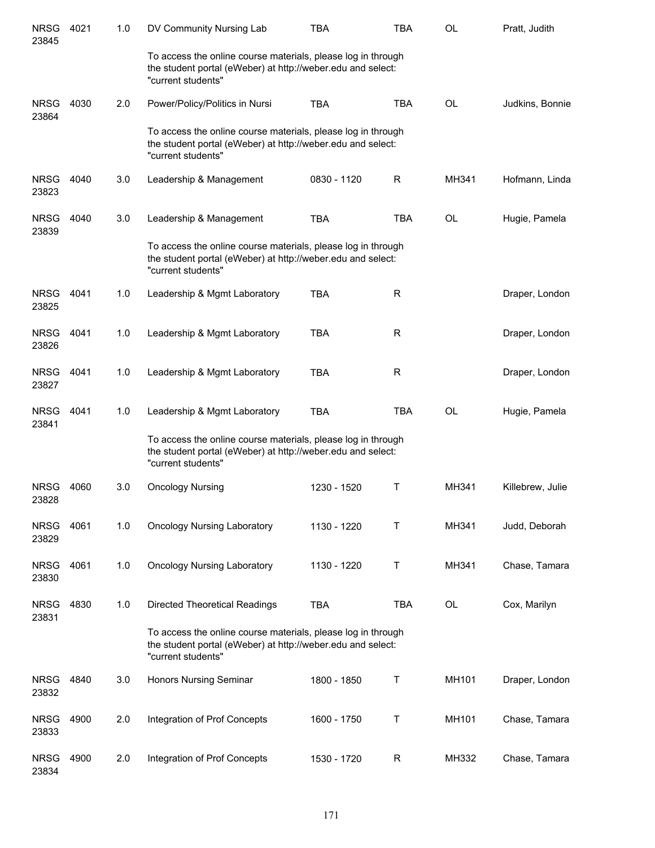| <b>NRSG</b><br>23845 | 4021 | 1.0 | DV Community Nursing Lab                                                                                                                          | TBA         | TBA        | <b>OL</b> | Pratt, Judith    |
|----------------------|------|-----|---------------------------------------------------------------------------------------------------------------------------------------------------|-------------|------------|-----------|------------------|
|                      |      |     | To access the online course materials, please log in through<br>the student portal (eWeber) at http://weber.edu and select:<br>"current students" |             |            |           |                  |
| <b>NRSG</b><br>23864 | 4030 | 2.0 | Power/Policy/Politics in Nursi                                                                                                                    | <b>TBA</b>  | <b>TBA</b> | OL        | Judkins, Bonnie  |
|                      |      |     | To access the online course materials, please log in through<br>the student portal (eWeber) at http://weber.edu and select:<br>"current students" |             |            |           |                  |
| <b>NRSG</b><br>23823 | 4040 | 3.0 | Leadership & Management                                                                                                                           | 0830 - 1120 | R          | MH341     | Hofmann, Linda   |
| <b>NRSG</b><br>23839 | 4040 | 3.0 | Leadership & Management                                                                                                                           | <b>TBA</b>  | <b>TBA</b> | <b>OL</b> | Hugie, Pamela    |
|                      |      |     | To access the online course materials, please log in through<br>the student portal (eWeber) at http://weber.edu and select:<br>"current students" |             |            |           |                  |
| <b>NRSG</b><br>23825 | 4041 | 1.0 | Leadership & Mgmt Laboratory                                                                                                                      | <b>TBA</b>  | R          |           | Draper, London   |
| <b>NRSG</b><br>23826 | 4041 | 1.0 | Leadership & Mgmt Laboratory                                                                                                                      | <b>TBA</b>  | R          |           | Draper, London   |
| <b>NRSG</b><br>23827 | 4041 | 1.0 | Leadership & Mgmt Laboratory                                                                                                                      | <b>TBA</b>  | R          |           | Draper, London   |
| <b>NRSG</b><br>23841 | 4041 | 1.0 | Leadership & Mgmt Laboratory                                                                                                                      | <b>TBA</b>  | <b>TBA</b> | <b>OL</b> | Hugie, Pamela    |
|                      |      |     | To access the online course materials, please log in through<br>the student portal (eWeber) at http://weber.edu and select:<br>"current students" |             |            |           |                  |
| <b>NRSG</b><br>23828 | 4060 | 3.0 | <b>Oncology Nursing</b>                                                                                                                           | 1230 - 1520 | Τ          | MH341     | Killebrew, Julie |
| <b>NRSG</b><br>23829 | 4061 | 1.0 | <b>Oncology Nursing Laboratory</b>                                                                                                                | 1130 - 1220 | т          | MH341     | Judd, Deborah    |
| <b>NRSG</b><br>23830 | 4061 | 1.0 | <b>Oncology Nursing Laboratory</b>                                                                                                                | 1130 - 1220 | Т          | MH341     | Chase, Tamara    |
| <b>NRSG</b><br>23831 | 4830 | 1.0 | <b>Directed Theoretical Readings</b>                                                                                                              | <b>TBA</b>  | <b>TBA</b> | OL        | Cox, Marilyn     |
|                      |      |     | To access the online course materials, please log in through<br>the student portal (eWeber) at http://weber.edu and select:<br>"current students" |             |            |           |                  |
| <b>NRSG</b><br>23832 | 4840 | 3.0 | <b>Honors Nursing Seminar</b>                                                                                                                     | 1800 - 1850 | Τ          | MH101     | Draper, London   |
| <b>NRSG</b><br>23833 | 4900 | 2.0 | Integration of Prof Concepts                                                                                                                      | 1600 - 1750 | Т          | MH101     | Chase, Tamara    |
| <b>NRSG</b><br>23834 | 4900 | 2.0 | Integration of Prof Concepts                                                                                                                      | 1530 - 1720 | R          | MH332     | Chase, Tamara    |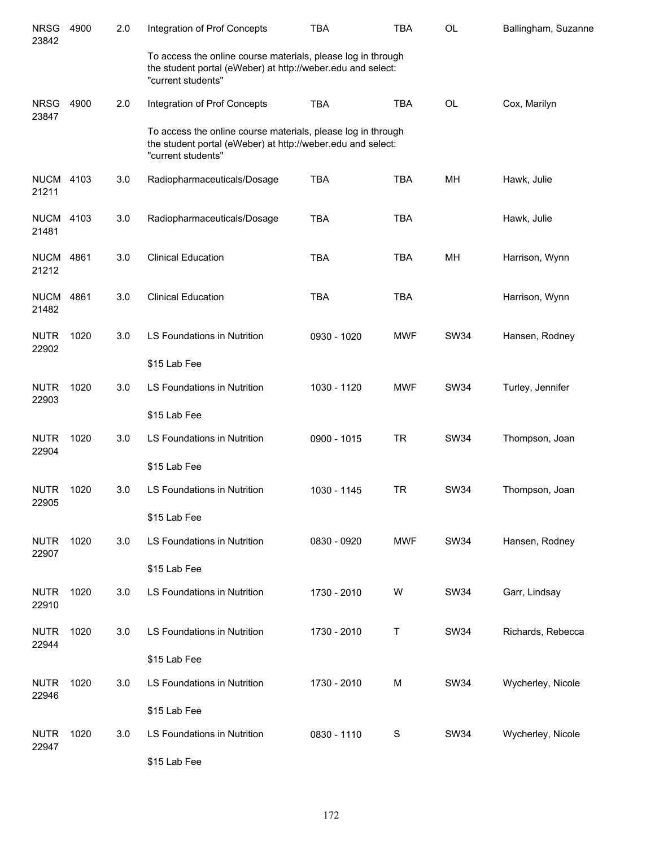| <b>NRSG</b><br>23842 | 4900 | 2.0 | Integration of Prof Concepts                                                                                                                      | <b>TBA</b>  | TBA        | OL          | Ballingham, Suzanne |
|----------------------|------|-----|---------------------------------------------------------------------------------------------------------------------------------------------------|-------------|------------|-------------|---------------------|
|                      |      |     | To access the online course materials, please log in through<br>the student portal (eWeber) at http://weber.edu and select:<br>"current students" |             |            |             |                     |
| <b>NRSG</b><br>23847 | 4900 | 2.0 | Integration of Prof Concepts                                                                                                                      | <b>TBA</b>  | <b>TBA</b> | <b>OL</b>   | Cox, Marilyn        |
|                      |      |     | To access the online course materials, please log in through<br>the student portal (eWeber) at http://weber.edu and select:<br>"current students" |             |            |             |                     |
| <b>NUCM</b><br>21211 | 4103 | 3.0 | Radiopharmaceuticals/Dosage                                                                                                                       | <b>TBA</b>  | <b>TBA</b> | MH          | Hawk, Julie         |
| <b>NUCM</b><br>21481 | 4103 | 3.0 | Radiopharmaceuticals/Dosage                                                                                                                       | <b>TBA</b>  | <b>TBA</b> |             | Hawk, Julie         |
| <b>NUCM</b><br>21212 | 4861 | 3.0 | <b>Clinical Education</b>                                                                                                                         | <b>TBA</b>  | <b>TBA</b> | MH          | Harrison, Wynn      |
| <b>NUCM</b><br>21482 | 4861 | 3.0 | <b>Clinical Education</b>                                                                                                                         | <b>TBA</b>  | <b>TBA</b> |             | Harrison, Wynn      |
| <b>NUTR</b><br>22902 | 1020 | 3.0 | LS Foundations in Nutrition                                                                                                                       | 0930 - 1020 | <b>MWF</b> | <b>SW34</b> | Hansen, Rodney      |
|                      |      |     | \$15 Lab Fee                                                                                                                                      |             |            |             |                     |
| <b>NUTR</b><br>22903 | 1020 | 3.0 | LS Foundations in Nutrition                                                                                                                       | 1030 - 1120 | <b>MWF</b> | <b>SW34</b> | Turley, Jennifer    |
|                      |      |     | \$15 Lab Fee                                                                                                                                      |             |            |             |                     |
| <b>NUTR</b><br>22904 | 1020 | 3.0 | LS Foundations in Nutrition                                                                                                                       | 0900 - 1015 | <b>TR</b>  | <b>SW34</b> | Thompson, Joan      |
|                      |      |     | \$15 Lab Fee                                                                                                                                      |             |            |             |                     |
| <b>NUTR</b><br>22905 | 1020 | 3.0 | LS Foundations in Nutrition                                                                                                                       | 1030 - 1145 | <b>TR</b>  | <b>SW34</b> | Thompson, Joan      |
|                      |      |     | \$15 Lab Fee                                                                                                                                      |             |            |             |                     |
| <b>NUTR</b><br>22907 | 1020 | 3.0 | LS Foundations in Nutrition                                                                                                                       | 0830 - 0920 | <b>MWF</b> | <b>SW34</b> | Hansen, Rodney      |
|                      |      |     | \$15 Lab Fee                                                                                                                                      |             |            |             |                     |
| <b>NUTR</b><br>22910 | 1020 | 3.0 | LS Foundations in Nutrition                                                                                                                       | 1730 - 2010 | W          | <b>SW34</b> | Garr, Lindsay       |
| <b>NUTR</b><br>22944 | 1020 | 3.0 | LS Foundations in Nutrition                                                                                                                       | 1730 - 2010 | Т          | <b>SW34</b> | Richards, Rebecca   |
|                      |      |     | \$15 Lab Fee                                                                                                                                      |             |            |             |                     |
| <b>NUTR</b><br>22946 | 1020 | 3.0 | LS Foundations in Nutrition                                                                                                                       | 1730 - 2010 | М          | <b>SW34</b> | Wycherley, Nicole   |
|                      |      |     | \$15 Lab Fee                                                                                                                                      |             |            |             |                     |
| <b>NUTR</b><br>22947 | 1020 | 3.0 | LS Foundations in Nutrition                                                                                                                       | 0830 - 1110 | S          | <b>SW34</b> | Wycherley, Nicole   |
|                      |      |     | \$15 Lab Fee                                                                                                                                      |             |            |             |                     |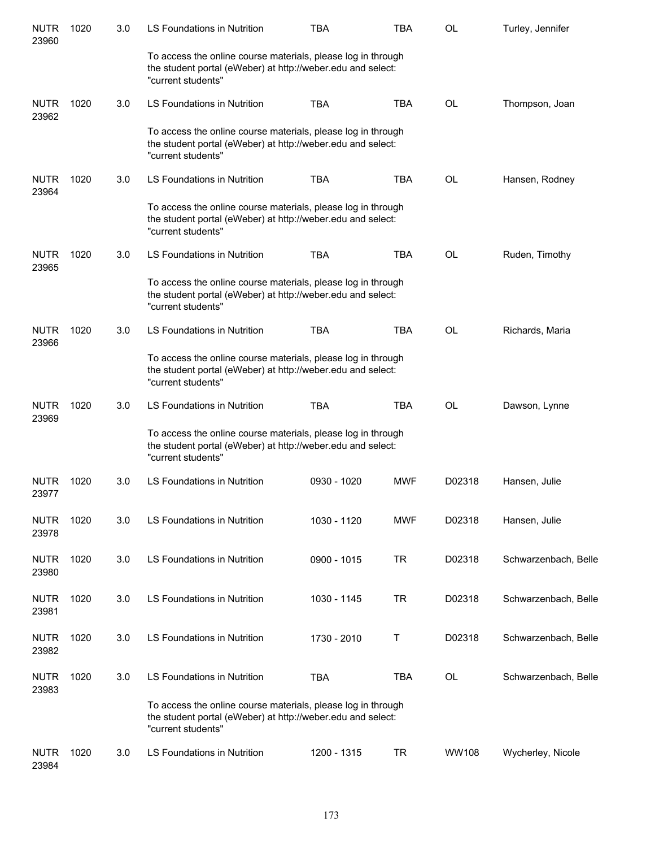| <b>NUTR</b><br>23960 | 1020 | 3.0 | <b>LS Foundations in Nutrition</b>                                                                                                                | <b>TBA</b>  | <b>TBA</b> | <b>OL</b> | Turley, Jennifer     |
|----------------------|------|-----|---------------------------------------------------------------------------------------------------------------------------------------------------|-------------|------------|-----------|----------------------|
|                      |      |     | To access the online course materials, please log in through<br>the student portal (eWeber) at http://weber.edu and select:<br>"current students" |             |            |           |                      |
| <b>NUTR</b><br>23962 | 1020 | 3.0 | LS Foundations in Nutrition                                                                                                                       | <b>TBA</b>  | <b>TBA</b> | <b>OL</b> | Thompson, Joan       |
|                      |      |     | To access the online course materials, please log in through<br>the student portal (eWeber) at http://weber.edu and select:<br>"current students" |             |            |           |                      |
| <b>NUTR</b><br>23964 | 1020 | 3.0 | LS Foundations in Nutrition                                                                                                                       | <b>TBA</b>  | <b>TBA</b> | <b>OL</b> | Hansen, Rodney       |
|                      |      |     | To access the online course materials, please log in through<br>the student portal (eWeber) at http://weber.edu and select:<br>"current students" |             |            |           |                      |
| <b>NUTR</b><br>23965 | 1020 | 3.0 | LS Foundations in Nutrition                                                                                                                       | <b>TBA</b>  | <b>TBA</b> | <b>OL</b> | Ruden, Timothy       |
|                      |      |     | To access the online course materials, please log in through<br>the student portal (eWeber) at http://weber.edu and select:<br>"current students" |             |            |           |                      |
| <b>NUTR</b><br>23966 | 1020 | 3.0 | <b>LS Foundations in Nutrition</b>                                                                                                                | <b>TBA</b>  | <b>TBA</b> | <b>OL</b> | Richards, Maria      |
|                      |      |     | To access the online course materials, please log in through<br>the student portal (eWeber) at http://weber.edu and select:<br>"current students" |             |            |           |                      |
| <b>NUTR</b><br>23969 | 1020 | 3.0 | LS Foundations in Nutrition                                                                                                                       | <b>TBA</b>  | <b>TBA</b> | <b>OL</b> | Dawson, Lynne        |
|                      |      |     | To access the online course materials, please log in through<br>the student portal (eWeber) at http://weber.edu and select:<br>"current students" |             |            |           |                      |
| <b>NUTR</b><br>23977 | 1020 | 3.0 | <b>LS Foundations in Nutrition</b>                                                                                                                | 0930 - 1020 | <b>MWF</b> | D02318    | Hansen, Julie        |
| <b>NUTR</b><br>23978 | 1020 | 3.0 | LS Foundations in Nutrition                                                                                                                       | 1030 - 1120 | <b>MWF</b> | D02318    | Hansen, Julie        |
| <b>NUTR</b><br>23980 | 1020 | 3.0 | LS Foundations in Nutrition                                                                                                                       | 0900 - 1015 | <b>TR</b>  | D02318    | Schwarzenbach, Belle |
| <b>NUTR</b><br>23981 | 1020 | 3.0 | LS Foundations in Nutrition                                                                                                                       | 1030 - 1145 | <b>TR</b>  | D02318    | Schwarzenbach, Belle |
| <b>NUTR</b><br>23982 | 1020 | 3.0 | LS Foundations in Nutrition                                                                                                                       | 1730 - 2010 | Т          | D02318    | Schwarzenbach, Belle |
| <b>NUTR</b><br>23983 | 1020 | 3.0 | LS Foundations in Nutrition                                                                                                                       | <b>TBA</b>  | <b>TBA</b> | OL        | Schwarzenbach, Belle |
|                      |      |     | To access the online course materials, please log in through<br>the student portal (eWeber) at http://weber.edu and select:<br>"current students" |             |            |           |                      |
| <b>NUTR</b><br>23984 | 1020 | 3.0 | LS Foundations in Nutrition                                                                                                                       | 1200 - 1315 | <b>TR</b>  | WW108     | Wycherley, Nicole    |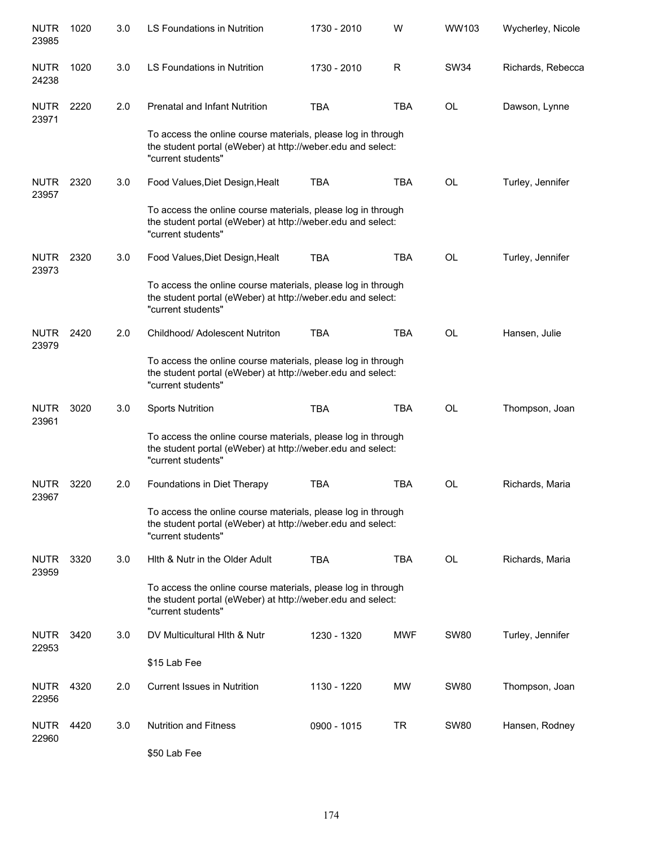| <b>NUTR</b><br>23985 | 1020 | 3.0 | <b>LS Foundations in Nutrition</b>                                                                                                                | 1730 - 2010 | W          | WW103       | Wycherley, Nicole |
|----------------------|------|-----|---------------------------------------------------------------------------------------------------------------------------------------------------|-------------|------------|-------------|-------------------|
| <b>NUTR</b><br>24238 | 1020 | 3.0 | LS Foundations in Nutrition                                                                                                                       | 1730 - 2010 | R          | SW34        | Richards, Rebecca |
| <b>NUTR</b><br>23971 | 2220 | 2.0 | <b>Prenatal and Infant Nutrition</b>                                                                                                              | <b>TBA</b>  | <b>TBA</b> | <b>OL</b>   | Dawson, Lynne     |
|                      |      |     | To access the online course materials, please log in through<br>the student portal (eWeber) at http://weber.edu and select:<br>"current students" |             |            |             |                   |
| <b>NUTR</b><br>23957 | 2320 | 3.0 | Food Values, Diet Design, Healt                                                                                                                   | <b>TBA</b>  | <b>TBA</b> | OL          | Turley, Jennifer  |
|                      |      |     | To access the online course materials, please log in through<br>the student portal (eWeber) at http://weber.edu and select:<br>"current students" |             |            |             |                   |
| <b>NUTR</b><br>23973 | 2320 | 3.0 | Food Values, Diet Design, Healt                                                                                                                   | <b>TBA</b>  | <b>TBA</b> | <b>OL</b>   | Turley, Jennifer  |
|                      |      |     | To access the online course materials, please log in through<br>the student portal (eWeber) at http://weber.edu and select:<br>"current students" |             |            |             |                   |
| <b>NUTR</b><br>23979 | 2420 | 2.0 | Childhood/ Adolescent Nutriton                                                                                                                    | <b>TBA</b>  | <b>TBA</b> | <b>OL</b>   | Hansen, Julie     |
|                      |      |     | To access the online course materials, please log in through<br>the student portal (eWeber) at http://weber.edu and select:<br>"current students" |             |            |             |                   |
| <b>NUTR</b><br>23961 | 3020 | 3.0 | <b>Sports Nutrition</b>                                                                                                                           | <b>TBA</b>  | <b>TBA</b> | <b>OL</b>   | Thompson, Joan    |
|                      |      |     | To access the online course materials, please log in through<br>the student portal (eWeber) at http://weber.edu and select:<br>"current students" |             |            |             |                   |
| <b>NUTR</b><br>23967 | 3220 | 2.0 | Foundations in Diet Therapy                                                                                                                       | <b>TBA</b>  | <b>TBA</b> | OL          | Richards, Maria   |
|                      |      |     | To access the online course materials, please log in through<br>the student portal (eWeber) at http://weber.edu and select:<br>"current students" |             |            |             |                   |
| <b>NUTR</b><br>23959 | 3320 | 3.0 | Hith & Nutr in the Older Adult                                                                                                                    | <b>TBA</b>  | <b>TBA</b> | <b>OL</b>   | Richards, Maria   |
|                      |      |     | To access the online course materials, please log in through<br>the student portal (eWeber) at http://weber.edu and select:<br>"current students" |             |            |             |                   |
| <b>NUTR</b><br>22953 | 3420 | 3.0 | DV Multicultural Hith & Nutr                                                                                                                      | 1230 - 1320 | <b>MWF</b> | <b>SW80</b> | Turley, Jennifer  |
|                      |      |     | \$15 Lab Fee                                                                                                                                      |             |            |             |                   |
| <b>NUTR</b><br>22956 | 4320 | 2.0 | <b>Current Issues in Nutrition</b>                                                                                                                | 1130 - 1220 | <b>MW</b>  | <b>SW80</b> | Thompson, Joan    |
| <b>NUTR</b><br>22960 | 4420 | 3.0 | <b>Nutrition and Fitness</b>                                                                                                                      | 0900 - 1015 | <b>TR</b>  | <b>SW80</b> | Hansen, Rodney    |
|                      |      |     | \$50 Lab Fee                                                                                                                                      |             |            |             |                   |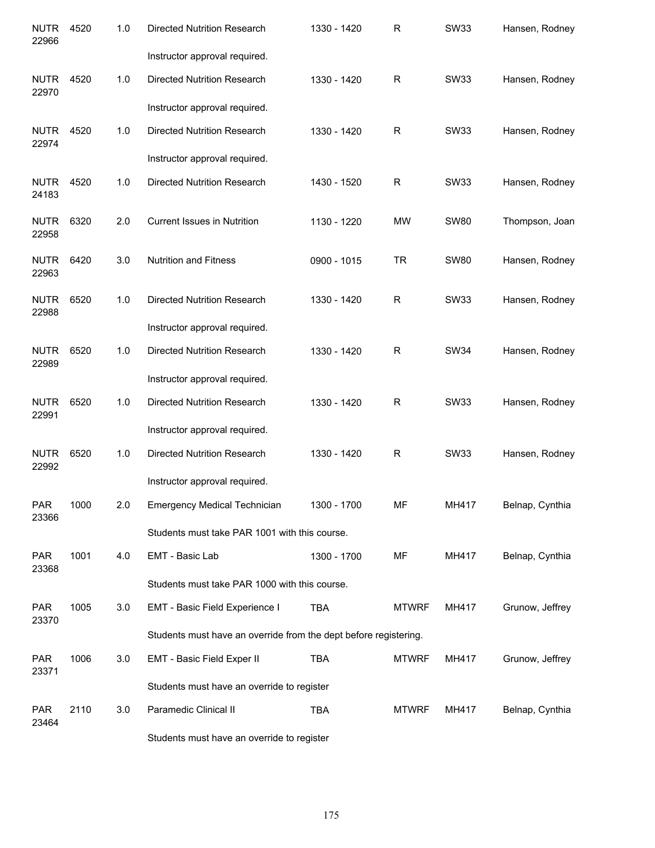| <b>NUTR</b><br>22966 | 4520 | 1.0 | <b>Directed Nutrition Research</b>                               | 1330 - 1420 | R            | <b>SW33</b> | Hansen, Rodney  |
|----------------------|------|-----|------------------------------------------------------------------|-------------|--------------|-------------|-----------------|
|                      |      |     | Instructor approval required.                                    |             |              |             |                 |
| <b>NUTR</b><br>22970 | 4520 | 1.0 | <b>Directed Nutrition Research</b>                               | 1330 - 1420 | $\mathsf{R}$ | SW33        | Hansen, Rodney  |
|                      |      |     | Instructor approval required.                                    |             |              |             |                 |
| <b>NUTR</b><br>22974 | 4520 | 1.0 | Directed Nutrition Research                                      | 1330 - 1420 | $\mathsf{R}$ | SW33        | Hansen, Rodney  |
|                      |      |     | Instructor approval required.                                    |             |              |             |                 |
| <b>NUTR</b><br>24183 | 4520 | 1.0 | Directed Nutrition Research                                      | 1430 - 1520 | $\mathsf{R}$ | <b>SW33</b> | Hansen, Rodney  |
| <b>NUTR</b><br>22958 | 6320 | 2.0 | <b>Current Issues in Nutrition</b>                               | 1130 - 1220 | MW           | <b>SW80</b> | Thompson, Joan  |
| <b>NUTR</b><br>22963 | 6420 | 3.0 | <b>Nutrition and Fitness</b>                                     | 0900 - 1015 | <b>TR</b>    | <b>SW80</b> | Hansen, Rodney  |
| <b>NUTR</b><br>22988 | 6520 | 1.0 | <b>Directed Nutrition Research</b>                               | 1330 - 1420 | R            | <b>SW33</b> | Hansen, Rodney  |
|                      |      |     | Instructor approval required.                                    |             |              |             |                 |
| <b>NUTR</b><br>22989 | 6520 | 1.0 | <b>Directed Nutrition Research</b>                               | 1330 - 1420 | R            | <b>SW34</b> | Hansen, Rodney  |
|                      |      |     | Instructor approval required.                                    |             |              |             |                 |
| <b>NUTR</b><br>22991 | 6520 | 1.0 | <b>Directed Nutrition Research</b>                               | 1330 - 1420 | R            | <b>SW33</b> | Hansen, Rodney  |
|                      |      |     | Instructor approval required.                                    |             |              |             |                 |
| <b>NUTR</b><br>22992 | 6520 | 1.0 | <b>Directed Nutrition Research</b>                               | 1330 - 1420 | R            | <b>SW33</b> | Hansen, Rodney  |
|                      |      |     | Instructor approval required.                                    |             |              |             |                 |
| <b>PAR</b><br>23366  | 1000 | 2.0 | Emergency Medical Technician                                     | 1300 - 1700 | МF           | MH417       | Belnap, Cynthia |
|                      |      |     | Students must take PAR 1001 with this course.                    |             |              |             |                 |
| <b>PAR</b><br>23368  | 1001 | 4.0 | EMT - Basic Lab                                                  | 1300 - 1700 | MF           | MH417       | Belnap, Cynthia |
|                      |      |     | Students must take PAR 1000 with this course.                    |             |              |             |                 |
| <b>PAR</b><br>23370  | 1005 | 3.0 | EMT - Basic Field Experience I                                   | <b>TBA</b>  | <b>MTWRF</b> | MH417       | Grunow, Jeffrey |
|                      |      |     | Students must have an override from the dept before registering. |             |              |             |                 |
| <b>PAR</b><br>23371  | 1006 | 3.0 | EMT - Basic Field Exper II                                       | <b>TBA</b>  | <b>MTWRF</b> | MH417       | Grunow, Jeffrey |
|                      |      |     | Students must have an override to register                       |             |              |             |                 |
| <b>PAR</b><br>23464  | 2110 | 3.0 | Paramedic Clinical II                                            | <b>TBA</b>  | <b>MTWRF</b> | MH417       | Belnap, Cynthia |
|                      |      |     | Students must have an override to register                       |             |              |             |                 |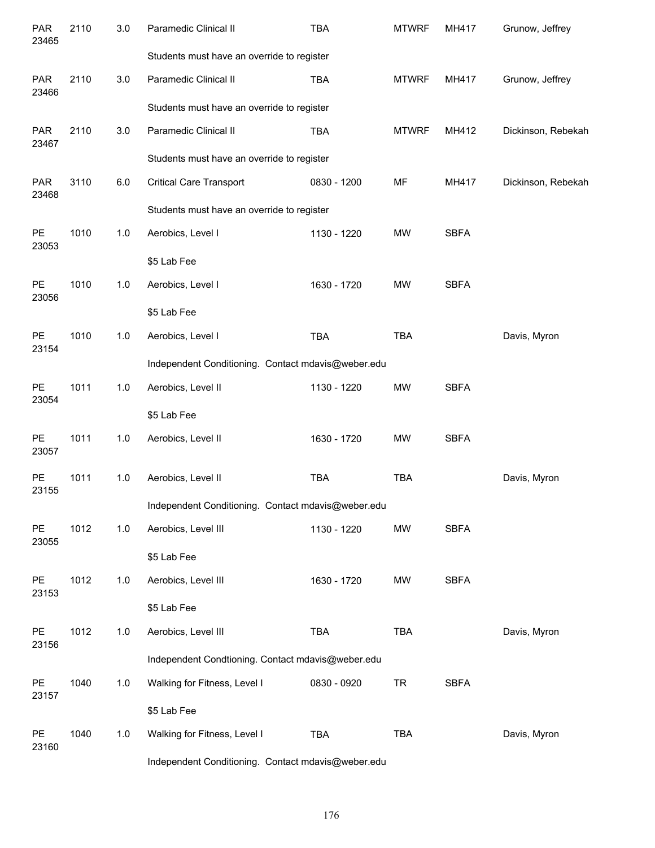| <b>PAR</b><br>23465 | 2110 | 3.0 | Paramedic Clinical II                              | <b>TBA</b>                                         | <b>MTWRF</b> | MH417       | Grunow, Jeffrey    |  |  |  |  |  |
|---------------------|------|-----|----------------------------------------------------|----------------------------------------------------|--------------|-------------|--------------------|--|--|--|--|--|
|                     |      |     | Students must have an override to register         |                                                    |              |             |                    |  |  |  |  |  |
| <b>PAR</b><br>23466 | 2110 | 3.0 | Paramedic Clinical II                              | <b>TBA</b>                                         | <b>MTWRF</b> | MH417       | Grunow, Jeffrey    |  |  |  |  |  |
|                     |      |     | Students must have an override to register         |                                                    |              |             |                    |  |  |  |  |  |
| <b>PAR</b><br>23467 | 2110 | 3.0 | Paramedic Clinical II                              | <b>TBA</b>                                         | <b>MTWRF</b> | MH412       | Dickinson, Rebekah |  |  |  |  |  |
|                     |      |     | Students must have an override to register         |                                                    |              |             |                    |  |  |  |  |  |
| <b>PAR</b><br>23468 | 3110 | 6.0 | <b>Critical Care Transport</b>                     | 0830 - 1200                                        | MF           | MH417       | Dickinson, Rebekah |  |  |  |  |  |
|                     |      |     | Students must have an override to register         |                                                    |              |             |                    |  |  |  |  |  |
| PE<br>23053         | 1010 | 1.0 | Aerobics, Level I                                  | 1130 - 1220                                        | <b>MW</b>    | <b>SBFA</b> |                    |  |  |  |  |  |
|                     |      |     | \$5 Lab Fee                                        |                                                    |              |             |                    |  |  |  |  |  |
| PE<br>23056         | 1010 | 1.0 | Aerobics, Level I                                  | 1630 - 1720                                        | <b>MW</b>    | <b>SBFA</b> |                    |  |  |  |  |  |
|                     |      |     | \$5 Lab Fee                                        |                                                    |              |             |                    |  |  |  |  |  |
| PE<br>23154         | 1010 | 1.0 | Aerobics, Level I                                  | <b>TBA</b>                                         | <b>TBA</b>   |             | Davis, Myron       |  |  |  |  |  |
|                     |      |     |                                                    | Independent Conditioning. Contact mdavis@weber.edu |              |             |                    |  |  |  |  |  |
| PE<br>23054         | 1011 | 1.0 | Aerobics, Level II                                 | 1130 - 1220                                        | <b>MW</b>    | <b>SBFA</b> |                    |  |  |  |  |  |
|                     |      |     | \$5 Lab Fee                                        |                                                    |              |             |                    |  |  |  |  |  |
| PE<br>23057         | 1011 | 1.0 | Aerobics, Level II                                 | 1630 - 1720                                        | <b>MW</b>    | <b>SBFA</b> |                    |  |  |  |  |  |
| PE<br>23155         | 1011 | 1.0 | Aerobics, Level II                                 | <b>TBA</b>                                         | <b>TBA</b>   |             | Davis, Myron       |  |  |  |  |  |
|                     |      |     | Independent Conditioning. Contact mdavis@weber.edu |                                                    |              |             |                    |  |  |  |  |  |
| PE<br>23055         | 1012 | 1.0 | Aerobics, Level III                                | 1130 - 1220                                        | MW           | <b>SBFA</b> |                    |  |  |  |  |  |
|                     |      |     | \$5 Lab Fee                                        |                                                    |              |             |                    |  |  |  |  |  |
| PE<br>23153         | 1012 | 1.0 | Aerobics, Level III                                | 1630 - 1720                                        | MW           | <b>SBFA</b> |                    |  |  |  |  |  |
|                     |      |     | \$5 Lab Fee                                        |                                                    |              |             |                    |  |  |  |  |  |
| PE<br>23156         | 1012 | 1.0 | Aerobics, Level III                                | TBA                                                | <b>TBA</b>   |             | Davis, Myron       |  |  |  |  |  |
|                     |      |     | Independent Condtioning. Contact mdavis@weber.edu  |                                                    |              |             |                    |  |  |  |  |  |
| PE<br>23157         | 1040 | 1.0 | Walking for Fitness, Level I                       | 0830 - 0920                                        | <b>TR</b>    | <b>SBFA</b> |                    |  |  |  |  |  |
|                     |      |     | \$5 Lab Fee                                        |                                                    |              |             |                    |  |  |  |  |  |
| PE<br>23160         | 1040 | 1.0 | Walking for Fitness, Level I                       | <b>TBA</b>                                         | <b>TBA</b>   |             | Davis, Myron       |  |  |  |  |  |
|                     |      |     | Independent Conditioning. Contact mdavis@weber.edu |                                                    |              |             |                    |  |  |  |  |  |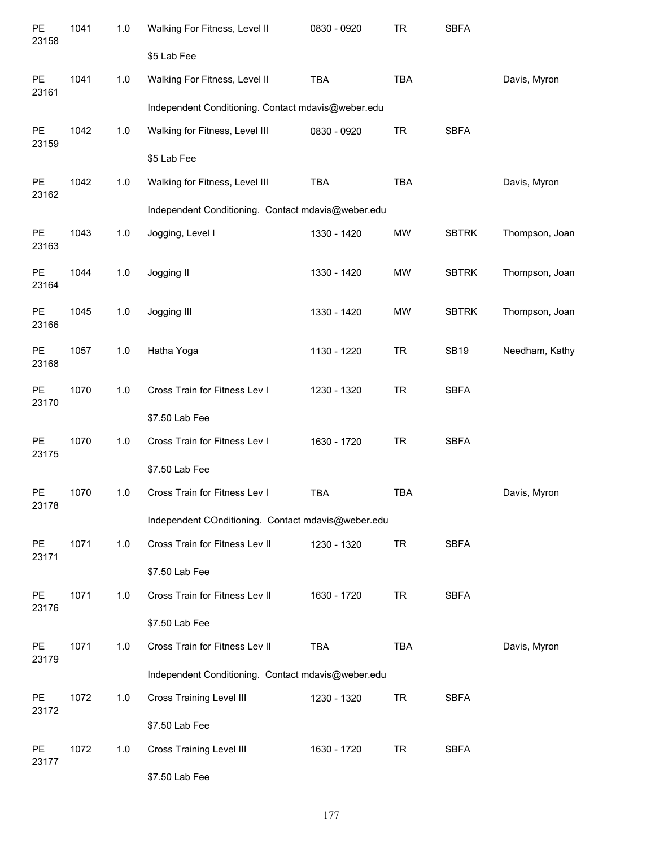| PE<br>23158 | 1041 | $1.0$ | Walking For Fitness, Level II<br>\$5 Lab Fee       | 0830 - 0920 | <b>TR</b>  | <b>SBFA</b>  |                |
|-------------|------|-------|----------------------------------------------------|-------------|------------|--------------|----------------|
| PE          | 1041 | $1.0$ | Walking For Fitness, Level II                      | <b>TBA</b>  | <b>TBA</b> |              | Davis, Myron   |
| 23161       |      |       | Independent Conditioning. Contact mdavis@weber.edu |             |            |              |                |
| PE<br>23159 | 1042 | $1.0$ | Walking for Fitness, Level III                     | 0830 - 0920 | <b>TR</b>  | <b>SBFA</b>  |                |
|             |      |       | \$5 Lab Fee                                        |             |            |              |                |
| PE<br>23162 | 1042 | $1.0$ | Walking for Fitness, Level III                     | <b>TBA</b>  | <b>TBA</b> |              | Davis, Myron   |
|             |      |       | Independent Conditioning. Contact mdavis@weber.edu |             |            |              |                |
| PE<br>23163 | 1043 | $1.0$ | Jogging, Level I                                   | 1330 - 1420 | <b>MW</b>  | <b>SBTRK</b> | Thompson, Joan |
| PE<br>23164 | 1044 | 1.0   | Jogging II                                         | 1330 - 1420 | <b>MW</b>  | <b>SBTRK</b> | Thompson, Joan |
| PE<br>23166 | 1045 | 1.0   | Jogging III                                        | 1330 - 1420 | <b>MW</b>  | <b>SBTRK</b> | Thompson, Joan |
| PE<br>23168 | 1057 | 1.0   | Hatha Yoga                                         | 1130 - 1220 | <b>TR</b>  | <b>SB19</b>  | Needham, Kathy |
| PE<br>23170 | 1070 | 1.0   | Cross Train for Fitness Lev I                      | 1230 - 1320 | <b>TR</b>  | <b>SBFA</b>  |                |
|             |      |       | \$7.50 Lab Fee                                     |             |            |              |                |
| PE<br>23175 | 1070 | 1.0   | Cross Train for Fitness Lev I                      | 1630 - 1720 | <b>TR</b>  | <b>SBFA</b>  |                |
|             |      |       | \$7.50 Lab Fee                                     |             |            |              |                |
| PE<br>23178 | 1070 | 1.0   | Cross Train for Fitness Lev I                      | <b>TBA</b>  | <b>TBA</b> |              | Davis, Myron   |
|             |      |       | Independent COnditioning. Contact mdavis@weber.edu |             |            |              |                |
| PE<br>23171 | 1071 | 1.0   | Cross Train for Fitness Lev II                     | 1230 - 1320 | <b>TR</b>  | <b>SBFA</b>  |                |
|             |      |       | \$7.50 Lab Fee                                     |             |            |              |                |
| PE<br>23176 | 1071 | 1.0   | Cross Train for Fitness Lev II                     | 1630 - 1720 | <b>TR</b>  | <b>SBFA</b>  |                |
|             |      |       | \$7.50 Lab Fee                                     |             |            |              |                |
| PE<br>23179 | 1071 | 1.0   | Cross Train for Fitness Lev II                     | <b>TBA</b>  | <b>TBA</b> |              | Davis, Myron   |
|             |      |       | Independent Conditioning. Contact mdavis@weber.edu |             |            |              |                |
| PE<br>23172 | 1072 | 1.0   | <b>Cross Training Level III</b>                    | 1230 - 1320 | <b>TR</b>  | <b>SBFA</b>  |                |
|             |      |       | \$7.50 Lab Fee                                     |             |            |              |                |
| PE<br>23177 | 1072 | 1.0   | <b>Cross Training Level III</b>                    | 1630 - 1720 | <b>TR</b>  | <b>SBFA</b>  |                |
|             |      |       | \$7.50 Lab Fee                                     |             |            |              |                |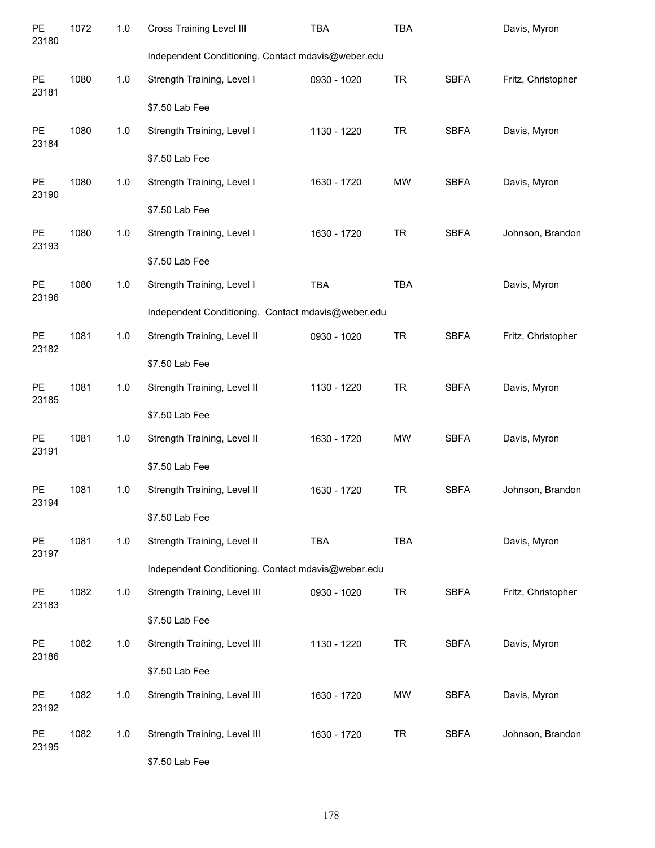| PE<br>23180        | 1072 | 1.0   | <b>Cross Training Level III</b>                    | <b>TBA</b>  | <b>TBA</b> |             | Davis, Myron       |
|--------------------|------|-------|----------------------------------------------------|-------------|------------|-------------|--------------------|
|                    |      |       | Independent Conditioning. Contact mdavis@weber.edu |             |            |             |                    |
| PE<br>23181        | 1080 | $1.0$ | Strength Training, Level I                         | 0930 - 1020 | <b>TR</b>  | <b>SBFA</b> | Fritz, Christopher |
|                    |      |       | \$7.50 Lab Fee                                     |             |            |             |                    |
| PE<br>23184        | 1080 | 1.0   | Strength Training, Level I                         | 1130 - 1220 | <b>TR</b>  | <b>SBFA</b> | Davis, Myron       |
|                    |      |       | \$7.50 Lab Fee                                     |             |            |             |                    |
| PE<br>23190        | 1080 | 1.0   | Strength Training, Level I                         | 1630 - 1720 | <b>MW</b>  | <b>SBFA</b> | Davis, Myron       |
|                    |      |       | \$7.50 Lab Fee                                     |             |            |             |                    |
| PE<br>23193        | 1080 | 1.0   | Strength Training, Level I                         | 1630 - 1720 | <b>TR</b>  | <b>SBFA</b> | Johnson, Brandon   |
|                    |      |       | \$7.50 Lab Fee                                     |             |            |             |                    |
| PE<br>23196        | 1080 | 1.0   | Strength Training, Level I                         | <b>TBA</b>  | <b>TBA</b> |             | Davis, Myron       |
|                    |      |       | Independent Conditioning. Contact mdavis@weber.edu |             |            |             |                    |
| PE<br>23182        | 1081 | $1.0$ | Strength Training, Level II                        | 0930 - 1020 | <b>TR</b>  | <b>SBFA</b> | Fritz, Christopher |
|                    |      |       | \$7.50 Lab Fee                                     |             |            |             |                    |
| PE<br>23185        | 1081 | $1.0$ | Strength Training, Level II                        | 1130 - 1220 | <b>TR</b>  | <b>SBFA</b> | Davis, Myron       |
|                    |      |       | \$7.50 Lab Fee                                     |             |            |             |                    |
| <b>PE</b><br>23191 | 1081 | $1.0$ | Strength Training, Level II                        | 1630 - 1720 | <b>MW</b>  | <b>SBFA</b> | Davis, Myron       |
|                    |      |       | \$7.50 Lab Fee                                     |             |            |             |                    |
| <b>PE</b><br>23194 | 1081 | 1.0   | Strength Training, Level II                        | 1630 - 1720 | <b>TR</b>  | <b>SBFA</b> | Johnson, Brandon   |
|                    |      |       | \$7.50 Lab Fee                                     |             |            |             |                    |
| <b>PE</b><br>23197 | 1081 | 1.0   | Strength Training, Level II                        | TBA         | TBA        |             | Davis, Myron       |
|                    |      |       | Independent Conditioning. Contact mdavis@weber.edu |             |            |             |                    |
| <b>PE</b><br>23183 | 1082 | 1.0   | Strength Training, Level III                       | 0930 - 1020 | <b>TR</b>  | <b>SBFA</b> | Fritz, Christopher |
|                    |      |       | \$7.50 Lab Fee                                     |             |            |             |                    |
| <b>PE</b><br>23186 | 1082 | 1.0   | Strength Training, Level III                       | 1130 - 1220 | <b>TR</b>  | <b>SBFA</b> | Davis, Myron       |
|                    |      |       | \$7.50 Lab Fee                                     |             |            |             |                    |
| <b>PE</b><br>23192 | 1082 | 1.0   | Strength Training, Level III                       | 1630 - 1720 | MW         | <b>SBFA</b> | Davis, Myron       |
| PE<br>23195        | 1082 | 1.0   | Strength Training, Level III                       | 1630 - 1720 | <b>TR</b>  | <b>SBFA</b> | Johnson, Brandon   |
|                    |      |       | \$7.50 Lab Fee                                     |             |            |             |                    |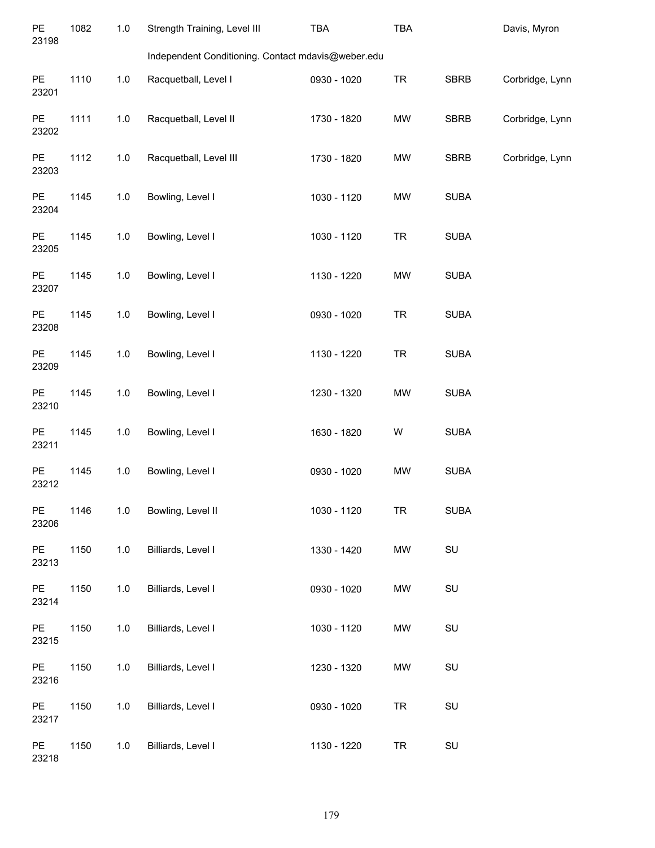| <b>PE</b><br>23198 | 1082 | 1.0     | Strength Training, Level III                       | TBA         | TBA       |             | Davis, Myron    |
|--------------------|------|---------|----------------------------------------------------|-------------|-----------|-------------|-----------------|
|                    |      |         | Independent Conditioning. Contact mdavis@weber.edu |             |           |             |                 |
| PE<br>23201        | 1110 | $1.0\,$ | Racquetball, Level I                               | 0930 - 1020 | <b>TR</b> | <b>SBRB</b> | Corbridge, Lynn |
| PE<br>23202        | 1111 | 1.0     | Racquetball, Level II                              | 1730 - 1820 | MW        | <b>SBRB</b> | Corbridge, Lynn |
| PE<br>23203        | 1112 | 1.0     | Racquetball, Level III                             | 1730 - 1820 | MW        | <b>SBRB</b> | Corbridge, Lynn |
| PE<br>23204        | 1145 | 1.0     | Bowling, Level I                                   | 1030 - 1120 | MW        | <b>SUBA</b> |                 |
| PE<br>23205        | 1145 | $1.0$   | Bowling, Level I                                   | 1030 - 1120 | <b>TR</b> | <b>SUBA</b> |                 |
| PE<br>23207        | 1145 | 1.0     | Bowling, Level I                                   | 1130 - 1220 | MW        | <b>SUBA</b> |                 |
| PE<br>23208        | 1145 | 1.0     | Bowling, Level I                                   | 0930 - 1020 | <b>TR</b> | <b>SUBA</b> |                 |
| PE<br>23209        | 1145 | 1.0     | Bowling, Level I                                   | 1130 - 1220 | <b>TR</b> | <b>SUBA</b> |                 |
| PE<br>23210        | 1145 | 1.0     | Bowling, Level I                                   | 1230 - 1320 | MW        | <b>SUBA</b> |                 |
| PE<br>23211        | 1145 | $1.0$   | Bowling, Level I                                   | 1630 - 1820 | W         | <b>SUBA</b> |                 |
| PE<br>23212        | 1145 | 1.0     | Bowling, Level I                                   | 0930 - 1020 | MW        | <b>SUBA</b> |                 |
| PE<br>23206        | 1146 | 1.0     | Bowling, Level II                                  | 1030 - 1120 | <b>TR</b> | <b>SUBA</b> |                 |
| PE<br>23213        | 1150 | 1.0     | Billiards, Level I                                 | 1330 - 1420 | MW        | SU          |                 |
| PE<br>23214        | 1150 | 1.0     | Billiards, Level I                                 | 0930 - 1020 | MW        | SU          |                 |
| PE<br>23215        | 1150 | $1.0$   | Billiards, Level I                                 | 1030 - 1120 | MW        | SU          |                 |
| PE<br>23216        | 1150 | $1.0$   | Billiards, Level I                                 | 1230 - 1320 | MW        | SU          |                 |
| PE<br>23217        | 1150 | 1.0     | Billiards, Level I                                 | 0930 - 1020 | <b>TR</b> | SU          |                 |
| PE<br>23218        | 1150 | 1.0     | Billiards, Level I                                 | 1130 - 1220 | <b>TR</b> | SU          |                 |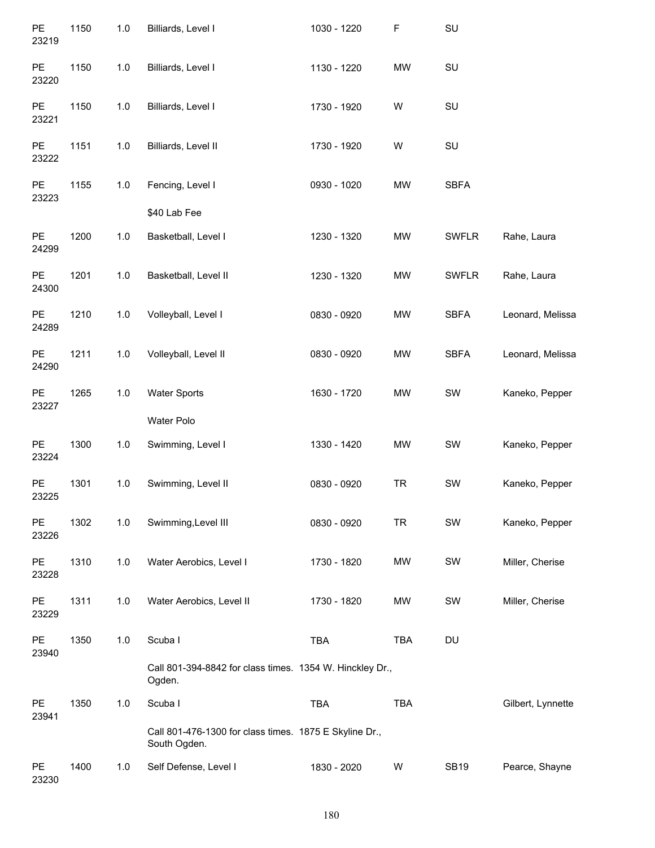| PE<br>23219        | 1150 | 1.0   | Billiards, Level I                                                     | 1030 - 1220 | $\mathsf F$ | SU           |                   |
|--------------------|------|-------|------------------------------------------------------------------------|-------------|-------------|--------------|-------------------|
| PE<br>23220        | 1150 | 1.0   | Billiards, Level I                                                     | 1130 - 1220 | MW          | SU           |                   |
| PE<br>23221        | 1150 | 1.0   | Billiards, Level I                                                     | 1730 - 1920 | W           | SU           |                   |
| PE<br>23222        | 1151 | 1.0   | Billiards, Level II                                                    | 1730 - 1920 | W           | SU           |                   |
| PE<br>23223        | 1155 | 1.0   | Fencing, Level I                                                       | 0930 - 1020 | <b>MW</b>   | <b>SBFA</b>  |                   |
|                    |      |       | \$40 Lab Fee                                                           |             |             |              |                   |
| PE<br>24299        | 1200 | 1.0   | Basketball, Level I                                                    | 1230 - 1320 | <b>MW</b>   | <b>SWFLR</b> | Rahe, Laura       |
| PE<br>24300        | 1201 | 1.0   | Basketball, Level II                                                   | 1230 - 1320 | <b>MW</b>   | <b>SWFLR</b> | Rahe, Laura       |
| PE<br>24289        | 1210 | $1.0$ | Volleyball, Level I                                                    | 0830 - 0920 | <b>MW</b>   | <b>SBFA</b>  | Leonard, Melissa  |
| PE<br>24290        | 1211 | 1.0   | Volleyball, Level II                                                   | 0830 - 0920 | <b>MW</b>   | <b>SBFA</b>  | Leonard, Melissa  |
| PE<br>23227        | 1265 | 1.0   | <b>Water Sports</b>                                                    | 1630 - 1720 | <b>MW</b>   | SW           | Kaneko, Pepper    |
|                    |      |       | Water Polo                                                             |             |             |              |                   |
| PE<br>23224        | 1300 | 1.0   | Swimming, Level I                                                      | 1330 - 1420 | <b>MW</b>   | SW           | Kaneko, Pepper    |
| PE<br>23225        | 1301 | 1.0   | Swimming, Level II                                                     | 0830 - 0920 | <b>TR</b>   | SW           | Kaneko, Pepper    |
| <b>PE</b><br>23226 | 1302 | 1.0   | Swimming, Level III                                                    | 0830 - 0920 | <b>TR</b>   | SW           | Kaneko, Pepper    |
| PE<br>23228        | 1310 | 1.0   | Water Aerobics, Level I                                                | 1730 - 1820 | <b>MW</b>   | SW           | Miller, Cherise   |
| PE<br>23229        | 1311 | 1.0   | Water Aerobics, Level II                                               | 1730 - 1820 | <b>MW</b>   | SW           | Miller, Cherise   |
| PE<br>23940        | 1350 | 1.0   | Scuba I                                                                | <b>TBA</b>  | <b>TBA</b>  | DU           |                   |
|                    |      |       | Call 801-394-8842 for class times. 1354 W. Hinckley Dr.,<br>Ogden.     |             |             |              |                   |
| PE<br>23941        | 1350 | 1.0   | Scuba I                                                                | <b>TBA</b>  | <b>TBA</b>  |              | Gilbert, Lynnette |
|                    |      |       | Call 801-476-1300 for class times. 1875 E Skyline Dr.,<br>South Ogden. |             |             |              |                   |
| PE<br>23230        | 1400 | 1.0   | Self Defense, Level I                                                  | 1830 - 2020 | W           | <b>SB19</b>  | Pearce, Shayne    |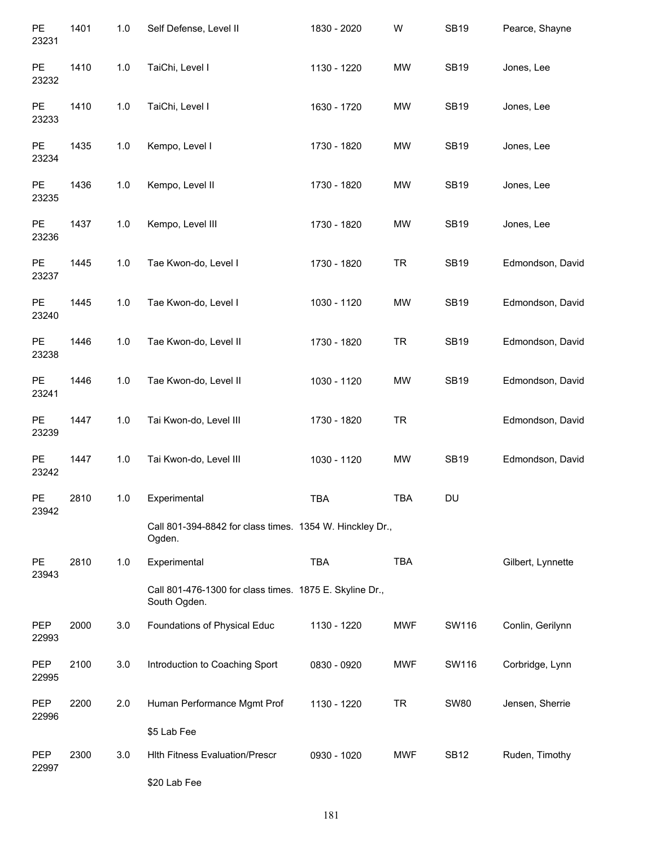| PE<br>23231  | 1401 | 1.0 | Self Defense, Level II                                                  | 1830 - 2020 | W          | <b>SB19</b> | Pearce, Shayne    |
|--------------|------|-----|-------------------------------------------------------------------------|-------------|------------|-------------|-------------------|
| PE<br>23232  | 1410 | 1.0 | TaiChi, Level I                                                         | 1130 - 1220 | <b>MW</b>  | <b>SB19</b> | Jones, Lee        |
| PE<br>23233  | 1410 | 1.0 | TaiChi, Level I                                                         | 1630 - 1720 | MW         | <b>SB19</b> | Jones, Lee        |
| PE<br>23234  | 1435 | 1.0 | Kempo, Level I                                                          | 1730 - 1820 | MW         | <b>SB19</b> | Jones, Lee        |
| PE<br>23235  | 1436 | 1.0 | Kempo, Level II                                                         | 1730 - 1820 | MW         | <b>SB19</b> | Jones, Lee        |
| PE<br>23236  | 1437 | 1.0 | Kempo, Level III                                                        | 1730 - 1820 | MW         | <b>SB19</b> | Jones, Lee        |
| PE<br>23237  | 1445 | 1.0 | Tae Kwon-do, Level I                                                    | 1730 - 1820 | <b>TR</b>  | <b>SB19</b> | Edmondson, David  |
| PE<br>23240  | 1445 | 1.0 | Tae Kwon-do, Level I                                                    | 1030 - 1120 | MW         | <b>SB19</b> | Edmondson, David  |
| PE<br>23238  | 1446 | 1.0 | Tae Kwon-do, Level II                                                   | 1730 - 1820 | <b>TR</b>  | <b>SB19</b> | Edmondson, David  |
| PE<br>23241  | 1446 | 1.0 | Tae Kwon-do, Level II                                                   | 1030 - 1120 | MW         | <b>SB19</b> | Edmondson, David  |
| PE<br>23239  | 1447 | 1.0 | Tai Kwon-do, Level III                                                  | 1730 - 1820 | <b>TR</b>  |             | Edmondson, David  |
| PE<br>23242  | 1447 | 1.0 | Tai Kwon-do, Level III                                                  | 1030 - 1120 | MW         | <b>SB19</b> | Edmondson, David  |
| PE<br>23942  | 2810 | 1.0 | Experimental                                                            | <b>TBA</b>  | <b>TBA</b> | DU          |                   |
|              |      |     | Call 801-394-8842 for class times. 1354 W. Hinckley Dr.,<br>Ogden.      |             |            |             |                   |
| PE<br>23943  | 2810 | 1.0 | Experimental                                                            | TBA         | TBA        |             | Gilbert, Lynnette |
|              |      |     | Call 801-476-1300 for class times. 1875 E. Skyline Dr.,<br>South Ogden. |             |            |             |                   |
| PEP<br>22993 | 2000 | 3.0 | Foundations of Physical Educ                                            | 1130 - 1220 | MWF        | SW116       | Conlin, Gerilynn  |
| PEP<br>22995 | 2100 | 3.0 | Introduction to Coaching Sport                                          | 0830 - 0920 | MWF        | SW116       | Corbridge, Lynn   |
| PEP<br>22996 | 2200 | 2.0 | Human Performance Mgmt Prof                                             | 1130 - 1220 | <b>TR</b>  | <b>SW80</b> | Jensen, Sherrie   |
|              |      |     | \$5 Lab Fee                                                             |             |            |             |                   |
| PEP<br>22997 | 2300 | 3.0 | <b>Hith Fitness Evaluation/Prescr</b>                                   | 0930 - 1020 | <b>MWF</b> | <b>SB12</b> | Ruden, Timothy    |
|              |      |     | \$20 Lab Fee                                                            |             |            |             |                   |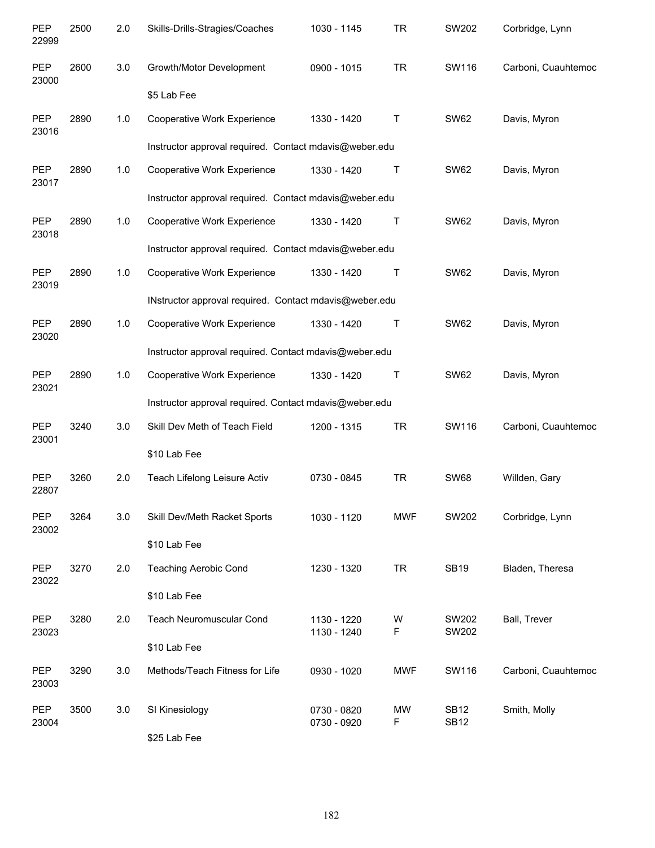| PEP<br>22999        | 2500 | 2.0 | Skills-Drills-Stragies/Coaches                         | 1030 - 1145                | <b>TR</b>      | SW202                      | Corbridge, Lynn     |
|---------------------|------|-----|--------------------------------------------------------|----------------------------|----------------|----------------------------|---------------------|
| <b>PEP</b><br>23000 | 2600 | 3.0 | Growth/Motor Development                               | 0900 - 1015                | <b>TR</b>      | SW116                      | Carboni, Cuauhtemoc |
|                     |      |     | \$5 Lab Fee                                            |                            |                |                            |                     |
| PEP<br>23016        | 2890 | 1.0 | Cooperative Work Experience                            | 1330 - 1420                | Τ              | <b>SW62</b>                | Davis, Myron        |
|                     |      |     | Instructor approval required. Contact mdavis@weber.edu |                            |                |                            |                     |
| PEP<br>23017        | 2890 | 1.0 | <b>Cooperative Work Experience</b>                     | 1330 - 1420                | Τ              | <b>SW62</b>                | Davis, Myron        |
|                     |      |     | Instructor approval required. Contact mdavis@weber.edu |                            |                |                            |                     |
| PEP<br>23018        | 2890 | 1.0 | Cooperative Work Experience                            | 1330 - 1420                | Τ              | <b>SW62</b>                | Davis, Myron        |
|                     |      |     | Instructor approval required. Contact mdavis@weber.edu |                            |                |                            |                     |
| PEP<br>23019        | 2890 | 1.0 | Cooperative Work Experience                            | 1330 - 1420                | Τ              | <b>SW62</b>                | Davis, Myron        |
|                     |      |     | INstructor approval required. Contact mdavis@weber.edu |                            |                |                            |                     |
| PEP<br>23020        | 2890 | 1.0 | Cooperative Work Experience                            | 1330 - 1420                | Τ              | <b>SW62</b>                | Davis, Myron        |
|                     |      |     | Instructor approval required. Contact mdavis@weber.edu |                            |                |                            |                     |
| PEP<br>23021        | 2890 | 1.0 | Cooperative Work Experience                            | 1330 - 1420                | Τ              | <b>SW62</b>                | Davis, Myron        |
|                     |      |     | Instructor approval required. Contact mdavis@weber.edu |                            |                |                            |                     |
| <b>PEP</b><br>23001 | 3240 | 3.0 | Skill Dev Meth of Teach Field                          | 1200 - 1315                | <b>TR</b>      | SW116                      | Carboni, Cuauhtemoc |
|                     |      |     | \$10 Lab Fee                                           |                            |                |                            |                     |
| <b>PEP</b><br>22807 | 3260 | 2.0 | Teach Lifelong Leisure Activ                           | 0730 - 0845                | <b>TR</b>      | <b>SW68</b>                | Willden, Gary       |
| PEP<br>23002        | 3264 | 3.0 | Skill Dev/Meth Racket Sports                           | 1030 - 1120                | <b>MWF</b>     | SW202                      | Corbridge, Lynn     |
|                     |      |     | \$10 Lab Fee                                           |                            |                |                            |                     |
| PEP<br>23022        | 3270 | 2.0 | <b>Teaching Aerobic Cond</b>                           | 1230 - 1320                | <b>TR</b>      | <b>SB19</b>                | Bladen, Theresa     |
|                     |      |     | \$10 Lab Fee                                           |                            |                |                            |                     |
| PEP<br>23023        | 3280 | 2.0 | Teach Neuromuscular Cond                               | 1130 - 1220<br>1130 - 1240 | W<br>F         | SW202<br>SW202             | Ball, Trever        |
|                     |      |     | \$10 Lab Fee                                           |                            |                |                            |                     |
| PEP<br>23003        | 3290 | 3.0 | Methods/Teach Fitness for Life                         | 0930 - 1020                | <b>MWF</b>     | SW116                      | Carboni, Cuauhtemoc |
| PEP<br>23004        | 3500 | 3.0 | SI Kinesiology                                         | 0730 - 0820<br>0730 - 0920 | <b>MW</b><br>F | <b>SB12</b><br><b>SB12</b> | Smith, Molly        |
|                     |      |     | \$25 Lab Fee                                           |                            |                |                            |                     |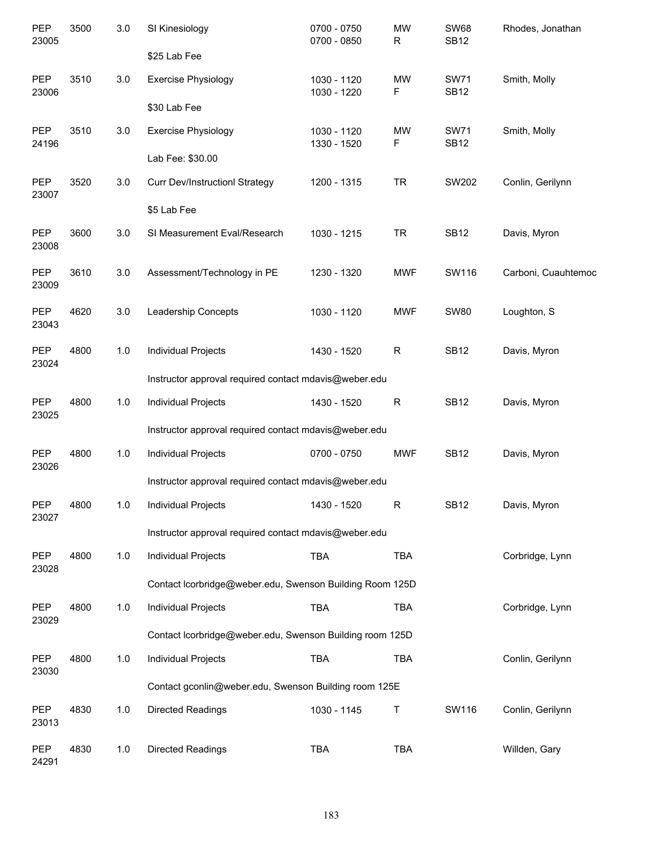| <b>PEP</b><br>23005 | 3500 | 3.0   | SI Kinesiology                                           | 0700 - 0750<br>0700 - 0850 | MW<br>R        | <b>SW68</b><br><b>SB12</b> | Rhodes, Jonathan    |
|---------------------|------|-------|----------------------------------------------------------|----------------------------|----------------|----------------------------|---------------------|
|                     |      |       | \$25 Lab Fee                                             |                            |                |                            |                     |
| <b>PEP</b><br>23006 | 3510 | 3.0   | <b>Exercise Physiology</b>                               | 1030 - 1120<br>1030 - 1220 | <b>MW</b><br>F | <b>SW71</b><br><b>SB12</b> | Smith, Molly        |
|                     |      |       | \$30 Lab Fee                                             |                            |                |                            |                     |
| <b>PEP</b><br>24196 | 3510 | 3.0   | <b>Exercise Physiology</b>                               | 1030 - 1120<br>1330 - 1520 | <b>MW</b><br>F | <b>SW71</b><br><b>SB12</b> | Smith, Molly        |
|                     |      |       | Lab Fee: \$30.00                                         |                            |                |                            |                     |
| <b>PEP</b><br>23007 | 3520 | 3.0   | <b>Curr Dev/InstructionI Strategy</b>                    | 1200 - 1315                | <b>TR</b>      | SW202                      | Conlin, Gerilynn    |
|                     |      |       | \$5 Lab Fee                                              |                            |                |                            |                     |
| PEP<br>23008        | 3600 | 3.0   | SI Measurement Eval/Research                             | 1030 - 1215                | <b>TR</b>      | <b>SB12</b>                | Davis, Myron        |
| <b>PEP</b><br>23009 | 3610 | 3.0   | Assessment/Technology in PE                              | 1230 - 1320                | <b>MWF</b>     | SW116                      | Carboni, Cuauhtemoc |
| PEP<br>23043        | 4620 | 3.0   | Leadership Concepts                                      | 1030 - 1120                | <b>MWF</b>     | <b>SW80</b>                | Loughton, S         |
| PEP<br>23024        | 4800 | 1.0   | Individual Projects                                      | 1430 - 1520                | ${\sf R}$      | <b>SB12</b>                | Davis, Myron        |
|                     |      |       | Instructor approval required contact mdavis@weber.edu    |                            |                |                            |                     |
| <b>PEP</b><br>23025 | 4800 | 1.0   | Individual Projects                                      | 1430 - 1520                | $\mathsf{R}$   | <b>SB12</b>                | Davis, Myron        |
|                     |      |       | Instructor approval required contact mdavis@weber.edu    |                            |                |                            |                     |
| <b>PEP</b><br>23026 | 4800 | 1.0   | <b>Individual Projects</b>                               | 0700 - 0750                | <b>MWF</b>     | <b>SB12</b>                | Davis, Myron        |
|                     |      |       | Instructor approval required contact mdavis@weber.edu    |                            |                |                            |                     |
| PEP<br>23027        | 4800 | $1.0$ | <b>Individual Projects</b>                               | 1430 - 1520                | $\mathsf R$    | <b>SB12</b>                | Davis, Myron        |
|                     |      |       | Instructor approval required contact mdavis@weber.edu    |                            |                |                            |                     |
| PEP<br>23028        | 4800 | 1.0   | Individual Projects                                      | <b>TBA</b>                 | <b>TBA</b>     |                            | Corbridge, Lynn     |
|                     |      |       | Contact Icorbridge@weber.edu, Swenson Building Room 125D |                            |                |                            |                     |
| PEP<br>23029        | 4800 | 1.0   | Individual Projects                                      | <b>TBA</b>                 | <b>TBA</b>     |                            | Corbridge, Lynn     |
|                     |      |       | Contact Icorbridge@weber.edu, Swenson Building room 125D |                            |                |                            |                     |
| PEP<br>23030        | 4800 | 1.0   | Individual Projects                                      | <b>TBA</b>                 | <b>TBA</b>     |                            | Conlin, Gerilynn    |
|                     |      |       | Contact gconlin@weber.edu, Swenson Building room 125E    |                            |                |                            |                     |
| PEP<br>23013        | 4830 | 1.0   | <b>Directed Readings</b>                                 | 1030 - 1145                | $\mathsf T$    | SW116                      | Conlin, Gerilynn    |
| PEP<br>24291        | 4830 | 1.0   | <b>Directed Readings</b>                                 | <b>TBA</b>                 | <b>TBA</b>     |                            | Willden, Gary       |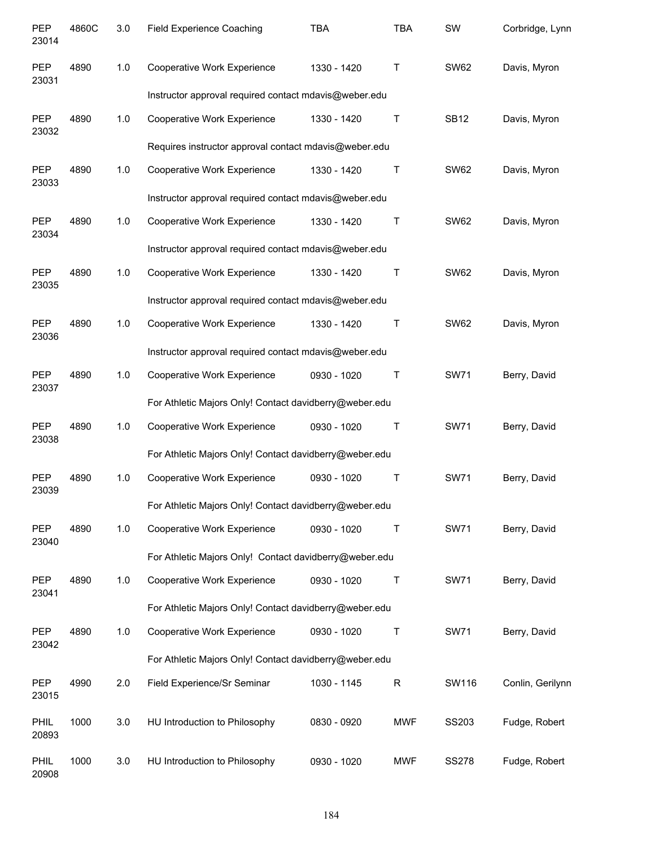| PEP<br>23014         | 4860C | 3.0 | <b>Field Experience Coaching</b>                       | TBA         | <b>TBA</b>   | SW           | Corbridge, Lynn  |
|----------------------|-------|-----|--------------------------------------------------------|-------------|--------------|--------------|------------------|
| <b>PEP</b><br>23031  | 4890  | 1.0 | Cooperative Work Experience                            | 1330 - 1420 | $\mathsf{T}$ | <b>SW62</b>  | Davis, Myron     |
|                      |       |     | Instructor approval required contact mdavis@weber.edu  |             |              |              |                  |
| <b>PEP</b><br>23032  | 4890  | 1.0 | Cooperative Work Experience                            | 1330 - 1420 | Τ            | <b>SB12</b>  | Davis, Myron     |
|                      |       |     | Requires instructor approval contact mdavis@weber.edu  |             |              |              |                  |
| <b>PEP</b><br>23033  | 4890  | 1.0 | Cooperative Work Experience                            | 1330 - 1420 | Τ            | <b>SW62</b>  | Davis, Myron     |
|                      |       |     | Instructor approval required contact mdavis@weber.edu  |             |              |              |                  |
| <b>PEP</b><br>23034  | 4890  | 1.0 | Cooperative Work Experience                            | 1330 - 1420 | Τ            | <b>SW62</b>  | Davis, Myron     |
|                      |       |     | Instructor approval required contact mdavis@weber.edu  |             |              |              |                  |
| PEP<br>23035         | 4890  | 1.0 | Cooperative Work Experience                            | 1330 - 1420 | Τ            | <b>SW62</b>  | Davis, Myron     |
|                      |       |     | Instructor approval required contact mdavis@weber.edu  |             |              |              |                  |
| PEP<br>23036         | 4890  | 1.0 | Cooperative Work Experience                            | 1330 - 1420 | Τ            | <b>SW62</b>  | Davis, Myron     |
|                      |       |     | Instructor approval required contact mdavis@weber.edu  |             |              |              |                  |
| PEP<br>23037         | 4890  | 1.0 | Cooperative Work Experience                            | 0930 - 1020 | Τ            | <b>SW71</b>  | Berry, David     |
|                      |       |     | For Athletic Majors Only! Contact davidberry@weber.edu |             |              |              |                  |
| PEP<br>23038         | 4890  | 1.0 | Cooperative Work Experience                            | 0930 - 1020 | Τ            | <b>SW71</b>  | Berry, David     |
|                      |       |     | For Athletic Majors Only! Contact davidberry@weber.edu |             |              |              |                  |
| PEP<br>23039         | 4890  | 1.0 | Cooperative Work Experience                            | 0930 - 1020 | Τ            | <b>SW71</b>  | Berry, David     |
|                      |       |     | For Athletic Majors Only! Contact davidberry@weber.edu |             |              |              |                  |
| <b>PEP</b><br>23040  | 4890  | 1.0 | Cooperative Work Experience                            | 0930 - 1020 | Т            | <b>SW71</b>  | Berry, David     |
|                      |       |     | For Athletic Majors Only! Contact davidberry@weber.edu |             |              |              |                  |
| PEP<br>23041         | 4890  | 1.0 | Cooperative Work Experience                            | 0930 - 1020 | Т            | <b>SW71</b>  | Berry, David     |
|                      |       |     | For Athletic Majors Only! Contact davidberry@weber.edu |             |              |              |                  |
| <b>PEP</b><br>23042  | 4890  | 1.0 | Cooperative Work Experience                            | 0930 - 1020 | Т            | <b>SW71</b>  | Berry, David     |
|                      |       |     | For Athletic Majors Only! Contact davidberry@weber.edu |             |              |              |                  |
| <b>PEP</b><br>23015  | 4990  | 2.0 | Field Experience/Sr Seminar                            | 1030 - 1145 | $\mathsf R$  | SW116        | Conlin, Gerilynn |
| PHIL<br>20893        | 1000  | 3.0 | HU Introduction to Philosophy                          | 0830 - 0920 | <b>MWF</b>   | SS203        | Fudge, Robert    |
| <b>PHIL</b><br>20908 | 1000  | 3.0 | HU Introduction to Philosophy                          | 0930 - 1020 | <b>MWF</b>   | <b>SS278</b> | Fudge, Robert    |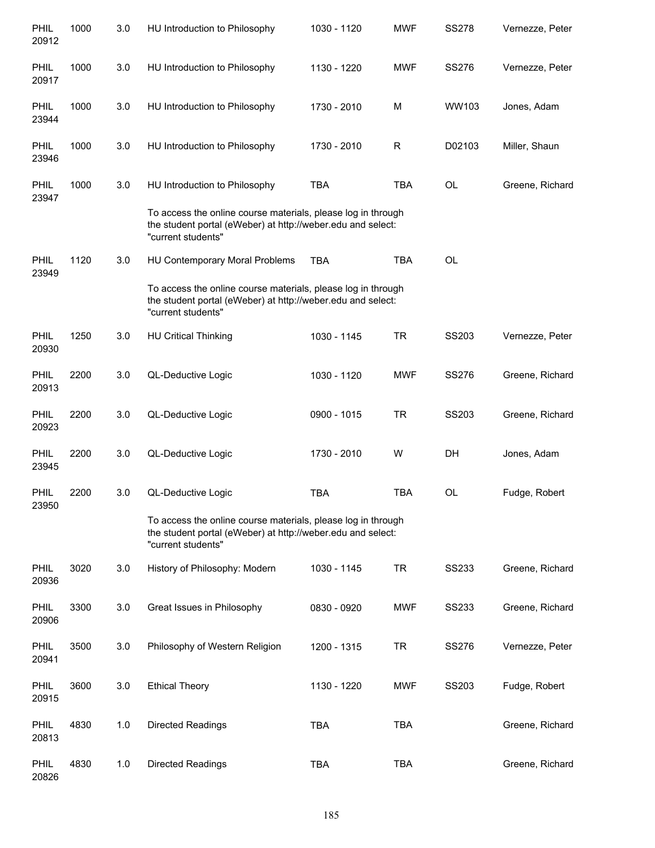| PHIL<br>20912        | 1000 | 3.0 | HU Introduction to Philosophy                                                                                                                     | 1030 - 1120 | <b>MWF</b> | <b>SS278</b> | Vernezze, Peter |
|----------------------|------|-----|---------------------------------------------------------------------------------------------------------------------------------------------------|-------------|------------|--------------|-----------------|
| <b>PHIL</b><br>20917 | 1000 | 3.0 | HU Introduction to Philosophy                                                                                                                     | 1130 - 1220 | <b>MWF</b> | <b>SS276</b> | Vernezze, Peter |
| <b>PHIL</b><br>23944 | 1000 | 3.0 | HU Introduction to Philosophy                                                                                                                     | 1730 - 2010 | M          | WW103        | Jones, Adam     |
| <b>PHIL</b><br>23946 | 1000 | 3.0 | HU Introduction to Philosophy                                                                                                                     | 1730 - 2010 | R          | D02103       | Miller, Shaun   |
| <b>PHIL</b><br>23947 | 1000 | 3.0 | HU Introduction to Philosophy                                                                                                                     | <b>TBA</b>  | <b>TBA</b> | OL           | Greene, Richard |
|                      |      |     | To access the online course materials, please log in through<br>the student portal (eWeber) at http://weber.edu and select:<br>"current students" |             |            |              |                 |
| PHIL<br>23949        | 1120 | 3.0 | HU Contemporary Moral Problems                                                                                                                    | <b>TBA</b>  | <b>TBA</b> | <b>OL</b>    |                 |
|                      |      |     | To access the online course materials, please log in through<br>the student portal (eWeber) at http://weber.edu and select:<br>"current students" |             |            |              |                 |
| PHIL<br>20930        | 1250 | 3.0 | <b>HU Critical Thinking</b>                                                                                                                       | 1030 - 1145 | <b>TR</b>  | SS203        | Vernezze, Peter |
| PHIL<br>20913        | 2200 | 3.0 | QL-Deductive Logic                                                                                                                                | 1030 - 1120 | <b>MWF</b> | <b>SS276</b> | Greene, Richard |
| PHIL<br>20923        | 2200 | 3.0 | QL-Deductive Logic                                                                                                                                | 0900 - 1015 | <b>TR</b>  | SS203        | Greene, Richard |
| PHIL<br>23945        | 2200 | 3.0 | QL-Deductive Logic                                                                                                                                | 1730 - 2010 | W          | DH           | Jones, Adam     |
| <b>PHIL</b><br>23950 | 2200 | 3.0 | QL-Deductive Logic                                                                                                                                | <b>TBA</b>  | <b>TBA</b> | <b>OL</b>    | Fudge, Robert   |
|                      |      |     | To access the online course materials, please log in through<br>the student portal (eWeber) at http://weber.edu and select:<br>"current students" |             |            |              |                 |
| PHIL<br>20936        | 3020 | 3.0 | History of Philosophy: Modern                                                                                                                     | 1030 - 1145 | <b>TR</b>  | <b>SS233</b> | Greene, Richard |
| PHIL<br>20906        | 3300 | 3.0 | Great Issues in Philosophy                                                                                                                        | 0830 - 0920 | <b>MWF</b> | <b>SS233</b> | Greene, Richard |
| PHIL<br>20941        | 3500 | 3.0 | Philosophy of Western Religion                                                                                                                    | 1200 - 1315 | <b>TR</b>  | SS276        | Vernezze, Peter |
| PHIL<br>20915        | 3600 | 3.0 | <b>Ethical Theory</b>                                                                                                                             | 1130 - 1220 | <b>MWF</b> | SS203        | Fudge, Robert   |
| PHIL<br>20813        | 4830 | 1.0 | Directed Readings                                                                                                                                 | <b>TBA</b>  | <b>TBA</b> |              | Greene, Richard |
| PHIL<br>20826        | 4830 | 1.0 | Directed Readings                                                                                                                                 | <b>TBA</b>  | <b>TBA</b> |              | Greene, Richard |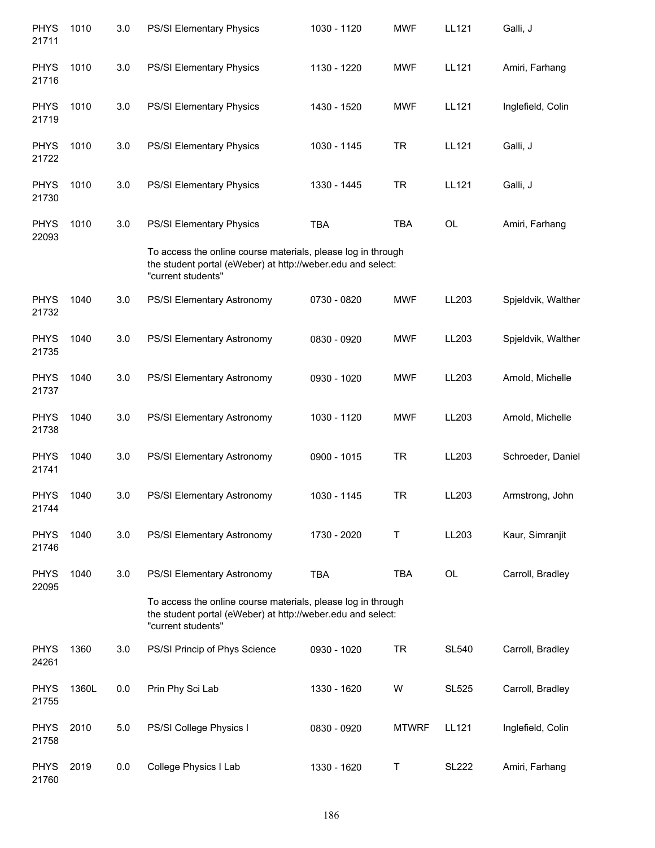| <b>PHYS</b><br>21711 | 1010  | 3.0 | PS/SI Elementary Physics                                                                                                                          | 1030 - 1120 | <b>MWF</b>   | LL121        | Galli, J           |
|----------------------|-------|-----|---------------------------------------------------------------------------------------------------------------------------------------------------|-------------|--------------|--------------|--------------------|
| <b>PHYS</b><br>21716 | 1010  | 3.0 | PS/SI Elementary Physics                                                                                                                          | 1130 - 1220 | <b>MWF</b>   | <b>LL121</b> | Amiri, Farhang     |
| <b>PHYS</b><br>21719 | 1010  | 3.0 | PS/SI Elementary Physics                                                                                                                          | 1430 - 1520 | <b>MWF</b>   | LL121        | Inglefield, Colin  |
| <b>PHYS</b><br>21722 | 1010  | 3.0 | PS/SI Elementary Physics                                                                                                                          | 1030 - 1145 | <b>TR</b>    | LL121        | Galli, J           |
| <b>PHYS</b><br>21730 | 1010  | 3.0 | PS/SI Elementary Physics                                                                                                                          | 1330 - 1445 | <b>TR</b>    | LL121        | Galli, J           |
| <b>PHYS</b><br>22093 | 1010  | 3.0 | PS/SI Elementary Physics                                                                                                                          | <b>TBA</b>  | <b>TBA</b>   | <b>OL</b>    | Amiri, Farhang     |
|                      |       |     | To access the online course materials, please log in through<br>the student portal (eWeber) at http://weber.edu and select:<br>"current students" |             |              |              |                    |
| <b>PHYS</b><br>21732 | 1040  | 3.0 | PS/SI Elementary Astronomy                                                                                                                        | 0730 - 0820 | <b>MWF</b>   | LL203        | Spjeldvik, Walther |
| <b>PHYS</b><br>21735 | 1040  | 3.0 | PS/SI Elementary Astronomy                                                                                                                        | 0830 - 0920 | <b>MWF</b>   | LL203        | Spjeldvik, Walther |
| <b>PHYS</b><br>21737 | 1040  | 3.0 | PS/SI Elementary Astronomy                                                                                                                        | 0930 - 1020 | <b>MWF</b>   | LL203        | Arnold, Michelle   |
| <b>PHYS</b><br>21738 | 1040  | 3.0 | PS/SI Elementary Astronomy                                                                                                                        | 1030 - 1120 | <b>MWF</b>   | LL203        | Arnold, Michelle   |
| <b>PHYS</b><br>21741 | 1040  | 3.0 | PS/SI Elementary Astronomy                                                                                                                        | 0900 - 1015 | <b>TR</b>    | LL203        | Schroeder, Daniel  |
| <b>PHYS</b><br>21744 | 1040  | 3.0 | PS/SI Elementary Astronomy                                                                                                                        | 1030 - 1145 | <b>TR</b>    | LL203        | Armstrong, John    |
| <b>PHYS</b><br>21746 | 1040  | 3.0 | PS/SI Elementary Astronomy                                                                                                                        | 1730 - 2020 | Τ            | LL203        | Kaur, Simranjit    |
| <b>PHYS</b><br>22095 | 1040  | 3.0 | PS/SI Elementary Astronomy                                                                                                                        | <b>TBA</b>  | <b>TBA</b>   | <b>OL</b>    | Carroll, Bradley   |
|                      |       |     | To access the online course materials, please log in through<br>the student portal (eWeber) at http://weber.edu and select:<br>"current students" |             |              |              |                    |
| <b>PHYS</b><br>24261 | 1360  | 3.0 | PS/SI Princip of Phys Science                                                                                                                     | 0930 - 1020 | <b>TR</b>    | <b>SL540</b> | Carroll, Bradley   |
| <b>PHYS</b><br>21755 | 1360L | 0.0 | Prin Phy Sci Lab                                                                                                                                  | 1330 - 1620 | W            | <b>SL525</b> | Carroll, Bradley   |
| <b>PHYS</b><br>21758 | 2010  | 5.0 | PS/SI College Physics I                                                                                                                           | 0830 - 0920 | <b>MTWRF</b> | LL121        | Inglefield, Colin  |
| <b>PHYS</b><br>21760 | 2019  | 0.0 | College Physics I Lab                                                                                                                             | 1330 - 1620 | Т            | <b>SL222</b> | Amiri, Farhang     |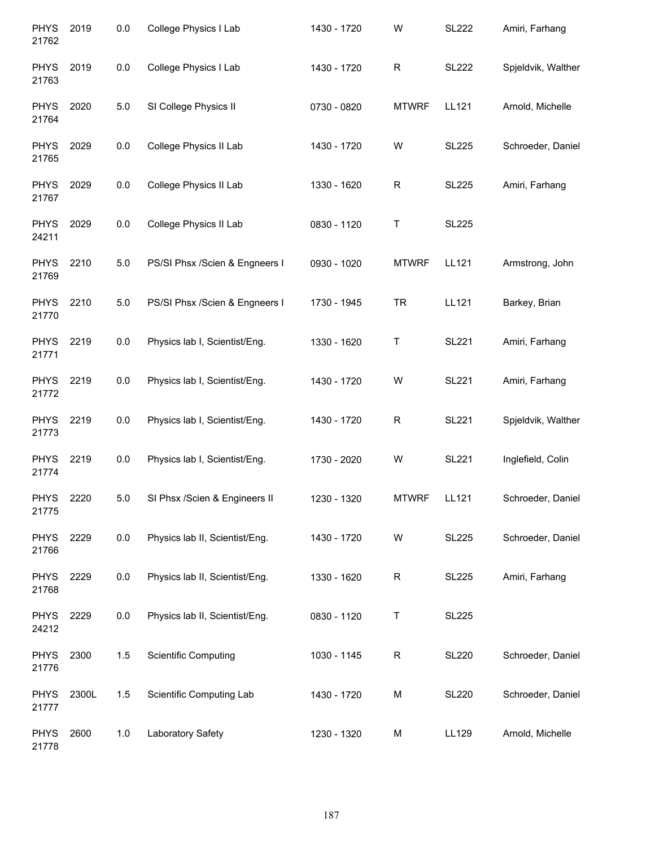| <b>PHYS</b><br>21762 | 2019  | 0.0     | College Physics I Lab          | 1430 - 1720 | W            | <b>SL222</b> | Amiri, Farhang     |
|----------------------|-------|---------|--------------------------------|-------------|--------------|--------------|--------------------|
| <b>PHYS</b><br>21763 | 2019  | 0.0     | College Physics I Lab          | 1430 - 1720 | R            | <b>SL222</b> | Spjeldvik, Walther |
| <b>PHYS</b><br>21764 | 2020  | 5.0     | SI College Physics II          | 0730 - 0820 | <b>MTWRF</b> | LL121        | Arnold, Michelle   |
| <b>PHYS</b><br>21765 | 2029  | 0.0     | College Physics II Lab         | 1430 - 1720 | W            | <b>SL225</b> | Schroeder, Daniel  |
| <b>PHYS</b><br>21767 | 2029  | 0.0     | College Physics II Lab         | 1330 - 1620 | R            | <b>SL225</b> | Amiri, Farhang     |
| <b>PHYS</b><br>24211 | 2029  | 0.0     | College Physics II Lab         | 0830 - 1120 | T            | <b>SL225</b> |                    |
| <b>PHYS</b><br>21769 | 2210  | 5.0     | PS/SI Phsx /Scien & Engneers I | 0930 - 1020 | <b>MTWRF</b> | LL121        | Armstrong, John    |
| <b>PHYS</b><br>21770 | 2210  | $5.0\,$ | PS/SI Phsx /Scien & Engneers I | 1730 - 1945 | <b>TR</b>    | <b>LL121</b> | Barkey, Brian      |
| <b>PHYS</b><br>21771 | 2219  | 0.0     | Physics lab I, Scientist/Eng.  | 1330 - 1620 | T            | <b>SL221</b> | Amiri, Farhang     |
| <b>PHYS</b><br>21772 | 2219  | 0.0     | Physics lab I, Scientist/Eng.  | 1430 - 1720 | W            | <b>SL221</b> | Amiri, Farhang     |
| <b>PHYS</b><br>21773 | 2219  | 0.0     | Physics lab I, Scientist/Eng.  | 1430 - 1720 | $\mathsf R$  | <b>SL221</b> | Spjeldvik, Walther |
| <b>PHYS</b><br>21774 | 2219  | 0.0     | Physics lab I, Scientist/Eng.  | 1730 - 2020 | W            | <b>SL221</b> | Inglefield, Colin  |
| <b>PHYS</b><br>21775 | 2220  | 5.0     | SI Phsx /Scien & Engineers II  | 1230 - 1320 | <b>MTWRF</b> | LL121        | Schroeder, Daniel  |
| <b>PHYS</b><br>21766 | 2229  | 0.0     | Physics lab II, Scientist/Eng. | 1430 - 1720 | W            | <b>SL225</b> | Schroeder, Daniel  |
| <b>PHYS</b><br>21768 | 2229  | 0.0     | Physics lab II, Scientist/Eng. | 1330 - 1620 | R            | <b>SL225</b> | Amiri, Farhang     |
| <b>PHYS</b><br>24212 | 2229  | 0.0     | Physics lab II, Scientist/Eng. | 0830 - 1120 | T            | <b>SL225</b> |                    |
| <b>PHYS</b><br>21776 | 2300  | 1.5     | <b>Scientific Computing</b>    | 1030 - 1145 | R            | <b>SL220</b> | Schroeder, Daniel  |
| <b>PHYS</b><br>21777 | 2300L | 1.5     | Scientific Computing Lab       | 1430 - 1720 | M            | <b>SL220</b> | Schroeder, Daniel  |
| <b>PHYS</b><br>21778 | 2600  | 1.0     | Laboratory Safety              | 1230 - 1320 | M            | LL129        | Arnold, Michelle   |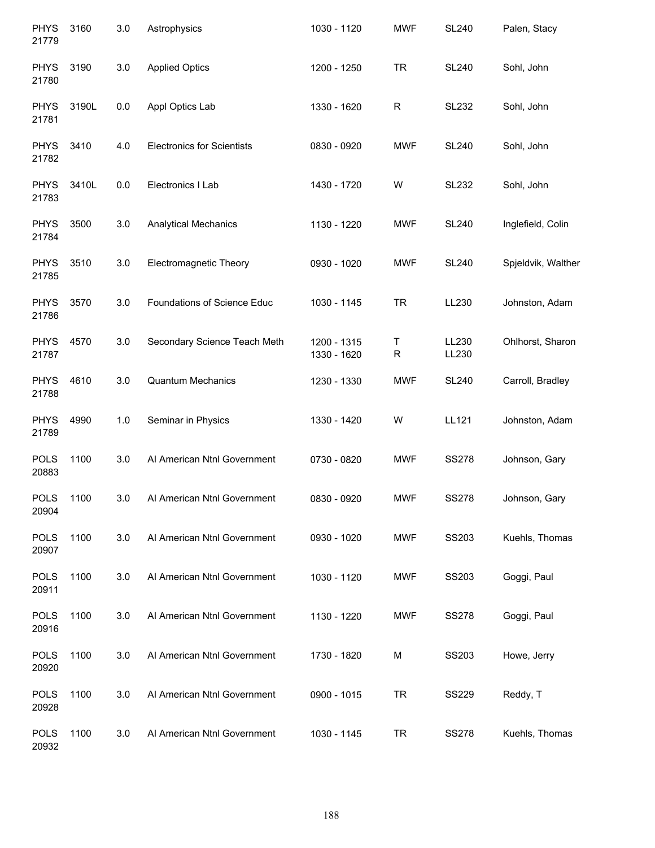| <b>PHYS</b><br>21779 | 3160  | 3.0 | Astrophysics                      | 1030 - 1120                | <b>MWF</b>     | <b>SL240</b>   | Palen, Stacy       |
|----------------------|-------|-----|-----------------------------------|----------------------------|----------------|----------------|--------------------|
| <b>PHYS</b><br>21780 | 3190  | 3.0 | <b>Applied Optics</b>             | 1200 - 1250                | <b>TR</b>      | <b>SL240</b>   | Sohl, John         |
| <b>PHYS</b><br>21781 | 3190L | 0.0 | Appl Optics Lab                   | 1330 - 1620                | R              | <b>SL232</b>   | Sohl, John         |
| <b>PHYS</b><br>21782 | 3410  | 4.0 | <b>Electronics for Scientists</b> | 0830 - 0920                | <b>MWF</b>     | <b>SL240</b>   | Sohl, John         |
| <b>PHYS</b><br>21783 | 3410L | 0.0 | Electronics I Lab                 | 1430 - 1720                | W              | <b>SL232</b>   | Sohl, John         |
| <b>PHYS</b><br>21784 | 3500  | 3.0 | <b>Analytical Mechanics</b>       | 1130 - 1220                | <b>MWF</b>     | <b>SL240</b>   | Inglefield, Colin  |
| <b>PHYS</b><br>21785 | 3510  | 3.0 | Electromagnetic Theory            | 0930 - 1020                | <b>MWF</b>     | <b>SL240</b>   | Spjeldvik, Walther |
| <b>PHYS</b><br>21786 | 3570  | 3.0 | Foundations of Science Educ       | 1030 - 1145                | <b>TR</b>      | LL230          | Johnston, Adam     |
| <b>PHYS</b><br>21787 | 4570  | 3.0 | Secondary Science Teach Meth      | 1200 - 1315<br>1330 - 1620 | Τ<br>${\sf R}$ | LL230<br>LL230 | Ohlhorst, Sharon   |
| <b>PHYS</b><br>21788 | 4610  | 3.0 | <b>Quantum Mechanics</b>          | 1230 - 1330                | <b>MWF</b>     | <b>SL240</b>   | Carroll, Bradley   |
| <b>PHYS</b><br>21789 | 4990  | 1.0 | Seminar in Physics                | 1330 - 1420                | W              | LL121          | Johnston, Adam     |
| <b>POLS</b><br>20883 | 1100  | 3.0 | Al American Ntnl Government       | 0730 - 0820                | <b>MWF</b>     | <b>SS278</b>   | Johnson, Gary      |
| <b>POLS</b><br>20904 | 1100  | 3.0 | Al American Ntnl Government       | 0830 - 0920                | <b>MWF</b>     | <b>SS278</b>   | Johnson, Gary      |
| <b>POLS</b><br>20907 | 1100  | 3.0 | Al American Ntnl Government       | 0930 - 1020                | <b>MWF</b>     | SS203          | Kuehls, Thomas     |
| <b>POLS</b><br>20911 | 1100  | 3.0 | Al American Ntnl Government       | 1030 - 1120                | <b>MWF</b>     | SS203          | Goggi, Paul        |
| <b>POLS</b><br>20916 | 1100  | 3.0 | Al American Ntnl Government       | 1130 - 1220                | <b>MWF</b>     | <b>SS278</b>   | Goggi, Paul        |
| <b>POLS</b><br>20920 | 1100  | 3.0 | Al American Ntnl Government       | 1730 - 1820                | M              | SS203          | Howe, Jerry        |
| <b>POLS</b><br>20928 | 1100  | 3.0 | Al American Ntnl Government       | 0900 - 1015                | <b>TR</b>      | <b>SS229</b>   | Reddy, T           |
| <b>POLS</b><br>20932 | 1100  | 3.0 | Al American Ntnl Government       | 1030 - 1145                | <b>TR</b>      | <b>SS278</b>   | Kuehls, Thomas     |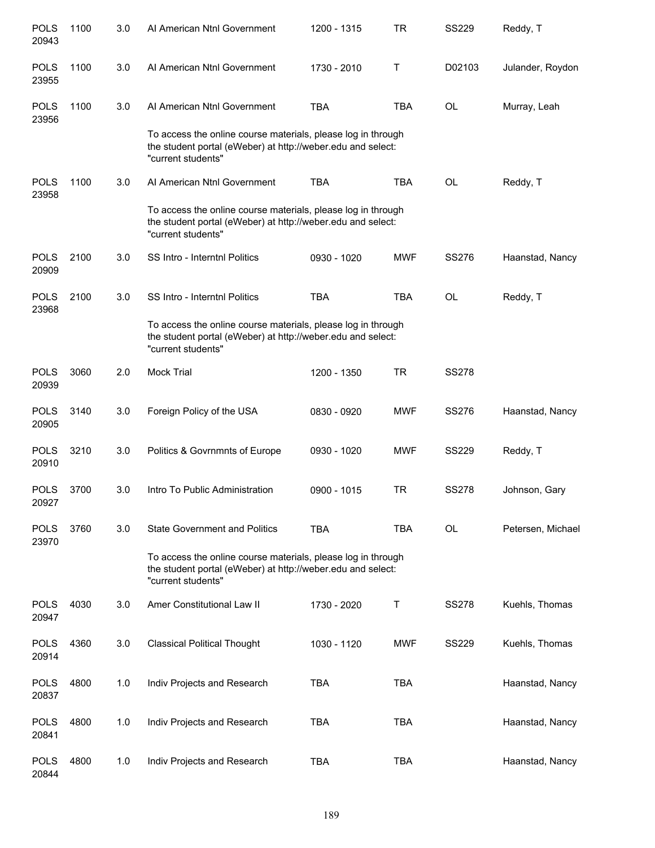| <b>POLS</b><br>20943 | 1100 | 3.0 | Al American Ntnl Government                                                                                                                       | 1200 - 1315 | <b>TR</b>  | <b>SS229</b> | Reddy, T          |
|----------------------|------|-----|---------------------------------------------------------------------------------------------------------------------------------------------------|-------------|------------|--------------|-------------------|
| <b>POLS</b><br>23955 | 1100 | 3.0 | Al American Ntnl Government                                                                                                                       | 1730 - 2010 | Т          | D02103       | Julander, Roydon  |
| <b>POLS</b><br>23956 | 1100 | 3.0 | Al American Ntnl Government                                                                                                                       | <b>TBA</b>  | <b>TBA</b> | <b>OL</b>    | Murray, Leah      |
|                      |      |     | To access the online course materials, please log in through<br>the student portal (eWeber) at http://weber.edu and select:<br>"current students" |             |            |              |                   |
| <b>POLS</b><br>23958 | 1100 | 3.0 | Al American Ntnl Government                                                                                                                       | <b>TBA</b>  | <b>TBA</b> | <b>OL</b>    | Reddy, T          |
|                      |      |     | To access the online course materials, please log in through<br>the student portal (eWeber) at http://weber.edu and select:<br>"current students" |             |            |              |                   |
| <b>POLS</b><br>20909 | 2100 | 3.0 | <b>SS Intro - Interntnl Politics</b>                                                                                                              | 0930 - 1020 | <b>MWF</b> | <b>SS276</b> | Haanstad, Nancy   |
| <b>POLS</b><br>23968 | 2100 | 3.0 | SS Intro - Interntnl Politics                                                                                                                     | <b>TBA</b>  | <b>TBA</b> | <b>OL</b>    | Reddy, T          |
|                      |      |     | To access the online course materials, please log in through<br>the student portal (eWeber) at http://weber.edu and select:<br>"current students" |             |            |              |                   |
| <b>POLS</b><br>20939 | 3060 | 2.0 | <b>Mock Trial</b>                                                                                                                                 | 1200 - 1350 | <b>TR</b>  | <b>SS278</b> |                   |
| <b>POLS</b><br>20905 | 3140 | 3.0 | Foreign Policy of the USA                                                                                                                         | 0830 - 0920 | <b>MWF</b> | <b>SS276</b> | Haanstad, Nancy   |
| <b>POLS</b><br>20910 | 3210 | 3.0 | Politics & Govrnmnts of Europe                                                                                                                    | 0930 - 1020 | <b>MWF</b> | <b>SS229</b> | Reddy, T          |
| <b>POLS</b><br>20927 | 3700 | 3.0 | Intro To Public Administration                                                                                                                    | 0900 - 1015 | <b>TR</b>  | <b>SS278</b> | Johnson, Gary     |
| <b>POLS</b><br>23970 | 3760 | 3.0 | <b>State Government and Politics</b>                                                                                                              | <b>TBA</b>  | <b>TBA</b> | OL           | Petersen, Michael |
|                      |      |     | To access the online course materials, please log in through<br>the student portal (eWeber) at http://weber.edu and select:<br>"current students" |             |            |              |                   |
| <b>POLS</b><br>20947 | 4030 | 3.0 | Amer Constitutional Law II                                                                                                                        | 1730 - 2020 | Т          | <b>SS278</b> | Kuehls, Thomas    |
| <b>POLS</b><br>20914 | 4360 | 3.0 | <b>Classical Political Thought</b>                                                                                                                | 1030 - 1120 | MWF        | <b>SS229</b> | Kuehls, Thomas    |
| <b>POLS</b><br>20837 | 4800 | 1.0 | Indiv Projects and Research                                                                                                                       | TBA         | <b>TBA</b> |              | Haanstad, Nancy   |
| <b>POLS</b><br>20841 | 4800 | 1.0 | Indiv Projects and Research                                                                                                                       | <b>TBA</b>  | <b>TBA</b> |              | Haanstad, Nancy   |
| <b>POLS</b><br>20844 | 4800 | 1.0 | Indiv Projects and Research                                                                                                                       | <b>TBA</b>  | <b>TBA</b> |              | Haanstad, Nancy   |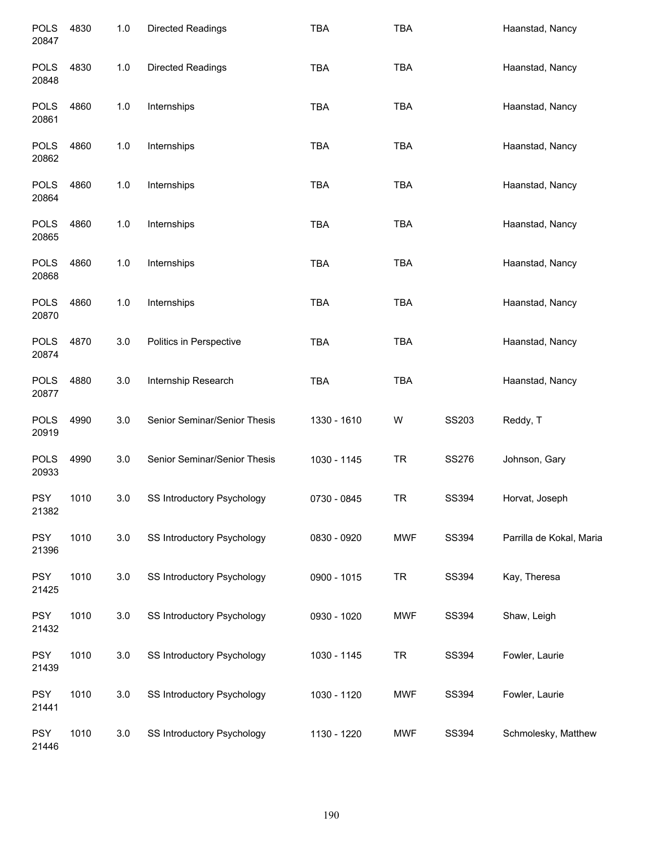| <b>POLS</b><br>20847 | 4830 | $1.0$ | <b>Directed Readings</b>     | <b>TBA</b>  | <b>TBA</b> |       | Haanstad, Nancy          |
|----------------------|------|-------|------------------------------|-------------|------------|-------|--------------------------|
| <b>POLS</b><br>20848 | 4830 | 1.0   | Directed Readings            | <b>TBA</b>  | <b>TBA</b> |       | Haanstad, Nancy          |
| <b>POLS</b><br>20861 | 4860 | 1.0   | Internships                  | <b>TBA</b>  | <b>TBA</b> |       | Haanstad, Nancy          |
| <b>POLS</b><br>20862 | 4860 | 1.0   | Internships                  | <b>TBA</b>  | <b>TBA</b> |       | Haanstad, Nancy          |
| <b>POLS</b><br>20864 | 4860 | 1.0   | Internships                  | <b>TBA</b>  | <b>TBA</b> |       | Haanstad, Nancy          |
| <b>POLS</b><br>20865 | 4860 | 1.0   | Internships                  | <b>TBA</b>  | <b>TBA</b> |       | Haanstad, Nancy          |
| <b>POLS</b><br>20868 | 4860 | 1.0   | Internships                  | <b>TBA</b>  | <b>TBA</b> |       | Haanstad, Nancy          |
| <b>POLS</b><br>20870 | 4860 | 1.0   | Internships                  | <b>TBA</b>  | <b>TBA</b> |       | Haanstad, Nancy          |
| <b>POLS</b><br>20874 | 4870 | 3.0   | Politics in Perspective      | <b>TBA</b>  | <b>TBA</b> |       | Haanstad, Nancy          |
| <b>POLS</b><br>20877 | 4880 | 3.0   | Internship Research          | <b>TBA</b>  | <b>TBA</b> |       | Haanstad, Nancy          |
| <b>POLS</b><br>20919 | 4990 | 3.0   | Senior Seminar/Senior Thesis | 1330 - 1610 | W          | SS203 | Reddy, T                 |
| <b>POLS</b><br>20933 | 4990 | 3.0   | Senior Seminar/Senior Thesis | 1030 - 1145 | <b>TR</b>  | SS276 | Johnson, Gary            |
| <b>PSY</b><br>21382  | 1010 | 3.0   | SS Introductory Psychology   | 0730 - 0845 | TR         | SS394 | Horvat, Joseph           |
| <b>PSY</b><br>21396  | 1010 | 3.0   | SS Introductory Psychology   | 0830 - 0920 | <b>MWF</b> | SS394 | Parrilla de Kokal, Maria |
| <b>PSY</b><br>21425  | 1010 | 3.0   | SS Introductory Psychology   | 0900 - 1015 | <b>TR</b>  | SS394 | Kay, Theresa             |
| <b>PSY</b><br>21432  | 1010 | 3.0   | SS Introductory Psychology   | 0930 - 1020 | <b>MWF</b> | SS394 | Shaw, Leigh              |
| <b>PSY</b><br>21439  | 1010 | 3.0   | SS Introductory Psychology   | 1030 - 1145 | <b>TR</b>  | SS394 | Fowler, Laurie           |
| <b>PSY</b><br>21441  | 1010 | 3.0   | SS Introductory Psychology   | 1030 - 1120 | <b>MWF</b> | SS394 | Fowler, Laurie           |
| <b>PSY</b><br>21446  | 1010 | 3.0   | SS Introductory Psychology   | 1130 - 1220 | <b>MWF</b> | SS394 | Schmolesky, Matthew      |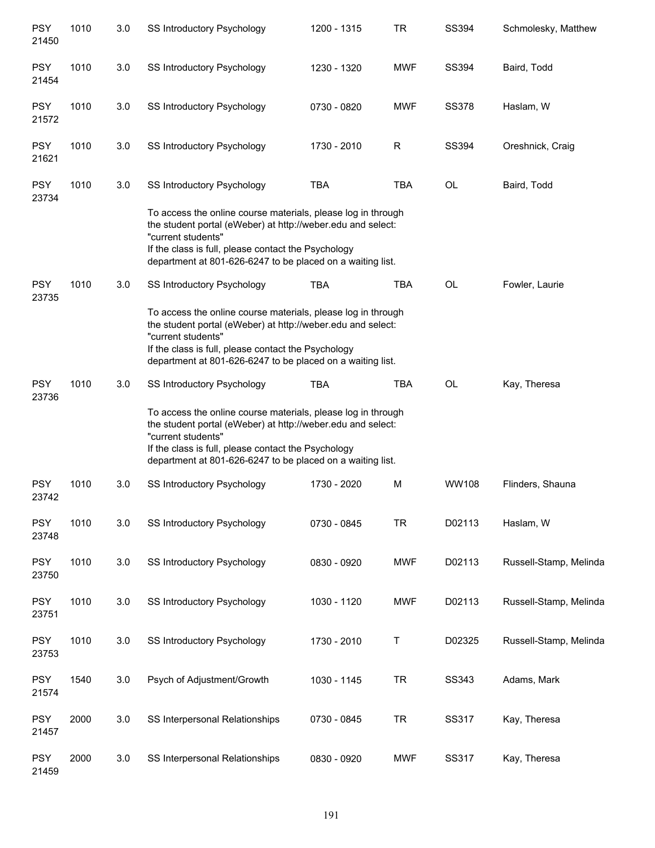| <b>PSY</b><br>21450 | 1010 | 3.0 | SS Introductory Psychology                                                                                                                                                                                                                                             | 1200 - 1315 | <b>TR</b>  | SS394        | Schmolesky, Matthew    |  |  |
|---------------------|------|-----|------------------------------------------------------------------------------------------------------------------------------------------------------------------------------------------------------------------------------------------------------------------------|-------------|------------|--------------|------------------------|--|--|
| <b>PSY</b><br>21454 | 1010 | 3.0 | SS Introductory Psychology                                                                                                                                                                                                                                             | 1230 - 1320 | <b>MWF</b> | SS394        | Baird, Todd            |  |  |
| <b>PSY</b><br>21572 | 1010 | 3.0 | SS Introductory Psychology                                                                                                                                                                                                                                             | 0730 - 0820 | <b>MWF</b> | <b>SS378</b> | Haslam, W              |  |  |
| <b>PSY</b><br>21621 | 1010 | 3.0 | SS Introductory Psychology                                                                                                                                                                                                                                             | 1730 - 2010 | R          | <b>SS394</b> | Oreshnick, Craig       |  |  |
| <b>PSY</b><br>23734 | 1010 | 3.0 | SS Introductory Psychology                                                                                                                                                                                                                                             | <b>TBA</b>  | <b>TBA</b> | OL           | Baird, Todd            |  |  |
|                     |      |     | To access the online course materials, please log in through<br>the student portal (eWeber) at http://weber.edu and select:<br>"current students"<br>If the class is full, please contact the Psychology<br>department at 801-626-6247 to be placed on a waiting list. |             |            |              |                        |  |  |
| <b>PSY</b><br>23735 | 1010 | 3.0 | SS Introductory Psychology                                                                                                                                                                                                                                             | <b>TBA</b>  | <b>TBA</b> | <b>OL</b>    | Fowler, Laurie         |  |  |
|                     |      |     | To access the online course materials, please log in through<br>the student portal (eWeber) at http://weber.edu and select:<br>"current students"<br>If the class is full, please contact the Psychology<br>department at 801-626-6247 to be placed on a waiting list. |             |            |              |                        |  |  |
| <b>PSY</b><br>23736 | 1010 | 3.0 | SS Introductory Psychology                                                                                                                                                                                                                                             | <b>TBA</b>  | <b>TBA</b> | OL           | Kay, Theresa           |  |  |
|                     |      |     | To access the online course materials, please log in through<br>the student portal (eWeber) at http://weber.edu and select:<br>"current students"<br>If the class is full, please contact the Psychology<br>department at 801-626-6247 to be placed on a waiting list. |             |            |              |                        |  |  |
| <b>PSY</b><br>23742 | 1010 | 3.0 | SS Introductory Psychology                                                                                                                                                                                                                                             | 1730 - 2020 | M          | WW108        | Flinders, Shauna       |  |  |
| <b>PSY</b><br>23748 | 1010 | 3.0 | SS Introductory Psychology                                                                                                                                                                                                                                             | 0730 - 0845 | <b>TR</b>  | D02113       | Haslam, W              |  |  |
| <b>PSY</b><br>23750 | 1010 | 3.0 | <b>SS Introductory Psychology</b>                                                                                                                                                                                                                                      | 0830 - 0920 | <b>MWF</b> | D02113       | Russell-Stamp, Melinda |  |  |
| <b>PSY</b><br>23751 | 1010 | 3.0 | <b>SS Introductory Psychology</b>                                                                                                                                                                                                                                      | 1030 - 1120 | <b>MWF</b> | D02113       | Russell-Stamp, Melinda |  |  |
| <b>PSY</b><br>23753 | 1010 | 3.0 | <b>SS Introductory Psychology</b>                                                                                                                                                                                                                                      | 1730 - 2010 | Τ          | D02325       | Russell-Stamp, Melinda |  |  |
| <b>PSY</b><br>21574 | 1540 | 3.0 | Psych of Adjustment/Growth                                                                                                                                                                                                                                             | 1030 - 1145 | <b>TR</b>  | SS343        | Adams, Mark            |  |  |
| <b>PSY</b><br>21457 | 2000 | 3.0 | SS Interpersonal Relationships                                                                                                                                                                                                                                         | 0730 - 0845 | <b>TR</b>  | SS317        | Kay, Theresa           |  |  |
| <b>PSY</b><br>21459 | 2000 | 3.0 | SS Interpersonal Relationships                                                                                                                                                                                                                                         | 0830 - 0920 | <b>MWF</b> | SS317        | Kay, Theresa           |  |  |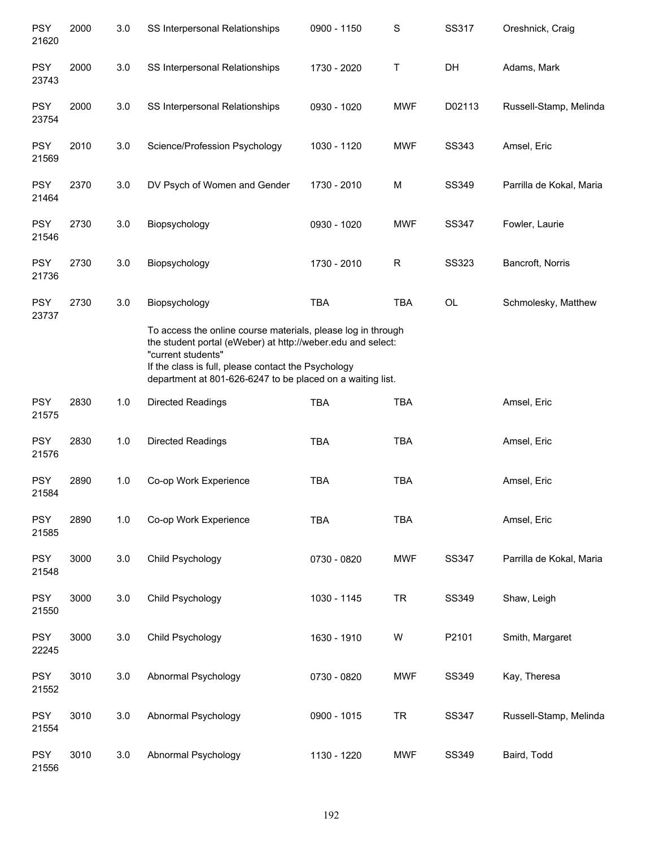| <b>PSY</b><br>21620 | 2000 | 3.0 | SS Interpersonal Relationships | 0900 - 1150                                                                                                                                                                                                                                      | $\mathbf S$ | SS317        | Oreshnick, Craig         |  |  |  |  |
|---------------------|------|-----|--------------------------------|--------------------------------------------------------------------------------------------------------------------------------------------------------------------------------------------------------------------------------------------------|-------------|--------------|--------------------------|--|--|--|--|
| <b>PSY</b><br>23743 | 2000 | 3.0 | SS Interpersonal Relationships | 1730 - 2020                                                                                                                                                                                                                                      | Τ           | DH           | Adams, Mark              |  |  |  |  |
| <b>PSY</b><br>23754 | 2000 | 3.0 | SS Interpersonal Relationships | 0930 - 1020                                                                                                                                                                                                                                      | <b>MWF</b>  | D02113       | Russell-Stamp, Melinda   |  |  |  |  |
| <b>PSY</b><br>21569 | 2010 | 3.0 | Science/Profession Psychology  | 1030 - 1120                                                                                                                                                                                                                                      | <b>MWF</b>  | SS343        | Amsel, Eric              |  |  |  |  |
| <b>PSY</b><br>21464 | 2370 | 3.0 | DV Psych of Women and Gender   | 1730 - 2010                                                                                                                                                                                                                                      | М           | SS349        | Parrilla de Kokal, Maria |  |  |  |  |
| <b>PSY</b><br>21546 | 2730 | 3.0 | Biopsychology                  | 0930 - 1020                                                                                                                                                                                                                                      | <b>MWF</b>  | <b>SS347</b> | Fowler, Laurie           |  |  |  |  |
| <b>PSY</b><br>21736 | 2730 | 3.0 | Biopsychology                  | 1730 - 2010                                                                                                                                                                                                                                      | $\mathsf R$ | <b>SS323</b> | Bancroft, Norris         |  |  |  |  |
| <b>PSY</b><br>23737 | 2730 | 3.0 | Biopsychology                  | <b>TBA</b>                                                                                                                                                                                                                                       | TBA         | OL           | Schmolesky, Matthew      |  |  |  |  |
|                     |      |     | "current students"             | To access the online course materials, please log in through<br>the student portal (eWeber) at http://weber.edu and select:<br>If the class is full, please contact the Psychology<br>department at 801-626-6247 to be placed on a waiting list. |             |              |                          |  |  |  |  |
| <b>PSY</b><br>21575 | 2830 | 1.0 | Directed Readings              | <b>TBA</b>                                                                                                                                                                                                                                       | <b>TBA</b>  |              | Amsel, Eric              |  |  |  |  |
| <b>PSY</b><br>21576 | 2830 | 1.0 | <b>Directed Readings</b>       | <b>TBA</b>                                                                                                                                                                                                                                       | <b>TBA</b>  |              | Amsel, Eric              |  |  |  |  |
| <b>PSY</b><br>21584 | 2890 | 1.0 | Co-op Work Experience          | <b>TBA</b>                                                                                                                                                                                                                                       | <b>TBA</b>  |              | Amsel, Eric              |  |  |  |  |
| <b>PSY</b><br>21585 | 2890 | 1.0 | Co-op Work Experience          | <b>TBA</b>                                                                                                                                                                                                                                       | <b>TBA</b>  |              | Amsel, Eric              |  |  |  |  |
| <b>PSY</b><br>21548 | 3000 | 3.0 | Child Psychology               | 0730 - 0820                                                                                                                                                                                                                                      | <b>MWF</b>  | <b>SS347</b> | Parrilla de Kokal, Maria |  |  |  |  |
| <b>PSY</b><br>21550 | 3000 | 3.0 | Child Psychology               | 1030 - 1145                                                                                                                                                                                                                                      | <b>TR</b>   | SS349        | Shaw, Leigh              |  |  |  |  |
| <b>PSY</b><br>22245 | 3000 | 3.0 | Child Psychology               | 1630 - 1910                                                                                                                                                                                                                                      | W           | P2101        | Smith, Margaret          |  |  |  |  |
| <b>PSY</b><br>21552 | 3010 | 3.0 | Abnormal Psychology            | 0730 - 0820                                                                                                                                                                                                                                      | <b>MWF</b>  | SS349        | Kay, Theresa             |  |  |  |  |
| <b>PSY</b><br>21554 | 3010 | 3.0 | Abnormal Psychology            | 0900 - 1015                                                                                                                                                                                                                                      | <b>TR</b>   | <b>SS347</b> | Russell-Stamp, Melinda   |  |  |  |  |
| <b>PSY</b><br>21556 | 3010 | 3.0 | Abnormal Psychology            | 1130 - 1220                                                                                                                                                                                                                                      | <b>MWF</b>  | SS349        | Baird, Todd              |  |  |  |  |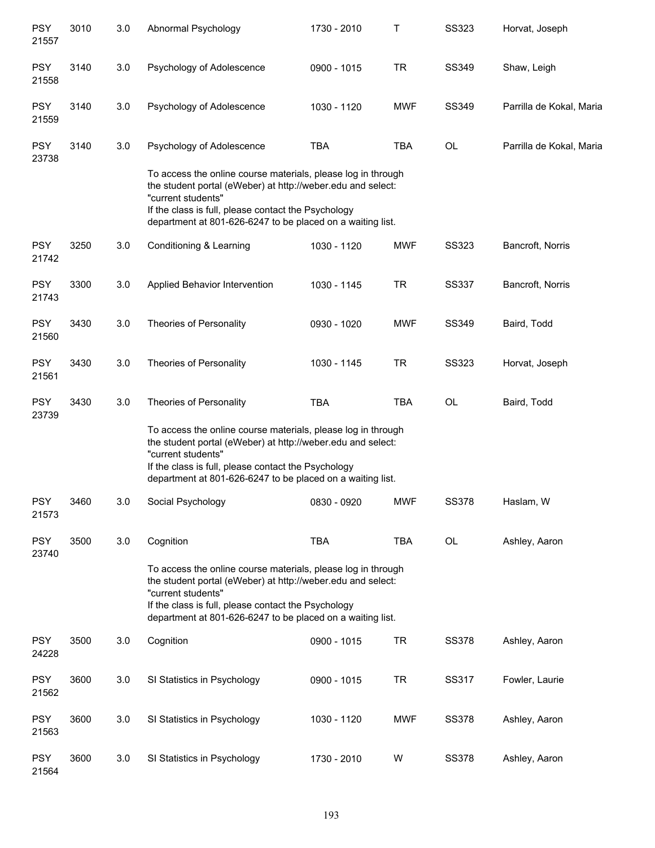| <b>PSY</b><br>21557 | 3010 | 3.0 | Abnormal Psychology                                                                                                                                                                                                                                                    | 1730 - 2010 | Τ          | <b>SS323</b> | Horvat, Joseph           |
|---------------------|------|-----|------------------------------------------------------------------------------------------------------------------------------------------------------------------------------------------------------------------------------------------------------------------------|-------------|------------|--------------|--------------------------|
| <b>PSY</b><br>21558 | 3140 | 3.0 | Psychology of Adolescence                                                                                                                                                                                                                                              | 0900 - 1015 | <b>TR</b>  | SS349        | Shaw, Leigh              |
| <b>PSY</b><br>21559 | 3140 | 3.0 | Psychology of Adolescence                                                                                                                                                                                                                                              | 1030 - 1120 | <b>MWF</b> | SS349        | Parrilla de Kokal, Maria |
| <b>PSY</b><br>23738 | 3140 | 3.0 | Psychology of Adolescence                                                                                                                                                                                                                                              | <b>TBA</b>  | <b>TBA</b> | OL           | Parrilla de Kokal, Maria |
|                     |      |     | To access the online course materials, please log in through<br>the student portal (eWeber) at http://weber.edu and select:<br>"current students"<br>If the class is full, please contact the Psychology<br>department at 801-626-6247 to be placed on a waiting list. |             |            |              |                          |
| <b>PSY</b><br>21742 | 3250 | 3.0 | Conditioning & Learning                                                                                                                                                                                                                                                | 1030 - 1120 | <b>MWF</b> | <b>SS323</b> | Bancroft, Norris         |
| <b>PSY</b><br>21743 | 3300 | 3.0 | Applied Behavior Intervention                                                                                                                                                                                                                                          | 1030 - 1145 | <b>TR</b>  | <b>SS337</b> | Bancroft, Norris         |
| <b>PSY</b><br>21560 | 3430 | 3.0 | Theories of Personality                                                                                                                                                                                                                                                | 0930 - 1020 | <b>MWF</b> | SS349        | Baird, Todd              |
| <b>PSY</b><br>21561 | 3430 | 3.0 | Theories of Personality                                                                                                                                                                                                                                                | 1030 - 1145 | <b>TR</b>  | <b>SS323</b> | Horvat, Joseph           |
| <b>PSY</b><br>23739 | 3430 | 3.0 | Theories of Personality                                                                                                                                                                                                                                                | <b>TBA</b>  | <b>TBA</b> | <b>OL</b>    | Baird, Todd              |
|                     |      |     | To access the online course materials, please log in through<br>the student portal (eWeber) at http://weber.edu and select:<br>"current students"<br>If the class is full, please contact the Psychology<br>department at 801-626-6247 to be placed on a waiting list. |             |            |              |                          |
| <b>PSY</b><br>21573 | 3460 | 3.0 | Social Psychology                                                                                                                                                                                                                                                      | 0830 - 0920 | <b>MWF</b> | SS378        | Haslam, W                |
| <b>PSY</b><br>23740 | 3500 | 3.0 | Cognition                                                                                                                                                                                                                                                              | <b>TBA</b>  | <b>TBA</b> | OL           | Ashley, Aaron            |
|                     |      |     | To access the online course materials, please log in through<br>the student portal (eWeber) at http://weber.edu and select:<br>"current students"<br>If the class is full, please contact the Psychology<br>department at 801-626-6247 to be placed on a waiting list. |             |            |              |                          |
| <b>PSY</b><br>24228 | 3500 | 3.0 | Cognition                                                                                                                                                                                                                                                              | 0900 - 1015 | <b>TR</b>  | <b>SS378</b> | Ashley, Aaron            |
| <b>PSY</b><br>21562 | 3600 | 3.0 | SI Statistics in Psychology                                                                                                                                                                                                                                            | 0900 - 1015 | <b>TR</b>  | SS317        | Fowler, Laurie           |
| <b>PSY</b><br>21563 | 3600 | 3.0 | SI Statistics in Psychology                                                                                                                                                                                                                                            | 1030 - 1120 | MWF        | <b>SS378</b> | Ashley, Aaron            |
| <b>PSY</b><br>21564 | 3600 | 3.0 | SI Statistics in Psychology                                                                                                                                                                                                                                            | 1730 - 2010 | W          | <b>SS378</b> | Ashley, Aaron            |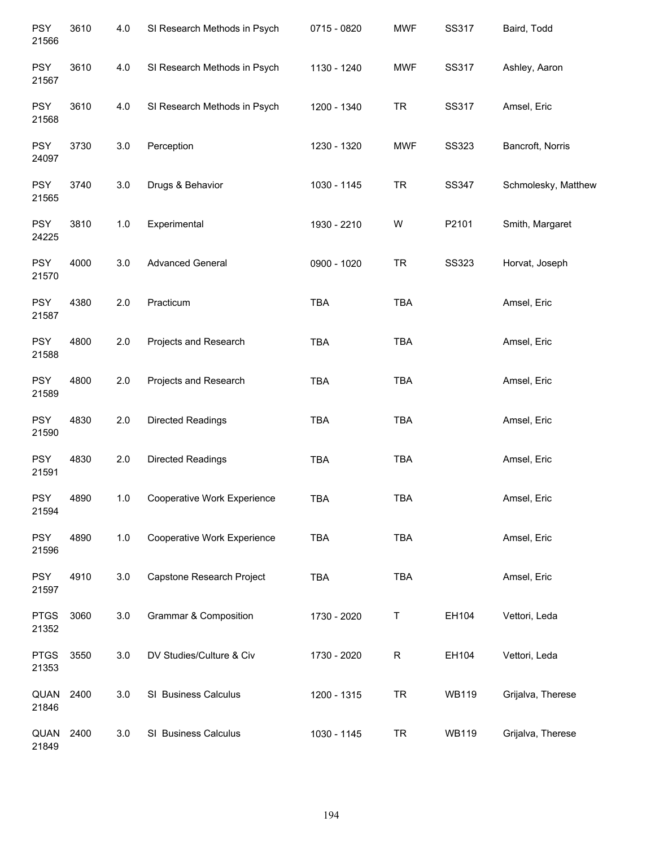| <b>PSY</b><br>21566  | 3610 | 4.0 | SI Research Methods in Psych     | 0715 - 0820 | <b>MWF</b> | SS317        | Baird, Todd         |
|----------------------|------|-----|----------------------------------|-------------|------------|--------------|---------------------|
| <b>PSY</b><br>21567  | 3610 | 4.0 | SI Research Methods in Psych     | 1130 - 1240 | <b>MWF</b> | SS317        | Ashley, Aaron       |
| <b>PSY</b><br>21568  | 3610 | 4.0 | SI Research Methods in Psych     | 1200 - 1340 | <b>TR</b>  | SS317        | Amsel, Eric         |
| <b>PSY</b><br>24097  | 3730 | 3.0 | Perception                       | 1230 - 1320 | <b>MWF</b> | <b>SS323</b> | Bancroft, Norris    |
| <b>PSY</b><br>21565  | 3740 | 3.0 | Drugs & Behavior                 | 1030 - 1145 | <b>TR</b>  | SS347        | Schmolesky, Matthew |
| <b>PSY</b><br>24225  | 3810 | 1.0 | Experimental                     | 1930 - 2210 | W          | P2101        | Smith, Margaret     |
| <b>PSY</b><br>21570  | 4000 | 3.0 | <b>Advanced General</b>          | 0900 - 1020 | <b>TR</b>  | <b>SS323</b> | Horvat, Joseph      |
| <b>PSY</b><br>21587  | 4380 | 2.0 | Practicum                        | TBA         | <b>TBA</b> |              | Amsel, Eric         |
| <b>PSY</b><br>21588  | 4800 | 2.0 | Projects and Research            | TBA         | TBA        |              | Amsel, Eric         |
| <b>PSY</b><br>21589  | 4800 | 2.0 | Projects and Research            | <b>TBA</b>  | TBA        |              | Amsel, Eric         |
| <b>PSY</b><br>21590  | 4830 | 2.0 | Directed Readings                | TBA         | <b>TBA</b> |              | Amsel, Eric         |
| <b>PSY</b><br>21591  | 4830 | 2.0 | Directed Readings                | <b>TBA</b>  | TBA        |              | Amsel, Eric         |
| <b>PSY</b><br>21594  | 4890 | 1.0 | Cooperative Work Experience      | <b>TBA</b>  | <b>TBA</b> |              | Amsel, Eric         |
| <b>PSY</b><br>21596  | 4890 | 1.0 | Cooperative Work Experience      | TBA         | TBA        |              | Amsel, Eric         |
| <b>PSY</b><br>21597  | 4910 | 3.0 | Capstone Research Project        | TBA         | <b>TBA</b> |              | Amsel, Eric         |
| <b>PTGS</b><br>21352 | 3060 | 3.0 | <b>Grammar &amp; Composition</b> | 1730 - 2020 | T          | EH104        | Vettori, Leda       |
| <b>PTGS</b><br>21353 | 3550 | 3.0 | DV Studies/Culture & Civ         | 1730 - 2020 | R          | EH104        | Vettori, Leda       |
| QUAN<br>21846        | 2400 | 3.0 | SI Business Calculus             | 1200 - 1315 | <b>TR</b>  | <b>WB119</b> | Grijalva, Therese   |
| QUAN<br>21849        | 2400 | 3.0 | SI Business Calculus             | 1030 - 1145 | <b>TR</b>  | <b>WB119</b> | Grijalva, Therese   |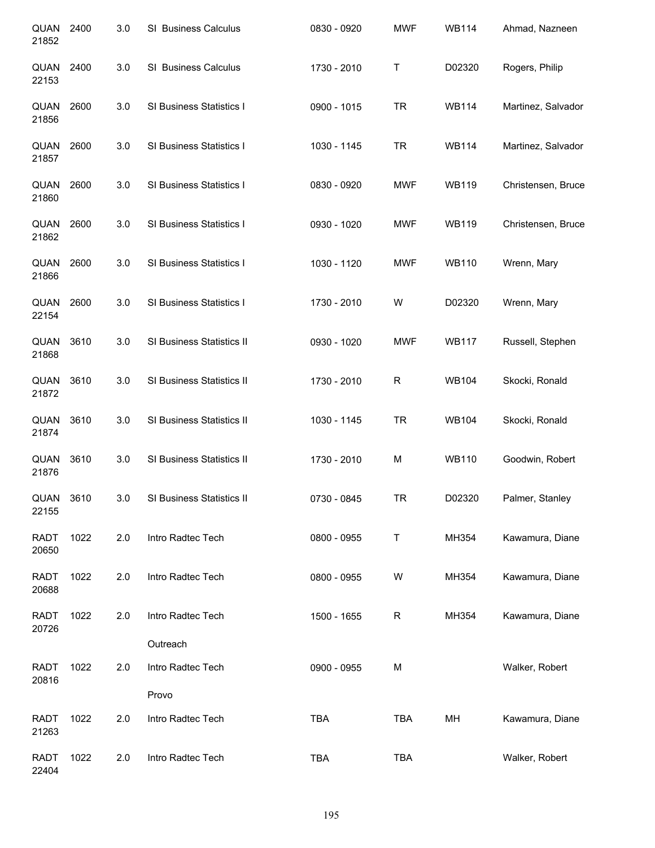| QUAN<br>21852        | 2400 | 3.0 | SI Business Calculus       | 0830 - 0920 | <b>MWF</b> | <b>WB114</b> | Ahmad, Nazneen     |
|----------------------|------|-----|----------------------------|-------------|------------|--------------|--------------------|
| QUAN<br>22153        | 2400 | 3.0 | SI Business Calculus       | 1730 - 2010 | Τ          | D02320       | Rogers, Philip     |
| QUAN<br>21856        | 2600 | 3.0 | SI Business Statistics I   | 0900 - 1015 | <b>TR</b>  | <b>WB114</b> | Martinez, Salvador |
| QUAN<br>21857        | 2600 | 3.0 | SI Business Statistics I   | 1030 - 1145 | <b>TR</b>  | <b>WB114</b> | Martinez, Salvador |
| QUAN<br>21860        | 2600 | 3.0 | SI Business Statistics I   | 0830 - 0920 | <b>MWF</b> | <b>WB119</b> | Christensen, Bruce |
| QUAN<br>21862        | 2600 | 3.0 | SI Business Statistics I   | 0930 - 1020 | <b>MWF</b> | <b>WB119</b> | Christensen, Bruce |
| QUAN<br>21866        | 2600 | 3.0 | SI Business Statistics I   | 1030 - 1120 | <b>MWF</b> | <b>WB110</b> | Wrenn, Mary        |
| QUAN<br>22154        | 2600 | 3.0 | SI Business Statistics I   | 1730 - 2010 | W          | D02320       | Wrenn, Mary        |
| QUAN<br>21868        | 3610 | 3.0 | SI Business Statistics II  | 0930 - 1020 | <b>MWF</b> | <b>WB117</b> | Russell, Stephen   |
| QUAN<br>21872        | 3610 | 3.0 | SI Business Statistics II  | 1730 - 2010 | R          | <b>WB104</b> | Skocki, Ronald     |
| QUAN<br>21874        | 3610 | 3.0 | SI Business Statistics II  | 1030 - 1145 | <b>TR</b>  | <b>WB104</b> | Skocki, Ronald     |
| QUAN<br>21876        | 3610 | 3.0 | SI Business Statistics II  | 1730 - 2010 | M          | <b>WB110</b> | Goodwin, Robert    |
| QUAN<br>22155        | 3610 | 3.0 | SI Business Statistics II  | 0730 - 0845 | TR         | D02320       | Palmer, Stanley    |
| <b>RADT</b><br>20650 | 1022 | 2.0 | Intro Radtec Tech          | 0800 - 0955 | Τ          | MH354        | Kawamura, Diane    |
| <b>RADT</b><br>20688 | 1022 | 2.0 | Intro Radtec Tech          | 0800 - 0955 | W          | MH354        | Kawamura, Diane    |
| <b>RADT</b><br>20726 | 1022 | 2.0 | Intro Radtec Tech          | 1500 - 1655 | R          | MH354        | Kawamura, Diane    |
|                      |      |     | Outreach                   |             |            |              |                    |
| <b>RADT</b><br>20816 | 1022 | 2.0 | Intro Radtec Tech<br>Provo | 0900 - 0955 | М          |              | Walker, Robert     |
|                      | 1022 | 2.0 |                            |             | <b>TBA</b> | MH           |                    |
| <b>RADT</b><br>21263 |      |     | Intro Radtec Tech          | <b>TBA</b>  |            |              | Kawamura, Diane    |
| <b>RADT</b><br>22404 | 1022 | 2.0 | Intro Radtec Tech          | TBA         | <b>TBA</b> |              | Walker, Robert     |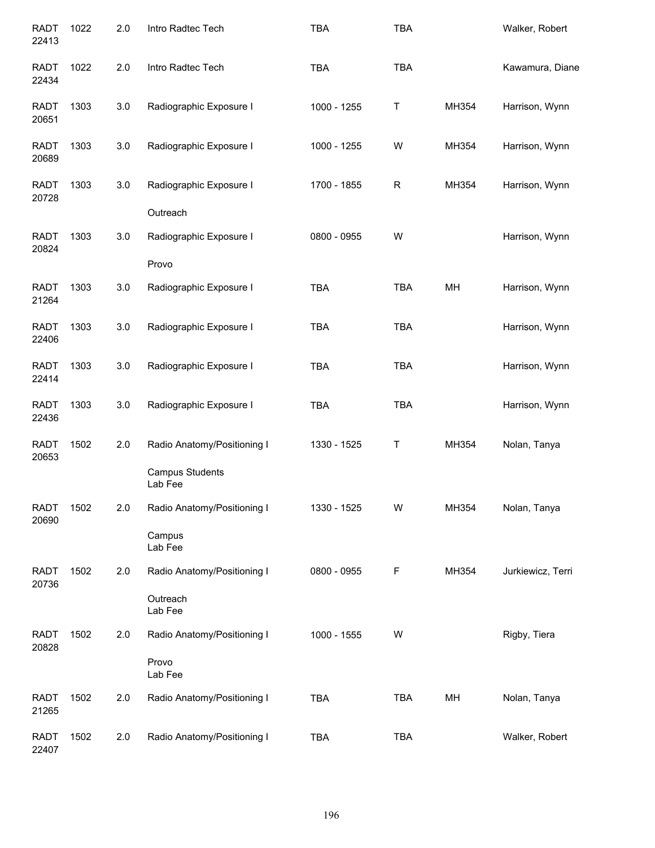| <b>RADT</b><br>22413 | 1022 | 2.0 | Intro Radtec Tech                                                | <b>TBA</b>  | <b>TBA</b>  |       | Walker, Robert    |
|----------------------|------|-----|------------------------------------------------------------------|-------------|-------------|-------|-------------------|
| <b>RADT</b><br>22434 | 1022 | 2.0 | Intro Radtec Tech                                                | <b>TBA</b>  | <b>TBA</b>  |       | Kawamura, Diane   |
| <b>RADT</b><br>20651 | 1303 | 3.0 | Radiographic Exposure I                                          | 1000 - 1255 | $\mathsf T$ | MH354 | Harrison, Wynn    |
| <b>RADT</b><br>20689 | 1303 | 3.0 | Radiographic Exposure I                                          | 1000 - 1255 | W           | MH354 | Harrison, Wynn    |
| <b>RADT</b><br>20728 | 1303 | 3.0 | Radiographic Exposure I<br>Outreach                              | 1700 - 1855 | $\mathsf R$ | MH354 | Harrison, Wynn    |
| <b>RADT</b><br>20824 | 1303 | 3.0 | Radiographic Exposure I<br>Provo                                 | 0800 - 0955 | W           |       | Harrison, Wynn    |
| <b>RADT</b><br>21264 | 1303 | 3.0 | Radiographic Exposure I                                          | <b>TBA</b>  | <b>TBA</b>  | MH    | Harrison, Wynn    |
| <b>RADT</b><br>22406 | 1303 | 3.0 | Radiographic Exposure I                                          | <b>TBA</b>  | <b>TBA</b>  |       | Harrison, Wynn    |
| <b>RADT</b><br>22414 | 1303 | 3.0 | Radiographic Exposure I                                          | <b>TBA</b>  | <b>TBA</b>  |       | Harrison, Wynn    |
| <b>RADT</b><br>22436 | 1303 | 3.0 | Radiographic Exposure I                                          | <b>TBA</b>  | <b>TBA</b>  |       | Harrison, Wynn    |
| <b>RADT</b><br>20653 | 1502 | 2.0 | Radio Anatomy/Positioning I<br><b>Campus Students</b><br>Lab Fee | 1330 - 1525 | Τ           | MH354 | Nolan, Tanya      |
| <b>RADT</b><br>20690 | 1502 | 2.0 | Radio Anatomy/Positioning I<br>Campus<br>Lab Fee                 | 1330 - 1525 | W           | MH354 | Nolan, Tanya      |
| <b>RADT</b><br>20736 | 1502 | 2.0 | Radio Anatomy/Positioning I<br>Outreach<br>Lab Fee               | 0800 - 0955 | F           | MH354 | Jurkiewicz, Terri |
| <b>RADT</b><br>20828 | 1502 | 2.0 | Radio Anatomy/Positioning I<br>Provo<br>Lab Fee                  | 1000 - 1555 | W           |       | Rigby, Tiera      |
| <b>RADT</b><br>21265 | 1502 | 2.0 | Radio Anatomy/Positioning I                                      | <b>TBA</b>  | <b>TBA</b>  | MH    | Nolan, Tanya      |
| <b>RADT</b><br>22407 | 1502 | 2.0 | Radio Anatomy/Positioning I                                      | <b>TBA</b>  | <b>TBA</b>  |       | Walker, Robert    |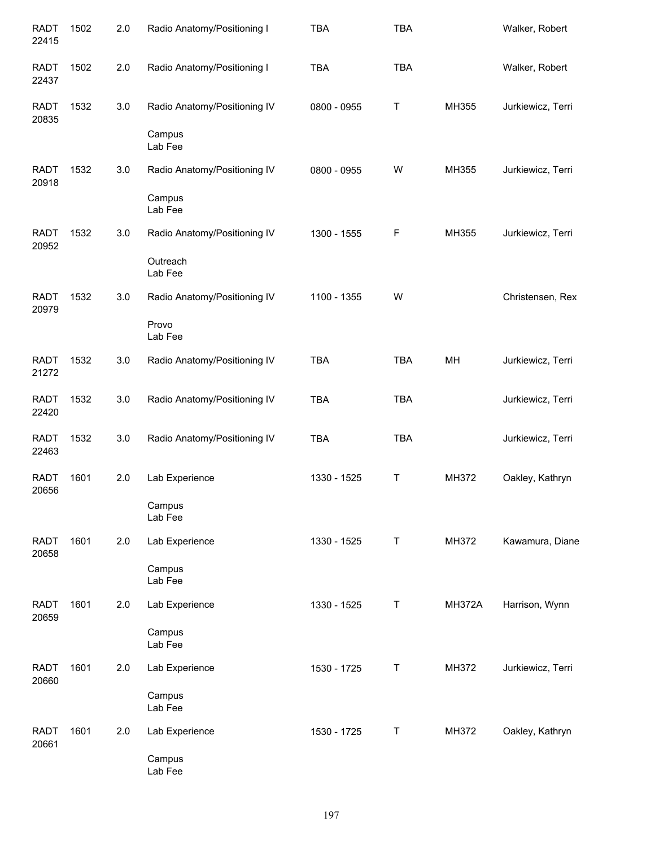| <b>RADT</b><br>22415 | 1502 | 2.0 | Radio Anatomy/Positioning I  | <b>TBA</b>  | <b>TBA</b> |               | Walker, Robert    |
|----------------------|------|-----|------------------------------|-------------|------------|---------------|-------------------|
| <b>RADT</b><br>22437 | 1502 | 2.0 | Radio Anatomy/Positioning I  | <b>TBA</b>  | <b>TBA</b> |               | Walker, Robert    |
| <b>RADT</b><br>20835 | 1532 | 3.0 | Radio Anatomy/Positioning IV | 0800 - 0955 | Τ          | MH355         | Jurkiewicz, Terri |
|                      |      |     | Campus<br>Lab Fee            |             |            |               |                   |
| <b>RADT</b><br>20918 | 1532 | 3.0 | Radio Anatomy/Positioning IV | 0800 - 0955 | W          | MH355         | Jurkiewicz, Terri |
|                      |      |     | Campus<br>Lab Fee            |             |            |               |                   |
| <b>RADT</b><br>20952 | 1532 | 3.0 | Radio Anatomy/Positioning IV | 1300 - 1555 | F          | MH355         | Jurkiewicz, Terri |
|                      |      |     | Outreach<br>Lab Fee          |             |            |               |                   |
| <b>RADT</b><br>20979 | 1532 | 3.0 | Radio Anatomy/Positioning IV | 1100 - 1355 | W          |               | Christensen, Rex  |
|                      |      |     | Provo<br>Lab Fee             |             |            |               |                   |
| <b>RADT</b><br>21272 | 1532 | 3.0 | Radio Anatomy/Positioning IV | <b>TBA</b>  | <b>TBA</b> | MH            | Jurkiewicz, Terri |
| <b>RADT</b><br>22420 | 1532 | 3.0 | Radio Anatomy/Positioning IV | <b>TBA</b>  | <b>TBA</b> |               | Jurkiewicz, Terri |
| <b>RADT</b><br>22463 | 1532 | 3.0 | Radio Anatomy/Positioning IV | <b>TBA</b>  | <b>TBA</b> |               | Jurkiewicz, Terri |
| <b>RADT</b><br>20656 | 1601 | 2.0 | Lab Experience               | 1330 - 1525 | Τ          | MH372         | Oakley, Kathryn   |
|                      |      |     | Campus<br>Lab Fee            |             |            |               |                   |
| <b>RADT</b><br>20658 | 1601 | 2.0 | Lab Experience               | 1330 - 1525 | $\top$     | MH372         | Kawamura, Diane   |
|                      |      |     | Campus<br>Lab Fee            |             |            |               |                   |
| <b>RADT</b><br>20659 | 1601 | 2.0 | Lab Experience               | 1330 - 1525 | $\top$     | <b>MH372A</b> | Harrison, Wynn    |
|                      |      |     | Campus<br>Lab Fee            |             |            |               |                   |
| <b>RADT</b><br>20660 | 1601 | 2.0 | Lab Experience               | 1530 - 1725 | $\sf T$    | MH372         | Jurkiewicz, Terri |
|                      |      |     | Campus<br>Lab Fee            |             |            |               |                   |
| <b>RADT</b><br>20661 | 1601 | 2.0 | Lab Experience               | 1530 - 1725 | $\sf T$    | MH372         | Oakley, Kathryn   |
|                      |      |     | Campus<br>Lab Fee            |             |            |               |                   |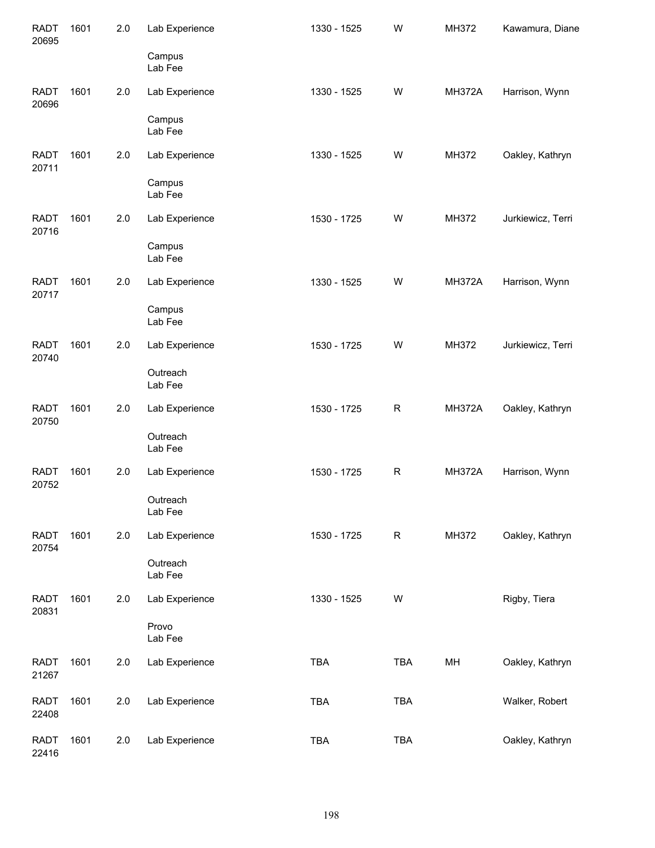| <b>RADT</b><br>20695 | 1601 | 2.0 | Lab Experience      | 1330 - 1525 | W           | MH372         | Kawamura, Diane   |
|----------------------|------|-----|---------------------|-------------|-------------|---------------|-------------------|
|                      |      |     | Campus<br>Lab Fee   |             |             |               |                   |
| <b>RADT</b><br>20696 | 1601 | 2.0 | Lab Experience      | 1330 - 1525 | W           | <b>MH372A</b> | Harrison, Wynn    |
|                      |      |     | Campus<br>Lab Fee   |             |             |               |                   |
| <b>RADT</b><br>20711 | 1601 | 2.0 | Lab Experience      | 1330 - 1525 | W           | MH372         | Oakley, Kathryn   |
|                      |      |     | Campus<br>Lab Fee   |             |             |               |                   |
| <b>RADT</b><br>20716 | 1601 | 2.0 | Lab Experience      | 1530 - 1725 | W           | MH372         | Jurkiewicz, Terri |
|                      |      |     | Campus<br>Lab Fee   |             |             |               |                   |
| <b>RADT</b><br>20717 | 1601 | 2.0 | Lab Experience      | 1330 - 1525 | W           | <b>MH372A</b> | Harrison, Wynn    |
|                      |      |     | Campus<br>Lab Fee   |             |             |               |                   |
| <b>RADT</b><br>20740 | 1601 | 2.0 | Lab Experience      | 1530 - 1725 | W           | MH372         | Jurkiewicz, Terri |
|                      |      |     | Outreach<br>Lab Fee |             |             |               |                   |
| <b>RADT</b><br>20750 | 1601 | 2.0 | Lab Experience      | 1530 - 1725 | $\mathsf R$ | <b>MH372A</b> | Oakley, Kathryn   |
|                      |      |     | Outreach<br>Lab Fee |             |             |               |                   |
| <b>RADT</b><br>20752 | 1601 | 2.0 | Lab Experience      | 1530 - 1725 | R           | <b>MH372A</b> | Harrison, Wynn    |
|                      |      |     | Outreach<br>Lab Fee |             |             |               |                   |
| <b>RADT</b><br>20754 | 1601 | 2.0 | Lab Experience      | 1530 - 1725 | R           | MH372         | Oakley, Kathryn   |
|                      |      |     | Outreach<br>Lab Fee |             |             |               |                   |
| <b>RADT</b><br>20831 | 1601 | 2.0 | Lab Experience      | 1330 - 1525 | W           |               | Rigby, Tiera      |
|                      |      |     | Provo<br>Lab Fee    |             |             |               |                   |
| <b>RADT</b><br>21267 | 1601 | 2.0 | Lab Experience      | <b>TBA</b>  | <b>TBA</b>  | MH            | Oakley, Kathryn   |
| <b>RADT</b><br>22408 | 1601 | 2.0 | Lab Experience      | <b>TBA</b>  | <b>TBA</b>  |               | Walker, Robert    |
| <b>RADT</b><br>22416 | 1601 | 2.0 | Lab Experience      | <b>TBA</b>  | TBA         |               | Oakley, Kathryn   |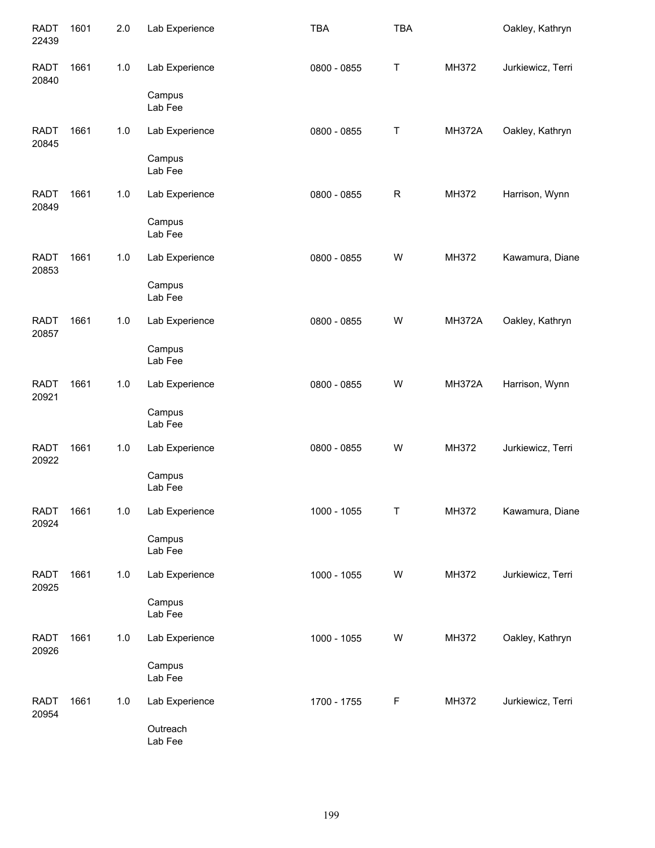| <b>RADT</b><br>22439 | 1601 | 2.0   | Lab Experience             | <b>TBA</b>  | <b>TBA</b>  |               | Oakley, Kathryn   |
|----------------------|------|-------|----------------------------|-------------|-------------|---------------|-------------------|
| <b>RADT</b><br>20840 | 1661 | $1.0$ | Lab Experience             | 0800 - 0855 | T           | MH372         | Jurkiewicz, Terri |
|                      |      |       | Campus<br>Lab Fee          |             |             |               |                   |
| <b>RADT</b><br>20845 | 1661 | 1.0   | Lab Experience             | 0800 - 0855 | $\mathsf T$ | <b>MH372A</b> | Oakley, Kathryn   |
|                      |      |       | Campus<br>Lab Fee          |             |             |               |                   |
| <b>RADT</b><br>20849 | 1661 | $1.0$ | Lab Experience             | 0800 - 0855 | $\mathsf R$ | MH372         | Harrison, Wynn    |
|                      |      |       | Campus<br>Lab Fee          |             |             |               |                   |
| <b>RADT</b><br>20853 | 1661 | 1.0   | Lab Experience             | 0800 - 0855 | W           | MH372         | Kawamura, Diane   |
|                      |      |       | Campus<br>Lab Fee          |             |             |               |                   |
| <b>RADT</b><br>20857 | 1661 | 1.0   | Lab Experience             | 0800 - 0855 | W           | <b>MH372A</b> | Oakley, Kathryn   |
|                      |      |       | Campus<br>Lab Fee          |             |             |               |                   |
| <b>RADT</b><br>20921 | 1661 | 1.0   | Lab Experience             | 0800 - 0855 | W           | <b>MH372A</b> | Harrison, Wynn    |
|                      |      |       | Campus<br>Lab Fee          |             |             |               |                   |
| <b>RADT</b><br>20922 | 1661 | $1.0$ | Lab Experience<br>Campus   | 0800 - 0855 | W           | MH372         | Jurkiewicz, Terri |
|                      |      |       | Lab Fee                    |             |             |               |                   |
| <b>RADT</b><br>20924 | 1661 | $1.0$ | Lab Experience<br>Campus   | 1000 - 1055 | Τ           | MH372         | Kawamura, Diane   |
|                      |      |       | Lab Fee                    |             |             |               |                   |
| <b>RADT</b><br>20925 | 1661 | $1.0$ | Lab Experience<br>Campus   | 1000 - 1055 | W           | MH372         | Jurkiewicz, Terri |
|                      |      |       | Lab Fee                    |             |             |               |                   |
| <b>RADT</b><br>20926 | 1661 | $1.0$ | Lab Experience<br>Campus   | 1000 - 1055 | W           | MH372         | Oakley, Kathryn   |
|                      |      |       | Lab Fee                    |             |             |               |                   |
| <b>RADT</b><br>20954 | 1661 | $1.0$ | Lab Experience<br>Outreach | 1700 - 1755 | F           | MH372         | Jurkiewicz, Terri |
|                      |      |       | Lab Fee                    |             |             |               |                   |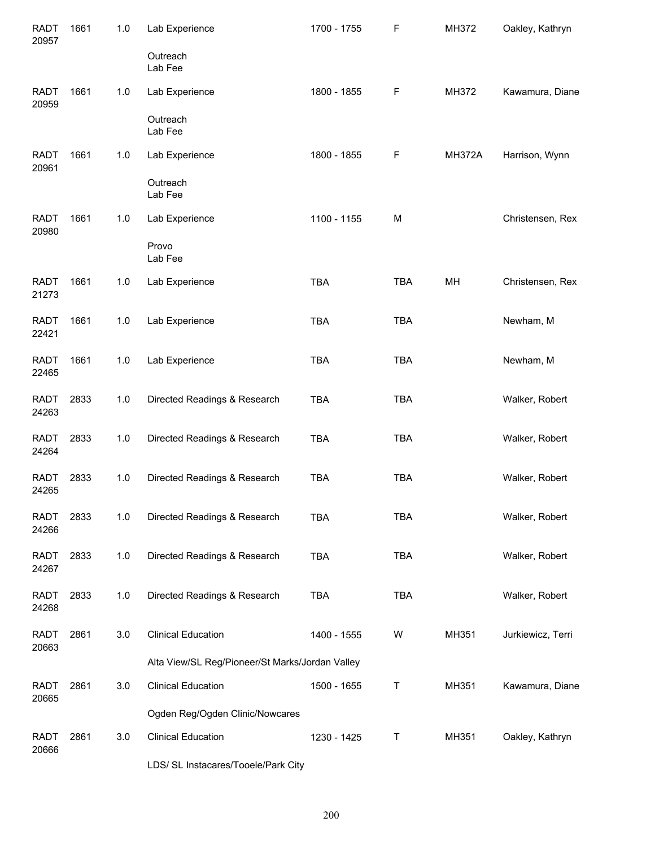| <b>RADT</b><br>20957 | 1661 | 1.0   | Lab Experience                                  | 1700 - 1755 | F          | MH372         | Oakley, Kathryn   |
|----------------------|------|-------|-------------------------------------------------|-------------|------------|---------------|-------------------|
|                      |      |       | Outreach<br>Lab Fee                             |             |            |               |                   |
| <b>RADT</b><br>20959 | 1661 | 1.0   | Lab Experience                                  | 1800 - 1855 | F          | MH372         | Kawamura, Diane   |
|                      |      |       | Outreach<br>Lab Fee                             |             |            |               |                   |
| <b>RADT</b><br>20961 | 1661 | 1.0   | Lab Experience                                  | 1800 - 1855 | F          | <b>MH372A</b> | Harrison, Wynn    |
|                      |      |       | Outreach<br>Lab Fee                             |             |            |               |                   |
| <b>RADT</b><br>20980 | 1661 | 1.0   | Lab Experience                                  | 1100 - 1155 | M          |               | Christensen, Rex  |
|                      |      |       | Provo<br>Lab Fee                                |             |            |               |                   |
| <b>RADT</b><br>21273 | 1661 | 1.0   | Lab Experience                                  | <b>TBA</b>  | <b>TBA</b> | MH            | Christensen, Rex  |
| <b>RADT</b><br>22421 | 1661 | 1.0   | Lab Experience                                  | <b>TBA</b>  | <b>TBA</b> |               | Newham, M         |
| <b>RADT</b><br>22465 | 1661 | $1.0$ | Lab Experience                                  | <b>TBA</b>  | <b>TBA</b> |               | Newham, M         |
| <b>RADT</b><br>24263 | 2833 | 1.0   | Directed Readings & Research                    | <b>TBA</b>  | <b>TBA</b> |               | Walker, Robert    |
| <b>RADT</b><br>24264 | 2833 | 1.0   | Directed Readings & Research                    | <b>TBA</b>  | <b>TBA</b> |               | Walker, Robert    |
| <b>RADT</b><br>24265 | 2833 | 1.0   | Directed Readings & Research                    | <b>TBA</b>  | <b>TBA</b> |               | Walker, Robert    |
| <b>RADT</b><br>24266 | 2833 | 1.0   | Directed Readings & Research                    | <b>TBA</b>  | <b>TBA</b> |               | Walker, Robert    |
| <b>RADT</b><br>24267 | 2833 | 1.0   | Directed Readings & Research                    | TBA         | <b>TBA</b> |               | Walker, Robert    |
| <b>RADT</b><br>24268 | 2833 | 1.0   | Directed Readings & Research                    | <b>TBA</b>  | <b>TBA</b> |               | Walker, Robert    |
| <b>RADT</b><br>20663 | 2861 | 3.0   | <b>Clinical Education</b>                       | 1400 - 1555 | W          | MH351         | Jurkiewicz, Terri |
|                      |      |       | Alta View/SL Reg/Pioneer/St Marks/Jordan Valley |             |            |               |                   |
| <b>RADT</b><br>20665 | 2861 | 3.0   | <b>Clinical Education</b>                       | 1500 - 1655 | T          | MH351         | Kawamura, Diane   |
|                      |      |       | Ogden Reg/Ogden Clinic/Nowcares                 |             |            |               |                   |
| <b>RADT</b><br>20666 | 2861 | 3.0   | <b>Clinical Education</b>                       | 1230 - 1425 | Τ          | MH351         | Oakley, Kathryn   |

LDS/ SL Instacares/Tooele/Park City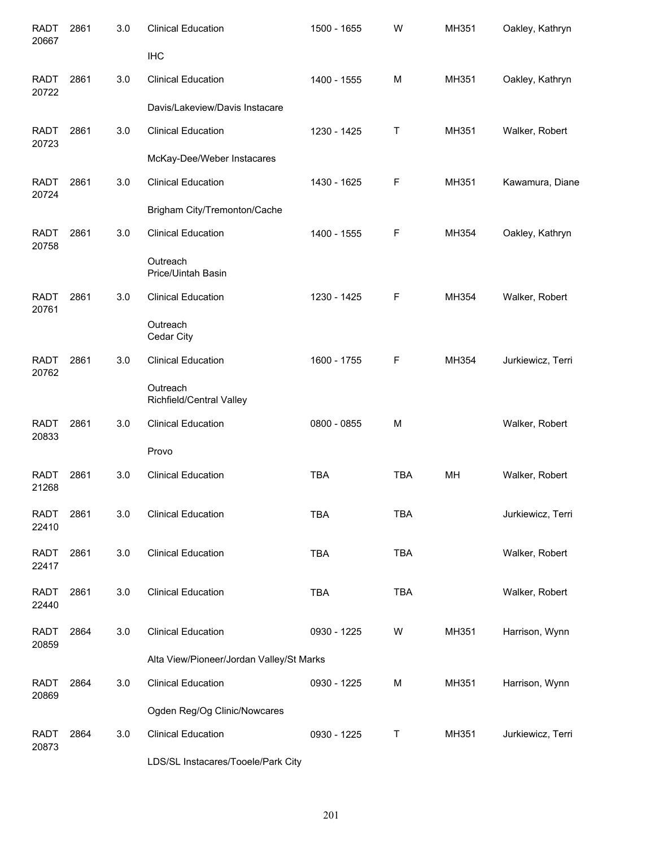| <b>RADT</b><br>20667 | 2861 | 3.0 | <b>Clinical Education</b>                | 1500 - 1655 | W          | MH351 | Oakley, Kathryn   |
|----------------------|------|-----|------------------------------------------|-------------|------------|-------|-------------------|
|                      |      |     | <b>IHC</b>                               |             |            |       |                   |
| <b>RADT</b><br>20722 | 2861 | 3.0 | <b>Clinical Education</b>                | 1400 - 1555 | M          | MH351 | Oakley, Kathryn   |
|                      |      |     | Davis/Lakeview/Davis Instacare           |             |            |       |                   |
| <b>RADT</b><br>20723 | 2861 | 3.0 | <b>Clinical Education</b>                | 1230 - 1425 | Τ          | MH351 | Walker, Robert    |
|                      |      |     | McKay-Dee/Weber Instacares               |             |            |       |                   |
| <b>RADT</b><br>20724 | 2861 | 3.0 | <b>Clinical Education</b>                | 1430 - 1625 | F          | MH351 | Kawamura, Diane   |
|                      |      |     | Brigham City/Tremonton/Cache             |             |            |       |                   |
| <b>RADT</b><br>20758 | 2861 | 3.0 | <b>Clinical Education</b>                | 1400 - 1555 | F          | MH354 | Oakley, Kathryn   |
|                      |      |     | Outreach<br>Price/Uintah Basin           |             |            |       |                   |
| <b>RADT</b><br>20761 | 2861 | 3.0 | <b>Clinical Education</b>                | 1230 - 1425 | F          | MH354 | Walker, Robert    |
|                      |      |     | Outreach<br>Cedar City                   |             |            |       |                   |
| <b>RADT</b><br>20762 | 2861 | 3.0 | <b>Clinical Education</b>                | 1600 - 1755 | F          | MH354 | Jurkiewicz, Terri |
|                      |      |     | Outreach<br>Richfield/Central Valley     |             |            |       |                   |
| <b>RADT</b><br>20833 | 2861 | 3.0 | <b>Clinical Education</b>                | 0800 - 0855 | M          |       | Walker, Robert    |
|                      |      |     | Provo                                    |             |            |       |                   |
| <b>RADT</b><br>21268 | 2861 | 3.0 | <b>Clinical Education</b>                | <b>TBA</b>  | <b>TBA</b> | MH    | Walker, Robert    |
| <b>RADT</b><br>22410 | 2861 | 3.0 | <b>Clinical Education</b>                | TBA         | <b>TBA</b> |       | Jurkiewicz, Terri |
| <b>RADT</b>          | 2861 | 3.0 | <b>Clinical Education</b>                | TBA         | <b>TBA</b> |       | Walker, Robert    |
| 22417                |      |     |                                          |             |            |       |                   |
| RADT<br>22440        | 2861 | 3.0 | <b>Clinical Education</b>                | <b>TBA</b>  | <b>TBA</b> |       | Walker, Robert    |
| <b>RADT</b><br>20859 | 2864 | 3.0 | <b>Clinical Education</b>                | 0930 - 1225 | W          | MH351 | Harrison, Wynn    |
|                      |      |     | Alta View/Pioneer/Jordan Valley/St Marks |             |            |       |                   |
| <b>RADT</b><br>20869 | 2864 | 3.0 | <b>Clinical Education</b>                | 0930 - 1225 | М          | MH351 | Harrison, Wynn    |
|                      |      |     | Ogden Reg/Og Clinic/Nowcares             |             |            |       |                   |
| <b>RADT</b><br>20873 | 2864 | 3.0 | <b>Clinical Education</b>                | 0930 - 1225 | Т          | MH351 | Jurkiewicz, Terri |
|                      |      |     | LDS/SL Instacares/Tooele/Park City       |             |            |       |                   |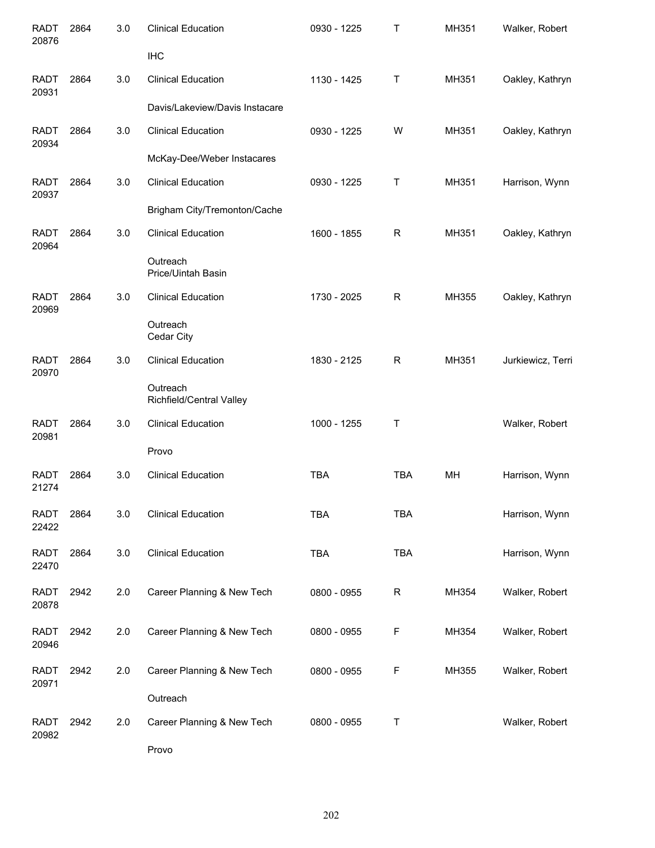| <b>RADT</b><br>20876 | 2864 | 3.0 | <b>Clinical Education</b>            | 0930 - 1225 | Τ            | MH351 | Walker, Robert    |
|----------------------|------|-----|--------------------------------------|-------------|--------------|-------|-------------------|
|                      |      |     | <b>IHC</b>                           |             |              |       |                   |
| <b>RADT</b><br>20931 | 2864 | 3.0 | <b>Clinical Education</b>            | 1130 - 1425 | Τ            | MH351 | Oakley, Kathryn   |
|                      |      |     | Davis/Lakeview/Davis Instacare       |             |              |       |                   |
| <b>RADT</b><br>20934 | 2864 | 3.0 | <b>Clinical Education</b>            | 0930 - 1225 | W            | MH351 | Oakley, Kathryn   |
|                      |      |     | McKay-Dee/Weber Instacares           |             |              |       |                   |
| <b>RADT</b><br>20937 | 2864 | 3.0 | <b>Clinical Education</b>            | 0930 - 1225 | T            | MH351 | Harrison, Wynn    |
|                      |      |     | Brigham City/Tremonton/Cache         |             |              |       |                   |
| <b>RADT</b><br>20964 | 2864 | 3.0 | <b>Clinical Education</b>            | 1600 - 1855 | $\mathsf{R}$ | MH351 | Oakley, Kathryn   |
|                      |      |     | Outreach<br>Price/Uintah Basin       |             |              |       |                   |
| <b>RADT</b><br>20969 | 2864 | 3.0 | <b>Clinical Education</b>            | 1730 - 2025 | R            | MH355 | Oakley, Kathryn   |
|                      |      |     | Outreach<br>Cedar City               |             |              |       |                   |
| <b>RADT</b><br>20970 | 2864 | 3.0 | <b>Clinical Education</b>            | 1830 - 2125 | R            | MH351 | Jurkiewicz, Terri |
|                      |      |     | Outreach<br>Richfield/Central Valley |             |              |       |                   |
| <b>RADT</b><br>20981 | 2864 | 3.0 | <b>Clinical Education</b>            | 1000 - 1255 | T            |       | Walker, Robert    |
|                      |      |     | Provo                                |             |              |       |                   |
| <b>RADT</b><br>21274 | 2864 | 3.0 | <b>Clinical Education</b>            | <b>TBA</b>  | <b>TBA</b>   | MH    | Harrison, Wynn    |
| RADT<br>22422        | 2864 | 3.0 | <b>Clinical Education</b>            | <b>TBA</b>  | <b>TBA</b>   |       | Harrison, Wynn    |
| <b>RADT</b><br>22470 | 2864 | 3.0 | <b>Clinical Education</b>            | <b>TBA</b>  | <b>TBA</b>   |       | Harrison, Wynn    |
| <b>RADT</b><br>20878 | 2942 | 2.0 | Career Planning & New Tech           | 0800 - 0955 | R            | MH354 | Walker, Robert    |
| <b>RADT</b><br>20946 | 2942 | 2.0 | Career Planning & New Tech           | 0800 - 0955 | F            | MH354 | Walker, Robert    |
| <b>RADT</b><br>20971 | 2942 | 2.0 | Career Planning & New Tech           | 0800 - 0955 | F            | MH355 | Walker, Robert    |
|                      |      |     | Outreach                             |             |              |       |                   |
| <b>RADT</b><br>20982 | 2942 | 2.0 | Career Planning & New Tech           | 0800 - 0955 | Τ            |       | Walker, Robert    |
|                      |      |     | Provo                                |             |              |       |                   |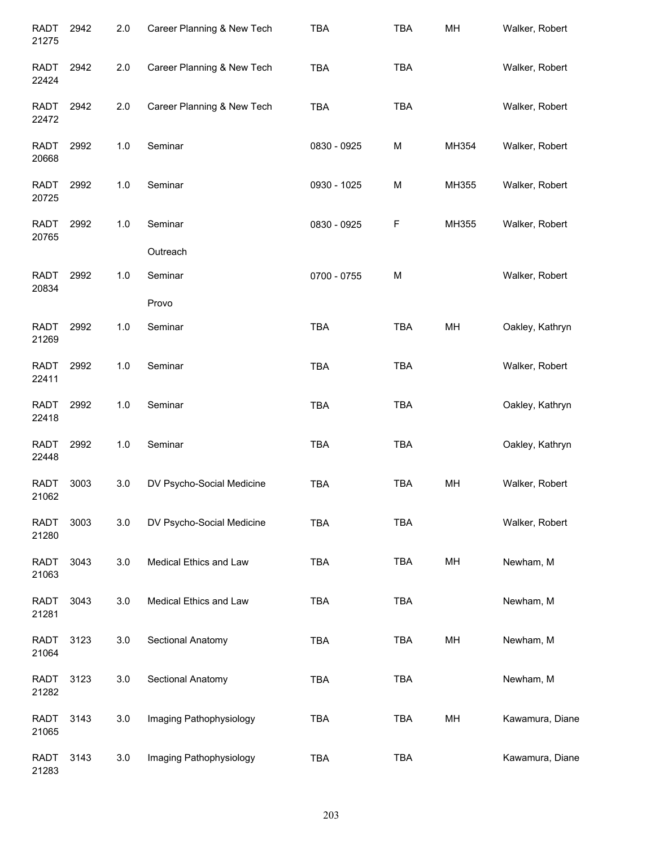| <b>RADT</b><br>21275 | 2942 | 2.0   | Career Planning & New Tech | <b>TBA</b>  | <b>TBA</b> | MH    | Walker, Robert  |
|----------------------|------|-------|----------------------------|-------------|------------|-------|-----------------|
| <b>RADT</b><br>22424 | 2942 | 2.0   | Career Planning & New Tech | <b>TBA</b>  | <b>TBA</b> |       | Walker, Robert  |
| <b>RADT</b><br>22472 | 2942 | 2.0   | Career Planning & New Tech | <b>TBA</b>  | <b>TBA</b> |       | Walker, Robert  |
| <b>RADT</b><br>20668 | 2992 | 1.0   | Seminar                    | 0830 - 0925 | M          | MH354 | Walker, Robert  |
| <b>RADT</b><br>20725 | 2992 | 1.0   | Seminar                    | 0930 - 1025 | M          | MH355 | Walker, Robert  |
| <b>RADT</b><br>20765 | 2992 | 1.0   | Seminar                    | 0830 - 0925 | F          | MH355 | Walker, Robert  |
|                      |      |       | Outreach                   |             |            |       |                 |
| <b>RADT</b><br>20834 | 2992 | 1.0   | Seminar                    | 0700 - 0755 | M          |       | Walker, Robert  |
|                      |      |       | Provo                      |             |            |       |                 |
| <b>RADT</b><br>21269 | 2992 | 1.0   | Seminar                    | <b>TBA</b>  | <b>TBA</b> | MH    | Oakley, Kathryn |
| <b>RADT</b><br>22411 | 2992 | 1.0   | Seminar                    | <b>TBA</b>  | <b>TBA</b> |       | Walker, Robert  |
| <b>RADT</b><br>22418 | 2992 | 1.0   | Seminar                    | <b>TBA</b>  | <b>TBA</b> |       | Oakley, Kathryn |
| <b>RADT</b><br>22448 | 2992 | $1.0$ | Seminar                    | <b>TBA</b>  | <b>TBA</b> |       | Oakley, Kathryn |
| <b>RADT</b><br>21062 | 3003 | 3.0   | DV Psycho-Social Medicine  | <b>TBA</b>  | <b>TBA</b> | MH    | Walker, Robert  |
| <b>RADT</b><br>21280 | 3003 | 3.0   | DV Psycho-Social Medicine  | <b>TBA</b>  | <b>TBA</b> |       | Walker, Robert  |
| <b>RADT</b><br>21063 | 3043 | 3.0   | Medical Ethics and Law     | <b>TBA</b>  | <b>TBA</b> | MH    | Newham, M       |
| <b>RADT</b><br>21281 | 3043 | 3.0   | Medical Ethics and Law     | <b>TBA</b>  | <b>TBA</b> |       | Newham, M       |
| <b>RADT</b><br>21064 | 3123 | 3.0   | Sectional Anatomy          | <b>TBA</b>  | <b>TBA</b> | MH    | Newham, M       |
| <b>RADT</b><br>21282 | 3123 | 3.0   | Sectional Anatomy          | <b>TBA</b>  | <b>TBA</b> |       | Newham, M       |
| <b>RADT</b><br>21065 | 3143 | 3.0   | Imaging Pathophysiology    | <b>TBA</b>  | <b>TBA</b> | MH    | Kawamura, Diane |
| <b>RADT</b><br>21283 | 3143 | 3.0   | Imaging Pathophysiology    | <b>TBA</b>  | <b>TBA</b> |       | Kawamura, Diane |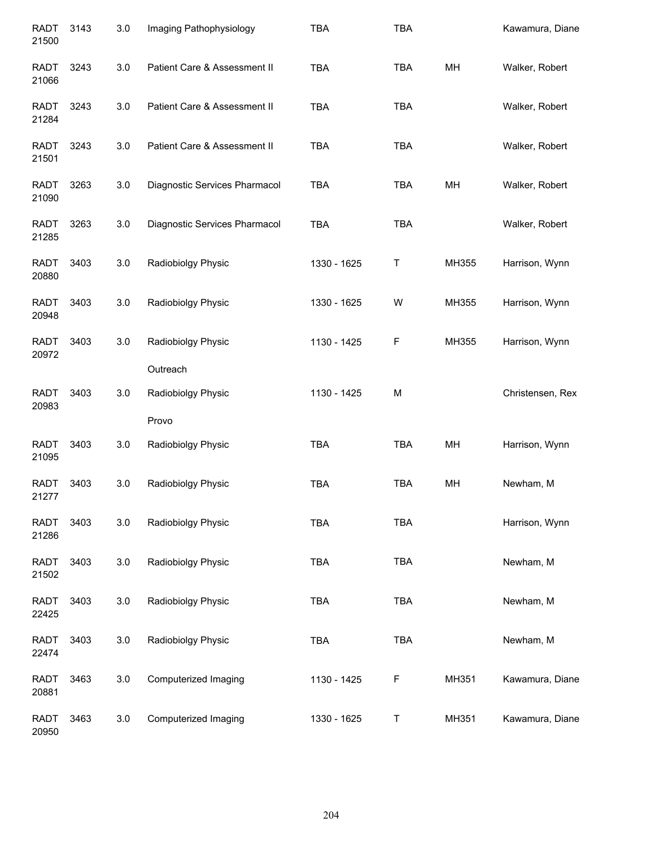| <b>RADT</b><br>21500 | 3143 | 3.0 | Imaging Pathophysiology       | <b>TBA</b>  | <b>TBA</b> |       | Kawamura, Diane  |
|----------------------|------|-----|-------------------------------|-------------|------------|-------|------------------|
| <b>RADT</b><br>21066 | 3243 | 3.0 | Patient Care & Assessment II  | <b>TBA</b>  | <b>TBA</b> | MH    | Walker, Robert   |
| <b>RADT</b><br>21284 | 3243 | 3.0 | Patient Care & Assessment II  | <b>TBA</b>  | <b>TBA</b> |       | Walker, Robert   |
| <b>RADT</b><br>21501 | 3243 | 3.0 | Patient Care & Assessment II  | <b>TBA</b>  | <b>TBA</b> |       | Walker, Robert   |
| <b>RADT</b><br>21090 | 3263 | 3.0 | Diagnostic Services Pharmacol | <b>TBA</b>  | <b>TBA</b> | MH    | Walker, Robert   |
| <b>RADT</b><br>21285 | 3263 | 3.0 | Diagnostic Services Pharmacol | TBA         | <b>TBA</b> |       | Walker, Robert   |
| <b>RADT</b><br>20880 | 3403 | 3.0 | Radiobiolgy Physic            | 1330 - 1625 | Τ          | MH355 | Harrison, Wynn   |
| <b>RADT</b><br>20948 | 3403 | 3.0 | Radiobiolgy Physic            | 1330 - 1625 | W          | MH355 | Harrison, Wynn   |
| <b>RADT</b><br>20972 | 3403 | 3.0 | Radiobiolgy Physic            | 1130 - 1425 | F          | MH355 | Harrison, Wynn   |
|                      |      |     | Outreach                      |             |            |       |                  |
| <b>RADT</b><br>20983 | 3403 | 3.0 | Radiobiolgy Physic            | 1130 - 1425 | M          |       | Christensen, Rex |
|                      |      |     | Provo                         |             |            |       |                  |
| <b>RADT</b><br>21095 | 3403 | 3.0 | Radiobiolgy Physic            | <b>TBA</b>  | <b>TBA</b> | MH    | Harrison, Wynn   |
| <b>RADT</b><br>21277 | 3403 | 3.0 | Radiobiolgy Physic            | <b>TBA</b>  | <b>TBA</b> | MH    | Newham, M        |
| <b>RADT</b><br>21286 | 3403 | 3.0 | Radiobiolgy Physic            | TBA         | <b>TBA</b> |       | Harrison, Wynn   |
| <b>RADT</b><br>21502 | 3403 | 3.0 | Radiobiolgy Physic            | TBA         | <b>TBA</b> |       | Newham, M        |
| <b>RADT</b><br>22425 | 3403 | 3.0 | Radiobiolgy Physic            | TBA         | <b>TBA</b> |       | Newham, M        |
| <b>RADT</b><br>22474 | 3403 | 3.0 | Radiobiolgy Physic            | TBA         | <b>TBA</b> |       | Newham, M        |
| <b>RADT</b><br>20881 | 3463 | 3.0 | Computerized Imaging          | 1130 - 1425 | F          | MH351 | Kawamura, Diane  |
| <b>RADT</b><br>20950 | 3463 | 3.0 | Computerized Imaging          | 1330 - 1625 | T          | MH351 | Kawamura, Diane  |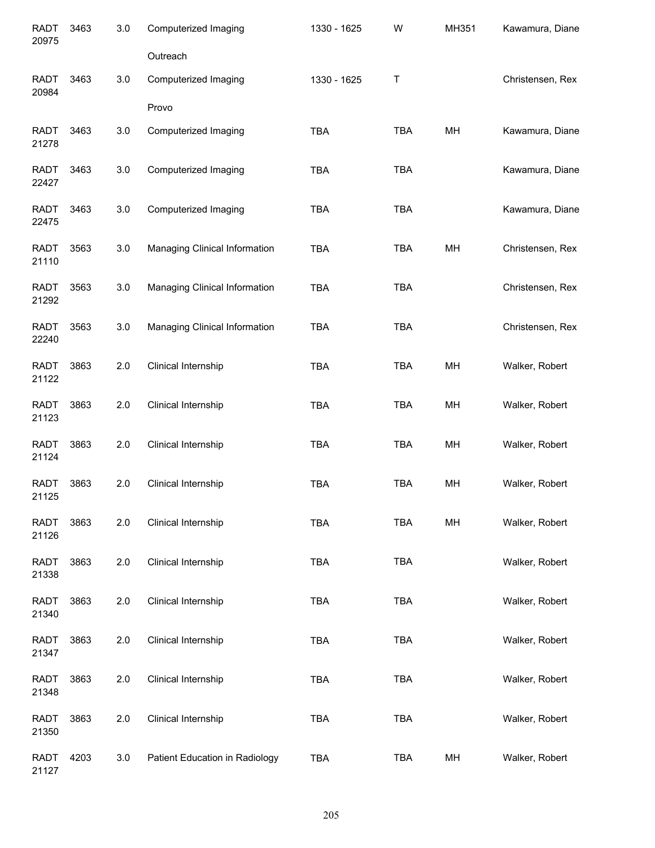| <b>RADT</b><br>20975 | 3463 | 3.0 | Computerized Imaging           | 1330 - 1625 | W           | MH351 | Kawamura, Diane  |
|----------------------|------|-----|--------------------------------|-------------|-------------|-------|------------------|
|                      |      |     | Outreach                       |             |             |       |                  |
| <b>RADT</b><br>20984 | 3463 | 3.0 | Computerized Imaging           | 1330 - 1625 | $\mathsf T$ |       | Christensen, Rex |
|                      |      |     | Provo                          |             |             |       |                  |
| <b>RADT</b><br>21278 | 3463 | 3.0 | Computerized Imaging           | <b>TBA</b>  | <b>TBA</b>  | MH    | Kawamura, Diane  |
| <b>RADT</b><br>22427 | 3463 | 3.0 | Computerized Imaging           | TBA         | <b>TBA</b>  |       | Kawamura, Diane  |
| <b>RADT</b><br>22475 | 3463 | 3.0 | Computerized Imaging           | <b>TBA</b>  | <b>TBA</b>  |       | Kawamura, Diane  |
| <b>RADT</b><br>21110 | 3563 | 3.0 | Managing Clinical Information  | <b>TBA</b>  | <b>TBA</b>  | MH    | Christensen, Rex |
| <b>RADT</b><br>21292 | 3563 | 3.0 | Managing Clinical Information  | <b>TBA</b>  | <b>TBA</b>  |       | Christensen, Rex |
| <b>RADT</b><br>22240 | 3563 | 3.0 | Managing Clinical Information  | <b>TBA</b>  | <b>TBA</b>  |       | Christensen, Rex |
| <b>RADT</b><br>21122 | 3863 | 2.0 | Clinical Internship            | <b>TBA</b>  | <b>TBA</b>  | MH    | Walker, Robert   |
| <b>RADT</b><br>21123 | 3863 | 2.0 | Clinical Internship            | <b>TBA</b>  | <b>TBA</b>  | MH    | Walker, Robert   |
| <b>RADT</b><br>21124 | 3863 | 2.0 | Clinical Internship            | TBA         | <b>TBA</b>  | MH    | Walker, Robert   |
| <b>RADT</b><br>21125 | 3863 | 2.0 | Clinical Internship            | <b>TBA</b>  | <b>TBA</b>  | MH    | Walker, Robert   |
| <b>RADT</b><br>21126 | 3863 | 2.0 | Clinical Internship            | <b>TBA</b>  | <b>TBA</b>  | MH    | Walker, Robert   |
| <b>RADT</b><br>21338 | 3863 | 2.0 | Clinical Internship            | <b>TBA</b>  | <b>TBA</b>  |       | Walker, Robert   |
| <b>RADT</b><br>21340 | 3863 | 2.0 | Clinical Internship            | <b>TBA</b>  | <b>TBA</b>  |       | Walker, Robert   |
| <b>RADT</b><br>21347 | 3863 | 2.0 | Clinical Internship            | <b>TBA</b>  | <b>TBA</b>  |       | Walker, Robert   |
| <b>RADT</b><br>21348 | 3863 | 2.0 | Clinical Internship            | <b>TBA</b>  | <b>TBA</b>  |       | Walker, Robert   |
| <b>RADT</b><br>21350 | 3863 | 2.0 | Clinical Internship            | <b>TBA</b>  | <b>TBA</b>  |       | Walker, Robert   |
| <b>RADT</b><br>21127 | 4203 | 3.0 | Patient Education in Radiology | TBA         | <b>TBA</b>  | MH    | Walker, Robert   |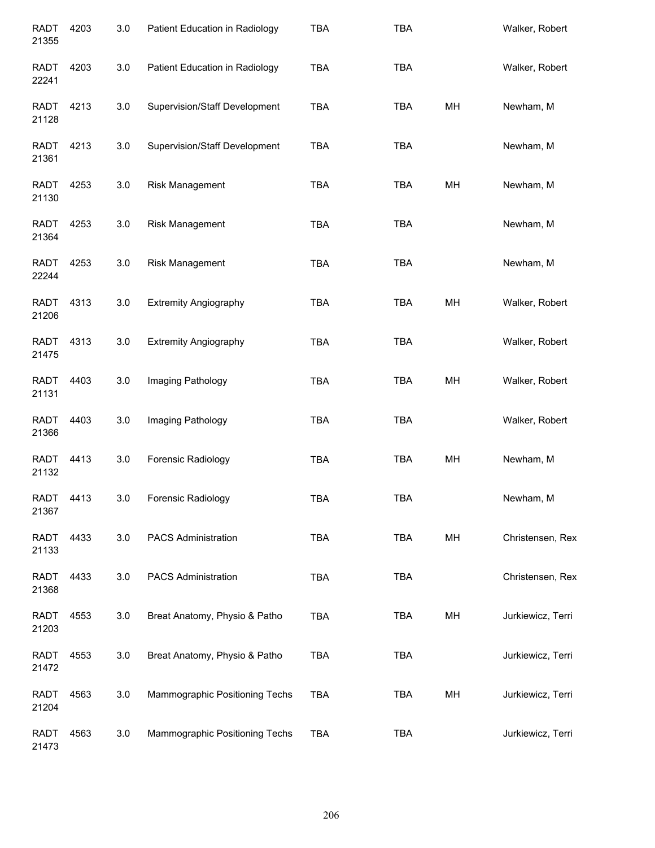| <b>RADT</b><br>21355 | 4203 | 3.0 | Patient Education in Radiology       | <b>TBA</b> | <b>TBA</b> |    | Walker, Robert    |
|----------------------|------|-----|--------------------------------------|------------|------------|----|-------------------|
| <b>RADT</b><br>22241 | 4203 | 3.0 | Patient Education in Radiology       | <b>TBA</b> | TBA        |    | Walker, Robert    |
| <b>RADT</b><br>21128 | 4213 | 3.0 | Supervision/Staff Development        | <b>TBA</b> | <b>TBA</b> | MH | Newham, M         |
| <b>RADT</b><br>21361 | 4213 | 3.0 | <b>Supervision/Staff Development</b> | <b>TBA</b> | <b>TBA</b> |    | Newham, M         |
| RADT<br>21130        | 4253 | 3.0 | Risk Management                      | <b>TBA</b> | <b>TBA</b> | MH | Newham, M         |
| <b>RADT</b><br>21364 | 4253 | 3.0 | Risk Management                      | <b>TBA</b> | <b>TBA</b> |    | Newham, M         |
| <b>RADT</b><br>22244 | 4253 | 3.0 | Risk Management                      | <b>TBA</b> | <b>TBA</b> |    | Newham, M         |
| <b>RADT</b><br>21206 | 4313 | 3.0 | <b>Extremity Angiography</b>         | <b>TBA</b> | <b>TBA</b> | MH | Walker, Robert    |
| <b>RADT</b><br>21475 | 4313 | 3.0 | <b>Extremity Angiography</b>         | <b>TBA</b> | <b>TBA</b> |    | Walker, Robert    |
| <b>RADT</b><br>21131 | 4403 | 3.0 | Imaging Pathology                    | <b>TBA</b> | <b>TBA</b> | MH | Walker, Robert    |
| <b>RADT</b><br>21366 | 4403 | 3.0 | Imaging Pathology                    | <b>TBA</b> | <b>TBA</b> |    | Walker, Robert    |
| <b>RADT</b><br>21132 | 4413 | 3.0 | Forensic Radiology                   | <b>TBA</b> | <b>TBA</b> | MH | Newham, M         |
| <b>RADT</b><br>21367 | 4413 | 3.0 | Forensic Radiology                   | <b>TBA</b> | <b>TBA</b> |    | Newham, M         |
| <b>RADT</b><br>21133 | 4433 | 3.0 | <b>PACS Administration</b>           | <b>TBA</b> | <b>TBA</b> | MH | Christensen, Rex  |
| <b>RADT</b><br>21368 | 4433 | 3.0 | <b>PACS Administration</b>           | <b>TBA</b> | <b>TBA</b> |    | Christensen, Rex  |
| <b>RADT</b><br>21203 | 4553 | 3.0 | Breat Anatomy, Physio & Patho        | <b>TBA</b> | TBA        | MH | Jurkiewicz, Terri |
| RADT<br>21472        | 4553 | 3.0 | Breat Anatomy, Physio & Patho        | <b>TBA</b> | <b>TBA</b> |    | Jurkiewicz, Terri |
| <b>RADT</b><br>21204 | 4563 | 3.0 | Mammographic Positioning Techs       | <b>TBA</b> | <b>TBA</b> | MH | Jurkiewicz, Terri |
| <b>RADT</b><br>21473 | 4563 | 3.0 | Mammographic Positioning Techs       | <b>TBA</b> | <b>TBA</b> |    | Jurkiewicz, Terri |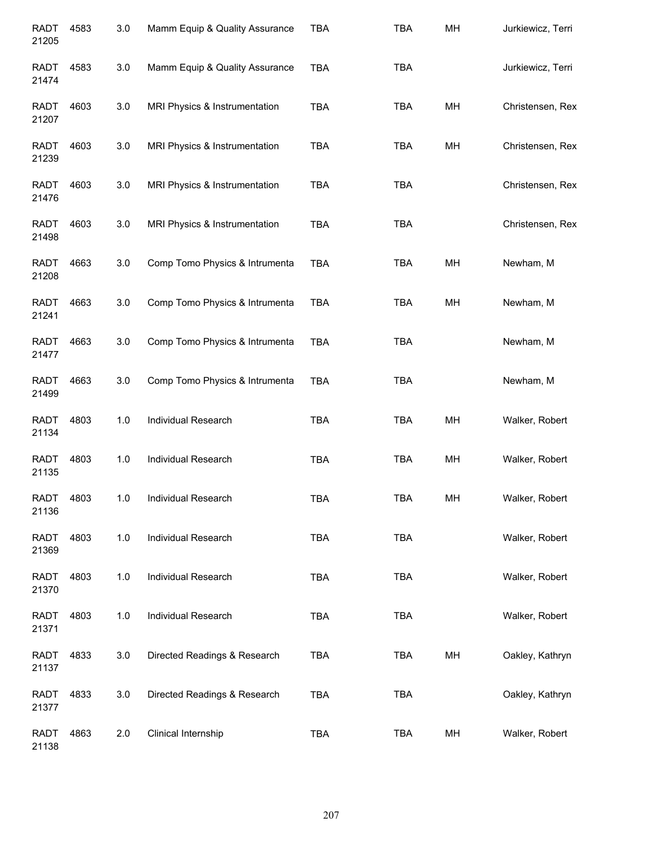| <b>RADT</b><br>21205 | 4583 | 3.0   | Mamm Equip & Quality Assurance | <b>TBA</b> | <b>TBA</b> | MH | Jurkiewicz, Terri |
|----------------------|------|-------|--------------------------------|------------|------------|----|-------------------|
| <b>RADT</b><br>21474 | 4583 | 3.0   | Mamm Equip & Quality Assurance | <b>TBA</b> | <b>TBA</b> |    | Jurkiewicz, Terri |
| <b>RADT</b><br>21207 | 4603 | 3.0   | MRI Physics & Instrumentation  | <b>TBA</b> | <b>TBA</b> | MH | Christensen, Rex  |
| <b>RADT</b><br>21239 | 4603 | 3.0   | MRI Physics & Instrumentation  | <b>TBA</b> | <b>TBA</b> | MH | Christensen, Rex  |
| <b>RADT</b><br>21476 | 4603 | 3.0   | MRI Physics & Instrumentation  | <b>TBA</b> | <b>TBA</b> |    | Christensen, Rex  |
| <b>RADT</b><br>21498 | 4603 | 3.0   | MRI Physics & Instrumentation  | <b>TBA</b> | <b>TBA</b> |    | Christensen, Rex  |
| <b>RADT</b><br>21208 | 4663 | 3.0   | Comp Tomo Physics & Intrumenta | <b>TBA</b> | <b>TBA</b> | MН | Newham, M         |
| <b>RADT</b><br>21241 | 4663 | 3.0   | Comp Tomo Physics & Intrumenta | <b>TBA</b> | <b>TBA</b> | MH | Newham, M         |
| <b>RADT</b><br>21477 | 4663 | 3.0   | Comp Tomo Physics & Intrumenta | <b>TBA</b> | <b>TBA</b> |    | Newham, M         |
| <b>RADT</b><br>21499 | 4663 | 3.0   | Comp Tomo Physics & Intrumenta | <b>TBA</b> | <b>TBA</b> |    | Newham, M         |
| <b>RADT</b><br>21134 | 4803 | 1.0   | Individual Research            | <b>TBA</b> | <b>TBA</b> | MH | Walker, Robert    |
| <b>RADT</b><br>21135 | 4803 | 1.0   | Individual Research            | <b>TBA</b> | <b>TBA</b> | MH | Walker, Robert    |
| RADT<br>21136        | 4803 | 1.0   | Individual Research            | TBA        | <b>TBA</b> | MH | Walker, Robert    |
| <b>RADT</b><br>21369 | 4803 | 1.0   | Individual Research            | <b>TBA</b> | <b>TBA</b> |    | Walker, Robert    |
| <b>RADT</b><br>21370 | 4803 | $1.0$ | Individual Research            | <b>TBA</b> | <b>TBA</b> |    | Walker, Robert    |
| <b>RADT</b><br>21371 | 4803 | 1.0   | Individual Research            | <b>TBA</b> | <b>TBA</b> |    | Walker, Robert    |
| <b>RADT</b><br>21137 | 4833 | 3.0   | Directed Readings & Research   | <b>TBA</b> | <b>TBA</b> | MH | Oakley, Kathryn   |
| <b>RADT</b><br>21377 | 4833 | 3.0   | Directed Readings & Research   | <b>TBA</b> | <b>TBA</b> |    | Oakley, Kathryn   |
| <b>RADT</b><br>21138 | 4863 | 2.0   | Clinical Internship            | <b>TBA</b> | <b>TBA</b> | MH | Walker, Robert    |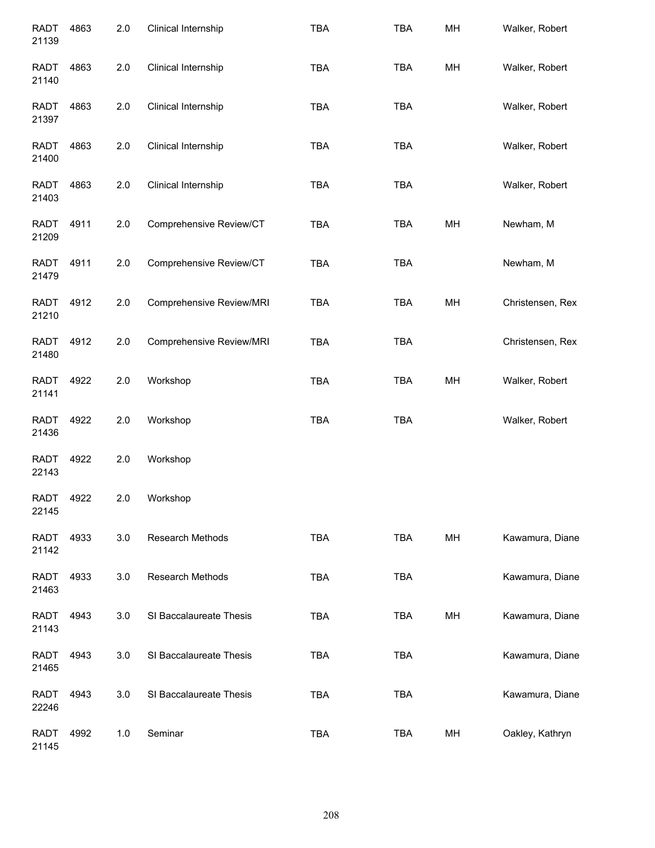| <b>RADT</b><br>21139 | 4863 | 2.0 | Clinical Internship      | <b>TBA</b> | <b>TBA</b> | MH | Walker, Robert   |
|----------------------|------|-----|--------------------------|------------|------------|----|------------------|
| <b>RADT</b><br>21140 | 4863 | 2.0 | Clinical Internship      | <b>TBA</b> | <b>TBA</b> | MH | Walker, Robert   |
| <b>RADT</b><br>21397 | 4863 | 2.0 | Clinical Internship      | TBA        | <b>TBA</b> |    | Walker, Robert   |
| RADT<br>21400        | 4863 | 2.0 | Clinical Internship      | TBA        | <b>TBA</b> |    | Walker, Robert   |
| RADT<br>21403        | 4863 | 2.0 | Clinical Internship      | <b>TBA</b> | <b>TBA</b> |    | Walker, Robert   |
| <b>RADT</b><br>21209 | 4911 | 2.0 | Comprehensive Review/CT  | <b>TBA</b> | <b>TBA</b> | MH | Newham, M        |
| <b>RADT</b><br>21479 | 4911 | 2.0 | Comprehensive Review/CT  | <b>TBA</b> | <b>TBA</b> |    | Newham, M        |
| <b>RADT</b><br>21210 | 4912 | 2.0 | Comprehensive Review/MRI | <b>TBA</b> | <b>TBA</b> | MH | Christensen, Rex |
| <b>RADT</b><br>21480 | 4912 | 2.0 | Comprehensive Review/MRI | <b>TBA</b> | <b>TBA</b> |    | Christensen, Rex |
| <b>RADT</b><br>21141 | 4922 | 2.0 | Workshop                 | <b>TBA</b> | <b>TBA</b> | MH | Walker, Robert   |
| <b>RADT</b><br>21436 | 4922 | 2.0 | Workshop                 | <b>TBA</b> | <b>TBA</b> |    | Walker, Robert   |
| <b>RADT</b><br>22143 | 4922 | 2.0 | Workshop                 |            |            |    |                  |
| <b>RADT</b><br>22145 | 4922 | 2.0 | Workshop                 |            |            |    |                  |
| RADT<br>21142        | 4933 | 3.0 | Research Methods         | TBA        | <b>TBA</b> | MH | Kawamura, Diane  |
| RADT<br>21463        | 4933 | 3.0 | Research Methods         | <b>TBA</b> | <b>TBA</b> |    | Kawamura, Diane  |
| <b>RADT</b><br>21143 | 4943 | 3.0 | SI Baccalaureate Thesis  | <b>TBA</b> | TBA        | MH | Kawamura, Diane  |
| <b>RADT</b><br>21465 | 4943 | 3.0 | SI Baccalaureate Thesis  | <b>TBA</b> | <b>TBA</b> |    | Kawamura, Diane  |
| <b>RADT</b><br>22246 | 4943 | 3.0 | SI Baccalaureate Thesis  | TBA        | <b>TBA</b> |    | Kawamura, Diane  |
| <b>RADT</b><br>21145 | 4992 | 1.0 | Seminar                  | TBA        | TBA        | MH | Oakley, Kathryn  |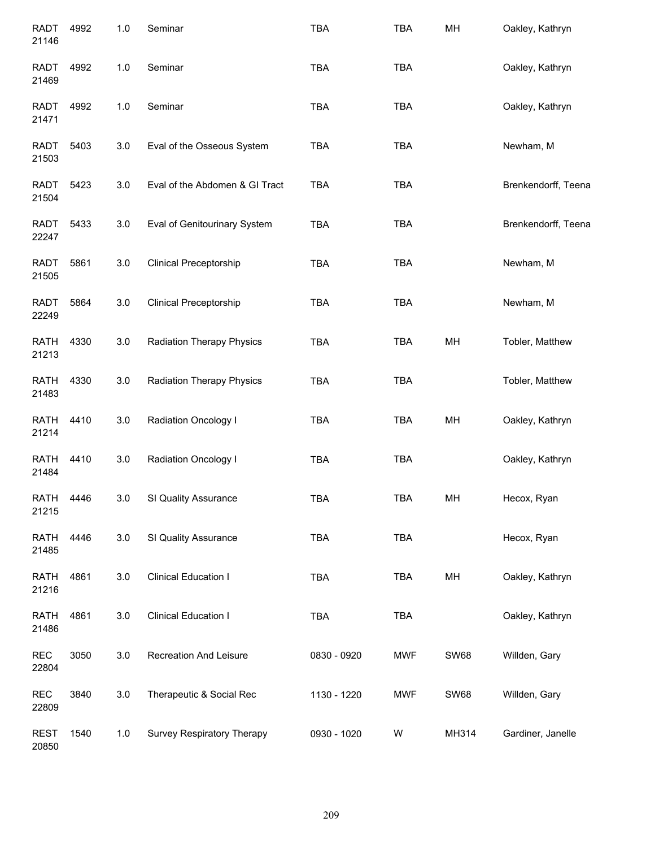| <b>RADT</b><br>21146 | 4992 | 1.0   | Seminar                          | <b>TBA</b>  | <b>TBA</b> | MH          | Oakley, Kathryn     |
|----------------------|------|-------|----------------------------------|-------------|------------|-------------|---------------------|
| <b>RADT</b><br>21469 | 4992 | $1.0$ | Seminar                          | <b>TBA</b>  | <b>TBA</b> |             | Oakley, Kathryn     |
| <b>RADT</b><br>21471 | 4992 | $1.0$ | Seminar                          | <b>TBA</b>  | <b>TBA</b> |             | Oakley, Kathryn     |
| <b>RADT</b><br>21503 | 5403 | 3.0   | Eval of the Osseous System       | <b>TBA</b>  | <b>TBA</b> |             | Newham, M           |
| <b>RADT</b><br>21504 | 5423 | 3.0   | Eval of the Abdomen & GI Tract   | <b>TBA</b>  | <b>TBA</b> |             | Brenkendorff, Teena |
| RADT<br>22247        | 5433 | 3.0   | Eval of Genitourinary System     | <b>TBA</b>  | <b>TBA</b> |             | Brenkendorff, Teena |
| <b>RADT</b><br>21505 | 5861 | 3.0   | <b>Clinical Preceptorship</b>    | <b>TBA</b>  | <b>TBA</b> |             | Newham, M           |
| <b>RADT</b><br>22249 | 5864 | 3.0   | <b>Clinical Preceptorship</b>    | <b>TBA</b>  | <b>TBA</b> |             | Newham, M           |
| <b>RATH</b><br>21213 | 4330 | 3.0   | <b>Radiation Therapy Physics</b> | <b>TBA</b>  | <b>TBA</b> | MH          | Tobler, Matthew     |
| <b>RATH</b><br>21483 | 4330 | 3.0   | <b>Radiation Therapy Physics</b> | <b>TBA</b>  | <b>TBA</b> |             | Tobler, Matthew     |
| <b>RATH</b><br>21214 | 4410 | 3.0   | Radiation Oncology I             | <b>TBA</b>  | <b>TBA</b> | MH          | Oakley, Kathryn     |
| <b>RATH</b><br>21484 | 4410 | 3.0   | <b>Radiation Oncology I</b>      | <b>TBA</b>  | <b>TBA</b> |             | Oakley, Kathryn     |
| <b>RATH</b><br>21215 | 4446 | 3.0   | SI Quality Assurance             | <b>TBA</b>  | <b>TBA</b> | MH          | Hecox, Ryan         |
| <b>RATH</b><br>21485 | 4446 | 3.0   | SI Quality Assurance             | <b>TBA</b>  | <b>TBA</b> |             | Hecox, Ryan         |
| <b>RATH</b><br>21216 | 4861 | 3.0   | <b>Clinical Education I</b>      | <b>TBA</b>  | <b>TBA</b> | MH          | Oakley, Kathryn     |
| <b>RATH</b><br>21486 | 4861 | 3.0   | <b>Clinical Education I</b>      | <b>TBA</b>  | <b>TBA</b> |             | Oakley, Kathryn     |
| <b>REC</b><br>22804  | 3050 | 3.0   | Recreation And Leisure           | 0830 - 0920 | <b>MWF</b> | <b>SW68</b> | Willden, Gary       |
| <b>REC</b><br>22809  | 3840 | 3.0   | Therapeutic & Social Rec         | 1130 - 1220 | <b>MWF</b> | <b>SW68</b> | Willden, Gary       |
| <b>REST</b><br>20850 | 1540 | $1.0$ | Survey Respiratory Therapy       | 0930 - 1020 | W          | MH314       | Gardiner, Janelle   |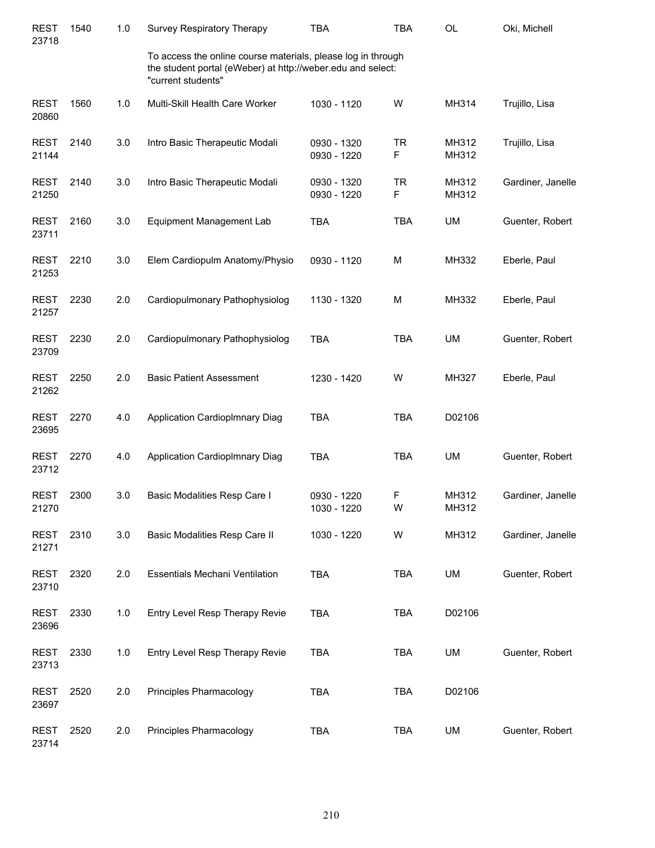| <b>REST</b><br>23718 | 1540 | 1.0 | Survey Respiratory Therapy                                                                                                                        | <b>TBA</b>                 | <b>TBA</b>     | OL             | Oki, Michell      |
|----------------------|------|-----|---------------------------------------------------------------------------------------------------------------------------------------------------|----------------------------|----------------|----------------|-------------------|
|                      |      |     | To access the online course materials, please log in through<br>the student portal (eWeber) at http://weber.edu and select:<br>"current students" |                            |                |                |                   |
| <b>REST</b><br>20860 | 1560 | 1.0 | Multi-Skill Health Care Worker                                                                                                                    | 1030 - 1120                | W              | MH314          | Trujillo, Lisa    |
| <b>REST</b><br>21144 | 2140 | 3.0 | Intro Basic Therapeutic Modali                                                                                                                    | 0930 - 1320<br>0930 - 1220 | <b>TR</b><br>F | MH312<br>MH312 | Trujillo, Lisa    |
| <b>REST</b><br>21250 | 2140 | 3.0 | Intro Basic Therapeutic Modali                                                                                                                    | 0930 - 1320<br>0930 - 1220 | <b>TR</b><br>F | MH312<br>MH312 | Gardiner, Janelle |
| <b>REST</b><br>23711 | 2160 | 3.0 | Equipment Management Lab                                                                                                                          | <b>TBA</b>                 | <b>TBA</b>     | <b>UM</b>      | Guenter, Robert   |
| <b>REST</b><br>21253 | 2210 | 3.0 | Elem Cardiopulm Anatomy/Physio                                                                                                                    | 0930 - 1120                | M              | <b>MH332</b>   | Eberle, Paul      |
| <b>REST</b><br>21257 | 2230 | 2.0 | Cardiopulmonary Pathophysiolog                                                                                                                    | 1130 - 1320                | M              | MH332          | Eberle, Paul      |
| <b>REST</b><br>23709 | 2230 | 2.0 | Cardiopulmonary Pathophysiolog                                                                                                                    | <b>TBA</b>                 | <b>TBA</b>     | <b>UM</b>      | Guenter, Robert   |
| <b>REST</b><br>21262 | 2250 | 2.0 | <b>Basic Patient Assessment</b>                                                                                                                   | 1230 - 1420                | W              | MH327          | Eberle, Paul      |
| <b>REST</b><br>23695 | 2270 | 4.0 | Application CardiopImnary Diag                                                                                                                    | <b>TBA</b>                 | <b>TBA</b>     | D02106         |                   |
| <b>REST</b><br>23712 | 2270 | 4.0 | Application CardiopImnary Diag                                                                                                                    | <b>TBA</b>                 | <b>TBA</b>     | <b>UM</b>      | Guenter, Robert   |
| <b>REST</b><br>21270 | 2300 | 3.0 | Basic Modalities Resp Care I                                                                                                                      | 0930 - 1220<br>1030 - 1220 | F<br>W         | MH312<br>MH312 | Gardiner, Janelle |
| <b>REST</b><br>21271 | 2310 | 3.0 | Basic Modalities Resp Care II                                                                                                                     | 1030 - 1220                | W              | MH312          | Gardiner, Janelle |
| <b>REST</b><br>23710 | 2320 | 2.0 | Essentials Mechani Ventilation                                                                                                                    | <b>TBA</b>                 | <b>TBA</b>     | <b>UM</b>      | Guenter, Robert   |
| <b>REST</b><br>23696 | 2330 | 1.0 | Entry Level Resp Therapy Revie                                                                                                                    | <b>TBA</b>                 | <b>TBA</b>     | D02106         |                   |
| <b>REST</b><br>23713 | 2330 | 1.0 | Entry Level Resp Therapy Revie                                                                                                                    | <b>TBA</b>                 | <b>TBA</b>     | <b>UM</b>      | Guenter, Robert   |
| <b>REST</b><br>23697 | 2520 | 2.0 | Principles Pharmacology                                                                                                                           | <b>TBA</b>                 | <b>TBA</b>     | D02106         |                   |
| <b>REST</b><br>23714 | 2520 | 2.0 | Principles Pharmacology                                                                                                                           | <b>TBA</b>                 | <b>TBA</b>     | <b>UM</b>      | Guenter, Robert   |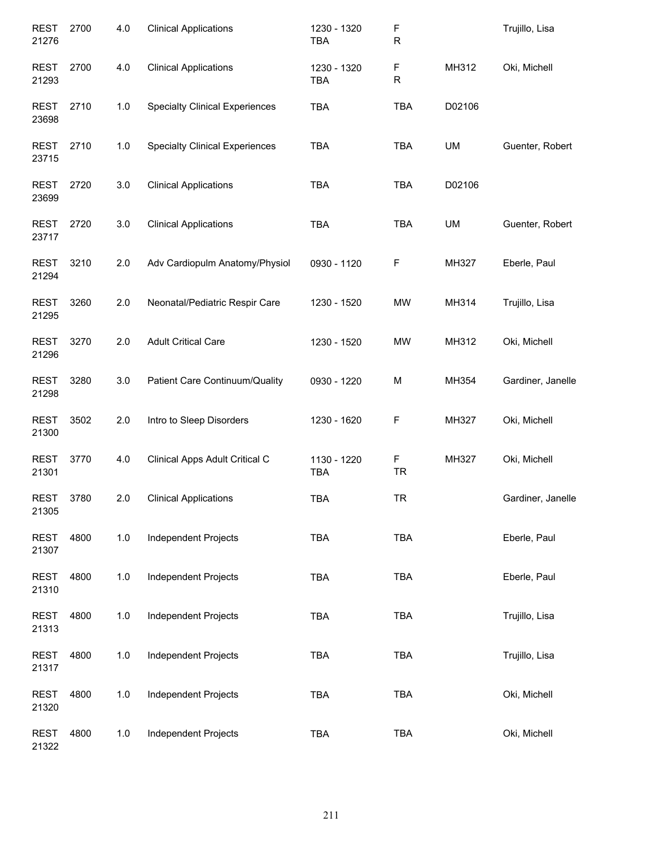| <b>REST</b><br>21276 | 2700 | 4.0   | <b>Clinical Applications</b>          | 1230 - 1320<br><b>TBA</b> | F<br>R         |           | Trujillo, Lisa    |
|----------------------|------|-------|---------------------------------------|---------------------------|----------------|-----------|-------------------|
| <b>REST</b><br>21293 | 2700 | 4.0   | <b>Clinical Applications</b>          | 1230 - 1320<br><b>TBA</b> | F<br>R         | MH312     | Oki, Michell      |
| <b>REST</b><br>23698 | 2710 | 1.0   | <b>Specialty Clinical Experiences</b> | <b>TBA</b>                | <b>TBA</b>     | D02106    |                   |
| <b>REST</b><br>23715 | 2710 | 1.0   | <b>Specialty Clinical Experiences</b> | <b>TBA</b>                | <b>TBA</b>     | <b>UM</b> | Guenter, Robert   |
| <b>REST</b><br>23699 | 2720 | 3.0   | <b>Clinical Applications</b>          | <b>TBA</b>                | <b>TBA</b>     | D02106    |                   |
| <b>REST</b><br>23717 | 2720 | 3.0   | <b>Clinical Applications</b>          | <b>TBA</b>                | <b>TBA</b>     | UM        | Guenter, Robert   |
| <b>REST</b><br>21294 | 3210 | 2.0   | Adv Cardiopulm Anatomy/Physiol        | 0930 - 1120               | F              | MH327     | Eberle, Paul      |
| <b>REST</b><br>21295 | 3260 | 2.0   | Neonatal/Pediatric Respir Care        | 1230 - 1520               | MW             | MH314     | Trujillo, Lisa    |
| <b>REST</b><br>21296 | 3270 | 2.0   | <b>Adult Critical Care</b>            | 1230 - 1520               | <b>MW</b>      | MH312     | Oki, Michell      |
| <b>REST</b><br>21298 | 3280 | 3.0   | Patient Care Continuum/Quality        | 0930 - 1220               | M              | MH354     | Gardiner, Janelle |
| <b>REST</b><br>21300 | 3502 | 2.0   | Intro to Sleep Disorders              | 1230 - 1620               | F              | MH327     | Oki, Michell      |
| <b>REST</b><br>21301 | 3770 | 4.0   | Clinical Apps Adult Critical C        | 1130 - 1220<br><b>TBA</b> | F<br><b>TR</b> | MH327     | Oki, Michell      |
| REST<br>21305        | 3780 | 2.0   | <b>Clinical Applications</b>          | TBA                       | TR             |           | Gardiner, Janelle |
| <b>REST</b><br>21307 | 4800 | 1.0   | Independent Projects                  | <b>TBA</b>                | TBA            |           | Eberle, Paul      |
| <b>REST</b><br>21310 | 4800 | $1.0$ | <b>Independent Projects</b>           | <b>TBA</b>                | TBA            |           | Eberle, Paul      |
| <b>REST</b><br>21313 | 4800 | 1.0   | <b>Independent Projects</b>           | <b>TBA</b>                | TBA            |           | Trujillo, Lisa    |
| <b>REST</b><br>21317 | 4800 | 1.0   | Independent Projects                  | <b>TBA</b>                | <b>TBA</b>     |           | Trujillo, Lisa    |
| <b>REST</b><br>21320 | 4800 | $1.0$ | Independent Projects                  | <b>TBA</b>                | TBA            |           | Oki, Michell      |
| <b>REST</b><br>21322 | 4800 | 1.0   | Independent Projects                  | <b>TBA</b>                | TBA            |           | Oki, Michell      |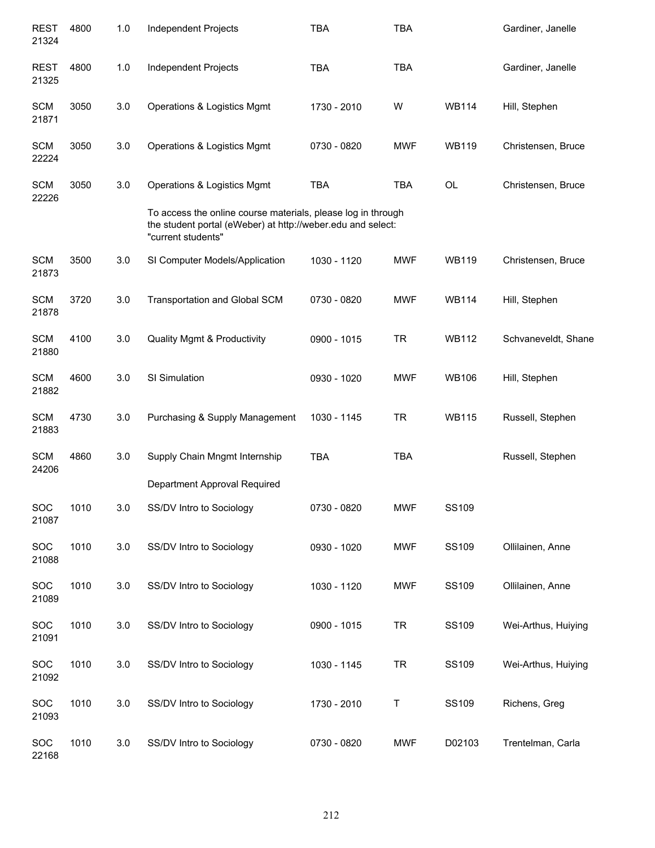| <b>REST</b><br>21324 | 4800 | 1.0 | Independent Projects                                                                                                                              | <b>TBA</b>  | <b>TBA</b>  |              | Gardiner, Janelle   |
|----------------------|------|-----|---------------------------------------------------------------------------------------------------------------------------------------------------|-------------|-------------|--------------|---------------------|
| <b>REST</b><br>21325 | 4800 | 1.0 | Independent Projects                                                                                                                              | <b>TBA</b>  | <b>TBA</b>  |              | Gardiner, Janelle   |
| <b>SCM</b><br>21871  | 3050 | 3.0 | Operations & Logistics Mgmt                                                                                                                       | 1730 - 2010 | W           | <b>WB114</b> | Hill, Stephen       |
| <b>SCM</b><br>22224  | 3050 | 3.0 | Operations & Logistics Mgmt                                                                                                                       | 0730 - 0820 | <b>MWF</b>  | <b>WB119</b> | Christensen, Bruce  |
| <b>SCM</b><br>22226  | 3050 | 3.0 | Operations & Logistics Mgmt                                                                                                                       | <b>TBA</b>  | <b>TBA</b>  | <b>OL</b>    | Christensen, Bruce  |
|                      |      |     | To access the online course materials, please log in through<br>the student portal (eWeber) at http://weber.edu and select:<br>"current students" |             |             |              |                     |
| <b>SCM</b><br>21873  | 3500 | 3.0 | SI Computer Models/Application                                                                                                                    | 1030 - 1120 | <b>MWF</b>  | <b>WB119</b> | Christensen, Bruce  |
| <b>SCM</b><br>21878  | 3720 | 3.0 | Transportation and Global SCM                                                                                                                     | 0730 - 0820 | <b>MWF</b>  | <b>WB114</b> | Hill, Stephen       |
| <b>SCM</b><br>21880  | 4100 | 3.0 | <b>Quality Mgmt &amp; Productivity</b>                                                                                                            | 0900 - 1015 | <b>TR</b>   | <b>WB112</b> | Schvaneveldt, Shane |
| <b>SCM</b><br>21882  | 4600 | 3.0 | SI Simulation                                                                                                                                     | 0930 - 1020 | <b>MWF</b>  | <b>WB106</b> | Hill, Stephen       |
| <b>SCM</b><br>21883  | 4730 | 3.0 | Purchasing & Supply Management                                                                                                                    | 1030 - 1145 | TR          | <b>WB115</b> | Russell, Stephen    |
| <b>SCM</b><br>24206  | 4860 | 3.0 | Supply Chain Mngmt Internship                                                                                                                     | <b>TBA</b>  | <b>TBA</b>  |              | Russell, Stephen    |
|                      |      |     | Department Approval Required                                                                                                                      |             |             |              |                     |
| SOC<br>21087         | 1010 | 3.0 | SS/DV Intro to Sociology                                                                                                                          | 0730 - 0820 | <b>MWF</b>  | <b>SS109</b> |                     |
| SOC<br>21088         | 1010 | 3.0 | SS/DV Intro to Sociology                                                                                                                          | 0930 - 1020 | <b>MWF</b>  | SS109        | Ollilainen, Anne    |
| <b>SOC</b><br>21089  | 1010 | 3.0 | SS/DV Intro to Sociology                                                                                                                          | 1030 - 1120 | <b>MWF</b>  | SS109        | Ollilainen, Anne    |
| SOC<br>21091         | 1010 | 3.0 | SS/DV Intro to Sociology                                                                                                                          | 0900 - 1015 | <b>TR</b>   | SS109        | Wei-Arthus, Huiying |
| SOC<br>21092         | 1010 | 3.0 | SS/DV Intro to Sociology                                                                                                                          | 1030 - 1145 | <b>TR</b>   | SS109        | Wei-Arthus, Huiying |
| SOC<br>21093         | 1010 | 3.0 | SS/DV Intro to Sociology                                                                                                                          | 1730 - 2010 | $\mathsf T$ | SS109        | Richens, Greg       |
| SOC<br>22168         | 1010 | 3.0 | SS/DV Intro to Sociology                                                                                                                          | 0730 - 0820 | <b>MWF</b>  | D02103       | Trentelman, Carla   |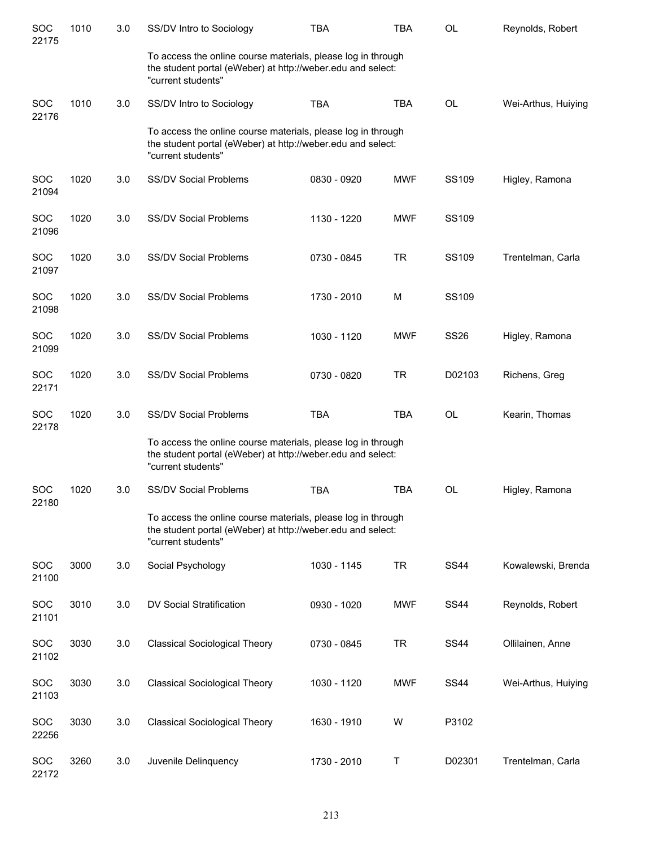| SOC<br>22175        | 1010 | 3.0 | SS/DV Intro to Sociology                                                                                                                          | <b>TBA</b>  | <b>TBA</b> | <b>OL</b>   | Reynolds, Robert    |
|---------------------|------|-----|---------------------------------------------------------------------------------------------------------------------------------------------------|-------------|------------|-------------|---------------------|
|                     |      |     | To access the online course materials, please log in through<br>the student portal (eWeber) at http://weber.edu and select:<br>"current students" |             |            |             |                     |
| <b>SOC</b><br>22176 | 1010 | 3.0 | SS/DV Intro to Sociology                                                                                                                          | <b>TBA</b>  | <b>TBA</b> | <b>OL</b>   | Wei-Arthus, Huiying |
|                     |      |     | To access the online course materials, please log in through<br>the student portal (eWeber) at http://weber.edu and select:<br>"current students" |             |            |             |                     |
| <b>SOC</b><br>21094 | 1020 | 3.0 | SS/DV Social Problems                                                                                                                             | 0830 - 0920 | <b>MWF</b> | SS109       | Higley, Ramona      |
| <b>SOC</b><br>21096 | 1020 | 3.0 | <b>SS/DV Social Problems</b>                                                                                                                      | 1130 - 1220 | <b>MWF</b> | SS109       |                     |
| SOC<br>21097        | 1020 | 3.0 | <b>SS/DV Social Problems</b>                                                                                                                      | 0730 - 0845 | <b>TR</b>  | SS109       | Trentelman, Carla   |
| <b>SOC</b><br>21098 | 1020 | 3.0 | <b>SS/DV Social Problems</b>                                                                                                                      | 1730 - 2010 | М          | SS109       |                     |
| <b>SOC</b><br>21099 | 1020 | 3.0 | <b>SS/DV Social Problems</b>                                                                                                                      | 1030 - 1120 | <b>MWF</b> | <b>SS26</b> | Higley, Ramona      |
| <b>SOC</b><br>22171 | 1020 | 3.0 | <b>SS/DV Social Problems</b>                                                                                                                      | 0730 - 0820 | TR         | D02103      | Richens, Greg       |
| SOC<br>22178        | 1020 | 3.0 | <b>SS/DV Social Problems</b>                                                                                                                      | <b>TBA</b>  | <b>TBA</b> | <b>OL</b>   | Kearin, Thomas      |
|                     |      |     | To access the online course materials, please log in through<br>the student portal (eWeber) at http://weber.edu and select:<br>"current students" |             |            |             |                     |
| SOC<br>22180        | 1020 | 3.0 | <b>SS/DV Social Problems</b>                                                                                                                      | <b>TBA</b>  | <b>TBA</b> | <b>OL</b>   | Higley, Ramona      |
|                     |      |     | To access the online course materials, please log in through<br>the student portal (eWeber) at http://weber.edu and select:<br>"current students" |             |            |             |                     |
| SOC<br>21100        | 3000 | 3.0 | Social Psychology                                                                                                                                 | 1030 - 1145 | <b>TR</b>  | <b>SS44</b> | Kowalewski, Brenda  |
| <b>SOC</b><br>21101 | 3010 | 3.0 | DV Social Stratification                                                                                                                          | 0930 - 1020 | <b>MWF</b> | <b>SS44</b> | Reynolds, Robert    |
| SOC<br>21102        | 3030 | 3.0 | <b>Classical Sociological Theory</b>                                                                                                              | 0730 - 0845 | <b>TR</b>  | <b>SS44</b> | Ollilainen, Anne    |
| SOC<br>21103        | 3030 | 3.0 | <b>Classical Sociological Theory</b>                                                                                                              | 1030 - 1120 | <b>MWF</b> | <b>SS44</b> | Wei-Arthus, Huiying |
| <b>SOC</b><br>22256 | 3030 | 3.0 | <b>Classical Sociological Theory</b>                                                                                                              | 1630 - 1910 | W          | P3102       |                     |
| <b>SOC</b><br>22172 | 3260 | 3.0 | Juvenile Delinquency                                                                                                                              | 1730 - 2010 | Τ          | D02301      | Trentelman, Carla   |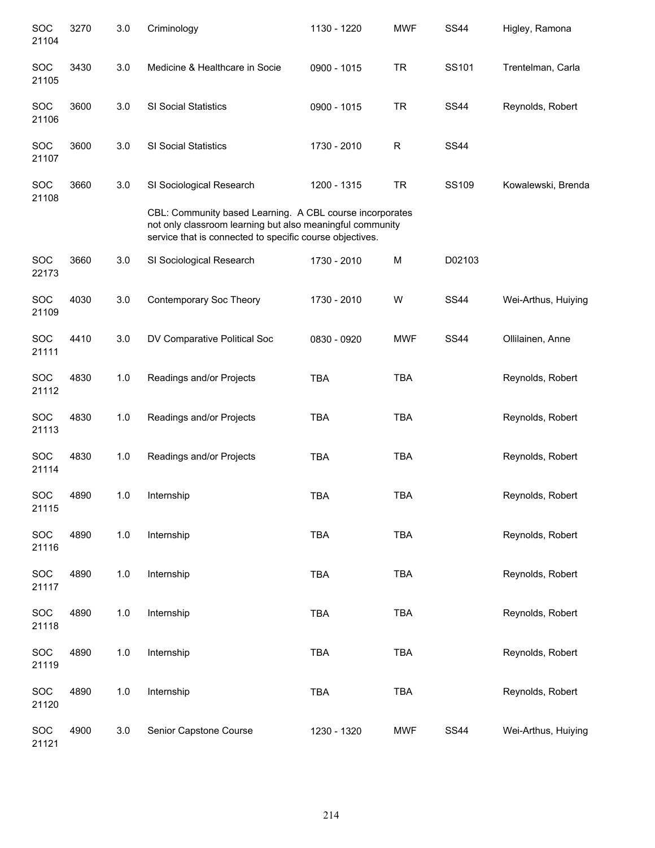| SOC<br>21104        | 3270 | 3.0   | Criminology                                                                                                                                                                       | 1130 - 1220 | <b>MWF</b> | <b>SS44</b> | Higley, Ramona      |
|---------------------|------|-------|-----------------------------------------------------------------------------------------------------------------------------------------------------------------------------------|-------------|------------|-------------|---------------------|
| <b>SOC</b><br>21105 | 3430 | 3.0   | Medicine & Healthcare in Socie                                                                                                                                                    | 0900 - 1015 | <b>TR</b>  | SS101       | Trentelman, Carla   |
| SOC<br>21106        | 3600 | 3.0   | <b>SI Social Statistics</b>                                                                                                                                                       | 0900 - 1015 | <b>TR</b>  | <b>SS44</b> | Reynolds, Robert    |
| SOC<br>21107        | 3600 | 3.0   | <b>SI Social Statistics</b>                                                                                                                                                       | 1730 - 2010 | R          | <b>SS44</b> |                     |
| <b>SOC</b><br>21108 | 3660 | 3.0   | SI Sociological Research                                                                                                                                                          | 1200 - 1315 | <b>TR</b>  | SS109       | Kowalewski, Brenda  |
|                     |      |       | CBL: Community based Learning. A CBL course incorporates<br>not only classroom learning but also meaningful community<br>service that is connected to specific course objectives. |             |            |             |                     |
| SOC<br>22173        | 3660 | 3.0   | SI Sociological Research                                                                                                                                                          | 1730 - 2010 | M          | D02103      |                     |
| SOC<br>21109        | 4030 | 3.0   | Contemporary Soc Theory                                                                                                                                                           | 1730 - 2010 | W          | <b>SS44</b> | Wei-Arthus, Huiying |
| <b>SOC</b><br>21111 | 4410 | 3.0   | DV Comparative Political Soc                                                                                                                                                      | 0830 - 0920 | <b>MWF</b> | <b>SS44</b> | Ollilainen, Anne    |
| <b>SOC</b><br>21112 | 4830 | 1.0   | Readings and/or Projects                                                                                                                                                          | <b>TBA</b>  | <b>TBA</b> |             | Reynolds, Robert    |
| <b>SOC</b><br>21113 | 4830 | 1.0   | Readings and/or Projects                                                                                                                                                          | <b>TBA</b>  | <b>TBA</b> |             | Reynolds, Robert    |
| <b>SOC</b><br>21114 | 4830 | 1.0   | Readings and/or Projects                                                                                                                                                          | <b>TBA</b>  | <b>TBA</b> |             | Reynolds, Robert    |
| SOC<br>21115        | 4890 | 1.0   | Internship                                                                                                                                                                        | <b>TBA</b>  | <b>TBA</b> |             | Reynolds, Robert    |
| SOC<br>21116        | 4890 | $1.0$ | Internship                                                                                                                                                                        | <b>TBA</b>  | <b>TBA</b> |             | Reynolds, Robert    |
| SOC<br>21117        | 4890 | $1.0$ | Internship                                                                                                                                                                        | <b>TBA</b>  | <b>TBA</b> |             | Reynolds, Robert    |
| SOC<br>21118        | 4890 | 1.0   | Internship                                                                                                                                                                        | <b>TBA</b>  | <b>TBA</b> |             | Reynolds, Robert    |
| SOC<br>21119        | 4890 | 1.0   | Internship                                                                                                                                                                        | <b>TBA</b>  | TBA        |             | Reynolds, Robert    |
| <b>SOC</b><br>21120 | 4890 | 1.0   | Internship                                                                                                                                                                        | <b>TBA</b>  | TBA        |             | Reynolds, Robert    |
| SOC<br>21121        | 4900 | 3.0   | Senior Capstone Course                                                                                                                                                            | 1230 - 1320 | <b>MWF</b> | <b>SS44</b> | Wei-Arthus, Huiying |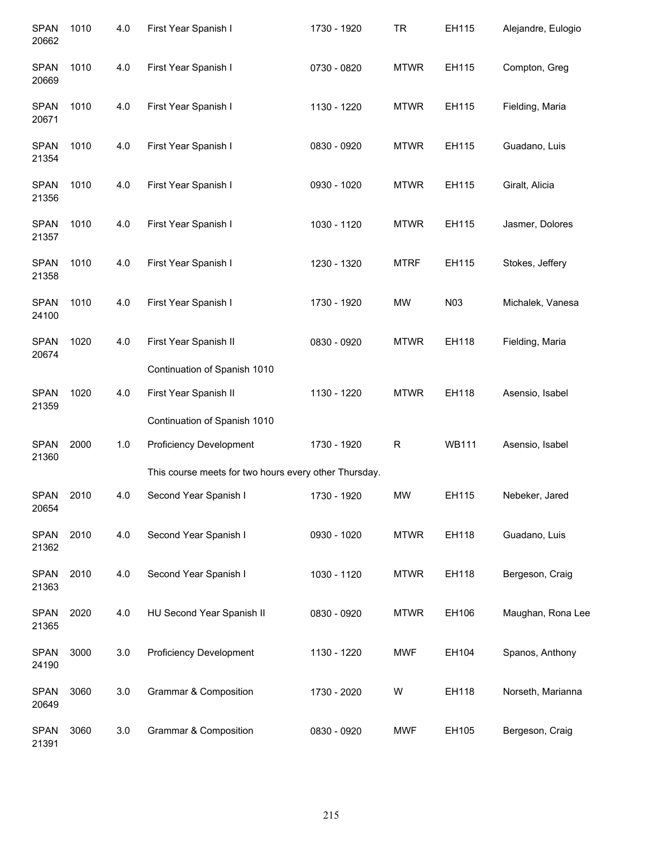| <b>SPAN</b><br>20662 | 1010 | 4.0 | First Year Spanish I                                  | 1730 - 1920 | <b>TR</b>   | EH115        | Alejandre, Eulogio |
|----------------------|------|-----|-------------------------------------------------------|-------------|-------------|--------------|--------------------|
| <b>SPAN</b><br>20669 | 1010 | 4.0 | First Year Spanish I                                  | 0730 - 0820 | <b>MTWR</b> | EH115        | Compton, Greg      |
| <b>SPAN</b><br>20671 | 1010 | 4.0 | First Year Spanish I                                  | 1130 - 1220 | <b>MTWR</b> | EH115        | Fielding, Maria    |
| <b>SPAN</b><br>21354 | 1010 | 4.0 | First Year Spanish I                                  | 0830 - 0920 | <b>MTWR</b> | EH115        | Guadano, Luis      |
| <b>SPAN</b><br>21356 | 1010 | 4.0 | First Year Spanish I                                  | 0930 - 1020 | <b>MTWR</b> | EH115        | Giralt, Alicia     |
| <b>SPAN</b><br>21357 | 1010 | 4.0 | First Year Spanish I                                  | 1030 - 1120 | <b>MTWR</b> | EH115        | Jasmer, Dolores    |
| <b>SPAN</b><br>21358 | 1010 | 4.0 | First Year Spanish I                                  | 1230 - 1320 | <b>MTRF</b> | EH115        | Stokes, Jeffery    |
| <b>SPAN</b><br>24100 | 1010 | 4.0 | First Year Spanish I                                  | 1730 - 1920 | <b>MW</b>   | N03          | Michalek, Vanesa   |
| <b>SPAN</b><br>20674 | 1020 | 4.0 | First Year Spanish II                                 | 0830 - 0920 | <b>MTWR</b> | EH118        | Fielding, Maria    |
|                      |      |     | Continuation of Spanish 1010                          |             |             |              |                    |
| <b>SPAN</b><br>21359 | 1020 | 4.0 | First Year Spanish II                                 | 1130 - 1220 | <b>MTWR</b> | EH118        | Asensio, Isabel    |
|                      |      |     | Continuation of Spanish 1010                          |             |             |              |                    |
| <b>SPAN</b><br>21360 | 2000 | 1.0 | Proficiency Development                               | 1730 - 1920 | R           | <b>WB111</b> | Asensio, Isabel    |
|                      |      |     | This course meets for two hours every other Thursday. |             |             |              |                    |
| <b>SPAN</b><br>20654 | 2010 | 4.0 | Second Year Spanish I                                 | 1730 - 1920 | <b>MW</b>   | EH115        | Nebeker, Jared     |
| <b>SPAN</b><br>21362 | 2010 | 4.0 | Second Year Spanish I                                 | 0930 - 1020 | <b>MTWR</b> | EH118        | Guadano, Luis      |
| <b>SPAN</b><br>21363 | 2010 | 4.0 | Second Year Spanish I                                 | 1030 - 1120 | <b>MTWR</b> | EH118        | Bergeson, Craig    |
| <b>SPAN</b><br>21365 | 2020 | 4.0 | HU Second Year Spanish II                             | 0830 - 0920 | <b>MTWR</b> | EH106        | Maughan, Rona Lee  |
| <b>SPAN</b><br>24190 | 3000 | 3.0 | <b>Proficiency Development</b>                        | 1130 - 1220 | <b>MWF</b>  | EH104        | Spanos, Anthony    |
| <b>SPAN</b><br>20649 | 3060 | 3.0 | <b>Grammar &amp; Composition</b>                      | 1730 - 2020 | W           | EH118        | Norseth, Marianna  |
| <b>SPAN</b><br>21391 | 3060 | 3.0 | Grammar & Composition                                 | 0830 - 0920 | <b>MWF</b>  | EH105        | Bergeson, Craig    |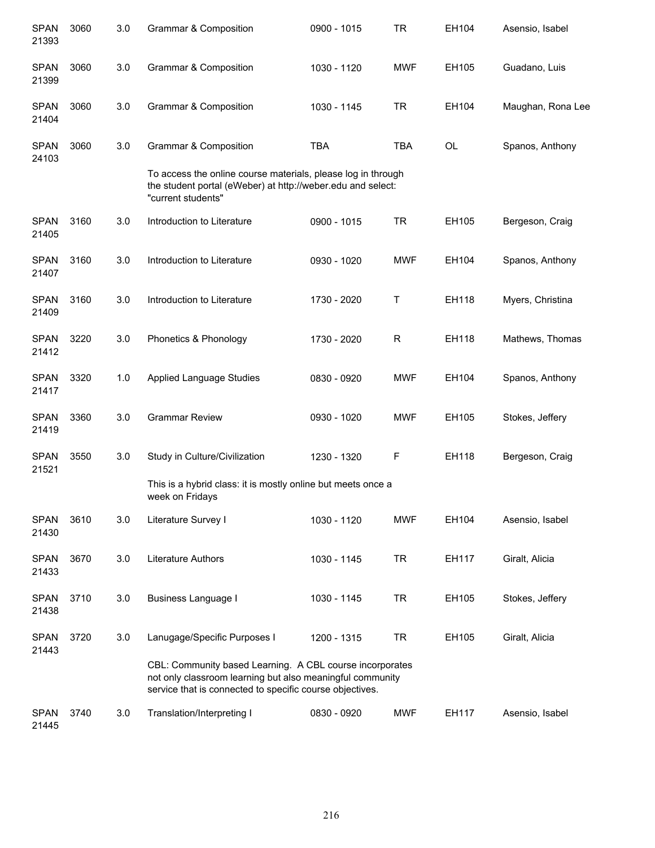| <b>SPAN</b><br>21393 | 3060                                                                                                                                                                              | 3.0 | <b>Grammar &amp; Composition</b>                                                                                                                  | 0900 - 1015 | TR          | EH104     | Asensio, Isabel   |
|----------------------|-----------------------------------------------------------------------------------------------------------------------------------------------------------------------------------|-----|---------------------------------------------------------------------------------------------------------------------------------------------------|-------------|-------------|-----------|-------------------|
| <b>SPAN</b><br>21399 | 3060                                                                                                                                                                              | 3.0 | Grammar & Composition                                                                                                                             | 1030 - 1120 | <b>MWF</b>  | EH105     | Guadano, Luis     |
| <b>SPAN</b><br>21404 | 3060                                                                                                                                                                              | 3.0 | <b>Grammar &amp; Composition</b>                                                                                                                  | 1030 - 1145 | <b>TR</b>   | EH104     | Maughan, Rona Lee |
| <b>SPAN</b><br>24103 | 3060                                                                                                                                                                              | 3.0 | Grammar & Composition                                                                                                                             | <b>TBA</b>  | <b>TBA</b>  | <b>OL</b> | Spanos, Anthony   |
|                      |                                                                                                                                                                                   |     | To access the online course materials, please log in through<br>the student portal (eWeber) at http://weber.edu and select:<br>"current students" |             |             |           |                   |
| <b>SPAN</b><br>21405 | 3160                                                                                                                                                                              | 3.0 | Introduction to Literature                                                                                                                        | 0900 - 1015 | <b>TR</b>   | EH105     | Bergeson, Craig   |
| <b>SPAN</b><br>21407 | 3160                                                                                                                                                                              | 3.0 | Introduction to Literature                                                                                                                        | 0930 - 1020 | <b>MWF</b>  | EH104     | Spanos, Anthony   |
| <b>SPAN</b><br>21409 | 3160                                                                                                                                                                              | 3.0 | Introduction to Literature                                                                                                                        | 1730 - 2020 | Τ           | EH118     | Myers, Christina  |
| <b>SPAN</b><br>21412 | 3220                                                                                                                                                                              | 3.0 | Phonetics & Phonology                                                                                                                             | 1730 - 2020 | $\mathsf R$ | EH118     | Mathews, Thomas   |
| <b>SPAN</b><br>21417 | 3320                                                                                                                                                                              | 1.0 | <b>Applied Language Studies</b>                                                                                                                   | 0830 - 0920 | <b>MWF</b>  | EH104     | Spanos, Anthony   |
| <b>SPAN</b><br>21419 | 3360                                                                                                                                                                              | 3.0 | <b>Grammar Review</b>                                                                                                                             | 0930 - 1020 | <b>MWF</b>  | EH105     | Stokes, Jeffery   |
| <b>SPAN</b><br>21521 | 3550                                                                                                                                                                              | 3.0 | Study in Culture/Civilization                                                                                                                     | 1230 - 1320 | F           | EH118     | Bergeson, Craig   |
|                      |                                                                                                                                                                                   |     | This is a hybrid class: it is mostly online but meets once a<br>week on Fridays                                                                   |             |             |           |                   |
| <b>SPAN</b><br>21430 | 3610                                                                                                                                                                              | 3.0 | Literature Survey I                                                                                                                               | 1030 - 1120 | <b>MWF</b>  | EH104     | Asensio, Isabel   |
| <b>SPAN</b><br>21433 | 3670                                                                                                                                                                              | 3.0 | Literature Authors                                                                                                                                | 1030 - 1145 | <b>TR</b>   | EH117     | Giralt, Alicia    |
| <b>SPAN</b><br>21438 | 3710                                                                                                                                                                              | 3.0 | <b>Business Language I</b>                                                                                                                        | 1030 - 1145 | <b>TR</b>   | EH105     | Stokes, Jeffery   |
| <b>SPAN</b><br>21443 | 3720                                                                                                                                                                              | 3.0 | Lanugage/Specific Purposes I                                                                                                                      | 1200 - 1315 | <b>TR</b>   | EH105     | Giralt, Alicia    |
|                      | CBL: Community based Learning. A CBL course incorporates<br>not only classroom learning but also meaningful community<br>service that is connected to specific course objectives. |     |                                                                                                                                                   |             |             |           |                   |
| <b>SPAN</b><br>21445 | 3740                                                                                                                                                                              | 3.0 | Translation/Interpreting I                                                                                                                        | 0830 - 0920 | <b>MWF</b>  | EH117     | Asensio, Isabel   |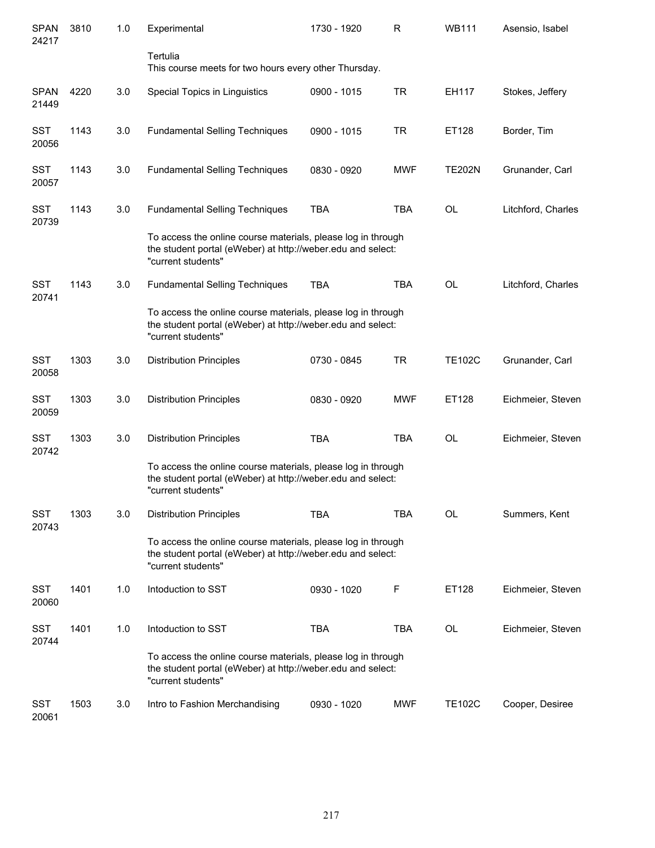| <b>SPAN</b><br>24217 | 3810 | 1.0 | Experimental                                                                                                                                      | 1730 - 1920 | R          | <b>WB111</b>  | Asensio, Isabel    |
|----------------------|------|-----|---------------------------------------------------------------------------------------------------------------------------------------------------|-------------|------------|---------------|--------------------|
|                      |      |     | Tertulia<br>This course meets for two hours every other Thursday.                                                                                 |             |            |               |                    |
| <b>SPAN</b><br>21449 | 4220 | 3.0 | Special Topics in Linguistics                                                                                                                     | 0900 - 1015 | <b>TR</b>  | EH117         | Stokes, Jeffery    |
| SST<br>20056         | 1143 | 3.0 | <b>Fundamental Selling Techniques</b>                                                                                                             | 0900 - 1015 | <b>TR</b>  | ET128         | Border, Tim        |
| <b>SST</b><br>20057  | 1143 | 3.0 | <b>Fundamental Selling Techniques</b>                                                                                                             | 0830 - 0920 | <b>MWF</b> | <b>TE202N</b> | Grunander, Carl    |
| <b>SST</b><br>20739  | 1143 | 3.0 | <b>Fundamental Selling Techniques</b>                                                                                                             | <b>TBA</b>  | <b>TBA</b> | <b>OL</b>     | Litchford, Charles |
|                      |      |     | To access the online course materials, please log in through<br>the student portal (eWeber) at http://weber.edu and select:<br>"current students" |             |            |               |                    |
| SST<br>20741         | 1143 | 3.0 | <b>Fundamental Selling Techniques</b>                                                                                                             | <b>TBA</b>  | <b>TBA</b> | <b>OL</b>     | Litchford, Charles |
|                      |      |     | To access the online course materials, please log in through<br>the student portal (eWeber) at http://weber.edu and select:<br>"current students" |             |            |               |                    |
| <b>SST</b><br>20058  | 1303 | 3.0 | <b>Distribution Principles</b>                                                                                                                    | 0730 - 0845 | <b>TR</b>  | <b>TE102C</b> | Grunander, Carl    |
| <b>SST</b><br>20059  | 1303 | 3.0 | <b>Distribution Principles</b>                                                                                                                    | 0830 - 0920 | <b>MWF</b> | ET128         | Eichmeier, Steven  |
| <b>SST</b><br>20742  | 1303 | 3.0 | <b>Distribution Principles</b>                                                                                                                    | <b>TBA</b>  | <b>TBA</b> | <b>OL</b>     | Eichmeier, Steven  |
|                      |      |     | To access the online course materials, please log in through<br>the student portal (eWeber) at http://weber.edu and select:<br>"current students" |             |            |               |                    |
| <b>SST</b><br>20743  | 1303 | 3.0 | <b>Distribution Principles</b>                                                                                                                    | <b>TBA</b>  | <b>TBA</b> | <b>OL</b>     | Summers, Kent      |
|                      |      |     | To access the online course materials, please log in through<br>the student portal (eWeber) at http://weber.edu and select:<br>"current students" |             |            |               |                    |
| SST<br>20060         | 1401 | 1.0 | Intoduction to SST                                                                                                                                | 0930 - 1020 | F          | ET128         | Eichmeier, Steven  |
| SST<br>20744         | 1401 | 1.0 | Intoduction to SST                                                                                                                                | <b>TBA</b>  | <b>TBA</b> | OL            | Eichmeier, Steven  |
|                      |      |     | To access the online course materials, please log in through<br>the student portal (eWeber) at http://weber.edu and select:<br>"current students" |             |            |               |                    |
| SST<br>20061         | 1503 | 3.0 | Intro to Fashion Merchandising                                                                                                                    | 0930 - 1020 | MWF        | <b>TE102C</b> | Cooper, Desiree    |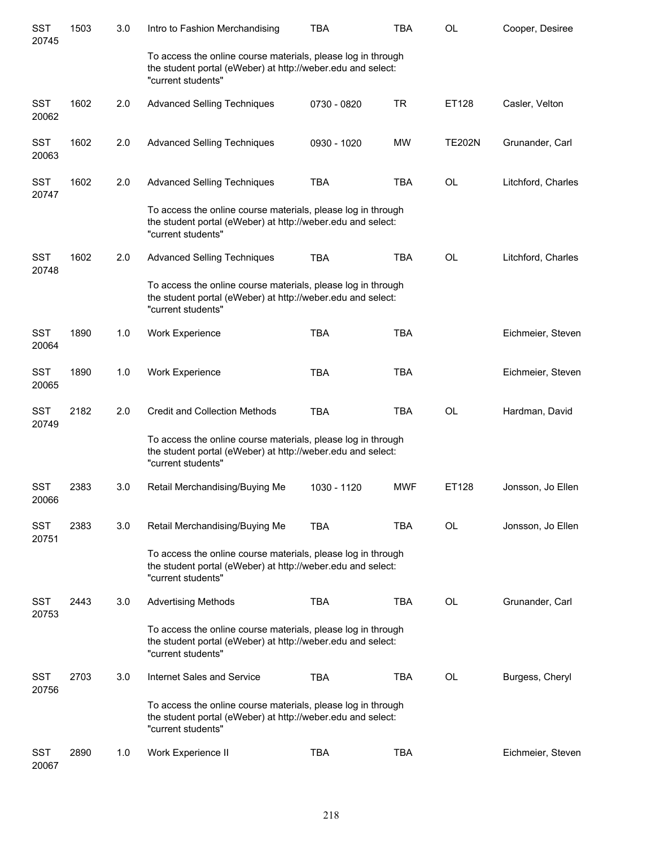| <b>SST</b><br>20745 | 1503 | 3.0 | Intro to Fashion Merchandising                                                                                                                    | <b>TBA</b>  | <b>TBA</b> | <b>OL</b>     | Cooper, Desiree    |
|---------------------|------|-----|---------------------------------------------------------------------------------------------------------------------------------------------------|-------------|------------|---------------|--------------------|
|                     |      |     | To access the online course materials, please log in through<br>the student portal (eWeber) at http://weber.edu and select:<br>"current students" |             |            |               |                    |
| <b>SST</b><br>20062 | 1602 | 2.0 | <b>Advanced Selling Techniques</b>                                                                                                                | 0730 - 0820 | <b>TR</b>  | ET128         | Casler, Velton     |
| <b>SST</b><br>20063 | 1602 | 2.0 | <b>Advanced Selling Techniques</b>                                                                                                                | 0930 - 1020 | MW         | <b>TE202N</b> | Grunander, Carl    |
| <b>SST</b><br>20747 | 1602 | 2.0 | <b>Advanced Selling Techniques</b>                                                                                                                | <b>TBA</b>  | <b>TBA</b> | <b>OL</b>     | Litchford, Charles |
|                     |      |     | To access the online course materials, please log in through<br>the student portal (eWeber) at http://weber.edu and select:<br>"current students" |             |            |               |                    |
| <b>SST</b><br>20748 | 1602 | 2.0 | <b>Advanced Selling Techniques</b>                                                                                                                | <b>TBA</b>  | <b>TBA</b> | <b>OL</b>     | Litchford, Charles |
|                     |      |     | To access the online course materials, please log in through<br>the student portal (eWeber) at http://weber.edu and select:<br>"current students" |             |            |               |                    |
| <b>SST</b><br>20064 | 1890 | 1.0 | Work Experience                                                                                                                                   | <b>TBA</b>  | <b>TBA</b> |               | Eichmeier, Steven  |
| <b>SST</b><br>20065 | 1890 | 1.0 | Work Experience                                                                                                                                   | <b>TBA</b>  | <b>TBA</b> |               | Eichmeier, Steven  |
| <b>SST</b><br>20749 | 2182 | 2.0 | <b>Credit and Collection Methods</b>                                                                                                              | <b>TBA</b>  | <b>TBA</b> | <b>OL</b>     | Hardman, David     |
|                     |      |     | To access the online course materials, please log in through<br>the student portal (eWeber) at http://weber.edu and select:<br>"current students" |             |            |               |                    |
| <b>SST</b><br>20066 | 2383 | 3.0 | Retail Merchandising/Buying Me                                                                                                                    | 1030 - 1120 | <b>MWF</b> | ET128         | Jonsson, Jo Ellen  |
| SST<br>20751        | 2383 | 3.0 | Retail Merchandising/Buying Me                                                                                                                    | TBA         | TBA        | OL            | Jonsson, Jo Ellen  |
|                     |      |     | To access the online course materials, please log in through<br>the student portal (eWeber) at http://weber.edu and select:<br>"current students" |             |            |               |                    |
| <b>SST</b><br>20753 | 2443 | 3.0 | <b>Advertising Methods</b>                                                                                                                        | <b>TBA</b>  | <b>TBA</b> | OL            | Grunander, Carl    |
|                     |      |     | To access the online course materials, please log in through<br>the student portal (eWeber) at http://weber.edu and select:<br>"current students" |             |            |               |                    |
| <b>SST</b><br>20756 | 2703 | 3.0 | Internet Sales and Service                                                                                                                        | TBA         | <b>TBA</b> | OL            | Burgess, Cheryl    |
|                     |      |     | To access the online course materials, please log in through<br>the student portal (eWeber) at http://weber.edu and select:<br>"current students" |             |            |               |                    |
| <b>SST</b><br>20067 | 2890 | 1.0 | Work Experience II                                                                                                                                | <b>TBA</b>  | <b>TBA</b> |               | Eichmeier, Steven  |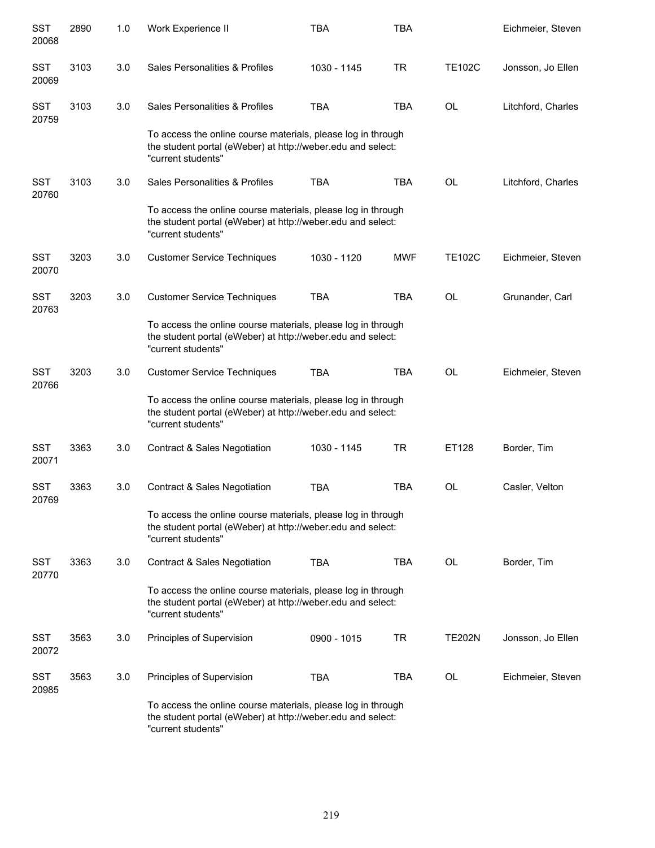| <b>SST</b><br>20068 | 2890 | 1.0 | Work Experience II                                                                                                                                | <b>TBA</b>  | <b>TBA</b> |               | Eichmeier, Steven  |
|---------------------|------|-----|---------------------------------------------------------------------------------------------------------------------------------------------------|-------------|------------|---------------|--------------------|
| <b>SST</b><br>20069 | 3103 | 3.0 | Sales Personalities & Profiles                                                                                                                    | 1030 - 1145 | <b>TR</b>  | <b>TE102C</b> | Jonsson, Jo Ellen  |
| <b>SST</b><br>20759 | 3103 | 3.0 | Sales Personalities & Profiles                                                                                                                    | <b>TBA</b>  | <b>TBA</b> | <b>OL</b>     | Litchford, Charles |
|                     |      |     | To access the online course materials, please log in through<br>the student portal (eWeber) at http://weber.edu and select:<br>"current students" |             |            |               |                    |
| SST<br>20760        | 3103 | 3.0 | Sales Personalities & Profiles                                                                                                                    | <b>TBA</b>  | <b>TBA</b> | OL            | Litchford, Charles |
|                     |      |     | To access the online course materials, please log in through<br>the student portal (eWeber) at http://weber.edu and select:<br>"current students" |             |            |               |                    |
| <b>SST</b><br>20070 | 3203 | 3.0 | <b>Customer Service Techniques</b>                                                                                                                | 1030 - 1120 | <b>MWF</b> | <b>TE102C</b> | Eichmeier, Steven  |
| <b>SST</b><br>20763 | 3203 | 3.0 | <b>Customer Service Techniques</b>                                                                                                                | <b>TBA</b>  | <b>TBA</b> | <b>OL</b>     | Grunander, Carl    |
|                     |      |     | To access the online course materials, please log in through<br>the student portal (eWeber) at http://weber.edu and select:<br>"current students" |             |            |               |                    |
| <b>SST</b><br>20766 | 3203 | 3.0 | <b>Customer Service Techniques</b>                                                                                                                | <b>TBA</b>  | <b>TBA</b> | <b>OL</b>     | Eichmeier, Steven  |
|                     |      |     | To access the online course materials, please log in through<br>the student portal (eWeber) at http://weber.edu and select:<br>"current students" |             |            |               |                    |
| <b>SST</b><br>20071 | 3363 | 3.0 | <b>Contract &amp; Sales Negotiation</b>                                                                                                           | 1030 - 1145 | <b>TR</b>  | ET128         | Border, Tim        |
| <b>SST</b><br>20769 | 3363 | 3.0 | <b>Contract &amp; Sales Negotiation</b>                                                                                                           | <b>TBA</b>  | <b>TBA</b> | <b>OL</b>     | Casler, Velton     |
|                     |      |     | To access the online course materials, please log in through<br>the student portal (eWeber) at http://weber.edu and select:<br>"current students" |             |            |               |                    |
| <b>SST</b><br>20770 | 3363 | 3.0 | <b>Contract &amp; Sales Negotiation</b>                                                                                                           | <b>TBA</b>  | <b>TBA</b> | <b>OL</b>     | Border, Tim        |
|                     |      |     | To access the online course materials, please log in through<br>the student portal (eWeber) at http://weber.edu and select:<br>"current students" |             |            |               |                    |
| <b>SST</b><br>20072 | 3563 | 3.0 | Principles of Supervision                                                                                                                         | 0900 - 1015 | <b>TR</b>  | <b>TE202N</b> | Jonsson, Jo Ellen  |
| SST<br>20985        | 3563 | 3.0 | Principles of Supervision                                                                                                                         | <b>TBA</b>  | <b>TBA</b> | OL            | Eichmeier, Steven  |
|                     |      |     | To access the online course materials, please log in through<br>the student portal (eWeber) at http://weber.edu and select:<br>"current students" |             |            |               |                    |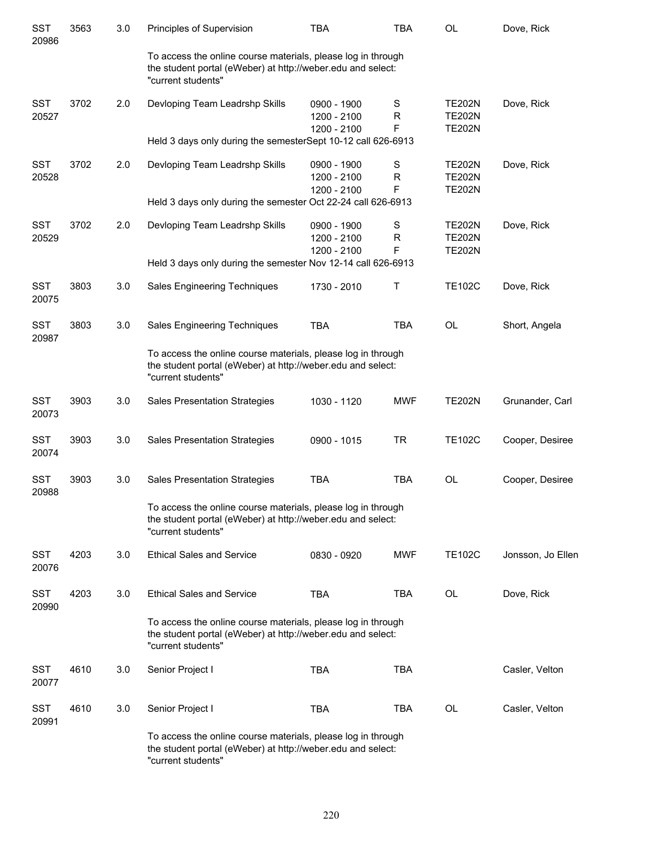| <b>SST</b><br>20986 | 3563 | 3.0 | Principles of Supervision                                                                                                                         | TBA                                       | <b>TBA</b>  | OL                                              | Dove, Rick        |
|---------------------|------|-----|---------------------------------------------------------------------------------------------------------------------------------------------------|-------------------------------------------|-------------|-------------------------------------------------|-------------------|
|                     |      |     | To access the online course materials, please log in through<br>the student portal (eWeber) at http://weber.edu and select:<br>"current students" |                                           |             |                                                 |                   |
| <b>SST</b><br>20527 | 3702 | 2.0 | Devloping Team Leadrshp Skills                                                                                                                    | 0900 - 1900<br>1200 - 2100<br>1200 - 2100 | S<br>R<br>F | <b>TE202N</b><br><b>TE202N</b><br><b>TE202N</b> | Dove, Rick        |
|                     |      |     | Held 3 days only during the semesterSept 10-12 call 626-6913                                                                                      |                                           |             |                                                 |                   |
| <b>SST</b><br>20528 | 3702 | 2.0 | Devloping Team Leadrshp Skills                                                                                                                    | 0900 - 1900<br>1200 - 2100<br>1200 - 2100 | S<br>R<br>F | <b>TE202N</b><br><b>TE202N</b><br><b>TE202N</b> | Dove, Rick        |
|                     |      |     | Held 3 days only during the semester Oct 22-24 call 626-6913                                                                                      |                                           |             |                                                 |                   |
| <b>SST</b><br>20529 | 3702 | 2.0 | Devloping Team Leadrshp Skills                                                                                                                    | 0900 - 1900<br>1200 - 2100<br>1200 - 2100 | S<br>R<br>F | <b>TE202N</b><br><b>TE202N</b><br><b>TE202N</b> | Dove, Rick        |
|                     |      |     | Held 3 days only during the semester Nov 12-14 call 626-6913                                                                                      |                                           |             |                                                 |                   |
| <b>SST</b><br>20075 | 3803 | 3.0 | Sales Engineering Techniques                                                                                                                      | 1730 - 2010                               | Τ           | <b>TE102C</b>                                   | Dove, Rick        |
| <b>SST</b><br>20987 | 3803 | 3.0 | Sales Engineering Techniques                                                                                                                      | <b>TBA</b>                                | <b>TBA</b>  | <b>OL</b>                                       | Short, Angela     |
|                     |      |     | To access the online course materials, please log in through<br>the student portal (eWeber) at http://weber.edu and select:<br>"current students" |                                           |             |                                                 |                   |
| <b>SST</b><br>20073 | 3903 | 3.0 | <b>Sales Presentation Strategies</b>                                                                                                              | 1030 - 1120                               | <b>MWF</b>  | <b>TE202N</b>                                   | Grunander, Carl   |
| <b>SST</b><br>20074 | 3903 | 3.0 | <b>Sales Presentation Strategies</b>                                                                                                              | 0900 - 1015                               | <b>TR</b>   | <b>TE102C</b>                                   | Cooper, Desiree   |
| <b>SST</b><br>20988 | 3903 | 3.0 | <b>Sales Presentation Strategies</b>                                                                                                              | <b>TBA</b>                                | <b>TBA</b>  | <b>OL</b>                                       | Cooper, Desiree   |
|                     |      |     | To access the online course materials, please log in through<br>the student portal (eWeber) at http://weber.edu and select:<br>"current students" |                                           |             |                                                 |                   |
| <b>SST</b><br>20076 | 4203 | 3.0 | <b>Ethical Sales and Service</b>                                                                                                                  | 0830 - 0920                               | <b>MWF</b>  | <b>TE102C</b>                                   | Jonsson, Jo Ellen |
| <b>SST</b><br>20990 | 4203 | 3.0 | <b>Ethical Sales and Service</b>                                                                                                                  | <b>TBA</b>                                | TBA         | <b>OL</b>                                       | Dove, Rick        |
|                     |      |     | To access the online course materials, please log in through<br>the student portal (eWeber) at http://weber.edu and select:<br>"current students" |                                           |             |                                                 |                   |
| <b>SST</b><br>20077 | 4610 | 3.0 | Senior Project I                                                                                                                                  | <b>TBA</b>                                | TBA         |                                                 | Casler, Velton    |
| SST<br>20991        | 4610 | 3.0 | Senior Project I                                                                                                                                  | <b>TBA</b>                                | TBA         | OL                                              | Casler, Velton    |
|                     |      |     | To access the online course materials, please log in through<br>the student portal (eWeber) at http://weber.edu and select:<br>"current students" |                                           |             |                                                 |                   |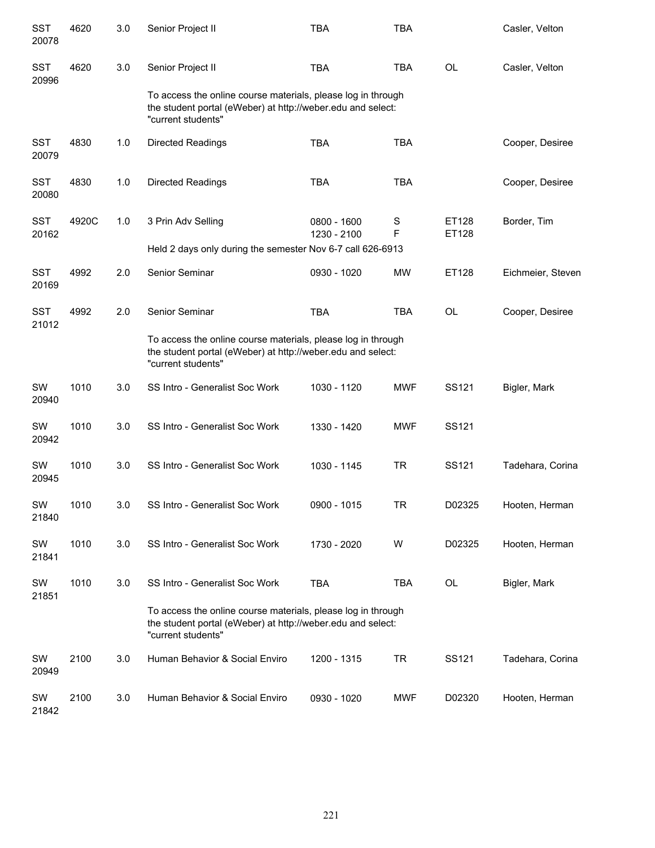| <b>SST</b><br>20078 | 4620  | 3.0 | Senior Project II                                                                                                                                 | <b>TBA</b>                 | <b>TBA</b> |                   | Casler, Velton    |
|---------------------|-------|-----|---------------------------------------------------------------------------------------------------------------------------------------------------|----------------------------|------------|-------------------|-------------------|
| <b>SST</b><br>20996 | 4620  | 3.0 | Senior Project II                                                                                                                                 | <b>TBA</b>                 | <b>TBA</b> | <b>OL</b>         | Casler, Velton    |
|                     |       |     | To access the online course materials, please log in through<br>the student portal (eWeber) at http://weber.edu and select:<br>"current students" |                            |            |                   |                   |
| <b>SST</b><br>20079 | 4830  | 1.0 | <b>Directed Readings</b>                                                                                                                          | <b>TBA</b>                 | <b>TBA</b> |                   | Cooper, Desiree   |
| <b>SST</b><br>20080 | 4830  | 1.0 | <b>Directed Readings</b>                                                                                                                          | <b>TBA</b>                 | <b>TBA</b> |                   | Cooper, Desiree   |
| <b>SST</b><br>20162 | 4920C | 1.0 | 3 Prin Adv Selling                                                                                                                                | 0800 - 1600<br>1230 - 2100 | S<br>F     | ET128<br>ET128    | Border, Tim       |
|                     |       |     | Held 2 days only during the semester Nov 6-7 call 626-6913                                                                                        |                            |            |                   |                   |
| <b>SST</b><br>20169 | 4992  | 2.0 | Senior Seminar                                                                                                                                    | 0930 - 1020                | <b>MW</b>  | ET128             | Eichmeier, Steven |
| <b>SST</b><br>21012 | 4992  | 2.0 | Senior Seminar                                                                                                                                    | <b>TBA</b>                 | <b>TBA</b> | <b>OL</b>         | Cooper, Desiree   |
|                     |       |     | To access the online course materials, please log in through<br>the student portal (eWeber) at http://weber.edu and select:<br>"current students" |                            |            |                   |                   |
| SW<br>20940         | 1010  | 3.0 | SS Intro - Generalist Soc Work                                                                                                                    | 1030 - 1120                | <b>MWF</b> | SS121             | Bigler, Mark      |
| SW<br>20942         | 1010  | 3.0 | SS Intro - Generalist Soc Work                                                                                                                    | 1330 - 1420                | <b>MWF</b> | SS121             |                   |
| SW<br>20945         | 1010  | 3.0 | SS Intro - Generalist Soc Work                                                                                                                    | 1030 - 1145                | <b>TR</b>  | SS <sub>121</sub> | Tadehara, Corina  |
| SW<br>21840         | 1010  | 3.0 | SS Intro - Generalist Soc Work                                                                                                                    | 0900 - 1015                | IR         | D02325            | Hooten, Herman    |
| SW<br>21841         | 1010  | 3.0 | SS Intro - Generalist Soc Work                                                                                                                    | 1730 - 2020                | W          | D02325            | Hooten, Herman    |
| SW<br>21851         | 1010  | 3.0 | SS Intro - Generalist Soc Work                                                                                                                    | <b>TBA</b>                 | <b>TBA</b> | OL                | Bigler, Mark      |
|                     |       |     | To access the online course materials, please log in through<br>the student portal (eWeber) at http://weber.edu and select:<br>"current students" |                            |            |                   |                   |
| SW<br>20949         | 2100  | 3.0 | Human Behavior & Social Enviro                                                                                                                    | 1200 - 1315                | <b>TR</b>  | SS121             | Tadehara, Corina  |
| SW<br>21842         | 2100  | 3.0 | Human Behavior & Social Enviro                                                                                                                    | 0930 - 1020                | MWF        | D02320            | Hooten, Herman    |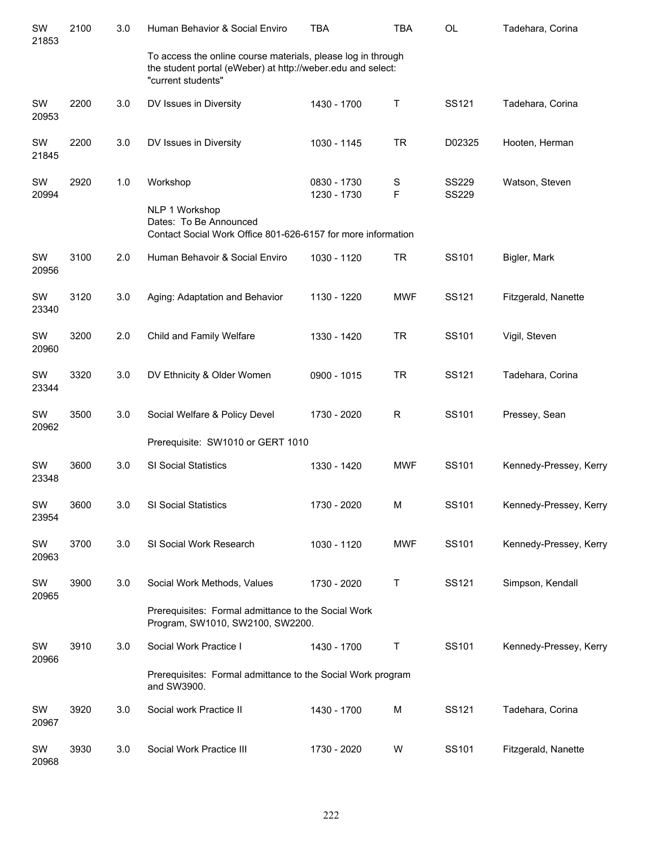| SW<br>21853 | 2100 | 3.0 | Human Behavior & Social Enviro                                                                                                                    | <b>TBA</b>                 | <b>TBA</b>       | <b>OL</b>                    | Tadehara, Corina       |
|-------------|------|-----|---------------------------------------------------------------------------------------------------------------------------------------------------|----------------------------|------------------|------------------------------|------------------------|
|             |      |     | To access the online course materials, please log in through<br>the student portal (eWeber) at http://weber.edu and select:<br>"current students" |                            |                  |                              |                        |
| SW<br>20953 | 2200 | 3.0 | DV Issues in Diversity                                                                                                                            | 1430 - 1700                | $\sf T$          | SS121                        | Tadehara, Corina       |
| SW<br>21845 | 2200 | 3.0 | DV Issues in Diversity                                                                                                                            | 1030 - 1145                | <b>TR</b>        | D02325                       | Hooten, Herman         |
| SW<br>20994 | 2920 | 1.0 | Workshop                                                                                                                                          | 0830 - 1730<br>1230 - 1730 | $\mathbb S$<br>F | <b>SS229</b><br><b>SS229</b> | Watson, Steven         |
|             |      |     | NLP 1 Workshop<br>Dates: To Be Announced<br>Contact Social Work Office 801-626-6157 for more information                                          |                            |                  |                              |                        |
| SW<br>20956 | 3100 | 2.0 | Human Behavoir & Social Enviro                                                                                                                    | 1030 - 1120                | <b>TR</b>        | SS101                        | Bigler, Mark           |
| SW<br>23340 | 3120 | 3.0 | Aging: Adaptation and Behavior                                                                                                                    | 1130 - 1220                | <b>MWF</b>       | SS121                        | Fitzgerald, Nanette    |
| SW<br>20960 | 3200 | 2.0 | Child and Family Welfare                                                                                                                          | 1330 - 1420                | <b>TR</b>        | SS101                        | Vigil, Steven          |
| SW<br>23344 | 3320 | 3.0 | DV Ethnicity & Older Women                                                                                                                        | 0900 - 1015                | <b>TR</b>        | SS121                        | Tadehara, Corina       |
| SW<br>20962 | 3500 | 3.0 | Social Welfare & Policy Devel                                                                                                                     | 1730 - 2020                | $\mathsf{R}$     | SS101                        | Pressey, Sean          |
|             |      |     | Prerequisite: SW1010 or GERT 1010                                                                                                                 |                            |                  |                              |                        |
| SW<br>23348 | 3600 | 3.0 | <b>SI Social Statistics</b>                                                                                                                       | 1330 - 1420                | <b>MWF</b>       | SS101                        | Kennedy-Pressey, Kerry |
| SW<br>23954 | 3600 | 3.0 | SI Social Statistics                                                                                                                              | 1730 - 2020                | M                | SS101                        | Kennedy-Pressey, Kerry |
| SW<br>20963 | 3700 | 3.0 | SI Social Work Research                                                                                                                           | 1030 - 1120                | <b>MWF</b>       | SS101                        | Kennedy-Pressey, Kerry |
| SW<br>20965 | 3900 | 3.0 | Social Work Methods, Values                                                                                                                       | 1730 - 2020                | T                | SS121                        | Simpson, Kendall       |
|             |      |     | Prerequisites: Formal admittance to the Social Work<br>Program, SW1010, SW2100, SW2200.                                                           |                            |                  |                              |                        |
| SW<br>20966 | 3910 | 3.0 | Social Work Practice I                                                                                                                            | 1430 - 1700                | Т                | SS101                        | Kennedy-Pressey, Kerry |
|             |      |     | Prerequisites: Formal admittance to the Social Work program<br>and SW3900.                                                                        |                            |                  |                              |                        |
| SW<br>20967 | 3920 | 3.0 | Social work Practice II                                                                                                                           | 1430 - 1700                | M                | SS121                        | Tadehara, Corina       |
| SW<br>20968 | 3930 | 3.0 | Social Work Practice III                                                                                                                          | 1730 - 2020                | W                | SS101                        | Fitzgerald, Nanette    |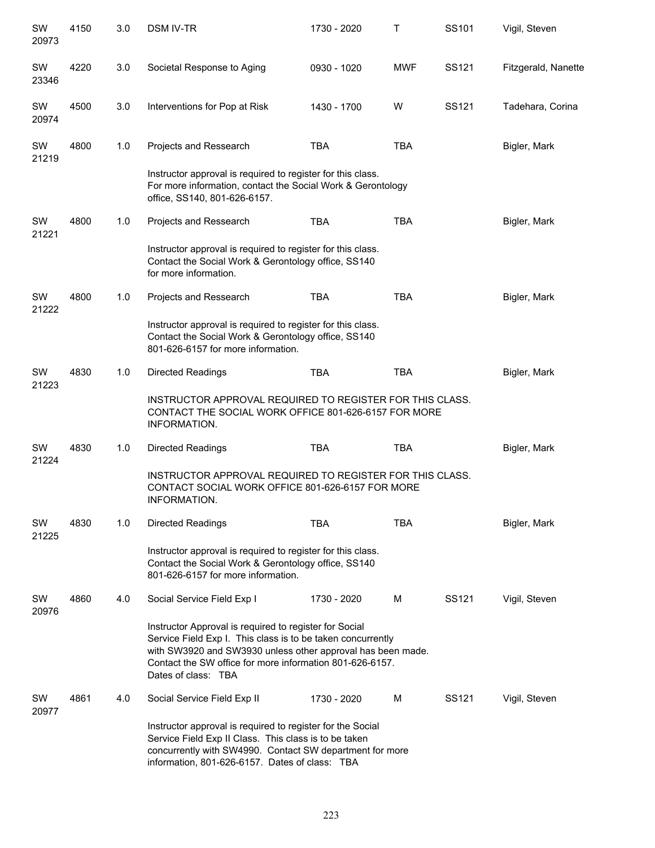| SW<br>20973 | 4150 | 3.0 | <b>DSM IV-TR</b>                                                                                                                                                                                                                                                        | 1730 - 2020                                                                                                                                              | Т          | SS101 | Vigil, Steven       |  |  |
|-------------|------|-----|-------------------------------------------------------------------------------------------------------------------------------------------------------------------------------------------------------------------------------------------------------------------------|----------------------------------------------------------------------------------------------------------------------------------------------------------|------------|-------|---------------------|--|--|
| SW<br>23346 | 4220 | 3.0 | Societal Response to Aging                                                                                                                                                                                                                                              | 0930 - 1020                                                                                                                                              | <b>MWF</b> | SS121 | Fitzgerald, Nanette |  |  |
| SW<br>20974 | 4500 | 3.0 | Interventions for Pop at Risk                                                                                                                                                                                                                                           | 1430 - 1700                                                                                                                                              | W          | SS121 | Tadehara, Corina    |  |  |
| SW<br>21219 | 4800 | 1.0 | Projects and Ressearch                                                                                                                                                                                                                                                  | <b>TBA</b>                                                                                                                                               | <b>TBA</b> |       | Bigler, Mark        |  |  |
|             |      |     | Instructor approval is required to register for this class.<br>For more information, contact the Social Work & Gerontology<br>office, SS140, 801-626-6157.                                                                                                              |                                                                                                                                                          |            |       |                     |  |  |
| SW<br>21221 | 4800 | 1.0 | Projects and Ressearch                                                                                                                                                                                                                                                  | <b>TBA</b>                                                                                                                                               | <b>TBA</b> |       | Bigler, Mark        |  |  |
|             |      |     | Instructor approval is required to register for this class.<br>Contact the Social Work & Gerontology office, SS140<br>for more information.                                                                                                                             |                                                                                                                                                          |            |       |                     |  |  |
| SW<br>21222 | 4800 | 1.0 | Projects and Ressearch                                                                                                                                                                                                                                                  | <b>TBA</b>                                                                                                                                               | <b>TBA</b> |       | Bigler, Mark        |  |  |
|             |      |     |                                                                                                                                                                                                                                                                         | Instructor approval is required to register for this class.<br>Contact the Social Work & Gerontology office, SS140<br>801-626-6157 for more information. |            |       |                     |  |  |
| SW<br>21223 | 4830 | 1.0 | Directed Readings                                                                                                                                                                                                                                                       | <b>TBA</b>                                                                                                                                               | <b>TBA</b> |       | Bigler, Mark        |  |  |
|             |      |     | INSTRUCTOR APPROVAL REQUIRED TO REGISTER FOR THIS CLASS.<br>CONTACT THE SOCIAL WORK OFFICE 801-626-6157 FOR MORE<br>INFORMATION.                                                                                                                                        |                                                                                                                                                          |            |       |                     |  |  |
| SW<br>21224 | 4830 | 1.0 | <b>Directed Readings</b>                                                                                                                                                                                                                                                | <b>TBA</b>                                                                                                                                               | <b>TBA</b> |       | Bigler, Mark        |  |  |
|             |      |     | INSTRUCTOR APPROVAL REQUIRED TO REGISTER FOR THIS CLASS.<br>CONTACT SOCIAL WORK OFFICE 801-626-6157 FOR MORE<br>INFORMATION.                                                                                                                                            |                                                                                                                                                          |            |       |                     |  |  |
| SW<br>21225 | 4830 | 1.0 | Directed Readings                                                                                                                                                                                                                                                       | <b>TBA</b>                                                                                                                                               | <b>TBA</b> |       | Bigler, Mark        |  |  |
|             |      |     | Instructor approval is required to register for this class.<br>Contact the Social Work & Gerontology office, SS140<br>801-626-6157 for more information.                                                                                                                |                                                                                                                                                          |            |       |                     |  |  |
| SW<br>20976 | 4860 | 4.0 | Social Service Field Exp I                                                                                                                                                                                                                                              | 1730 - 2020                                                                                                                                              | м          | SS121 | Vigil, Steven       |  |  |
|             |      |     | Instructor Approval is required to register for Social<br>Service Field Exp I. This class is to be taken concurrently<br>with SW3920 and SW3930 unless other approval has been made.<br>Contact the SW office for more information 801-626-6157.<br>Dates of class: TBA |                                                                                                                                                          |            |       |                     |  |  |
| SW<br>20977 | 4861 | 4.0 | Social Service Field Exp II                                                                                                                                                                                                                                             | 1730 - 2020                                                                                                                                              | м          | SS121 | Vigil, Steven       |  |  |
|             |      |     | Instructor approval is required to register for the Social<br>Service Field Exp II Class. This class is to be taken<br>concurrently with SW4990. Contact SW department for more<br>information, 801-626-6157. Dates of class: TBA                                       |                                                                                                                                                          |            |       |                     |  |  |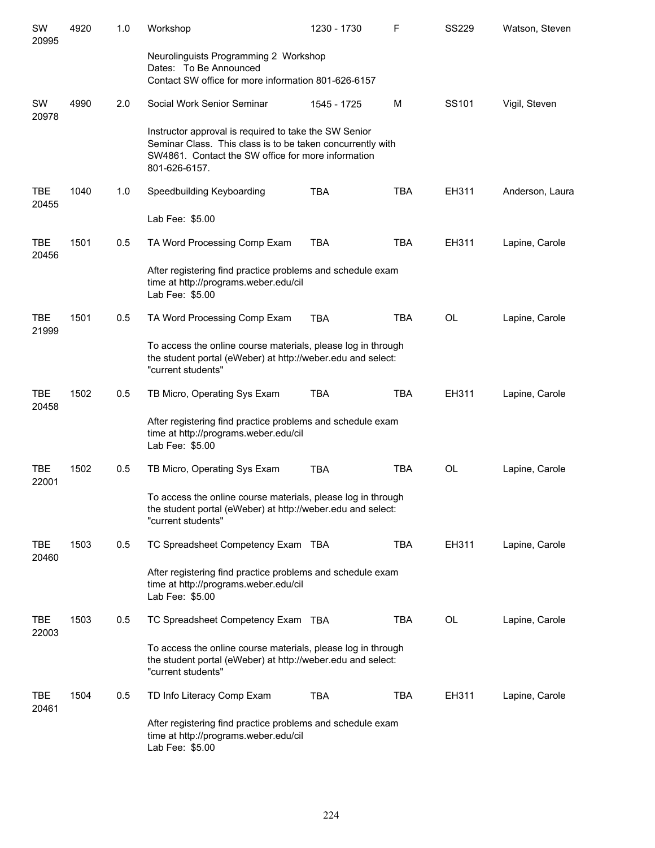| SW<br>20995         | 4920 | 1.0 | Workshop                                                                                                                                                                                   | 1230 - 1730 | F          | <b>SS229</b> | Watson, Steven  |
|---------------------|------|-----|--------------------------------------------------------------------------------------------------------------------------------------------------------------------------------------------|-------------|------------|--------------|-----------------|
|                     |      |     | Neurolinguists Programming 2 Workshop<br>Dates: To Be Announced                                                                                                                            |             |            |              |                 |
|                     |      |     | Contact SW office for more information 801-626-6157                                                                                                                                        |             |            |              |                 |
| SW<br>20978         | 4990 | 2.0 | Social Work Senior Seminar                                                                                                                                                                 | 1545 - 1725 | М          | SS101        | Vigil, Steven   |
|                     |      |     | Instructor approval is required to take the SW Senior<br>Seminar Class. This class is to be taken concurrently with<br>SW4861. Contact the SW office for more information<br>801-626-6157. |             |            |              |                 |
| <b>TBE</b><br>20455 | 1040 | 1.0 | Speedbuilding Keyboarding                                                                                                                                                                  | <b>TBA</b>  | TBA        | EH311        | Anderson, Laura |
|                     |      |     | Lab Fee: \$5.00                                                                                                                                                                            |             |            |              |                 |
| <b>TBE</b><br>20456 | 1501 | 0.5 | TA Word Processing Comp Exam                                                                                                                                                               | <b>TBA</b>  | TBA        | EH311        | Lapine, Carole  |
|                     |      |     | After registering find practice problems and schedule exam<br>time at http://programs.weber.edu/cil<br>Lab Fee: \$5.00                                                                     |             |            |              |                 |
| <b>TBE</b><br>21999 | 1501 | 0.5 | TA Word Processing Comp Exam                                                                                                                                                               | <b>TBA</b>  | <b>TBA</b> | OL           | Lapine, Carole  |
|                     |      |     | To access the online course materials, please log in through<br>the student portal (eWeber) at http://weber.edu and select:<br>"current students"                                          |             |            |              |                 |
| <b>TBE</b><br>20458 | 1502 | 0.5 | TB Micro, Operating Sys Exam                                                                                                                                                               | <b>TBA</b>  | <b>TBA</b> | EH311        | Lapine, Carole  |
|                     |      |     | After registering find practice problems and schedule exam<br>time at http://programs.weber.edu/cil<br>Lab Fee: \$5.00                                                                     |             |            |              |                 |
| <b>TBE</b><br>22001 | 1502 | 0.5 | TB Micro, Operating Sys Exam                                                                                                                                                               | <b>TBA</b>  | TBA        | <b>OL</b>    | Lapine, Carole  |
|                     |      |     | To access the online course materials, please log in through<br>the student portal (eWeber) at http://weber.edu and select:<br>"current students"                                          |             |            |              |                 |
| TBE<br>20460        | 1503 | 0.5 | TC Spreadsheet Competency Exam TBA                                                                                                                                                         |             | TBA        | EH311        | Lapine, Carole  |
|                     |      |     | After registering find practice problems and schedule exam<br>time at http://programs.weber.edu/cil<br>Lab Fee: \$5.00                                                                     |             |            |              |                 |
| TBE<br>22003        | 1503 | 0.5 | TC Spreadsheet Competency Exam TBA                                                                                                                                                         |             | TBA        | OL           | Lapine, Carole  |
|                     |      |     | To access the online course materials, please log in through<br>the student portal (eWeber) at http://weber.edu and select:<br>"current students"                                          |             |            |              |                 |
| TBE<br>20461        | 1504 | 0.5 | TD Info Literacy Comp Exam                                                                                                                                                                 | TBA         | TBA        | EH311        | Lapine, Carole  |
|                     |      |     | After registering find practice problems and schedule exam<br>time at http://programs.weber.edu/cil<br>Lab Fee: \$5.00                                                                     |             |            |              |                 |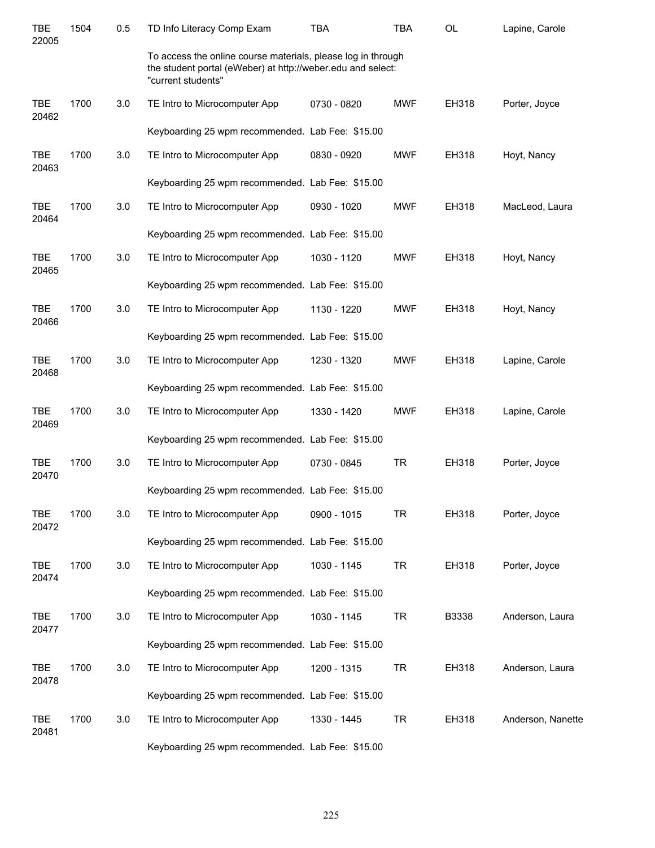| <b>TBE</b><br>22005 | 1504 | 0.5 | TD Info Literacy Comp Exam                                                                                                                        | <b>TBA</b>  | <b>TBA</b> | <b>OL</b> | Lapine, Carole    |
|---------------------|------|-----|---------------------------------------------------------------------------------------------------------------------------------------------------|-------------|------------|-----------|-------------------|
|                     |      |     | To access the online course materials, please log in through<br>the student portal (eWeber) at http://weber.edu and select:<br>"current students" |             |            |           |                   |
| <b>TBE</b><br>20462 | 1700 | 3.0 | TE Intro to Microcomputer App                                                                                                                     | 0730 - 0820 | <b>MWF</b> | EH318     | Porter, Joyce     |
|                     |      |     | Keyboarding 25 wpm recommended. Lab Fee: \$15.00                                                                                                  |             |            |           |                   |
| <b>TBE</b><br>20463 | 1700 | 3.0 | TE Intro to Microcomputer App                                                                                                                     | 0830 - 0920 | <b>MWF</b> | EH318     | Hoyt, Nancy       |
|                     |      |     | Keyboarding 25 wpm recommended. Lab Fee: \$15.00                                                                                                  |             |            |           |                   |
| <b>TBE</b><br>20464 | 1700 | 3.0 | TE Intro to Microcomputer App                                                                                                                     | 0930 - 1020 | <b>MWF</b> | EH318     | MacLeod, Laura    |
|                     |      |     | Keyboarding 25 wpm recommended. Lab Fee: \$15.00                                                                                                  |             |            |           |                   |
| <b>TBE</b><br>20465 | 1700 | 3.0 | TE Intro to Microcomputer App                                                                                                                     | 1030 - 1120 | <b>MWF</b> | EH318     | Hoyt, Nancy       |
|                     |      |     | Keyboarding 25 wpm recommended. Lab Fee: \$15.00                                                                                                  |             |            |           |                   |
| <b>TBE</b><br>20466 | 1700 | 3.0 | TE Intro to Microcomputer App                                                                                                                     | 1130 - 1220 | <b>MWF</b> | EH318     | Hoyt, Nancy       |
|                     |      |     | Keyboarding 25 wpm recommended. Lab Fee: \$15.00                                                                                                  |             |            |           |                   |
| <b>TBE</b><br>20468 | 1700 | 3.0 | TE Intro to Microcomputer App                                                                                                                     | 1230 - 1320 | <b>MWF</b> | EH318     | Lapine, Carole    |
|                     |      |     | Keyboarding 25 wpm recommended. Lab Fee: \$15.00                                                                                                  |             |            |           |                   |
| <b>TBE</b><br>20469 | 1700 | 3.0 | TE Intro to Microcomputer App                                                                                                                     | 1330 - 1420 | <b>MWF</b> | EH318     | Lapine, Carole    |
|                     |      |     | Keyboarding 25 wpm recommended. Lab Fee: \$15.00                                                                                                  |             |            |           |                   |
| <b>TBE</b><br>20470 | 1700 | 3.0 | TE Intro to Microcomputer App                                                                                                                     | 0730 - 0845 | <b>TR</b>  | EH318     | Porter, Joyce     |
|                     |      |     | Keyboarding 25 wpm recommended. Lab Fee: \$15.00                                                                                                  |             |            |           |                   |
| <b>TBE</b><br>20472 | 1700 | 3.0 | TE Intro to Microcomputer App                                                                                                                     | 0900 - 1015 | <b>TR</b>  | EH318     | Porter, Joyce     |
|                     |      |     | Keyboarding 25 wpm recommended. Lab Fee: \$15.00                                                                                                  |             |            |           |                   |
| <b>TBE</b><br>20474 | 1700 | 3.0 | TE Intro to Microcomputer App                                                                                                                     | 1030 - 1145 | <b>TR</b>  | EH318     | Porter, Joyce     |
|                     |      |     | Keyboarding 25 wpm recommended. Lab Fee: \$15.00                                                                                                  |             |            |           |                   |
| <b>TBE</b><br>20477 | 1700 | 3.0 | TE Intro to Microcomputer App                                                                                                                     | 1030 - 1145 | <b>TR</b>  | B3338     | Anderson, Laura   |
|                     |      |     | Keyboarding 25 wpm recommended. Lab Fee: \$15.00                                                                                                  |             |            |           |                   |
| <b>TBE</b><br>20478 | 1700 | 3.0 | TE Intro to Microcomputer App                                                                                                                     | 1200 - 1315 | <b>TR</b>  | EH318     | Anderson, Laura   |
|                     |      |     | Keyboarding 25 wpm recommended. Lab Fee: \$15.00                                                                                                  |             |            |           |                   |
| <b>TBE</b><br>20481 | 1700 | 3.0 | TE Intro to Microcomputer App                                                                                                                     | 1330 - 1445 | <b>TR</b>  | EH318     | Anderson, Nanette |
|                     |      |     | Keyboarding 25 wpm recommended. Lab Fee: \$15.00                                                                                                  |             |            |           |                   |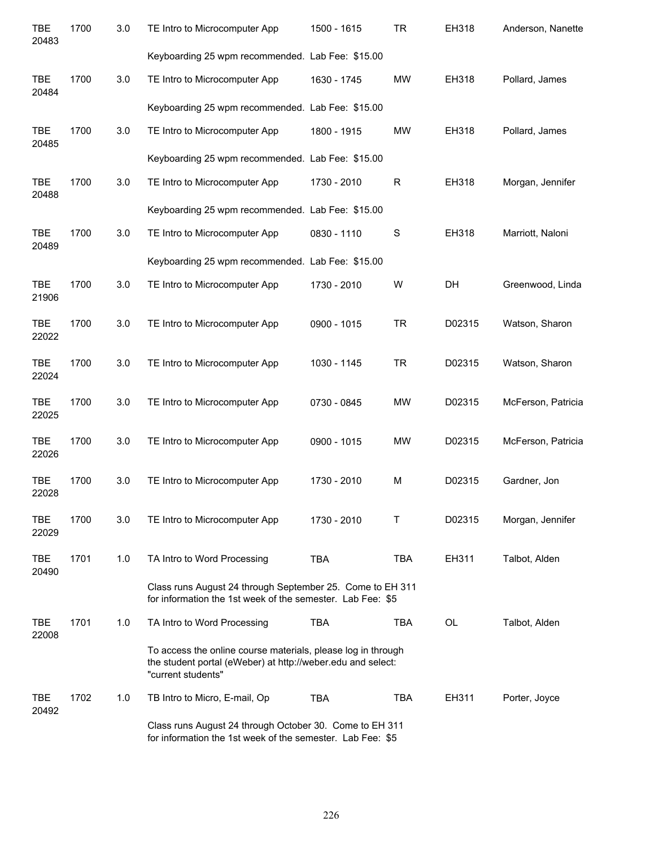| <b>TBE</b><br>20483 | 1700 | 3.0 | TE Intro to Microcomputer App                                                                                                                     | 1500 - 1615 | <b>TR</b>  | EH318  | Anderson, Nanette  |
|---------------------|------|-----|---------------------------------------------------------------------------------------------------------------------------------------------------|-------------|------------|--------|--------------------|
|                     |      |     | Keyboarding 25 wpm recommended. Lab Fee: \$15.00                                                                                                  |             |            |        |                    |
| <b>TBE</b><br>20484 | 1700 | 3.0 | TE Intro to Microcomputer App                                                                                                                     | 1630 - 1745 | <b>MW</b>  | EH318  | Pollard, James     |
|                     |      |     | Keyboarding 25 wpm recommended. Lab Fee: \$15.00                                                                                                  |             |            |        |                    |
| <b>TBE</b><br>20485 | 1700 | 3.0 | TE Intro to Microcomputer App                                                                                                                     | 1800 - 1915 | <b>MW</b>  | EH318  | Pollard, James     |
|                     |      |     | Keyboarding 25 wpm recommended. Lab Fee: \$15.00                                                                                                  |             |            |        |                    |
| <b>TBE</b><br>20488 | 1700 | 3.0 | TE Intro to Microcomputer App                                                                                                                     | 1730 - 2010 | R          | EH318  | Morgan, Jennifer   |
|                     |      |     | Keyboarding 25 wpm recommended. Lab Fee: \$15.00                                                                                                  |             |            |        |                    |
| <b>TBE</b><br>20489 | 1700 | 3.0 | TE Intro to Microcomputer App                                                                                                                     | 0830 - 1110 | S          | EH318  | Marriott, Naloni   |
|                     |      |     | Keyboarding 25 wpm recommended. Lab Fee: \$15.00                                                                                                  |             |            |        |                    |
| <b>TBE</b><br>21906 | 1700 | 3.0 | TE Intro to Microcomputer App                                                                                                                     | 1730 - 2010 | W          | DH     | Greenwood, Linda   |
| <b>TBE</b><br>22022 | 1700 | 3.0 | TE Intro to Microcomputer App                                                                                                                     | 0900 - 1015 | <b>TR</b>  | D02315 | Watson, Sharon     |
| <b>TBE</b><br>22024 | 1700 | 3.0 | TE Intro to Microcomputer App                                                                                                                     | 1030 - 1145 | <b>TR</b>  | D02315 | Watson, Sharon     |
| <b>TBE</b><br>22025 | 1700 | 3.0 | TE Intro to Microcomputer App                                                                                                                     | 0730 - 0845 | <b>MW</b>  | D02315 | McFerson, Patricia |
| <b>TBE</b><br>22026 | 1700 | 3.0 | TE Intro to Microcomputer App                                                                                                                     | 0900 - 1015 | <b>MW</b>  | D02315 | McFerson, Patricia |
| <b>TBE</b><br>22028 | 1700 | 3.0 | TE Intro to Microcomputer App                                                                                                                     | 1730 - 2010 | M          | D02315 | Gardner, Jon       |
| <b>TBE</b><br>22029 | 1700 | 3.0 | TE Intro to Microcomputer App                                                                                                                     | 1730 - 2010 | T          | D02315 | Morgan, Jennifer   |
| <b>TBE</b><br>20490 | 1701 | 1.0 | TA Intro to Word Processing                                                                                                                       | <b>TBA</b>  | <b>TBA</b> | EH311  | Talbot, Alden      |
|                     |      |     | Class runs August 24 through September 25. Come to EH 311<br>for information the 1st week of the semester. Lab Fee: \$5                           |             |            |        |                    |
| <b>TBE</b><br>22008 | 1701 | 1.0 | TA Intro to Word Processing                                                                                                                       | <b>TBA</b>  | <b>TBA</b> | OL     | Talbot, Alden      |
|                     |      |     | To access the online course materials, please log in through<br>the student portal (eWeber) at http://weber.edu and select:<br>"current students" |             |            |        |                    |
| <b>TBE</b><br>20492 | 1702 | 1.0 | TB Intro to Micro, E-mail, Op                                                                                                                     | <b>TBA</b>  | <b>TBA</b> | EH311  | Porter, Joyce      |
|                     |      |     | Class runs August 24 through October 30. Come to EH 311<br>for information the 1st week of the semester. Lab Fee: \$5                             |             |            |        |                    |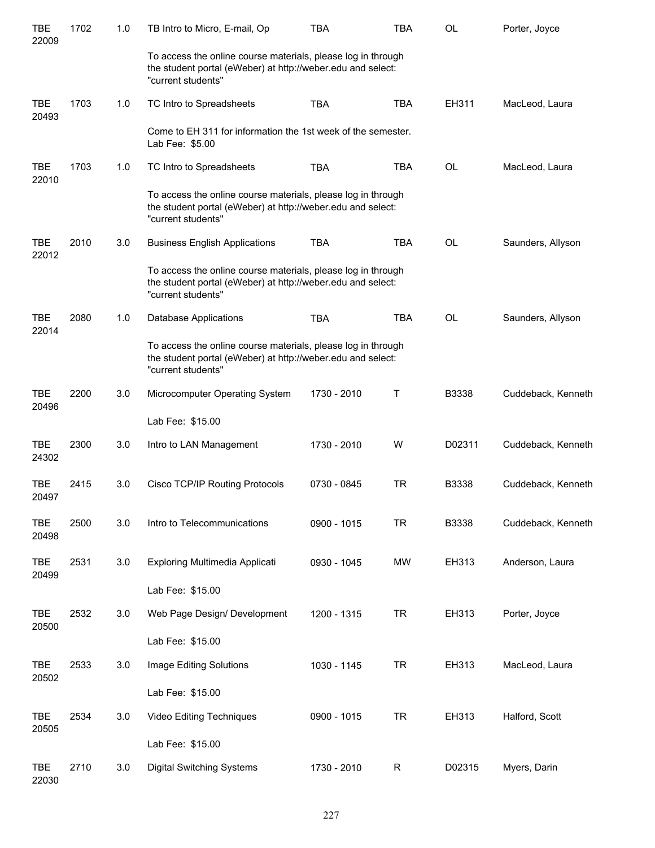| <b>TBE</b><br>22009 | 1702 | 1.0     | TB Intro to Micro, E-mail, Op                                                                                                                     | <b>TBA</b>  | <b>TBA</b>  | <b>OL</b> | Porter, Joyce      |
|---------------------|------|---------|---------------------------------------------------------------------------------------------------------------------------------------------------|-------------|-------------|-----------|--------------------|
|                     |      |         | To access the online course materials, please log in through<br>the student portal (eWeber) at http://weber.edu and select:<br>"current students" |             |             |           |                    |
| <b>TBE</b><br>20493 | 1703 | 1.0     | TC Intro to Spreadsheets                                                                                                                          | <b>TBA</b>  | <b>TBA</b>  | EH311     | MacLeod, Laura     |
|                     |      |         | Come to EH 311 for information the 1st week of the semester.<br>Lab Fee: \$5.00                                                                   |             |             |           |                    |
| <b>TBE</b><br>22010 | 1703 | 1.0     | TC Intro to Spreadsheets                                                                                                                          | <b>TBA</b>  | <b>TBA</b>  | <b>OL</b> | MacLeod, Laura     |
|                     |      |         | To access the online course materials, please log in through<br>the student portal (eWeber) at http://weber.edu and select:<br>"current students" |             |             |           |                    |
| <b>TBE</b><br>22012 | 2010 | 3.0     | <b>Business English Applications</b>                                                                                                              | <b>TBA</b>  | <b>TBA</b>  | <b>OL</b> | Saunders, Allyson  |
|                     |      |         | To access the online course materials, please log in through<br>the student portal (eWeber) at http://weber.edu and select:<br>"current students" |             |             |           |                    |
| <b>TBE</b><br>22014 | 2080 | 1.0     | <b>Database Applications</b>                                                                                                                      | <b>TBA</b>  | <b>TBA</b>  | <b>OL</b> | Saunders, Allyson  |
|                     |      |         | To access the online course materials, please log in through<br>the student portal (eWeber) at http://weber.edu and select:<br>"current students" |             |             |           |                    |
| <b>TBE</b><br>20496 | 2200 | 3.0     | Microcomputer Operating System                                                                                                                    | 1730 - 2010 | Т           | B3338     | Cuddeback, Kenneth |
|                     |      |         | Lab Fee: \$15.00                                                                                                                                  |             |             |           |                    |
| <b>TBE</b><br>24302 | 2300 | 3.0     | Intro to LAN Management                                                                                                                           | 1730 - 2010 | W           | D02311    | Cuddeback, Kenneth |
| <b>TBE</b><br>20497 | 2415 | 3.0     | Cisco TCP/IP Routing Protocols                                                                                                                    | 0730 - 0845 | <b>TR</b>   | B3338     | Cuddeback, Kenneth |
| <b>TBE</b><br>20498 | 2500 | 3.0     | Intro to Telecommunications                                                                                                                       | 0900 - 1015 | <b>TR</b>   | B3338     | Cuddeback, Kenneth |
| TBE<br>20499        | 2531 | 3.0     | Exploring Multimedia Applicati                                                                                                                    | 0930 - 1045 | <b>MW</b>   | EH313     | Anderson, Laura    |
|                     |      |         | Lab Fee: \$15.00                                                                                                                                  |             |             |           |                    |
| TBE<br>20500        | 2532 | 3.0     | Web Page Design/ Development                                                                                                                      | 1200 - 1315 | <b>TR</b>   | EH313     | Porter, Joyce      |
|                     |      |         | Lab Fee: \$15.00                                                                                                                                  |             |             |           |                    |
| TBE<br>20502        | 2533 | $3.0\,$ | Image Editing Solutions                                                                                                                           | 1030 - 1145 | <b>TR</b>   | EH313     | MacLeod, Laura     |
|                     |      |         | Lab Fee: \$15.00                                                                                                                                  |             |             |           |                    |
| TBE<br>20505        | 2534 | 3.0     | Video Editing Techniques                                                                                                                          | 0900 - 1015 | <b>TR</b>   | EH313     | Halford, Scott     |
|                     |      |         | Lab Fee: \$15.00                                                                                                                                  |             |             |           |                    |
| <b>TBE</b><br>22030 | 2710 | 3.0     | <b>Digital Switching Systems</b>                                                                                                                  | 1730 - 2010 | $\mathsf R$ | D02315    | Myers, Darin       |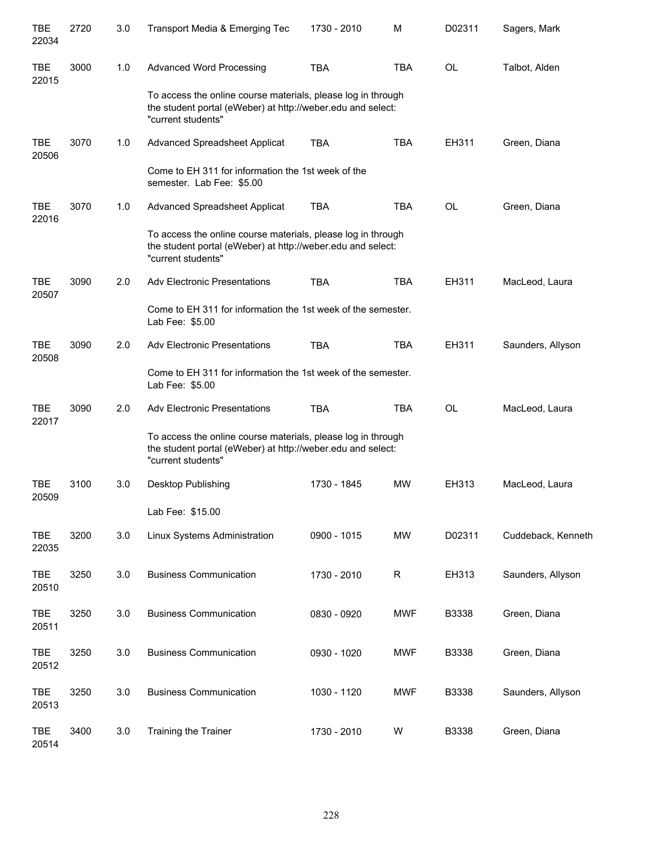| <b>TBE</b><br>22034 | 2720 | 3.0 | Transport Media & Emerging Tec                                                                                                                    | 1730 - 2010 | М            | D02311    | Sagers, Mark       |
|---------------------|------|-----|---------------------------------------------------------------------------------------------------------------------------------------------------|-------------|--------------|-----------|--------------------|
| <b>TBE</b><br>22015 | 3000 | 1.0 | <b>Advanced Word Processing</b>                                                                                                                   | <b>TBA</b>  | <b>TBA</b>   | <b>OL</b> | Talbot, Alden      |
|                     |      |     | To access the online course materials, please log in through<br>the student portal (eWeber) at http://weber.edu and select:<br>"current students" |             |              |           |                    |
| <b>TBE</b><br>20506 | 3070 | 1.0 | Advanced Spreadsheet Applicat                                                                                                                     | <b>TBA</b>  | <b>TBA</b>   | EH311     | Green, Diana       |
|                     |      |     | Come to EH 311 for information the 1st week of the<br>semester. Lab Fee: \$5.00                                                                   |             |              |           |                    |
| <b>TBE</b><br>22016 | 3070 | 1.0 | Advanced Spreadsheet Applicat                                                                                                                     | <b>TBA</b>  | <b>TBA</b>   | <b>OL</b> | Green, Diana       |
|                     |      |     | To access the online course materials, please log in through<br>the student portal (eWeber) at http://weber.edu and select:<br>"current students" |             |              |           |                    |
| <b>TBE</b><br>20507 | 3090 | 2.0 | <b>Adv Electronic Presentations</b>                                                                                                               | <b>TBA</b>  | <b>TBA</b>   | EH311     | MacLeod, Laura     |
|                     |      |     | Come to EH 311 for information the 1st week of the semester.<br>Lab Fee: \$5.00                                                                   |             |              |           |                    |
| <b>TBE</b><br>20508 | 3090 | 2.0 | <b>Adv Electronic Presentations</b>                                                                                                               | <b>TBA</b>  | <b>TBA</b>   | EH311     | Saunders, Allyson  |
|                     |      |     | Come to EH 311 for information the 1st week of the semester.<br>Lab Fee: \$5.00                                                                   |             |              |           |                    |
| <b>TBE</b><br>22017 | 3090 | 2.0 | <b>Adv Electronic Presentations</b>                                                                                                               | <b>TBA</b>  | <b>TBA</b>   | <b>OL</b> | MacLeod, Laura     |
|                     |      |     | To access the online course materials, please log in through<br>the student portal (eWeber) at http://weber.edu and select:<br>"current students" |             |              |           |                    |
| <b>TBE</b><br>20509 | 3100 | 3.0 | Desktop Publishing                                                                                                                                | 1730 - 1845 | <b>MW</b>    | EH313     | MacLeod, Laura     |
|                     |      |     | Lab Fee: \$15.00                                                                                                                                  |             |              |           |                    |
| <b>TBE</b><br>22035 | 3200 | 3.0 | Linux Systems Administration                                                                                                                      | 0900 - 1015 | <b>MW</b>    | D02311    | Cuddeback, Kenneth |
| <b>TBE</b><br>20510 | 3250 | 3.0 | <b>Business Communication</b>                                                                                                                     | 1730 - 2010 | $\mathsf{R}$ | EH313     | Saunders, Allyson  |
| <b>TBE</b><br>20511 | 3250 | 3.0 | <b>Business Communication</b>                                                                                                                     | 0830 - 0920 | <b>MWF</b>   | B3338     | Green, Diana       |
| <b>TBE</b><br>20512 | 3250 | 3.0 | <b>Business Communication</b>                                                                                                                     | 0930 - 1020 | <b>MWF</b>   | B3338     | Green, Diana       |
| <b>TBE</b><br>20513 | 3250 | 3.0 | <b>Business Communication</b>                                                                                                                     | 1030 - 1120 | <b>MWF</b>   | B3338     | Saunders, Allyson  |
| <b>TBE</b><br>20514 | 3400 | 3.0 | Training the Trainer                                                                                                                              | 1730 - 2010 | W            | B3338     | Green, Diana       |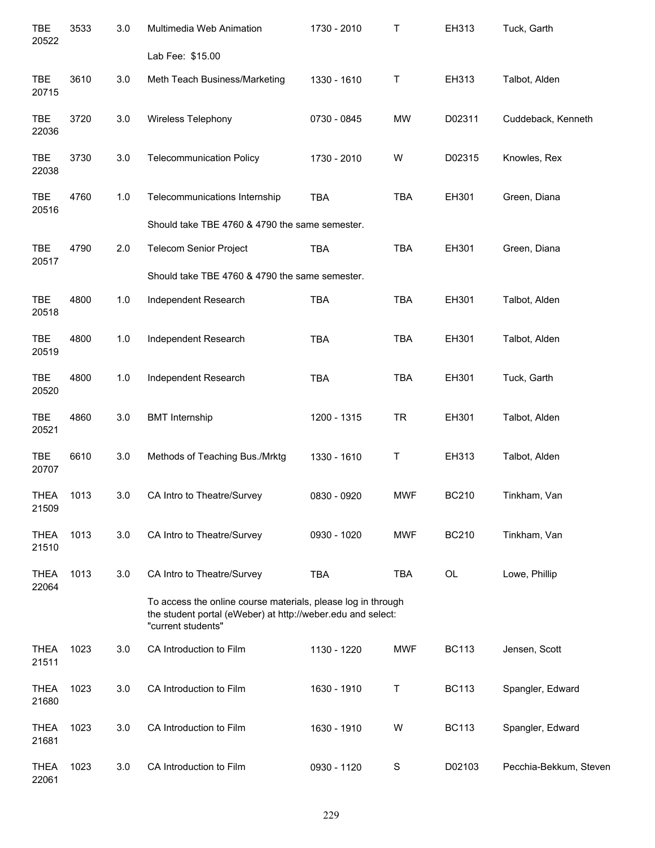| <b>TBE</b><br>20522  | 3533 | 3.0   | Multimedia Web Animation                                                                                                                          | 1730 - 2010 | Τ           | EH313        | Tuck, Garth            |
|----------------------|------|-------|---------------------------------------------------------------------------------------------------------------------------------------------------|-------------|-------------|--------------|------------------------|
|                      |      |       | Lab Fee: \$15.00                                                                                                                                  |             |             |              |                        |
| TBE<br>20715         | 3610 | 3.0   | Meth Teach Business/Marketing                                                                                                                     | 1330 - 1610 | Τ           | EH313        | Talbot, Alden          |
| <b>TBE</b><br>22036  | 3720 | 3.0   | Wireless Telephony                                                                                                                                | 0730 - 0845 | <b>MW</b>   | D02311       | Cuddeback, Kenneth     |
| <b>TBE</b><br>22038  | 3730 | 3.0   | <b>Telecommunication Policy</b>                                                                                                                   | 1730 - 2010 | W           | D02315       | Knowles, Rex           |
| <b>TBE</b><br>20516  | 4760 | 1.0   | Telecommunications Internship                                                                                                                     | <b>TBA</b>  | <b>TBA</b>  | EH301        | Green, Diana           |
|                      |      |       | Should take TBE 4760 & 4790 the same semester.                                                                                                    |             |             |              |                        |
| <b>TBE</b><br>20517  | 4790 | 2.0   | <b>Telecom Senior Project</b>                                                                                                                     | <b>TBA</b>  | <b>TBA</b>  | EH301        | Green, Diana           |
|                      |      |       | Should take TBE 4760 & 4790 the same semester.                                                                                                    |             |             |              |                        |
| <b>TBE</b><br>20518  | 4800 | $1.0$ | Independent Research                                                                                                                              | <b>TBA</b>  | <b>TBA</b>  | EH301        | Talbot, Alden          |
| <b>TBE</b><br>20519  | 4800 | 1.0   | Independent Research                                                                                                                              | <b>TBA</b>  | <b>TBA</b>  | EH301        | Talbot, Alden          |
| TBE<br>20520         | 4800 | 1.0   | Independent Research                                                                                                                              | TBA         | <b>TBA</b>  | EH301        | Tuck, Garth            |
| <b>TBE</b><br>20521  | 4860 | 3.0   | <b>BMT</b> Internship                                                                                                                             | 1200 - 1315 | <b>TR</b>   | EH301        | Talbot, Alden          |
| <b>TBE</b><br>20707  | 6610 | 3.0   | Methods of Teaching Bus./Mrktg                                                                                                                    | 1330 - 1610 | Τ           | EH313        | Talbot, Alden          |
| <b>THEA</b><br>21509 | 1013 | 3.0   | CA Intro to Theatre/Survey                                                                                                                        | 0830 - 0920 | <b>MWF</b>  | <b>BC210</b> | Tinkham, Van           |
| <b>THEA</b><br>21510 | 1013 | 3.0   | CA Intro to Theatre/Survey                                                                                                                        | 0930 - 1020 | <b>MWF</b>  | <b>BC210</b> | Tinkham, Van           |
| <b>THEA</b><br>22064 | 1013 | 3.0   | CA Intro to Theatre/Survey                                                                                                                        | <b>TBA</b>  | <b>TBA</b>  | OL           | Lowe, Phillip          |
|                      |      |       | To access the online course materials, please log in through<br>the student portal (eWeber) at http://weber.edu and select:<br>"current students" |             |             |              |                        |
| <b>THEA</b><br>21511 | 1023 | 3.0   | CA Introduction to Film                                                                                                                           | 1130 - 1220 | <b>MWF</b>  | <b>BC113</b> | Jensen, Scott          |
| <b>THEA</b><br>21680 | 1023 | 3.0   | CA Introduction to Film                                                                                                                           | 1630 - 1910 | T           | <b>BC113</b> | Spangler, Edward       |
| <b>THEA</b><br>21681 | 1023 | 3.0   | CA Introduction to Film                                                                                                                           | 1630 - 1910 | W           | <b>BC113</b> | Spangler, Edward       |
| <b>THEA</b><br>22061 | 1023 | 3.0   | CA Introduction to Film                                                                                                                           | 0930 - 1120 | $\mathbb S$ | D02103       | Pecchia-Bekkum, Steven |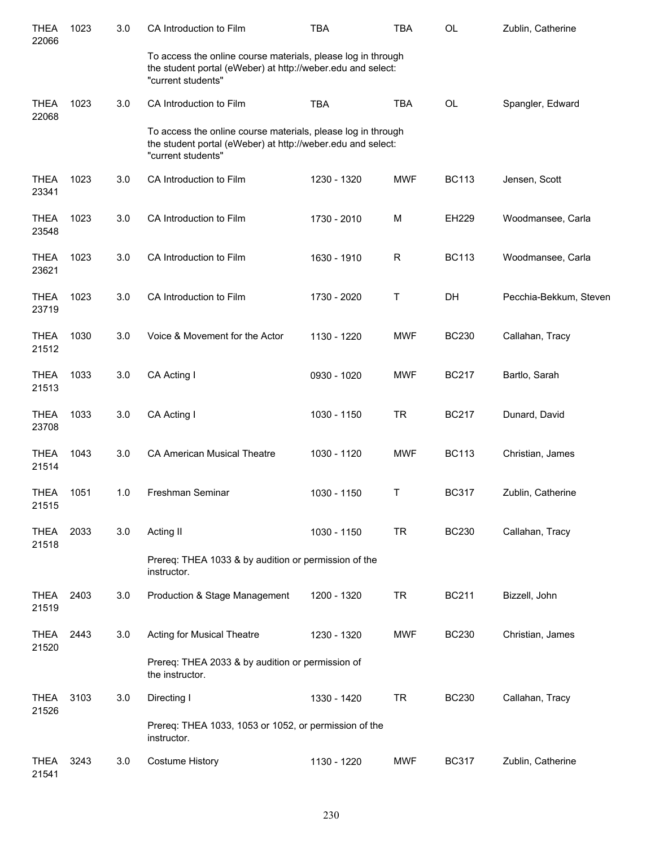| <b>THEA</b><br>22066 | 1023 | 3.0 | CA Introduction to Film                                                                                                                           | TBA         | <b>TBA</b>  | <b>OL</b>    | Zublin, Catherine      |
|----------------------|------|-----|---------------------------------------------------------------------------------------------------------------------------------------------------|-------------|-------------|--------------|------------------------|
|                      |      |     | To access the online course materials, please log in through<br>the student portal (eWeber) at http://weber.edu and select:<br>"current students" |             |             |              |                        |
| <b>THEA</b><br>22068 | 1023 | 3.0 | CA Introduction to Film                                                                                                                           | <b>TBA</b>  | <b>TBA</b>  | OL           | Spangler, Edward       |
|                      |      |     | To access the online course materials, please log in through<br>the student portal (eWeber) at http://weber.edu and select:<br>"current students" |             |             |              |                        |
| <b>THEA</b><br>23341 | 1023 | 3.0 | CA Introduction to Film                                                                                                                           | 1230 - 1320 | <b>MWF</b>  | <b>BC113</b> | Jensen, Scott          |
| <b>THEA</b><br>23548 | 1023 | 3.0 | CA Introduction to Film                                                                                                                           | 1730 - 2010 | M           | EH229        | Woodmansee, Carla      |
| <b>THEA</b><br>23621 | 1023 | 3.0 | CA Introduction to Film                                                                                                                           | 1630 - 1910 | $\mathsf R$ | <b>BC113</b> | Woodmansee, Carla      |
| <b>THEA</b><br>23719 | 1023 | 3.0 | CA Introduction to Film                                                                                                                           | 1730 - 2020 | Т           | DH           | Pecchia-Bekkum, Steven |
| <b>THEA</b><br>21512 | 1030 | 3.0 | Voice & Movement for the Actor                                                                                                                    | 1130 - 1220 | <b>MWF</b>  | <b>BC230</b> | Callahan, Tracy        |
| <b>THEA</b><br>21513 | 1033 | 3.0 | CA Acting I                                                                                                                                       | 0930 - 1020 | <b>MWF</b>  | <b>BC217</b> | Bartlo, Sarah          |
| <b>THEA</b><br>23708 | 1033 | 3.0 | CA Acting I                                                                                                                                       | 1030 - 1150 | <b>TR</b>   | <b>BC217</b> | Dunard, David          |
| <b>THEA</b><br>21514 | 1043 | 3.0 | <b>CA American Musical Theatre</b>                                                                                                                | 1030 - 1120 | <b>MWF</b>  | <b>BC113</b> | Christian, James       |
| THEA<br>21515        | 1051 | 1.0 | Freshman Seminar                                                                                                                                  | 1030 - 1150 | Т           | <b>BC317</b> | Zublin, Catherine      |
| <b>THEA</b><br>21518 | 2033 | 3.0 | Acting II                                                                                                                                         | 1030 - 1150 | <b>TR</b>   | <b>BC230</b> | Callahan, Tracy        |
|                      |      |     | Prereq: THEA 1033 & by audition or permission of the<br>instructor.                                                                               |             |             |              |                        |
| <b>THEA</b><br>21519 | 2403 | 3.0 | Production & Stage Management                                                                                                                     | 1200 - 1320 | <b>TR</b>   | <b>BC211</b> | Bizzell, John          |
| <b>THEA</b><br>21520 | 2443 | 3.0 | Acting for Musical Theatre                                                                                                                        | 1230 - 1320 | <b>MWF</b>  | <b>BC230</b> | Christian, James       |
|                      |      |     | Prereq: THEA 2033 & by audition or permission of<br>the instructor.                                                                               |             |             |              |                        |
| <b>THEA</b><br>21526 | 3103 | 3.0 | Directing I                                                                                                                                       | 1330 - 1420 | <b>TR</b>   | <b>BC230</b> | Callahan, Tracy        |
|                      |      |     | Prereq: THEA 1033, 1053 or 1052, or permission of the<br>instructor.                                                                              |             |             |              |                        |
| THEA<br>21541        | 3243 | 3.0 | <b>Costume History</b>                                                                                                                            | 1130 - 1220 | <b>MWF</b>  | <b>BC317</b> | Zublin, Catherine      |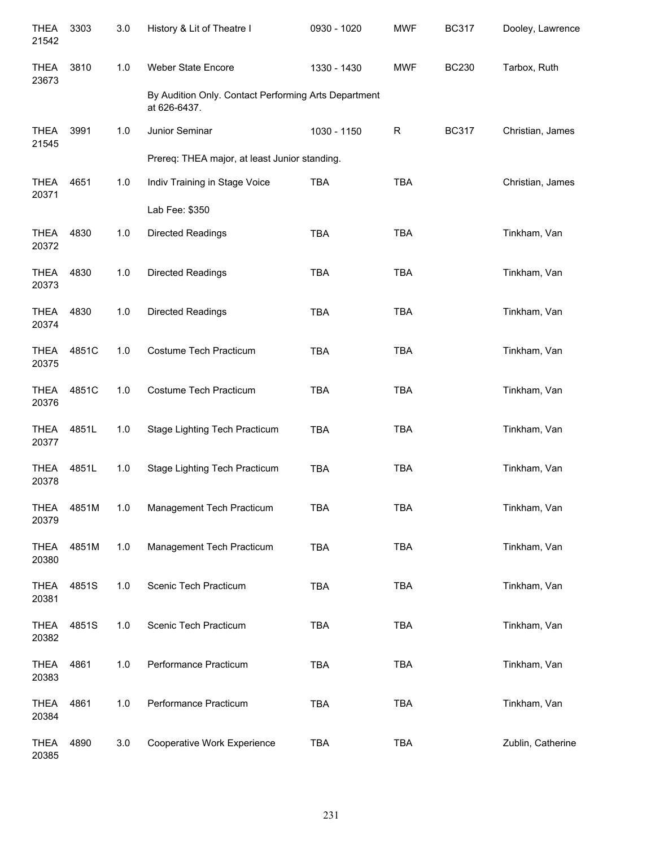| <b>THEA</b><br>21542 | 3303  | 3.0 | History & Lit of Theatre I                                           | 0930 - 1020 | <b>MWF</b> | <b>BC317</b> | Dooley, Lawrence  |
|----------------------|-------|-----|----------------------------------------------------------------------|-------------|------------|--------------|-------------------|
| <b>THEA</b><br>23673 | 3810  | 1.0 | <b>Weber State Encore</b>                                            | 1330 - 1430 | <b>MWF</b> | <b>BC230</b> | Tarbox, Ruth      |
|                      |       |     | By Audition Only. Contact Performing Arts Department<br>at 626-6437. |             |            |              |                   |
| <b>THEA</b><br>21545 | 3991  | 1.0 | Junior Seminar                                                       | 1030 - 1150 | R          | <b>BC317</b> | Christian, James  |
|                      |       |     | Prereq: THEA major, at least Junior standing.                        |             |            |              |                   |
| <b>THEA</b><br>20371 | 4651  | 1.0 | Indiv Training in Stage Voice                                        | <b>TBA</b>  | <b>TBA</b> |              | Christian, James  |
|                      |       |     | Lab Fee: \$350                                                       |             |            |              |                   |
| <b>THEA</b><br>20372 | 4830  | 1.0 | <b>Directed Readings</b>                                             | <b>TBA</b>  | <b>TBA</b> |              | Tinkham, Van      |
| <b>THEA</b><br>20373 | 4830  | 1.0 | <b>Directed Readings</b>                                             | <b>TBA</b>  | <b>TBA</b> |              | Tinkham, Van      |
| <b>THEA</b><br>20374 | 4830  | 1.0 | <b>Directed Readings</b>                                             | <b>TBA</b>  | <b>TBA</b> |              | Tinkham, Van      |
| <b>THEA</b><br>20375 | 4851C | 1.0 | Costume Tech Practicum                                               | <b>TBA</b>  | <b>TBA</b> |              | Tinkham, Van      |
| <b>THEA</b><br>20376 | 4851C | 1.0 | Costume Tech Practicum                                               | <b>TBA</b>  | <b>TBA</b> |              | Tinkham, Van      |
| <b>THEA</b><br>20377 | 4851L | 1.0 | Stage Lighting Tech Practicum                                        | <b>TBA</b>  | <b>TBA</b> |              | Tinkham, Van      |
| <b>THEA</b><br>20378 | 4851L | 1.0 | Stage Lighting Tech Practicum                                        | <b>TBA</b>  | <b>TBA</b> |              | Tinkham, Van      |
| <b>THEA</b><br>20379 | 4851M | 1.0 | Management Tech Practicum                                            | TBA         | <b>TBA</b> |              | Tinkham, Van      |
| <b>THEA</b><br>20380 | 4851M | 1.0 | Management Tech Practicum                                            | <b>TBA</b>  | <b>TBA</b> |              | Tinkham, Van      |
| <b>THEA</b><br>20381 | 4851S | 1.0 | Scenic Tech Practicum                                                | <b>TBA</b>  | <b>TBA</b> |              | Tinkham, Van      |
| <b>THEA</b><br>20382 | 4851S | 1.0 | Scenic Tech Practicum                                                | <b>TBA</b>  | <b>TBA</b> |              | Tinkham, Van      |
| <b>THEA</b><br>20383 | 4861  | 1.0 | Performance Practicum                                                | <b>TBA</b>  | <b>TBA</b> |              | Tinkham, Van      |
| <b>THEA</b><br>20384 | 4861  | 1.0 | Performance Practicum                                                | <b>TBA</b>  | <b>TBA</b> |              | Tinkham, Van      |
| <b>THEA</b><br>20385 | 4890  | 3.0 | Cooperative Work Experience                                          | <b>TBA</b>  | <b>TBA</b> |              | Zublin, Catherine |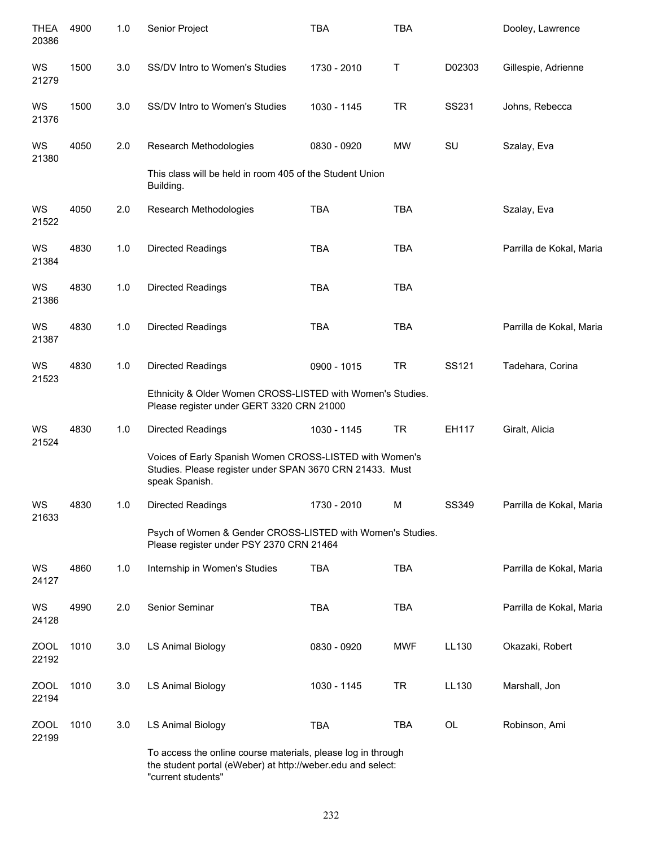| <b>THEA</b><br>20386 | 4900 | 1.0 | Senior Project                                                                                                                        | <b>TBA</b>  | <b>TBA</b> |        | Dooley, Lawrence         |
|----------------------|------|-----|---------------------------------------------------------------------------------------------------------------------------------------|-------------|------------|--------|--------------------------|
| WS<br>21279          | 1500 | 3.0 | SS/DV Intro to Women's Studies                                                                                                        | 1730 - 2010 | Τ          | D02303 | Gillespie, Adrienne      |
| WS<br>21376          | 1500 | 3.0 | SS/DV Intro to Women's Studies                                                                                                        | 1030 - 1145 | <b>TR</b>  | SS231  | Johns, Rebecca           |
| WS<br>21380          | 4050 | 2.0 | Research Methodologies                                                                                                                | 0830 - 0920 | MW         | SU     | Szalay, Eva              |
|                      |      |     | This class will be held in room 405 of the Student Union<br>Building.                                                                 |             |            |        |                          |
| WS<br>21522          | 4050 | 2.0 | Research Methodologies                                                                                                                | <b>TBA</b>  | <b>TBA</b> |        | Szalay, Eva              |
| WS<br>21384          | 4830 | 1.0 | <b>Directed Readings</b>                                                                                                              | <b>TBA</b>  | <b>TBA</b> |        | Parrilla de Kokal, Maria |
| WS<br>21386          | 4830 | 1.0 | <b>Directed Readings</b>                                                                                                              | <b>TBA</b>  | <b>TBA</b> |        |                          |
| WS<br>21387          | 4830 | 1.0 | <b>Directed Readings</b>                                                                                                              | <b>TBA</b>  | <b>TBA</b> |        | Parrilla de Kokal, Maria |
| WS<br>21523          | 4830 | 1.0 | <b>Directed Readings</b>                                                                                                              | 0900 - 1015 | <b>TR</b>  | SS121  | Tadehara, Corina         |
|                      |      |     | Ethnicity & Older Women CROSS-LISTED with Women's Studies.<br>Please register under GERT 3320 CRN 21000                               |             |            |        |                          |
| WS<br>21524          | 4830 | 1.0 | <b>Directed Readings</b>                                                                                                              | 1030 - 1145 | <b>TR</b>  | EH117  | Giralt, Alicia           |
|                      |      |     | Voices of Early Spanish Women CROSS-LISTED with Women's<br>Studies. Please register under SPAN 3670 CRN 21433. Must<br>speak Spanish. |             |            |        |                          |
| WS<br>21633          | 4830 | 1.0 | <b>Directed Readings</b>                                                                                                              | 1730 - 2010 | M          | SS349  | Parrilla de Kokal, Maria |
|                      |      |     | Psych of Women & Gender CROSS-LISTED with Women's Studies.<br>Please register under PSY 2370 CRN 21464                                |             |            |        |                          |
| WS<br>24127          | 4860 | 1.0 | Internship in Women's Studies                                                                                                         | <b>TBA</b>  | <b>TBA</b> |        | Parrilla de Kokal, Maria |
| WS<br>24128          | 4990 | 2.0 | Senior Seminar                                                                                                                        | <b>TBA</b>  | <b>TBA</b> |        | Parrilla de Kokal, Maria |
| ZOOL<br>22192        | 1010 | 3.0 | <b>LS Animal Biology</b>                                                                                                              | 0830 - 0920 | MWF        | LL130  | Okazaki, Robert          |
| <b>ZOOL</b><br>22194 | 1010 | 3.0 | <b>LS Animal Biology</b>                                                                                                              | 1030 - 1145 | <b>TR</b>  | LL130  | Marshall, Jon            |
| <b>ZOOL</b><br>22199 | 1010 | 3.0 | <b>LS Animal Biology</b>                                                                                                              | <b>TBA</b>  | <b>TBA</b> | OL     | Robinson, Ami            |
|                      |      |     | To access the online course materials, please log in through<br>the student portal (eWeber) at http://weber.edu and select:           |             |            |        |                          |

"current students"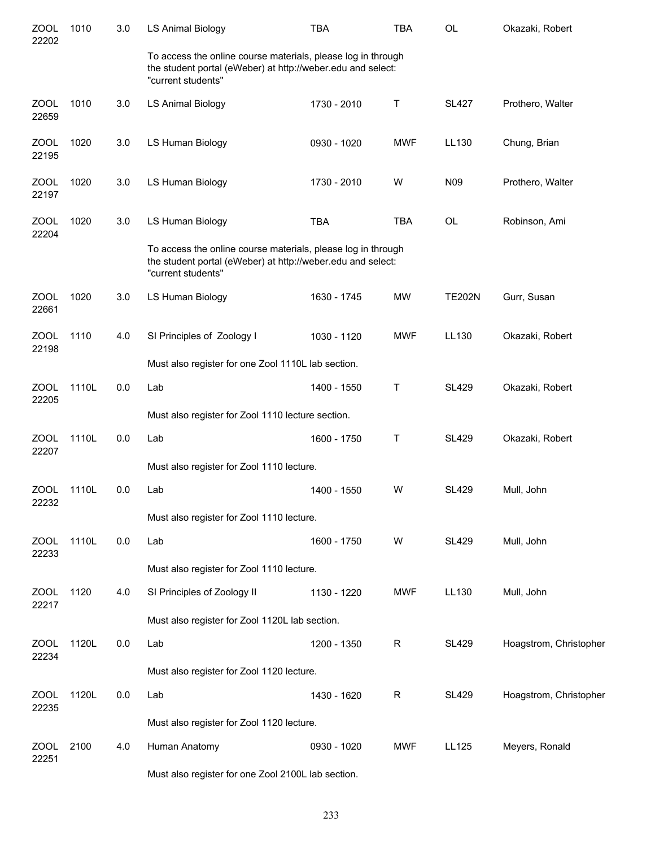| <b>ZOOL</b><br>22202 | 1010  | 3.0 | <b>LS Animal Biology</b>                                                                                                                          | <b>TBA</b>  | <b>TBA</b> | <b>OL</b>     | Okazaki, Robert        |
|----------------------|-------|-----|---------------------------------------------------------------------------------------------------------------------------------------------------|-------------|------------|---------------|------------------------|
|                      |       |     | To access the online course materials, please log in through<br>the student portal (eWeber) at http://weber.edu and select:<br>"current students" |             |            |               |                        |
| <b>ZOOL</b><br>22659 | 1010  | 3.0 | <b>LS Animal Biology</b>                                                                                                                          | 1730 - 2010 | Т          | <b>SL427</b>  | Prothero, Walter       |
| <b>ZOOL</b><br>22195 | 1020  | 3.0 | LS Human Biology                                                                                                                                  | 0930 - 1020 | <b>MWF</b> | LL130         | Chung, Brian           |
| ZOOL<br>22197        | 1020  | 3.0 | LS Human Biology                                                                                                                                  | 1730 - 2010 | W          | N09           | Prothero, Walter       |
| <b>ZOOL</b><br>22204 | 1020  | 3.0 | LS Human Biology                                                                                                                                  | <b>TBA</b>  | <b>TBA</b> | <b>OL</b>     | Robinson, Ami          |
|                      |       |     | To access the online course materials, please log in through<br>the student portal (eWeber) at http://weber.edu and select:<br>"current students" |             |            |               |                        |
| <b>ZOOL</b><br>22661 | 1020  | 3.0 | LS Human Biology                                                                                                                                  | 1630 - 1745 | <b>MW</b>  | <b>TE202N</b> | Gurr, Susan            |
| ZOOL<br>22198        | 1110  | 4.0 | SI Principles of Zoology I                                                                                                                        | 1030 - 1120 | <b>MWF</b> | LL130         | Okazaki, Robert        |
|                      |       |     | Must also register for one Zool 1110L lab section.                                                                                                |             |            |               |                        |
| ZOOL<br>22205        | 1110L | 0.0 | Lab                                                                                                                                               | 1400 - 1550 | Т          | <b>SL429</b>  | Okazaki, Robert        |
|                      |       |     | Must also register for Zool 1110 lecture section.                                                                                                 |             |            |               |                        |
| ZOOL<br>22207        | 1110L | 0.0 | Lab                                                                                                                                               | 1600 - 1750 | Т          | <b>SL429</b>  | Okazaki, Robert        |
|                      |       |     | Must also register for Zool 1110 lecture.                                                                                                         |             |            |               |                        |
| <b>ZOOL</b><br>22232 | 1110L | 0.0 | Lab                                                                                                                                               | 1400 - 1550 | W          | <b>SL429</b>  | Mull, John             |
|                      |       |     | Must also register for Zool 1110 lecture.                                                                                                         |             |            |               |                        |
| <b>ZOOL</b><br>22233 | 1110L | 0.0 | Lab                                                                                                                                               | 1600 - 1750 | W          | <b>SL429</b>  | Mull, John             |
|                      |       |     | Must also register for Zool 1110 lecture.                                                                                                         |             |            |               |                        |
| <b>ZOOL</b><br>22217 | 1120  | 4.0 | SI Principles of Zoology II                                                                                                                       | 1130 - 1220 | <b>MWF</b> | LL130         | Mull, John             |
|                      |       |     | Must also register for Zool 1120L lab section.                                                                                                    |             |            |               |                        |
| <b>ZOOL</b><br>22234 | 1120L | 0.0 | Lab                                                                                                                                               | 1200 - 1350 | R          | <b>SL429</b>  | Hoagstrom, Christopher |
|                      |       |     | Must also register for Zool 1120 lecture.                                                                                                         |             |            |               |                        |
| <b>ZOOL</b><br>22235 | 1120L | 0.0 | Lab                                                                                                                                               | 1430 - 1620 | R          | <b>SL429</b>  | Hoagstrom, Christopher |
|                      |       |     | Must also register for Zool 1120 lecture.                                                                                                         |             |            |               |                        |
| ZOOL<br>22251        | 2100  | 4.0 | Human Anatomy                                                                                                                                     | 0930 - 1020 | <b>MWF</b> | LL125         | Meyers, Ronald         |
|                      |       |     | Must also register for one Zool 2100L lab section.                                                                                                |             |            |               |                        |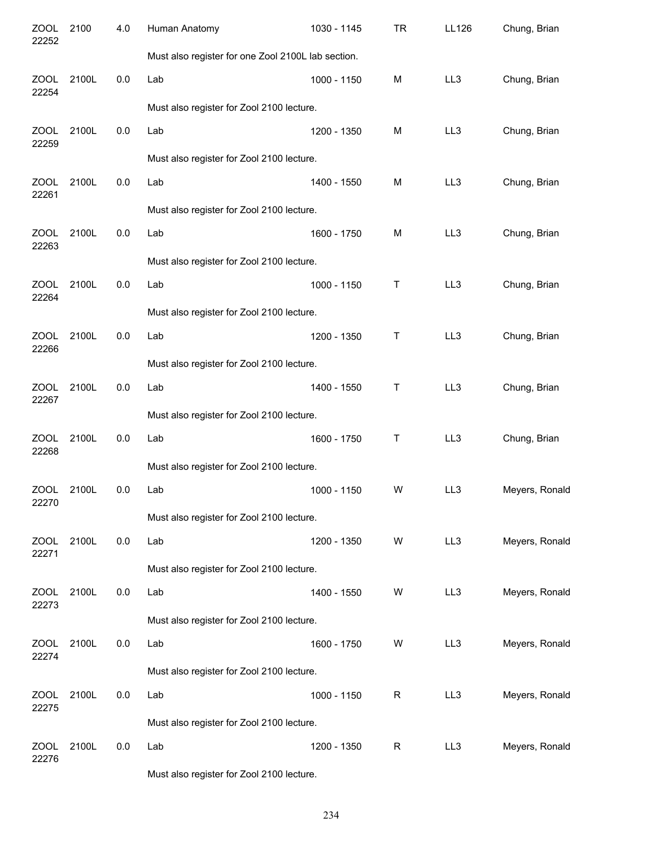| <b>ZOOL</b><br>22252 | 2100  | 4.0 | Human Anatomy                                      | 1030 - 1145 | TR          | <b>LL126</b> | Chung, Brian   |
|----------------------|-------|-----|----------------------------------------------------|-------------|-------------|--------------|----------------|
|                      |       |     | Must also register for one Zool 2100L lab section. |             |             |              |                |
| ZOOL<br>22254        | 2100L | 0.0 | Lab                                                | 1000 - 1150 | M           | LL3          | Chung, Brian   |
|                      |       |     | Must also register for Zool 2100 lecture.          |             |             |              |                |
| ZOOL<br>22259        | 2100L | 0.0 | Lab                                                | 1200 - 1350 | M           | LL3          | Chung, Brian   |
|                      |       |     | Must also register for Zool 2100 lecture.          |             |             |              |                |
| <b>ZOOL</b><br>22261 | 2100L | 0.0 | Lab                                                | 1400 - 1550 | M           | LL3          | Chung, Brian   |
|                      |       |     | Must also register for Zool 2100 lecture.          |             |             |              |                |
| <b>ZOOL</b><br>22263 | 2100L | 0.0 | Lab                                                | 1600 - 1750 | M           | LL3          | Chung, Brian   |
|                      |       |     | Must also register for Zool 2100 lecture.          |             |             |              |                |
| <b>ZOOL</b><br>22264 | 2100L | 0.0 | Lab                                                | 1000 - 1150 | Τ           | LL3          | Chung, Brian   |
|                      |       |     | Must also register for Zool 2100 lecture.          |             |             |              |                |
| ZOOL<br>22266        | 2100L | 0.0 | Lab                                                | 1200 - 1350 | Т           | LL3          | Chung, Brian   |
|                      |       |     | Must also register for Zool 2100 lecture.          |             |             |              |                |
| <b>ZOOL</b><br>22267 | 2100L | 0.0 | Lab                                                | 1400 - 1550 | Т           | LL3          | Chung, Brian   |
|                      |       |     | Must also register for Zool 2100 lecture.          |             |             |              |                |
| ZOOL<br>22268        | 2100L | 0.0 | Lab                                                | 1600 - 1750 | Т           | LL3          | Chung, Brian   |
|                      |       |     | Must also register for Zool 2100 lecture.          |             |             |              |                |
| ZOOL<br>22270        | 2100L | 0.0 | Lab                                                | 1000 - 1150 | W           | LL3          | Meyers, Ronald |
|                      |       |     | Must also register for Zool 2100 lecture.          |             |             |              |                |
| ZOOL<br>22271        | 2100L | 0.0 | Lab                                                | 1200 - 1350 | W           | LL3          | Meyers, Ronald |
|                      |       |     | Must also register for Zool 2100 lecture.          |             |             |              |                |
| ZOOL<br>22273        | 2100L | 0.0 | Lab                                                | 1400 - 1550 | W           | LL3          | Meyers, Ronald |
|                      |       |     | Must also register for Zool 2100 lecture.          |             |             |              |                |
| ZOOL<br>22274        | 2100L | 0.0 | Lab                                                | 1600 - 1750 | W           | LL3          | Meyers, Ronald |
|                      |       |     | Must also register for Zool 2100 lecture.          |             |             |              |                |
| ZOOL<br>22275        | 2100L | 0.0 | Lab                                                | 1000 - 1150 | $\mathsf R$ | LL3          | Meyers, Ronald |
|                      |       |     | Must also register for Zool 2100 lecture.          |             |             |              |                |
| <b>ZOOL</b><br>22276 | 2100L | 0.0 | Lab                                                | 1200 - 1350 | R           | LL3          | Meyers, Ronald |
|                      |       |     | Must also register for Zool 2100 lecture.          |             |             |              |                |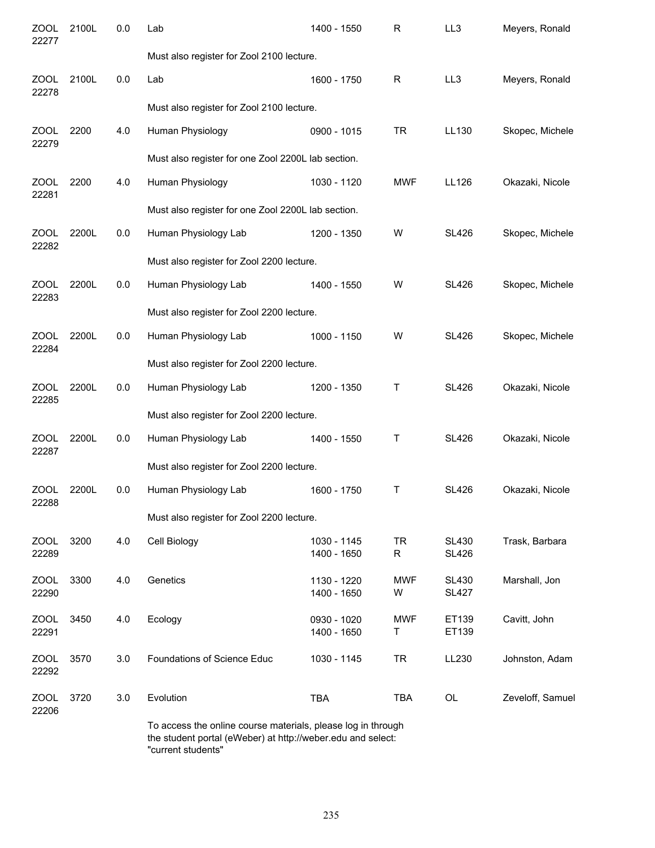| <b>ZOOL</b><br>22277 | 2100L | 0.0 | Lab                                                          | 1400 - 1550                | $\mathsf{R}$    | LL3                          | Meyers, Ronald   |
|----------------------|-------|-----|--------------------------------------------------------------|----------------------------|-----------------|------------------------------|------------------|
|                      |       |     | Must also register for Zool 2100 lecture.                    |                            |                 |                              |                  |
| <b>ZOOL</b><br>22278 | 2100L | 0.0 | Lab                                                          | 1600 - 1750                | $\mathsf R$     | LL3                          | Meyers, Ronald   |
|                      |       |     | Must also register for Zool 2100 lecture.                    |                            |                 |                              |                  |
| <b>ZOOL</b><br>22279 | 2200  | 4.0 | Human Physiology                                             | 0900 - 1015                | <b>TR</b>       | LL130                        | Skopec, Michele  |
|                      |       |     | Must also register for one Zool 2200L lab section.           |                            |                 |                              |                  |
| <b>ZOOL</b><br>22281 | 2200  | 4.0 | Human Physiology                                             | 1030 - 1120                | <b>MWF</b>      | LL126                        | Okazaki, Nicole  |
|                      |       |     | Must also register for one Zool 2200L lab section.           |                            |                 |                              |                  |
| <b>ZOOL</b><br>22282 | 2200L | 0.0 | Human Physiology Lab                                         | 1200 - 1350                | W               | <b>SL426</b>                 | Skopec, Michele  |
|                      |       |     | Must also register for Zool 2200 lecture.                    |                            |                 |                              |                  |
| <b>ZOOL</b><br>22283 | 2200L | 0.0 | Human Physiology Lab                                         | 1400 - 1550                | W               | <b>SL426</b>                 | Skopec, Michele  |
|                      |       |     | Must also register for Zool 2200 lecture.                    |                            |                 |                              |                  |
| <b>ZOOL</b><br>22284 | 2200L | 0.0 | Human Physiology Lab                                         | 1000 - 1150                | W               | <b>SL426</b>                 | Skopec, Michele  |
|                      |       |     | Must also register for Zool 2200 lecture.                    |                            |                 |                              |                  |
| <b>ZOOL</b><br>22285 | 2200L | 0.0 | Human Physiology Lab                                         | 1200 - 1350                | Τ               | <b>SL426</b>                 | Okazaki, Nicole  |
|                      |       |     | Must also register for Zool 2200 lecture.                    |                            |                 |                              |                  |
| <b>ZOOL</b><br>22287 | 2200L | 0.0 | Human Physiology Lab                                         | 1400 - 1550                | Τ               | <b>SL426</b>                 | Okazaki, Nicole  |
|                      |       |     | Must also register for Zool 2200 lecture.                    |                            |                 |                              |                  |
| ZOOL<br>22288        | 2200L | 0.0 | Human Physiology Lab                                         | 1600 - 1750                | Т               | <b>SL426</b>                 | Okazaki, Nicole  |
|                      |       |     | Must also register for Zool 2200 lecture.                    |                            |                 |                              |                  |
| ZOOL<br>22289        | 3200  | 4.0 | Cell Biology                                                 | 1030 - 1145<br>1400 - 1650 | TR<br>R         | <b>SL430</b><br><b>SL426</b> | Trask, Barbara   |
| <b>ZOOL</b><br>22290 | 3300  | 4.0 | Genetics                                                     | 1130 - 1220<br>1400 - 1650 | <b>MWF</b><br>W | <b>SL430</b><br><b>SL427</b> | Marshall, Jon    |
| <b>ZOOL</b><br>22291 | 3450  | 4.0 | Ecology                                                      | 0930 - 1020<br>1400 - 1650 | <b>MWF</b><br>Т | ET139<br>ET139               | Cavitt, John     |
| <b>ZOOL</b><br>22292 | 3570  | 3.0 | Foundations of Science Educ                                  | 1030 - 1145                | <b>TR</b>       | LL230                        | Johnston, Adam   |
| <b>ZOOL</b><br>22206 | 3720  | 3.0 | Evolution                                                    | <b>TBA</b>                 | TBA             | OL                           | Zeveloff, Samuel |
|                      |       |     | To accoss the opline course materials, please leg in through |                            |                 |                              |                  |

To access the online course materials, please log in through the student portal (eWeber) at http://weber.edu and select: "current students"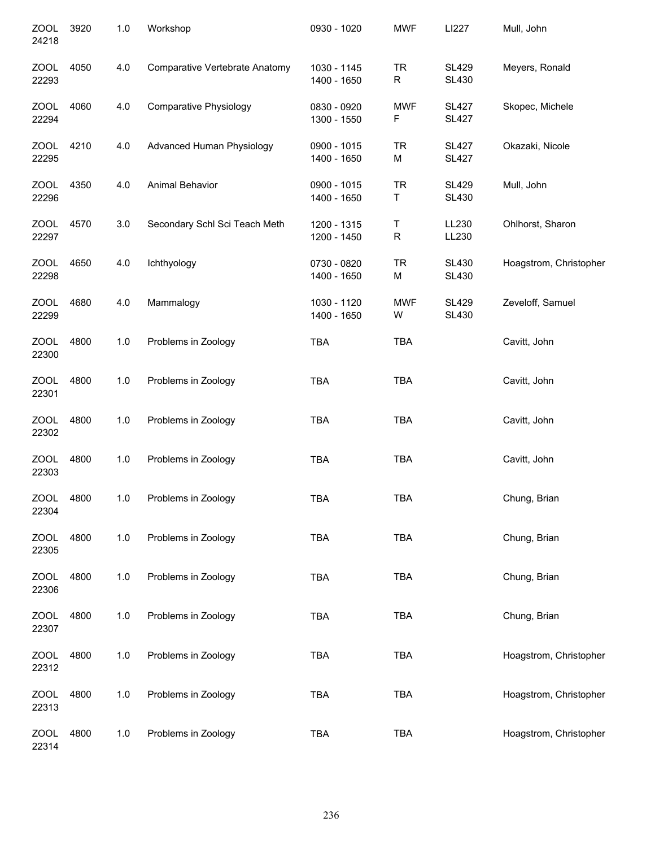| <b>ZOOL</b><br>24218 | 3920 | 1.0 | Workshop                       | 0930 - 1020                | <b>MWF</b>      | LI227                        | Mull, John             |
|----------------------|------|-----|--------------------------------|----------------------------|-----------------|------------------------------|------------------------|
| <b>ZOOL</b><br>22293 | 4050 | 4.0 | Comparative Vertebrate Anatomy | 1030 - 1145<br>1400 - 1650 | <b>TR</b><br>R  | <b>SL429</b><br><b>SL430</b> | Meyers, Ronald         |
| <b>ZOOL</b><br>22294 | 4060 | 4.0 | <b>Comparative Physiology</b>  | 0830 - 0920<br>1300 - 1550 | <b>MWF</b><br>F | <b>SL427</b><br><b>SL427</b> | Skopec, Michele        |
| ZOOL<br>22295        | 4210 | 4.0 | Advanced Human Physiology      | 0900 - 1015<br>1400 - 1650 | <b>TR</b><br>M  | <b>SL427</b><br><b>SL427</b> | Okazaki, Nicole        |
| ZOOL<br>22296        | 4350 | 4.0 | Animal Behavior                | 0900 - 1015<br>1400 - 1650 | <b>TR</b><br>Τ  | <b>SL429</b><br><b>SL430</b> | Mull, John             |
| ZOOL<br>22297        | 4570 | 3.0 | Secondary Schl Sci Teach Meth  | 1200 - 1315<br>1200 - 1450 | Τ<br>${\sf R}$  | LL230<br>LL230               | Ohlhorst, Sharon       |
| <b>ZOOL</b><br>22298 | 4650 | 4.0 | Ichthyology                    | 0730 - 0820<br>1400 - 1650 | <b>TR</b><br>M  | <b>SL430</b><br><b>SL430</b> | Hoagstrom, Christopher |
| <b>ZOOL</b><br>22299 | 4680 | 4.0 | Mammalogy                      | 1030 - 1120<br>1400 - 1650 | <b>MWF</b><br>W | <b>SL429</b><br><b>SL430</b> | Zeveloff, Samuel       |
| <b>ZOOL</b><br>22300 | 4800 | 1.0 | Problems in Zoology            | <b>TBA</b>                 | <b>TBA</b>      |                              | Cavitt, John           |
| <b>ZOOL</b><br>22301 | 4800 | 1.0 | Problems in Zoology            | <b>TBA</b>                 | <b>TBA</b>      |                              | Cavitt, John           |
| <b>ZOOL</b><br>22302 | 4800 | 1.0 | Problems in Zoology            | <b>TBA</b>                 | <b>TBA</b>      |                              | Cavitt, John           |
| <b>ZOOL</b><br>22303 | 4800 | 1.0 | Problems in Zoology            | <b>TBA</b>                 | <b>TBA</b>      |                              | Cavitt, John           |
| <b>ZOOL</b><br>22304 | 4800 | 1.0 | Problems in Zoology            | <b>TBA</b>                 | <b>TBA</b>      |                              | Chung, Brian           |
| <b>ZOOL</b><br>22305 | 4800 | 1.0 | Problems in Zoology            | <b>TBA</b>                 | TBA             |                              | Chung, Brian           |
| <b>ZOOL</b><br>22306 | 4800 | 1.0 | Problems in Zoology            | <b>TBA</b>                 | <b>TBA</b>      |                              | Chung, Brian           |
| ZOOL<br>22307        | 4800 | 1.0 | Problems in Zoology            | <b>TBA</b>                 | TBA             |                              | Chung, Brian           |
| <b>ZOOL</b><br>22312 | 4800 | 1.0 | Problems in Zoology            | <b>TBA</b>                 | <b>TBA</b>      |                              | Hoagstrom, Christopher |
| <b>ZOOL</b><br>22313 | 4800 | 1.0 | Problems in Zoology            | <b>TBA</b>                 | <b>TBA</b>      |                              | Hoagstrom, Christopher |
| ZOOL<br>22314        | 4800 | 1.0 | Problems in Zoology            | <b>TBA</b>                 | TBA             |                              | Hoagstrom, Christopher |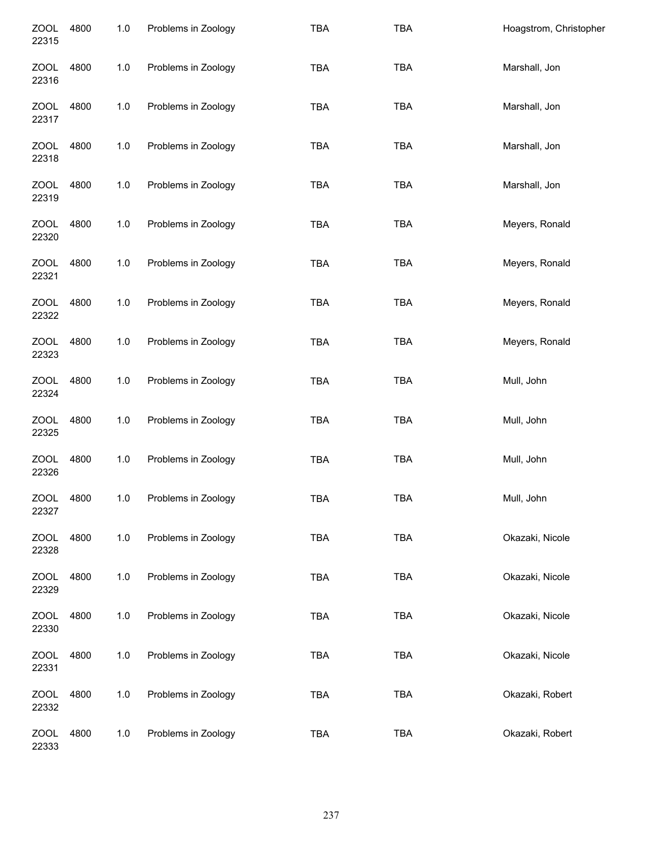| <b>ZOOL</b><br>22315 | 4800 | $1.0$ | Problems in Zoology | <b>TBA</b> | <b>TBA</b> | Hoagstrom, Christopher |
|----------------------|------|-------|---------------------|------------|------------|------------------------|
| <b>ZOOL</b><br>22316 | 4800 | $1.0$ | Problems in Zoology | <b>TBA</b> | <b>TBA</b> | Marshall, Jon          |
| <b>ZOOL</b><br>22317 | 4800 | 1.0   | Problems in Zoology | <b>TBA</b> | <b>TBA</b> | Marshall, Jon          |
| <b>ZOOL</b><br>22318 | 4800 | $1.0$ | Problems in Zoology | <b>TBA</b> | <b>TBA</b> | Marshall, Jon          |
| <b>ZOOL</b><br>22319 | 4800 | $1.0$ | Problems in Zoology | <b>TBA</b> | <b>TBA</b> | Marshall, Jon          |
| <b>ZOOL</b><br>22320 | 4800 | $1.0$ | Problems in Zoology | <b>TBA</b> | <b>TBA</b> | Meyers, Ronald         |
| <b>ZOOL</b><br>22321 | 4800 | 1.0   | Problems in Zoology | <b>TBA</b> | <b>TBA</b> | Meyers, Ronald         |
| <b>ZOOL</b><br>22322 | 4800 | 1.0   | Problems in Zoology | <b>TBA</b> | <b>TBA</b> | Meyers, Ronald         |
| <b>ZOOL</b><br>22323 | 4800 | $1.0$ | Problems in Zoology | <b>TBA</b> | <b>TBA</b> | Meyers, Ronald         |
| <b>ZOOL</b><br>22324 | 4800 | $1.0$ | Problems in Zoology | <b>TBA</b> | <b>TBA</b> | Mull, John             |
| <b>ZOOL</b><br>22325 | 4800 | $1.0$ | Problems in Zoology | <b>TBA</b> | <b>TBA</b> | Mull, John             |
| <b>ZOOL</b><br>22326 | 4800 | $1.0$ | Problems in Zoology | <b>TBA</b> | <b>TBA</b> | Mull, John             |
| <b>ZOOL</b><br>22327 | 4800 | 1.0   | Problems in Zoology | <b>TBA</b> | <b>TBA</b> | Mull, John             |
| <b>ZOOL</b><br>22328 | 4800 | 1.0   | Problems in Zoology | <b>TBA</b> | <b>TBA</b> | Okazaki, Nicole        |
| <b>ZOOL</b><br>22329 | 4800 | $1.0$ | Problems in Zoology | <b>TBA</b> | <b>TBA</b> | Okazaki, Nicole        |
| <b>ZOOL</b><br>22330 | 4800 | $1.0$ | Problems in Zoology | <b>TBA</b> | <b>TBA</b> | Okazaki, Nicole        |
| <b>ZOOL</b><br>22331 | 4800 | 1.0   | Problems in Zoology | <b>TBA</b> | <b>TBA</b> | Okazaki, Nicole        |
| <b>ZOOL</b><br>22332 | 4800 | 1.0   | Problems in Zoology | <b>TBA</b> | <b>TBA</b> | Okazaki, Robert        |
| <b>ZOOL</b><br>22333 | 4800 | $1.0$ | Problems in Zoology | <b>TBA</b> | <b>TBA</b> | Okazaki, Robert        |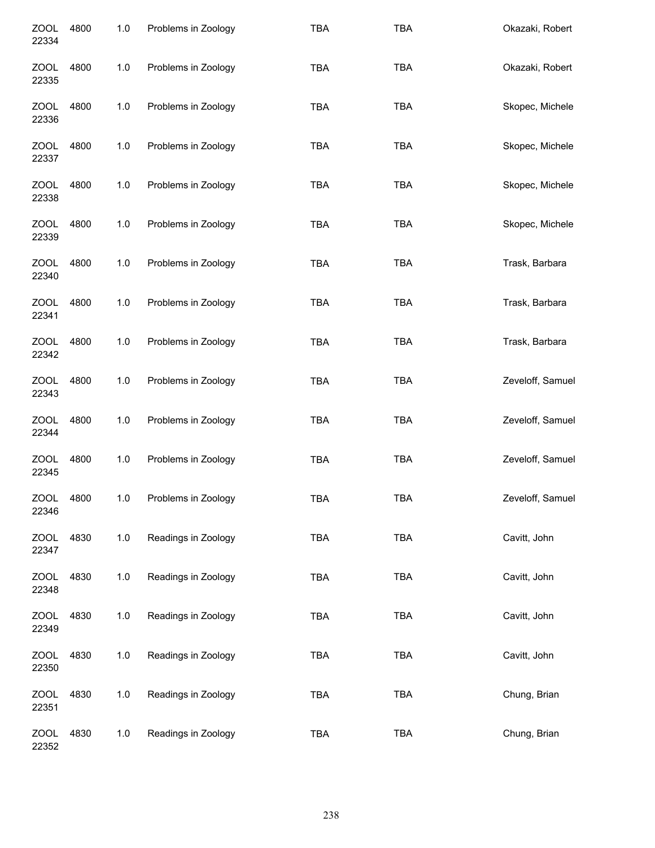| <b>ZOOL</b><br>22334 | 4800 | 1.0 | Problems in Zoology | <b>TBA</b> | <b>TBA</b> | Okazaki, Robert  |
|----------------------|------|-----|---------------------|------------|------------|------------------|
| <b>ZOOL</b><br>22335 | 4800 | 1.0 | Problems in Zoology | TBA        | TBA        | Okazaki, Robert  |
| <b>ZOOL</b><br>22336 | 4800 | 1.0 | Problems in Zoology | <b>TBA</b> | <b>TBA</b> | Skopec, Michele  |
| <b>ZOOL</b><br>22337 | 4800 | 1.0 | Problems in Zoology | TBA        | <b>TBA</b> | Skopec, Michele  |
| <b>ZOOL</b><br>22338 | 4800 | 1.0 | Problems in Zoology | <b>TBA</b> | <b>TBA</b> | Skopec, Michele  |
| <b>ZOOL</b><br>22339 | 4800 | 1.0 | Problems in Zoology | <b>TBA</b> | <b>TBA</b> | Skopec, Michele  |
| <b>ZOOL</b><br>22340 | 4800 | 1.0 | Problems in Zoology | TBA        | <b>TBA</b> | Trask, Barbara   |
| <b>ZOOL</b><br>22341 | 4800 | 1.0 | Problems in Zoology | <b>TBA</b> | <b>TBA</b> | Trask, Barbara   |
| <b>ZOOL</b><br>22342 | 4800 | 1.0 | Problems in Zoology | TBA        | <b>TBA</b> | Trask, Barbara   |
| <b>ZOOL</b><br>22343 | 4800 | 1.0 | Problems in Zoology | TBA        | <b>TBA</b> | Zeveloff, Samuel |
| <b>ZOOL</b><br>22344 | 4800 | 1.0 | Problems in Zoology | TBA        | <b>TBA</b> | Zeveloff, Samuel |
| <b>ZOOL</b><br>22345 | 4800 | 1.0 | Problems in Zoology | TBA        | <b>TBA</b> | Zeveloff, Samuel |
| <b>ZOOL</b><br>22346 | 4800 | 1.0 | Problems in Zoology | <b>TBA</b> | <b>TBA</b> | Zeveloff, Samuel |
| <b>ZOOL</b><br>22347 | 4830 | 1.0 | Readings in Zoology | <b>TBA</b> | <b>TBA</b> | Cavitt, John     |
| <b>ZOOL</b><br>22348 | 4830 | 1.0 | Readings in Zoology | TBA        | <b>TBA</b> | Cavitt, John     |
| <b>ZOOL</b><br>22349 | 4830 | 1.0 | Readings in Zoology | TBA        | <b>TBA</b> | Cavitt, John     |
| <b>ZOOL</b><br>22350 | 4830 | 1.0 | Readings in Zoology | TBA        | <b>TBA</b> | Cavitt, John     |
| <b>ZOOL</b><br>22351 | 4830 | 1.0 | Readings in Zoology | <b>TBA</b> | <b>TBA</b> | Chung, Brian     |
| <b>ZOOL</b><br>22352 | 4830 | 1.0 | Readings in Zoology | TBA        | <b>TBA</b> | Chung, Brian     |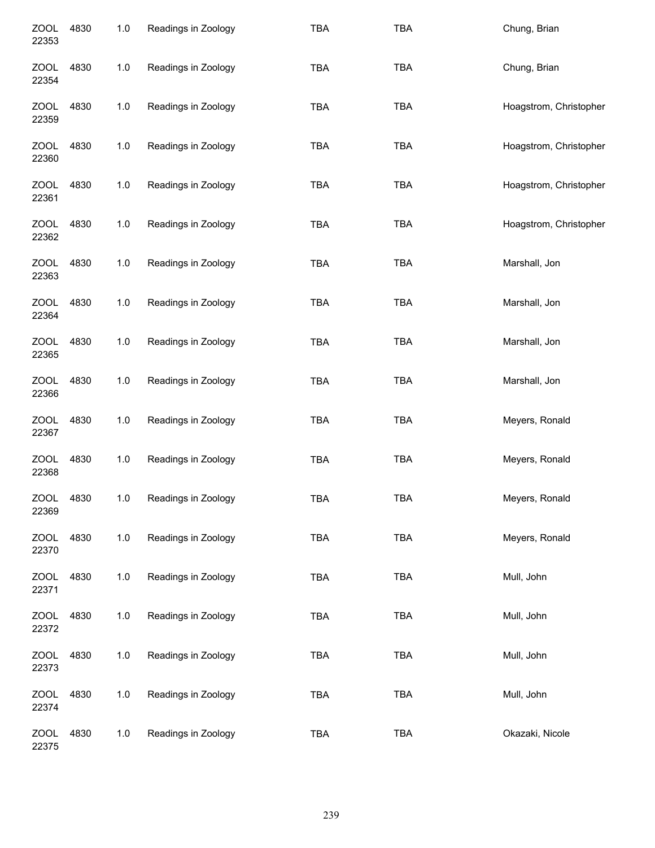| <b>ZOOL</b><br>22353 | 4830 | 1.0   | Readings in Zoology | <b>TBA</b> | TBA        | Chung, Brian           |
|----------------------|------|-------|---------------------|------------|------------|------------------------|
| <b>ZOOL</b><br>22354 | 4830 | $1.0$ | Readings in Zoology | <b>TBA</b> | <b>TBA</b> | Chung, Brian           |
| <b>ZOOL</b><br>22359 | 4830 | $1.0$ | Readings in Zoology | <b>TBA</b> | <b>TBA</b> | Hoagstrom, Christopher |
| ZOOL<br>22360        | 4830 | $1.0$ | Readings in Zoology | <b>TBA</b> | <b>TBA</b> | Hoagstrom, Christopher |
| ZOOL<br>22361        | 4830 | $1.0$ | Readings in Zoology | <b>TBA</b> | <b>TBA</b> | Hoagstrom, Christopher |
| <b>ZOOL</b><br>22362 | 4830 | $1.0$ | Readings in Zoology | <b>TBA</b> | <b>TBA</b> | Hoagstrom, Christopher |
| <b>ZOOL</b><br>22363 | 4830 | $1.0$ | Readings in Zoology | <b>TBA</b> | TBA        | Marshall, Jon          |
| <b>ZOOL</b><br>22364 | 4830 | $1.0$ | Readings in Zoology | <b>TBA</b> | TBA        | Marshall, Jon          |
| <b>ZOOL</b><br>22365 | 4830 | $1.0$ | Readings in Zoology | <b>TBA</b> | <b>TBA</b> | Marshall, Jon          |
| <b>ZOOL</b><br>22366 | 4830 | $1.0$ | Readings in Zoology | <b>TBA</b> | <b>TBA</b> | Marshall, Jon          |
| <b>ZOOL</b><br>22367 | 4830 | $1.0$ | Readings in Zoology | <b>TBA</b> | TBA        | Meyers, Ronald         |
| <b>ZOOL</b><br>22368 | 4830 | $1.0$ | Readings in Zoology | <b>TBA</b> | TBA        | Meyers, Ronald         |
| ZOOL<br>22369        | 4830 | 1.0   | Readings in Zoology | <b>TBA</b> | TBA        | Meyers, Ronald         |
| <b>ZOOL</b><br>22370 | 4830 | $1.0$ | Readings in Zoology | <b>TBA</b> | TBA        | Meyers, Ronald         |
| <b>ZOOL</b><br>22371 | 4830 | $1.0$ | Readings in Zoology | <b>TBA</b> | TBA        | Mull, John             |
| <b>ZOOL</b><br>22372 | 4830 | $1.0$ | Readings in Zoology | <b>TBA</b> | TBA        | Mull, John             |
| <b>ZOOL</b><br>22373 | 4830 | $1.0$ | Readings in Zoology | <b>TBA</b> | TBA        | Mull, John             |
| <b>ZOOL</b><br>22374 | 4830 | 1.0   | Readings in Zoology | <b>TBA</b> | TBA        | Mull, John             |
| <b>ZOOL</b><br>22375 | 4830 | 1.0   | Readings in Zoology | TBA        | TBA        | Okazaki, Nicole        |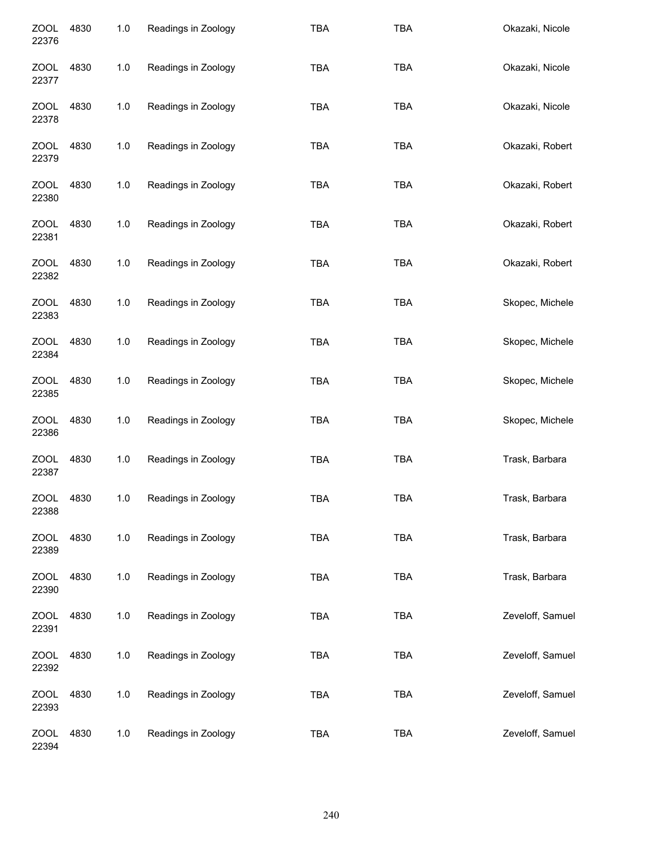| <b>ZOOL</b><br>22376 | 4830 | 1.0 | Readings in Zoology | <b>TBA</b> | <b>TBA</b> | Okazaki, Nicole  |
|----------------------|------|-----|---------------------|------------|------------|------------------|
| <b>ZOOL</b><br>22377 | 4830 | 1.0 | Readings in Zoology | <b>TBA</b> | <b>TBA</b> | Okazaki, Nicole  |
| <b>ZOOL</b><br>22378 | 4830 | 1.0 | Readings in Zoology | <b>TBA</b> | <b>TBA</b> | Okazaki, Nicole  |
| <b>ZOOL</b><br>22379 | 4830 | 1.0 | Readings in Zoology | <b>TBA</b> | <b>TBA</b> | Okazaki, Robert  |
| <b>ZOOL</b><br>22380 | 4830 | 1.0 | Readings in Zoology | <b>TBA</b> | <b>TBA</b> | Okazaki, Robert  |
| <b>ZOOL</b><br>22381 | 4830 | 1.0 | Readings in Zoology | <b>TBA</b> | <b>TBA</b> | Okazaki, Robert  |
| <b>ZOOL</b><br>22382 | 4830 | 1.0 | Readings in Zoology | <b>TBA</b> | <b>TBA</b> | Okazaki, Robert  |
| <b>ZOOL</b><br>22383 | 4830 | 1.0 | Readings in Zoology | <b>TBA</b> | <b>TBA</b> | Skopec, Michele  |
| <b>ZOOL</b><br>22384 | 4830 | 1.0 | Readings in Zoology | <b>TBA</b> | <b>TBA</b> | Skopec, Michele  |
| <b>ZOOL</b><br>22385 | 4830 | 1.0 | Readings in Zoology | <b>TBA</b> | <b>TBA</b> | Skopec, Michele  |
| <b>ZOOL</b><br>22386 | 4830 | 1.0 | Readings in Zoology | <b>TBA</b> | <b>TBA</b> | Skopec, Michele  |
| <b>ZOOL</b><br>22387 | 4830 | 1.0 | Readings in Zoology | <b>TBA</b> | <b>TBA</b> | Trask, Barbara   |
| <b>ZOOL</b><br>22388 | 4830 | 1.0 | Readings in Zoology | <b>TBA</b> | <b>TBA</b> | Trask, Barbara   |
| <b>ZOOL</b><br>22389 | 4830 | 1.0 | Readings in Zoology | <b>TBA</b> | <b>TBA</b> | Trask, Barbara   |
| <b>ZOOL</b><br>22390 | 4830 | 1.0 | Readings in Zoology | <b>TBA</b> | <b>TBA</b> | Trask, Barbara   |
| <b>ZOOL</b><br>22391 | 4830 | 1.0 | Readings in Zoology | <b>TBA</b> | TBA        | Zeveloff, Samuel |
| <b>ZOOL</b><br>22392 | 4830 | 1.0 | Readings in Zoology | <b>TBA</b> | <b>TBA</b> | Zeveloff, Samuel |
| <b>ZOOL</b><br>22393 | 4830 | 1.0 | Readings in Zoology | <b>TBA</b> | <b>TBA</b> | Zeveloff, Samuel |
| <b>ZOOL</b><br>22394 | 4830 | 1.0 | Readings in Zoology | <b>TBA</b> | <b>TBA</b> | Zeveloff, Samuel |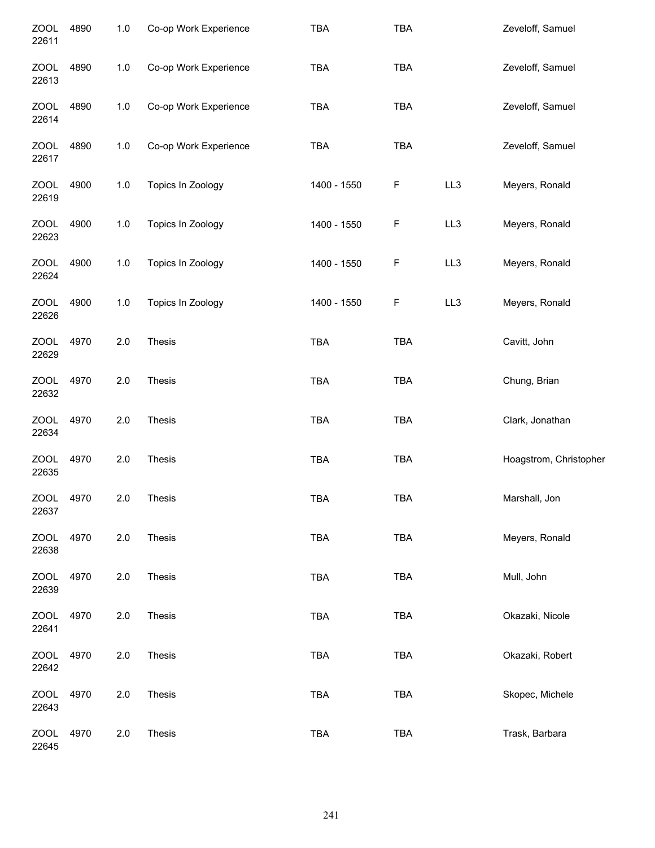| <b>ZOOL</b><br>22611 | 4890 | 1.0   | Co-op Work Experience | TBA         | <b>TBA</b>  |     | Zeveloff, Samuel       |
|----------------------|------|-------|-----------------------|-------------|-------------|-----|------------------------|
| <b>ZOOL</b><br>22613 | 4890 | 1.0   | Co-op Work Experience | TBA         | TBA         |     | Zeveloff, Samuel       |
| <b>ZOOL</b><br>22614 | 4890 | 1.0   | Co-op Work Experience | TBA         | <b>TBA</b>  |     | Zeveloff, Samuel       |
| <b>ZOOL</b><br>22617 | 4890 | 1.0   | Co-op Work Experience | TBA         | <b>TBA</b>  |     | Zeveloff, Samuel       |
| <b>ZOOL</b><br>22619 | 4900 | 1.0   | Topics In Zoology     | 1400 - 1550 | F           | LL3 | Meyers, Ronald         |
| <b>ZOOL</b><br>22623 | 4900 | 1.0   | Topics In Zoology     | 1400 - 1550 | F           | LL3 | Meyers, Ronald         |
| <b>ZOOL</b><br>22624 | 4900 | 1.0   | Topics In Zoology     | 1400 - 1550 | F           | LL3 | Meyers, Ronald         |
| <b>ZOOL</b><br>22626 | 4900 | $1.0$ | Topics In Zoology     | 1400 - 1550 | $\mathsf F$ | LL3 | Meyers, Ronald         |
| <b>ZOOL</b><br>22629 | 4970 | 2.0   | <b>Thesis</b>         | <b>TBA</b>  | <b>TBA</b>  |     | Cavitt, John           |
| <b>ZOOL</b><br>22632 | 4970 | 2.0   | <b>Thesis</b>         | <b>TBA</b>  | TBA         |     | Chung, Brian           |
| <b>ZOOL</b><br>22634 | 4970 | 2.0   | Thesis                | <b>TBA</b>  | TBA         |     | Clark, Jonathan        |
| <b>ZOOL</b><br>22635 | 4970 | 2.0   | Thesis                | TBA         | <b>TBA</b>  |     | Hoagstrom, Christopher |
| <b>ZOOL</b><br>22637 | 4970 | 2.0   | <b>Thesis</b>         | <b>TBA</b>  | <b>TBA</b>  |     | Marshall, Jon          |
| <b>ZOOL</b><br>22638 | 4970 | 2.0   | Thesis                | <b>TBA</b>  | <b>TBA</b>  |     | Meyers, Ronald         |
| <b>ZOOL</b><br>22639 | 4970 | 2.0   | Thesis                | <b>TBA</b>  | TBA         |     | Mull, John             |
| <b>ZOOL</b><br>22641 | 4970 | 2.0   | Thesis                | <b>TBA</b>  | TBA         |     | Okazaki, Nicole        |
| <b>ZOOL</b><br>22642 | 4970 | 2.0   | Thesis                | <b>TBA</b>  | <b>TBA</b>  |     | Okazaki, Robert        |
| <b>ZOOL</b><br>22643 | 4970 | 2.0   | Thesis                | <b>TBA</b>  | TBA         |     | Skopec, Michele        |
| <b>ZOOL</b><br>22645 | 4970 | 2.0   | Thesis                | TBA         | <b>TBA</b>  |     | Trask, Barbara         |